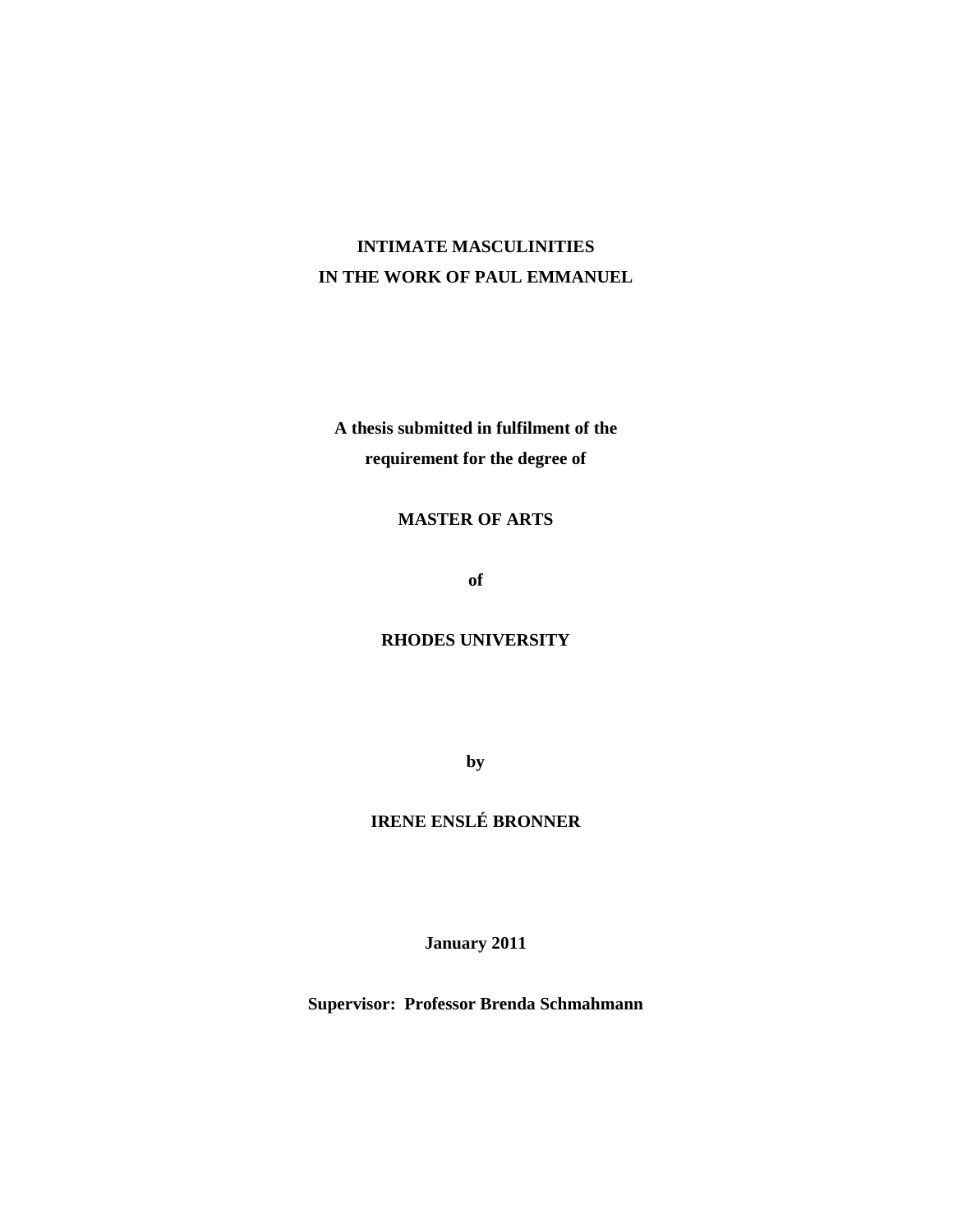# **INTIMATE MASCULINITIES IN THE WORK OF PAUL EMMANUEL**

**A thesis submitted in fulfilment of the requirement for the degree of** 

## **MASTER OF ARTS**

**of** 

## **RHODES UNIVERSITY**

**by** 

## **IRENE ENSLÉ BRONNER**

**January 2011** 

**Supervisor: Professor Brenda Schmahmann**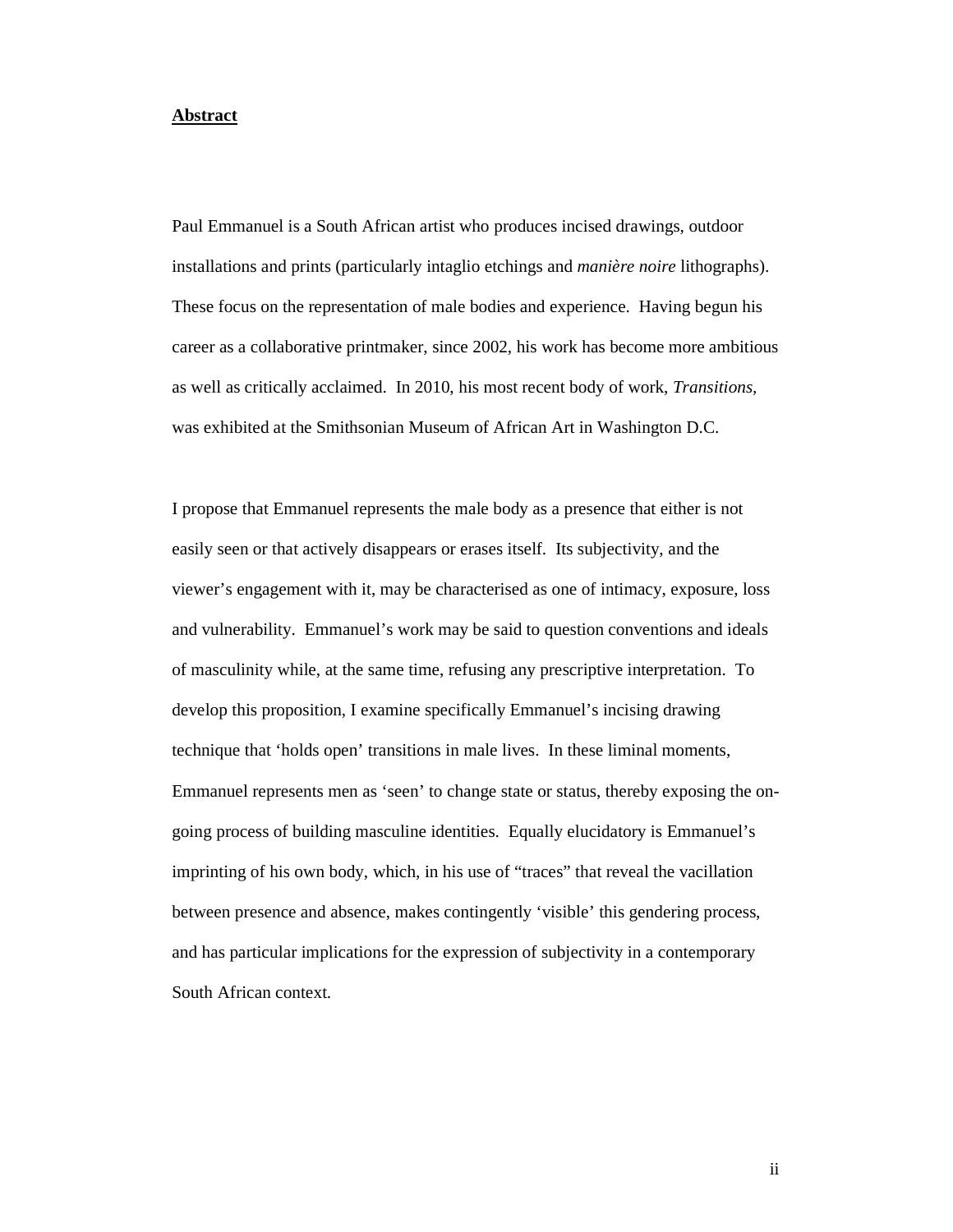#### **Abstract**

Paul Emmanuel is a South African artist who produces incised drawings, outdoor installations and prints (particularly intaglio etchings and *manière noire* lithographs). These focus on the representation of male bodies and experience. Having begun his career as a collaborative printmaker, since 2002, his work has become more ambitious as well as critically acclaimed. In 2010, his most recent body of work, *Transitions,* was exhibited at the Smithsonian Museum of African Art in Washington D.C.

I propose that Emmanuel represents the male body as a presence that either is not easily seen or that actively disappears or erases itself. Its subjectivity, and the viewer's engagement with it, may be characterised as one of intimacy, exposure, loss and vulnerability. Emmanuel's work may be said to question conventions and ideals of masculinity while, at the same time, refusing any prescriptive interpretation. To develop this proposition, I examine specifically Emmanuel's incising drawing technique that 'holds open' transitions in male lives. In these liminal moments, Emmanuel represents men as 'seen' to change state or status, thereby exposing the ongoing process of building masculine identities. Equally elucidatory is Emmanuel's imprinting of his own body, which, in his use of "traces" that reveal the vacillation between presence and absence, makes contingently 'visible' this gendering process, and has particular implications for the expression of subjectivity in a contemporary South African context.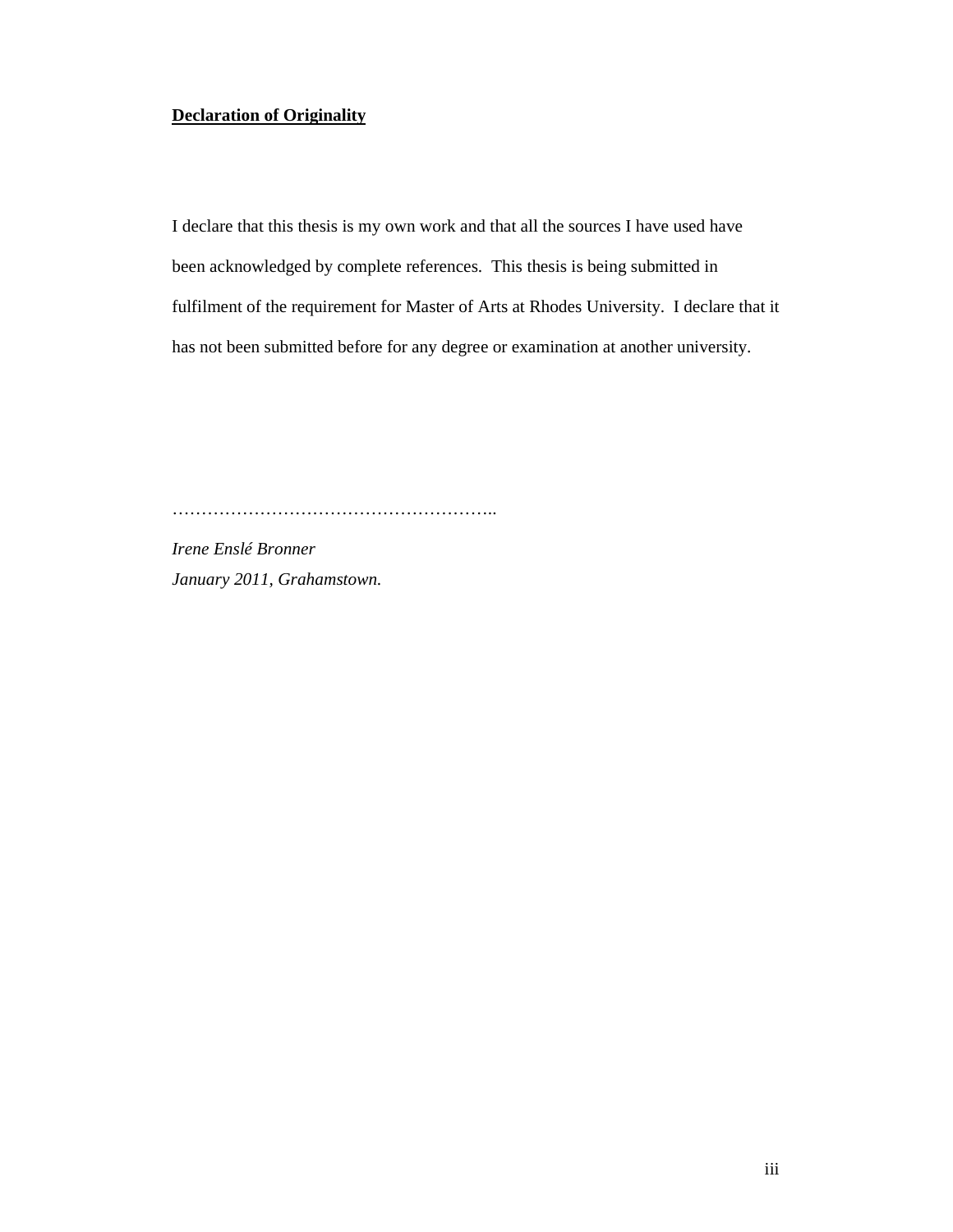### **Declaration of Originality**

I declare that this thesis is my own work and that all the sources I have used have been acknowledged by complete references. This thesis is being submitted in fulfilment of the requirement for Master of Arts at Rhodes University. I declare that it has not been submitted before for any degree or examination at another university.

………………………………………………..

*Irene Enslé Bronner January 2011, Grahamstown.*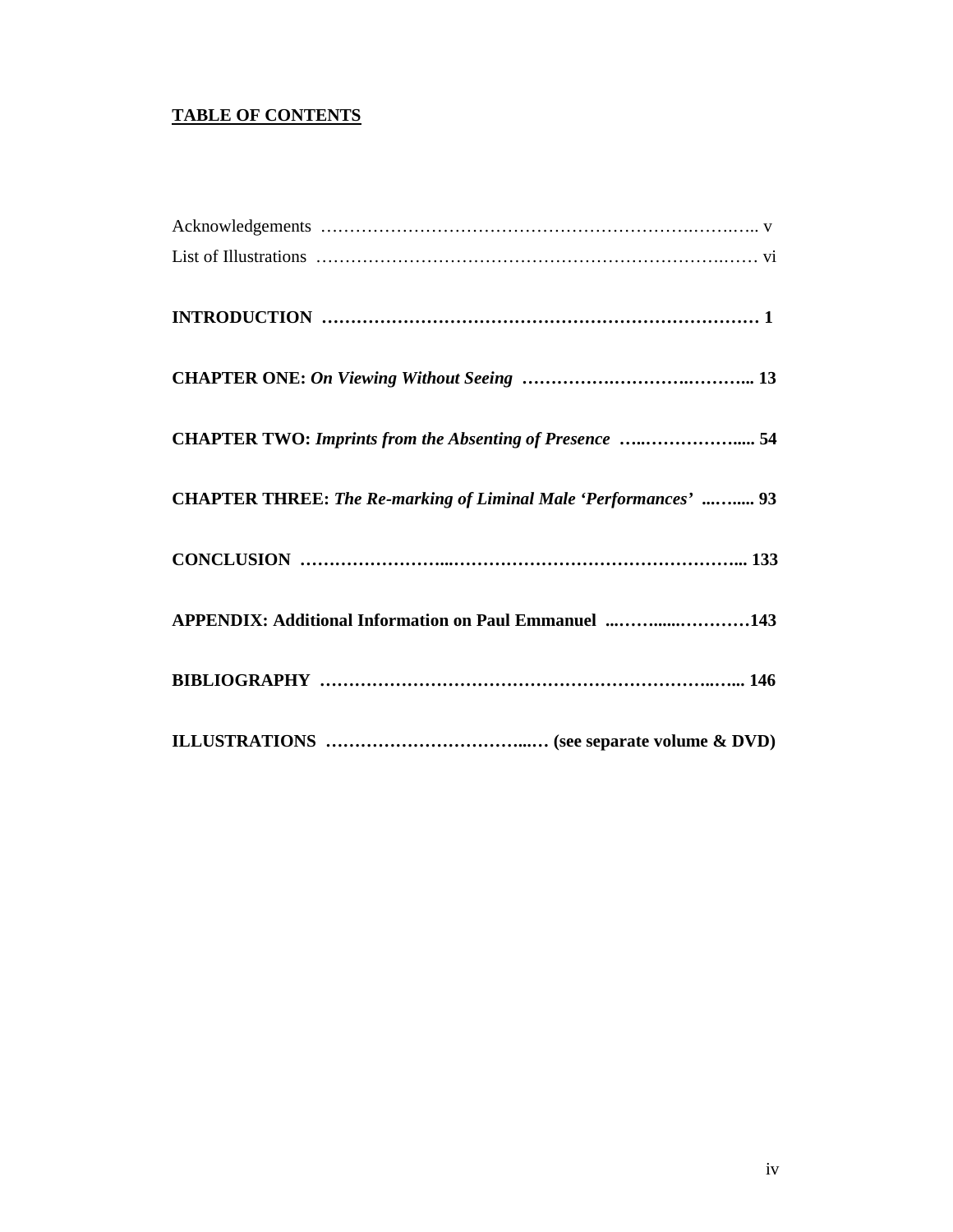## **TABLE OF CONTENTS**

| CHAPTER TWO: Imprints from the Absenting of Presence  54         |
|------------------------------------------------------------------|
| CHAPTER THREE: The Re-marking of Liminal Male 'Performances'  93 |
|                                                                  |
| APPENDIX: Additional Information on Paul Emmanuel 143            |
|                                                                  |
|                                                                  |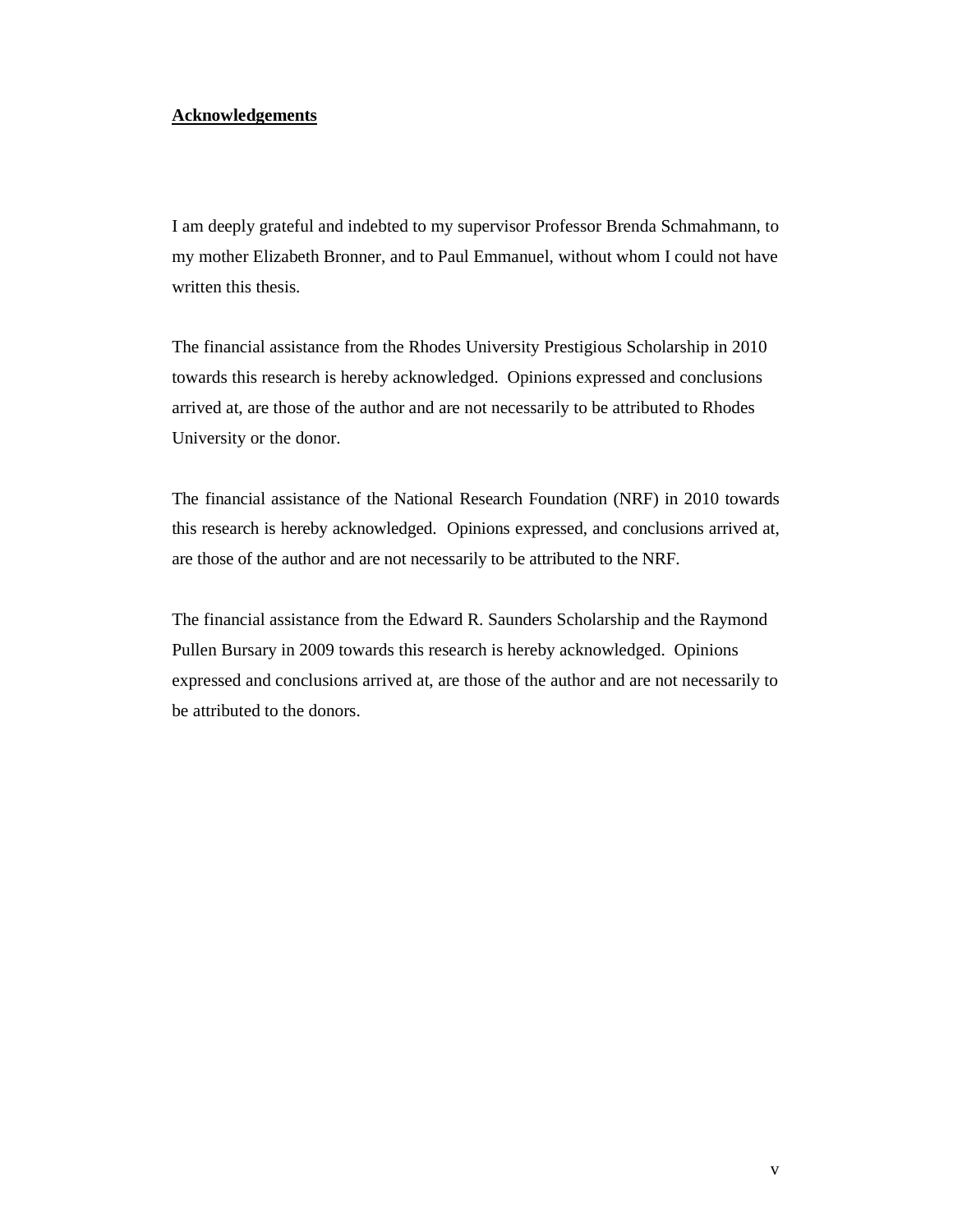#### **Acknowledgements**

I am deeply grateful and indebted to my supervisor Professor Brenda Schmahmann, to my mother Elizabeth Bronner, and to Paul Emmanuel, without whom I could not have written this thesis.

The financial assistance from the Rhodes University Prestigious Scholarship in 2010 towards this research is hereby acknowledged. Opinions expressed and conclusions arrived at, are those of the author and are not necessarily to be attributed to Rhodes University or the donor.

The financial assistance of the National Research Foundation (NRF) in 2010 towards this research is hereby acknowledged. Opinions expressed, and conclusions arrived at, are those of the author and are not necessarily to be attributed to the NRF.

The financial assistance from the Edward R. Saunders Scholarship and the Raymond Pullen Bursary in 2009 towards this research is hereby acknowledged. Opinions expressed and conclusions arrived at, are those of the author and are not necessarily to be attributed to the donors.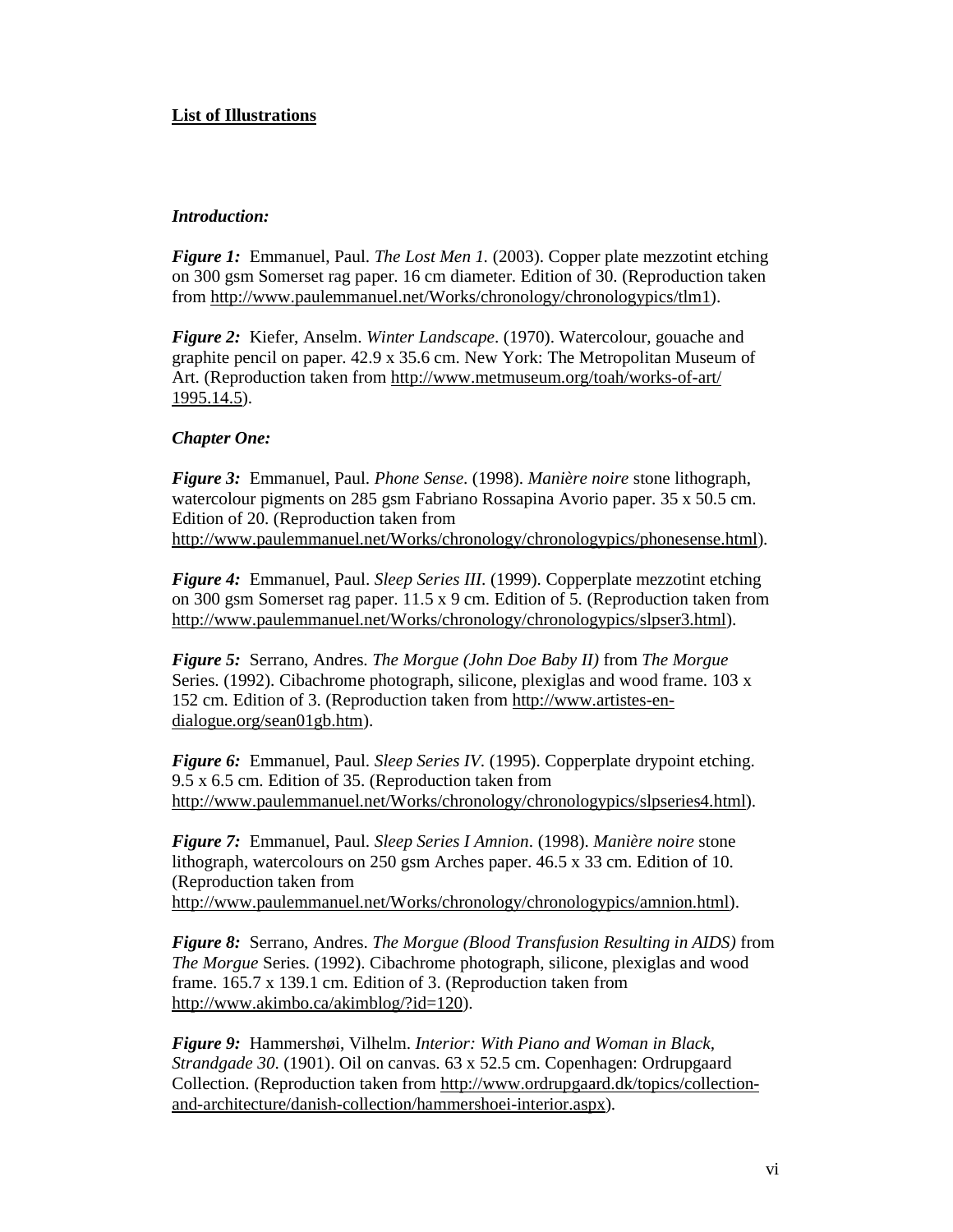## **List of Illustrations**

#### *Introduction:*

*Figure 1:* Emmanuel, Paul. *The Lost Men 1.* (2003). Copper plate mezzotint etching on 300 gsm Somerset rag paper. 16 cm diameter. Edition of 30. (Reproduction taken from http://www.paulemmanuel.net/Works/chronology/chronologypics/tlm1).

*Figure 2:* Kiefer, Anselm. *Winter Landscape*. (1970). Watercolour, gouache and graphite pencil on paper. 42.9 x 35.6 cm. New York: The Metropolitan Museum of Art. (Reproduction taken from http://www.metmuseum.org/toah/works-of-art/ 1995.14.5).

#### *Chapter One:*

*Figure 3:* Emmanuel, Paul. *Phone Sense*. (1998). *Manière noire* stone lithograph, watercolour pigments on 285 gsm Fabriano Rossapina Avorio paper. 35 x 50.5 cm. Edition of 20. (Reproduction taken from http://www.paulemmanuel.net/Works/chronology/chronologypics/phonesense.html).

*Figure 4:* Emmanuel, Paul. *Sleep Series III*. (1999). Copperplate mezzotint etching on 300 gsm Somerset rag paper. 11.5 x 9 cm. Edition of 5. (Reproduction taken from http://www.paulemmanuel.net/Works/chronology/chronologypics/slpser3.html).

*Figure 5:* Serrano, Andres. *The Morgue (John Doe Baby II)* from *The Morgue*  Series. (1992). Cibachrome photograph, silicone, plexiglas and wood frame. 103 x 152 cm. Edition of 3. (Reproduction taken from http://www.artistes-endialogue.org/sean01gb.htm).

*Figure 6:* Emmanuel, Paul. *Sleep Series IV.* (1995). Copperplate drypoint etching. 9.5 x 6.5 cm. Edition of 35. (Reproduction taken from http://www.paulemmanuel.net/Works/chronology/chronologypics/slpseries4.html).

*Figure 7:* Emmanuel, Paul. *Sleep Series I Amnion*. (1998). *Manière noire* stone lithograph, watercolours on 250 gsm Arches paper. 46.5 x 33 cm. Edition of 10. (Reproduction taken from http://www.paulemmanuel.net/Works/chronology/chronologypics/amnion.html).

*Figure 8:* Serrano, Andres. *The Morgue (Blood Transfusion Resulting in AIDS)* from *The Morgue* Series. (1992). Cibachrome photograph, silicone, plexiglas and wood frame. 165.7 x 139.1 cm. Edition of 3. (Reproduction taken from http://www.akimbo.ca/akimblog/?id=120).

*Figure 9:* Hammershøi, Vilhelm. *Interior: With Piano and Woman in Black, Strandgade 30*. (1901). Oil on canvas. 63 x 52.5 cm. Copenhagen: Ordrupgaard Collection. (Reproduction taken from http://www.ordrupgaard.dk/topics/collectionand-architecture/danish-collection/hammershoei-interior.aspx).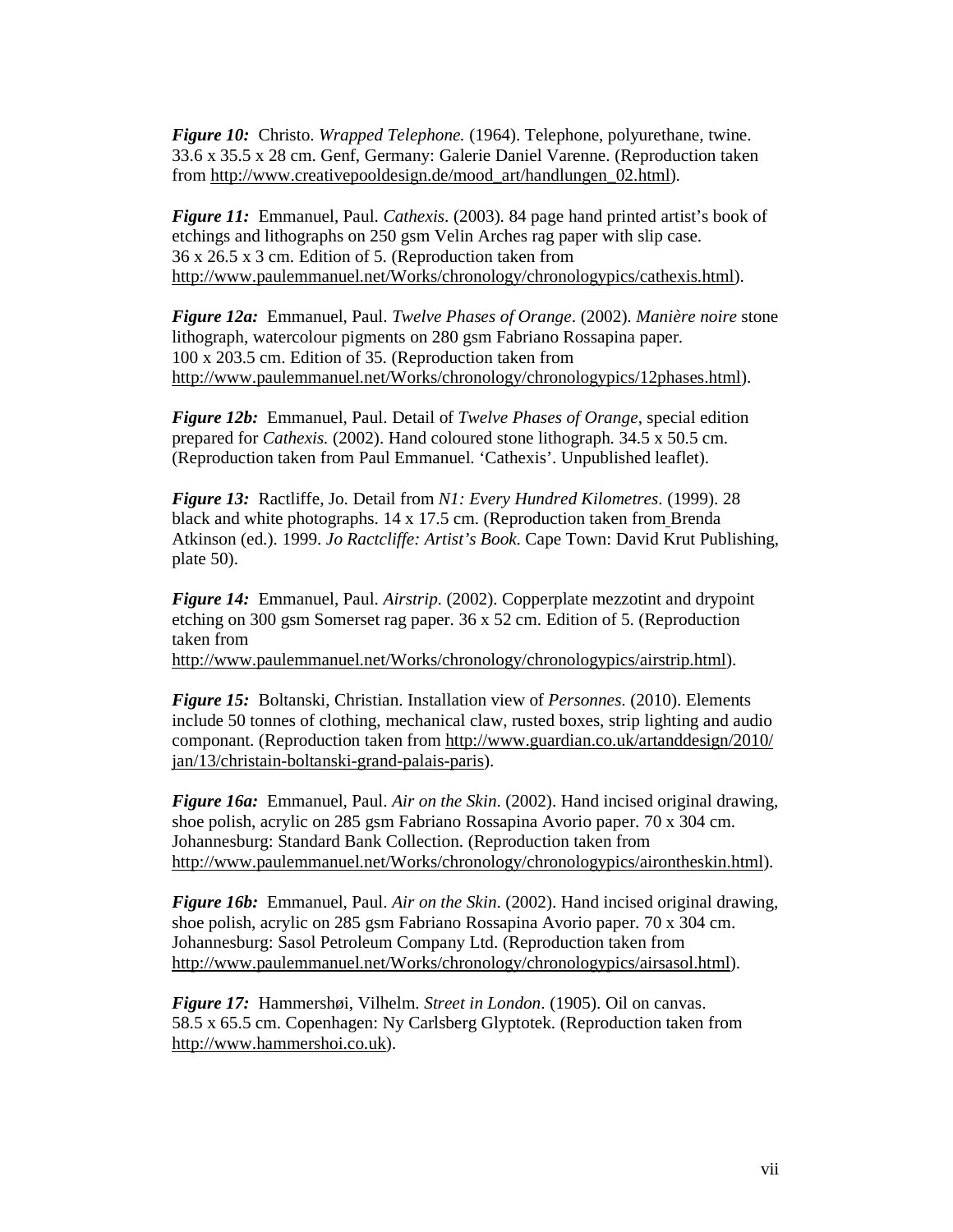*Figure 10:* Christo. *Wrapped Telephone.* (1964). Telephone, polyurethane, twine. 33.6 x 35.5 x 28 cm. Genf, Germany: Galerie Daniel Varenne. (Reproduction taken from http://www.creativepooldesign.de/mood\_art/handlungen\_02.html).

*Figure 11:* Emmanuel, Paul. *Cathexis*. (2003). 84 page hand printed artist's book of etchings and lithographs on 250 gsm Velin Arches rag paper with slip case. 36 x 26.5 x 3 cm. Edition of 5. (Reproduction taken from http://www.paulemmanuel.net/Works/chronology/chronologypics/cathexis.html).

*Figure 12a:* Emmanuel, Paul. *Twelve Phases of Orange*. (2002). *Manière noire* stone lithograph, watercolour pigments on 280 gsm Fabriano Rossapina paper. 100 x 203.5 cm. Edition of 35. (Reproduction taken from http://www.paulemmanuel.net/Works/chronology/chronologypics/12phases.html).

*Figure 12b:* Emmanuel, Paul. Detail of *Twelve Phases of Orange*, special edition prepared for *Cathexis.* (2002). Hand coloured stone lithograph. 34.5 x 50.5 cm. (Reproduction taken from Paul Emmanuel. 'Cathexis'. Unpublished leaflet).

*Figure 13:* Ractliffe, Jo. Detail from *N1: Every Hundred Kilometres*. (1999). 28 black and white photographs. 14 x 17.5 cm. (Reproduction taken from Brenda Atkinson (ed.). 1999. *Jo Ractcliffe: Artist's Book*. Cape Town: David Krut Publishing, plate 50).

*Figure 14:* Emmanuel, Paul. *Airstrip*. (2002). Copperplate mezzotint and drypoint etching on 300 gsm Somerset rag paper. 36 x 52 cm. Edition of 5. (Reproduction taken from

http://www.paulemmanuel.net/Works/chronology/chronologypics/airstrip.html).

*Figure 15:* Boltanski, Christian. Installation view of *Personnes*. (2010). Elements include 50 tonnes of clothing, mechanical claw, rusted boxes, strip lighting and audio componant. (Reproduction taken from http://www.guardian.co.uk/artanddesign/2010/ jan/13/christain-boltanski-grand-palais-paris).

*Figure 16a:* Emmanuel, Paul. *Air on the Skin*. (2002). Hand incised original drawing, shoe polish, acrylic on 285 gsm Fabriano Rossapina Avorio paper. 70 x 304 cm. Johannesburg: Standard Bank Collection. (Reproduction taken from http://www.paulemmanuel.net/Works/chronology/chronologypics/airontheskin.html).

*Figure 16b:* Emmanuel, Paul. *Air on the Skin*. (2002). Hand incised original drawing, shoe polish, acrylic on 285 gsm Fabriano Rossapina Avorio paper. 70 x 304 cm. Johannesburg: Sasol Petroleum Company Ltd. (Reproduction taken from http://www.paulemmanuel.net/Works/chronology/chronologypics/airsasol.html).

*Figure 17:* Hammershøi, Vilhelm. *Street in London*. (1905). Oil on canvas. 58.5 x 65.5 cm. Copenhagen: Ny Carlsberg Glyptotek. (Reproduction taken from http://www.hammershoi.co.uk).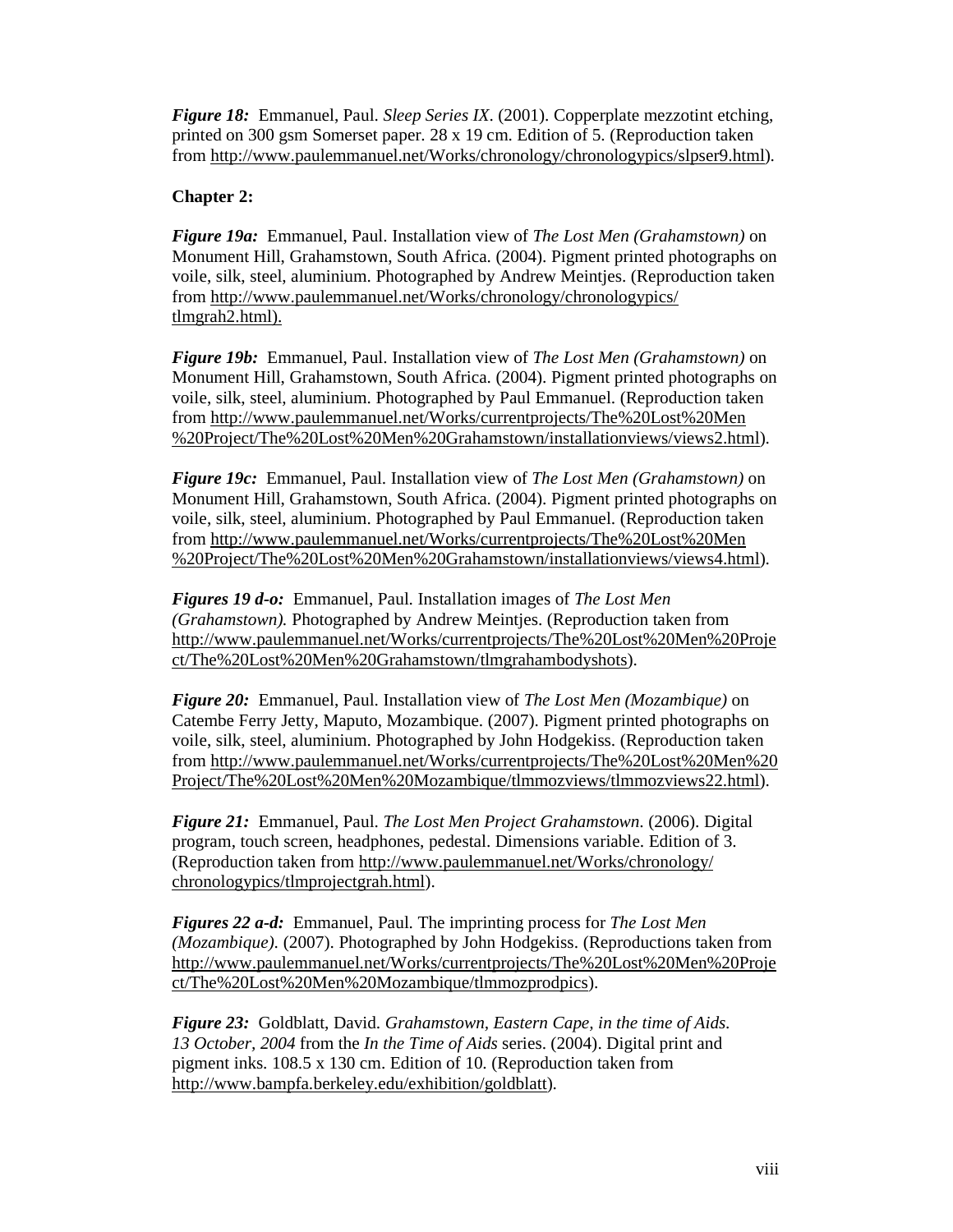*Figure 18:* Emmanuel, Paul. *Sleep Series IX*. (2001). Copperplate mezzotint etching, printed on 300 gsm Somerset paper. 28 x 19 cm. Edition of 5. (Reproduction taken from http://www.paulemmanuel.net/Works/chronology/chronologypics/slpser9.html).

## **Chapter 2:**

*Figure 19a:* Emmanuel, Paul. Installation view of *The Lost Men (Grahamstown)* on Monument Hill, Grahamstown, South Africa. (2004). Pigment printed photographs on voile, silk, steel, aluminium. Photographed by Andrew Meintjes. (Reproduction taken from http://www.paulemmanuel.net/Works/chronology/chronologypics/ tlmgrah2.html).

*Figure 19b:* Emmanuel, Paul. Installation view of *The Lost Men (Grahamstown)* on Monument Hill, Grahamstown, South Africa. (2004). Pigment printed photographs on voile, silk, steel, aluminium. Photographed by Paul Emmanuel. (Reproduction taken from http://www.paulemmanuel.net/Works/currentprojects/The%20Lost%20Men %20Project/The%20Lost%20Men%20Grahamstown/installationviews/views2.html).

*Figure 19c:* Emmanuel, Paul. Installation view of *The Lost Men (Grahamstown)* on Monument Hill, Grahamstown, South Africa. (2004). Pigment printed photographs on voile, silk, steel, aluminium. Photographed by Paul Emmanuel. (Reproduction taken from http://www.paulemmanuel.net/Works/currentprojects/The%20Lost%20Men %20Project/The%20Lost%20Men%20Grahamstown/installationviews/views4.html).

*Figures 19 d-o:* Emmanuel, Paul. Installation images of *The Lost Men (Grahamstown).* Photographed by Andrew Meintjes. (Reproduction taken from http://www.paulemmanuel.net/Works/currentprojects/The%20Lost%20Men%20Proje ct/The%20Lost%20Men%20Grahamstown/tlmgrahambodyshots).

*Figure 20:* Emmanuel, Paul. Installation view of *The Lost Men (Mozambique)* on Catembe Ferry Jetty, Maputo, Mozambique. (2007). Pigment printed photographs on voile, silk, steel, aluminium. Photographed by John Hodgekiss. (Reproduction taken from http://www.paulemmanuel.net/Works/currentprojects/The%20Lost%20Men%20 Project/The%20Lost%20Men%20Mozambique/tlmmozviews/tlmmozviews22.html).

*Figure 21:* Emmanuel, Paul. *The Lost Men Project Grahamstown*. (2006). Digital program, touch screen, headphones, pedestal. Dimensions variable. Edition of 3. (Reproduction taken from http://www.paulemmanuel.net/Works/chronology/ chronologypics/tlmprojectgrah.html).

*Figures 22 a-d:* Emmanuel, Paul. The imprinting process for *The Lost Men (Mozambique)*. (2007). Photographed by John Hodgekiss. (Reproductions taken from http://www.paulemmanuel.net/Works/currentprojects/The%20Lost%20Men%20Proje ct/The%20Lost%20Men%20Mozambique/tlmmozprodpics).

*Figure 23:* Goldblatt, David. *Grahamstown, Eastern Cape, in the time of Aids. 13 October, 2004* from the *In the Time of Aids* series. (2004). Digital print and pigment inks. 108.5 x 130 cm. Edition of 10. (Reproduction taken from http://www.bampfa.berkeley.edu/exhibition/goldblatt).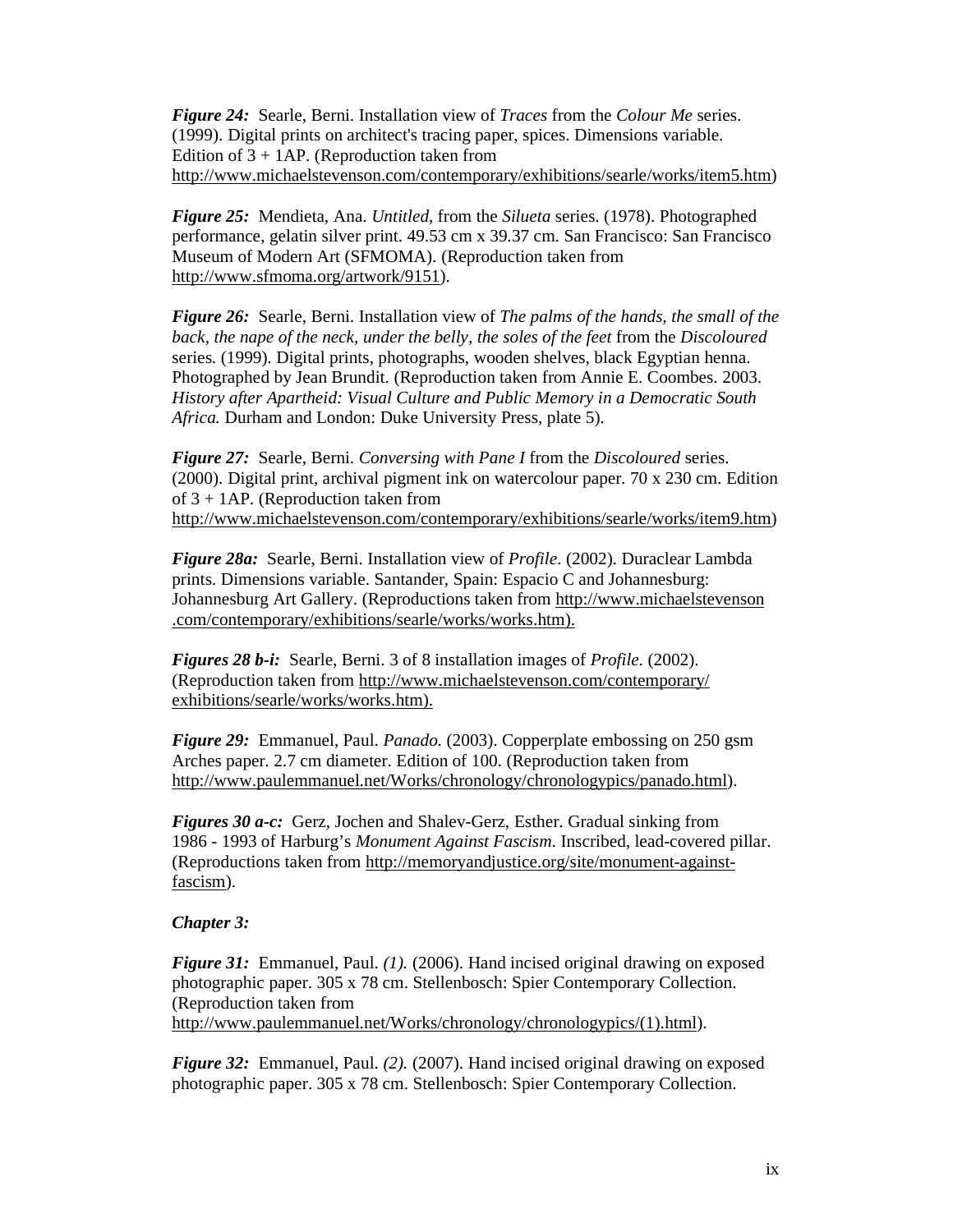*Figure 24:* Searle, Berni. Installation view of *Traces* from the *Colour Me* series. (1999). Digital prints on architect's tracing paper, spices. Dimensions variable. Edition of  $3 + 1AP$ . (Reproduction taken from http://www.michaelstevenson.com/contemporary/exhibitions/searle/works/item5.htm)

*Figure 25:* Mendieta, Ana. *Untitled*, from the *Silueta* series. (1978). Photographed performance, gelatin silver print. 49.53 cm x 39.37 cm. San Francisco: San Francisco Museum of Modern Art (SFMOMA). (Reproduction taken from http://www.sfmoma.org/artwork/9151).

*Figure 26:* Searle, Berni. Installation view of *The palms of the hands, the small of the back, the nape of the neck, under the belly, the soles of the feet* from the *Discoloured* series. (1999). Digital prints, photographs, wooden shelves, black Egyptian henna. Photographed by Jean Brundit. (Reproduction taken from Annie E. Coombes. 2003. *History after Apartheid: Visual Culture and Public Memory in a Democratic South Africa.* Durham and London: Duke University Press, plate 5).

*Figure 27:* Searle, Berni. *Conversing with Pane I* from the *Discoloured* series. (2000). Digital print, archival pigment ink on watercolour paper. 70 x 230 cm. Edition of  $3 + 1$ AP. (Reproduction taken from http://www.michaelstevenson.com/contemporary/exhibitions/searle/works/item9.htm)

*Figure 28a:* Searle, Berni. Installation view of *Profile*. (2002). Duraclear Lambda prints. Dimensions variable. Santander, Spain: Espacio C and Johannesburg: Johannesburg Art Gallery. (Reproductions taken from http://www.michaelstevenson .com/contemporary/exhibitions/searle/works/works.htm).

*Figures 28 b-i:* Searle, Berni. 3 of 8 installation images of *Profile*. (2002). (Reproduction taken from http://www.michaelstevenson.com/contemporary/ exhibitions/searle/works/works.htm).

*Figure 29:* Emmanuel, Paul. *Panado*. (2003). Copperplate embossing on 250 gsm Arches paper. 2.7 cm diameter. Edition of 100. (Reproduction taken from http://www.paulemmanuel.net/Works/chronology/chronologypics/panado.html).

*Figures 30 a-c:* Gerz, Jochen and Shalev-Gerz, Esther. Gradual sinking from 1986 - 1993 of Harburg's *Monument Against Fascism*. Inscribed, lead-covered pillar. (Reproductions taken from http://memoryandjustice.org/site/monument-againstfascism).

#### *Chapter 3:*

*Figure 31:* Emmanuel, Paul. *(1).* (2006). Hand incised original drawing on exposed photographic paper. 305 x 78 cm. Stellenbosch: Spier Contemporary Collection. (Reproduction taken from http://www.paulemmanuel.net/Works/chronology/chronologypics/(1).html).

*Figure 32:* Emmanuel, Paul. *(2).* (2007). Hand incised original drawing on exposed photographic paper. 305 x 78 cm. Stellenbosch: Spier Contemporary Collection.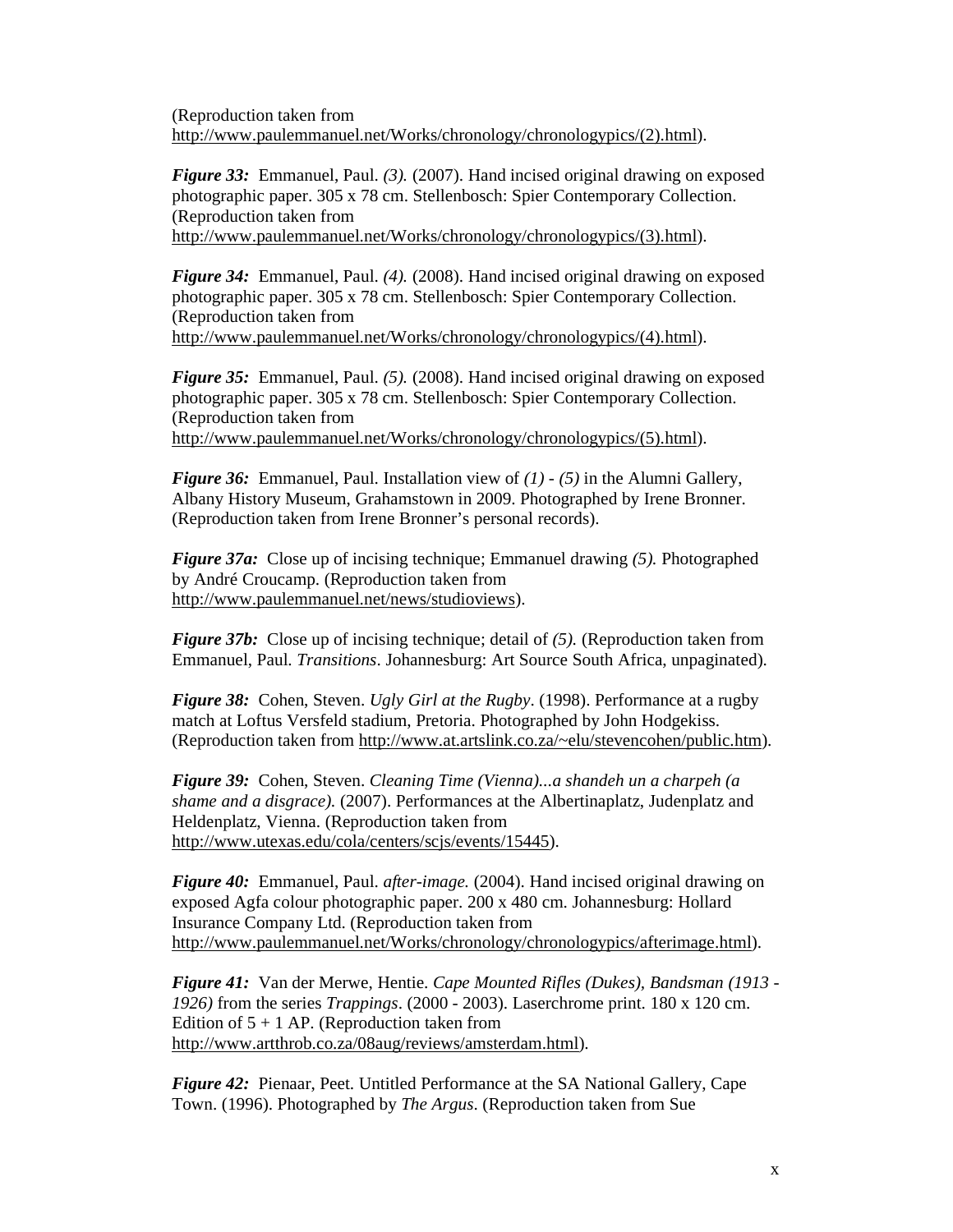(Reproduction taken from http://www.paulemmanuel.net/Works/chronology/chronologypics/(2).html).

*Figure 33:* Emmanuel, Paul. *(3).* (2007). Hand incised original drawing on exposed photographic paper. 305 x 78 cm. Stellenbosch: Spier Contemporary Collection. (Reproduction taken from http://www.paulemmanuel.net/Works/chronology/chronologypics/(3).html).

*Figure 34:* Emmanuel, Paul. *(4).* (2008). Hand incised original drawing on exposed photographic paper. 305 x 78 cm. Stellenbosch: Spier Contemporary Collection. (Reproduction taken from http://www.paulemmanuel.net/Works/chronology/chronologypics/(4).html).

*Figure 35:* Emmanuel, Paul. *(5).* (2008). Hand incised original drawing on exposed photographic paper. 305 x 78 cm. Stellenbosch: Spier Contemporary Collection. (Reproduction taken from http://www.paulemmanuel.net/Works/chronology/chronologypics/(5).html).

*Figure 36:* Emmanuel, Paul. Installation view of *(1) - (5)* in the Alumni Gallery, Albany History Museum, Grahamstown in 2009. Photographed by Irene Bronner. (Reproduction taken from Irene Bronner's personal records).

*Figure 37a:* Close up of incising technique; Emmanuel drawing *(5).* Photographed by André Croucamp. (Reproduction taken from http://www.paulemmanuel.net/news/studioviews).

*Figure 37b:* Close up of incising technique; detail of (5). (Reproduction taken from Emmanuel, Paul. *Transitions*. Johannesburg: Art Source South Africa, unpaginated).

*Figure 38:* Cohen, Steven. *Ugly Girl at the Rugby*. (1998). Performance at a rugby match at Loftus Versfeld stadium, Pretoria. Photographed by John Hodgekiss. (Reproduction taken from http://www.at.artslink.co.za/~elu/stevencohen/public.htm).

*Figure 39:* Cohen, Steven. *Cleaning Time (Vienna)...a shandeh un a charpeh (a shame and a disgrace).* (2007). Performances at the Albertinaplatz, Judenplatz and Heldenplatz, Vienna. (Reproduction taken from http://www.utexas.edu/cola/centers/scjs/events/15445).

*Figure 40:* Emmanuel, Paul. *after-image.* (2004). Hand incised original drawing on exposed Agfa colour photographic paper. 200 x 480 cm. Johannesburg: Hollard Insurance Company Ltd. (Reproduction taken from http://www.paulemmanuel.net/Works/chronology/chronologypics/afterimage.html).

*Figure 41:* Van der Merwe, Hentie. *Cape Mounted Rifles (Dukes), Bandsman (1913 - 1926)* from the series *Trappings*. (2000 - 2003). Laserchrome print. 180 x 120 cm. Edition of  $5 + 1$  AP. (Reproduction taken from http://www.artthrob.co.za/08aug/reviews/amsterdam.html).

*Figure 42:* Pienaar, Peet. Untitled Performance at the SA National Gallery, Cape Town. (1996). Photographed by *The Argus*. (Reproduction taken from Sue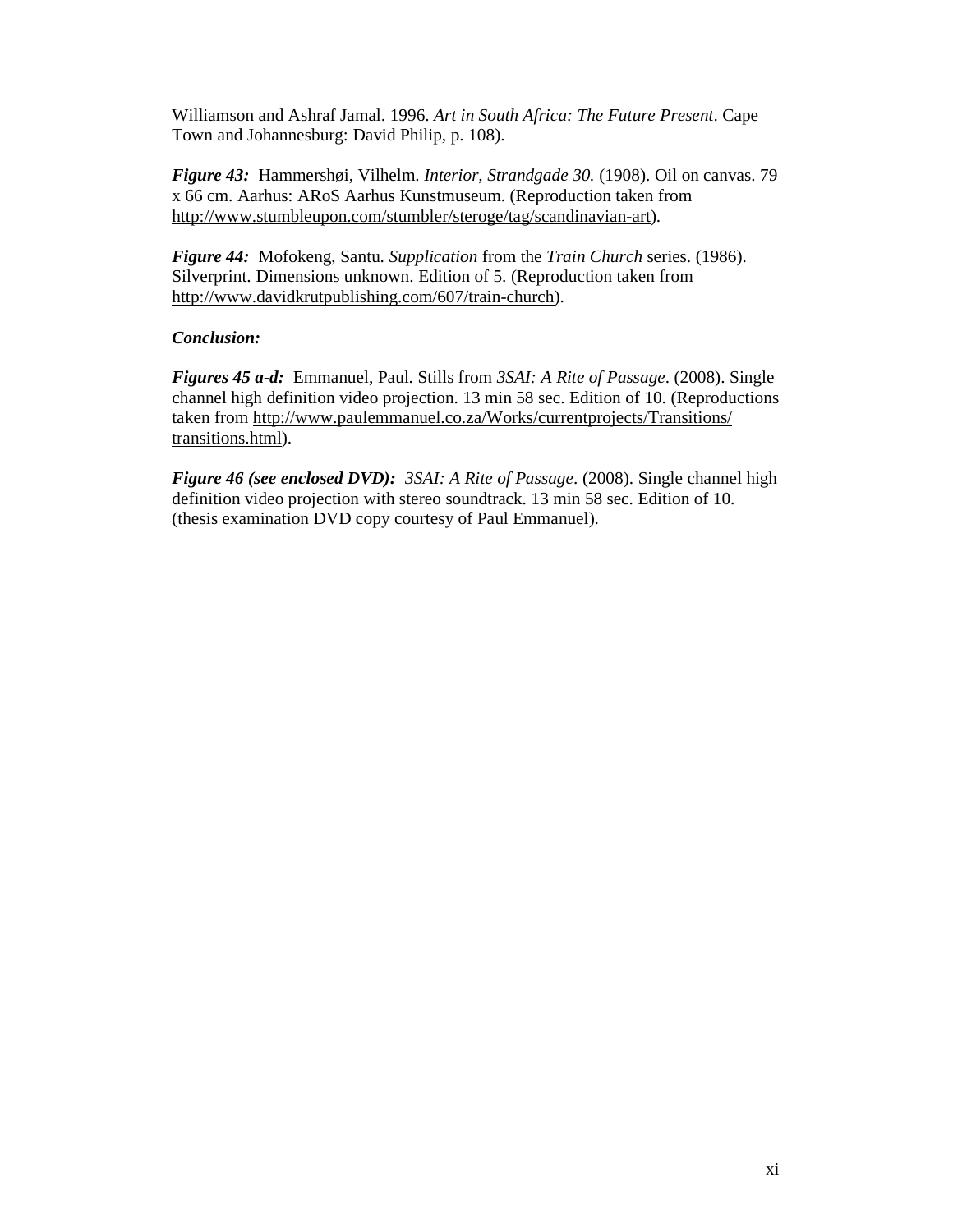Williamson and Ashraf Jamal. 1996. *Art in South Africa: The Future Present*. Cape Town and Johannesburg: David Philip, p. 108).

*Figure 43:* Hammershøi, Vilhelm. *Interior, Strandgade 30.* (1908). Oil on canvas. 79 x 66 cm. Aarhus: ARoS Aarhus Kunstmuseum. (Reproduction taken from http://www.stumbleupon.com/stumbler/steroge/tag/scandinavian-art).

*Figure 44:* Mofokeng, Santu. *Supplication* from the *Train Church* series. (1986). Silverprint. Dimensions unknown. Edition of 5. (Reproduction taken from http://www.davidkrutpublishing.com/607/train-church).

### *Conclusion:*

*Figures 45 a-d:* Emmanuel, Paul. Stills from *3SAI: A Rite of Passage*. (2008). Single channel high definition video projection. 13 min 58 sec. Edition of 10. (Reproductions taken from http://www.paulemmanuel.co.za/Works/currentprojects/Transitions/ transitions.html).

*Figure 46 (see enclosed DVD): 3SAI: A Rite of Passage*. (2008). Single channel high definition video projection with stereo soundtrack. 13 min 58 sec. Edition of 10. (thesis examination DVD copy courtesy of Paul Emmanuel).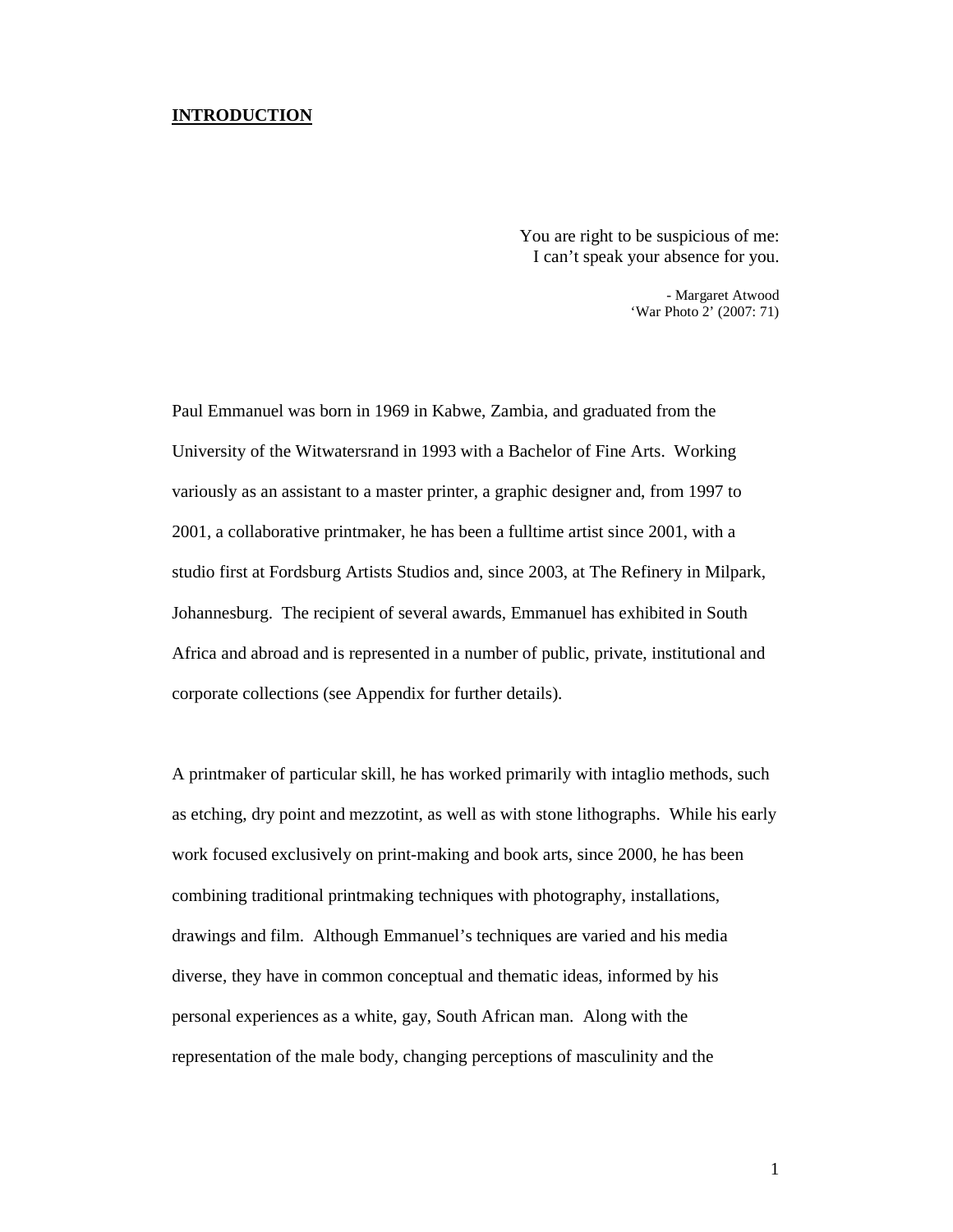#### **INTRODUCTION**

You are right to be suspicious of me: I can't speak your absence for you.

> - Margaret Atwood 'War Photo 2' (2007: 71)

Paul Emmanuel was born in 1969 in Kabwe, Zambia, and graduated from the University of the Witwatersrand in 1993 with a Bachelor of Fine Arts. Working variously as an assistant to a master printer, a graphic designer and, from 1997 to 2001, a collaborative printmaker, he has been a fulltime artist since 2001, with a studio first at Fordsburg Artists Studios and, since 2003, at The Refinery in Milpark, Johannesburg. The recipient of several awards, Emmanuel has exhibited in South Africa and abroad and is represented in a number of public, private, institutional and corporate collections (see Appendix for further details).

A printmaker of particular skill, he has worked primarily with intaglio methods, such as etching, dry point and mezzotint, as well as with stone lithographs. While his early work focused exclusively on print-making and book arts, since 2000, he has been combining traditional printmaking techniques with photography, installations, drawings and film. Although Emmanuel's techniques are varied and his media diverse, they have in common conceptual and thematic ideas, informed by his personal experiences as a white, gay, South African man. Along with the representation of the male body, changing perceptions of masculinity and the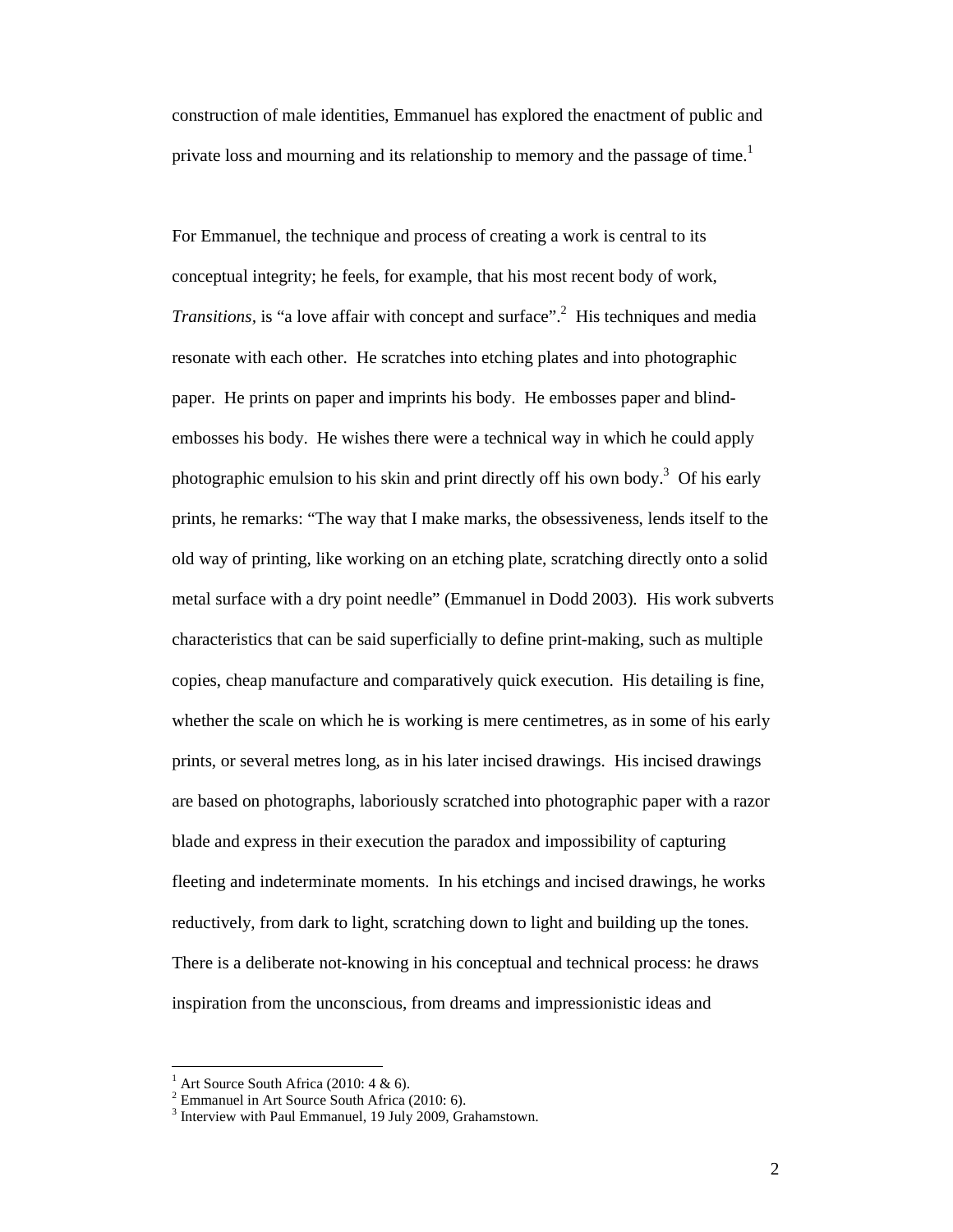construction of male identities, Emmanuel has explored the enactment of public and private loss and mourning and its relationship to memory and the passage of time.<sup>1</sup>

For Emmanuel, the technique and process of creating a work is central to its conceptual integrity; he feels, for example, that his most recent body of work, *Transitions*, is "a love affair with concept and surface".<sup>2</sup> His techniques and media resonate with each other. He scratches into etching plates and into photographic paper. He prints on paper and imprints his body. He embosses paper and blindembosses his body. He wishes there were a technical way in which he could apply photographic emulsion to his skin and print directly off his own body.<sup>3</sup> Of his early prints, he remarks: "The way that I make marks, the obsessiveness, lends itself to the old way of printing, like working on an etching plate, scratching directly onto a solid metal surface with a dry point needle" (Emmanuel in Dodd 2003). His work subverts characteristics that can be said superficially to define print-making, such as multiple copies, cheap manufacture and comparatively quick execution. His detailing is fine, whether the scale on which he is working is mere centimetres, as in some of his early prints, or several metres long, as in his later incised drawings. His incised drawings are based on photographs, laboriously scratched into photographic paper with a razor blade and express in their execution the paradox and impossibility of capturing fleeting and indeterminate moments. In his etchings and incised drawings, he works reductively, from dark to light, scratching down to light and building up the tones. There is a deliberate not-knowing in his conceptual and technical process: he draws inspiration from the unconscious, from dreams and impressionistic ideas and

<sup>1</sup> Art Source South Africa (2010: 4 & 6).

<sup>&</sup>lt;sup>2</sup> Emmanuel in Art Source South Africa (2010: 6).

<sup>&</sup>lt;sup>3</sup> Interview with Paul Emmanuel, 19 July 2009, Grahamstown.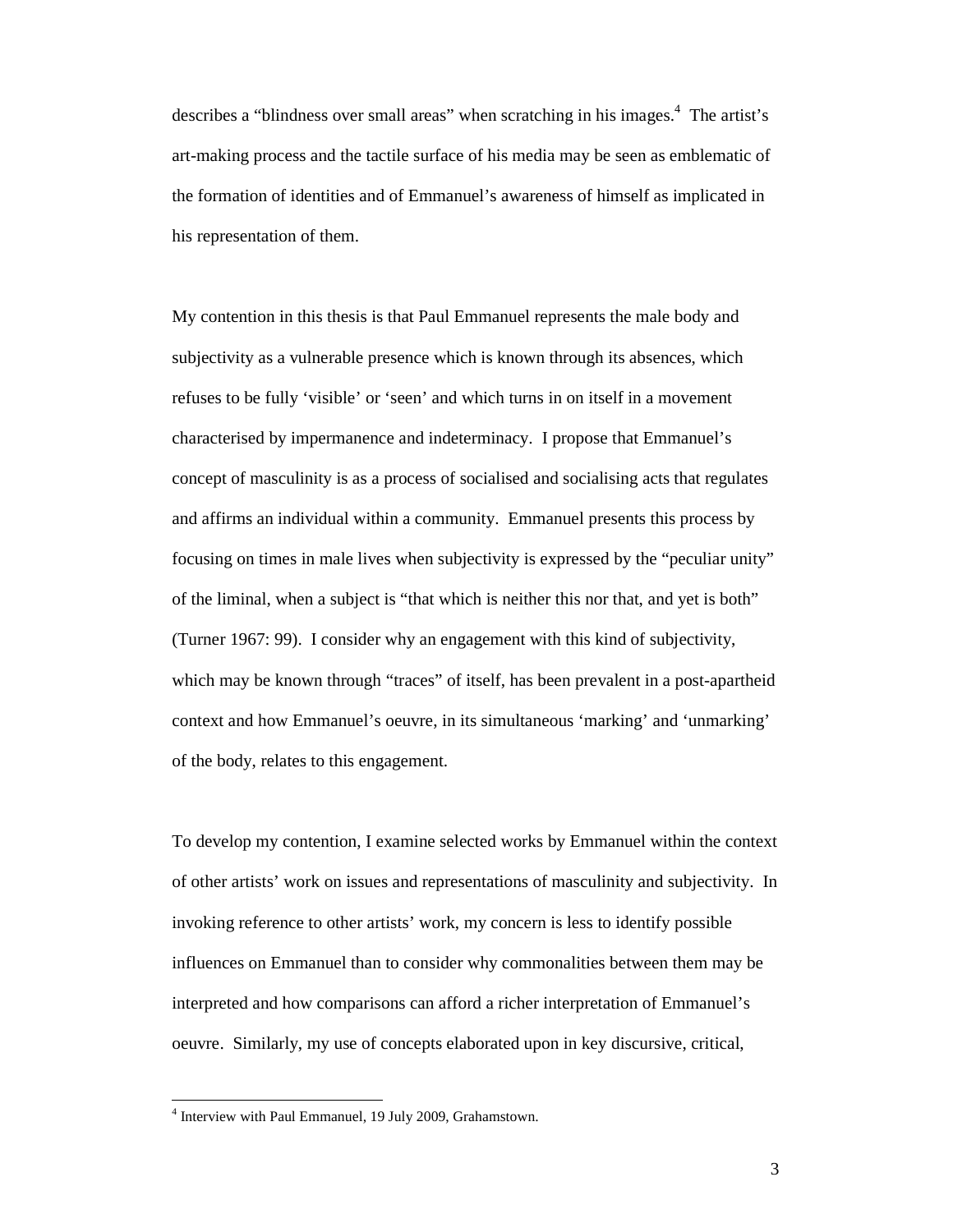describes a "blindness over small areas" when scratching in his images.<sup>4</sup> The artist's art-making process and the tactile surface of his media may be seen as emblematic of the formation of identities and of Emmanuel's awareness of himself as implicated in his representation of them.

My contention in this thesis is that Paul Emmanuel represents the male body and subjectivity as a vulnerable presence which is known through its absences, which refuses to be fully 'visible' or 'seen' and which turns in on itself in a movement characterised by impermanence and indeterminacy. I propose that Emmanuel's concept of masculinity is as a process of socialised and socialising acts that regulates and affirms an individual within a community. Emmanuel presents this process by focusing on times in male lives when subjectivity is expressed by the "peculiar unity" of the liminal, when a subject is "that which is neither this nor that, and yet is both" (Turner 1967: 99). I consider why an engagement with this kind of subjectivity, which may be known through "traces" of itself, has been prevalent in a post-apartheid context and how Emmanuel's oeuvre, in its simultaneous 'marking' and 'unmarking' of the body, relates to this engagement.

To develop my contention, I examine selected works by Emmanuel within the context of other artists' work on issues and representations of masculinity and subjectivity. In invoking reference to other artists' work, my concern is less to identify possible influences on Emmanuel than to consider why commonalities between them may be interpreted and how comparisons can afford a richer interpretation of Emmanuel's oeuvre. Similarly, my use of concepts elaborated upon in key discursive, critical,

<sup>4</sup> Interview with Paul Emmanuel, 19 July 2009, Grahamstown.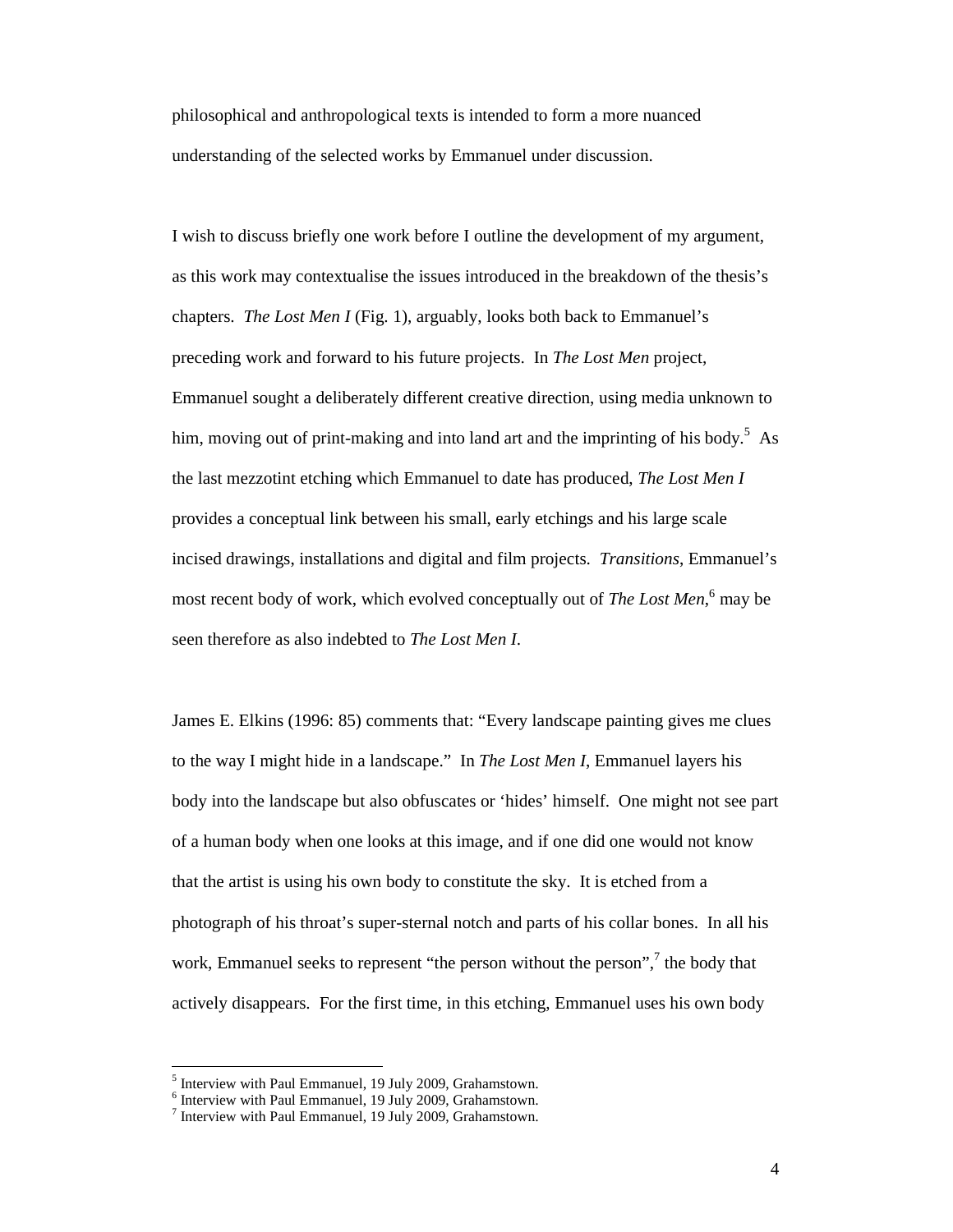philosophical and anthropological texts is intended to form a more nuanced understanding of the selected works by Emmanuel under discussion.

I wish to discuss briefly one work before I outline the development of my argument, as this work may contextualise the issues introduced in the breakdown of the thesis's chapters. *The Lost Men I* (Fig. 1), arguably, looks both back to Emmanuel's preceding work and forward to his future projects. In *The Lost Men* project, Emmanuel sought a deliberately different creative direction, using media unknown to him, moving out of print-making and into land art and the imprinting of his body.<sup>5</sup> As the last mezzotint etching which Emmanuel to date has produced, *The Lost Men I* provides a conceptual link between his small, early etchings and his large scale incised drawings, installations and digital and film projects. *Transitions*, Emmanuel's most recent body of work, which evolved conceptually out of *The Lost Men*, 6 may be seen therefore as also indebted to *The Lost Men I*.

James E. Elkins (1996: 85) comments that: "Every landscape painting gives me clues to the way I might hide in a landscape." In *The Lost Men I*, Emmanuel layers his body into the landscape but also obfuscates or 'hides' himself. One might not see part of a human body when one looks at this image, and if one did one would not know that the artist is using his own body to constitute the sky. It is etched from a photograph of his throat's super-sternal notch and parts of his collar bones. In all his work, Emmanuel seeks to represent "the person without the person",<sup>7</sup> the body that actively disappears. For the first time, in this etching, Emmanuel uses his own body

<sup>&</sup>lt;sup>5</sup> Interview with Paul Emmanuel, 19 July 2009, Grahamstown.

<sup>6</sup> Interview with Paul Emmanuel, 19 July 2009, Grahamstown.

<sup>7</sup> Interview with Paul Emmanuel, 19 July 2009, Grahamstown.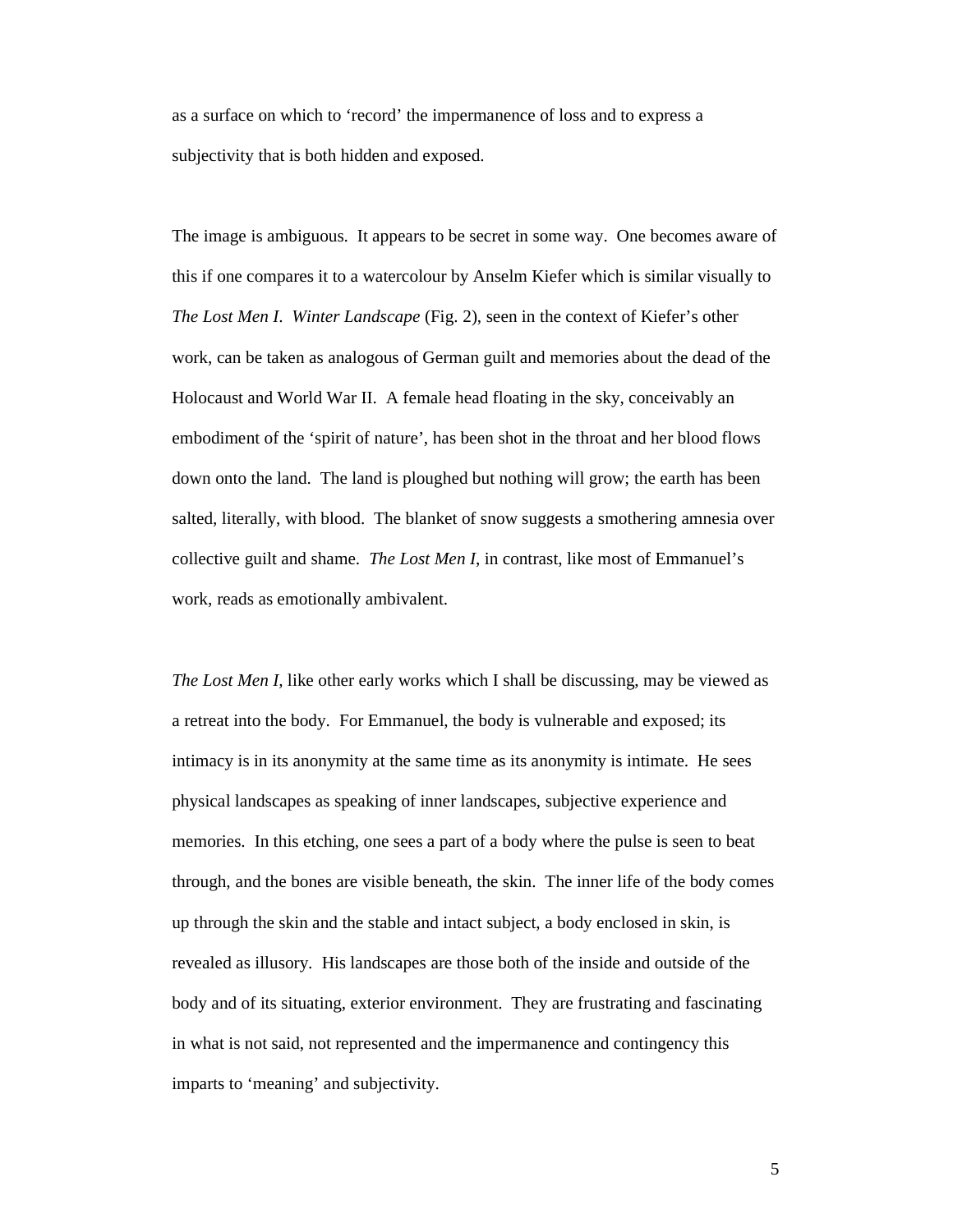as a surface on which to 'record' the impermanence of loss and to express a subjectivity that is both hidden and exposed.

The image is ambiguous. It appears to be secret in some way. One becomes aware of this if one compares it to a watercolour by Anselm Kiefer which is similar visually to *The Lost Men I*. *Winter Landscape* (Fig. 2), seen in the context of Kiefer's other work, can be taken as analogous of German guilt and memories about the dead of the Holocaust and World War II. A female head floating in the sky, conceivably an embodiment of the 'spirit of nature', has been shot in the throat and her blood flows down onto the land. The land is ploughed but nothing will grow; the earth has been salted, literally, with blood. The blanket of snow suggests a smothering amnesia over collective guilt and shame. *The Lost Men I*, in contrast, like most of Emmanuel's work, reads as emotionally ambivalent.

*The Lost Men I,* like other early works which I shall be discussing, may be viewed as a retreat into the body. For Emmanuel, the body is vulnerable and exposed; its intimacy is in its anonymity at the same time as its anonymity is intimate. He sees physical landscapes as speaking of inner landscapes, subjective experience and memories. In this etching, one sees a part of a body where the pulse is seen to beat through, and the bones are visible beneath, the skin. The inner life of the body comes up through the skin and the stable and intact subject, a body enclosed in skin, is revealed as illusory. His landscapes are those both of the inside and outside of the body and of its situating, exterior environment. They are frustrating and fascinating in what is not said, not represented and the impermanence and contingency this imparts to 'meaning' and subjectivity.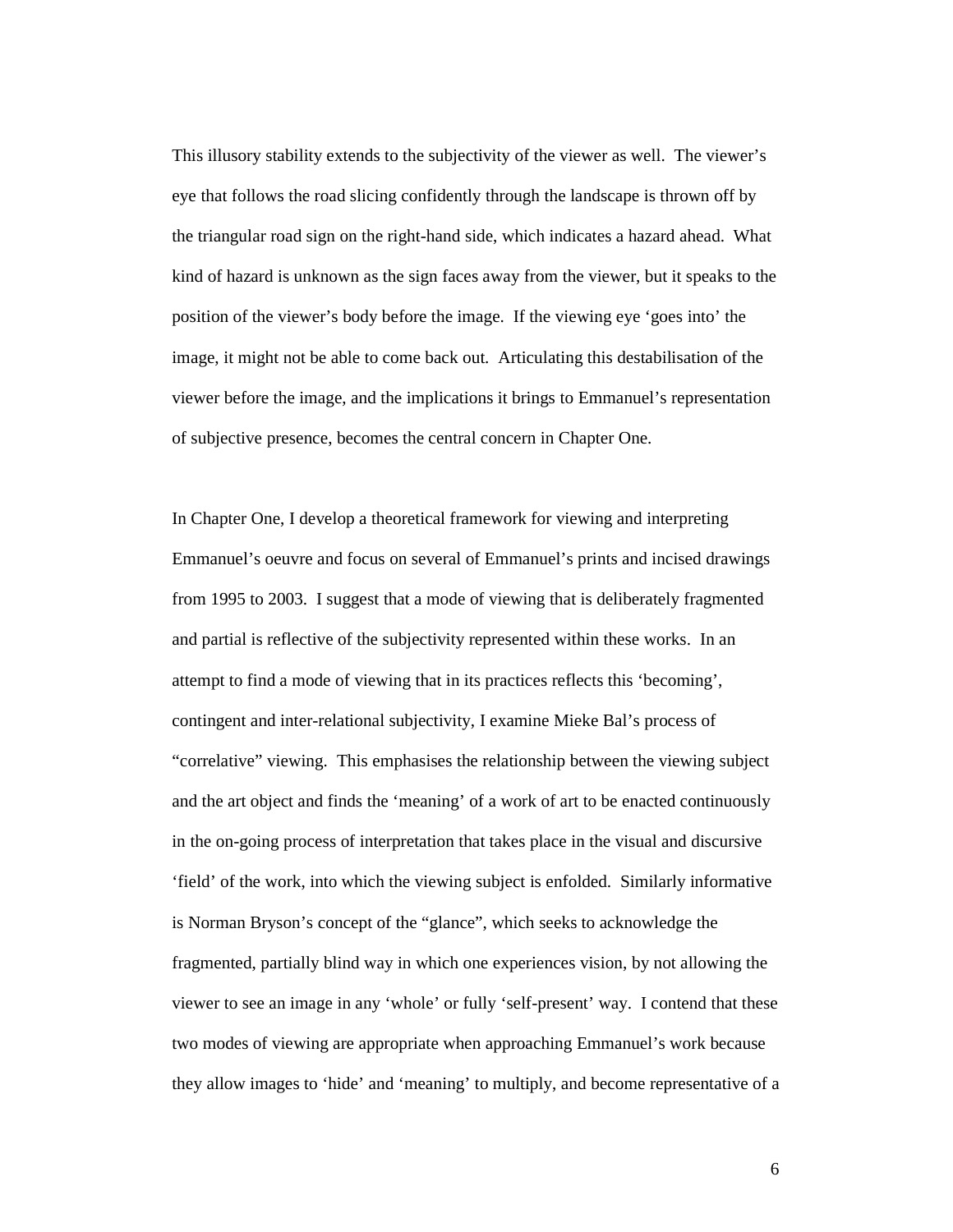This illusory stability extends to the subjectivity of the viewer as well. The viewer's eye that follows the road slicing confidently through the landscape is thrown off by the triangular road sign on the right-hand side, which indicates a hazard ahead. What kind of hazard is unknown as the sign faces away from the viewer, but it speaks to the position of the viewer's body before the image. If the viewing eye 'goes into' the image, it might not be able to come back out. Articulating this destabilisation of the viewer before the image, and the implications it brings to Emmanuel's representation of subjective presence, becomes the central concern in Chapter One.

In Chapter One, I develop a theoretical framework for viewing and interpreting Emmanuel's oeuvre and focus on several of Emmanuel's prints and incised drawings from 1995 to 2003. I suggest that a mode of viewing that is deliberately fragmented and partial is reflective of the subjectivity represented within these works. In an attempt to find a mode of viewing that in its practices reflects this 'becoming', contingent and inter-relational subjectivity, I examine Mieke Bal's process of "correlative" viewing. This emphasises the relationship between the viewing subject and the art object and finds the 'meaning' of a work of art to be enacted continuously in the on-going process of interpretation that takes place in the visual and discursive 'field' of the work, into which the viewing subject is enfolded. Similarly informative is Norman Bryson's concept of the "glance", which seeks to acknowledge the fragmented, partially blind way in which one experiences vision, by not allowing the viewer to see an image in any 'whole' or fully 'self-present' way. I contend that these two modes of viewing are appropriate when approaching Emmanuel's work because they allow images to 'hide' and 'meaning' to multiply, and become representative of a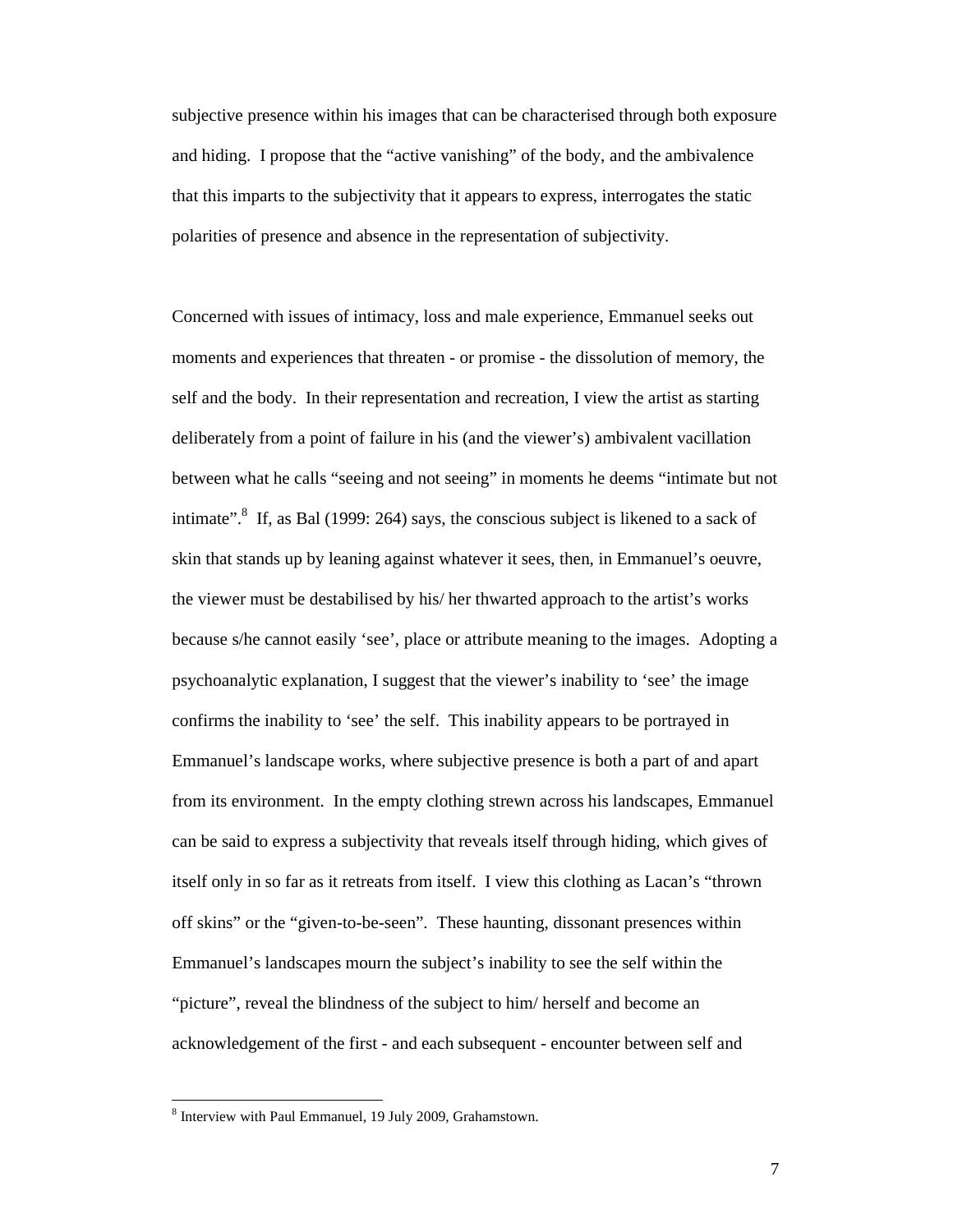subjective presence within his images that can be characterised through both exposure and hiding. I propose that the "active vanishing" of the body, and the ambivalence that this imparts to the subjectivity that it appears to express, interrogates the static polarities of presence and absence in the representation of subjectivity.

Concerned with issues of intimacy, loss and male experience, Emmanuel seeks out moments and experiences that threaten - or promise - the dissolution of memory, the self and the body. In their representation and recreation, I view the artist as starting deliberately from a point of failure in his (and the viewer's) ambivalent vacillation between what he calls "seeing and not seeing" in moments he deems "intimate but not intimate".<sup>8</sup> If, as Bal (1999: 264) says, the conscious subject is likened to a sack of skin that stands up by leaning against whatever it sees, then, in Emmanuel's oeuvre, the viewer must be destabilised by his/ her thwarted approach to the artist's works because s/he cannot easily 'see', place or attribute meaning to the images. Adopting a psychoanalytic explanation, I suggest that the viewer's inability to 'see' the image confirms the inability to 'see' the self. This inability appears to be portrayed in Emmanuel's landscape works, where subjective presence is both a part of and apart from its environment. In the empty clothing strewn across his landscapes, Emmanuel can be said to express a subjectivity that reveals itself through hiding, which gives of itself only in so far as it retreats from itself. I view this clothing as Lacan's "thrown off skins" or the "given-to-be-seen". These haunting, dissonant presences within Emmanuel's landscapes mourn the subject's inability to see the self within the "picture", reveal the blindness of the subject to him/ herself and become an acknowledgement of the first - and each subsequent - encounter between self and

<sup>8</sup> Interview with Paul Emmanuel, 19 July 2009, Grahamstown.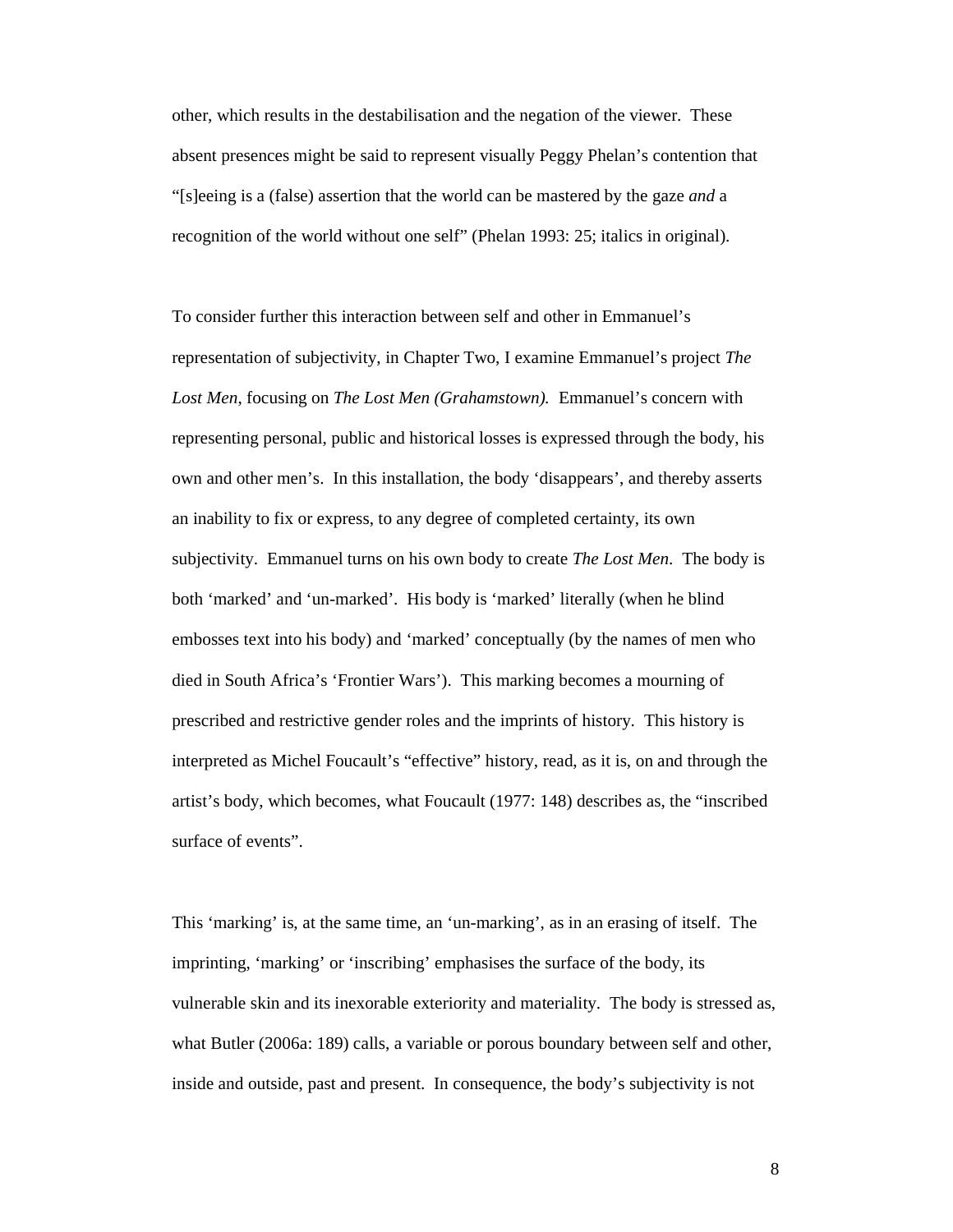other, which results in the destabilisation and the negation of the viewer. These absent presences might be said to represent visually Peggy Phelan's contention that "[s]eeing is a (false) assertion that the world can be mastered by the gaze *and* a recognition of the world without one self" (Phelan 1993: 25; italics in original).

To consider further this interaction between self and other in Emmanuel's representation of subjectivity, in Chapter Two, I examine Emmanuel's project *The Lost Men*, focusing on *The Lost Men (Grahamstown).* Emmanuel's concern with representing personal, public and historical losses is expressed through the body, his own and other men's. In this installation, the body 'disappears', and thereby asserts an inability to fix or express, to any degree of completed certainty, its own subjectivity. Emmanuel turns on his own body to create *The Lost Men*. The body is both 'marked' and 'un-marked'. His body is 'marked' literally (when he blind embosses text into his body) and 'marked' conceptually (by the names of men who died in South Africa's 'Frontier Wars'). This marking becomes a mourning of prescribed and restrictive gender roles and the imprints of history. This history is interpreted as Michel Foucault's "effective" history, read, as it is, on and through the artist's body, which becomes, what Foucault (1977: 148) describes as, the "inscribed surface of events".

This 'marking' is, at the same time, an 'un-marking', as in an erasing of itself. The imprinting, 'marking' or 'inscribing' emphasises the surface of the body, its vulnerable skin and its inexorable exteriority and materiality. The body is stressed as, what Butler (2006a: 189) calls, a variable or porous boundary between self and other, inside and outside, past and present. In consequence, the body's subjectivity is not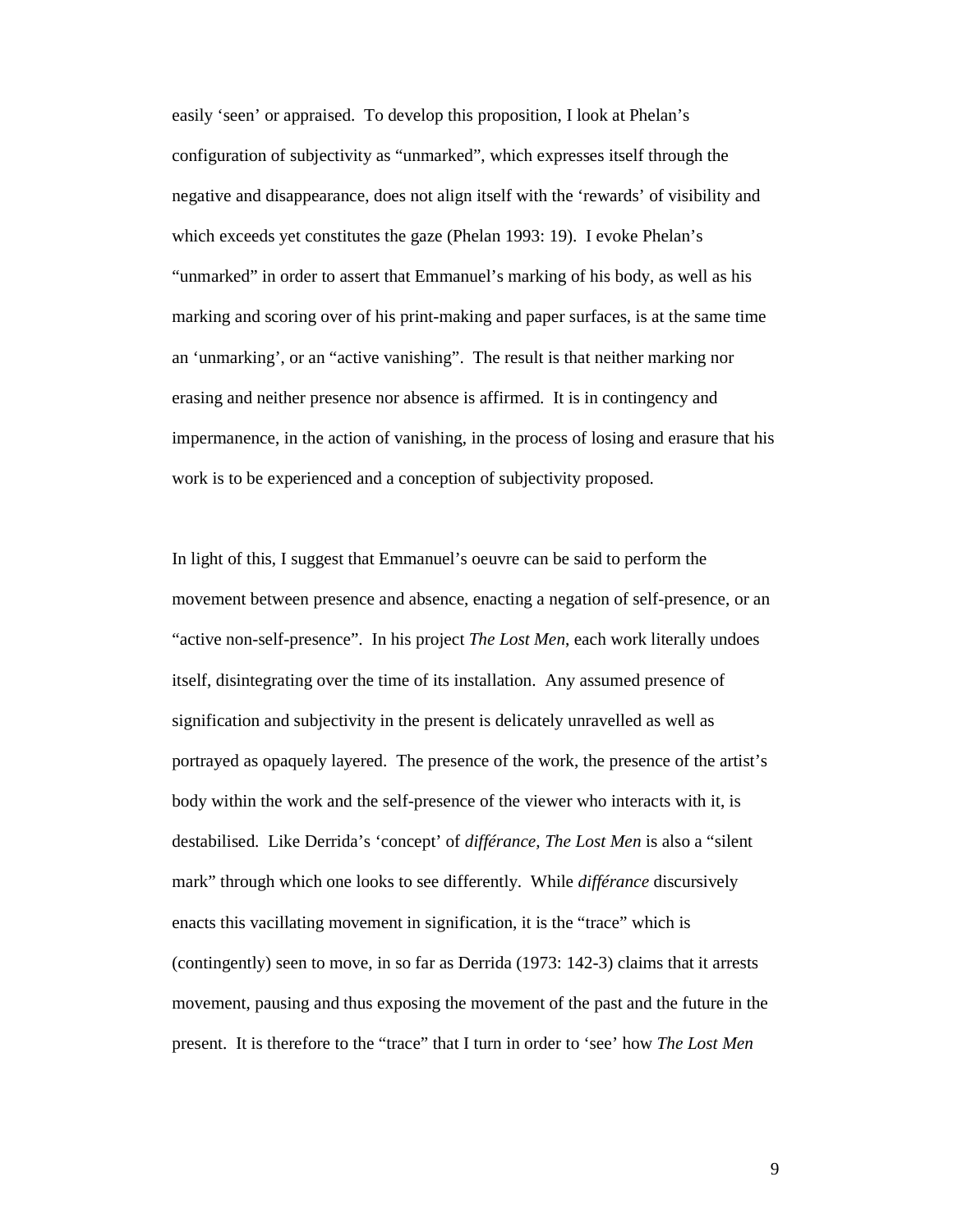easily 'seen' or appraised. To develop this proposition, I look at Phelan's configuration of subjectivity as "unmarked", which expresses itself through the negative and disappearance, does not align itself with the 'rewards' of visibility and which exceeds yet constitutes the gaze (Phelan 1993: 19). I evoke Phelan's "unmarked" in order to assert that Emmanuel's marking of his body, as well as his marking and scoring over of his print-making and paper surfaces, is at the same time an 'unmarking', or an "active vanishing". The result is that neither marking nor erasing and neither presence nor absence is affirmed. It is in contingency and impermanence, in the action of vanishing, in the process of losing and erasure that his work is to be experienced and a conception of subjectivity proposed.

In light of this, I suggest that Emmanuel's oeuvre can be said to perform the movement between presence and absence, enacting a negation of self-presence, or an "active non-self-presence". In his project *The Lost Men*, each work literally undoes itself, disintegrating over the time of its installation. Any assumed presence of signification and subjectivity in the present is delicately unravelled as well as portrayed as opaquely layered. The presence of the work, the presence of the artist's body within the work and the self-presence of the viewer who interacts with it, is destabilised. Like Derrida's 'concept' of *différance, The Lost Men* is also a "silent mark" through which one looks to see differently. While *différance* discursively enacts this vacillating movement in signification, it is the "trace" which is (contingently) seen to move, in so far as Derrida (1973: 142-3) claims that it arrests movement, pausing and thus exposing the movement of the past and the future in the present. It is therefore to the "trace" that I turn in order to 'see' how *The Lost Men*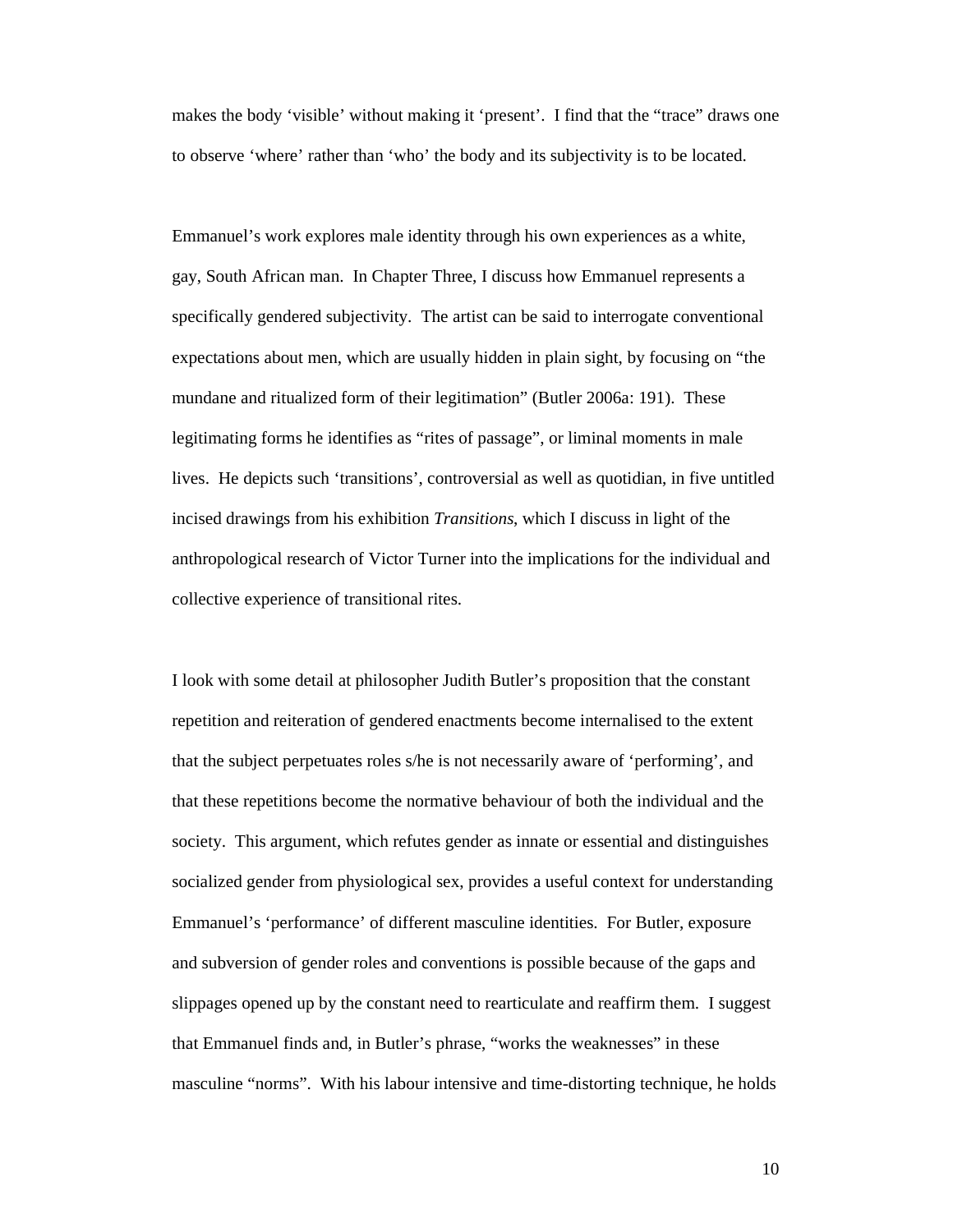makes the body 'visible' without making it 'present'. I find that the "trace" draws one to observe 'where' rather than 'who' the body and its subjectivity is to be located.

Emmanuel's work explores male identity through his own experiences as a white, gay, South African man. In Chapter Three, I discuss how Emmanuel represents a specifically gendered subjectivity. The artist can be said to interrogate conventional expectations about men, which are usually hidden in plain sight, by focusing on "the mundane and ritualized form of their legitimation" (Butler 2006a: 191). These legitimating forms he identifies as "rites of passage", or liminal moments in male lives. He depicts such 'transitions', controversial as well as quotidian, in five untitled incised drawings from his exhibition *Transitions*, which I discuss in light of the anthropological research of Victor Turner into the implications for the individual and collective experience of transitional rites.

I look with some detail at philosopher Judith Butler's proposition that the constant repetition and reiteration of gendered enactments become internalised to the extent that the subject perpetuates roles s/he is not necessarily aware of 'performing', and that these repetitions become the normative behaviour of both the individual and the society. This argument, which refutes gender as innate or essential and distinguishes socialized gender from physiological sex, provides a useful context for understanding Emmanuel's 'performance' of different masculine identities. For Butler, exposure and subversion of gender roles and conventions is possible because of the gaps and slippages opened up by the constant need to rearticulate and reaffirm them. I suggest that Emmanuel finds and, in Butler's phrase, "works the weaknesses" in these masculine "norms". With his labour intensive and time-distorting technique, he holds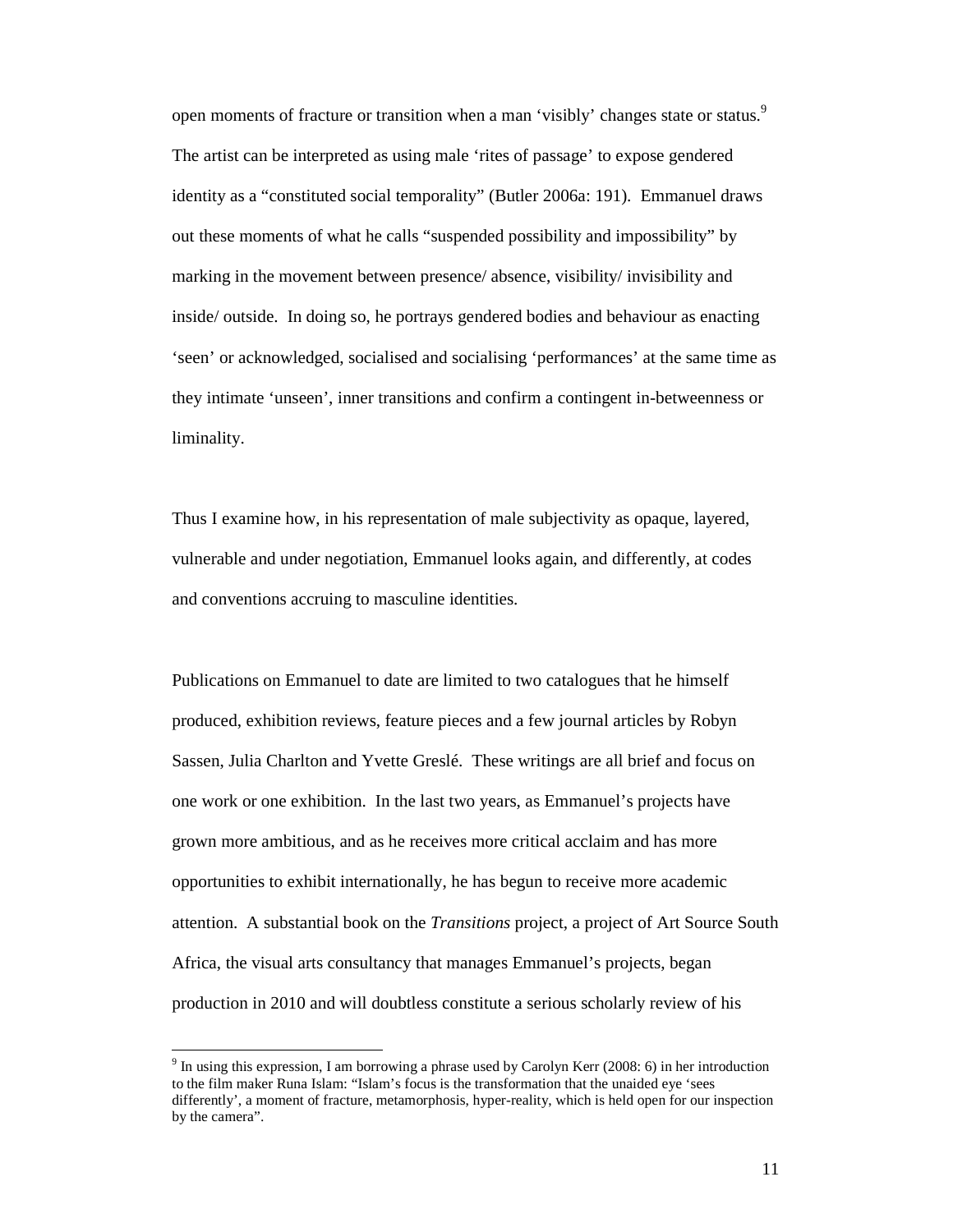open moments of fracture or transition when a man 'visibly' changes state or status.<sup>9</sup> The artist can be interpreted as using male 'rites of passage' to expose gendered identity as a "constituted social temporality" (Butler 2006a: 191). Emmanuel draws out these moments of what he calls "suspended possibility and impossibility" by marking in the movement between presence/ absence, visibility/ invisibility and inside/ outside. In doing so, he portrays gendered bodies and behaviour as enacting 'seen' or acknowledged, socialised and socialising 'performances' at the same time as they intimate 'unseen', inner transitions and confirm a contingent in-betweenness or liminality.

Thus I examine how, in his representation of male subjectivity as opaque, layered, vulnerable and under negotiation, Emmanuel looks again, and differently, at codes and conventions accruing to masculine identities.

Publications on Emmanuel to date are limited to two catalogues that he himself produced, exhibition reviews, feature pieces and a few journal articles by Robyn Sassen, Julia Charlton and Yvette Greslé. These writings are all brief and focus on one work or one exhibition. In the last two years, as Emmanuel's projects have grown more ambitious, and as he receives more critical acclaim and has more opportunities to exhibit internationally, he has begun to receive more academic attention. A substantial book on the *Transitions* project, a project of Art Source South Africa, the visual arts consultancy that manages Emmanuel's projects, began production in 2010 and will doubtless constitute a serious scholarly review of his

<sup>&</sup>lt;sup>9</sup> In using this expression, I am borrowing a phrase used by Carolyn Kerr (2008: 6) in her introduction to the film maker Runa Islam: "Islam's focus is the transformation that the unaided eye 'sees differently', a moment of fracture, metamorphosis, hyper-reality, which is held open for our inspection by the camera".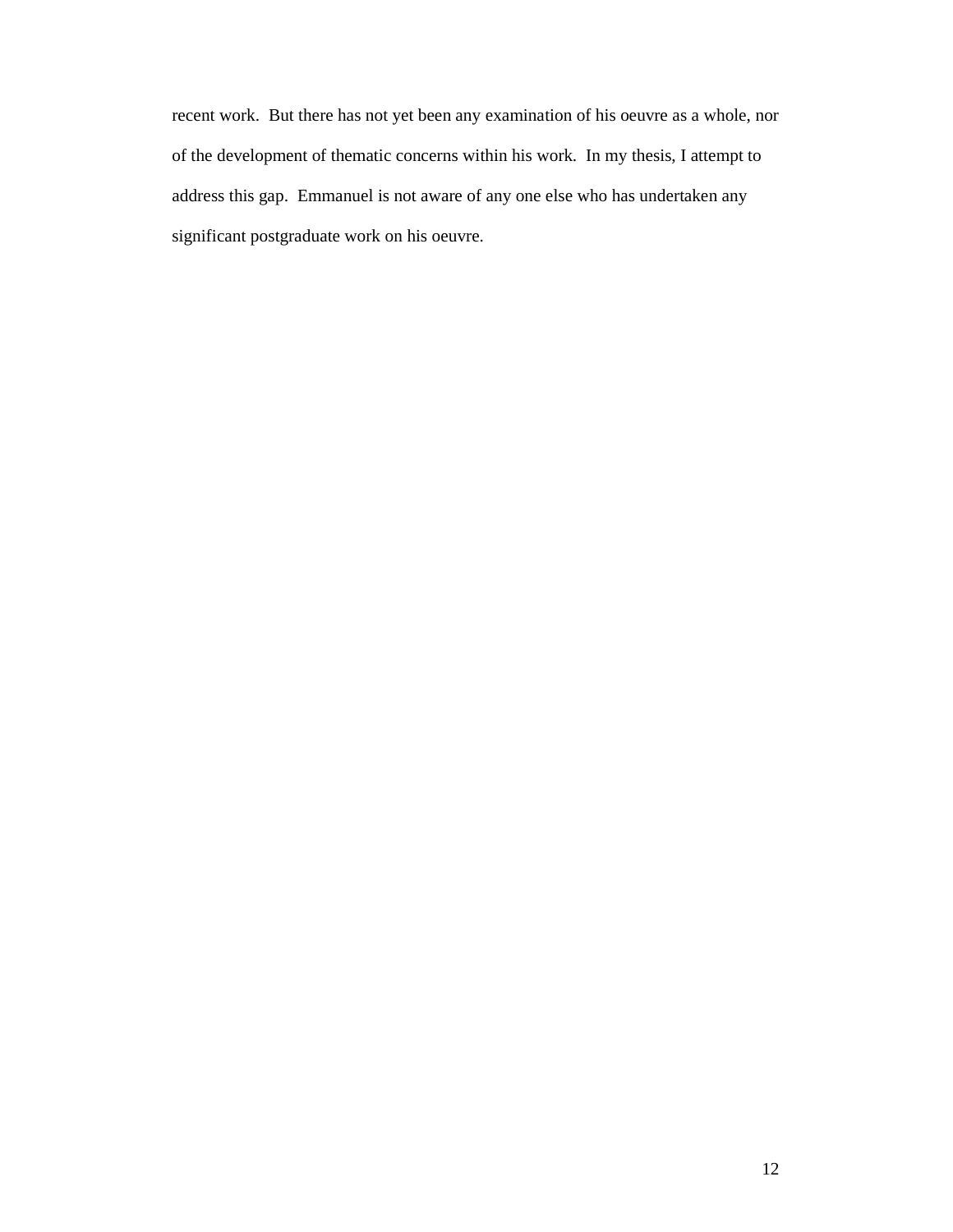recent work. But there has not yet been any examination of his oeuvre as a whole, nor of the development of thematic concerns within his work. In my thesis, I attempt to address this gap. Emmanuel is not aware of any one else who has undertaken any significant postgraduate work on his oeuvre.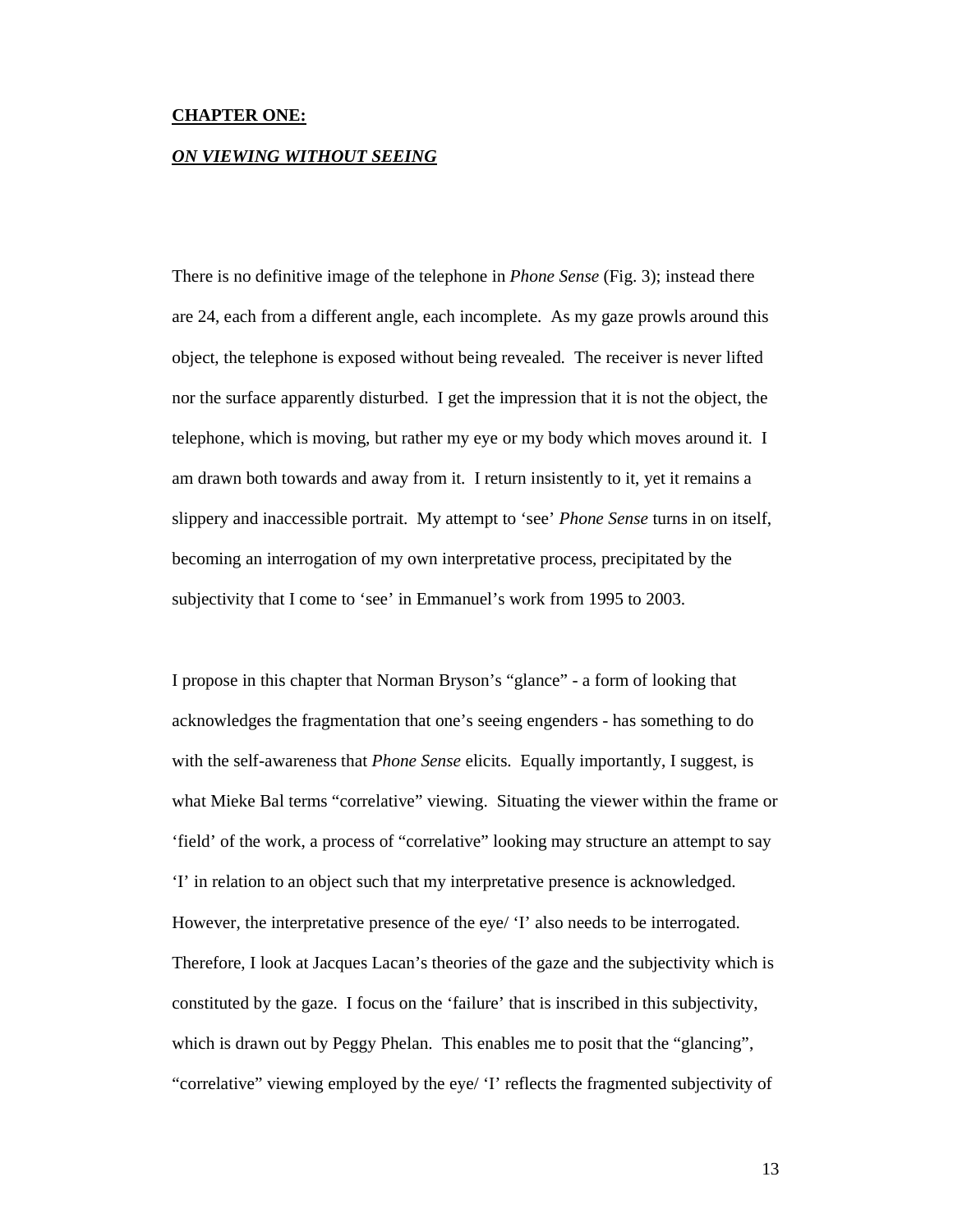#### **CHAPTER ONE:**

#### *ON VIEWING WITHOUT SEEING*

There is no definitive image of the telephone in *Phone Sense* (Fig. 3); instead there are 24, each from a different angle, each incomplete. As my gaze prowls around this object, the telephone is exposed without being revealed. The receiver is never lifted nor the surface apparently disturbed. I get the impression that it is not the object, the telephone, which is moving, but rather my eye or my body which moves around it. I am drawn both towards and away from it. I return insistently to it, yet it remains a slippery and inaccessible portrait. My attempt to 'see' *Phone Sense* turns in on itself, becoming an interrogation of my own interpretative process, precipitated by the subjectivity that I come to 'see' in Emmanuel's work from 1995 to 2003.

I propose in this chapter that Norman Bryson's "glance" - a form of looking that acknowledges the fragmentation that one's seeing engenders - has something to do with the self-awareness that *Phone Sense* elicits. Equally importantly, I suggest, is what Mieke Bal terms "correlative" viewing. Situating the viewer within the frame or 'field' of the work, a process of "correlative" looking may structure an attempt to say 'I' in relation to an object such that my interpretative presence is acknowledged. However, the interpretative presence of the eye/ 'I' also needs to be interrogated. Therefore, I look at Jacques Lacan's theories of the gaze and the subjectivity which is constituted by the gaze. I focus on the 'failure' that is inscribed in this subjectivity, which is drawn out by Peggy Phelan. This enables me to posit that the "glancing", "correlative" viewing employed by the eye/ 'I' reflects the fragmented subjectivity of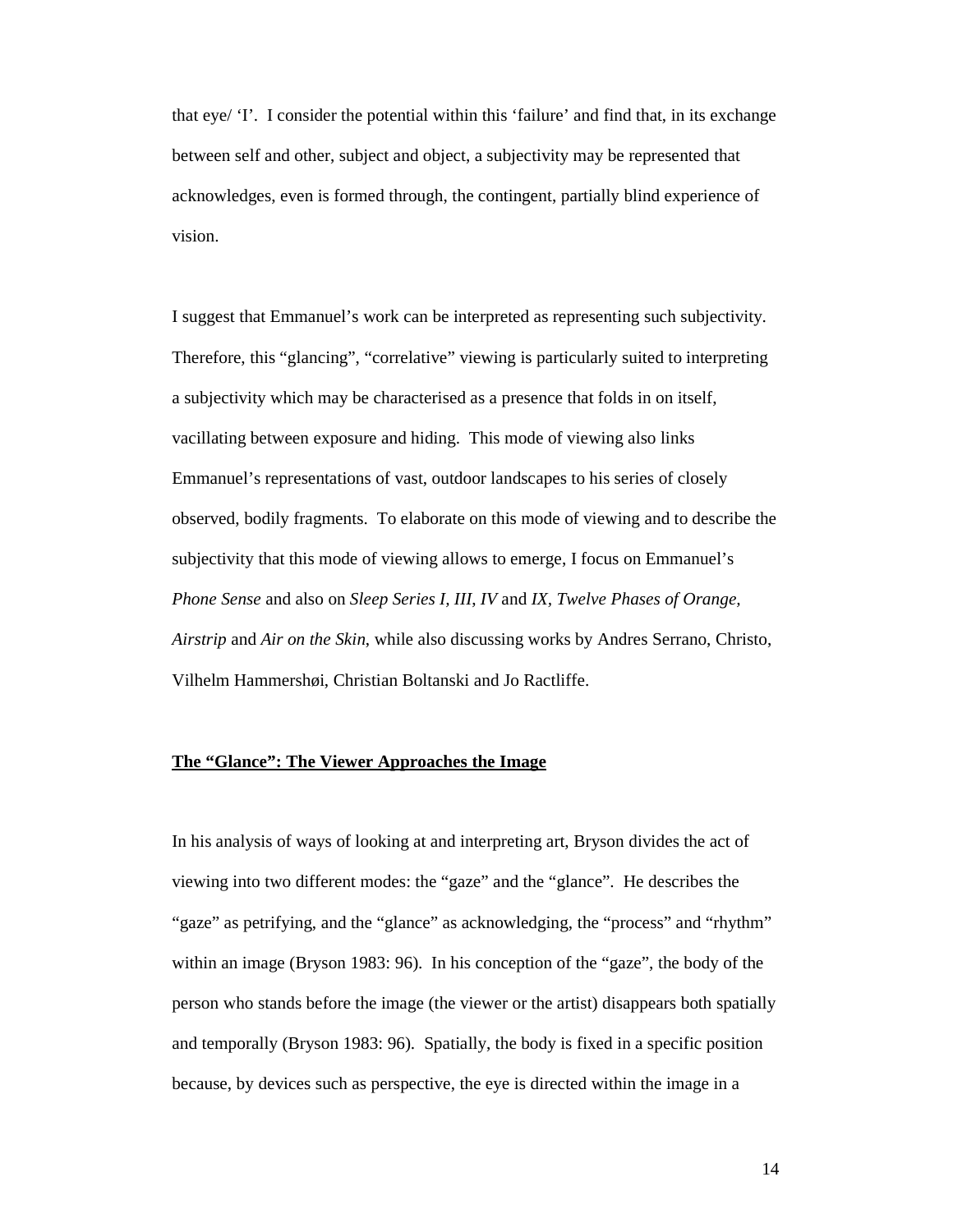that eye/ 'I'. I consider the potential within this 'failure' and find that, in its exchange between self and other, subject and object, a subjectivity may be represented that acknowledges, even is formed through, the contingent, partially blind experience of vision.

I suggest that Emmanuel's work can be interpreted as representing such subjectivity. Therefore, this "glancing", "correlative" viewing is particularly suited to interpreting a subjectivity which may be characterised as a presence that folds in on itself, vacillating between exposure and hiding. This mode of viewing also links Emmanuel's representations of vast, outdoor landscapes to his series of closely observed, bodily fragments. To elaborate on this mode of viewing and to describe the subjectivity that this mode of viewing allows to emerge, I focus on Emmanuel's *Phone Sense* and also on *Sleep Series I, III*, *IV* and *IX, Twelve Phases of Orange, Airstrip* and *Air on the Skin*, while also discussing works by Andres Serrano, Christo, Vilhelm Hammershøi, Christian Boltanski and Jo Ractliffe.

### **The "Glance": The Viewer Approaches the Image**

In his analysis of ways of looking at and interpreting art, Bryson divides the act of viewing into two different modes: the "gaze" and the "glance". He describes the "gaze" as petrifying, and the "glance" as acknowledging, the "process" and "rhythm" within an image (Bryson 1983: 96). In his conception of the "gaze", the body of the person who stands before the image (the viewer or the artist) disappears both spatially and temporally (Bryson 1983: 96). Spatially, the body is fixed in a specific position because, by devices such as perspective, the eye is directed within the image in a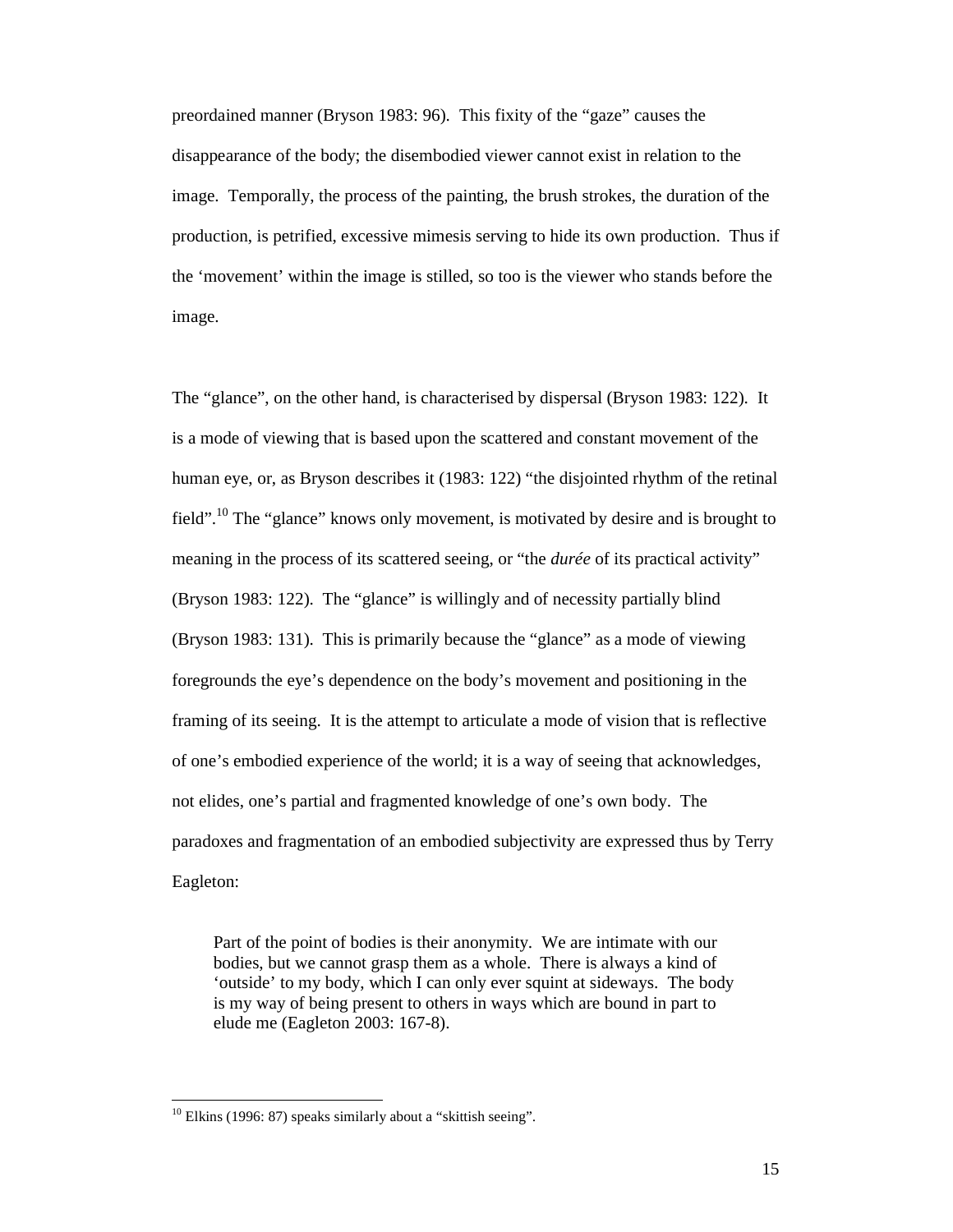preordained manner (Bryson 1983: 96). This fixity of the "gaze" causes the disappearance of the body; the disembodied viewer cannot exist in relation to the image. Temporally, the process of the painting, the brush strokes, the duration of the production, is petrified, excessive mimesis serving to hide its own production. Thus if the 'movement' within the image is stilled, so too is the viewer who stands before the image.

The "glance", on the other hand, is characterised by dispersal (Bryson 1983: 122). It is a mode of viewing that is based upon the scattered and constant movement of the human eye, or, as Bryson describes it (1983: 122) "the disjointed rhythm of the retinal field".<sup>10</sup> The "glance" knows only movement, is motivated by desire and is brought to meaning in the process of its scattered seeing, or "the *durée* of its practical activity" (Bryson 1983: 122). The "glance" is willingly and of necessity partially blind (Bryson 1983: 131). This is primarily because the "glance" as a mode of viewing foregrounds the eye's dependence on the body's movement and positioning in the framing of its seeing. It is the attempt to articulate a mode of vision that is reflective of one's embodied experience of the world; it is a way of seeing that acknowledges, not elides, one's partial and fragmented knowledge of one's own body. The paradoxes and fragmentation of an embodied subjectivity are expressed thus by Terry Eagleton:

Part of the point of bodies is their anonymity. We are intimate with our bodies, but we cannot grasp them as a whole. There is always a kind of 'outside' to my body, which I can only ever squint at sideways. The body is my way of being present to others in ways which are bound in part to elude me (Eagleton 2003: 167-8).

 $10$  Elkins (1996: 87) speaks similarly about a "skittish seeing".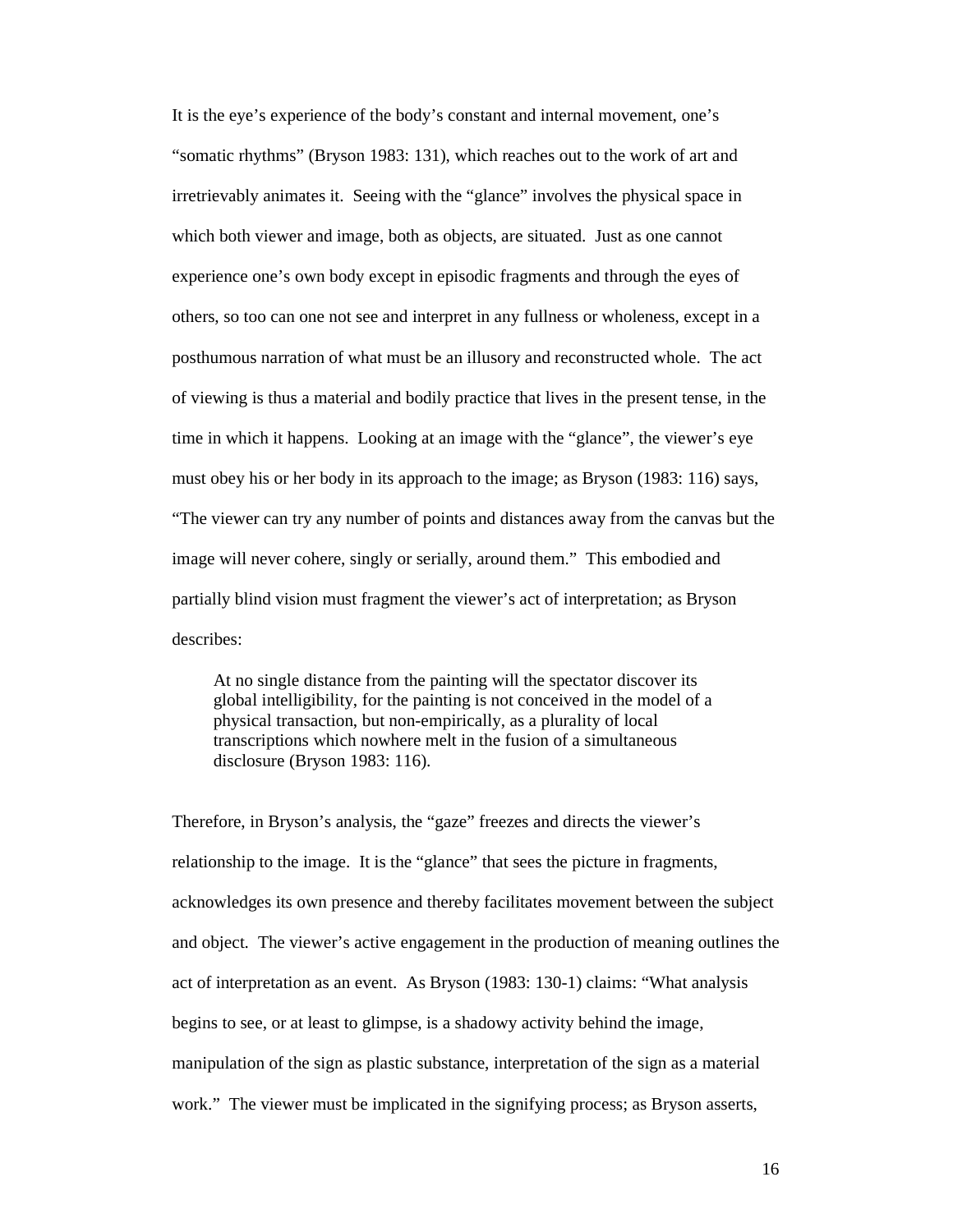It is the eye's experience of the body's constant and internal movement, one's "somatic rhythms" (Bryson 1983: 131), which reaches out to the work of art and irretrievably animates it. Seeing with the "glance" involves the physical space in which both viewer and image, both as objects, are situated. Just as one cannot experience one's own body except in episodic fragments and through the eyes of others, so too can one not see and interpret in any fullness or wholeness, except in a posthumous narration of what must be an illusory and reconstructed whole. The act of viewing is thus a material and bodily practice that lives in the present tense, in the time in which it happens. Looking at an image with the "glance", the viewer's eye must obey his or her body in its approach to the image; as Bryson (1983: 116) says, "The viewer can try any number of points and distances away from the canvas but the image will never cohere, singly or serially, around them." This embodied and partially blind vision must fragment the viewer's act of interpretation; as Bryson describes:

At no single distance from the painting will the spectator discover its global intelligibility, for the painting is not conceived in the model of a physical transaction, but non-empirically, as a plurality of local transcriptions which nowhere melt in the fusion of a simultaneous disclosure (Bryson 1983: 116).

Therefore, in Bryson's analysis, the "gaze" freezes and directs the viewer's relationship to the image. It is the "glance" that sees the picture in fragments, acknowledges its own presence and thereby facilitates movement between the subject and object. The viewer's active engagement in the production of meaning outlines the act of interpretation as an event. As Bryson (1983: 130-1) claims: "What analysis begins to see, or at least to glimpse, is a shadowy activity behind the image, manipulation of the sign as plastic substance, interpretation of the sign as a material work." The viewer must be implicated in the signifying process; as Bryson asserts,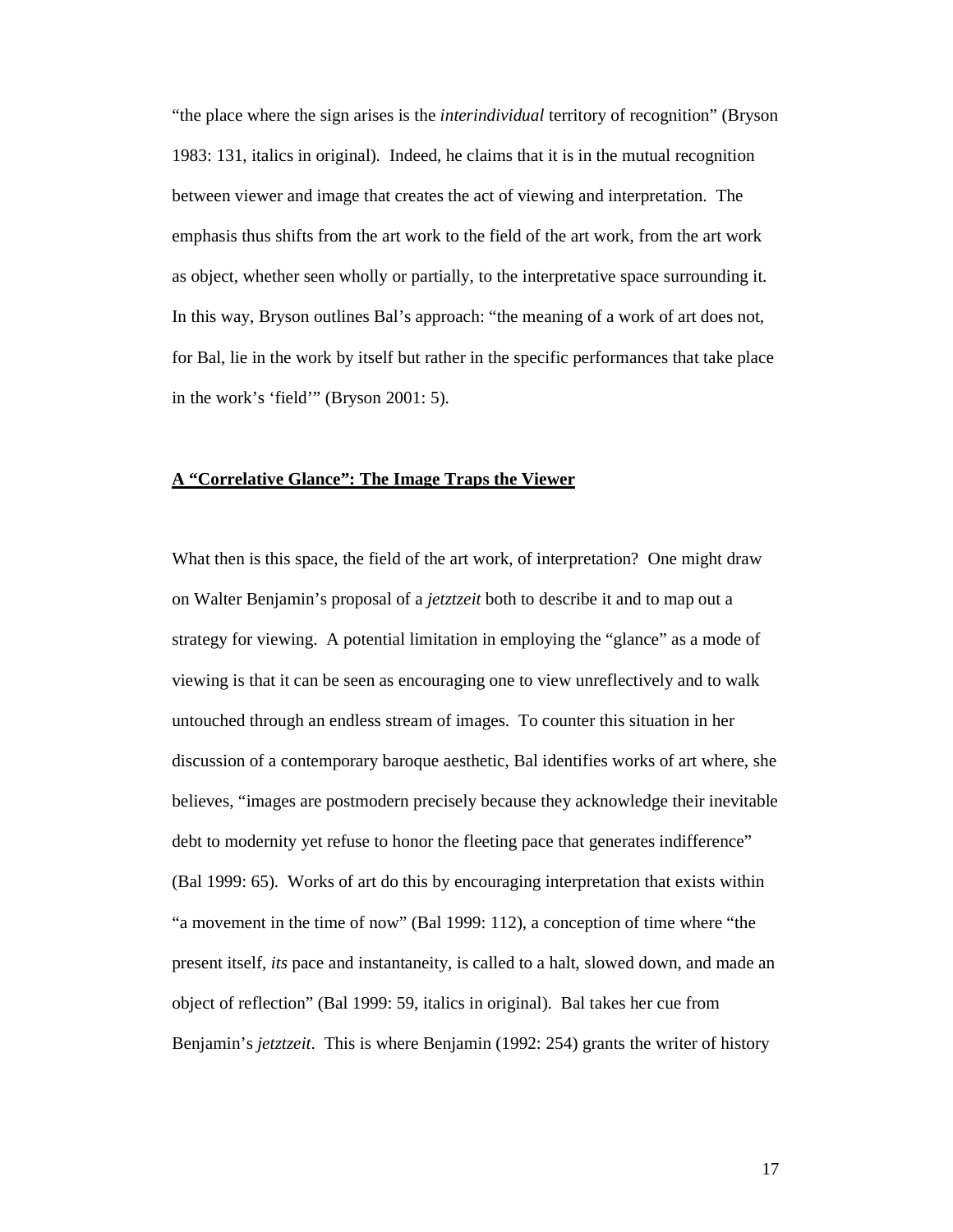"the place where the sign arises is the *interindividual* territory of recognition" (Bryson 1983: 131, italics in original). Indeed, he claims that it is in the mutual recognition between viewer and image that creates the act of viewing and interpretation. The emphasis thus shifts from the art work to the field of the art work, from the art work as object, whether seen wholly or partially, to the interpretative space surrounding it. In this way, Bryson outlines Bal's approach: "the meaning of a work of art does not, for Bal, lie in the work by itself but rather in the specific performances that take place in the work's 'field'" (Bryson 2001: 5).

### **A "Correlative Glance": The Image Traps the Viewer**

What then is this space, the field of the art work, of interpretation? One might draw on Walter Benjamin's proposal of a *jetztzeit* both to describe it and to map out a strategy for viewing. A potential limitation in employing the "glance" as a mode of viewing is that it can be seen as encouraging one to view unreflectively and to walk untouched through an endless stream of images. To counter this situation in her discussion of a contemporary baroque aesthetic, Bal identifies works of art where, she believes, "images are postmodern precisely because they acknowledge their inevitable debt to modernity yet refuse to honor the fleeting pace that generates indifference" (Bal 1999: 65). Works of art do this by encouraging interpretation that exists within "a movement in the time of now" (Bal 1999: 112), a conception of time where "the present itself, *its* pace and instantaneity, is called to a halt, slowed down, and made an object of reflection" (Bal 1999: 59, italics in original). Bal takes her cue from Benjamin's *jetztzeit*. This is where Benjamin (1992: 254) grants the writer of history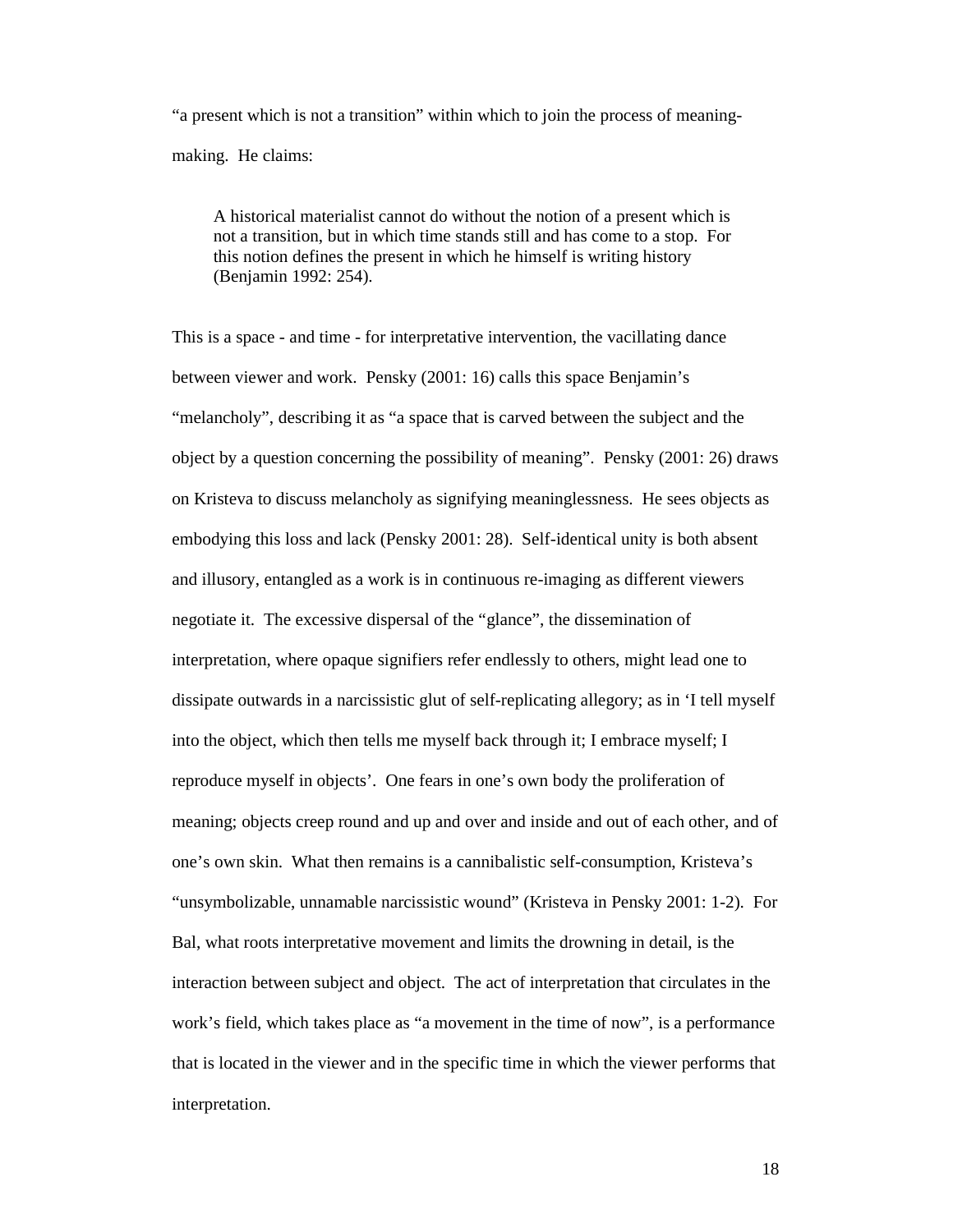"a present which is not a transition" within which to join the process of meaningmaking. He claims:

A historical materialist cannot do without the notion of a present which is not a transition, but in which time stands still and has come to a stop. For this notion defines the present in which he himself is writing history (Benjamin 1992: 254).

This is a space - and time - for interpretative intervention, the vacillating dance between viewer and work. Pensky (2001: 16) calls this space Benjamin's "melancholy", describing it as "a space that is carved between the subject and the object by a question concerning the possibility of meaning". Pensky (2001: 26) draws on Kristeva to discuss melancholy as signifying meaninglessness. He sees objects as embodying this loss and lack (Pensky 2001: 28). Self-identical unity is both absent and illusory, entangled as a work is in continuous re-imaging as different viewers negotiate it. The excessive dispersal of the "glance", the dissemination of interpretation, where opaque signifiers refer endlessly to others, might lead one to dissipate outwards in a narcissistic glut of self-replicating allegory; as in 'I tell myself into the object, which then tells me myself back through it; I embrace myself; I reproduce myself in objects'. One fears in one's own body the proliferation of meaning; objects creep round and up and over and inside and out of each other, and of one's own skin. What then remains is a cannibalistic self-consumption, Kristeva's "unsymbolizable, unnamable narcissistic wound" (Kristeva in Pensky 2001: 1-2). For Bal, what roots interpretative movement and limits the drowning in detail, is the interaction between subject and object. The act of interpretation that circulates in the work's field, which takes place as "a movement in the time of now", is a performance that is located in the viewer and in the specific time in which the viewer performs that interpretation.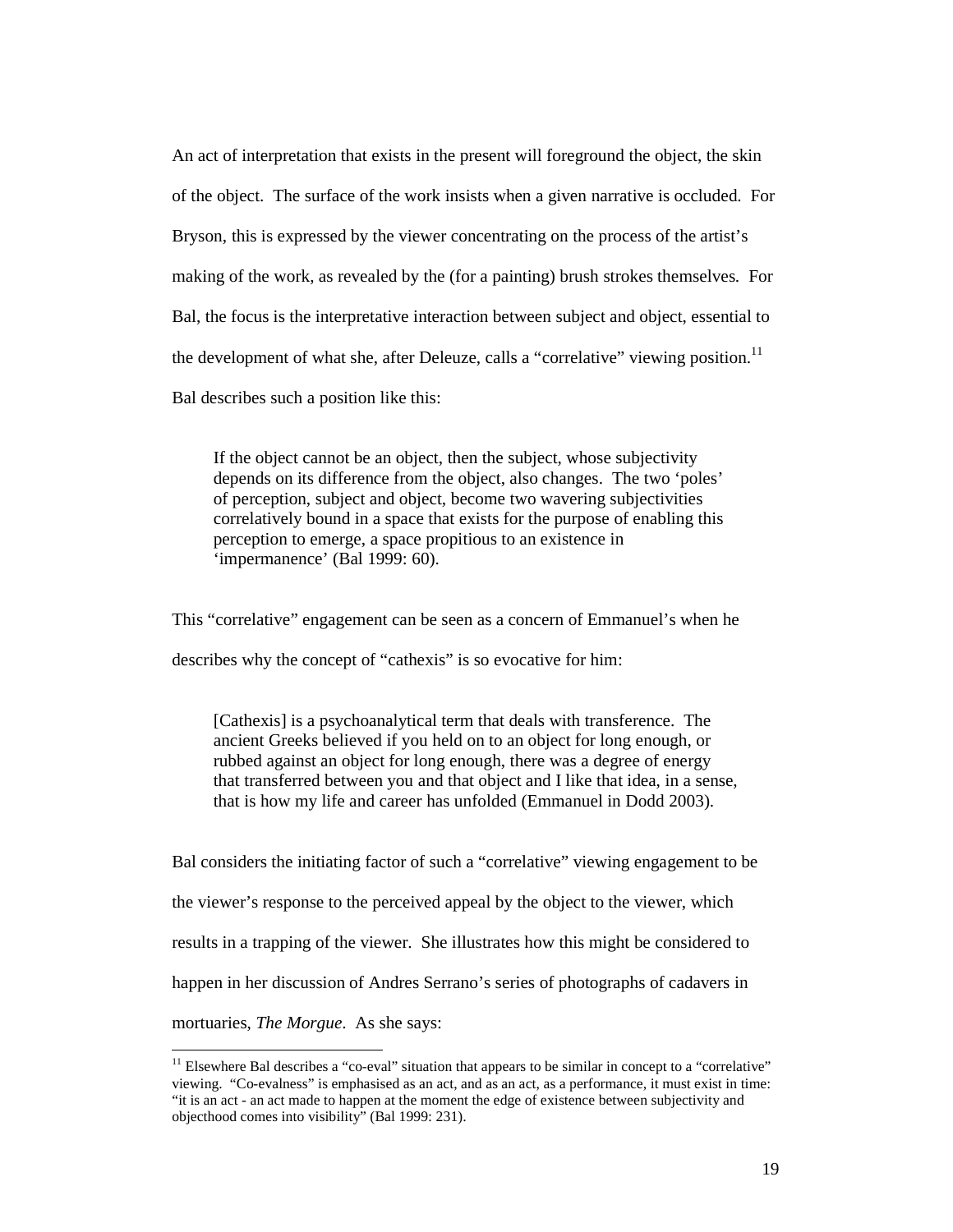An act of interpretation that exists in the present will foreground the object, the skin of the object. The surface of the work insists when a given narrative is occluded. For Bryson, this is expressed by the viewer concentrating on the process of the artist's making of the work, as revealed by the (for a painting) brush strokes themselves. For Bal, the focus is the interpretative interaction between subject and object, essential to the development of what she, after Deleuze, calls a "correlative" viewing position.<sup>11</sup> Bal describes such a position like this:

If the object cannot be an object, then the subject, whose subjectivity depends on its difference from the object, also changes. The two 'poles' of perception, subject and object, become two wavering subjectivities correlatively bound in a space that exists for the purpose of enabling this perception to emerge, a space propitious to an existence in 'impermanence' (Bal 1999: 60).

This "correlative" engagement can be seen as a concern of Emmanuel's when he

describes why the concept of "cathexis" is so evocative for him:

-

[Cathexis] is a psychoanalytical term that deals with transference. The ancient Greeks believed if you held on to an object for long enough, or rubbed against an object for long enough, there was a degree of energy that transferred between you and that object and I like that idea, in a sense, that is how my life and career has unfolded (Emmanuel in Dodd 2003).

Bal considers the initiating factor of such a "correlative" viewing engagement to be the viewer's response to the perceived appeal by the object to the viewer, which results in a trapping of the viewer. She illustrates how this might be considered to happen in her discussion of Andres Serrano's series of photographs of cadavers in mortuaries, *The Morgue*. As she says:

<sup>&</sup>lt;sup>11</sup> Elsewhere Bal describes a "co-eval" situation that appears to be similar in concept to a "correlative" viewing. "Co-evalness" is emphasised as an act, and as an act, as a performance, it must exist in time: "it is an act - an act made to happen at the moment the edge of existence between subjectivity and objecthood comes into visibility" (Bal 1999: 231).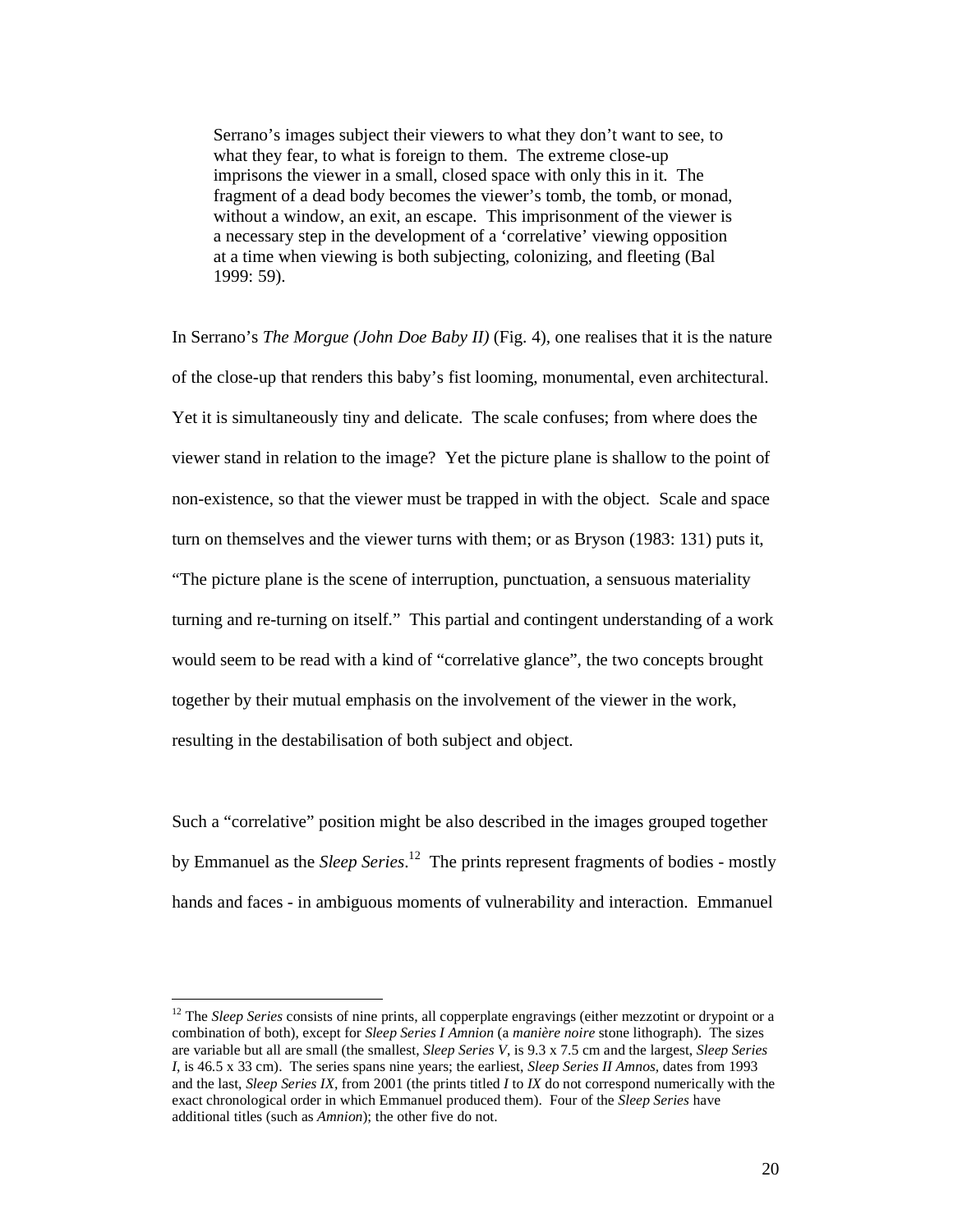Serrano's images subject their viewers to what they don't want to see, to what they fear, to what is foreign to them. The extreme close-up imprisons the viewer in a small, closed space with only this in it. The fragment of a dead body becomes the viewer's tomb, the tomb, or monad, without a window, an exit, an escape. This imprisonment of the viewer is a necessary step in the development of a 'correlative' viewing opposition at a time when viewing is both subjecting, colonizing, and fleeting (Bal 1999: 59).

In Serrano's *The Morgue (John Doe Baby II)* (Fig. 4)*,* one realises that it is the nature of the close-up that renders this baby's fist looming, monumental, even architectural. Yet it is simultaneously tiny and delicate. The scale confuses; from where does the viewer stand in relation to the image? Yet the picture plane is shallow to the point of non-existence, so that the viewer must be trapped in with the object. Scale and space turn on themselves and the viewer turns with them; or as Bryson (1983: 131) puts it, "The picture plane is the scene of interruption, punctuation, a sensuous materiality turning and re-turning on itself." This partial and contingent understanding of a work would seem to be read with a kind of "correlative glance", the two concepts brought together by their mutual emphasis on the involvement of the viewer in the work, resulting in the destabilisation of both subject and object.

Such a "correlative" position might be also described in the images grouped together by Emmanuel as the *Sleep Series*. <sup>12</sup> The prints represent fragments of bodies - mostly hands and faces - in ambiguous moments of vulnerability and interaction. Emmanuel

<sup>&</sup>lt;sup>12</sup> The *Sleep Series* consists of nine prints, all copperplate engravings (either mezzotint or drypoint or a combination of both), except for *Sleep Series I Amnion* (a *manière noire* stone lithograph). The sizes are variable but all are small (the smallest, *Sleep Series V*, is 9.3 x 7.5 cm and the largest, *Sleep Series I*, is 46.5 x 33 cm). The series spans nine years; the earliest, *Sleep Series II Amnos,* dates from 1993 and the last, *Sleep Series IX,* from 2001 (the prints titled *I* to *IX* do not correspond numerically with the exact chronological order in which Emmanuel produced them). Four of the *Sleep Series* have additional titles (such as *Amnion*); the other five do not.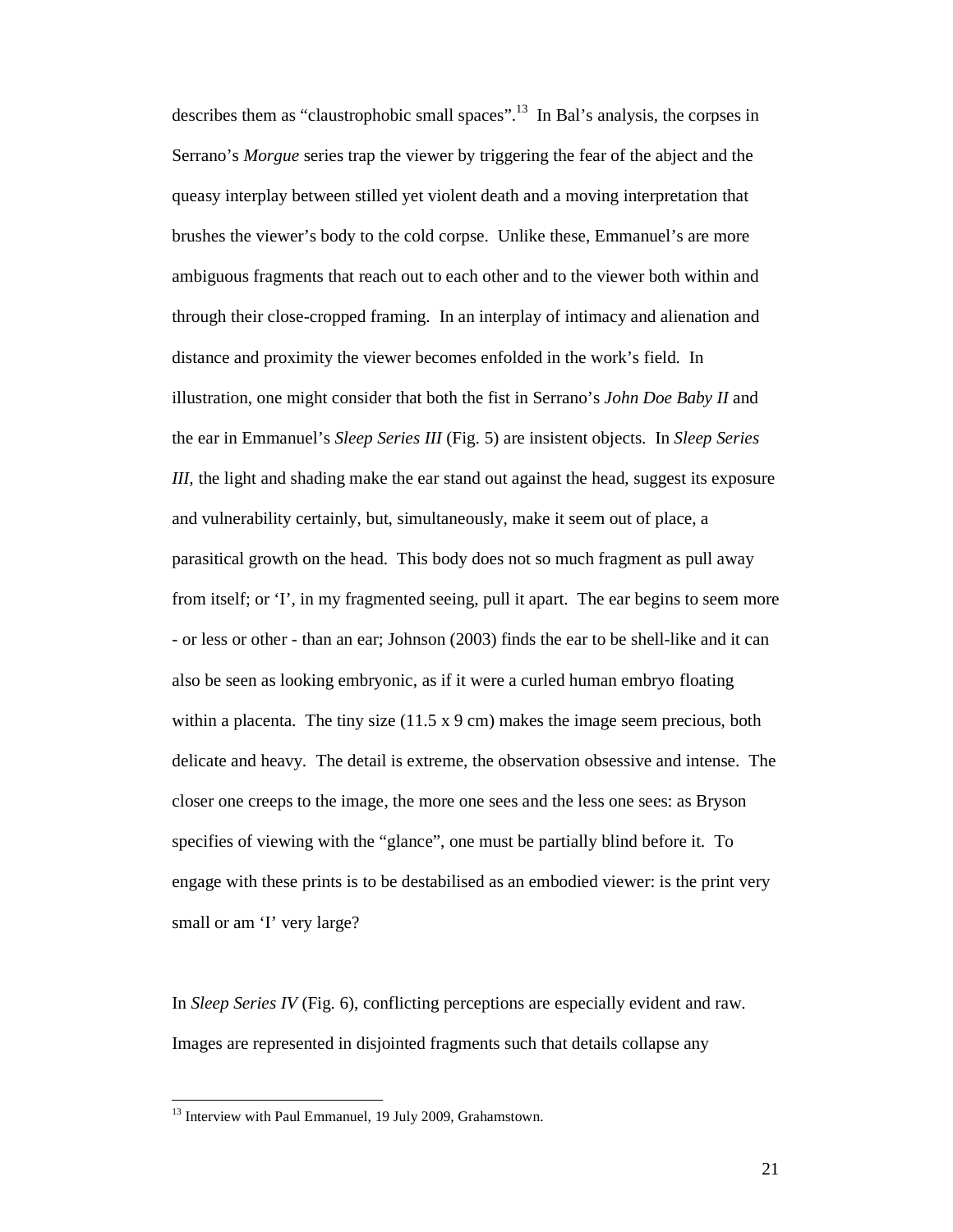describes them as "claustrophobic small spaces".<sup>13</sup> In Bal's analysis, the corpses in Serrano's *Morgue* series trap the viewer by triggering the fear of the abject and the queasy interplay between stilled yet violent death and a moving interpretation that brushes the viewer's body to the cold corpse. Unlike these, Emmanuel's are more ambiguous fragments that reach out to each other and to the viewer both within and through their close-cropped framing. In an interplay of intimacy and alienation and distance and proximity the viewer becomes enfolded in the work's field. In illustration, one might consider that both the fist in Serrano's *John Doe Baby II* and the ear in Emmanuel's *Sleep Series III* (Fig. 5) are insistent objects. In *Sleep Series III*, the light and shading make the ear stand out against the head, suggest its exposure and vulnerability certainly, but, simultaneously, make it seem out of place, a parasitical growth on the head. This body does not so much fragment as pull away from itself; or 'I', in my fragmented seeing, pull it apart. The ear begins to seem more - or less or other - than an ear; Johnson (2003) finds the ear to be shell-like and it can also be seen as looking embryonic, as if it were a curled human embryo floating within a placenta. The tiny size  $(11.5 \times 9 \text{ cm})$  makes the image seem precious, both delicate and heavy. The detail is extreme, the observation obsessive and intense. The closer one creeps to the image, the more one sees and the less one sees: as Bryson specifies of viewing with the "glance", one must be partially blind before it. To engage with these prints is to be destabilised as an embodied viewer: is the print very small or am 'I' very large?

In *Sleep Series IV* (Fig. 6), conflicting perceptions are especially evident and raw. Images are represented in disjointed fragments such that details collapse any

<sup>&</sup>lt;sup>13</sup> Interview with Paul Emmanuel, 19 July 2009, Grahamstown.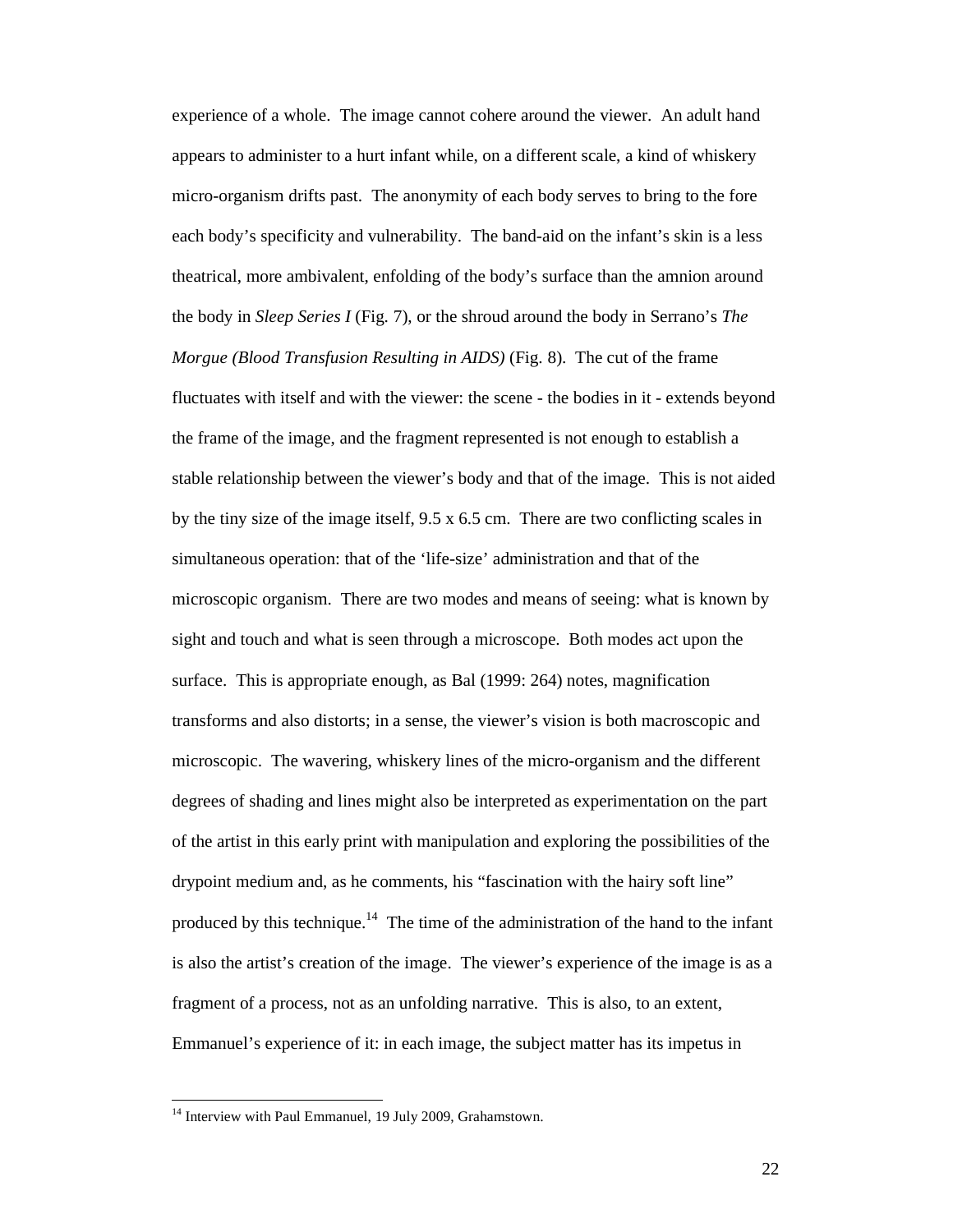experience of a whole. The image cannot cohere around the viewer. An adult hand appears to administer to a hurt infant while, on a different scale, a kind of whiskery micro-organism drifts past. The anonymity of each body serves to bring to the fore each body's specificity and vulnerability. The band-aid on the infant's skin is a less theatrical, more ambivalent, enfolding of the body's surface than the amnion around the body in *Sleep Series I* (Fig. 7), or the shroud around the body in Serrano's *The Morgue (Blood Transfusion Resulting in AIDS)* (Fig. 8). The cut of the frame fluctuates with itself and with the viewer: the scene - the bodies in it - extends beyond the frame of the image, and the fragment represented is not enough to establish a stable relationship between the viewer's body and that of the image. This is not aided by the tiny size of the image itself, 9.5 x 6.5 cm. There are two conflicting scales in simultaneous operation: that of the 'life-size' administration and that of the microscopic organism. There are two modes and means of seeing: what is known by sight and touch and what is seen through a microscope. Both modes act upon the surface. This is appropriate enough, as Bal (1999: 264) notes, magnification transforms and also distorts; in a sense, the viewer's vision is both macroscopic and microscopic. The wavering, whiskery lines of the micro-organism and the different degrees of shading and lines might also be interpreted as experimentation on the part of the artist in this early print with manipulation and exploring the possibilities of the drypoint medium and, as he comments, his "fascination with the hairy soft line" produced by this technique.<sup>14</sup> The time of the administration of the hand to the infant is also the artist's creation of the image. The viewer's experience of the image is as a fragment of a process, not as an unfolding narrative. This is also, to an extent, Emmanuel's experience of it: in each image, the subject matter has its impetus in

<sup>&</sup>lt;sup>14</sup> Interview with Paul Emmanuel, 19 July 2009, Grahamstown.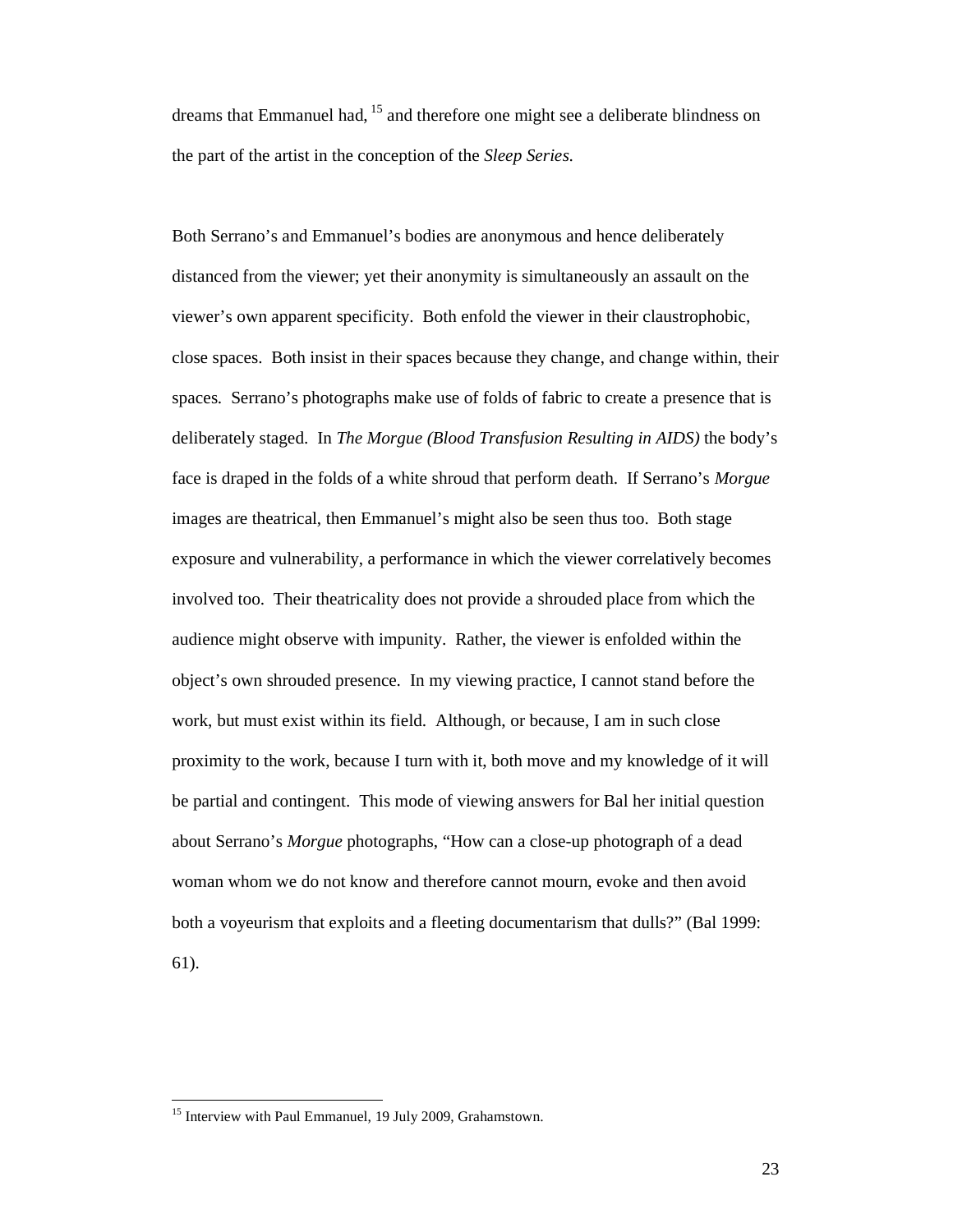dreams that Emmanuel had,  $15$  and therefore one might see a deliberate blindness on the part of the artist in the conception of the *Sleep Series*.

Both Serrano's and Emmanuel's bodies are anonymous and hence deliberately distanced from the viewer; yet their anonymity is simultaneously an assault on the viewer's own apparent specificity. Both enfold the viewer in their claustrophobic, close spaces. Both insist in their spaces because they change, and change within, their spaces. Serrano's photographs make use of folds of fabric to create a presence that is deliberately staged. In *The Morgue (Blood Transfusion Resulting in AIDS)* the body's face is draped in the folds of a white shroud that perform death. If Serrano's *Morgue* images are theatrical, then Emmanuel's might also be seen thus too. Both stage exposure and vulnerability, a performance in which the viewer correlatively becomes involved too. Their theatricality does not provide a shrouded place from which the audience might observe with impunity. Rather, the viewer is enfolded within the object's own shrouded presence. In my viewing practice, I cannot stand before the work, but must exist within its field. Although, or because, I am in such close proximity to the work, because I turn with it, both move and my knowledge of it will be partial and contingent. This mode of viewing answers for Bal her initial question about Serrano's *Morgue* photographs, "How can a close-up photograph of a dead woman whom we do not know and therefore cannot mourn, evoke and then avoid both a voyeurism that exploits and a fleeting documentarism that dulls?" (Bal 1999: 61).

<sup>&</sup>lt;sup>15</sup> Interview with Paul Emmanuel, 19 July 2009, Grahamstown.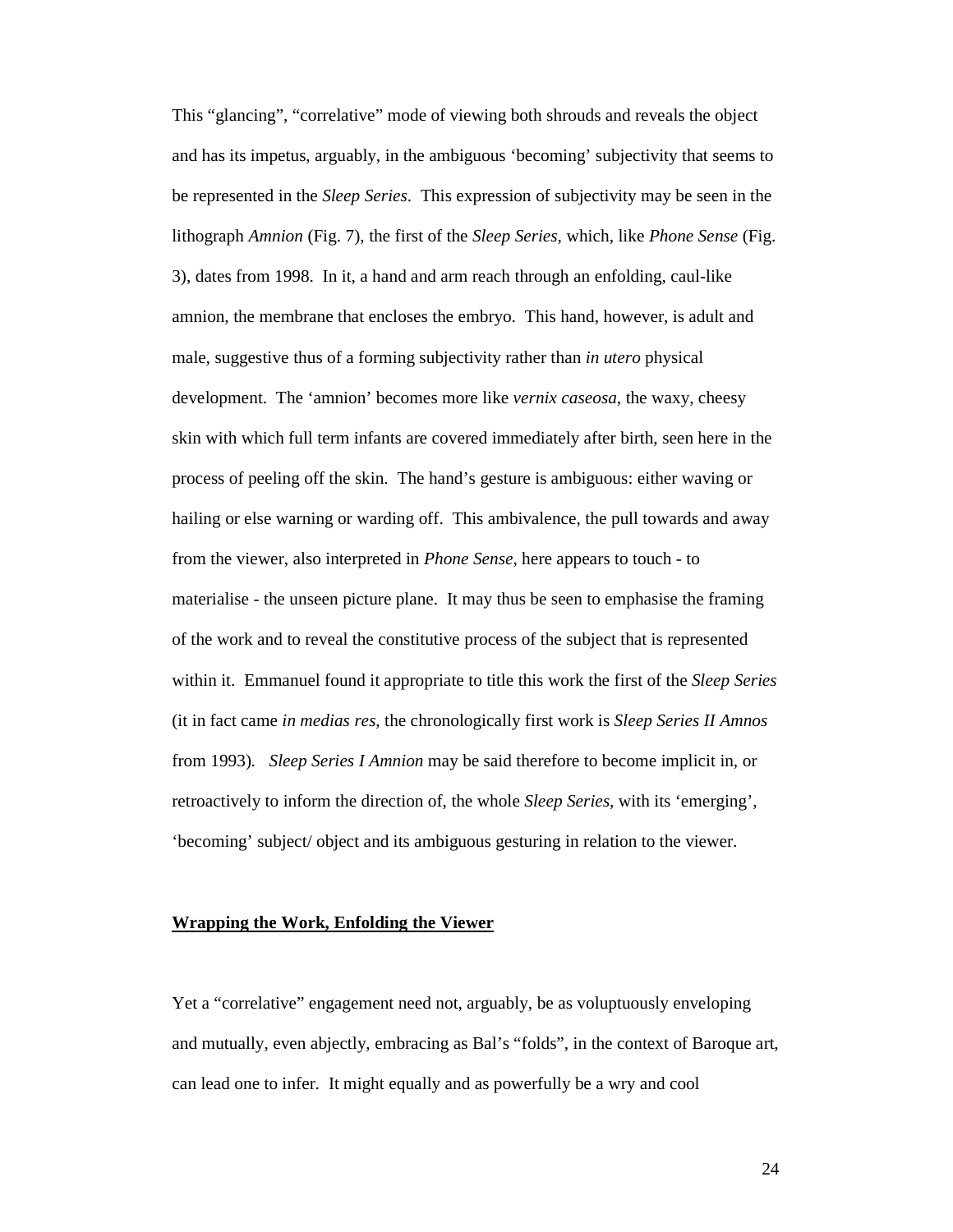This "glancing", "correlative" mode of viewing both shrouds and reveals the object and has its impetus, arguably, in the ambiguous 'becoming' subjectivity that seems to be represented in the *Sleep Series*. This expression of subjectivity may be seen in the lithograph *Amnion* (Fig. 7), the first of the *Sleep Series,* which, like *Phone Sense* (Fig. 3), dates from 1998. In it, a hand and arm reach through an enfolding, caul-like amnion, the membrane that encloses the embryo. This hand, however, is adult and male, suggestive thus of a forming subjectivity rather than *in utero* physical development. The 'amnion' becomes more like *vernix caseosa*, the waxy, cheesy skin with which full term infants are covered immediately after birth, seen here in the process of peeling off the skin. The hand's gesture is ambiguous: either waving or hailing or else warning or warding off. This ambivalence, the pull towards and away from the viewer, also interpreted in *Phone Sense*, here appears to touch - to materialise - the unseen picture plane. It may thus be seen to emphasise the framing of the work and to reveal the constitutive process of the subject that is represented within it. Emmanuel found it appropriate to title this work the first of the *Sleep Series* (it in fact came *in medias res,* the chronologically first work is *Sleep Series II Amnos* from 1993)*. Sleep Series I Amnion* may be said therefore to become implicit in, or retroactively to inform the direction of, the whole *Sleep Series*, with its 'emerging', 'becoming' subject/ object and its ambiguous gesturing in relation to the viewer.

### **Wrapping the Work, Enfolding the Viewer**

Yet a "correlative" engagement need not, arguably, be as voluptuously enveloping and mutually, even abjectly, embracing as Bal's "folds", in the context of Baroque art, can lead one to infer. It might equally and as powerfully be a wry and cool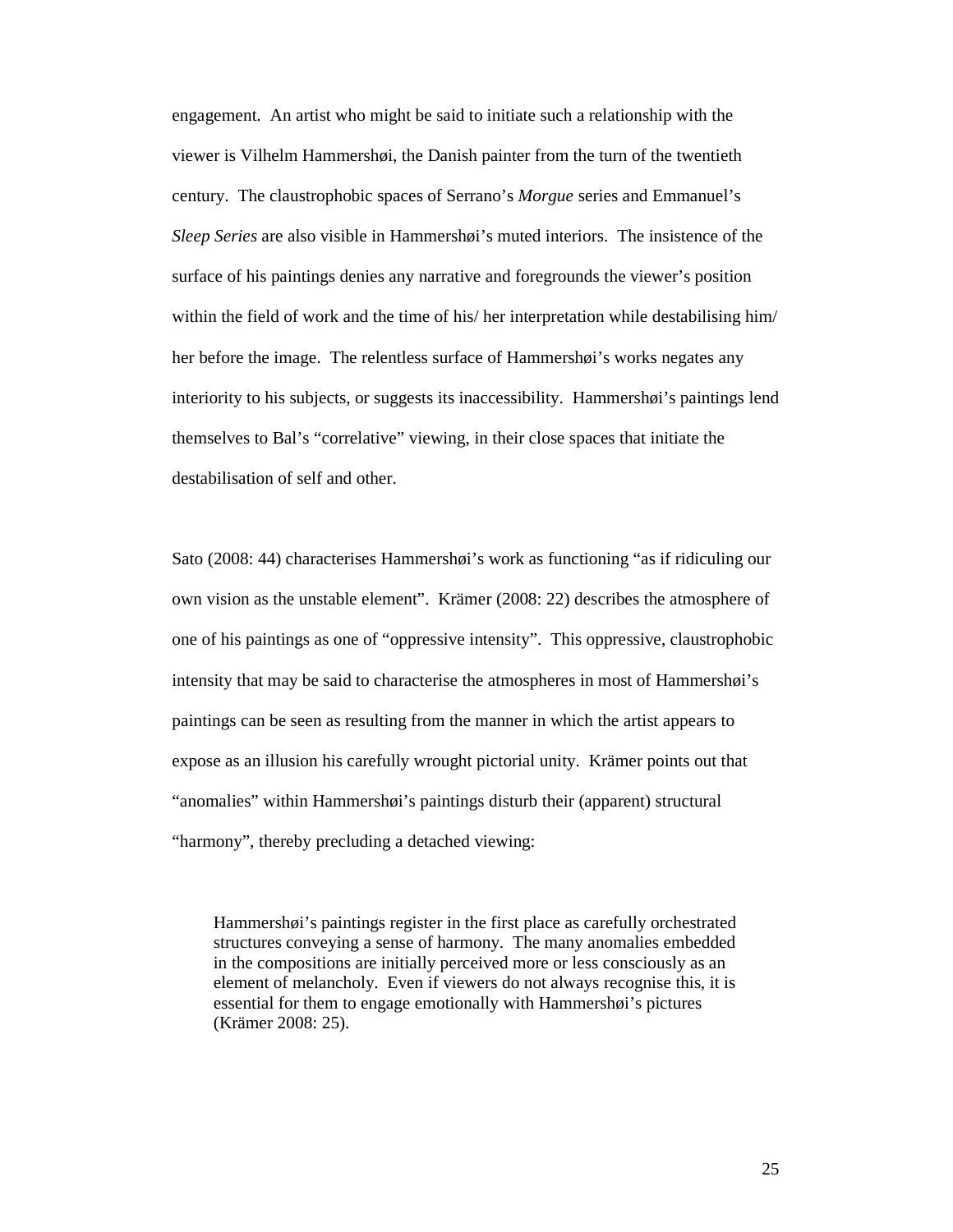engagement. An artist who might be said to initiate such a relationship with the viewer is Vilhelm Hammershøi, the Danish painter from the turn of the twentieth century. The claustrophobic spaces of Serrano's *Morgue* series and Emmanuel's *Sleep Series* are also visible in Hammershøi's muted interiors. The insistence of the surface of his paintings denies any narrative and foregrounds the viewer's position within the field of work and the time of his/ her interpretation while destabilising him/ her before the image. The relentless surface of Hammershøi's works negates any interiority to his subjects, or suggests its inaccessibility. Hammershøi's paintings lend themselves to Bal's "correlative" viewing, in their close spaces that initiate the destabilisation of self and other.

Sato (2008: 44) characterises Hammershøi's work as functioning "as if ridiculing our own vision as the unstable element". Krämer (2008: 22) describes the atmosphere of one of his paintings as one of "oppressive intensity". This oppressive, claustrophobic intensity that may be said to characterise the atmospheres in most of Hammershøi's paintings can be seen as resulting from the manner in which the artist appears to expose as an illusion his carefully wrought pictorial unity. Krämer points out that "anomalies" within Hammershøi's paintings disturb their (apparent) structural "harmony", thereby precluding a detached viewing:

Hammershøi's paintings register in the first place as carefully orchestrated structures conveying a sense of harmony. The many anomalies embedded in the compositions are initially perceived more or less consciously as an element of melancholy. Even if viewers do not always recognise this, it is essential for them to engage emotionally with Hammershøi's pictures (Krämer 2008: 25).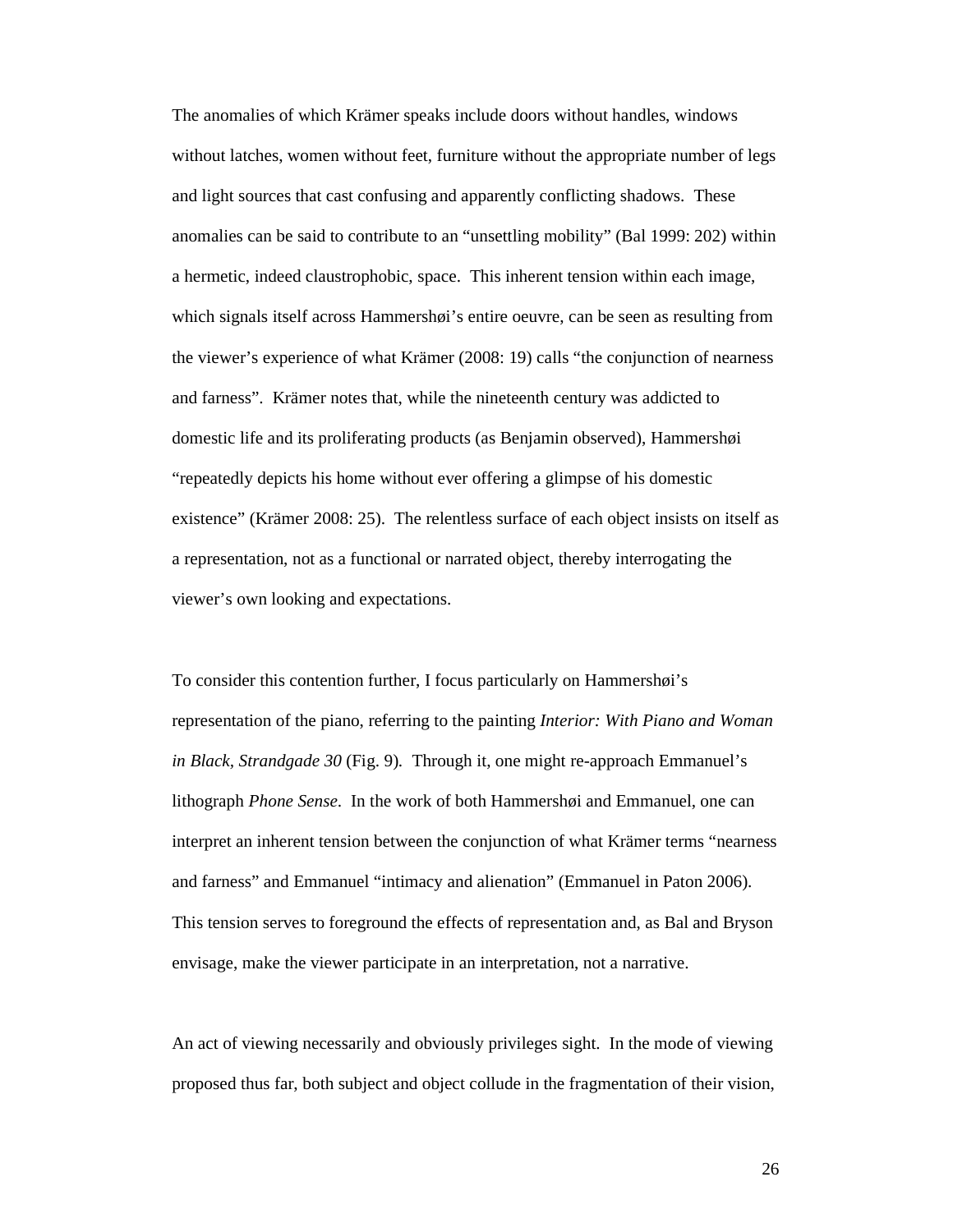The anomalies of which Krämer speaks include doors without handles, windows without latches, women without feet, furniture without the appropriate number of legs and light sources that cast confusing and apparently conflicting shadows. These anomalies can be said to contribute to an "unsettling mobility" (Bal 1999: 202) within a hermetic, indeed claustrophobic, space. This inherent tension within each image, which signals itself across Hammershøi's entire oeuvre, can be seen as resulting from the viewer's experience of what Krämer (2008: 19) calls "the conjunction of nearness and farness". Krämer notes that, while the nineteenth century was addicted to domestic life and its proliferating products (as Benjamin observed), Hammershøi "repeatedly depicts his home without ever offering a glimpse of his domestic existence" (Krämer 2008: 25). The relentless surface of each object insists on itself as a representation, not as a functional or narrated object, thereby interrogating the viewer's own looking and expectations.

To consider this contention further, I focus particularly on Hammershøi's representation of the piano, referring to the painting *Interior: With Piano and Woman in Black, Strandgade 30* (Fig. 9)*.* Through it, one might re-approach Emmanuel's lithograph *Phone Sense*. In the work of both Hammershøi and Emmanuel, one can interpret an inherent tension between the conjunction of what Krämer terms "nearness and farness" and Emmanuel "intimacy and alienation" (Emmanuel in Paton 2006). This tension serves to foreground the effects of representation and, as Bal and Bryson envisage, make the viewer participate in an interpretation, not a narrative.

An act of viewing necessarily and obviously privileges sight. In the mode of viewing proposed thus far, both subject and object collude in the fragmentation of their vision,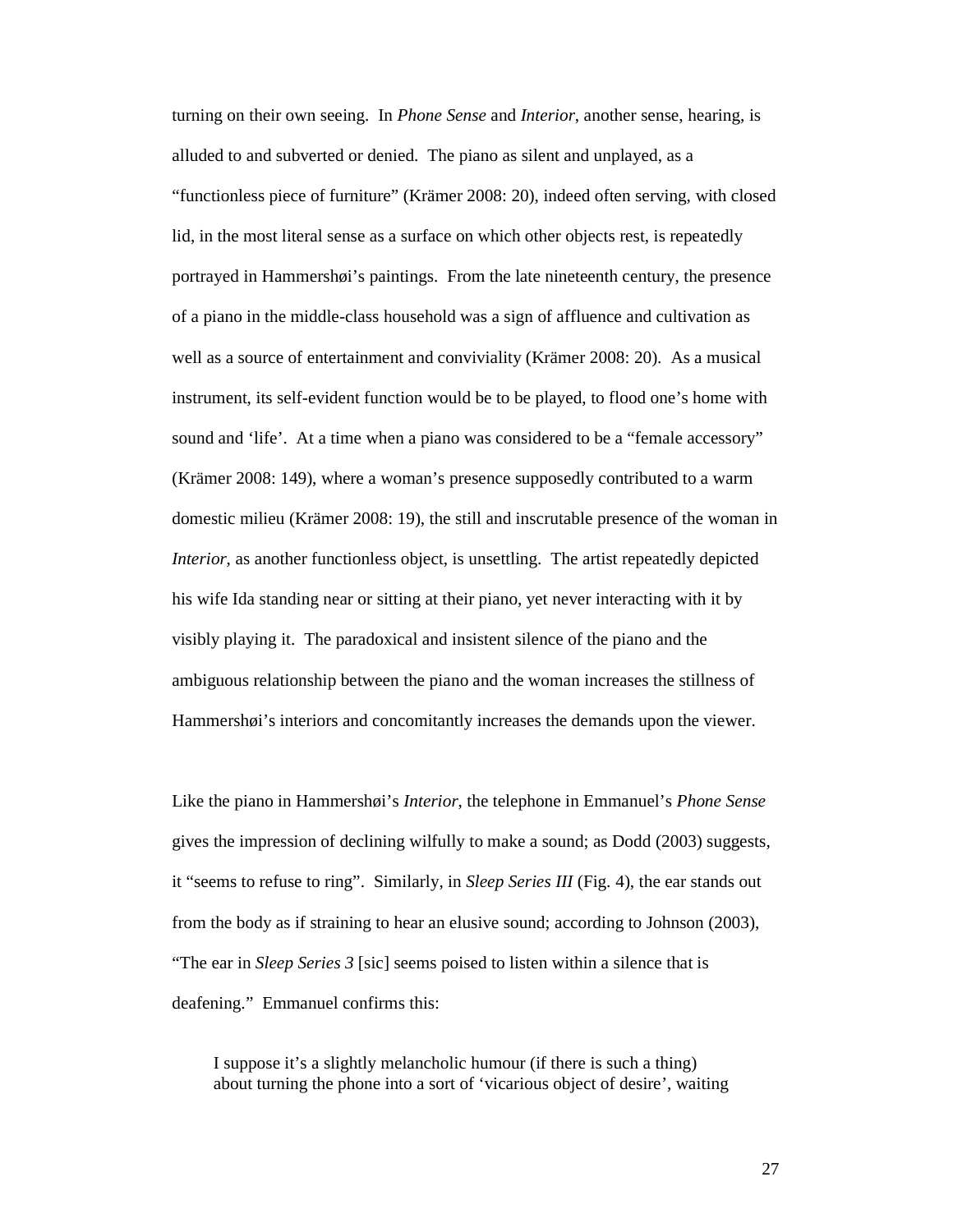turning on their own seeing. In *Phone Sense* and *Interior*, another sense, hearing, is alluded to and subverted or denied. The piano as silent and unplayed, as a "functionless piece of furniture" (Krämer 2008: 20), indeed often serving, with closed lid, in the most literal sense as a surface on which other objects rest, is repeatedly portrayed in Hammershøi's paintings. From the late nineteenth century, the presence of a piano in the middle-class household was a sign of affluence and cultivation as well as a source of entertainment and conviviality (Krämer 2008: 20). As a musical instrument, its self-evident function would be to be played, to flood one's home with sound and 'life'. At a time when a piano was considered to be a "female accessory" (Krämer 2008: 149), where a woman's presence supposedly contributed to a warm domestic milieu (Krämer 2008: 19), the still and inscrutable presence of the woman in *Interior*, as another functionless object, is unsettling. The artist repeatedly depicted his wife Ida standing near or sitting at their piano, yet never interacting with it by visibly playing it. The paradoxical and insistent silence of the piano and the ambiguous relationship between the piano and the woman increases the stillness of Hammershøi's interiors and concomitantly increases the demands upon the viewer.

Like the piano in Hammershøi's *Interior*, the telephone in Emmanuel's *Phone Sense* gives the impression of declining wilfully to make a sound; as Dodd (2003) suggests, it "seems to refuse to ring". Similarly, in *Sleep Series III* (Fig. 4), the ear stands out from the body as if straining to hear an elusive sound; according to Johnson (2003), "The ear in *Sleep Series 3* [sic] seems poised to listen within a silence that is deafening." Emmanuel confirms this:

I suppose it's a slightly melancholic humour (if there is such a thing) about turning the phone into a sort of 'vicarious object of desire', waiting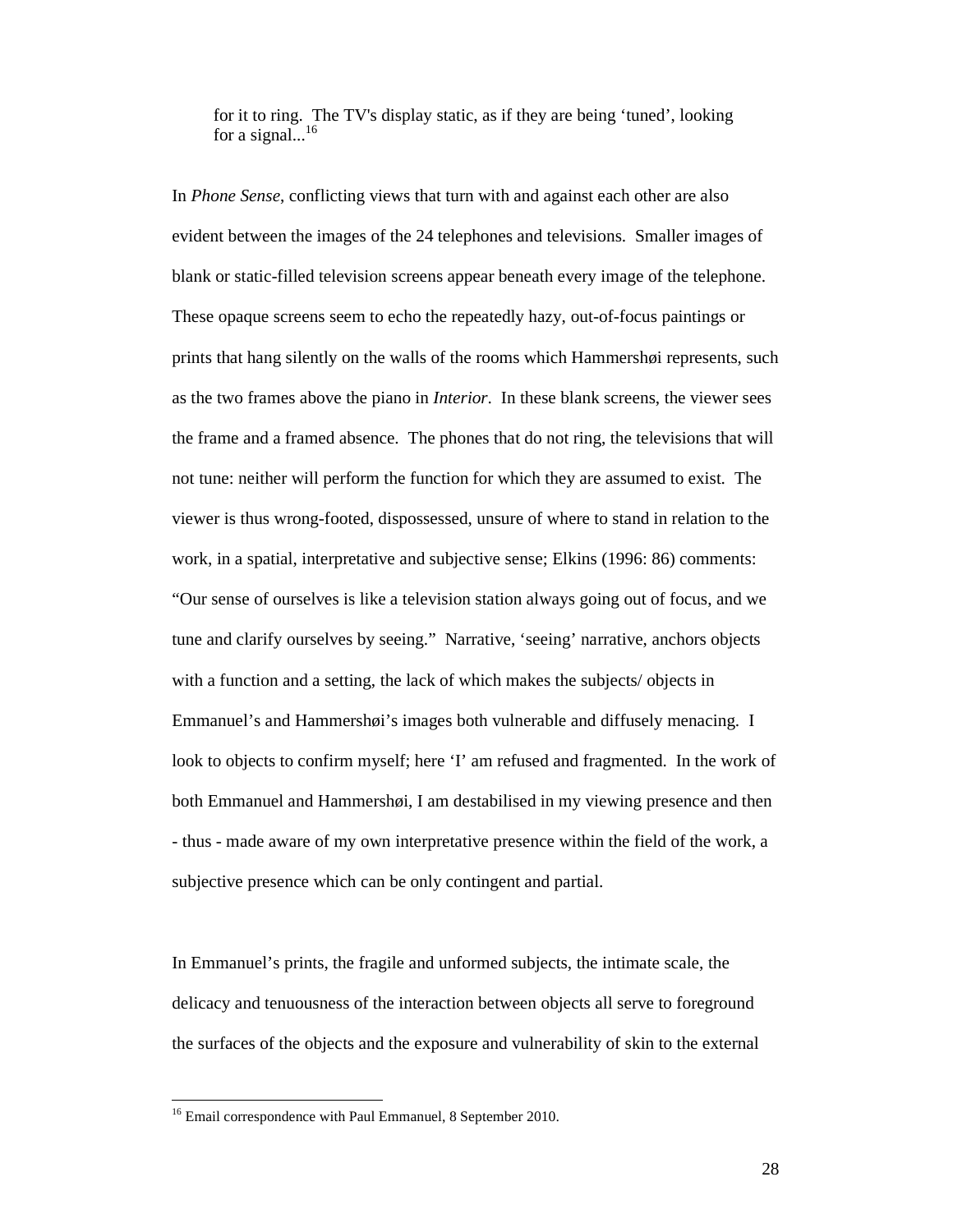for it to ring. The TV's display static, as if they are being 'tuned', looking for a signal... $^{16}$ 

In *Phone Sense*, conflicting views that turn with and against each other are also evident between the images of the 24 telephones and televisions. Smaller images of blank or static-filled television screens appear beneath every image of the telephone. These opaque screens seem to echo the repeatedly hazy, out-of-focus paintings or prints that hang silently on the walls of the rooms which Hammershøi represents, such as the two frames above the piano in *Interior*. In these blank screens, the viewer sees the frame and a framed absence. The phones that do not ring, the televisions that will not tune: neither will perform the function for which they are assumed to exist. The viewer is thus wrong-footed, dispossessed, unsure of where to stand in relation to the work, in a spatial, interpretative and subjective sense; Elkins (1996: 86) comments: "Our sense of ourselves is like a television station always going out of focus, and we tune and clarify ourselves by seeing." Narrative, 'seeing' narrative, anchors objects with a function and a setting, the lack of which makes the subjects/ objects in Emmanuel's and Hammershøi's images both vulnerable and diffusely menacing. I look to objects to confirm myself; here 'I' am refused and fragmented. In the work of both Emmanuel and Hammershøi, I am destabilised in my viewing presence and then - thus - made aware of my own interpretative presence within the field of the work, a subjective presence which can be only contingent and partial.

In Emmanuel's prints, the fragile and unformed subjects, the intimate scale, the delicacy and tenuousness of the interaction between objects all serve to foreground the surfaces of the objects and the exposure and vulnerability of skin to the external

<sup>&</sup>lt;sup>16</sup> Email correspondence with Paul Emmanuel, 8 September 2010.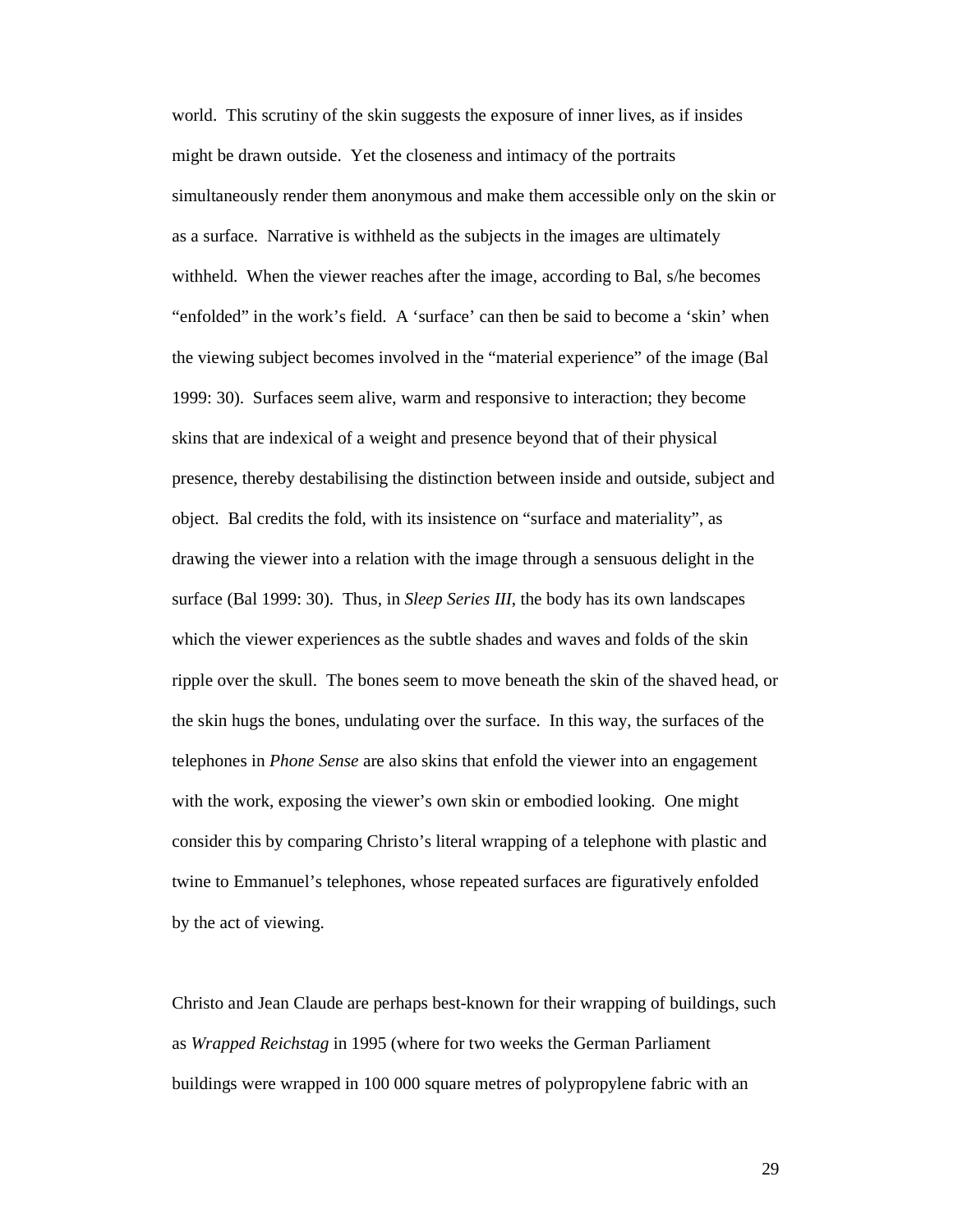world. This scrutiny of the skin suggests the exposure of inner lives, as if insides might be drawn outside. Yet the closeness and intimacy of the portraits simultaneously render them anonymous and make them accessible only on the skin or as a surface. Narrative is withheld as the subjects in the images are ultimately withheld. When the viewer reaches after the image, according to Bal, s/he becomes "enfolded" in the work's field. A 'surface' can then be said to become a 'skin' when the viewing subject becomes involved in the "material experience" of the image (Bal 1999: 30). Surfaces seem alive, warm and responsive to interaction; they become skins that are indexical of a weight and presence beyond that of their physical presence, thereby destabilising the distinction between inside and outside, subject and object. Bal credits the fold, with its insistence on "surface and materiality", as drawing the viewer into a relation with the image through a sensuous delight in the surface (Bal 1999: 30). Thus, in *Sleep Series III*, the body has its own landscapes which the viewer experiences as the subtle shades and waves and folds of the skin ripple over the skull. The bones seem to move beneath the skin of the shaved head, or the skin hugs the bones, undulating over the surface. In this way, the surfaces of the telephones in *Phone Sense* are also skins that enfold the viewer into an engagement with the work, exposing the viewer's own skin or embodied looking. One might consider this by comparing Christo's literal wrapping of a telephone with plastic and twine to Emmanuel's telephones, whose repeated surfaces are figuratively enfolded by the act of viewing.

Christo and Jean Claude are perhaps best-known for their wrapping of buildings, such as *Wrapped Reichstag* in 1995 (where for two weeks the German Parliament buildings were wrapped in 100 000 square metres of polypropylene fabric with an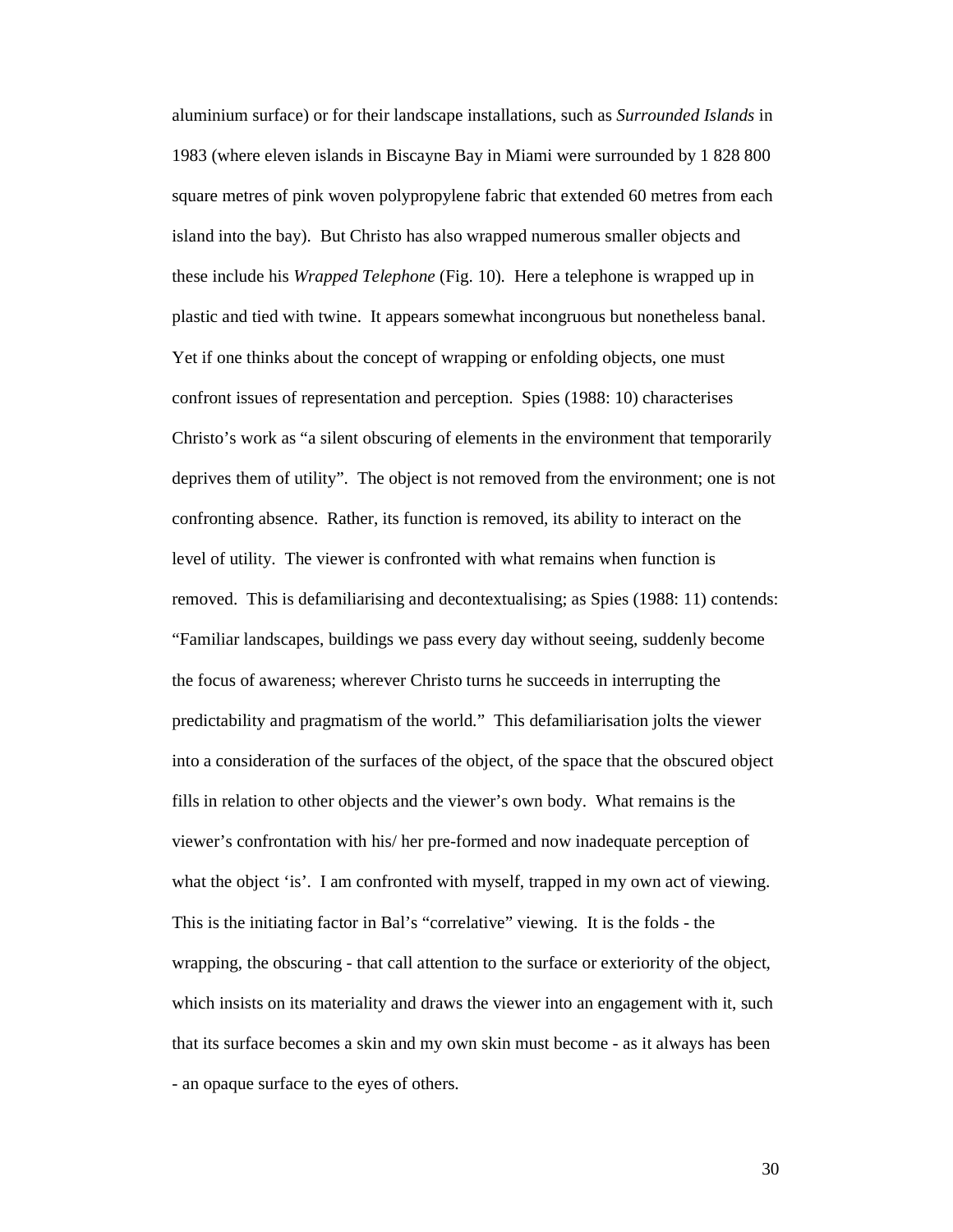aluminium surface) or for their landscape installations, such as *Surrounded Islands* in 1983 (where eleven islands in Biscayne Bay in Miami were surrounded by 1 828 800 square metres of pink woven polypropylene fabric that extended 60 metres from each island into the bay). But Christo has also wrapped numerous smaller objects and these include his *Wrapped Telephone* (Fig. 10)*.* Here a telephone is wrapped up in plastic and tied with twine. It appears somewhat incongruous but nonetheless banal. Yet if one thinks about the concept of wrapping or enfolding objects, one must confront issues of representation and perception. Spies (1988: 10) characterises Christo's work as "a silent obscuring of elements in the environment that temporarily deprives them of utility". The object is not removed from the environment; one is not confronting absence. Rather, its function is removed, its ability to interact on the level of utility. The viewer is confronted with what remains when function is removed. This is defamiliarising and decontextualising; as Spies (1988: 11) contends: "Familiar landscapes, buildings we pass every day without seeing, suddenly become the focus of awareness; wherever Christo turns he succeeds in interrupting the predictability and pragmatism of the world." This defamiliarisation jolts the viewer into a consideration of the surfaces of the object, of the space that the obscured object fills in relation to other objects and the viewer's own body. What remains is the viewer's confrontation with his/ her pre-formed and now inadequate perception of what the object 'is'. I am confronted with myself, trapped in my own act of viewing. This is the initiating factor in Bal's "correlative" viewing. It is the folds - the wrapping, the obscuring - that call attention to the surface or exteriority of the object, which insists on its materiality and draws the viewer into an engagement with it, such that its surface becomes a skin and my own skin must become - as it always has been - an opaque surface to the eyes of others.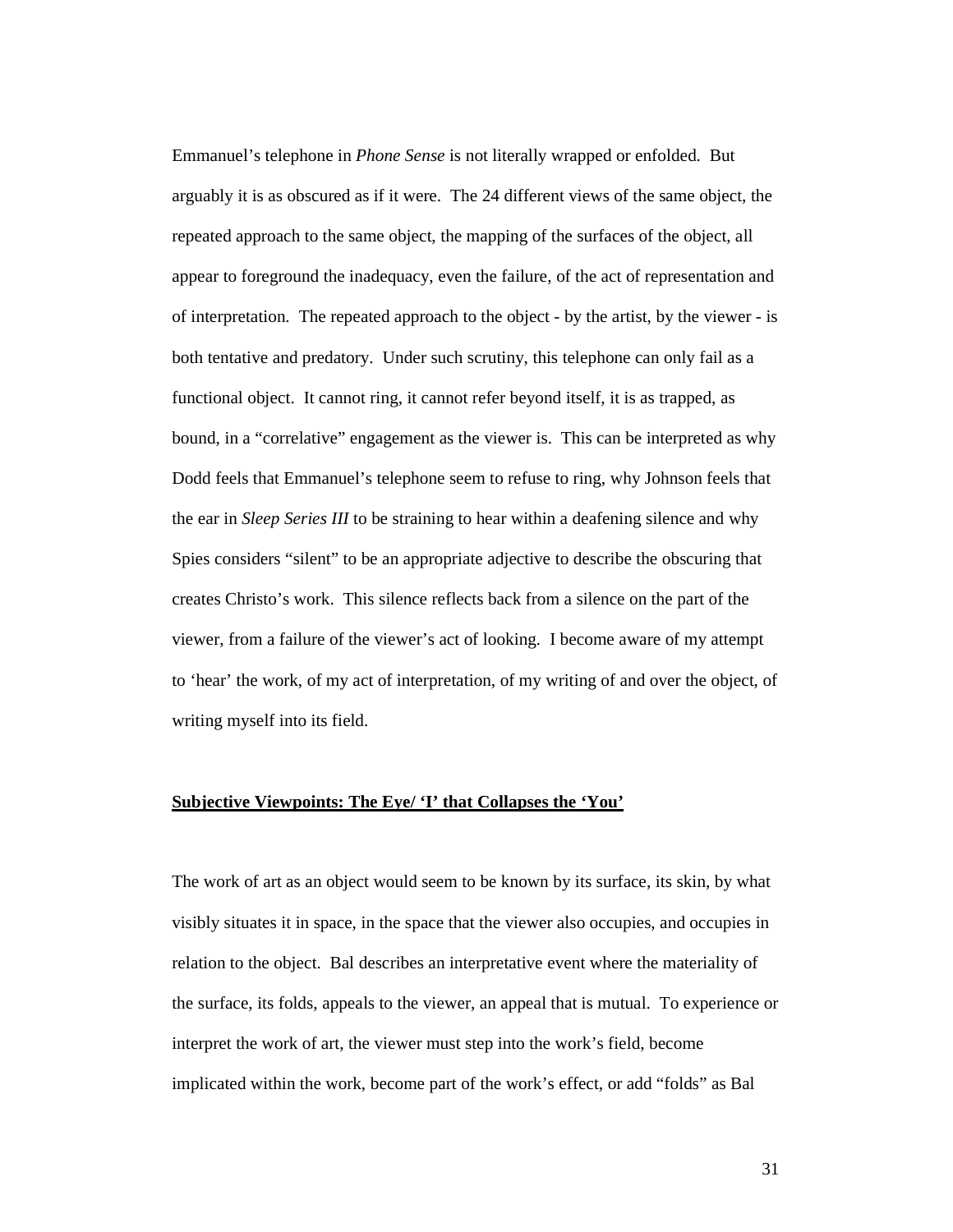Emmanuel's telephone in *Phone Sense* is not literally wrapped or enfolded. But arguably it is as obscured as if it were. The 24 different views of the same object, the repeated approach to the same object, the mapping of the surfaces of the object, all appear to foreground the inadequacy, even the failure, of the act of representation and of interpretation. The repeated approach to the object - by the artist, by the viewer - is both tentative and predatory. Under such scrutiny, this telephone can only fail as a functional object. It cannot ring, it cannot refer beyond itself, it is as trapped, as bound, in a "correlative" engagement as the viewer is. This can be interpreted as why Dodd feels that Emmanuel's telephone seem to refuse to ring, why Johnson feels that the ear in *Sleep Series III* to be straining to hear within a deafening silence and why Spies considers "silent" to be an appropriate adjective to describe the obscuring that creates Christo's work. This silence reflects back from a silence on the part of the viewer, from a failure of the viewer's act of looking. I become aware of my attempt to 'hear' the work, of my act of interpretation, of my writing of and over the object, of writing myself into its field.

### **Subjective Viewpoints: The Eye/ 'I' that Collapses the 'You'**

The work of art as an object would seem to be known by its surface, its skin, by what visibly situates it in space, in the space that the viewer also occupies, and occupies in relation to the object. Bal describes an interpretative event where the materiality of the surface, its folds, appeals to the viewer, an appeal that is mutual. To experience or interpret the work of art, the viewer must step into the work's field, become implicated within the work, become part of the work's effect, or add "folds" as Bal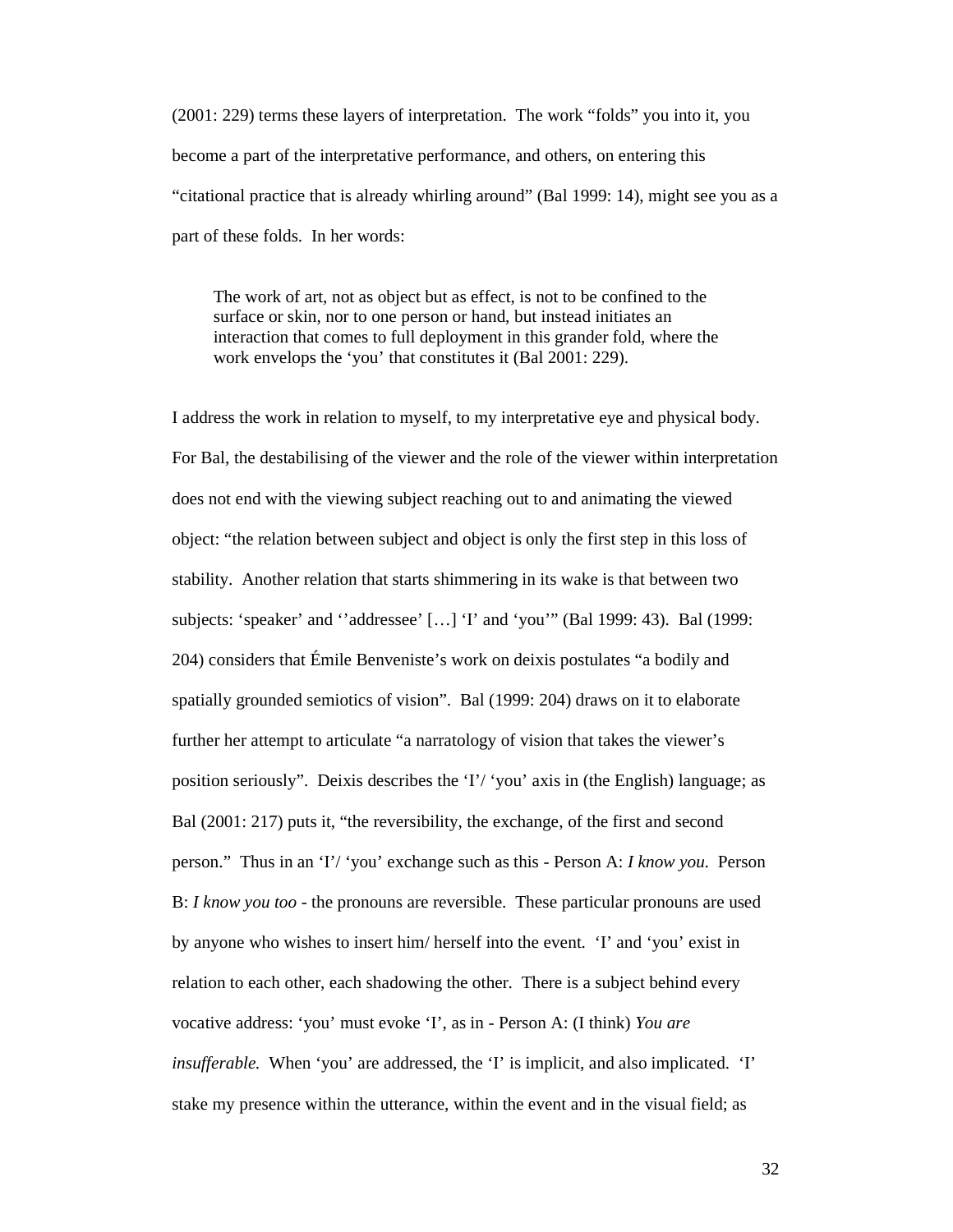(2001: 229) terms these layers of interpretation. The work "folds" you into it, you become a part of the interpretative performance, and others, on entering this "citational practice that is already whirling around" (Bal 1999: 14), might see you as a part of these folds. In her words:

The work of art, not as object but as effect, is not to be confined to the surface or skin, nor to one person or hand, but instead initiates an interaction that comes to full deployment in this grander fold, where the work envelops the 'you' that constitutes it (Bal 2001: 229).

I address the work in relation to myself, to my interpretative eye and physical body. For Bal, the destabilising of the viewer and the role of the viewer within interpretation does not end with the viewing subject reaching out to and animating the viewed object: "the relation between subject and object is only the first step in this loss of stability. Another relation that starts shimmering in its wake is that between two subjects: 'speaker' and ''addressee' […] 'I' and 'you'" (Bal 1999: 43). Bal (1999: 204) considers that Émile Benveniste's work on deixis postulates "a bodily and spatially grounded semiotics of vision". Bal (1999: 204) draws on it to elaborate further her attempt to articulate "a narratology of vision that takes the viewer's position seriously". Deixis describes the 'I'/ 'you' axis in (the English) language; as Bal (2001: 217) puts it, "the reversibility, the exchange, of the first and second person." Thus in an 'I'/ 'you' exchange such as this - Person A: *I know you*. Person B: *I know you too* - the pronouns are reversible. These particular pronouns are used by anyone who wishes to insert him/ herself into the event. 'I' and 'you' exist in relation to each other, each shadowing the other. There is a subject behind every vocative address: 'you' must evoke 'I', as in - Person A: (I think) *You are insufferable.* When 'you' are addressed, the 'I' is implicit, and also implicated. 'I' stake my presence within the utterance, within the event and in the visual field; as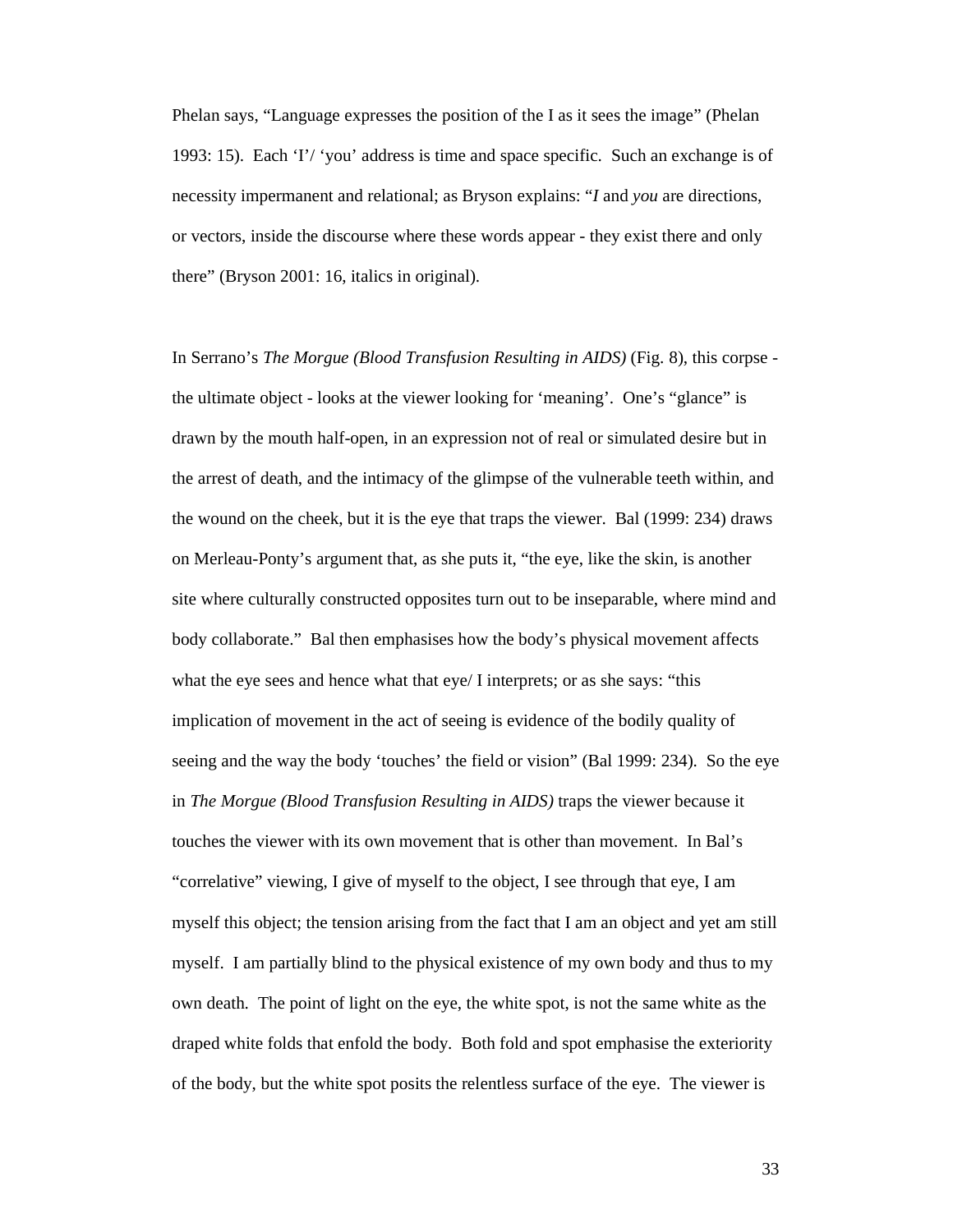Phelan says, "Language expresses the position of the I as it sees the image" (Phelan 1993: 15). Each 'I'/ 'you' address is time and space specific. Such an exchange is of necessity impermanent and relational; as Bryson explains: "*I* and *you* are directions, or vectors, inside the discourse where these words appear - they exist there and only there" (Bryson 2001: 16, italics in original).

In Serrano's *The Morgue (Blood Transfusion Resulting in AIDS)* (Fig. 8), this corpse the ultimate object - looks at the viewer looking for 'meaning'. One's "glance" is drawn by the mouth half-open, in an expression not of real or simulated desire but in the arrest of death, and the intimacy of the glimpse of the vulnerable teeth within, and the wound on the cheek, but it is the eye that traps the viewer. Bal (1999: 234) draws on Merleau-Ponty's argument that, as she puts it, "the eye, like the skin, is another site where culturally constructed opposites turn out to be inseparable, where mind and body collaborate." Bal then emphasises how the body's physical movement affects what the eye sees and hence what that eye/ I interprets; or as she says: "this implication of movement in the act of seeing is evidence of the bodily quality of seeing and the way the body 'touches' the field or vision" (Bal 1999: 234). So the eye in *The Morgue (Blood Transfusion Resulting in AIDS)* traps the viewer because it touches the viewer with its own movement that is other than movement. In Bal's "correlative" viewing, I give of myself to the object, I see through that eye, I am myself this object; the tension arising from the fact that I am an object and yet am still myself. I am partially blind to the physical existence of my own body and thus to my own death. The point of light on the eye, the white spot, is not the same white as the draped white folds that enfold the body. Both fold and spot emphasise the exteriority of the body, but the white spot posits the relentless surface of the eye. The viewer is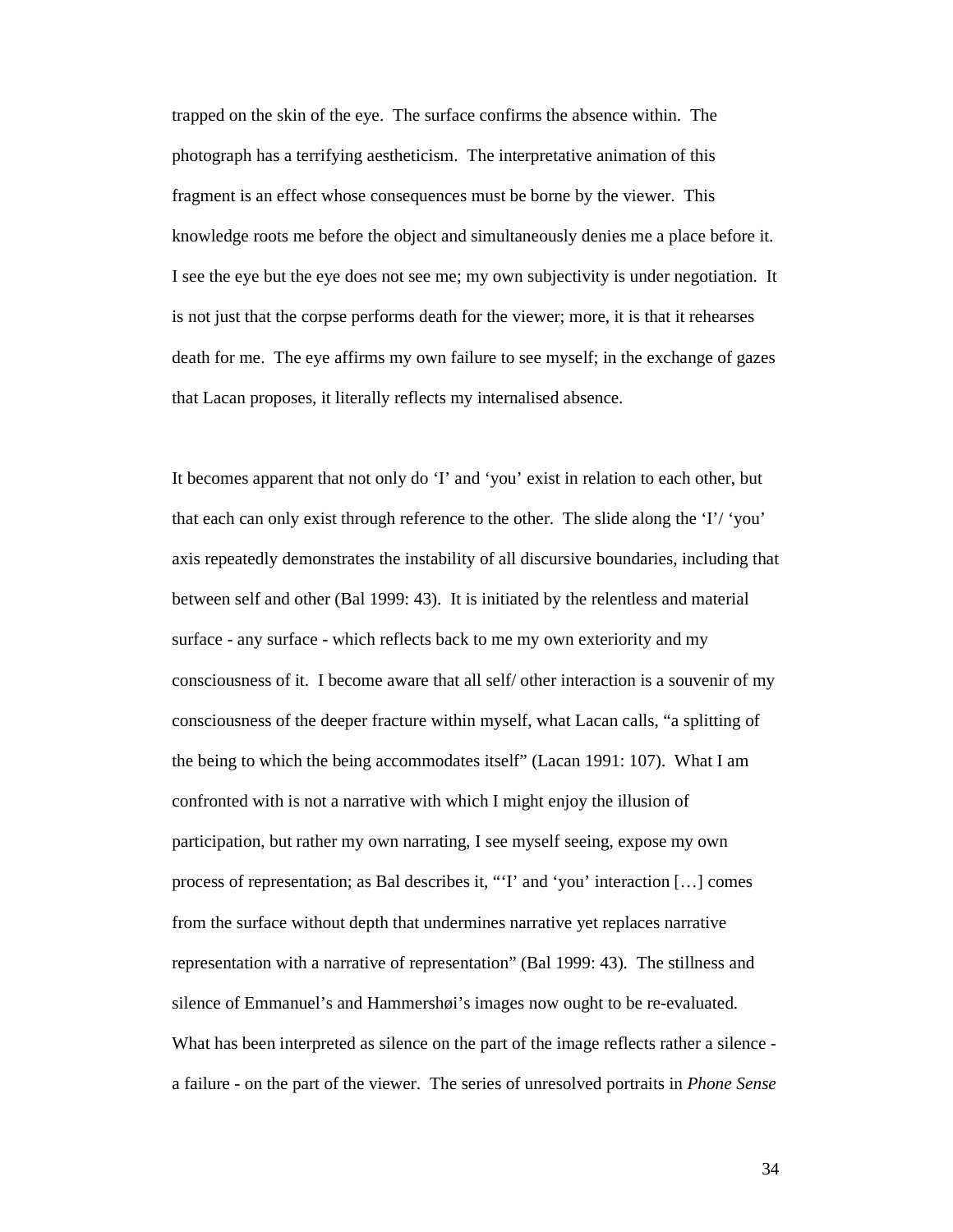trapped on the skin of the eye. The surface confirms the absence within. The photograph has a terrifying aestheticism. The interpretative animation of this fragment is an effect whose consequences must be borne by the viewer. This knowledge roots me before the object and simultaneously denies me a place before it. I see the eye but the eye does not see me; my own subjectivity is under negotiation. It is not just that the corpse performs death for the viewer; more, it is that it rehearses death for me. The eye affirms my own failure to see myself; in the exchange of gazes that Lacan proposes, it literally reflects my internalised absence.

It becomes apparent that not only do 'I' and 'you' exist in relation to each other, but that each can only exist through reference to the other. The slide along the 'I'/ 'you' axis repeatedly demonstrates the instability of all discursive boundaries, including that between self and other (Bal 1999: 43). It is initiated by the relentless and material surface - any surface - which reflects back to me my own exteriority and my consciousness of it. I become aware that all self/ other interaction is a souvenir of my consciousness of the deeper fracture within myself, what Lacan calls, "a splitting of the being to which the being accommodates itself" (Lacan 1991: 107). What I am confronted with is not a narrative with which I might enjoy the illusion of participation, but rather my own narrating, I see myself seeing, expose my own process of representation; as Bal describes it, "'I' and 'you' interaction […] comes from the surface without depth that undermines narrative yet replaces narrative representation with a narrative of representation" (Bal 1999: 43). The stillness and silence of Emmanuel's and Hammershøi's images now ought to be re-evaluated. What has been interpreted as silence on the part of the image reflects rather a silence a failure - on the part of the viewer. The series of unresolved portraits in *Phone Sense*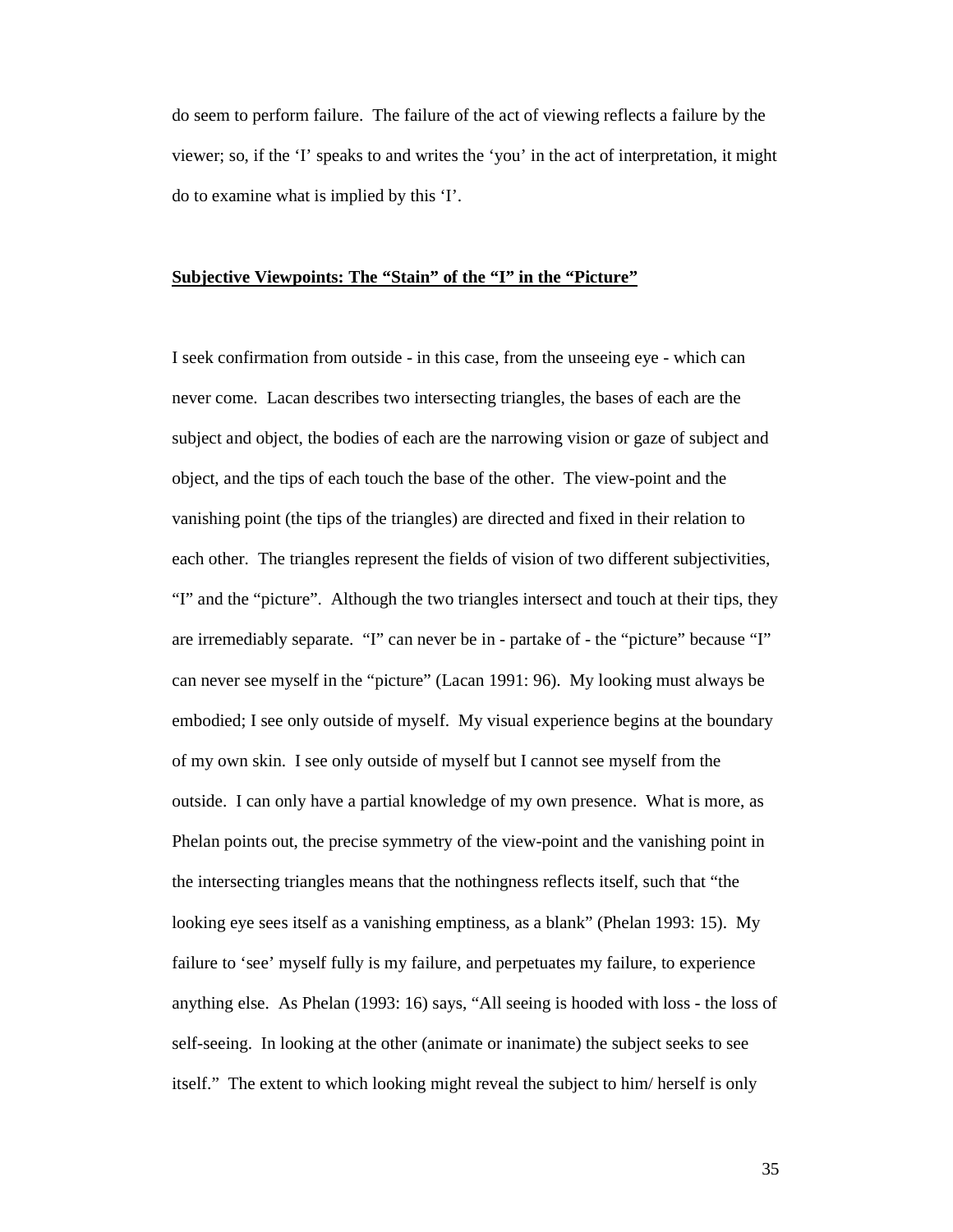do seem to perform failure. The failure of the act of viewing reflects a failure by the viewer; so, if the 'I' speaks to and writes the 'you' in the act of interpretation, it might do to examine what is implied by this 'I'.

#### **Subjective Viewpoints: The "Stain" of the "I" in the "Picture"**

I seek confirmation from outside - in this case, from the unseeing eye - which can never come. Lacan describes two intersecting triangles, the bases of each are the subject and object, the bodies of each are the narrowing vision or gaze of subject and object, and the tips of each touch the base of the other. The view-point and the vanishing point (the tips of the triangles) are directed and fixed in their relation to each other. The triangles represent the fields of vision of two different subjectivities, "I" and the "picture". Although the two triangles intersect and touch at their tips, they are irremediably separate. "I" can never be in - partake of - the "picture" because "I" can never see myself in the "picture" (Lacan 1991: 96). My looking must always be embodied; I see only outside of myself. My visual experience begins at the boundary of my own skin. I see only outside of myself but I cannot see myself from the outside. I can only have a partial knowledge of my own presence. What is more, as Phelan points out, the precise symmetry of the view-point and the vanishing point in the intersecting triangles means that the nothingness reflects itself, such that "the looking eye sees itself as a vanishing emptiness, as a blank" (Phelan 1993: 15). My failure to 'see' myself fully is my failure, and perpetuates my failure, to experience anything else. As Phelan (1993: 16) says, "All seeing is hooded with loss - the loss of self-seeing. In looking at the other (animate or inanimate) the subject seeks to see itself." The extent to which looking might reveal the subject to him/ herself is only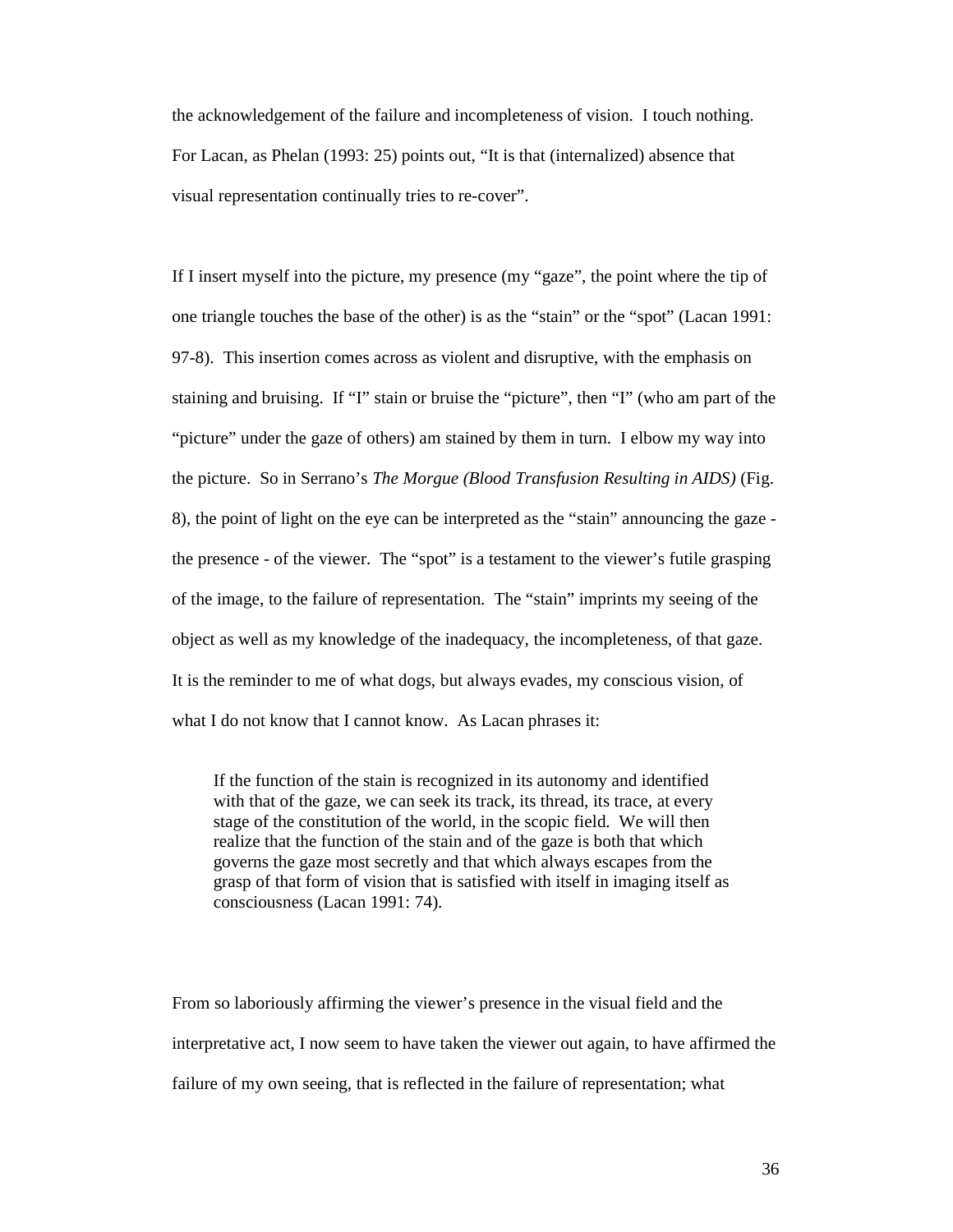the acknowledgement of the failure and incompleteness of vision. I touch nothing. For Lacan, as Phelan (1993: 25) points out, "It is that (internalized) absence that visual representation continually tries to re-cover".

If I insert myself into the picture, my presence (my "gaze", the point where the tip of one triangle touches the base of the other) is as the "stain" or the "spot" (Lacan 1991: 97-8). This insertion comes across as violent and disruptive, with the emphasis on staining and bruising. If "I" stain or bruise the "picture", then "I" (who am part of the "picture" under the gaze of others) am stained by them in turn. I elbow my way into the picture. So in Serrano's *The Morgue (Blood Transfusion Resulting in AIDS)* (Fig. 8), the point of light on the eye can be interpreted as the "stain" announcing the gaze the presence - of the viewer. The "spot" is a testament to the viewer's futile grasping of the image, to the failure of representation. The "stain" imprints my seeing of the object as well as my knowledge of the inadequacy, the incompleteness, of that gaze. It is the reminder to me of what dogs, but always evades, my conscious vision, of what I do not know that I cannot know. As Lacan phrases it:

If the function of the stain is recognized in its autonomy and identified with that of the gaze, we can seek its track, its thread, its trace, at every stage of the constitution of the world, in the scopic field. We will then realize that the function of the stain and of the gaze is both that which governs the gaze most secretly and that which always escapes from the grasp of that form of vision that is satisfied with itself in imaging itself as consciousness (Lacan 1991: 74).

From so laboriously affirming the viewer's presence in the visual field and the interpretative act, I now seem to have taken the viewer out again, to have affirmed the failure of my own seeing, that is reflected in the failure of representation; what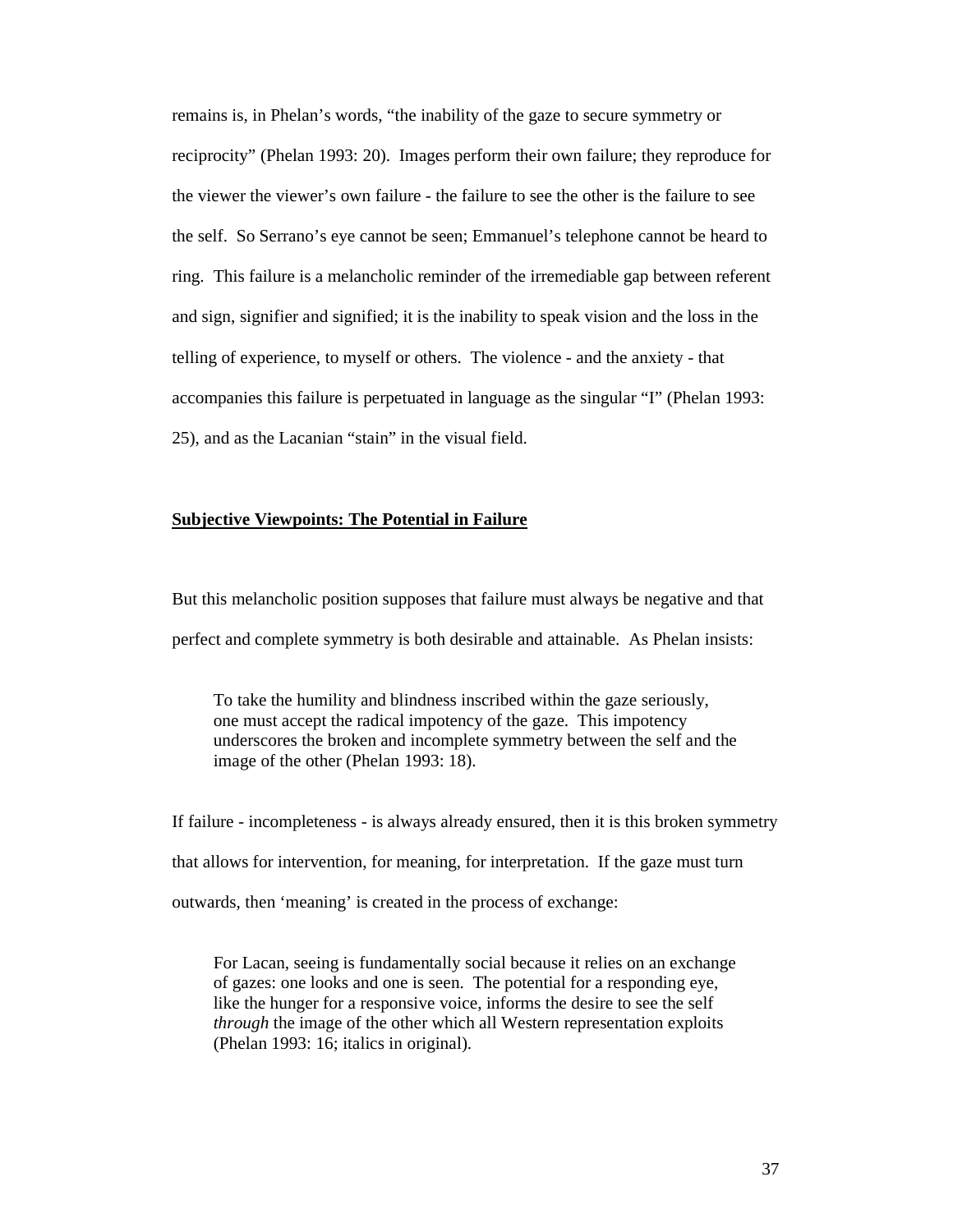remains is, in Phelan's words, "the inability of the gaze to secure symmetry or reciprocity" (Phelan 1993: 20). Images perform their own failure; they reproduce for the viewer the viewer's own failure - the failure to see the other is the failure to see the self. So Serrano's eye cannot be seen; Emmanuel's telephone cannot be heard to ring. This failure is a melancholic reminder of the irremediable gap between referent and sign, signifier and signified; it is the inability to speak vision and the loss in the telling of experience, to myself or others. The violence - and the anxiety - that accompanies this failure is perpetuated in language as the singular "I" (Phelan 1993: 25), and as the Lacanian "stain" in the visual field.

# **Subjective Viewpoints: The Potential in Failure**

But this melancholic position supposes that failure must always be negative and that perfect and complete symmetry is both desirable and attainable. As Phelan insists:

To take the humility and blindness inscribed within the gaze seriously, one must accept the radical impotency of the gaze. This impotency underscores the broken and incomplete symmetry between the self and the image of the other (Phelan 1993: 18).

If failure - incompleteness - is always already ensured, then it is this broken symmetry that allows for intervention, for meaning, for interpretation. If the gaze must turn outwards, then 'meaning' is created in the process of exchange:

For Lacan, seeing is fundamentally social because it relies on an exchange of gazes: one looks and one is seen. The potential for a responding eye, like the hunger for a responsive voice, informs the desire to see the self *through* the image of the other which all Western representation exploits (Phelan 1993: 16; italics in original).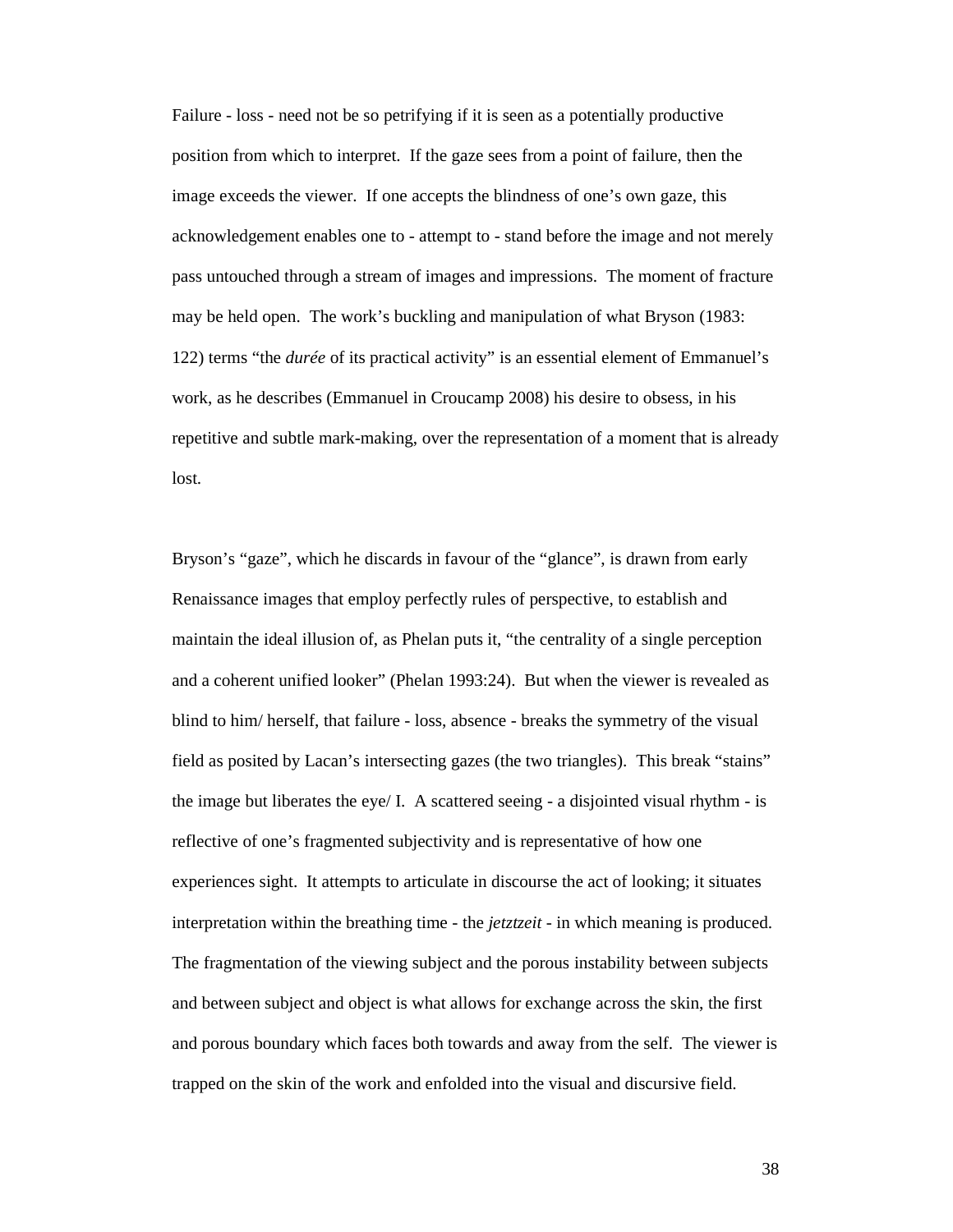Failure - loss - need not be so petrifying if it is seen as a potentially productive position from which to interpret. If the gaze sees from a point of failure, then the image exceeds the viewer. If one accepts the blindness of one's own gaze, this acknowledgement enables one to - attempt to - stand before the image and not merely pass untouched through a stream of images and impressions. The moment of fracture may be held open. The work's buckling and manipulation of what Bryson (1983: 122) terms "the *durée* of its practical activity" is an essential element of Emmanuel's work, as he describes (Emmanuel in Croucamp 2008) his desire to obsess, in his repetitive and subtle mark-making, over the representation of a moment that is already lost.

Bryson's "gaze", which he discards in favour of the "glance", is drawn from early Renaissance images that employ perfectly rules of perspective, to establish and maintain the ideal illusion of, as Phelan puts it, "the centrality of a single perception and a coherent unified looker" (Phelan 1993:24). But when the viewer is revealed as blind to him/ herself, that failure - loss, absence - breaks the symmetry of the visual field as posited by Lacan's intersecting gazes (the two triangles). This break "stains" the image but liberates the eye/ I. A scattered seeing - a disjointed visual rhythm - is reflective of one's fragmented subjectivity and is representative of how one experiences sight. It attempts to articulate in discourse the act of looking; it situates interpretation within the breathing time - the *jetztzeit* - in which meaning is produced. The fragmentation of the viewing subject and the porous instability between subjects and between subject and object is what allows for exchange across the skin, the first and porous boundary which faces both towards and away from the self. The viewer is trapped on the skin of the work and enfolded into the visual and discursive field.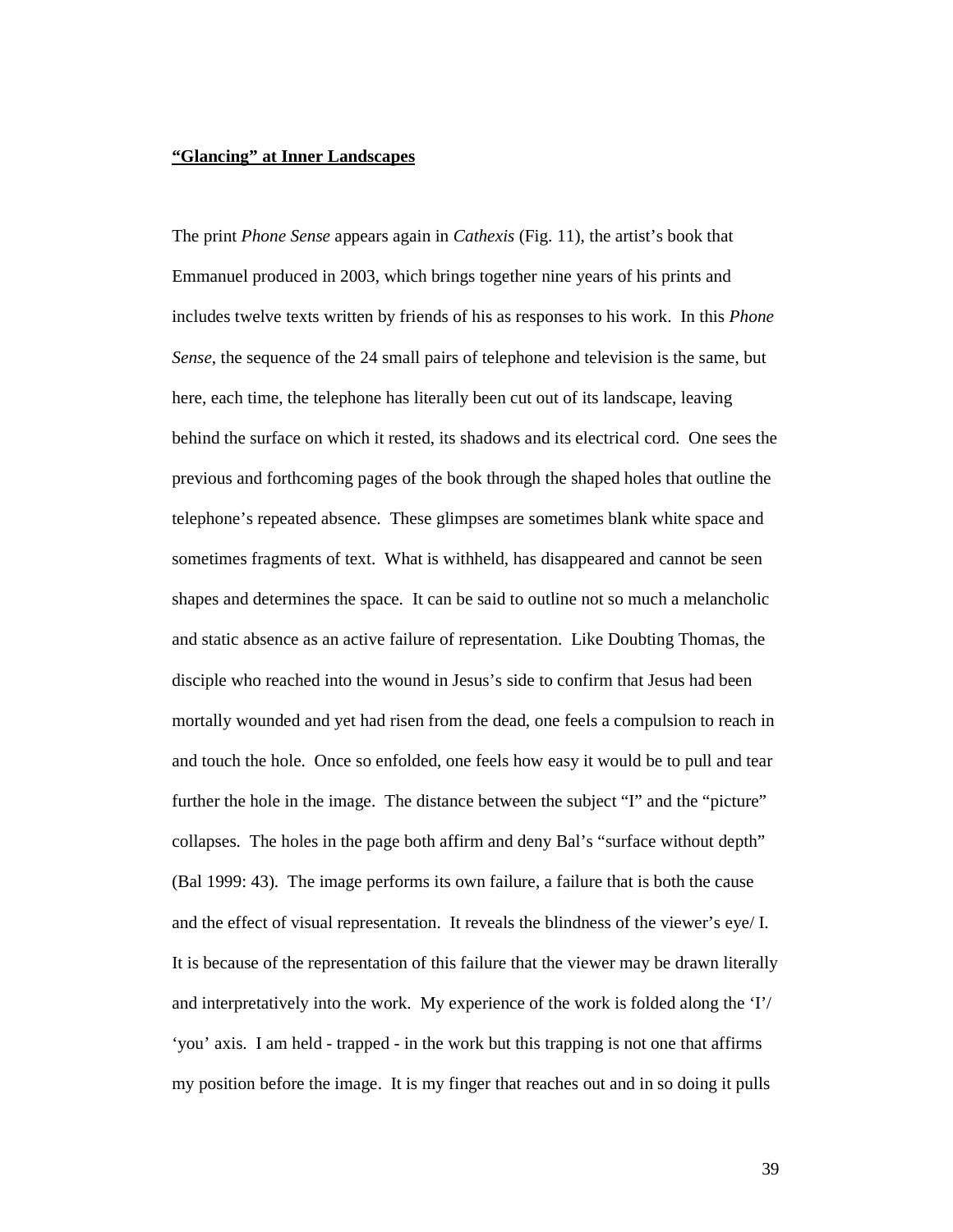#### **"Glancing" at Inner Landscapes**

The print *Phone Sense* appears again in *Cathexis* (Fig. 11), the artist's book that Emmanuel produced in 2003, which brings together nine years of his prints and includes twelve texts written by friends of his as responses to his work. In this *Phone Sense*, the sequence of the 24 small pairs of telephone and television is the same, but here, each time, the telephone has literally been cut out of its landscape, leaving behind the surface on which it rested, its shadows and its electrical cord. One sees the previous and forthcoming pages of the book through the shaped holes that outline the telephone's repeated absence. These glimpses are sometimes blank white space and sometimes fragments of text. What is withheld, has disappeared and cannot be seen shapes and determines the space. It can be said to outline not so much a melancholic and static absence as an active failure of representation. Like Doubting Thomas, the disciple who reached into the wound in Jesus's side to confirm that Jesus had been mortally wounded and yet had risen from the dead, one feels a compulsion to reach in and touch the hole. Once so enfolded, one feels how easy it would be to pull and tear further the hole in the image. The distance between the subject "I" and the "picture" collapses. The holes in the page both affirm and deny Bal's "surface without depth" (Bal 1999: 43). The image performs its own failure, a failure that is both the cause and the effect of visual representation. It reveals the blindness of the viewer's eye/ I. It is because of the representation of this failure that the viewer may be drawn literally and interpretatively into the work. My experience of the work is folded along the 'I'/ 'you' axis. I am held - trapped - in the work but this trapping is not one that affirms my position before the image. It is my finger that reaches out and in so doing it pulls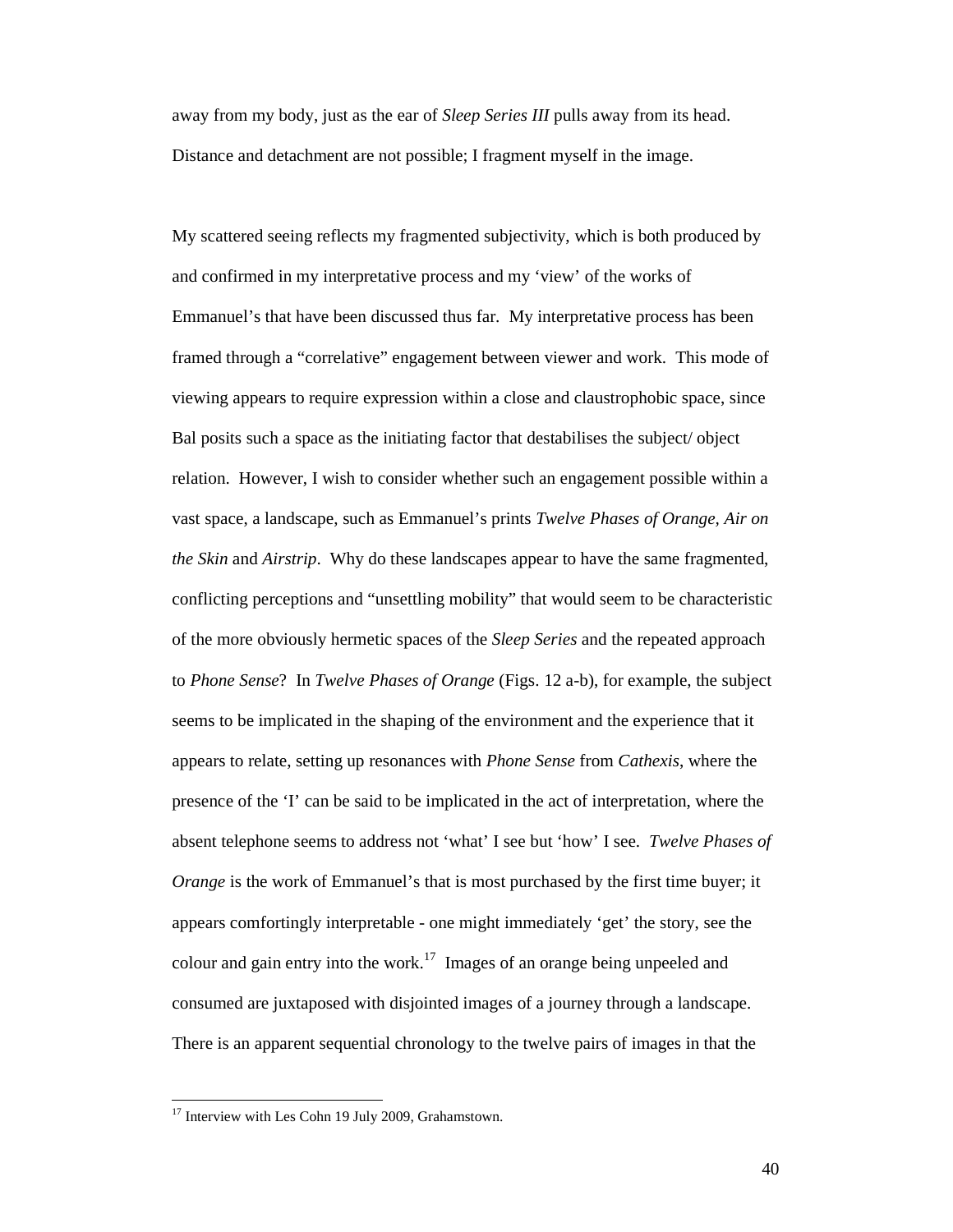away from my body, just as the ear of *Sleep Series III* pulls away from its head. Distance and detachment are not possible; I fragment myself in the image.

My scattered seeing reflects my fragmented subjectivity, which is both produced by and confirmed in my interpretative process and my 'view' of the works of Emmanuel's that have been discussed thus far. My interpretative process has been framed through a "correlative" engagement between viewer and work. This mode of viewing appears to require expression within a close and claustrophobic space, since Bal posits such a space as the initiating factor that destabilises the subject/ object relation. However, I wish to consider whether such an engagement possible within a vast space, a landscape, such as Emmanuel's prints *Twelve Phases of Orange, Air on the Skin* and *Airstrip*. Why do these landscapes appear to have the same fragmented, conflicting perceptions and "unsettling mobility" that would seem to be characteristic of the more obviously hermetic spaces of the *Sleep Series* and the repeated approach to *Phone Sense*? In *Twelve Phases of Orange* (Figs. 12 a-b), for example, the subject seems to be implicated in the shaping of the environment and the experience that it appears to relate, setting up resonances with *Phone Sense* from *Cathexis*, where the presence of the 'I' can be said to be implicated in the act of interpretation, where the absent telephone seems to address not 'what' I see but 'how' I see. *Twelve Phases of Orange* is the work of Emmanuel's that is most purchased by the first time buyer; it appears comfortingly interpretable - one might immediately 'get' the story, see the colour and gain entry into the work.<sup>17</sup> Images of an orange being unpeeled and consumed are juxtaposed with disjointed images of a journey through a landscape. There is an apparent sequential chronology to the twelve pairs of images in that the

 $17$  Interview with Les Cohn 19 July 2009, Grahamstown.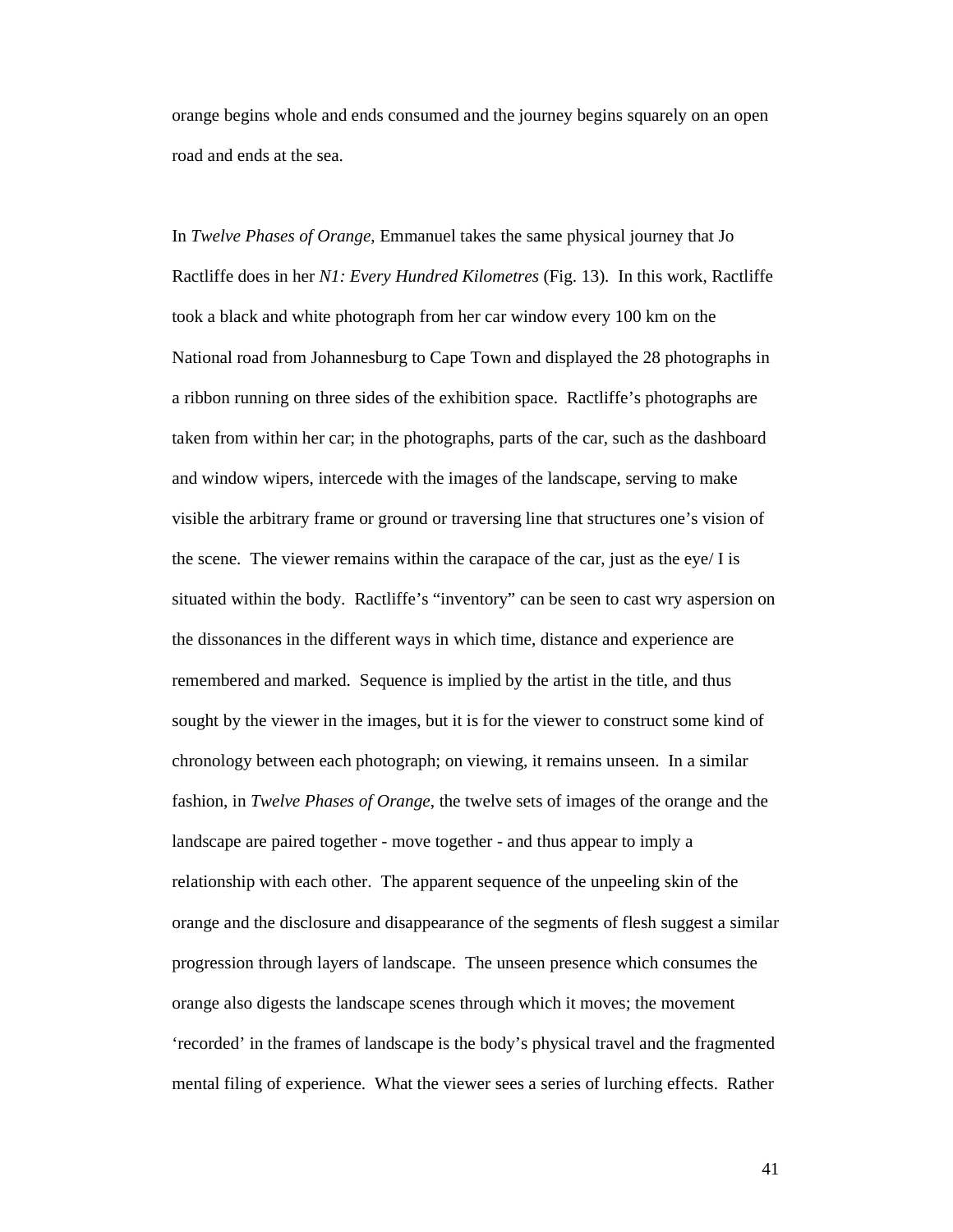orange begins whole and ends consumed and the journey begins squarely on an open road and ends at the sea.

In *Twelve Phases of Orange*, Emmanuel takes the same physical journey that Jo Ractliffe does in her *N1: Every Hundred Kilometres* (Fig. 13).In this work, Ractliffe took a black and white photograph from her car window every 100 km on the National road from Johannesburg to Cape Town and displayed the 28 photographs in a ribbon running on three sides of the exhibition space. Ractliffe's photographs are taken from within her car; in the photographs, parts of the car, such as the dashboard and window wipers, intercede with the images of the landscape, serving to make visible the arbitrary frame or ground or traversing line that structures one's vision of the scene. The viewer remains within the carapace of the car, just as the eye/ I is situated within the body. Ractliffe's "inventory" can be seen to cast wry aspersion on the dissonances in the different ways in which time, distance and experience are remembered and marked. Sequence is implied by the artist in the title, and thus sought by the viewer in the images, but it is for the viewer to construct some kind of chronology between each photograph; on viewing, it remains unseen. In a similar fashion, in *Twelve Phases of Orange*, the twelve sets of images of the orange and the landscape are paired together - move together - and thus appear to imply a relationship with each other. The apparent sequence of the unpeeling skin of the orange and the disclosure and disappearance of the segments of flesh suggest a similar progression through layers of landscape. The unseen presence which consumes the orange also digests the landscape scenes through which it moves; the movement 'recorded' in the frames of landscape is the body's physical travel and the fragmented mental filing of experience. What the viewer sees a series of lurching effects. Rather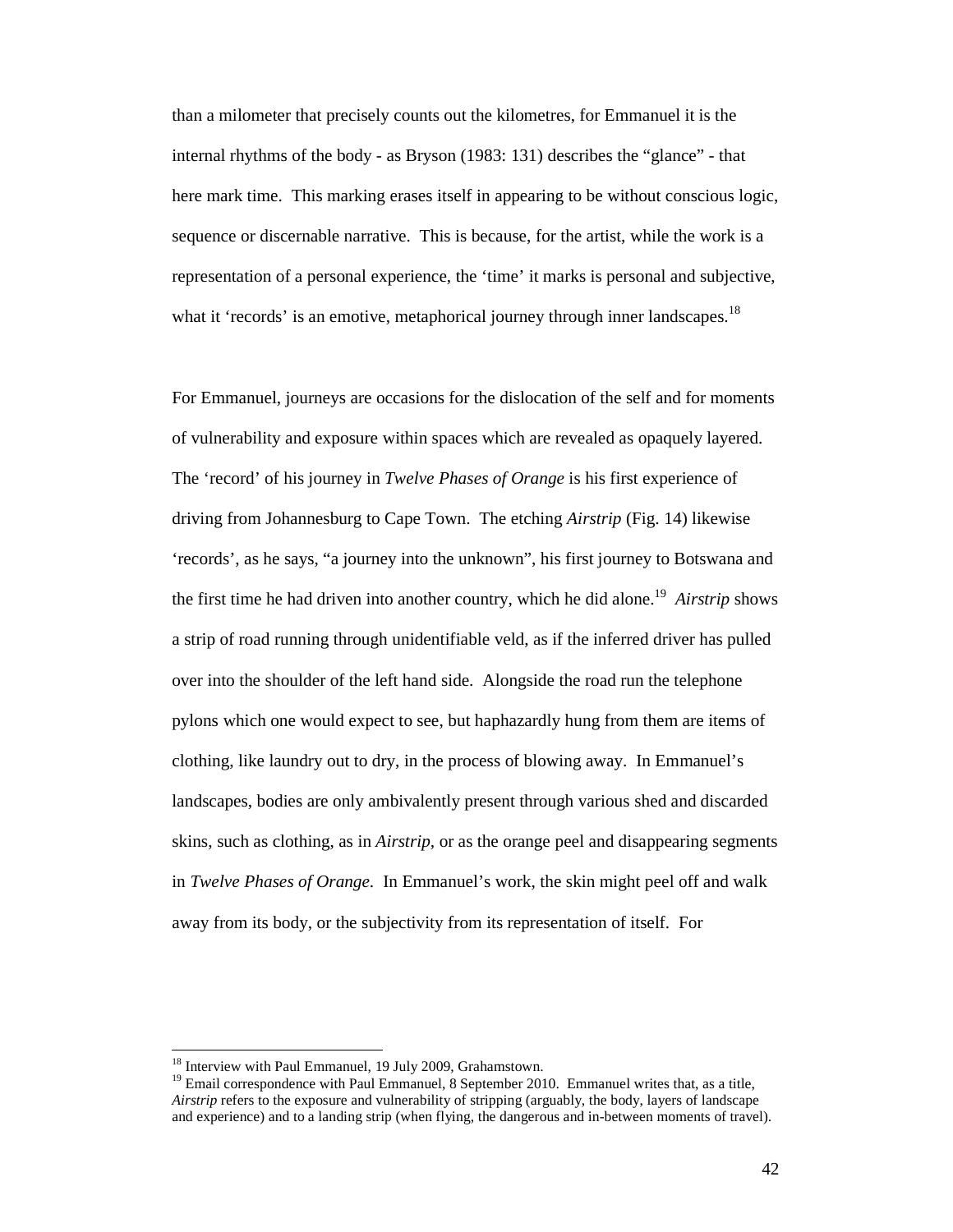than a milometer that precisely counts out the kilometres, for Emmanuel it is the internal rhythms of the body - as Bryson (1983: 131) describes the "glance" - that here mark time. This marking erases itself in appearing to be without conscious logic, sequence or discernable narrative. This is because, for the artist, while the work is a representation of a personal experience, the 'time' it marks is personal and subjective, what it 'records' is an emotive, metaphorical journey through inner landscapes.<sup>18</sup>

For Emmanuel, journeys are occasions for the dislocation of the self and for moments of vulnerability and exposure within spaces which are revealed as opaquely layered. The 'record' of his journey in *Twelve Phases of Orange* is his first experience of driving from Johannesburg to Cape Town. The etching *Airstrip* (Fig. 14) likewise 'records', as he says, "a journey into the unknown", his first journey to Botswana and the first time he had driven into another country, which he did alone.<sup>19</sup> Airstrip shows a strip of road running through unidentifiable veld, as if the inferred driver has pulled over into the shoulder of the left hand side. Alongside the road run the telephone pylons which one would expect to see, but haphazardly hung from them are items of clothing, like laundry out to dry, in the process of blowing away. In Emmanuel's landscapes, bodies are only ambivalently present through various shed and discarded skins, such as clothing, as in *Airstrip,* or as the orange peel and disappearing segments in *Twelve Phases of Orange*. In Emmanuel's work, the skin might peel off and walk away from its body, or the subjectivity from its representation of itself. For

<sup>&</sup>lt;sup>18</sup> Interview with Paul Emmanuel, 19 July 2009, Grahamstown.

<sup>&</sup>lt;sup>19</sup> Email correspondence with Paul Emmanuel, 8 September 2010. Emmanuel writes that, as a title, *Airstrip* refers to the exposure and vulnerability of stripping (arguably, the body, layers of landscape and experience) and to a landing strip (when flying, the dangerous and in-between moments of travel).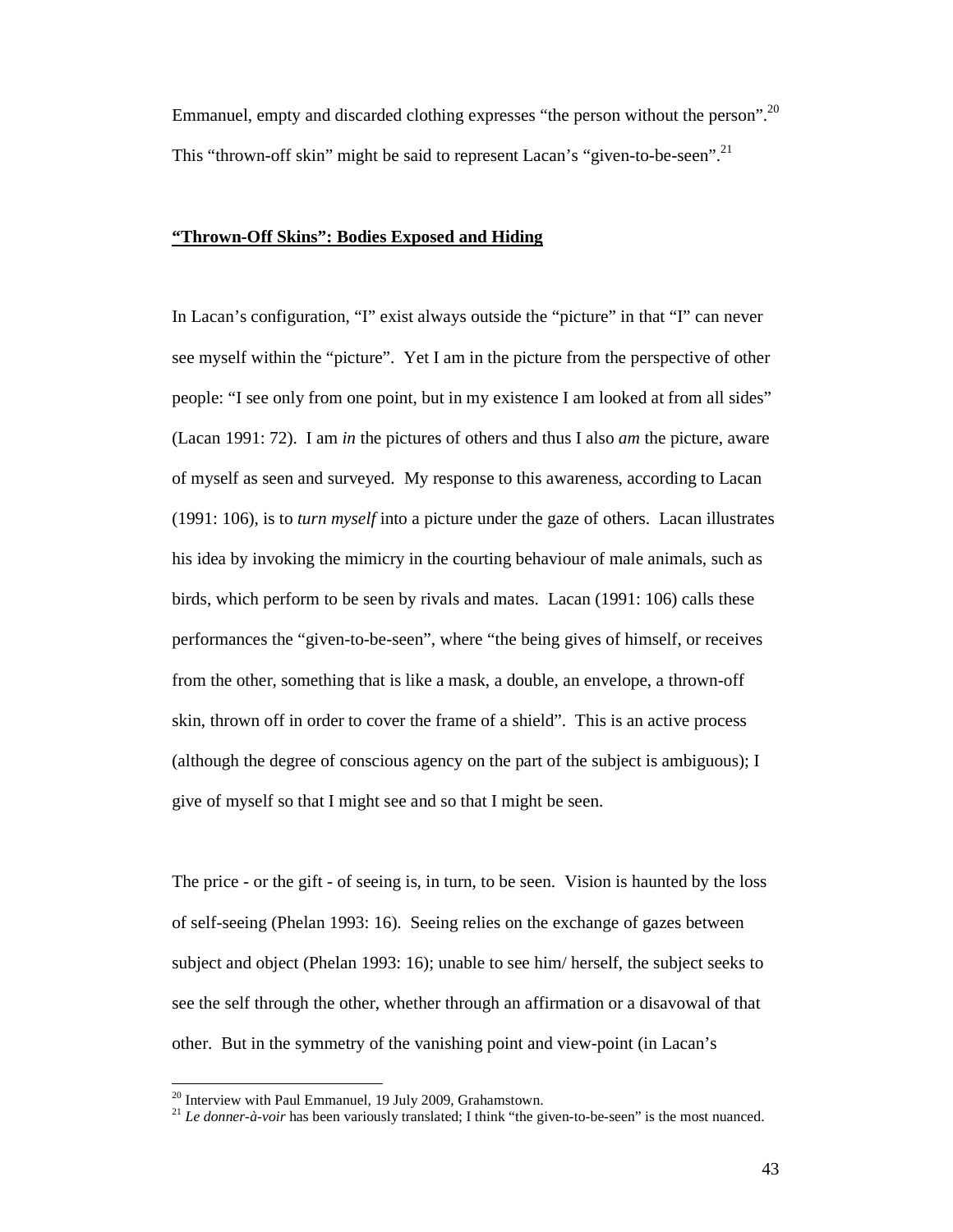Emmanuel, empty and discarded clothing expresses "the person without the person".<sup>20</sup> This "thrown-off skin" might be said to represent Lacan's "given-to-be-seen".<sup>21</sup>

# **"Thrown-Off Skins": Bodies Exposed and Hiding**

In Lacan's configuration, "I" exist always outside the "picture" in that "I" can never see myself within the "picture". Yet I am in the picture from the perspective of other people: "I see only from one point, but in my existence I am looked at from all sides" (Lacan 1991: 72). I am *in* the pictures of others and thus I also *am* the picture, aware of myself as seen and surveyed. My response to this awareness, according to Lacan (1991: 106), is to *turn myself* into a picture under the gaze of others. Lacan illustrates his idea by invoking the mimicry in the courting behaviour of male animals, such as birds, which perform to be seen by rivals and mates. Lacan (1991: 106) calls these performances the "given-to-be-seen", where "the being gives of himself, or receives from the other, something that is like a mask, a double, an envelope, a thrown-off skin, thrown off in order to cover the frame of a shield". This is an active process (although the degree of conscious agency on the part of the subject is ambiguous); I give of myself so that I might see and so that I might be seen.

The price - or the gift - of seeing is, in turn, to be seen. Vision is haunted by the loss of self-seeing (Phelan 1993: 16). Seeing relies on the exchange of gazes between subject and object (Phelan 1993: 16); unable to see him/ herself, the subject seeks to see the self through the other, whether through an affirmation or a disavowal of that other. But in the symmetry of the vanishing point and view-point (in Lacan's

 $20$  Interview with Paul Emmanuel, 19 July 2009, Grahamstown.

<sup>21</sup> *Le donner-à-voir* has been variously translated; I think "the given-to-be-seen" is the most nuanced.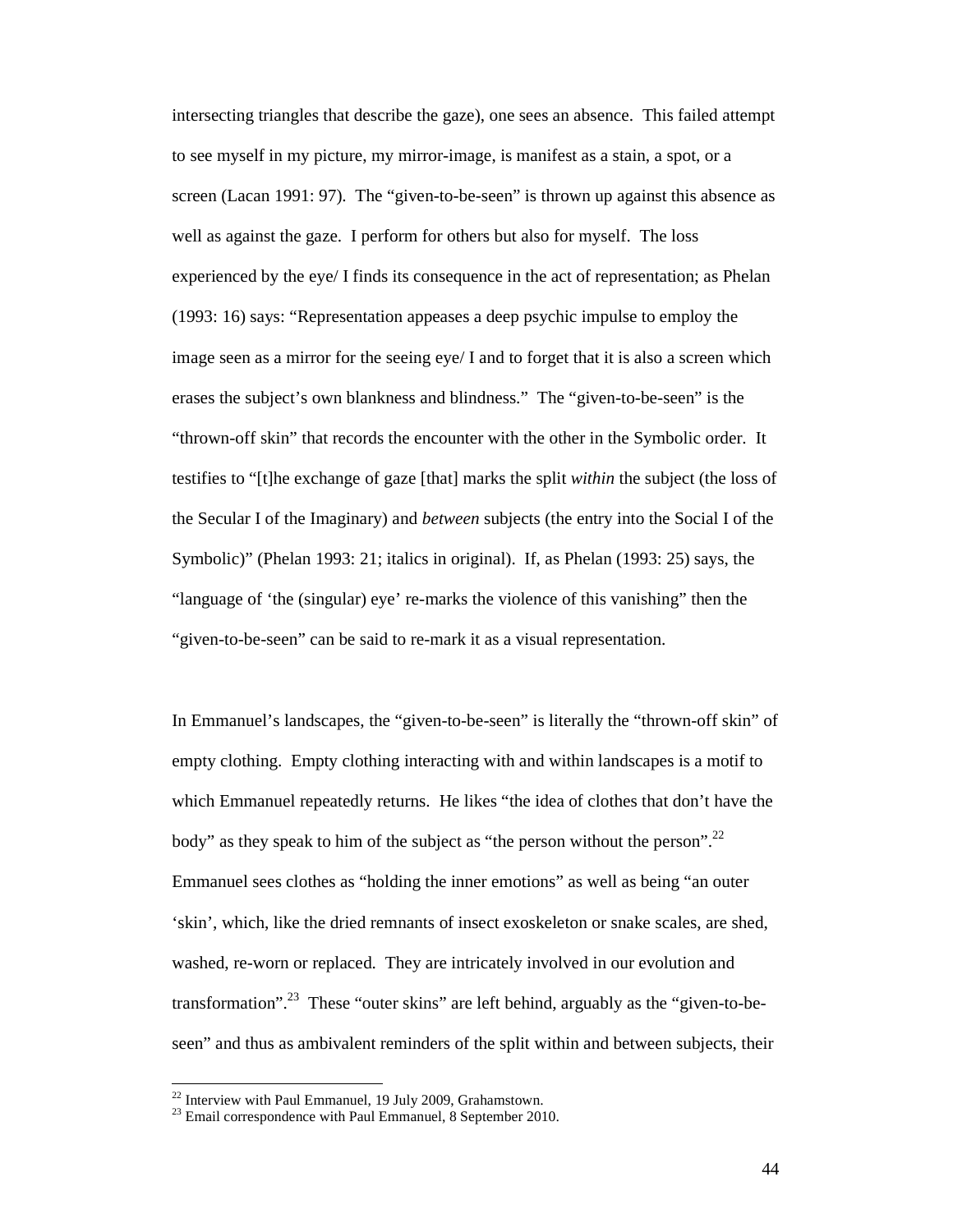intersecting triangles that describe the gaze), one sees an absence. This failed attempt to see myself in my picture, my mirror-image, is manifest as a stain, a spot, or a screen (Lacan 1991: 97). The "given-to-be-seen" is thrown up against this absence as well as against the gaze. I perform for others but also for myself. The loss experienced by the eye/ I finds its consequence in the act of representation; as Phelan (1993: 16) says: "Representation appeases a deep psychic impulse to employ the image seen as a mirror for the seeing eye/ I and to forget that it is also a screen which erases the subject's own blankness and blindness." The "given-to-be-seen" is the "thrown-off skin" that records the encounter with the other in the Symbolic order. It testifies to "[t]he exchange of gaze [that] marks the split *within* the subject (the loss of the Secular I of the Imaginary) and *between* subjects (the entry into the Social I of the Symbolic)" (Phelan 1993: 21; italics in original). If, as Phelan (1993: 25) says, the "language of 'the (singular) eye' re-marks the violence of this vanishing" then the "given-to-be-seen" can be said to re-mark it as a visual representation.

In Emmanuel's landscapes, the "given-to-be-seen" is literally the "thrown-off skin" of empty clothing. Empty clothing interacting with and within landscapes is a motif to which Emmanuel repeatedly returns. He likes "the idea of clothes that don't have the body" as they speak to him of the subject as "the person without the person".<sup>22</sup> Emmanuel sees clothes as "holding the inner emotions" as well as being "an outer 'skin', which, like the dried remnants of insect exoskeleton or snake scales, are shed, washed, re-worn or replaced. They are intricately involved in our evolution and transformation".<sup>23</sup> These "outer skins" are left behind, arguably as the "given-to-beseen" and thus as ambivalent reminders of the split within and between subjects, their

 $22$  Interview with Paul Emmanuel, 19 July 2009, Grahamstown.

 $23$  Email correspondence with Paul Emmanuel, 8 September 2010.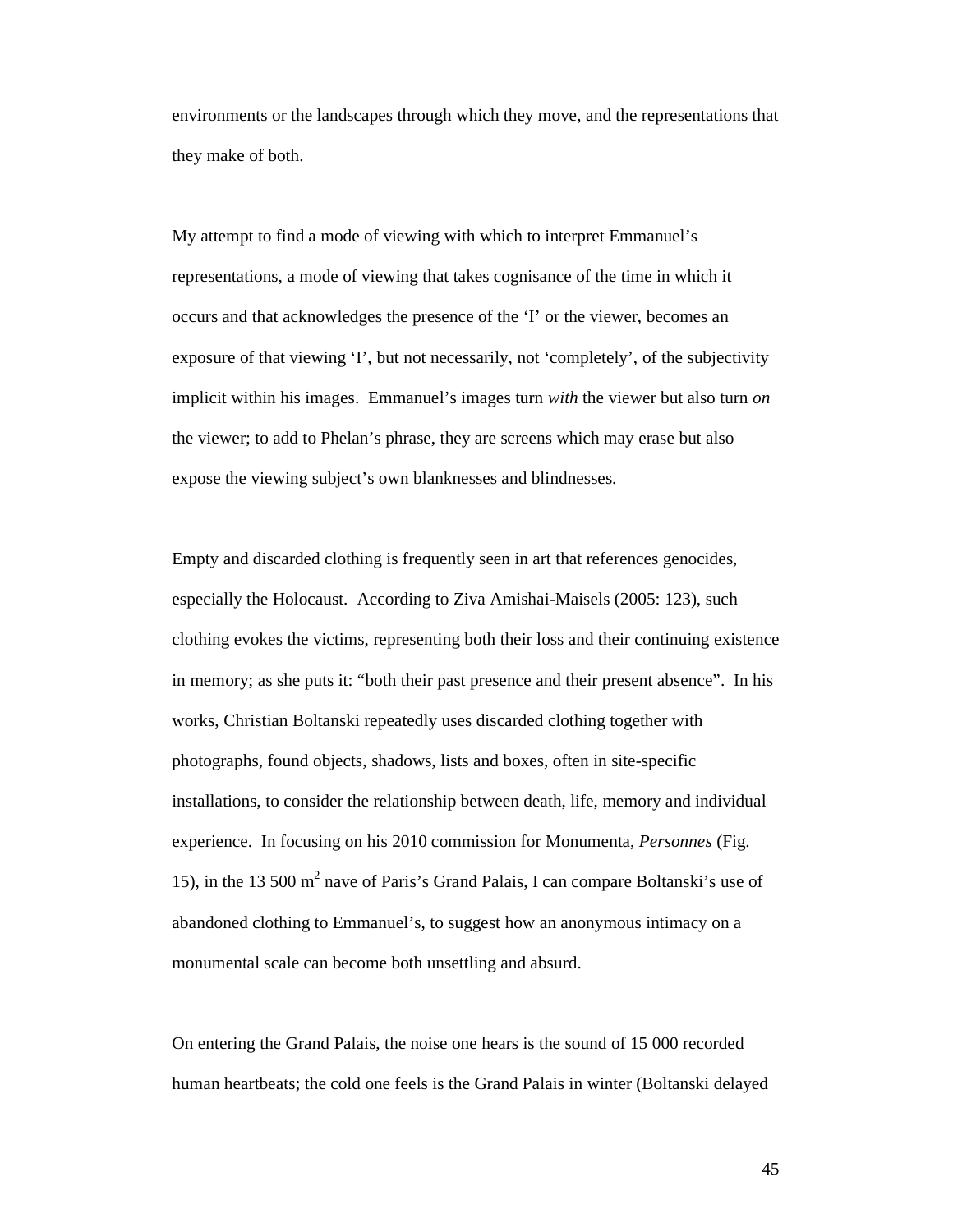environments or the landscapes through which they move, and the representations that they make of both.

My attempt to find a mode of viewing with which to interpret Emmanuel's representations, a mode of viewing that takes cognisance of the time in which it occurs and that acknowledges the presence of the 'I' or the viewer, becomes an exposure of that viewing 'I', but not necessarily, not 'completely', of the subjectivity implicit within his images. Emmanuel's images turn *with* the viewer but also turn *on* the viewer; to add to Phelan's phrase, they are screens which may erase but also expose the viewing subject's own blanknesses and blindnesses.

Empty and discarded clothing is frequently seen in art that references genocides, especially the Holocaust. According to Ziva Amishai-Maisels (2005: 123), such clothing evokes the victims, representing both their loss and their continuing existence in memory; as she puts it: "both their past presence and their present absence". In his works, Christian Boltanski repeatedly uses discarded clothing together with photographs, found objects, shadows, lists and boxes, often in site-specific installations, to consider the relationship between death, life, memory and individual experience. In focusing on his 2010 commission for Monumenta, *Personnes* (Fig. 15), in the 13 500 m<sup>2</sup> nave of Paris's Grand Palais, I can compare Boltanski's use of abandoned clothing to Emmanuel's, to suggest how an anonymous intimacy on a monumental scale can become both unsettling and absurd.

On entering the Grand Palais, the noise one hears is the sound of 15 000 recorded human heartbeats; the cold one feels is the Grand Palais in winter (Boltanski delayed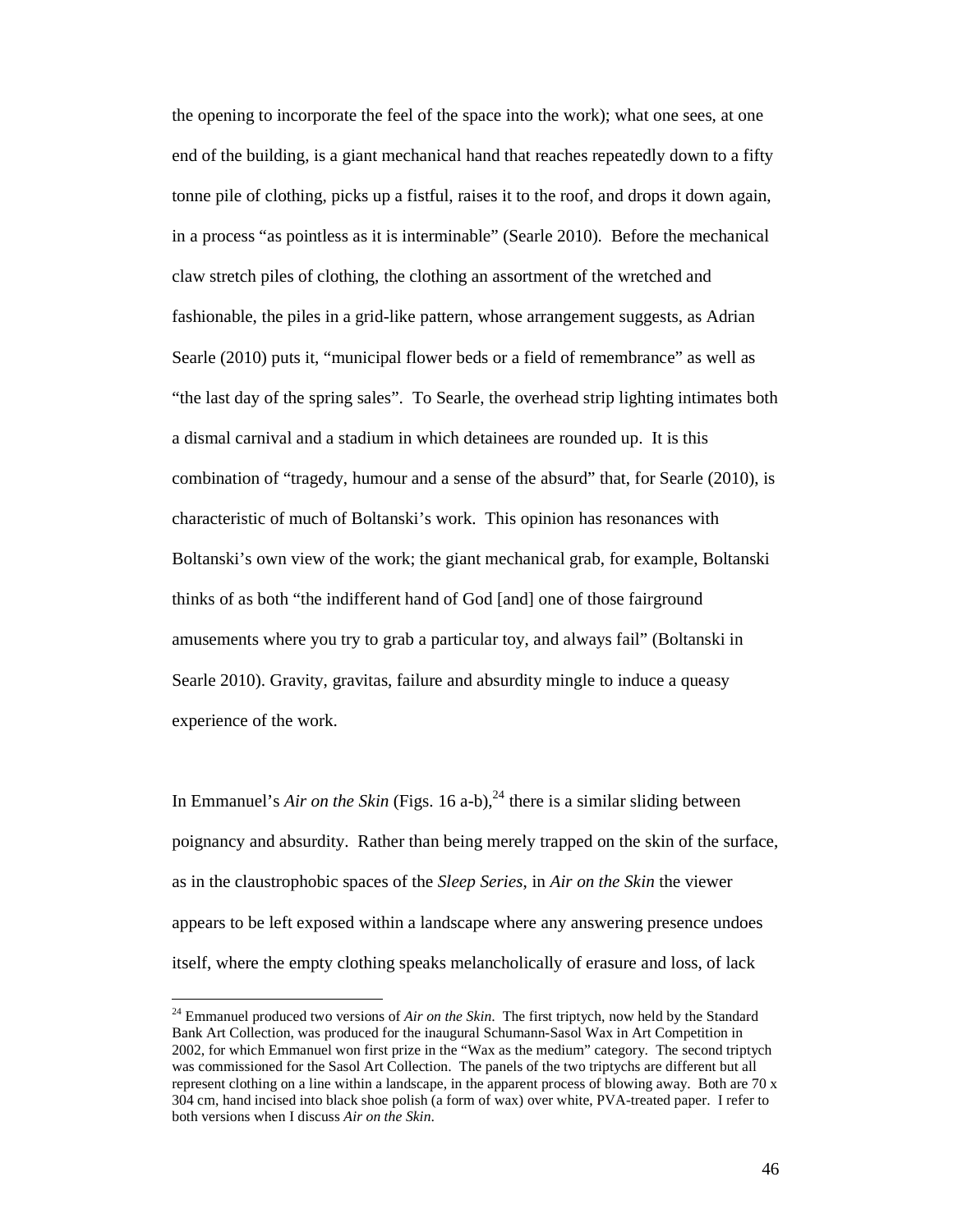the opening to incorporate the feel of the space into the work); what one sees, at one end of the building, is a giant mechanical hand that reaches repeatedly down to a fifty tonne pile of clothing, picks up a fistful, raises it to the roof, and drops it down again, in a process "as pointless as it is interminable" (Searle 2010). Before the mechanical claw stretch piles of clothing, the clothing an assortment of the wretched and fashionable, the piles in a grid-like pattern, whose arrangement suggests, as Adrian Searle (2010) puts it, "municipal flower beds or a field of remembrance" as well as "the last day of the spring sales". To Searle, the overhead strip lighting intimates both a dismal carnival and a stadium in which detainees are rounded up. It is this combination of "tragedy, humour and a sense of the absurd" that, for Searle (2010), is characteristic of much of Boltanski's work. This opinion has resonances with Boltanski's own view of the work; the giant mechanical grab, for example, Boltanski thinks of as both "the indifferent hand of God [and] one of those fairground amusements where you try to grab a particular toy, and always fail" (Boltanski in Searle 2010). Gravity, gravitas, failure and absurdity mingle to induce a queasy experience of the work.

In Emmanuel's *Air on the Skin* (Figs. 16 a-b),<sup>24</sup> there is a similar sliding between poignancy and absurdity. Rather than being merely trapped on the skin of the surface, as in the claustrophobic spaces of the *Sleep Series*, in *Air on the Skin* the viewer appears to be left exposed within a landscape where any answering presence undoes itself, where the empty clothing speaks melancholically of erasure and loss, of lack

<sup>&</sup>lt;sup>24</sup> Emmanuel produced two versions of *Air on the Skin*. The first triptych, now held by the Standard Bank Art Collection, was produced for the inaugural Schumann-Sasol Wax in Art Competition in 2002, for which Emmanuel won first prize in the "Wax as the medium" category. The second triptych was commissioned for the Sasol Art Collection. The panels of the two triptychs are different but all represent clothing on a line within a landscape, in the apparent process of blowing away. Both are 70 x 304 cm, hand incised into black shoe polish (a form of wax) over white, PVA-treated paper. I refer to both versions when I discuss *Air on the Skin*.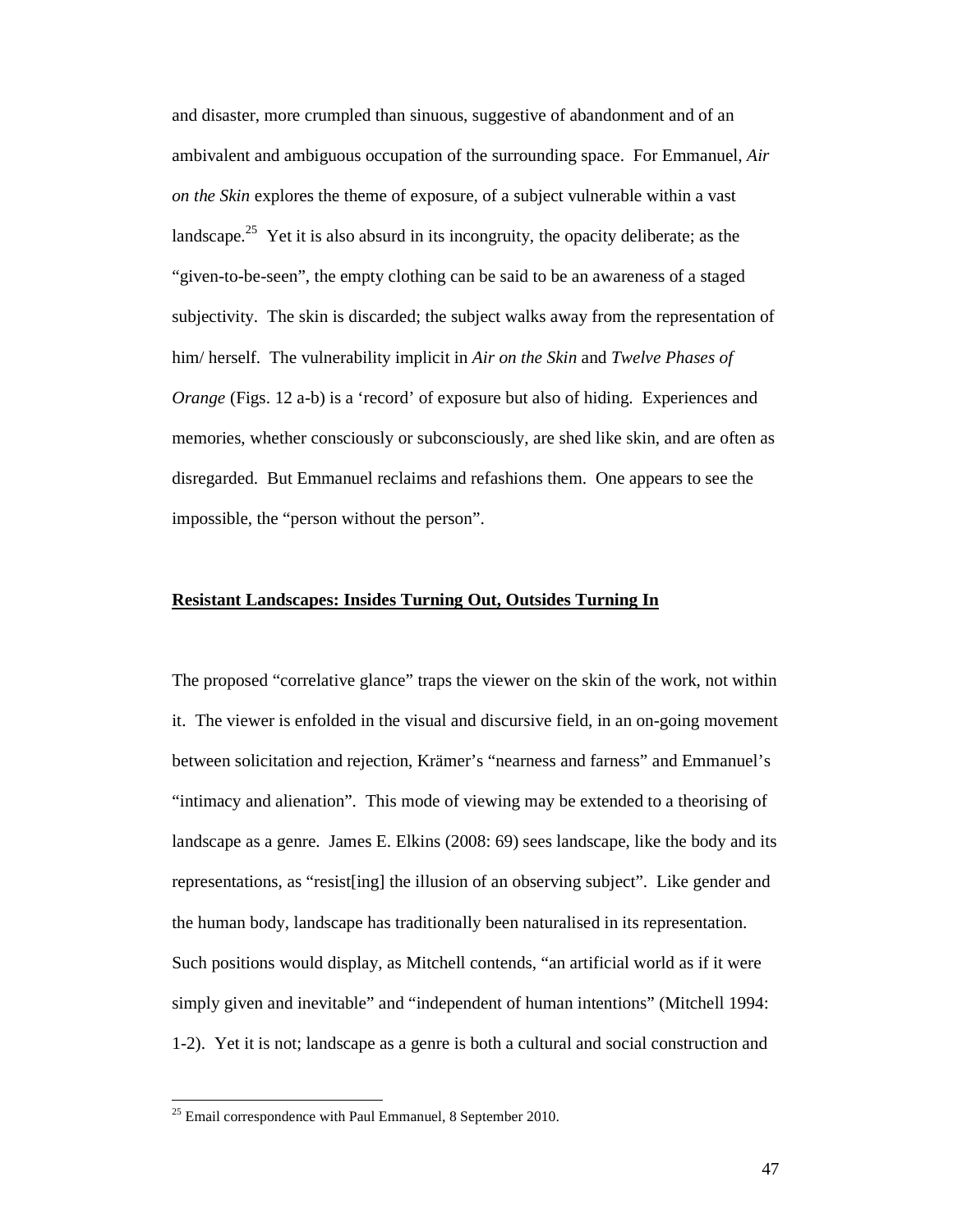and disaster, more crumpled than sinuous, suggestive of abandonment and of an ambivalent and ambiguous occupation of the surrounding space. For Emmanuel, *Air on the Skin* explores the theme of exposure, of a subject vulnerable within a vast landscape.<sup>25</sup> Yet it is also absurd in its incongruity, the opacity deliberate; as the "given-to-be-seen", the empty clothing can be said to be an awareness of a staged subjectivity. The skin is discarded; the subject walks away from the representation of him/ herself. The vulnerability implicit in *Air on the Skin* and *Twelve Phases of Orange* (Figs. 12 a-b) is a 'record' of exposure but also of hiding. Experiences and memories, whether consciously or subconsciously, are shed like skin, and are often as disregarded. But Emmanuel reclaims and refashions them. One appears to see the impossible, the "person without the person".

# **Resistant Landscapes: Insides Turning Out, Outsides Turning In**

The proposed "correlative glance" traps the viewer on the skin of the work, not within it. The viewer is enfolded in the visual and discursive field, in an on-going movement between solicitation and rejection, Krämer's "nearness and farness" and Emmanuel's "intimacy and alienation". This mode of viewing may be extended to a theorising of landscape as a genre. James E. Elkins (2008: 69) sees landscape, like the body and its representations, as "resist[ing] the illusion of an observing subject". Like gender and the human body, landscape has traditionally been naturalised in its representation. Such positions would display, as Mitchell contends, "an artificial world as if it were simply given and inevitable" and "independent of human intentions" (Mitchell 1994: 1-2). Yet it is not; landscape as a genre is both a cultural and social construction and

 $25$  Email correspondence with Paul Emmanuel, 8 September 2010.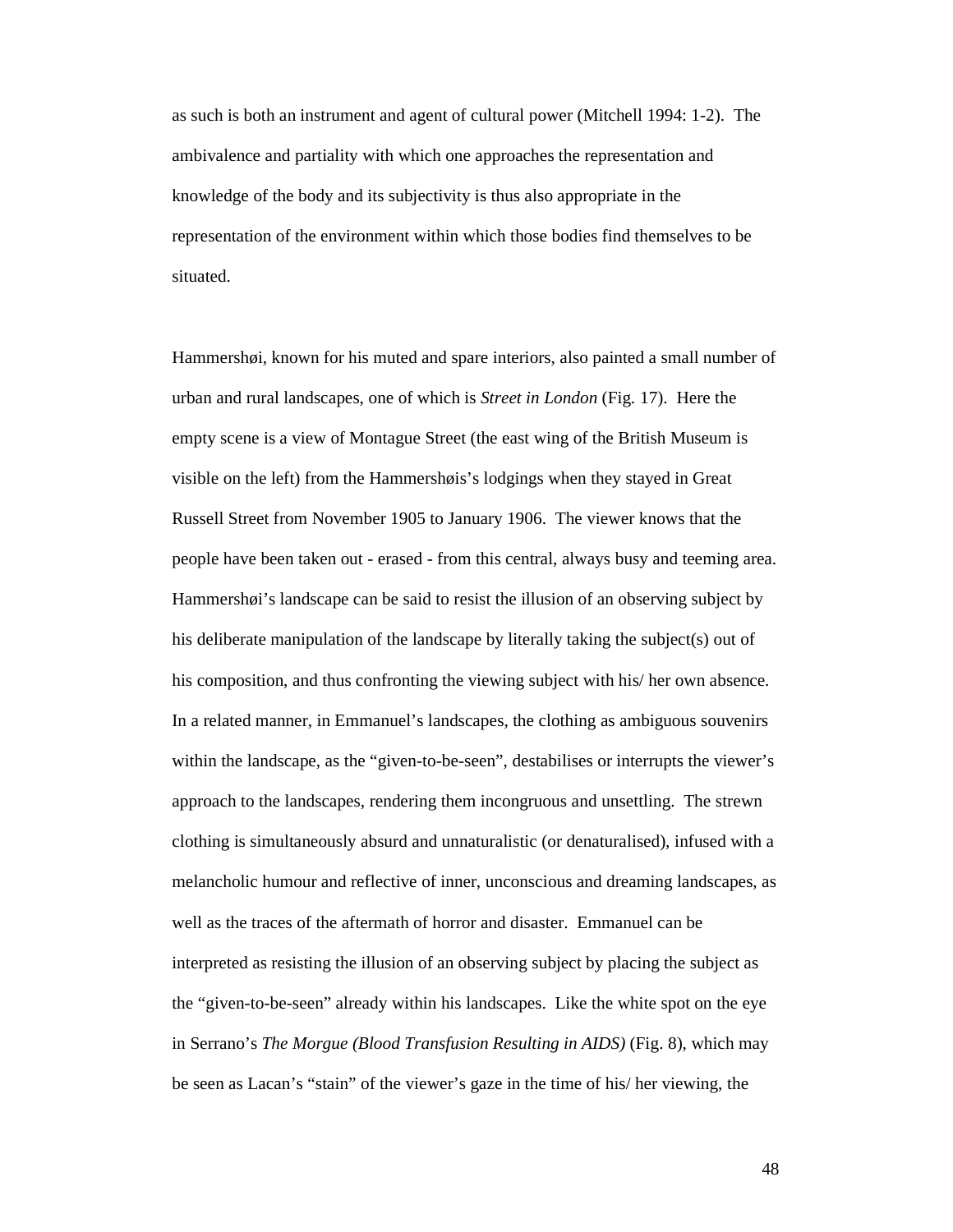as such is both an instrument and agent of cultural power (Mitchell 1994: 1-2). The ambivalence and partiality with which one approaches the representation and knowledge of the body and its subjectivity is thus also appropriate in the representation of the environment within which those bodies find themselves to be situated.

Hammershøi, known for his muted and spare interiors, also painted a small number of urban and rural landscapes, one of which is *Street in London* (Fig. 17). Here the empty scene is a view of Montague Street (the east wing of the British Museum is visible on the left) from the Hammershøis's lodgings when they stayed in Great Russell Street from November 1905 to January 1906. The viewer knows that the people have been taken out - erased - from this central, always busy and teeming area. Hammershøi's landscape can be said to resist the illusion of an observing subject by his deliberate manipulation of the landscape by literally taking the subject(s) out of his composition, and thus confronting the viewing subject with his/ her own absence. In a related manner, in Emmanuel's landscapes, the clothing as ambiguous souvenirs within the landscape, as the "given-to-be-seen", destabilises or interrupts the viewer's approach to the landscapes, rendering them incongruous and unsettling. The strewn clothing is simultaneously absurd and unnaturalistic (or denaturalised), infused with a melancholic humour and reflective of inner, unconscious and dreaming landscapes, as well as the traces of the aftermath of horror and disaster. Emmanuel can be interpreted as resisting the illusion of an observing subject by placing the subject as the "given-to-be-seen" already within his landscapes. Like the white spot on the eye in Serrano's *The Morgue (Blood Transfusion Resulting in AIDS)* (Fig. 8), which may be seen as Lacan's "stain" of the viewer's gaze in the time of his/ her viewing, the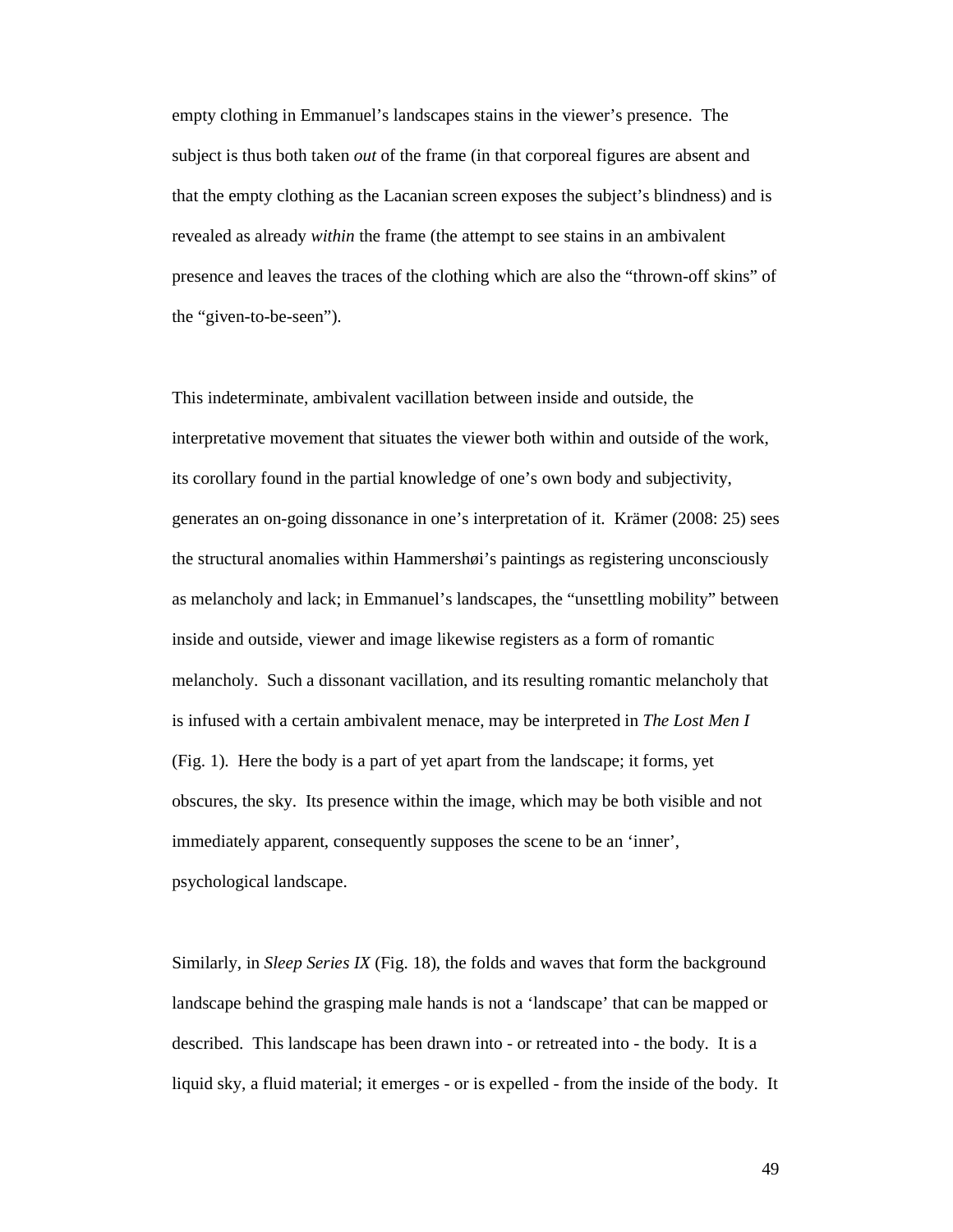empty clothing in Emmanuel's landscapes stains in the viewer's presence. The subject is thus both taken *out* of the frame (in that corporeal figures are absent and that the empty clothing as the Lacanian screen exposes the subject's blindness) and is revealed as already *within* the frame (the attempt to see stains in an ambivalent presence and leaves the traces of the clothing which are also the "thrown-off skins" of the "given-to-be-seen").

This indeterminate, ambivalent vacillation between inside and outside, the interpretative movement that situates the viewer both within and outside of the work, its corollary found in the partial knowledge of one's own body and subjectivity, generates an on-going dissonance in one's interpretation of it. Krämer (2008: 25) sees the structural anomalies within Hammershøi's paintings as registering unconsciously as melancholy and lack; in Emmanuel's landscapes, the "unsettling mobility" between inside and outside, viewer and image likewise registers as a form of romantic melancholy. Such a dissonant vacillation, and its resulting romantic melancholy that is infused with a certain ambivalent menace, may be interpreted in *The Lost Men I* (Fig. 1). Here the body is a part of yet apart from the landscape; it forms, yet obscures, the sky. Its presence within the image, which may be both visible and not immediately apparent, consequently supposes the scene to be an 'inner', psychological landscape.

Similarly, in *Sleep Series IX* (Fig. 18), the folds and waves that form the background landscape behind the grasping male hands is not a 'landscape' that can be mapped or described. This landscape has been drawn into - or retreated into - the body. It is a liquid sky, a fluid material; it emerges - or is expelled - from the inside of the body. It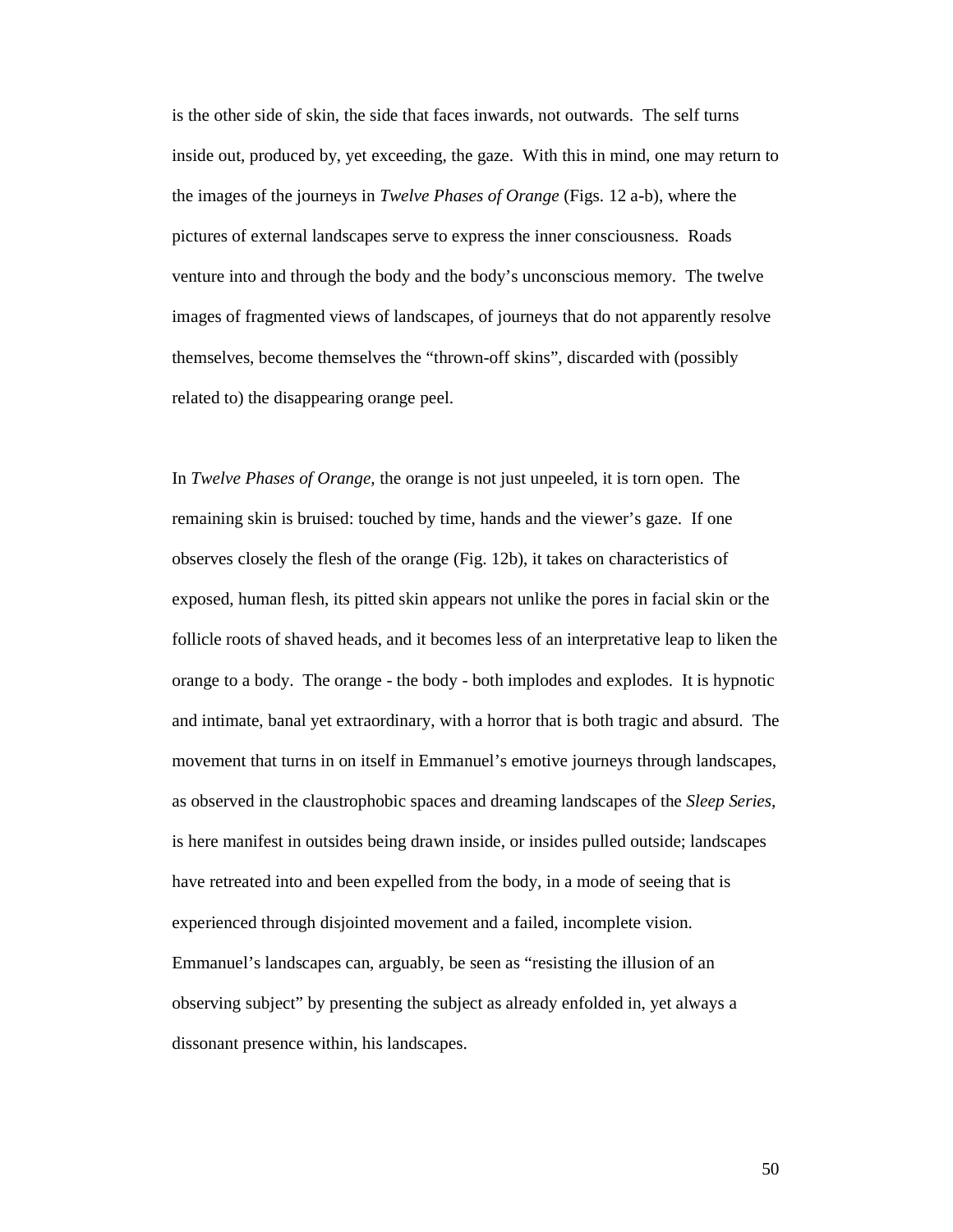is the other side of skin, the side that faces inwards, not outwards. The self turns inside out, produced by, yet exceeding, the gaze. With this in mind, one may return to the images of the journeys in *Twelve Phases of Orange* (Figs. 12 a-b), where the pictures of external landscapes serve to express the inner consciousness. Roads venture into and through the body and the body's unconscious memory. The twelve images of fragmented views of landscapes, of journeys that do not apparently resolve themselves, become themselves the "thrown-off skins", discarded with (possibly related to) the disappearing orange peel.

In *Twelve Phases of Orange,* the orange is not just unpeeled, it is torn open. The remaining skin is bruised: touched by time, hands and the viewer's gaze. If one observes closely the flesh of the orange (Fig. 12b), it takes on characteristics of exposed, human flesh, its pitted skin appears not unlike the pores in facial skin or the follicle roots of shaved heads, and it becomes less of an interpretative leap to liken the orange to a body. The orange - the body - both implodes and explodes. It is hypnotic and intimate, banal yet extraordinary, with a horror that is both tragic and absurd. The movement that turns in on itself in Emmanuel's emotive journeys through landscapes, as observed in the claustrophobic spaces and dreaming landscapes of the *Sleep Series*, is here manifest in outsides being drawn inside, or insides pulled outside; landscapes have retreated into and been expelled from the body, in a mode of seeing that is experienced through disjointed movement and a failed, incomplete vision. Emmanuel's landscapes can, arguably, be seen as "resisting the illusion of an observing subject" by presenting the subject as already enfolded in, yet always a dissonant presence within, his landscapes.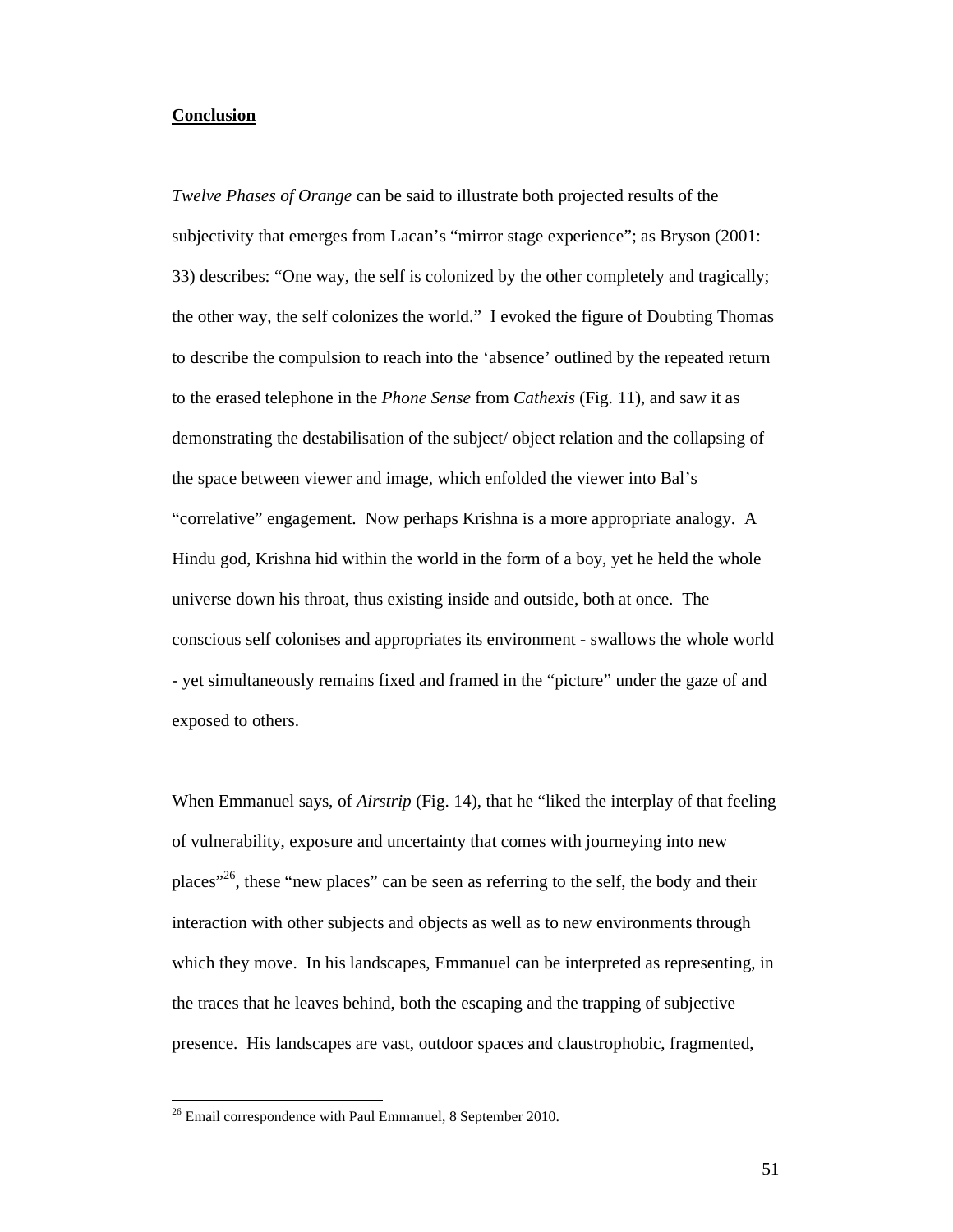# **Conclusion**

*Twelve Phases of Orange* can be said to illustrate both projected results of the subjectivity that emerges from Lacan's "mirror stage experience"; as Bryson (2001: 33) describes: "One way, the self is colonized by the other completely and tragically; the other way, the self colonizes the world." I evoked the figure of Doubting Thomas to describe the compulsion to reach into the 'absence' outlined by the repeated return to the erased telephone in the *Phone Sense* from *Cathexis* (Fig. 11), and saw it as demonstrating the destabilisation of the subject/ object relation and the collapsing of the space between viewer and image, which enfolded the viewer into Bal's "correlative" engagement. Now perhaps Krishna is a more appropriate analogy. A Hindu god, Krishna hid within the world in the form of a boy, yet he held the whole universe down his throat, thus existing inside and outside, both at once. The conscious self colonises and appropriates its environment - swallows the whole world - yet simultaneously remains fixed and framed in the "picture" under the gaze of and exposed to others.

When Emmanuel says, of *Airstrip* (Fig. 14), that he "liked the interplay of that feeling of vulnerability, exposure and uncertainty that comes with journeying into new places<sup> $26$ </sup>, these "new places" can be seen as referring to the self, the body and their interaction with other subjects and objects as well as to new environments through which they move. In his landscapes, Emmanuel can be interpreted as representing, in the traces that he leaves behind, both the escaping and the trapping of subjective presence. His landscapes are vast, outdoor spaces and claustrophobic, fragmented,

<sup>&</sup>lt;sup>26</sup> Email correspondence with Paul Emmanuel, 8 September 2010.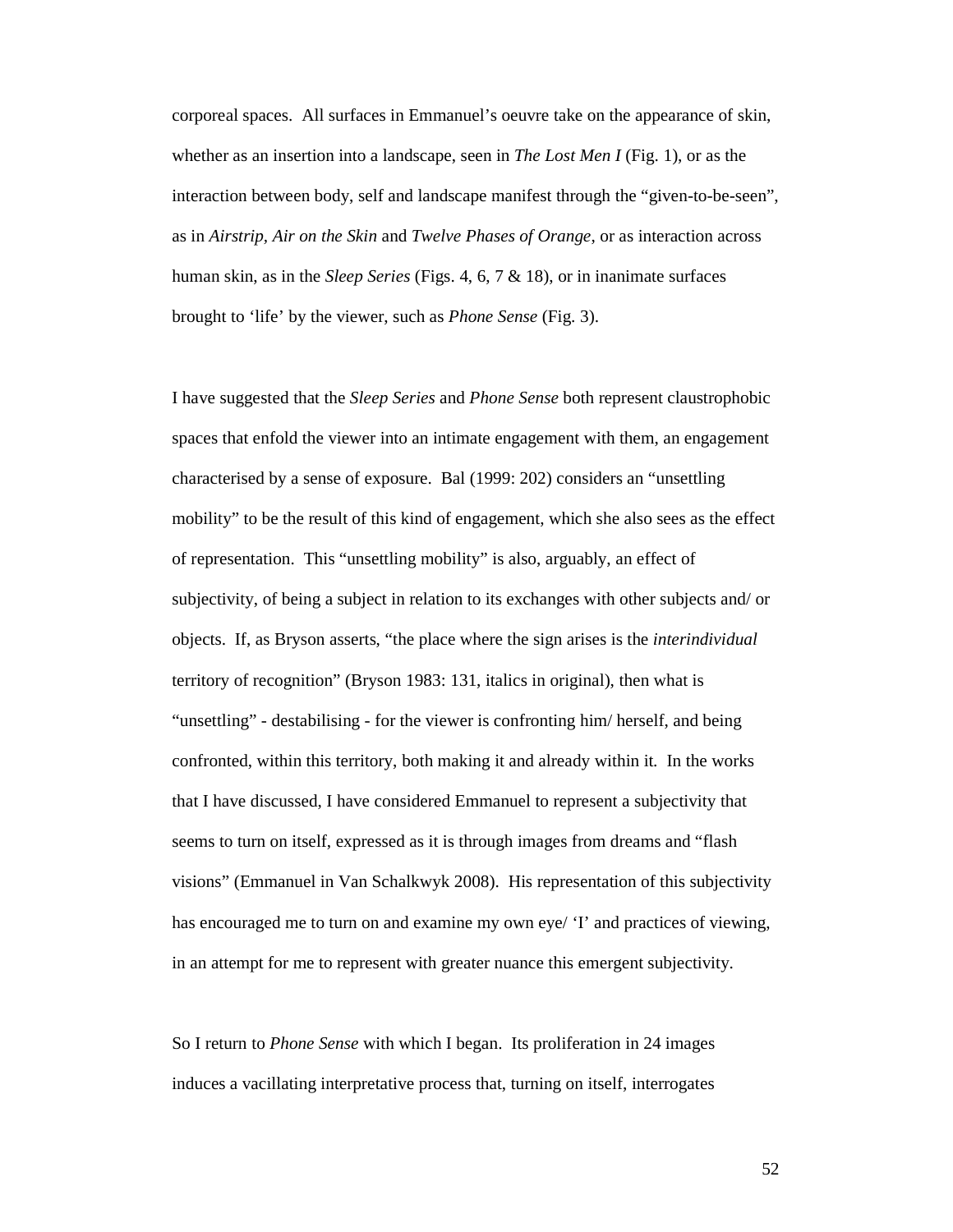corporeal spaces. All surfaces in Emmanuel's oeuvre take on the appearance of skin, whether as an insertion into a landscape, seen in *The Lost Men I* (Fig. 1), or as the interaction between body, self and landscape manifest through the "given-to-be-seen", as in *Airstrip, Air on the Skin* and *Twelve Phases of Orange*, or as interaction across human skin, as in the *Sleep Series* (Figs. 4, 6, 7 & 18), or in inanimate surfaces brought to 'life' by the viewer, such as *Phone Sense* (Fig. 3).

I have suggested that the *Sleep Series* and *Phone Sense* both represent claustrophobic spaces that enfold the viewer into an intimate engagement with them, an engagement characterised by a sense of exposure. Bal (1999: 202) considers an "unsettling mobility" to be the result of this kind of engagement, which she also sees as the effect of representation. This "unsettling mobility" is also, arguably, an effect of subjectivity, of being a subject in relation to its exchanges with other subjects and/ or objects. If, as Bryson asserts, "the place where the sign arises is the *interindividual* territory of recognition" (Bryson 1983: 131, italics in original), then what is "unsettling" - destabilising - for the viewer is confronting him/ herself, and being confronted, within this territory, both making it and already within it. In the works that I have discussed, I have considered Emmanuel to represent a subjectivity that seems to turn on itself, expressed as it is through images from dreams and "flash visions" (Emmanuel in Van Schalkwyk 2008). His representation of this subjectivity has encouraged me to turn on and examine my own eye/ 'I' and practices of viewing, in an attempt for me to represent with greater nuance this emergent subjectivity.

So I return to *Phone Sense* with which I began. Its proliferation in 24 images induces a vacillating interpretative process that, turning on itself, interrogates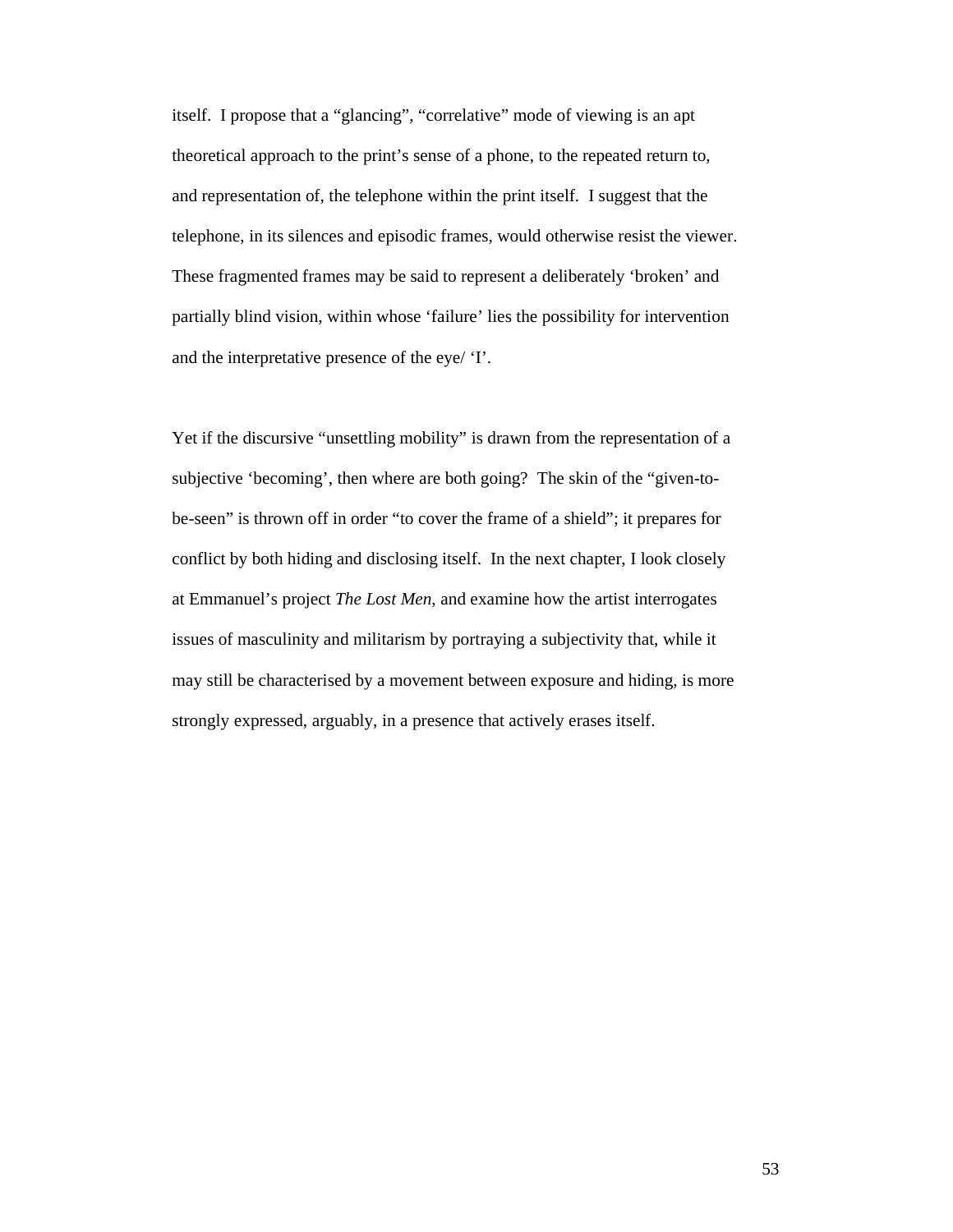itself. I propose that a "glancing", "correlative" mode of viewing is an apt theoretical approach to the print's sense of a phone, to the repeated return to, and representation of, the telephone within the print itself. I suggest that the telephone, in its silences and episodic frames, would otherwise resist the viewer. These fragmented frames may be said to represent a deliberately 'broken' and partially blind vision, within whose 'failure' lies the possibility for intervention and the interpretative presence of the eye/ 'I'.

Yet if the discursive "unsettling mobility" is drawn from the representation of a subjective 'becoming', then where are both going? The skin of the "given-tobe-seen" is thrown off in order "to cover the frame of a shield"; it prepares for conflict by both hiding and disclosing itself. In the next chapter, I look closely at Emmanuel's project *The Lost Men*, and examine how the artist interrogates issues of masculinity and militarism by portraying a subjectivity that, while it may still be characterised by a movement between exposure and hiding, is more strongly expressed, arguably, in a presence that actively erases itself.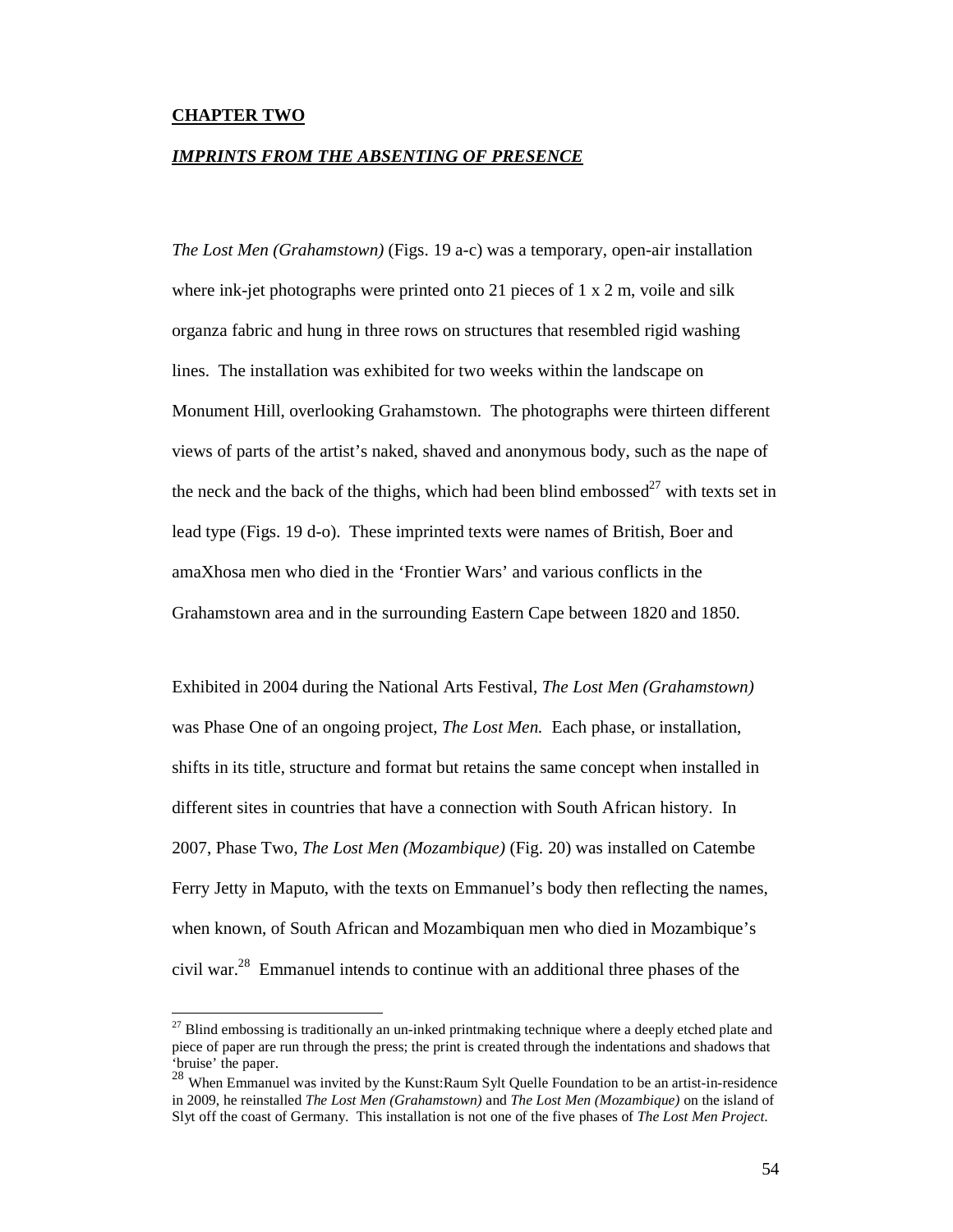### **CHAPTER TWO**

-

#### *IMPRINTS FROM THE ABSENTING OF PRESENCE*

*The Lost Men (Grahamstown)* (Figs. 19 a-c) was a temporary, open-air installation where ink-jet photographs were printed onto 21 pieces of 1 x 2 m, voile and silk organza fabric and hung in three rows on structures that resembled rigid washing lines. The installation was exhibited for two weeks within the landscape on Monument Hill, overlooking Grahamstown. The photographs were thirteen different views of parts of the artist's naked, shaved and anonymous body, such as the nape of the neck and the back of the thighs, which had been blind embossed<sup>27</sup> with texts set in lead type (Figs. 19 d-o). These imprinted texts were names of British, Boer and amaXhosa men who died in the 'Frontier Wars' and various conflicts in the Grahamstown area and in the surrounding Eastern Cape between 1820 and 1850.

Exhibited in 2004 during the National Arts Festival, *The Lost Men (Grahamstown)*  was Phase One of an ongoing project, *The Lost Men*. Each phase, or installation, shifts in its title, structure and format but retains the same concept when installed in different sites in countries that have a connection with South African history. In 2007, Phase Two, *The Lost Men (Mozambique)* (Fig. 20) was installed on Catembe Ferry Jetty in Maputo, with the texts on Emmanuel's body then reflecting the names, when known, of South African and Mozambiquan men who died in Mozambique's civil war.<sup>28</sup> Emmanuel intends to continue with an additional three phases of the

 $27$  Blind embossing is traditionally an un-inked printmaking technique where a deeply etched plate and piece of paper are run through the press; the print is created through the indentations and shadows that 'bruise' the paper.

<sup>&</sup>lt;sup>28</sup> When Emmanuel was invited by the Kunst:Raum Sylt Quelle Foundation to be an artist-in-residence in 2009, he reinstalled *The Lost Men (Grahamstown)* and *The Lost Men (Mozambique)* on the island of Slyt off the coast of Germany. This installation is not one of the five phases of *The Lost Men Project*.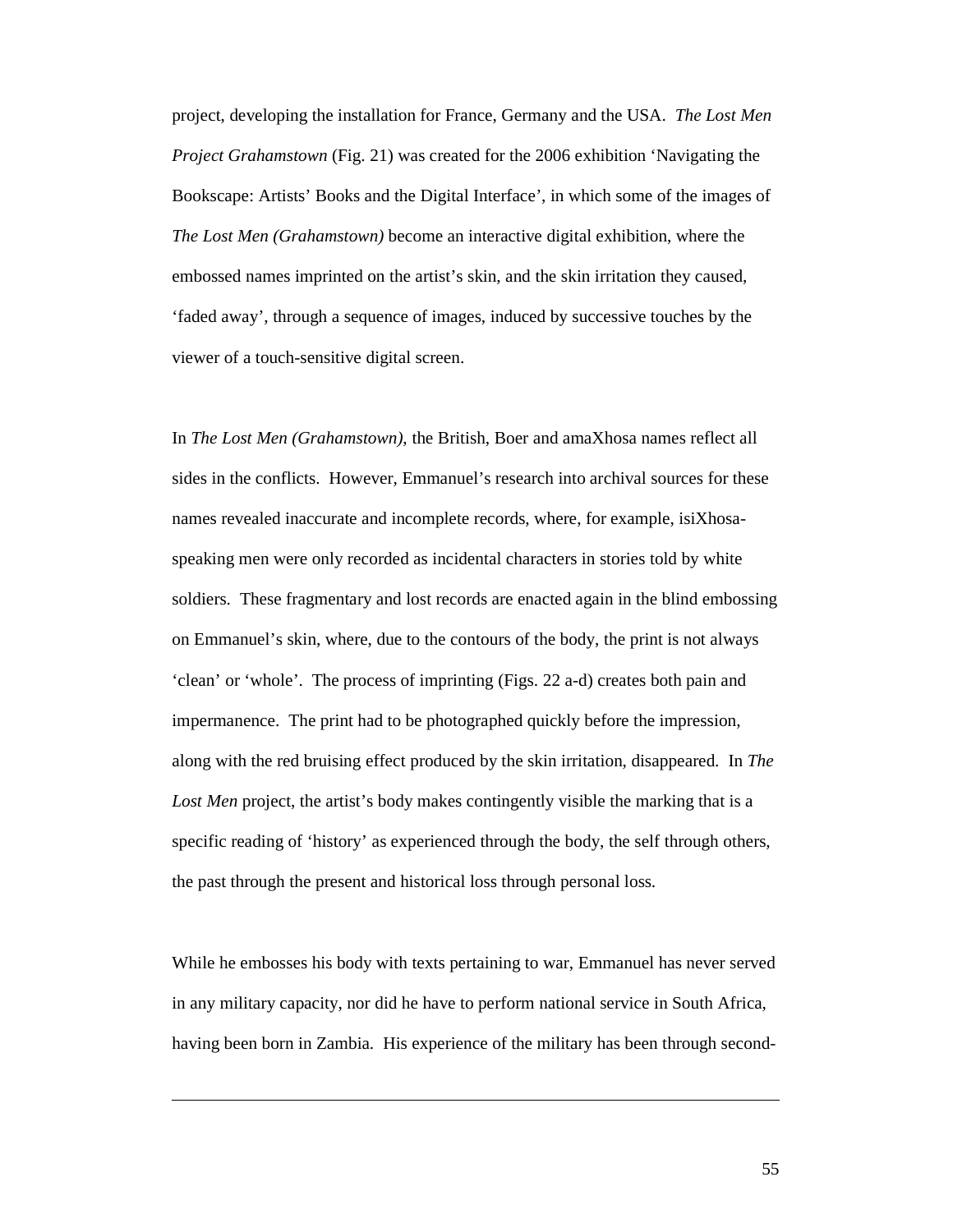project, developing the installation for France, Germany and the USA. *The Lost Men Project Grahamstown* (Fig. 21) was created for the 2006 exhibition 'Navigating the Bookscape: Artists' Books and the Digital Interface', in which some of the images of *The Lost Men (Grahamstown)* become an interactive digital exhibition, where the embossed names imprinted on the artist's skin, and the skin irritation they caused, 'faded away', through a sequence of images, induced by successive touches by the viewer of a touch-sensitive digital screen.

In *The Lost Men (Grahamstown)*, the British, Boer and amaXhosa names reflect all sides in the conflicts. However, Emmanuel's research into archival sources for these names revealed inaccurate and incomplete records, where, for example, isiXhosaspeaking men were only recorded as incidental characters in stories told by white soldiers. These fragmentary and lost records are enacted again in the blind embossing on Emmanuel's skin, where, due to the contours of the body, the print is not always 'clean' or 'whole'. The process of imprinting (Figs. 22 a-d) creates both pain and impermanence. The print had to be photographed quickly before the impression, along with the red bruising effect produced by the skin irritation, disappeared. In *The*  Lost Men project, the artist's body makes contingently visible the marking that is a specific reading of 'history' as experienced through the body, the self through others, the past through the present and historical loss through personal loss.

While he embosses his body with texts pertaining to war, Emmanuel has never served in any military capacity, nor did he have to perform national service in South Africa, having been born in Zambia. His experience of the military has been through second-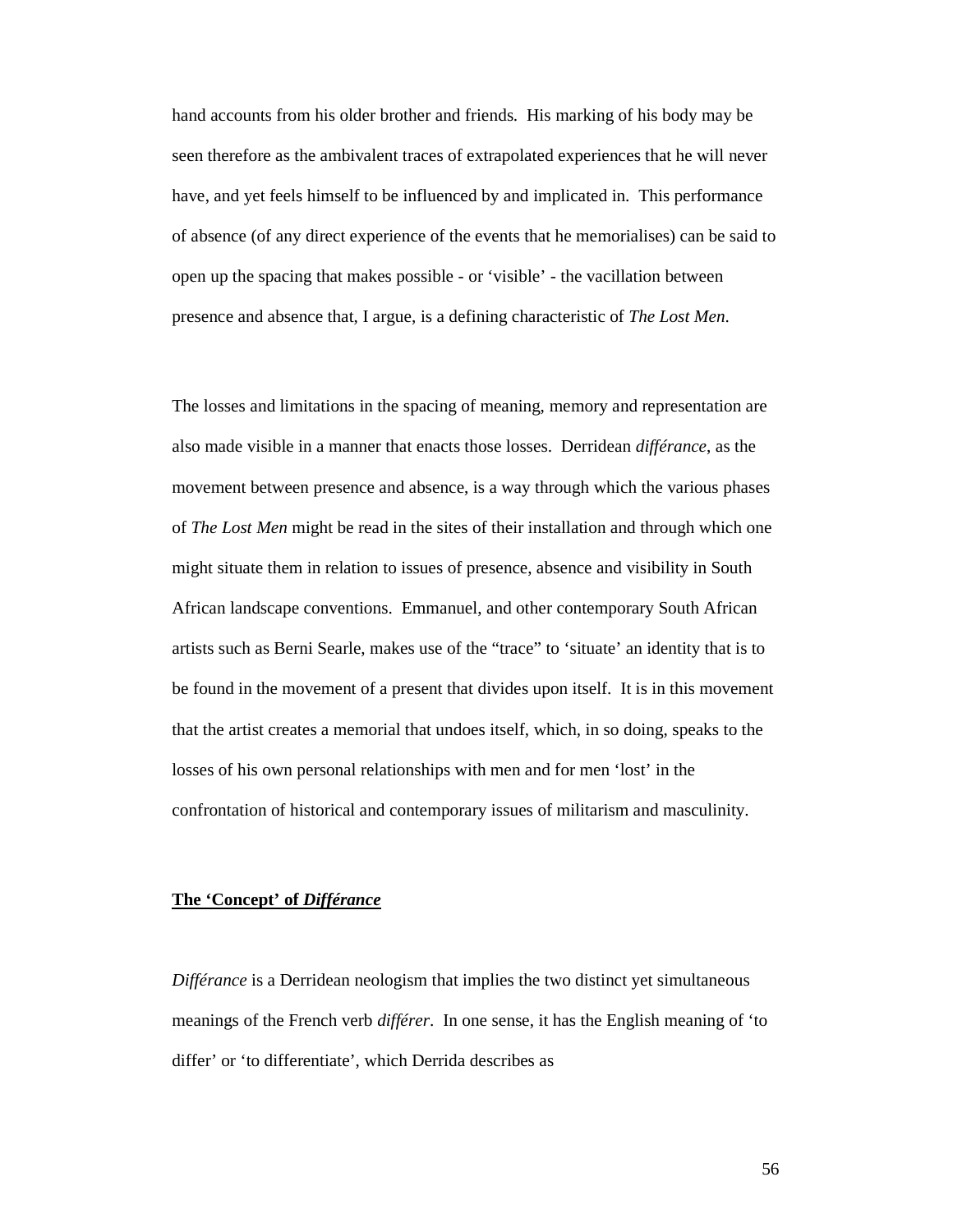hand accounts from his older brother and friends. His marking of his body may be seen therefore as the ambivalent traces of extrapolated experiences that he will never have, and yet feels himself to be influenced by and implicated in. This performance of absence (of any direct experience of the events that he memorialises) can be said to open up the spacing that makes possible - or 'visible' - the vacillation between presence and absence that, I argue, is a defining characteristic of *The Lost Men*.

The losses and limitations in the spacing of meaning, memory and representation are also made visible in a manner that enacts those losses. Derridean *différance*, as the movement between presence and absence, is a way through which the various phases of *The Lost Men* might be read in the sites of their installation and through which one might situate them in relation to issues of presence, absence and visibility in South African landscape conventions. Emmanuel, and other contemporary South African artists such as Berni Searle, makes use of the "trace" to 'situate' an identity that is to be found in the movement of a present that divides upon itself. It is in this movement that the artist creates a memorial that undoes itself, which, in so doing, speaks to the losses of his own personal relationships with men and for men 'lost' in the confrontation of historical and contemporary issues of militarism and masculinity.

### **The 'Concept' of** *Différance*

*Différance* is a Derridean neologism that implies the two distinct yet simultaneous meanings of the French verb *différer*. In one sense, it has the English meaning of 'to differ' or 'to differentiate', which Derrida describes as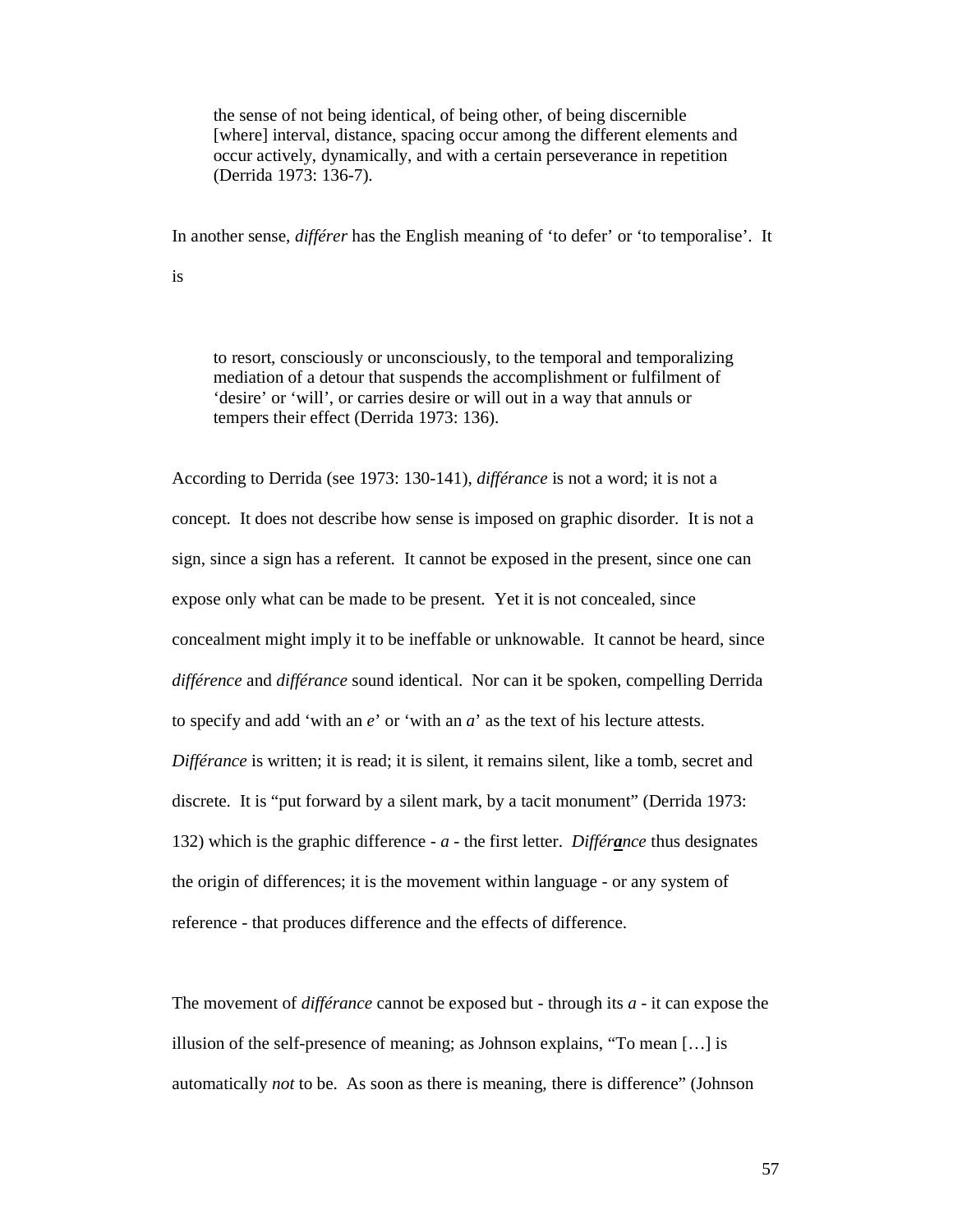the sense of not being identical, of being other, of being discernible [where] interval, distance, spacing occur among the different elements and occur actively, dynamically, and with a certain perseverance in repetition (Derrida 1973: 136-7).

In another sense, *différer* has the English meaning of 'to defer' or 'to temporalise'. It

is

to resort, consciously or unconsciously, to the temporal and temporalizing mediation of a detour that suspends the accomplishment or fulfilment of 'desire' or 'will', or carries desire or will out in a way that annuls or tempers their effect (Derrida 1973: 136).

According to Derrida (see 1973: 130-141), *différance* is not a word; it is not a concept. It does not describe how sense is imposed on graphic disorder. It is not a sign, since a sign has a referent. It cannot be exposed in the present, since one can expose only what can be made to be present. Yet it is not concealed, since concealment might imply it to be ineffable or unknowable. It cannot be heard, since *différence* and *différance* sound identical. Nor can it be spoken, compelling Derrida to specify and add 'with an *e*' or 'with an *a*' as the text of his lecture attests. *Différance* is written; it is read; it is silent, it remains silent, like a tomb, secret and discrete. It is "put forward by a silent mark, by a tacit monument" (Derrida 1973: 132) which is the graphic difference - *a* - the first letter. *Différance* thus designates the origin of differences; it is the movement within language - or any system of reference - that produces difference and the effects of difference.

The movement of *différance* cannot be exposed but - through its *a -* it can expose the illusion of the self-presence of meaning; as Johnson explains, "To mean […] is automatically *not* to be. As soon as there is meaning, there is difference" (Johnson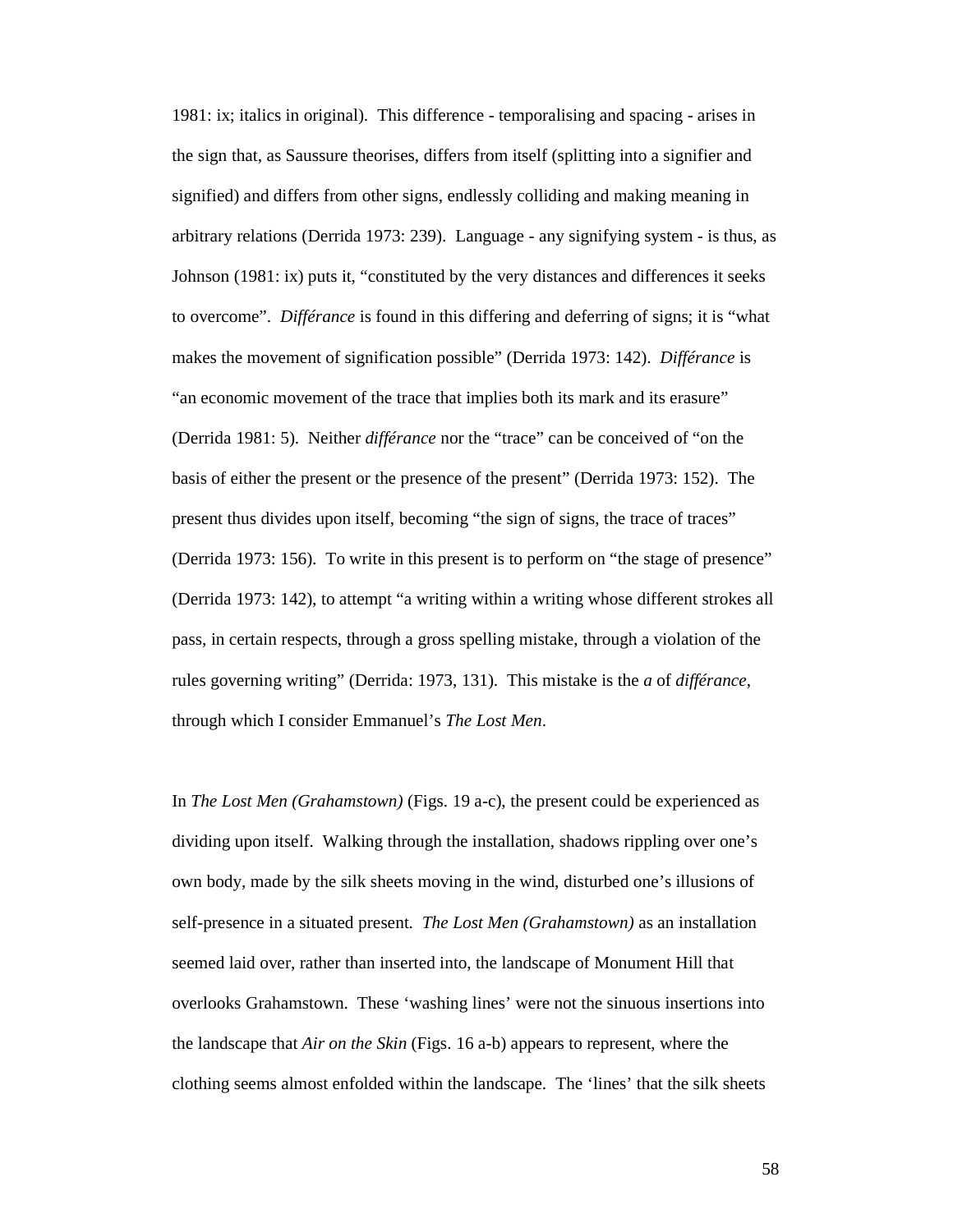1981: ix; italics in original). This difference - temporalising and spacing - arises in the sign that, as Saussure theorises, differs from itself (splitting into a signifier and signified) and differs from other signs, endlessly colliding and making meaning in arbitrary relations (Derrida 1973: 239). Language - any signifying system - is thus, as Johnson (1981: ix) puts it, "constituted by the very distances and differences it seeks to overcome". *Différance* is found in this differing and deferring of signs; it is "what makes the movement of signification possible" (Derrida 1973: 142). *Différance* is "an economic movement of the trace that implies both its mark and its erasure" (Derrida 1981: 5). Neither *différance* nor the "trace" can be conceived of "on the basis of either the present or the presence of the present" (Derrida 1973: 152). The present thus divides upon itself, becoming "the sign of signs, the trace of traces" (Derrida 1973: 156). To write in this present is to perform on "the stage of presence" (Derrida 1973: 142), to attempt "a writing within a writing whose different strokes all pass, in certain respects, through a gross spelling mistake, through a violation of the rules governing writing" (Derrida: 1973, 131). This mistake is the *a* of *différance*, through which I consider Emmanuel's *The Lost Men*.

In *The Lost Men (Grahamstown)* (Figs. 19 a-c), the present could be experienced as dividing upon itself. Walking through the installation, shadows rippling over one's own body, made by the silk sheets moving in the wind, disturbed one's illusions of self-presence in a situated present. *The Lost Men (Grahamstown)* as an installation seemed laid over, rather than inserted into, the landscape of Monument Hill that overlooks Grahamstown. These 'washing lines' were not the sinuous insertions into the landscape that *Air on the Skin* (Figs. 16 a-b) appears to represent, where the clothing seems almost enfolded within the landscape. The 'lines' that the silk sheets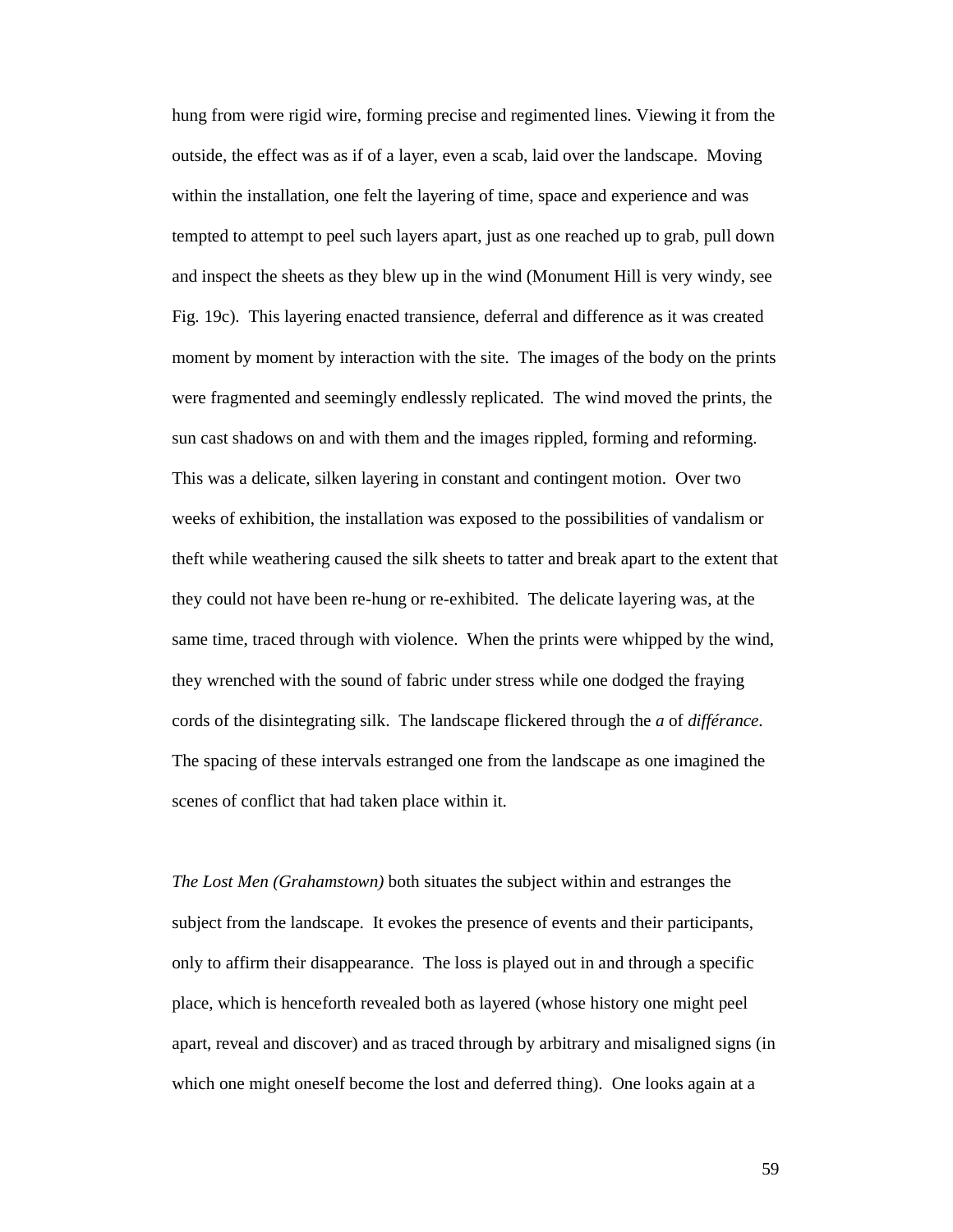hung from were rigid wire, forming precise and regimented lines. Viewing it from the outside, the effect was as if of a layer, even a scab, laid over the landscape. Moving within the installation, one felt the layering of time, space and experience and was tempted to attempt to peel such layers apart, just as one reached up to grab, pull down and inspect the sheets as they blew up in the wind (Monument Hill is very windy, see Fig. 19c). This layering enacted transience, deferral and difference as it was created moment by moment by interaction with the site. The images of the body on the prints were fragmented and seemingly endlessly replicated. The wind moved the prints, the sun cast shadows on and with them and the images rippled, forming and reforming. This was a delicate, silken layering in constant and contingent motion. Over two weeks of exhibition, the installation was exposed to the possibilities of vandalism or theft while weathering caused the silk sheets to tatter and break apart to the extent that they could not have been re-hung or re-exhibited. The delicate layering was, at the same time, traced through with violence. When the prints were whipped by the wind, they wrenched with the sound of fabric under stress while one dodged the fraying cords of the disintegrating silk. The landscape flickered through the *a* of *différance*. The spacing of these intervals estranged one from the landscape as one imagined the scenes of conflict that had taken place within it.

*The Lost Men (Grahamstown)* both situates the subject within and estranges the subject from the landscape. It evokes the presence of events and their participants, only to affirm their disappearance. The loss is played out in and through a specific place, which is henceforth revealed both as layered (whose history one might peel apart, reveal and discover) and as traced through by arbitrary and misaligned signs (in which one might oneself become the lost and deferred thing). One looks again at a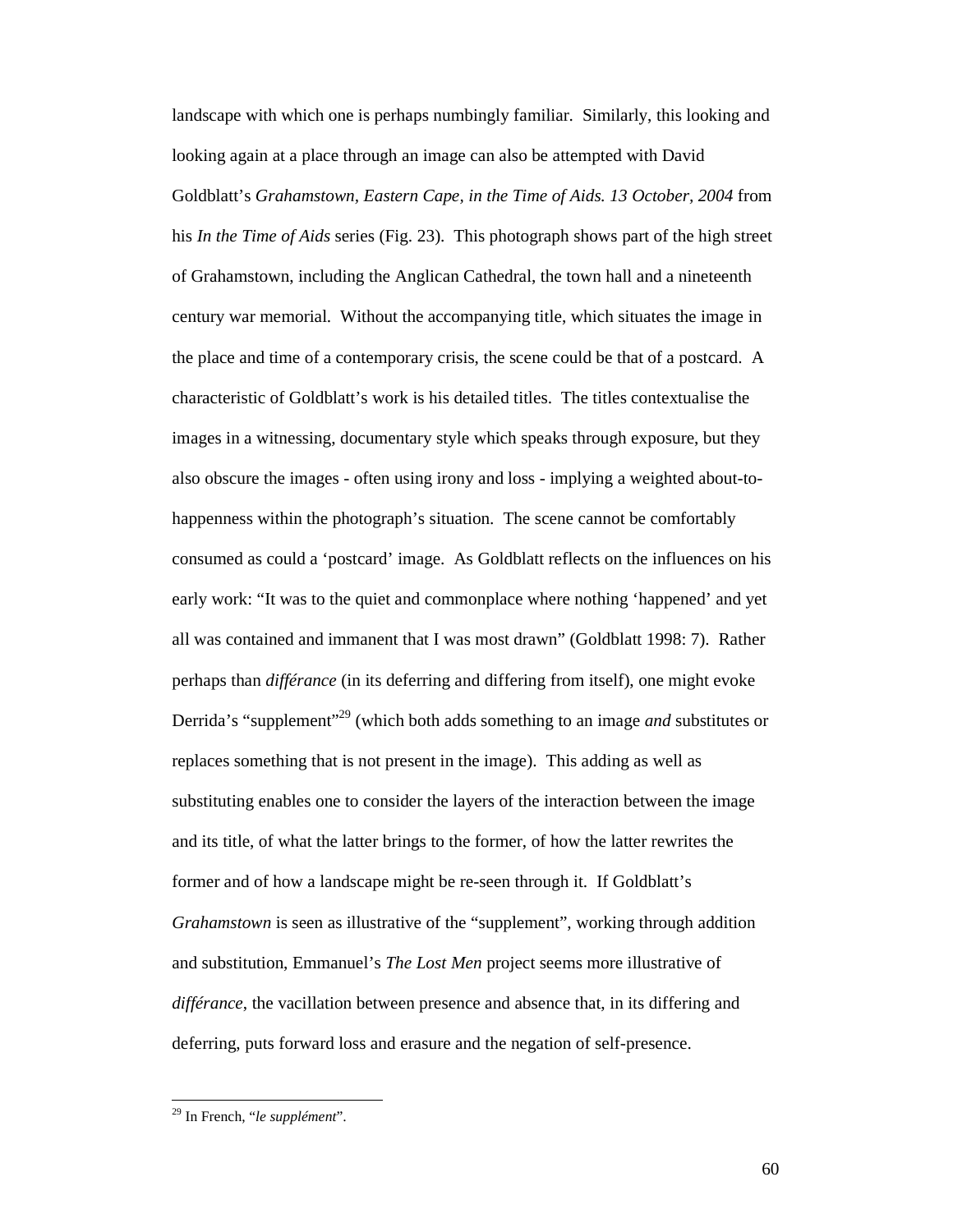landscape with which one is perhaps numbingly familiar. Similarly, this looking and looking again at a place through an image can also be attempted with David Goldblatt's *Grahamstown, Eastern Cape, in the Time of Aids. 13 October, 2004* from his *In the Time of Aids* series (Fig. 23). This photograph shows part of the high street of Grahamstown, including the Anglican Cathedral, the town hall and a nineteenth century war memorial. Without the accompanying title, which situates the image in the place and time of a contemporary crisis, the scene could be that of a postcard. A characteristic of Goldblatt's work is his detailed titles. The titles contextualise the images in a witnessing, documentary style which speaks through exposure, but they also obscure the images - often using irony and loss - implying a weighted about-tohappenness within the photograph's situation. The scene cannot be comfortably consumed as could a 'postcard' image. As Goldblatt reflects on the influences on his early work: "It was to the quiet and commonplace where nothing 'happened' and yet all was contained and immanent that I was most drawn" (Goldblatt 1998: 7). Rather perhaps than *différance* (in its deferring and differing from itself), one might evoke Derrida's "supplement"<sup>29</sup> (which both adds something to an image *and* substitutes or replaces something that is not present in the image). This adding as well as substituting enables one to consider the layers of the interaction between the image and its title, of what the latter brings to the former, of how the latter rewrites the former and of how a landscape might be re-seen through it. If Goldblatt's *Grahamstown* is seen as illustrative of the "supplement", working through addition and substitution, Emmanuel's *The Lost Men* project seems more illustrative of *différance*, the vacillation between presence and absence that, in its differing and deferring, puts forward loss and erasure and the negation of self-presence.

-

<sup>29</sup> In French, "*le supplément*".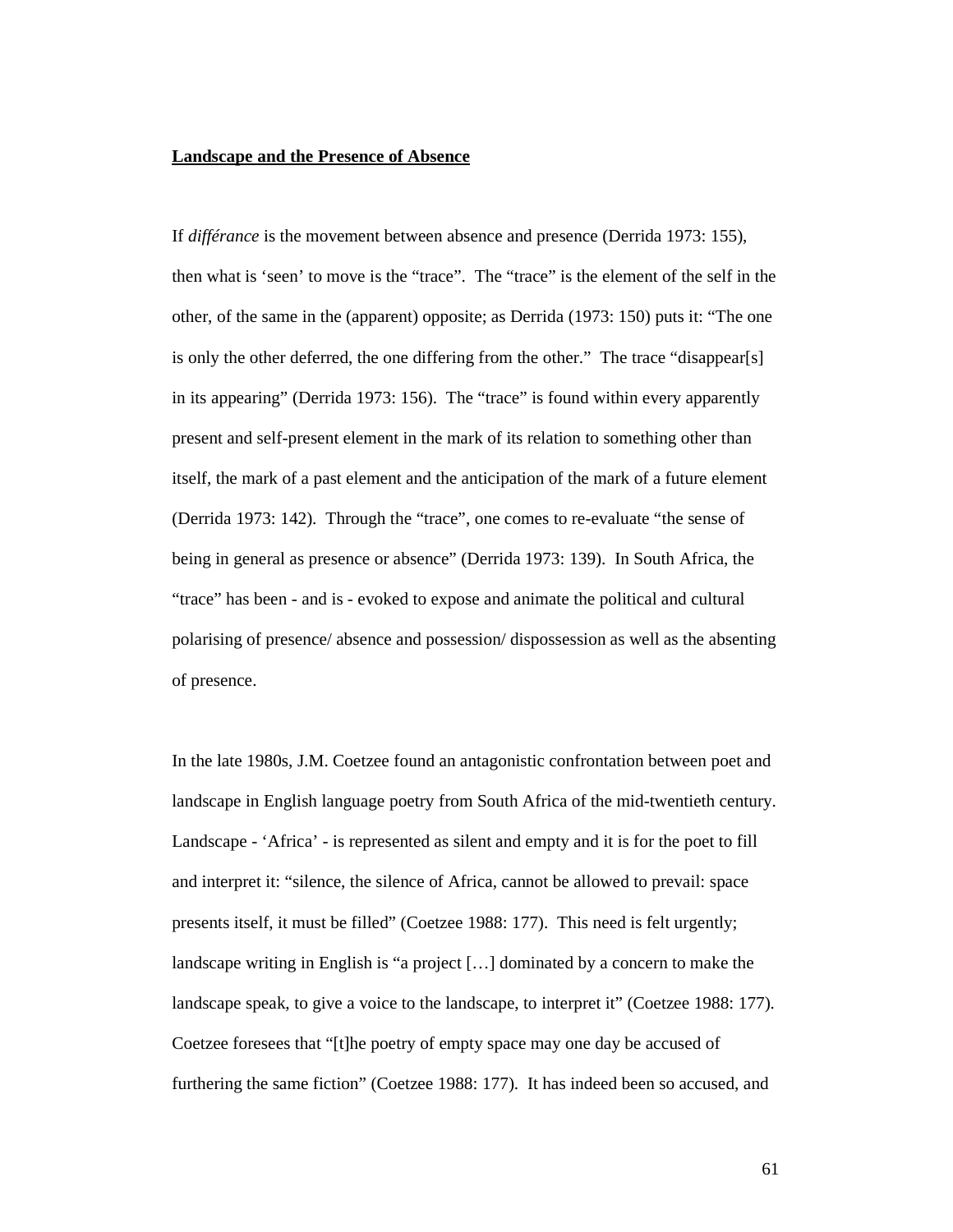### **Landscape and the Presence of Absence**

If *différance* is the movement between absence and presence (Derrida 1973: 155), then what is 'seen' to move is the "trace". The "trace" is the element of the self in the other, of the same in the (apparent) opposite; as Derrida (1973: 150) puts it: "The one is only the other deferred, the one differing from the other." The trace "disappear[s] in its appearing" (Derrida 1973: 156). The "trace" is found within every apparently present and self-present element in the mark of its relation to something other than itself, the mark of a past element and the anticipation of the mark of a future element (Derrida 1973: 142). Through the "trace", one comes to re-evaluate "the sense of being in general as presence or absence" (Derrida 1973: 139). In South Africa, the "trace" has been - and is - evoked to expose and animate the political and cultural polarising of presence/ absence and possession/ dispossession as well as the absenting of presence.

In the late 1980s, J.M. Coetzee found an antagonistic confrontation between poet and landscape in English language poetry from South Africa of the mid-twentieth century. Landscape - 'Africa' - is represented as silent and empty and it is for the poet to fill and interpret it: "silence, the silence of Africa, cannot be allowed to prevail: space presents itself, it must be filled" (Coetzee 1988: 177). This need is felt urgently; landscape writing in English is "a project […] dominated by a concern to make the landscape speak, to give a voice to the landscape, to interpret it" (Coetzee 1988: 177). Coetzee foresees that "[t]he poetry of empty space may one day be accused of furthering the same fiction" (Coetzee 1988: 177). It has indeed been so accused, and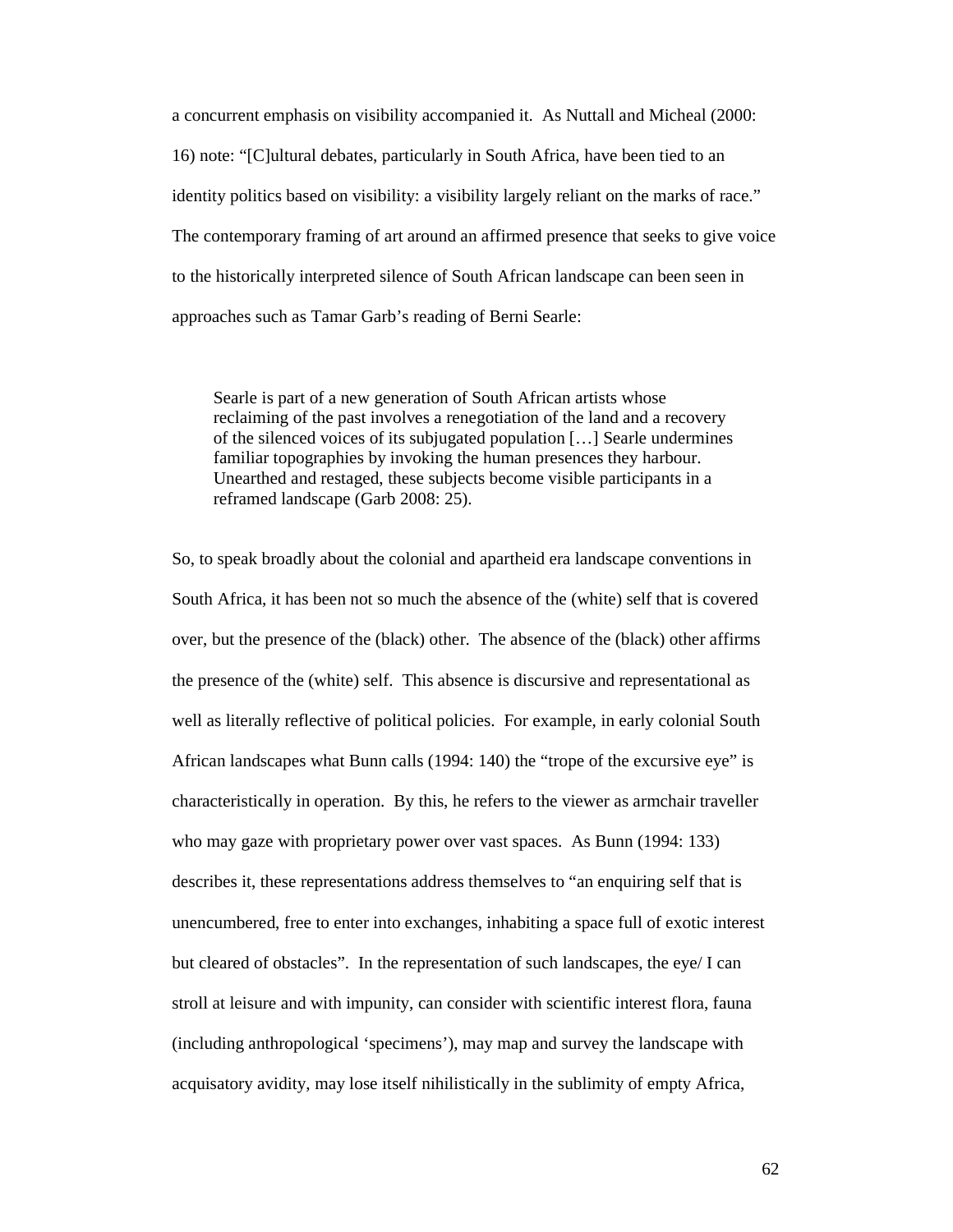a concurrent emphasis on visibility accompanied it. As Nuttall and Micheal (2000: 16) note: "[C]ultural debates, particularly in South Africa, have been tied to an identity politics based on visibility: a visibility largely reliant on the marks of race." The contemporary framing of art around an affirmed presence that seeks to give voice to the historically interpreted silence of South African landscape can been seen in approaches such as Tamar Garb's reading of Berni Searle:

Searle is part of a new generation of South African artists whose reclaiming of the past involves a renegotiation of the land and a recovery of the silenced voices of its subjugated population […] Searle undermines familiar topographies by invoking the human presences they harbour. Unearthed and restaged, these subjects become visible participants in a reframed landscape (Garb 2008: 25).

So, to speak broadly about the colonial and apartheid era landscape conventions in South Africa, it has been not so much the absence of the (white) self that is covered over, but the presence of the (black) other. The absence of the (black) other affirms the presence of the (white) self. This absence is discursive and representational as well as literally reflective of political policies. For example, in early colonial South African landscapes what Bunn calls (1994: 140) the "trope of the excursive eye" is characteristically in operation. By this, he refers to the viewer as armchair traveller who may gaze with proprietary power over vast spaces. As Bunn (1994: 133) describes it, these representations address themselves to "an enquiring self that is unencumbered, free to enter into exchanges, inhabiting a space full of exotic interest but cleared of obstacles". In the representation of such landscapes, the eye/ I can stroll at leisure and with impunity, can consider with scientific interest flora, fauna (including anthropological 'specimens'), may map and survey the landscape with acquisatory avidity, may lose itself nihilistically in the sublimity of empty Africa,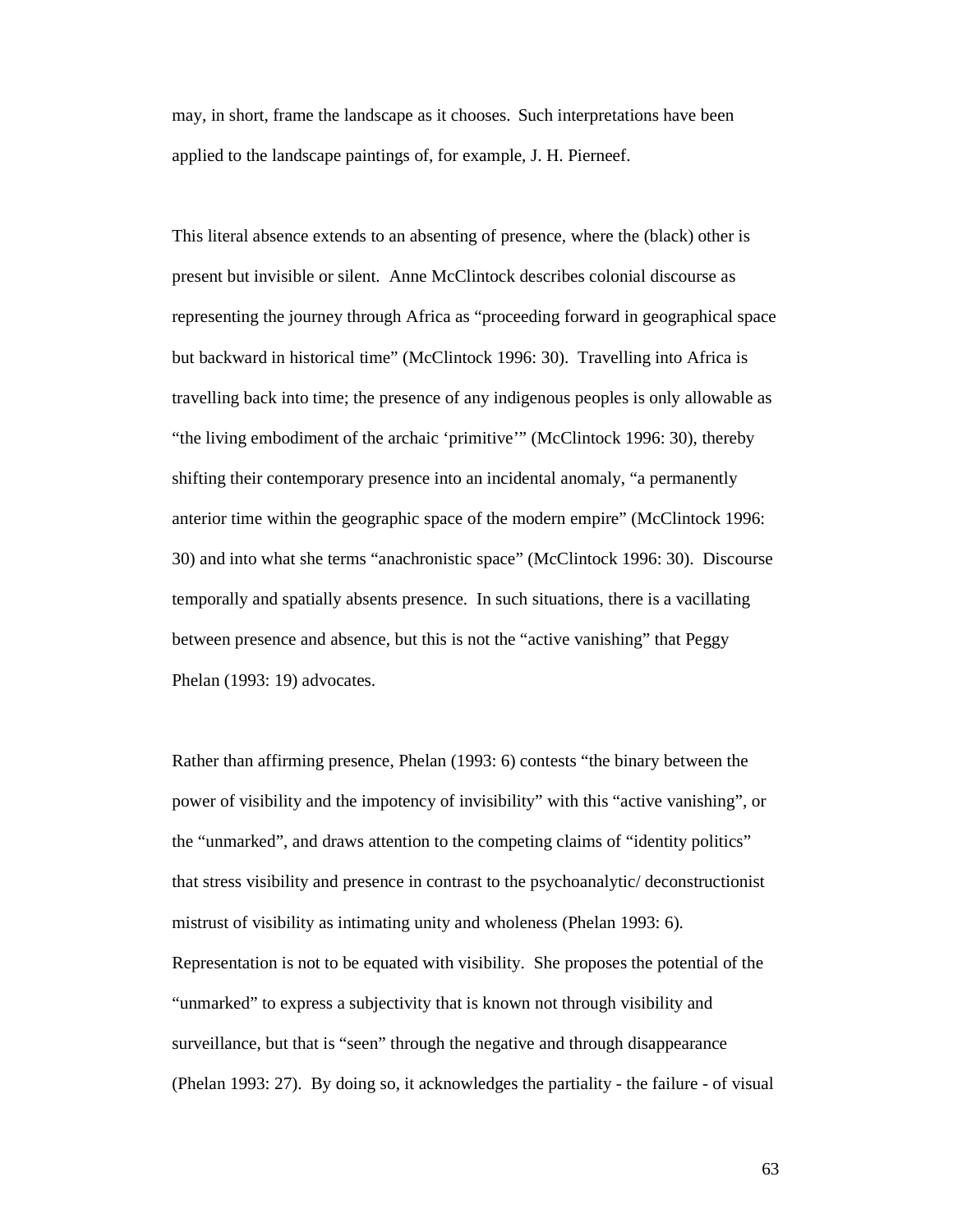may, in short, frame the landscape as it chooses. Such interpretations have been applied to the landscape paintings of, for example, J. H. Pierneef.

This literal absence extends to an absenting of presence, where the (black) other is present but invisible or silent. Anne McClintock describes colonial discourse as representing the journey through Africa as "proceeding forward in geographical space but backward in historical time" (McClintock 1996: 30). Travelling into Africa is travelling back into time; the presence of any indigenous peoples is only allowable as "the living embodiment of the archaic 'primitive'" (McClintock 1996: 30), thereby shifting their contemporary presence into an incidental anomaly, "a permanently anterior time within the geographic space of the modern empire" (McClintock 1996: 30) and into what she terms "anachronistic space" (McClintock 1996: 30). Discourse temporally and spatially absents presence. In such situations, there is a vacillating between presence and absence, but this is not the "active vanishing" that Peggy Phelan (1993: 19) advocates.

Rather than affirming presence, Phelan (1993: 6) contests "the binary between the power of visibility and the impotency of invisibility" with this "active vanishing", or the "unmarked", and draws attention to the competing claims of "identity politics" that stress visibility and presence in contrast to the psychoanalytic/ deconstructionist mistrust of visibility as intimating unity and wholeness (Phelan 1993: 6). Representation is not to be equated with visibility. She proposes the potential of the "unmarked" to express a subjectivity that is known not through visibility and surveillance, but that is "seen" through the negative and through disappearance (Phelan 1993: 27). By doing so, it acknowledges the partiality - the failure - of visual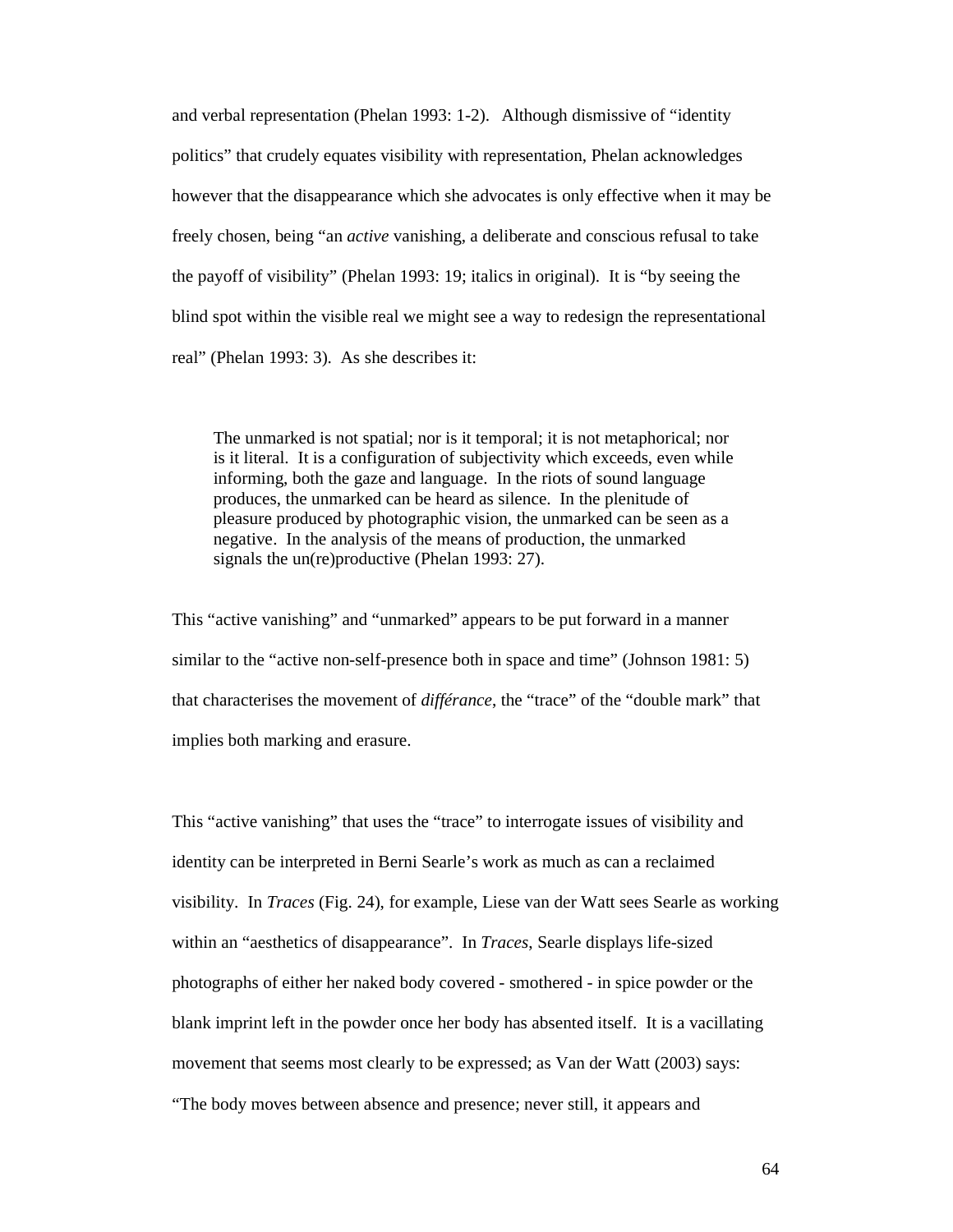and verbal representation (Phelan 1993: 1-2). Although dismissive of "identity politics" that crudely equates visibility with representation, Phelan acknowledges however that the disappearance which she advocates is only effective when it may be freely chosen, being "an *active* vanishing, a deliberate and conscious refusal to take the payoff of visibility" (Phelan 1993: 19; italics in original). It is "by seeing the blind spot within the visible real we might see a way to redesign the representational real" (Phelan 1993: 3). As she describes it:

The unmarked is not spatial; nor is it temporal; it is not metaphorical; nor is it literal. It is a configuration of subjectivity which exceeds, even while informing, both the gaze and language. In the riots of sound language produces, the unmarked can be heard as silence. In the plenitude of pleasure produced by photographic vision, the unmarked can be seen as a negative. In the analysis of the means of production, the unmarked signals the un(re)productive (Phelan 1993: 27).

This "active vanishing" and "unmarked" appears to be put forward in a manner similar to the "active non-self-presence both in space and time" (Johnson 1981: 5) that characterises the movement of *différance*, the "trace" of the "double mark" that implies both marking and erasure.

This "active vanishing" that uses the "trace" to interrogate issues of visibility and identity can be interpreted in Berni Searle's work as much as can a reclaimed visibility. In *Traces* (Fig. 24), for example, Liese van der Watt sees Searle as working within an "aesthetics of disappearance". In *Traces*, Searle displays life-sized photographs of either her naked body covered - smothered - in spice powder or the blank imprint left in the powder once her body has absented itself. It is a vacillating movement that seems most clearly to be expressed; as Van der Watt (2003) says: "The body moves between absence and presence; never still, it appears and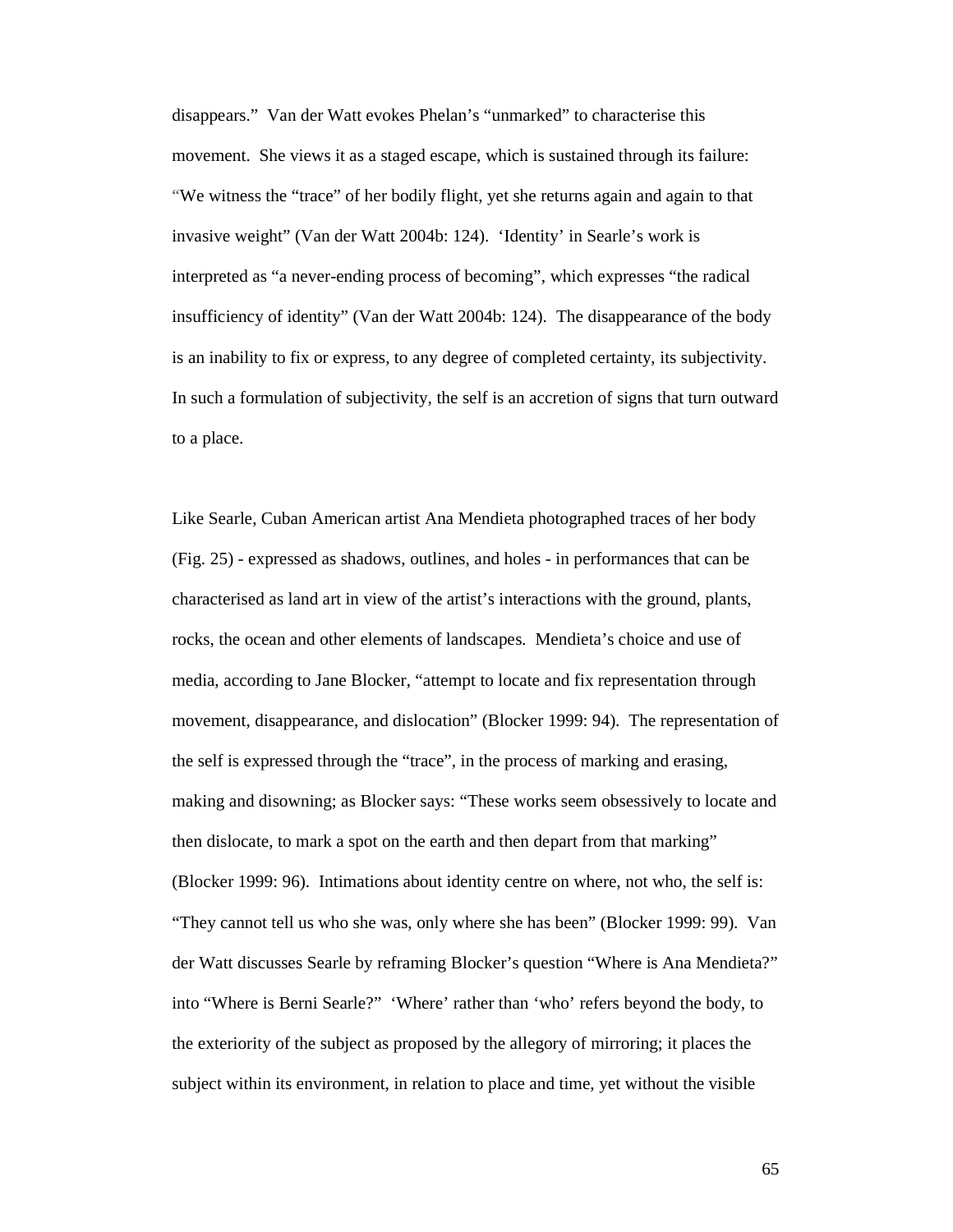disappears." Van der Watt evokes Phelan's "unmarked" to characterise this movement. She views it as a staged escape, which is sustained through its failure: "We witness the "trace" of her bodily flight, yet she returns again and again to that invasive weight" (Van der Watt 2004b: 124). 'Identity' in Searle's work is interpreted as "a never-ending process of becoming", which expresses "the radical insufficiency of identity" (Van der Watt 2004b: 124). The disappearance of the body is an inability to fix or express, to any degree of completed certainty, its subjectivity. In such a formulation of subjectivity, the self is an accretion of signs that turn outward to a place.

Like Searle, Cuban American artist Ana Mendieta photographed traces of her body (Fig. 25) - expressed as shadows, outlines, and holes - in performances that can be characterised as land art in view of the artist's interactions with the ground, plants, rocks, the ocean and other elements of landscapes. Mendieta's choice and use of media, according to Jane Blocker, "attempt to locate and fix representation through movement, disappearance, and dislocation" (Blocker 1999: 94). The representation of the self is expressed through the "trace", in the process of marking and erasing, making and disowning; as Blocker says: "These works seem obsessively to locate and then dislocate, to mark a spot on the earth and then depart from that marking" (Blocker 1999: 96). Intimations about identity centre on where, not who, the self is: "They cannot tell us who she was, only where she has been" (Blocker 1999: 99). Van der Watt discusses Searle by reframing Blocker's question "Where is Ana Mendieta?" into "Where is Berni Searle?" 'Where' rather than 'who' refers beyond the body, to the exteriority of the subject as proposed by the allegory of mirroring; it places the subject within its environment, in relation to place and time, yet without the visible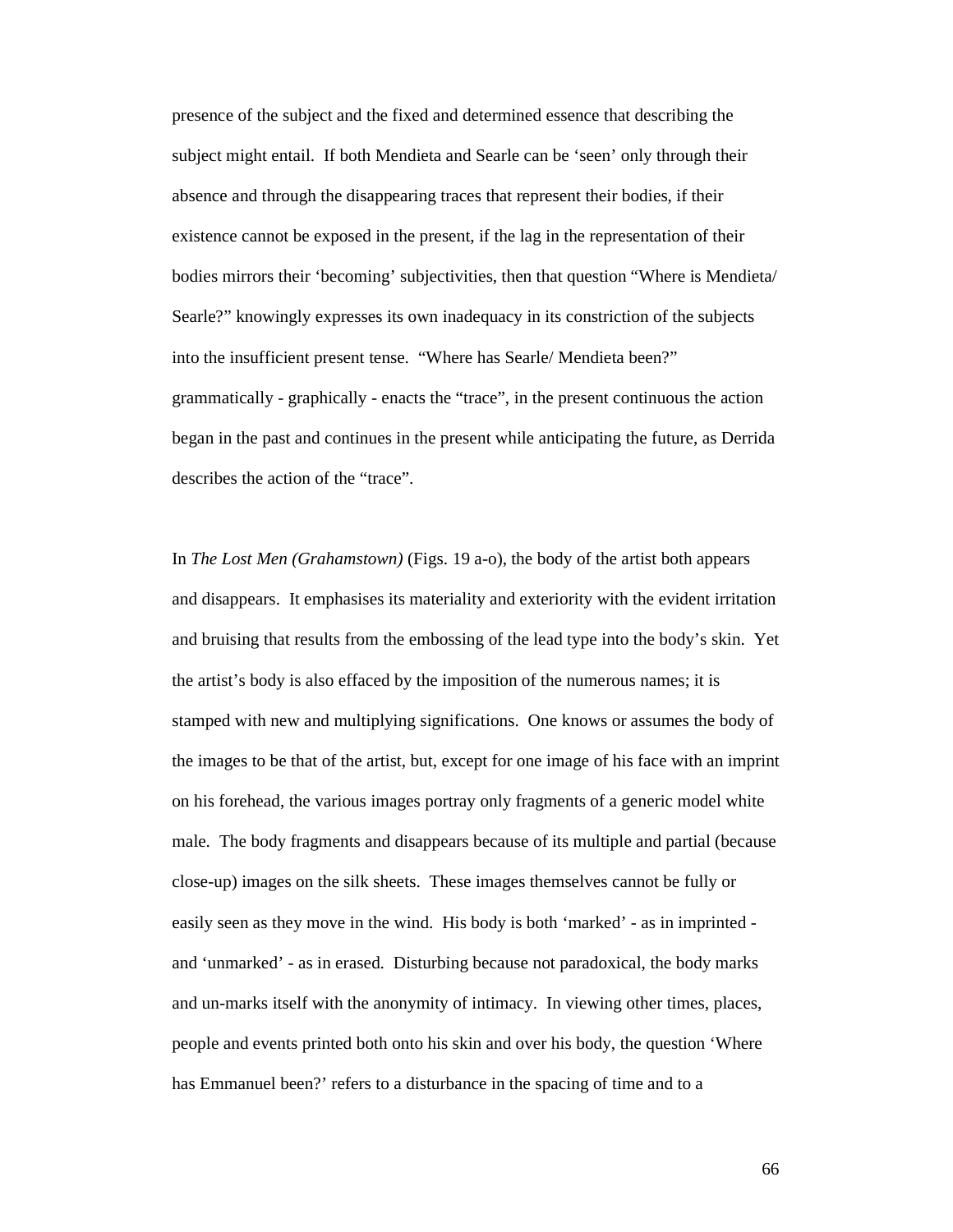presence of the subject and the fixed and determined essence that describing the subject might entail. If both Mendieta and Searle can be 'seen' only through their absence and through the disappearing traces that represent their bodies, if their existence cannot be exposed in the present, if the lag in the representation of their bodies mirrors their 'becoming' subjectivities, then that question "Where is Mendieta/ Searle?" knowingly expresses its own inadequacy in its constriction of the subjects into the insufficient present tense. "Where has Searle/ Mendieta been?" grammatically - graphically - enacts the "trace", in the present continuous the action began in the past and continues in the present while anticipating the future, as Derrida describes the action of the "trace".

In *The Lost Men (Grahamstown)* (Figs. 19 a-o), the body of the artist both appears and disappears. It emphasises its materiality and exteriority with the evident irritation and bruising that results from the embossing of the lead type into the body's skin. Yet the artist's body is also effaced by the imposition of the numerous names; it is stamped with new and multiplying significations. One knows or assumes the body of the images to be that of the artist, but, except for one image of his face with an imprint on his forehead, the various images portray only fragments of a generic model white male. The body fragments and disappears because of its multiple and partial (because close-up) images on the silk sheets. These images themselves cannot be fully or easily seen as they move in the wind. His body is both 'marked' - as in imprinted and 'unmarked' - as in erased. Disturbing because not paradoxical, the body marks and un-marks itself with the anonymity of intimacy. In viewing other times, places, people and events printed both onto his skin and over his body, the question 'Where has Emmanuel been?' refers to a disturbance in the spacing of time and to a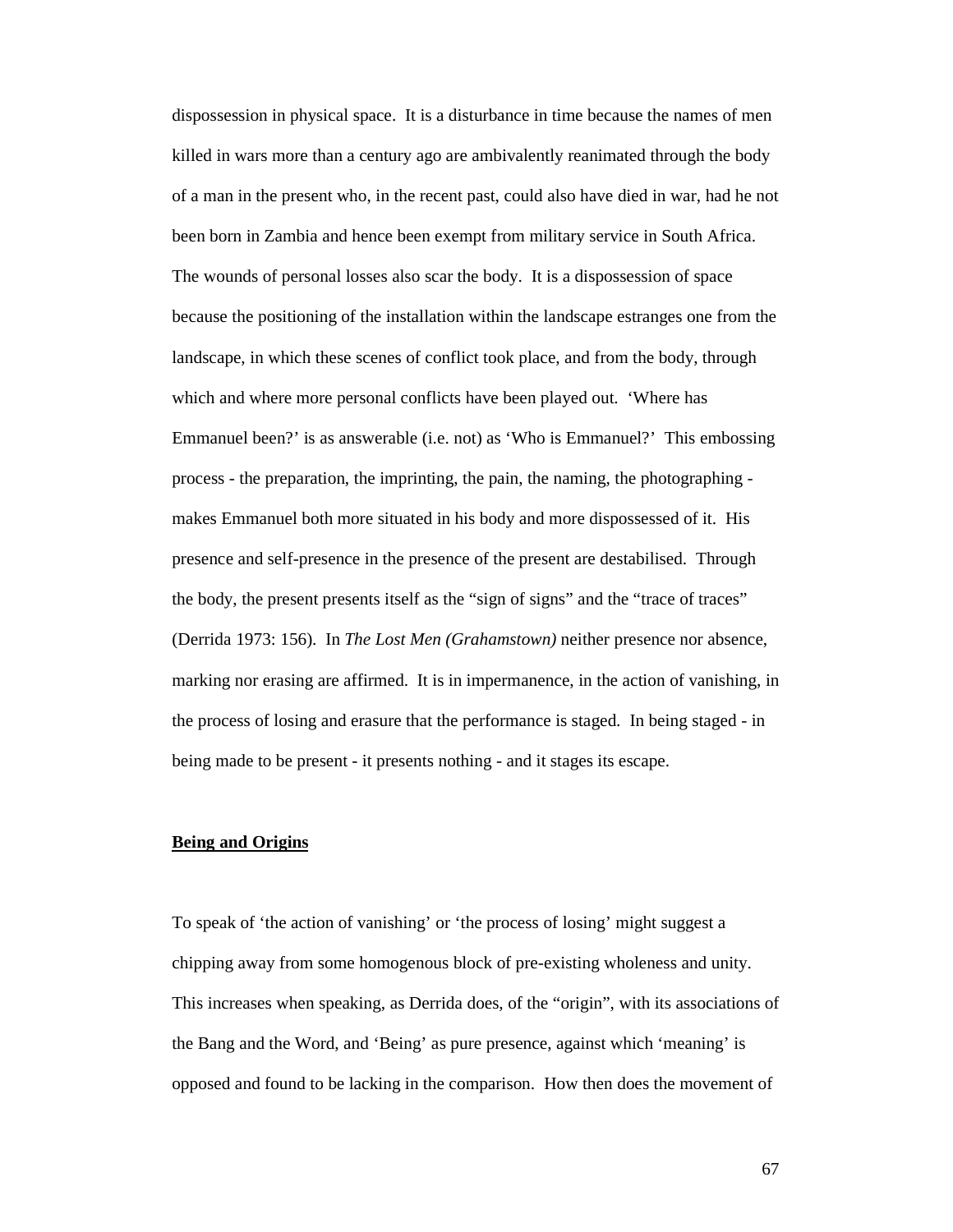dispossession in physical space. It is a disturbance in time because the names of men killed in wars more than a century ago are ambivalently reanimated through the body of a man in the present who, in the recent past, could also have died in war, had he not been born in Zambia and hence been exempt from military service in South Africa. The wounds of personal losses also scar the body. It is a dispossession of space because the positioning of the installation within the landscape estranges one from the landscape, in which these scenes of conflict took place, and from the body, through which and where more personal conflicts have been played out. 'Where has Emmanuel been?' is as answerable (i.e. not) as 'Who is Emmanuel?' This embossing process - the preparation, the imprinting, the pain, the naming, the photographing makes Emmanuel both more situated in his body and more dispossessed of it. His presence and self-presence in the presence of the present are destabilised. Through the body, the present presents itself as the "sign of signs" and the "trace of traces" (Derrida 1973: 156). In *The Lost Men (Grahamstown)* neither presence nor absence, marking nor erasing are affirmed. It is in impermanence, in the action of vanishing, in the process of losing and erasure that the performance is staged. In being staged - in being made to be present - it presents nothing - and it stages its escape.

# **Being and Origins**

To speak of 'the action of vanishing' or 'the process of losing' might suggest a chipping away from some homogenous block of pre-existing wholeness and unity. This increases when speaking, as Derrida does, of the "origin", with its associations of the Bang and the Word, and 'Being' as pure presence, against which 'meaning' is opposed and found to be lacking in the comparison. How then does the movement of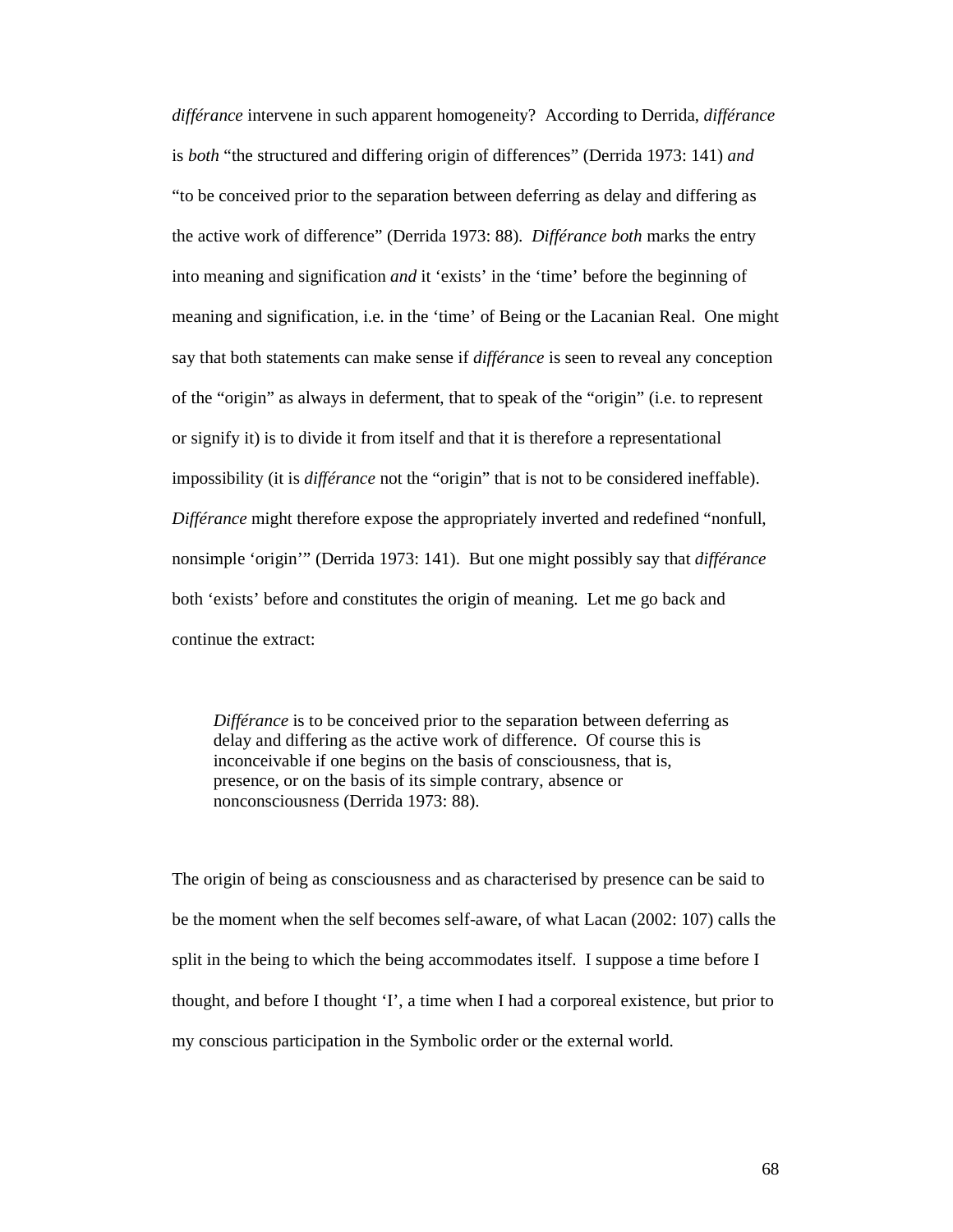*différance* intervene in such apparent homogeneity? According to Derrida, *différance* is *both* "the structured and differing origin of differences" (Derrida 1973: 141) *and* "to be conceived prior to the separation between deferring as delay and differing as the active work of difference" (Derrida 1973: 88). *Différance both* marks the entry into meaning and signification *and* it 'exists' in the 'time' before the beginning of meaning and signification, i.e. in the 'time' of Being or the Lacanian Real. One might say that both statements can make sense if *différance* is seen to reveal any conception of the "origin" as always in deferment, that to speak of the "origin" (i.e. to represent or signify it) is to divide it from itself and that it is therefore a representational impossibility (it is *différance* not the "origin" that is not to be considered ineffable). *Différance* might therefore expose the appropriately inverted and redefined "nonfull, nonsimple 'origin'" (Derrida 1973: 141). But one might possibly say that *différance* both 'exists' before and constitutes the origin of meaning. Let me go back and continue the extract:

*Différance* is to be conceived prior to the separation between deferring as delay and differing as the active work of difference. Of course this is inconceivable if one begins on the basis of consciousness, that is, presence, or on the basis of its simple contrary, absence or nonconsciousness (Derrida 1973: 88).

The origin of being as consciousness and as characterised by presence can be said to be the moment when the self becomes self-aware, of what Lacan (2002: 107) calls the split in the being to which the being accommodates itself. I suppose a time before I thought, and before I thought 'I', a time when I had a corporeal existence, but prior to my conscious participation in the Symbolic order or the external world.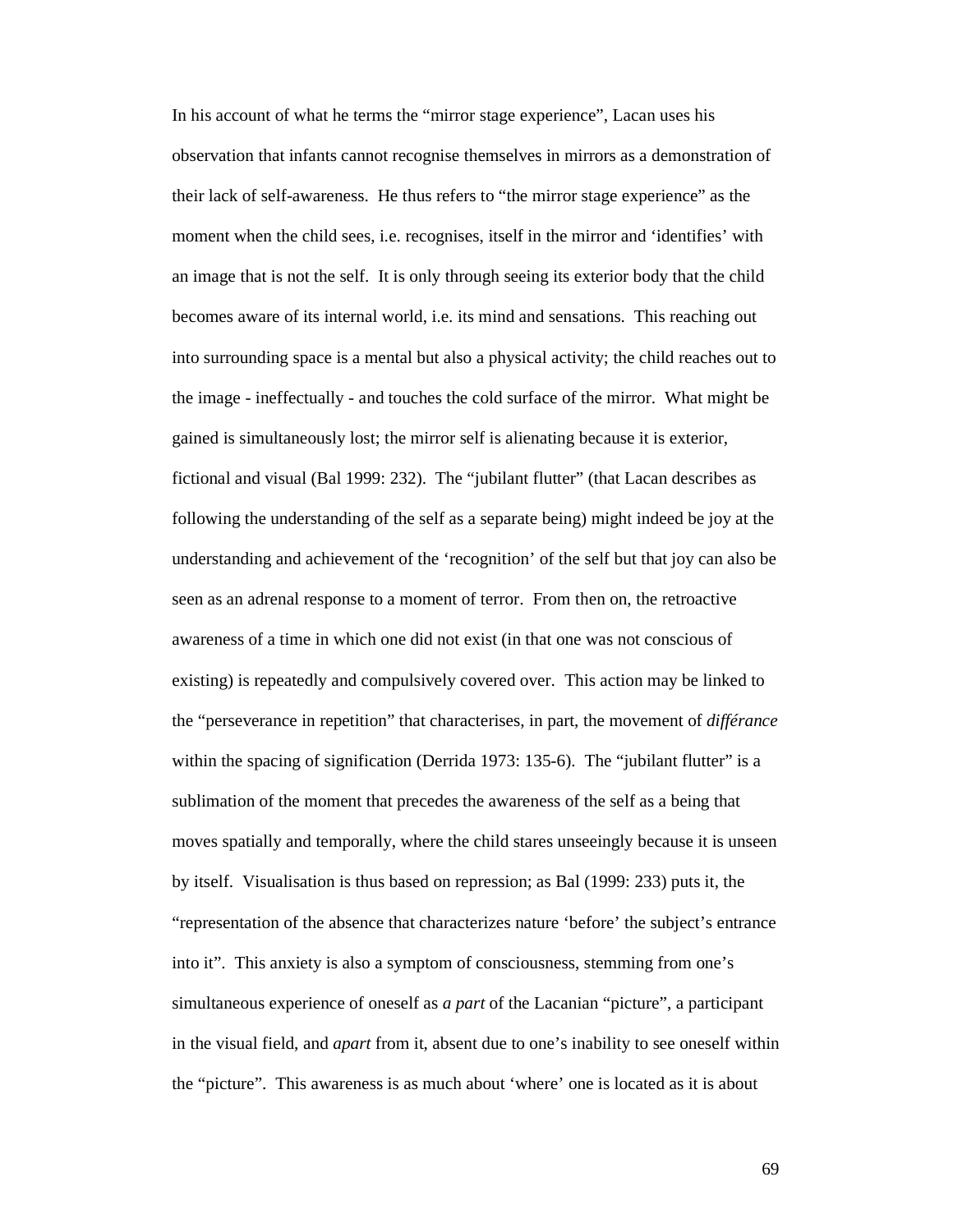In his account of what he terms the "mirror stage experience", Lacan uses his observation that infants cannot recognise themselves in mirrors as a demonstration of their lack of self-awareness. He thus refers to "the mirror stage experience" as the moment when the child sees, i.e. recognises, itself in the mirror and 'identifies' with an image that is not the self. It is only through seeing its exterior body that the child becomes aware of its internal world, i.e. its mind and sensations. This reaching out into surrounding space is a mental but also a physical activity; the child reaches out to the image - ineffectually - and touches the cold surface of the mirror. What might be gained is simultaneously lost; the mirror self is alienating because it is exterior, fictional and visual (Bal 1999: 232). The "jubilant flutter" (that Lacan describes as following the understanding of the self as a separate being) might indeed be joy at the understanding and achievement of the 'recognition' of the self but that joy can also be seen as an adrenal response to a moment of terror. From then on, the retroactive awareness of a time in which one did not exist (in that one was not conscious of existing) is repeatedly and compulsively covered over. This action may be linked to the "perseverance in repetition" that characterises, in part, the movement of *différance* within the spacing of signification (Derrida 1973: 135-6). The "jubilant flutter" is a sublimation of the moment that precedes the awareness of the self as a being that moves spatially and temporally, where the child stares unseeingly because it is unseen by itself. Visualisation is thus based on repression; as Bal (1999: 233) puts it, the "representation of the absence that characterizes nature 'before' the subject's entrance into it". This anxiety is also a symptom of consciousness, stemming from one's simultaneous experience of oneself as *a part* of the Lacanian "picture", a participant in the visual field, and *apart* from it, absent due to one's inability to see oneself within the "picture". This awareness is as much about 'where' one is located as it is about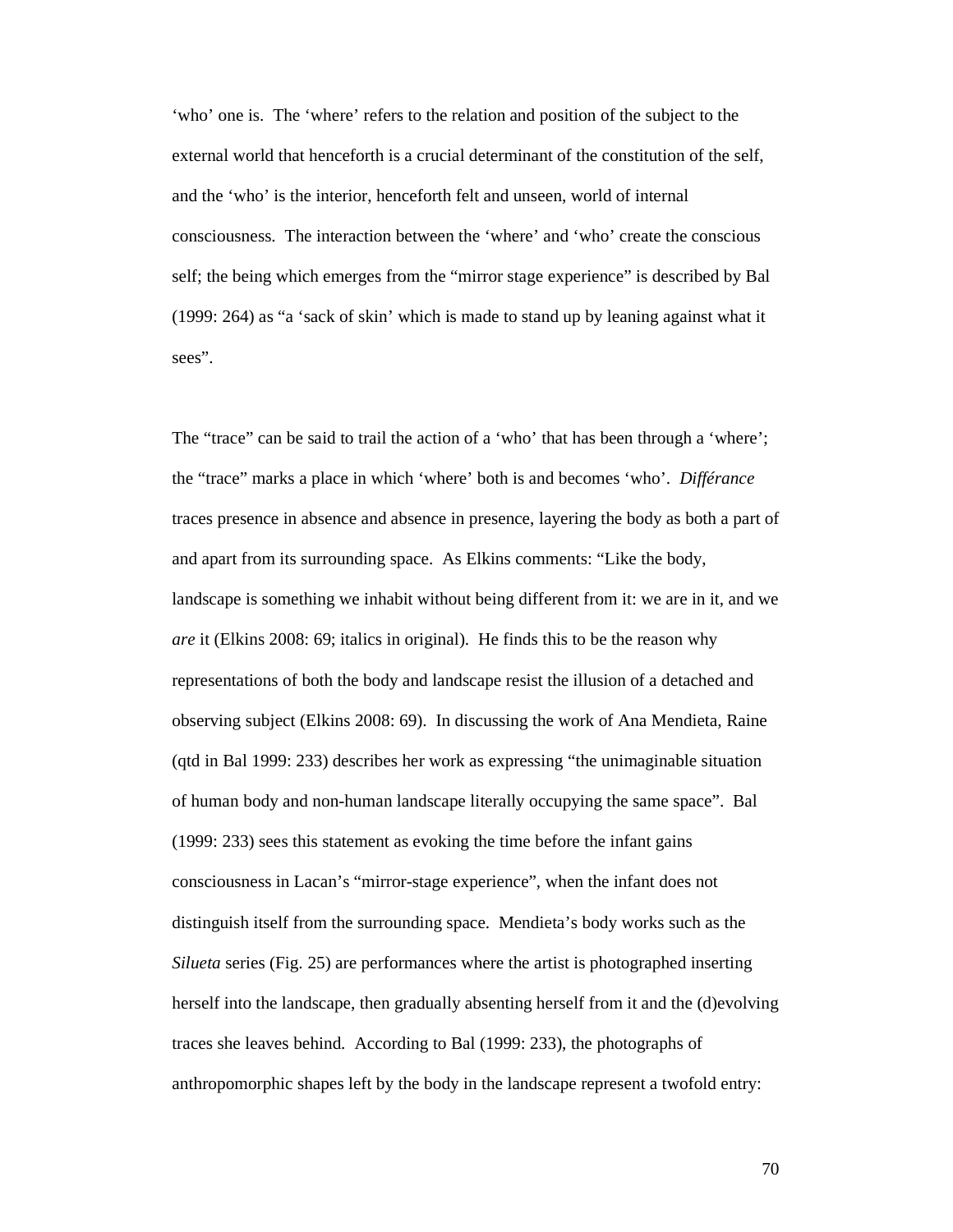'who' one is. The 'where' refers to the relation and position of the subject to the external world that henceforth is a crucial determinant of the constitution of the self, and the 'who' is the interior, henceforth felt and unseen, world of internal consciousness. The interaction between the 'where' and 'who' create the conscious self; the being which emerges from the "mirror stage experience" is described by Bal (1999: 264) as "a 'sack of skin' which is made to stand up by leaning against what it sees".

The "trace" can be said to trail the action of a 'who' that has been through a 'where'; the "trace" marks a place in which 'where' both is and becomes 'who'. *Différance* traces presence in absence and absence in presence, layering the body as both a part of and apart from its surrounding space. As Elkins comments: "Like the body, landscape is something we inhabit without being different from it: we are in it, and we *are* it (Elkins 2008: 69; italics in original). He finds this to be the reason why representations of both the body and landscape resist the illusion of a detached and observing subject (Elkins 2008: 69). In discussing the work of Ana Mendieta, Raine (qtd in Bal 1999: 233) describes her work as expressing "the unimaginable situation of human body and non-human landscape literally occupying the same space". Bal (1999: 233) sees this statement as evoking the time before the infant gains consciousness in Lacan's "mirror-stage experience", when the infant does not distinguish itself from the surrounding space. Mendieta's body works such as the *Silueta* series (Fig. 25) are performances where the artist is photographed inserting herself into the landscape, then gradually absenting herself from it and the (d)evolving traces she leaves behind. According to Bal (1999: 233), the photographs of anthropomorphic shapes left by the body in the landscape represent a twofold entry: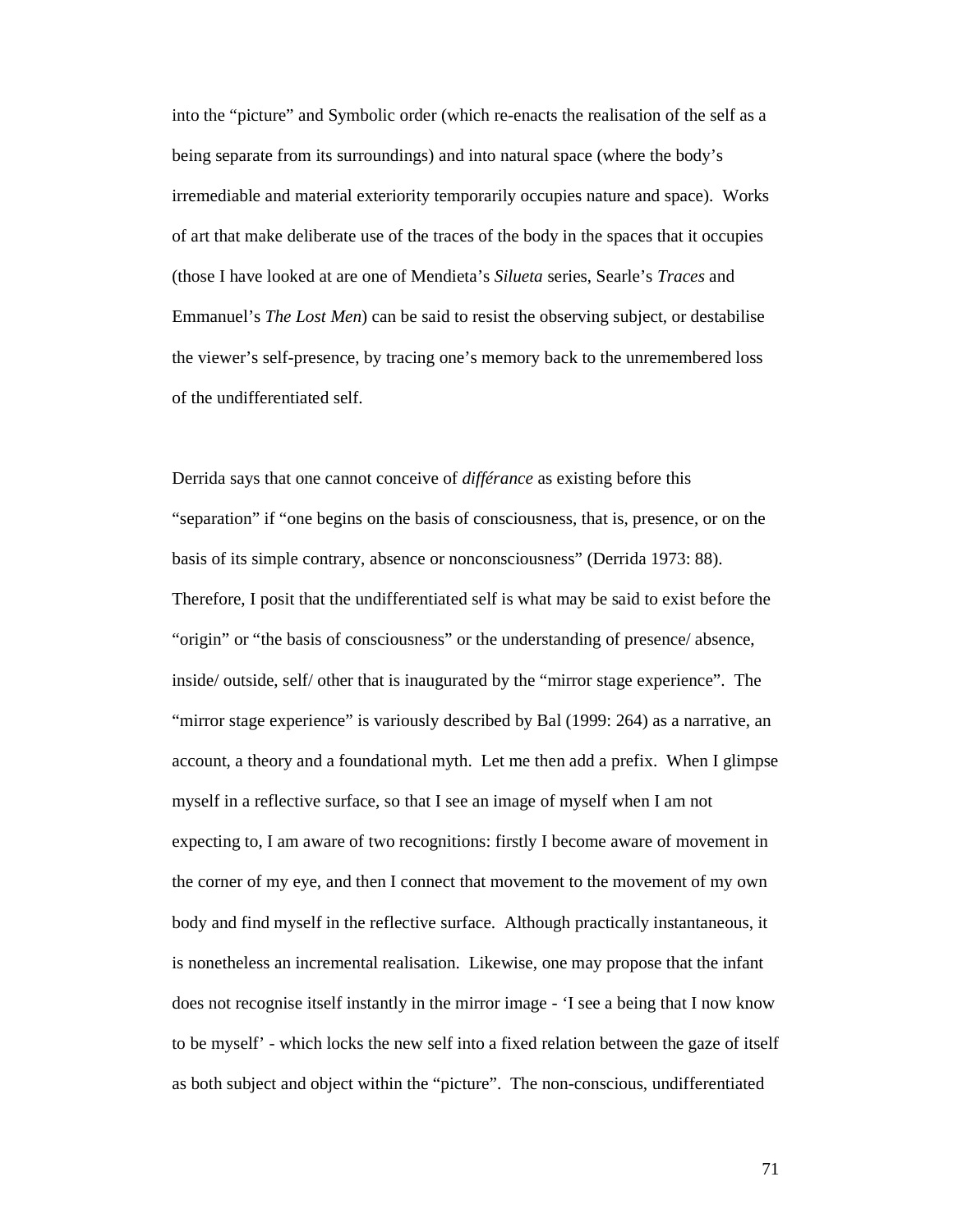into the "picture" and Symbolic order (which re-enacts the realisation of the self as a being separate from its surroundings) and into natural space (where the body's irremediable and material exteriority temporarily occupies nature and space). Works of art that make deliberate use of the traces of the body in the spaces that it occupies (those I have looked at are one of Mendieta's *Silueta* series, Searle's *Traces* and Emmanuel's *The Lost Men*) can be said to resist the observing subject, or destabilise the viewer's self-presence, by tracing one's memory back to the unremembered loss of the undifferentiated self.

Derrida says that one cannot conceive of *différance* as existing before this "separation" if "one begins on the basis of consciousness, that is, presence, or on the basis of its simple contrary, absence or nonconsciousness" (Derrida 1973: 88). Therefore, I posit that the undifferentiated self is what may be said to exist before the "origin" or "the basis of consciousness" or the understanding of presence/ absence, inside/ outside, self/ other that is inaugurated by the "mirror stage experience". The "mirror stage experience" is variously described by Bal (1999: 264) as a narrative, an account, a theory and a foundational myth. Let me then add a prefix. When I glimpse myself in a reflective surface, so that I see an image of myself when I am not expecting to, I am aware of two recognitions: firstly I become aware of movement in the corner of my eye, and then I connect that movement to the movement of my own body and find myself in the reflective surface. Although practically instantaneous, it is nonetheless an incremental realisation. Likewise, one may propose that the infant does not recognise itself instantly in the mirror image - 'I see a being that I now know to be myself' - which locks the new self into a fixed relation between the gaze of itself as both subject and object within the "picture". The non-conscious, undifferentiated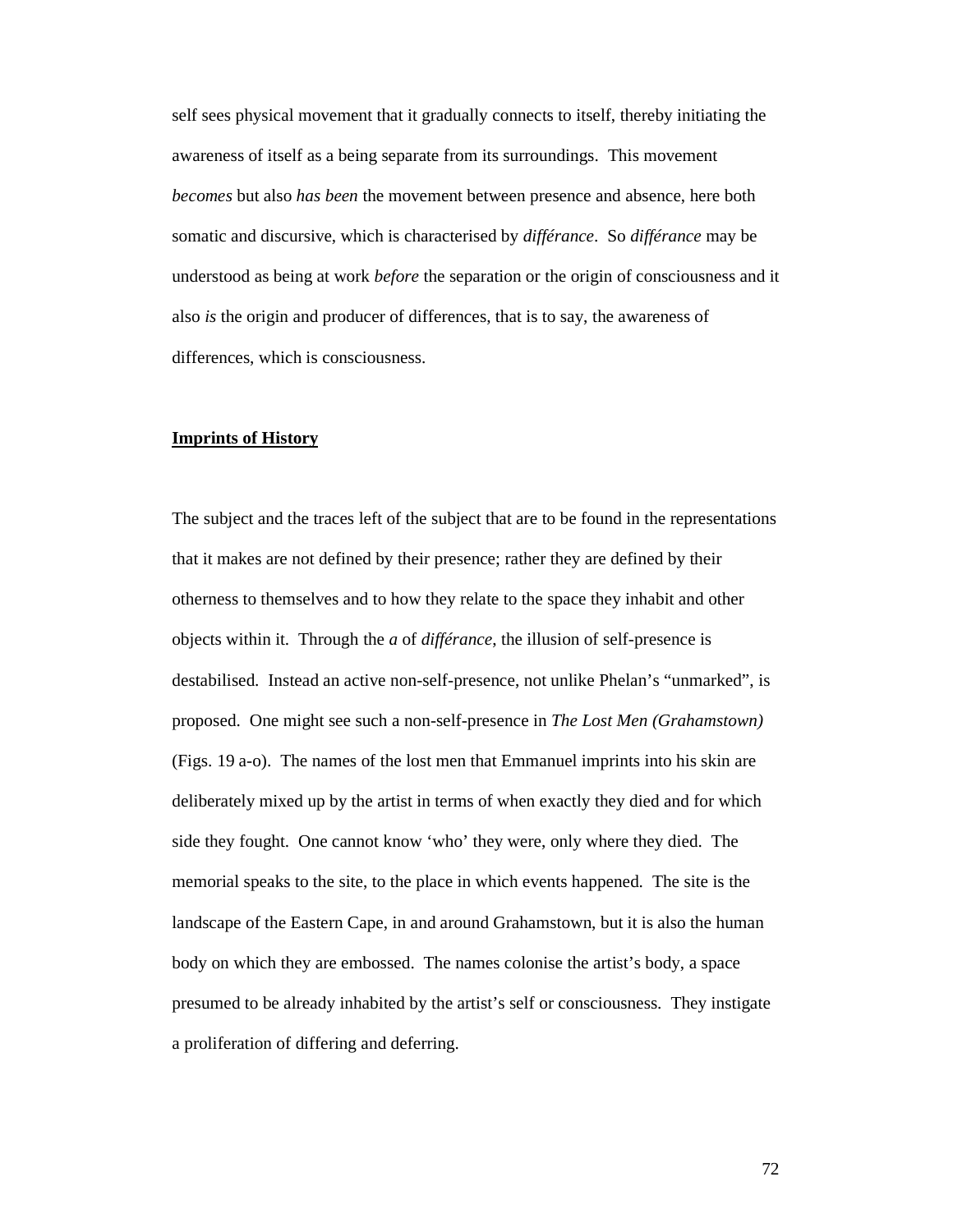self sees physical movement that it gradually connects to itself, thereby initiating the awareness of itself as a being separate from its surroundings. This movement *becomes* but also *has been* the movement between presence and absence, here both somatic and discursive, which is characterised by *différance*. So *différance* may be understood as being at work *before* the separation or the origin of consciousness and it also *is* the origin and producer of differences, that is to say, the awareness of differences, which is consciousness.

#### **Imprints of History**

The subject and the traces left of the subject that are to be found in the representations that it makes are not defined by their presence; rather they are defined by their otherness to themselves and to how they relate to the space they inhabit and other objects within it. Through the *a* of *différance*, the illusion of self-presence is destabilised. Instead an active non-self-presence, not unlike Phelan's "unmarked", is proposed. One might see such a non-self-presence in *The Lost Men (Grahamstown)*  (Figs. 19 a-o). The names of the lost men that Emmanuel imprints into his skin are deliberately mixed up by the artist in terms of when exactly they died and for which side they fought. One cannot know 'who' they were, only where they died. The memorial speaks to the site, to the place in which events happened. The site is the landscape of the Eastern Cape, in and around Grahamstown, but it is also the human body on which they are embossed. The names colonise the artist's body, a space presumed to be already inhabited by the artist's self or consciousness. They instigate a proliferation of differing and deferring.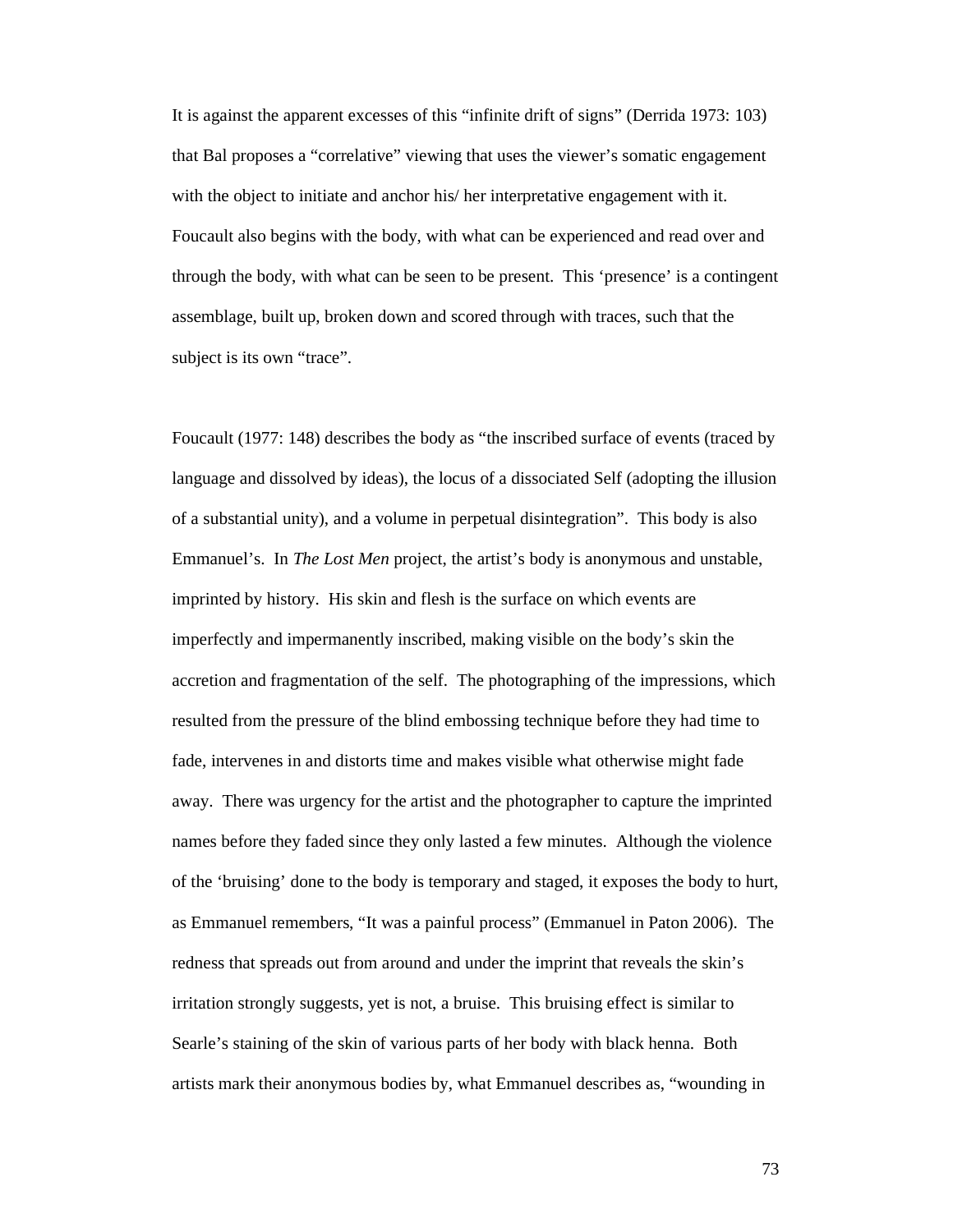It is against the apparent excesses of this "infinite drift of signs" (Derrida 1973: 103) that Bal proposes a "correlative" viewing that uses the viewer's somatic engagement with the object to initiate and anchor his/ her interpretative engagement with it. Foucault also begins with the body, with what can be experienced and read over and through the body, with what can be seen to be present. This 'presence' is a contingent assemblage, built up, broken down and scored through with traces, such that the subject is its own "trace".

Foucault (1977: 148) describes the body as "the inscribed surface of events (traced by language and dissolved by ideas), the locus of a dissociated Self (adopting the illusion of a substantial unity), and a volume in perpetual disintegration". This body is also Emmanuel's. In *The Lost Men* project, the artist's body is anonymous and unstable, imprinted by history. His skin and flesh is the surface on which events are imperfectly and impermanently inscribed, making visible on the body's skin the accretion and fragmentation of the self. The photographing of the impressions, which resulted from the pressure of the blind embossing technique before they had time to fade, intervenes in and distorts time and makes visible what otherwise might fade away. There was urgency for the artist and the photographer to capture the imprinted names before they faded since they only lasted a few minutes. Although the violence of the 'bruising' done to the body is temporary and staged, it exposes the body to hurt, as Emmanuel remembers, "It was a painful process" (Emmanuel in Paton 2006). The redness that spreads out from around and under the imprint that reveals the skin's irritation strongly suggests, yet is not, a bruise. This bruising effect is similar to Searle's staining of the skin of various parts of her body with black henna. Both artists mark their anonymous bodies by, what Emmanuel describes as, "wounding in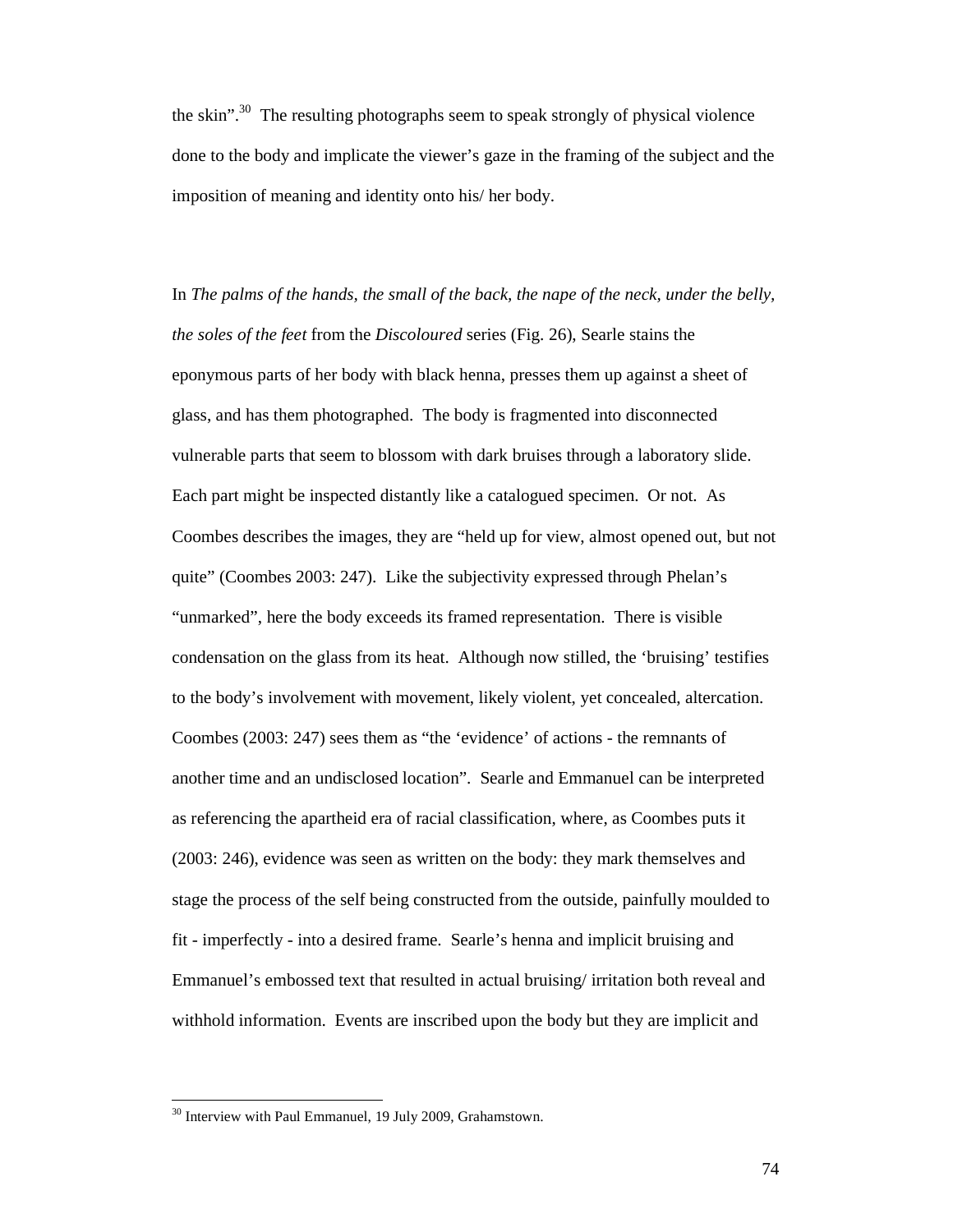the skin".<sup>30</sup> The resulting photographs seem to speak strongly of physical violence done to the body and implicate the viewer's gaze in the framing of the subject and the imposition of meaning and identity onto his/ her body.

In *The palms of the hands, the small of the back, the nape of the neck, under the belly, the soles of the feet* from the *Discoloured* series (Fig. 26), Searle stains the eponymous parts of her body with black henna, presses them up against a sheet of glass, and has them photographed. The body is fragmented into disconnected vulnerable parts that seem to blossom with dark bruises through a laboratory slide. Each part might be inspected distantly like a catalogued specimen. Or not. As Coombes describes the images, they are "held up for view, almost opened out, but not quite" (Coombes 2003: 247). Like the subjectivity expressed through Phelan's "unmarked", here the body exceeds its framed representation. There is visible condensation on the glass from its heat. Although now stilled, the 'bruising' testifies to the body's involvement with movement, likely violent, yet concealed, altercation. Coombes (2003: 247) sees them as "the 'evidence' of actions - the remnants of another time and an undisclosed location". Searle and Emmanuel can be interpreted as referencing the apartheid era of racial classification, where, as Coombes puts it (2003: 246), evidence was seen as written on the body: they mark themselves and stage the process of the self being constructed from the outside, painfully moulded to fit - imperfectly - into a desired frame. Searle's henna and implicit bruising and Emmanuel's embossed text that resulted in actual bruising/ irritation both reveal and withhold information. Events are inscribed upon the body but they are implicit and

<sup>&</sup>lt;sup>30</sup> Interview with Paul Emmanuel, 19 July 2009, Grahamstown.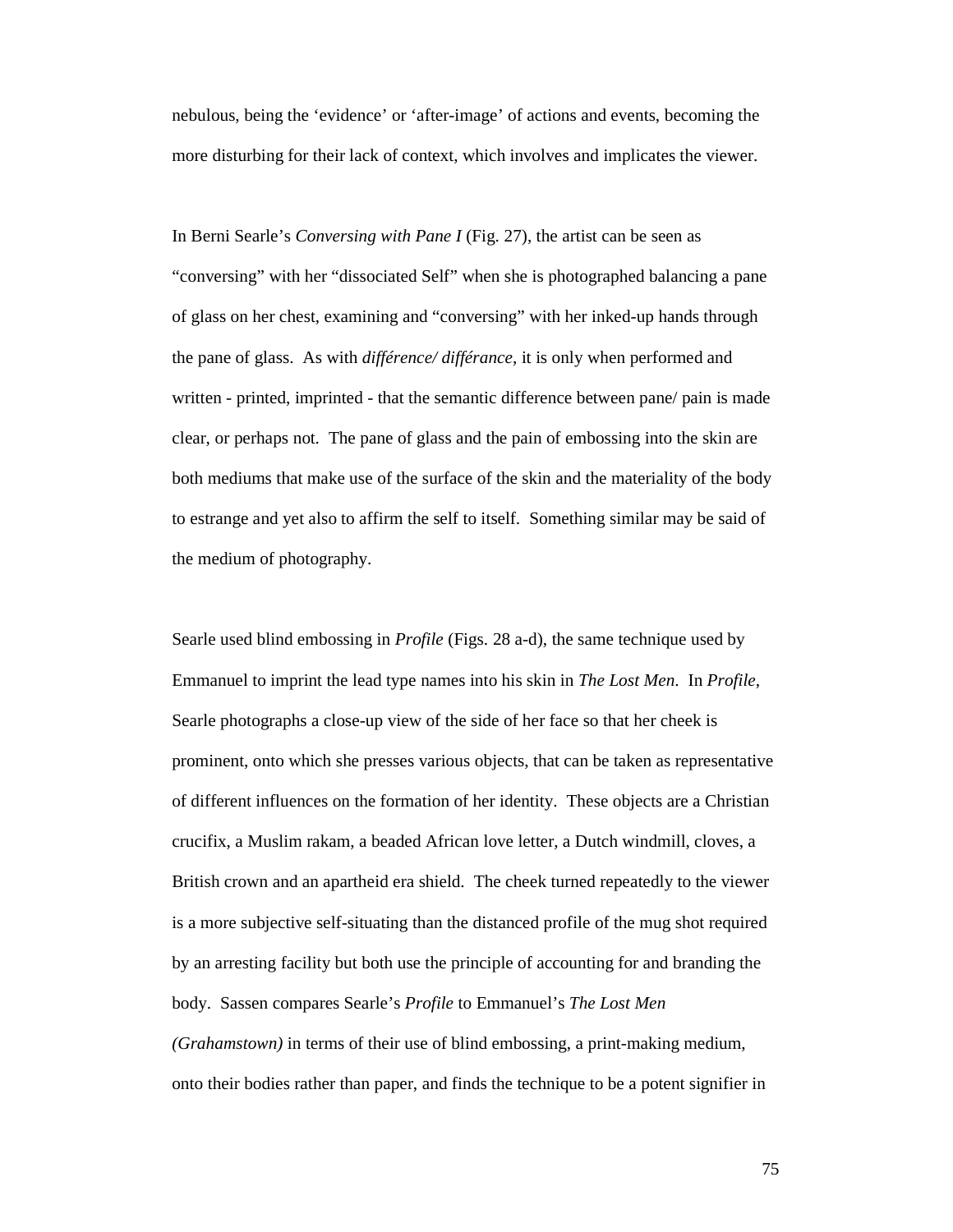nebulous, being the 'evidence' or 'after-image' of actions and events, becoming the more disturbing for their lack of context, which involves and implicates the viewer.

In Berni Searle's *Conversing with Pane I* (Fig. 27), the artist can be seen as "conversing" with her "dissociated Self" when she is photographed balancing a pane of glass on her chest, examining and "conversing" with her inked-up hands through the pane of glass. As with *différence/ différance*, it is only when performed and written - printed, imprinted - that the semantic difference between pane/ pain is made clear, or perhaps not. The pane of glass and the pain of embossing into the skin are both mediums that make use of the surface of the skin and the materiality of the body to estrange and yet also to affirm the self to itself. Something similar may be said of the medium of photography.

Searle used blind embossing in *Profile* (Figs. 28 a-d), the same technique used by Emmanuel to imprint the lead type names into his skin in *The Lost Men*. In *Profile*, Searle photographs a close-up view of the side of her face so that her cheek is prominent, onto which she presses various objects, that can be taken as representative of different influences on the formation of her identity. These objects are a Christian crucifix, a Muslim rakam, a beaded African love letter, a Dutch windmill, cloves, a British crown and an apartheid era shield. The cheek turned repeatedly to the viewer is a more subjective self-situating than the distanced profile of the mug shot required by an arresting facility but both use the principle of accounting for and branding the body. Sassen compares Searle's *Profile* to Emmanuel's *The Lost Men (Grahamstown)* in terms of their use of blind embossing, a print-making medium, onto their bodies rather than paper, and finds the technique to be a potent signifier in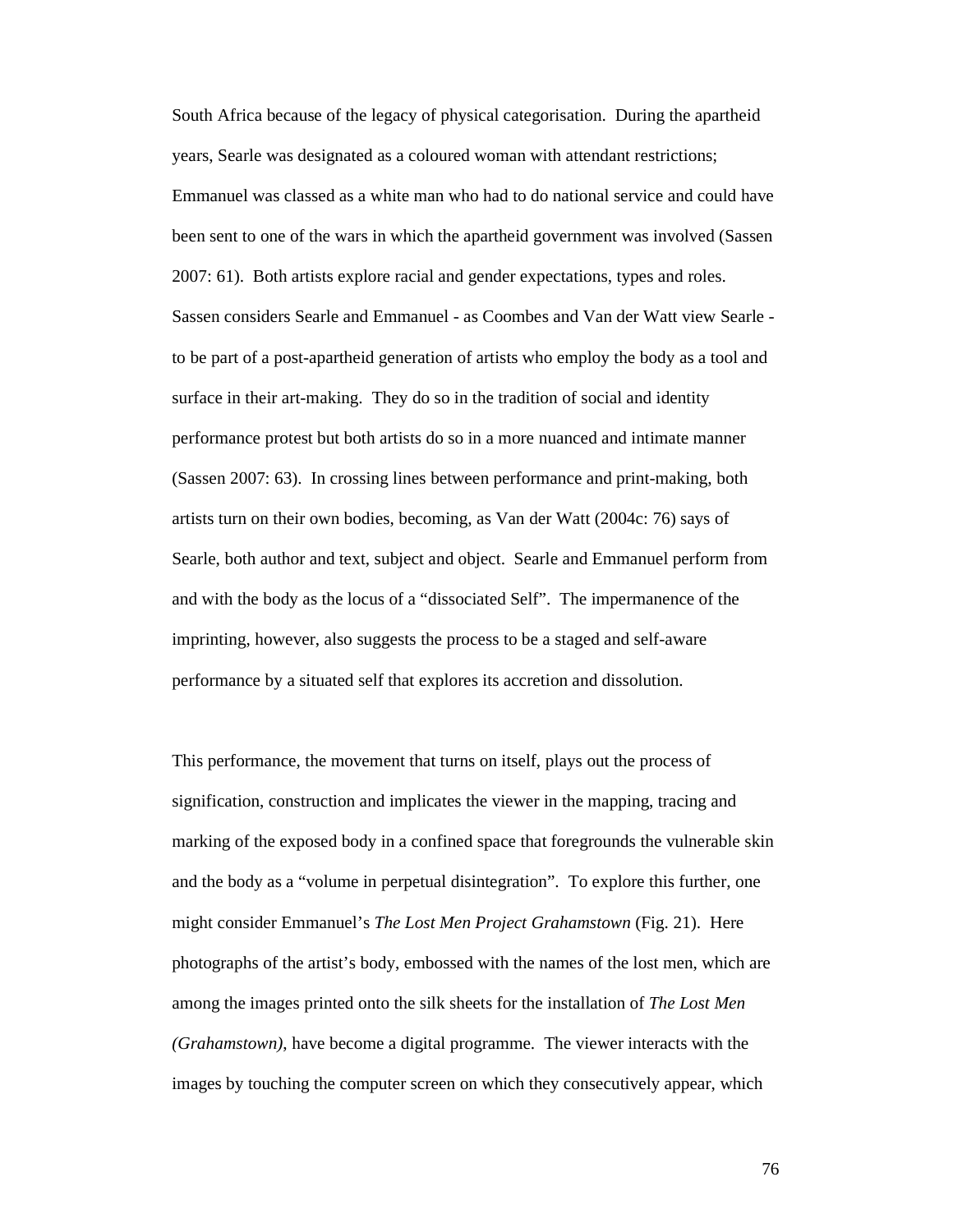South Africa because of the legacy of physical categorisation. During the apartheid years, Searle was designated as a coloured woman with attendant restrictions; Emmanuel was classed as a white man who had to do national service and could have been sent to one of the wars in which the apartheid government was involved (Sassen 2007: 61). Both artists explore racial and gender expectations, types and roles. Sassen considers Searle and Emmanuel - as Coombes and Van der Watt view Searle to be part of a post-apartheid generation of artists who employ the body as a tool and surface in their art-making. They do so in the tradition of social and identity performance protest but both artists do so in a more nuanced and intimate manner (Sassen 2007: 63). In crossing lines between performance and print-making, both artists turn on their own bodies, becoming, as Van der Watt (2004c: 76) says of Searle, both author and text, subject and object. Searle and Emmanuel perform from and with the body as the locus of a "dissociated Self". The impermanence of the imprinting, however, also suggests the process to be a staged and self-aware performance by a situated self that explores its accretion and dissolution.

This performance, the movement that turns on itself, plays out the process of signification, construction and implicates the viewer in the mapping, tracing and marking of the exposed body in a confined space that foregrounds the vulnerable skin and the body as a "volume in perpetual disintegration". To explore this further, one might consider Emmanuel's *The Lost Men Project Grahamstown* (Fig. 21). Here photographs of the artist's body, embossed with the names of the lost men, which are among the images printed onto the silk sheets for the installation of *The Lost Men (Grahamstown)*, have become a digital programme. The viewer interacts with the images by touching the computer screen on which they consecutively appear, which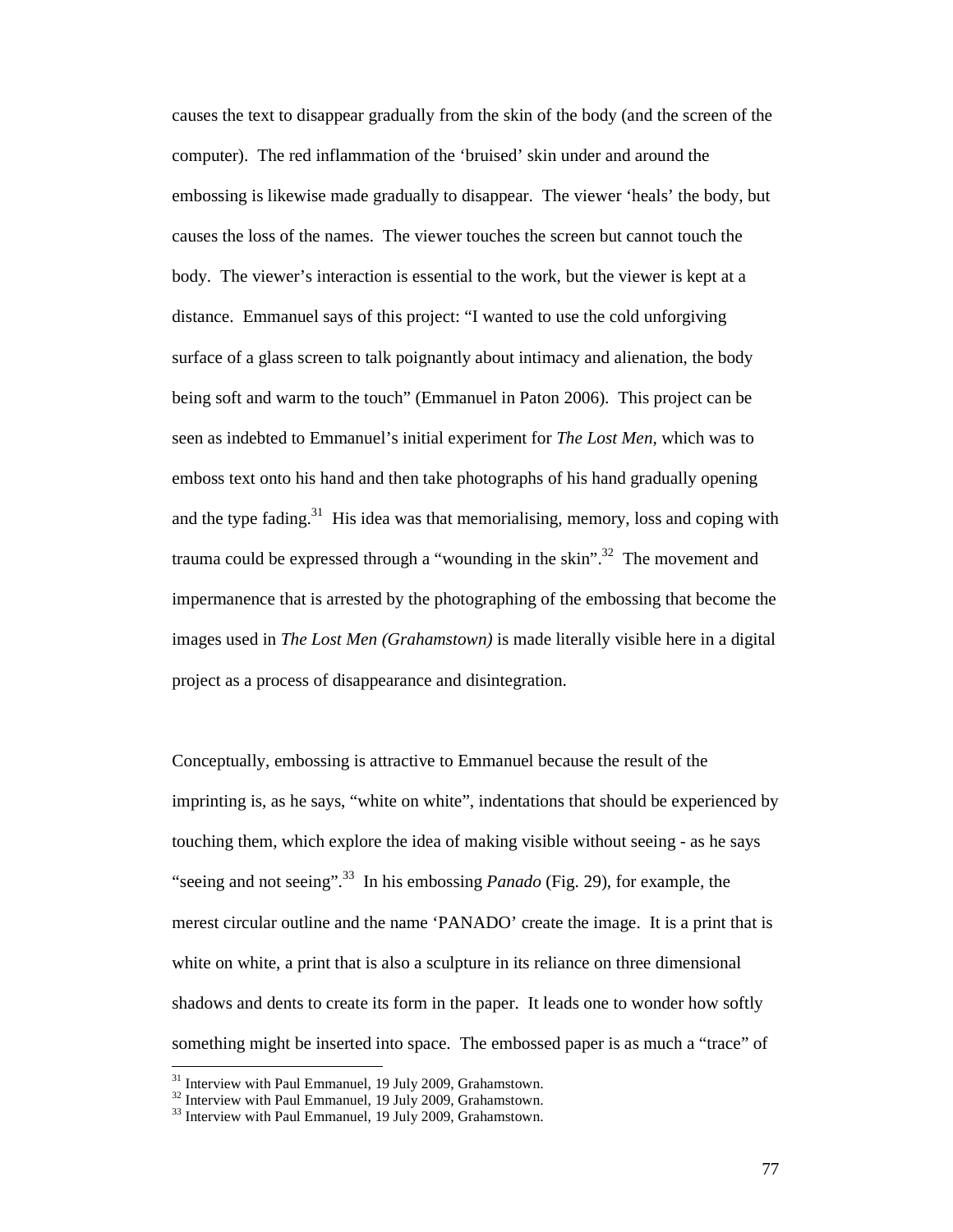causes the text to disappear gradually from the skin of the body (and the screen of the computer). The red inflammation of the 'bruised' skin under and around the embossing is likewise made gradually to disappear. The viewer 'heals' the body, but causes the loss of the names. The viewer touches the screen but cannot touch the body. The viewer's interaction is essential to the work, but the viewer is kept at a distance. Emmanuel says of this project: "I wanted to use the cold unforgiving surface of a glass screen to talk poignantly about intimacy and alienation, the body being soft and warm to the touch" (Emmanuel in Paton 2006). This project can be seen as indebted to Emmanuel's initial experiment for *The Lost Men,* which was to emboss text onto his hand and then take photographs of his hand gradually opening and the type fading.<sup>31</sup> His idea was that memorialising, memory, loss and coping with trauma could be expressed through a "wounding in the skin".<sup>32</sup> The movement and impermanence that is arrested by the photographing of the embossing that become the images used in *The Lost Men (Grahamstown)* is made literally visible here in a digital project as a process of disappearance and disintegration.

Conceptually, embossing is attractive to Emmanuel because the result of the imprinting is, as he says, "white on white", indentations that should be experienced by touching them, which explore the idea of making visible without seeing - as he says "seeing and not seeing".<sup>33</sup> In his embossing *Panado* (Fig. 29), for example, the merest circular outline and the name 'PANADO' create the image. It is a print that is white on white, a print that is also a sculpture in its reliance on three dimensional shadows and dents to create its form in the paper. It leads one to wonder how softly something might be inserted into space. The embossed paper is as much a "trace" of

<sup>&</sup>lt;sup>31</sup> Interview with Paul Emmanuel, 19 July 2009, Grahamstown.

 $32$  Interview with Paul Emmanuel,  $19$  July 2009, Grahamstown.

<sup>&</sup>lt;sup>33</sup> Interview with Paul Emmanuel, 19 July 2009, Grahamstown.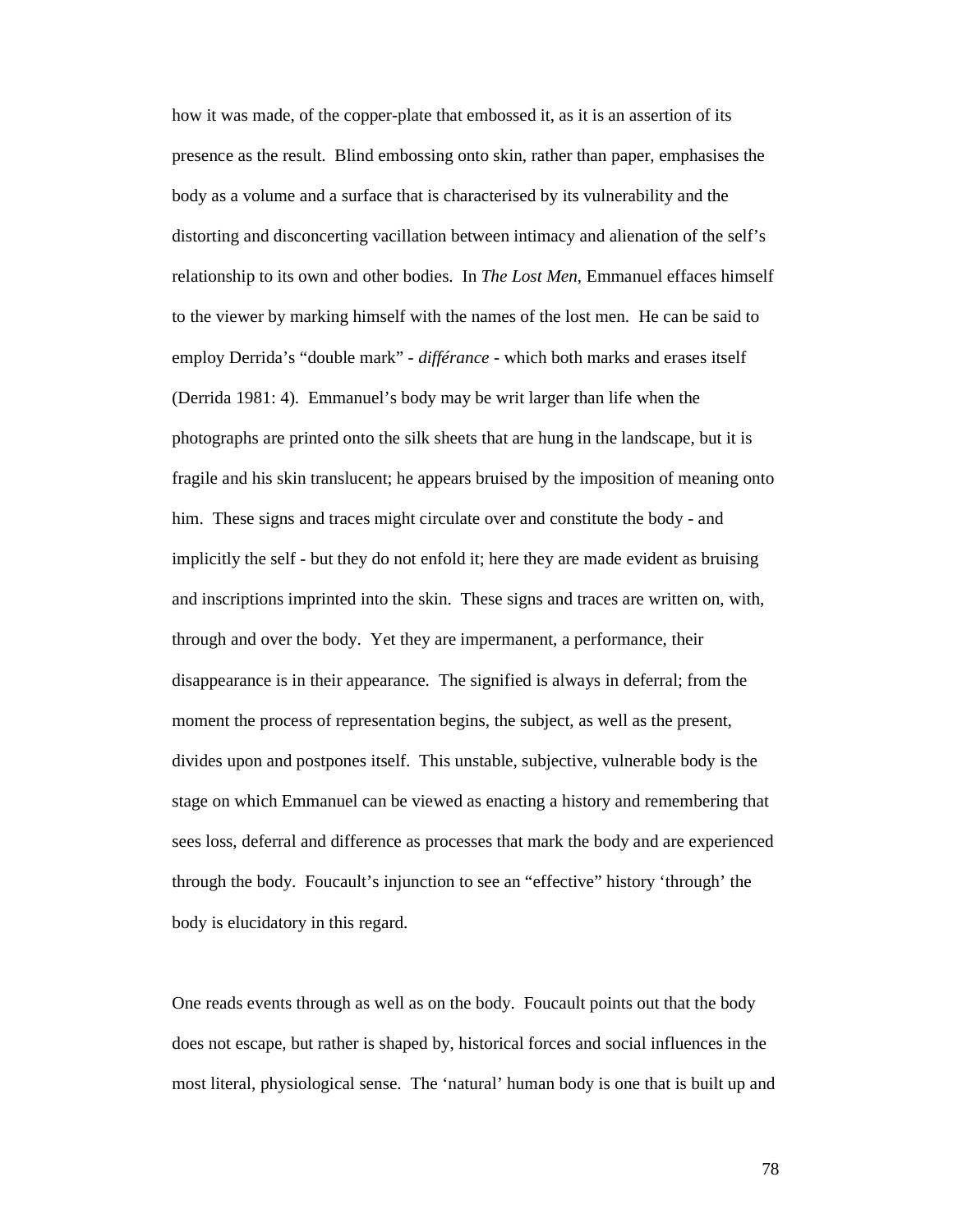how it was made, of the copper-plate that embossed it, as it is an assertion of its presence as the result. Blind embossing onto skin, rather than paper, emphasises the body as a volume and a surface that is characterised by its vulnerability and the distorting and disconcerting vacillation between intimacy and alienation of the self's relationship to its own and other bodies. In *The Lost Men*, Emmanuel effaces himself to the viewer by marking himself with the names of the lost men. He can be said to employ Derrida's "double mark" - *différance* - which both marks and erases itself (Derrida 1981: 4). Emmanuel's body may be writ larger than life when the photographs are printed onto the silk sheets that are hung in the landscape, but it is fragile and his skin translucent; he appears bruised by the imposition of meaning onto him. These signs and traces might circulate over and constitute the body - and implicitly the self - but they do not enfold it; here they are made evident as bruising and inscriptions imprinted into the skin. These signs and traces are written on, with, through and over the body. Yet they are impermanent, a performance, their disappearance is in their appearance. The signified is always in deferral; from the moment the process of representation begins, the subject, as well as the present, divides upon and postpones itself. This unstable, subjective, vulnerable body is the stage on which Emmanuel can be viewed as enacting a history and remembering that sees loss, deferral and difference as processes that mark the body and are experienced through the body. Foucault's injunction to see an "effective" history 'through' the body is elucidatory in this regard.

One reads events through as well as on the body. Foucault points out that the body does not escape, but rather is shaped by, historical forces and social influences in the most literal, physiological sense. The 'natural' human body is one that is built up and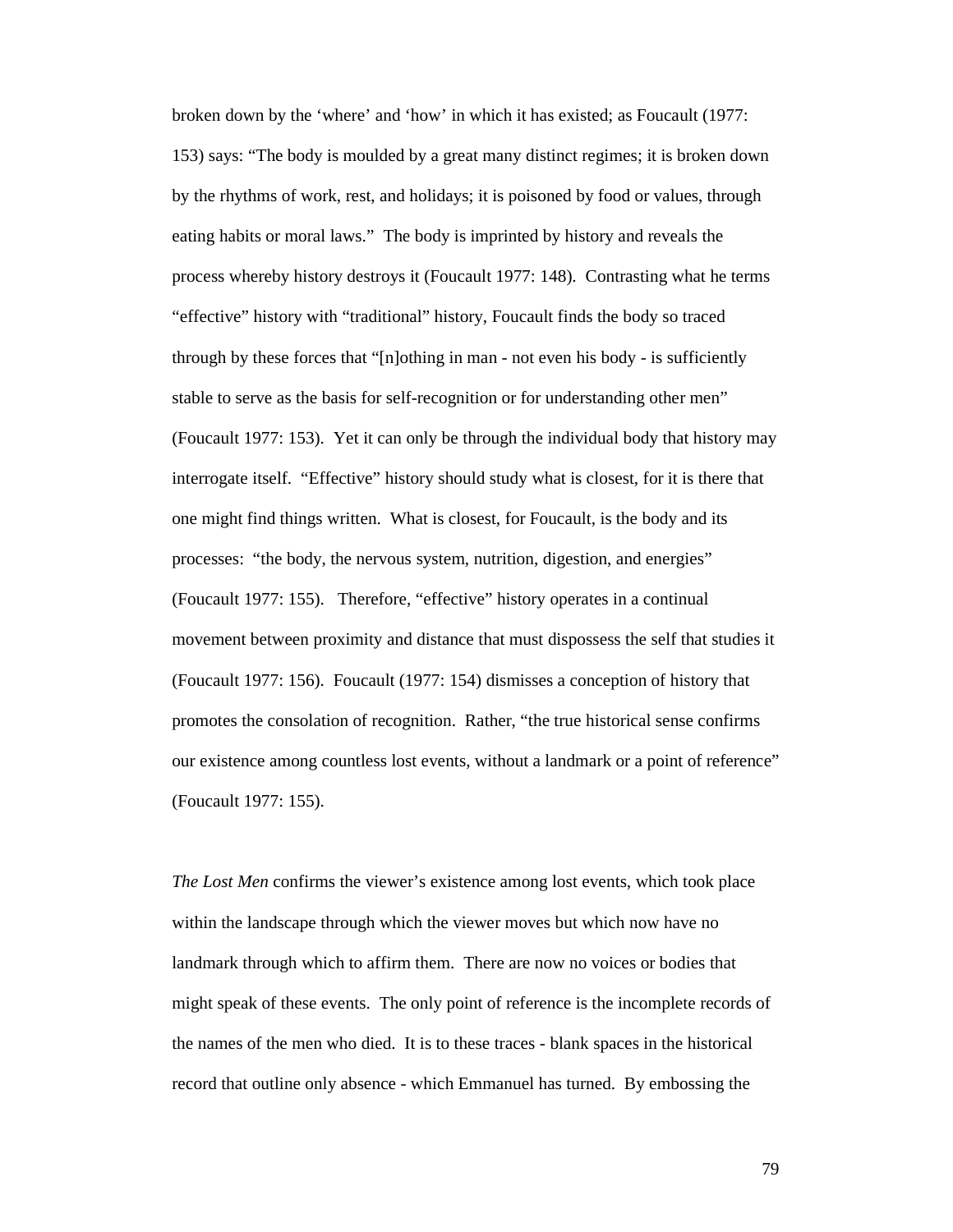broken down by the 'where' and 'how' in which it has existed; as Foucault (1977: 153) says: "The body is moulded by a great many distinct regimes; it is broken down by the rhythms of work, rest, and holidays; it is poisoned by food or values, through eating habits or moral laws." The body is imprinted by history and reveals the process whereby history destroys it (Foucault 1977: 148). Contrasting what he terms "effective" history with "traditional" history, Foucault finds the body so traced through by these forces that "[n]othing in man - not even his body - is sufficiently stable to serve as the basis for self-recognition or for understanding other men" (Foucault 1977: 153). Yet it can only be through the individual body that history may interrogate itself. "Effective" history should study what is closest, for it is there that one might find things written. What is closest, for Foucault, is the body and its processes: "the body, the nervous system, nutrition, digestion, and energies" (Foucault 1977: 155). Therefore, "effective" history operates in a continual movement between proximity and distance that must dispossess the self that studies it (Foucault 1977: 156). Foucault (1977: 154) dismisses a conception of history that promotes the consolation of recognition. Rather, "the true historical sense confirms our existence among countless lost events, without a landmark or a point of reference" (Foucault 1977: 155).

*The Lost Men* confirms the viewer's existence among lost events, which took place within the landscape through which the viewer moves but which now have no landmark through which to affirm them. There are now no voices or bodies that might speak of these events. The only point of reference is the incomplete records of the names of the men who died. It is to these traces - blank spaces in the historical record that outline only absence - which Emmanuel has turned. By embossing the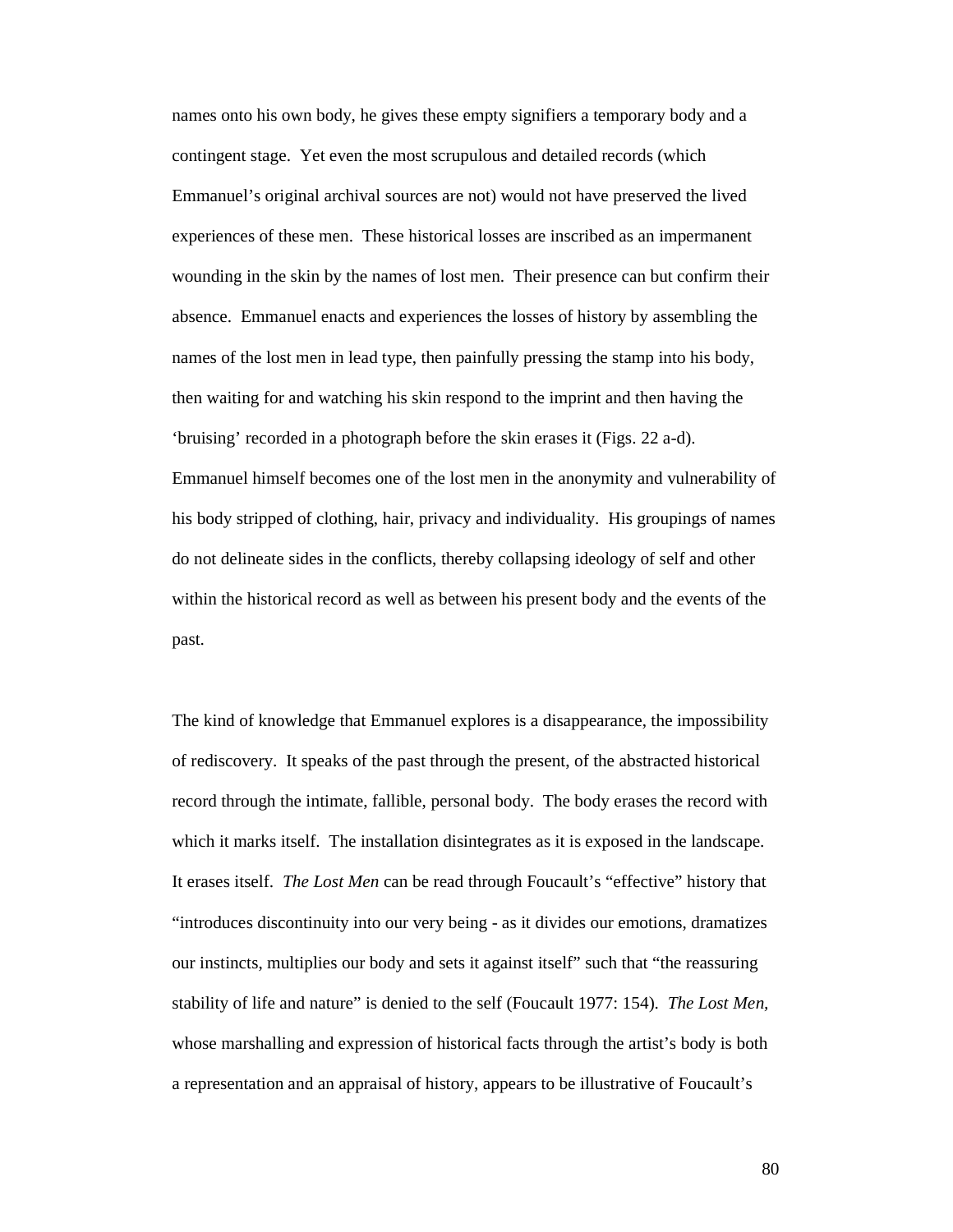names onto his own body, he gives these empty signifiers a temporary body and a contingent stage. Yet even the most scrupulous and detailed records (which Emmanuel's original archival sources are not) would not have preserved the lived experiences of these men. These historical losses are inscribed as an impermanent wounding in the skin by the names of lost men. Their presence can but confirm their absence. Emmanuel enacts and experiences the losses of history by assembling the names of the lost men in lead type, then painfully pressing the stamp into his body, then waiting for and watching his skin respond to the imprint and then having the 'bruising' recorded in a photograph before the skin erases it (Figs. 22 a-d). Emmanuel himself becomes one of the lost men in the anonymity and vulnerability of his body stripped of clothing, hair, privacy and individuality. His groupings of names do not delineate sides in the conflicts, thereby collapsing ideology of self and other within the historical record as well as between his present body and the events of the past.

The kind of knowledge that Emmanuel explores is a disappearance, the impossibility of rediscovery. It speaks of the past through the present, of the abstracted historical record through the intimate, fallible, personal body. The body erases the record with which it marks itself. The installation disintegrates as it is exposed in the landscape. It erases itself. *The Lost Men* can be read through Foucault's "effective" history that "introduces discontinuity into our very being - as it divides our emotions, dramatizes our instincts, multiplies our body and sets it against itself" such that "the reassuring stability of life and nature" is denied to the self (Foucault 1977: 154). *The Lost Men,* whose marshalling and expression of historical facts through the artist's body is both a representation and an appraisal of history, appears to be illustrative of Foucault's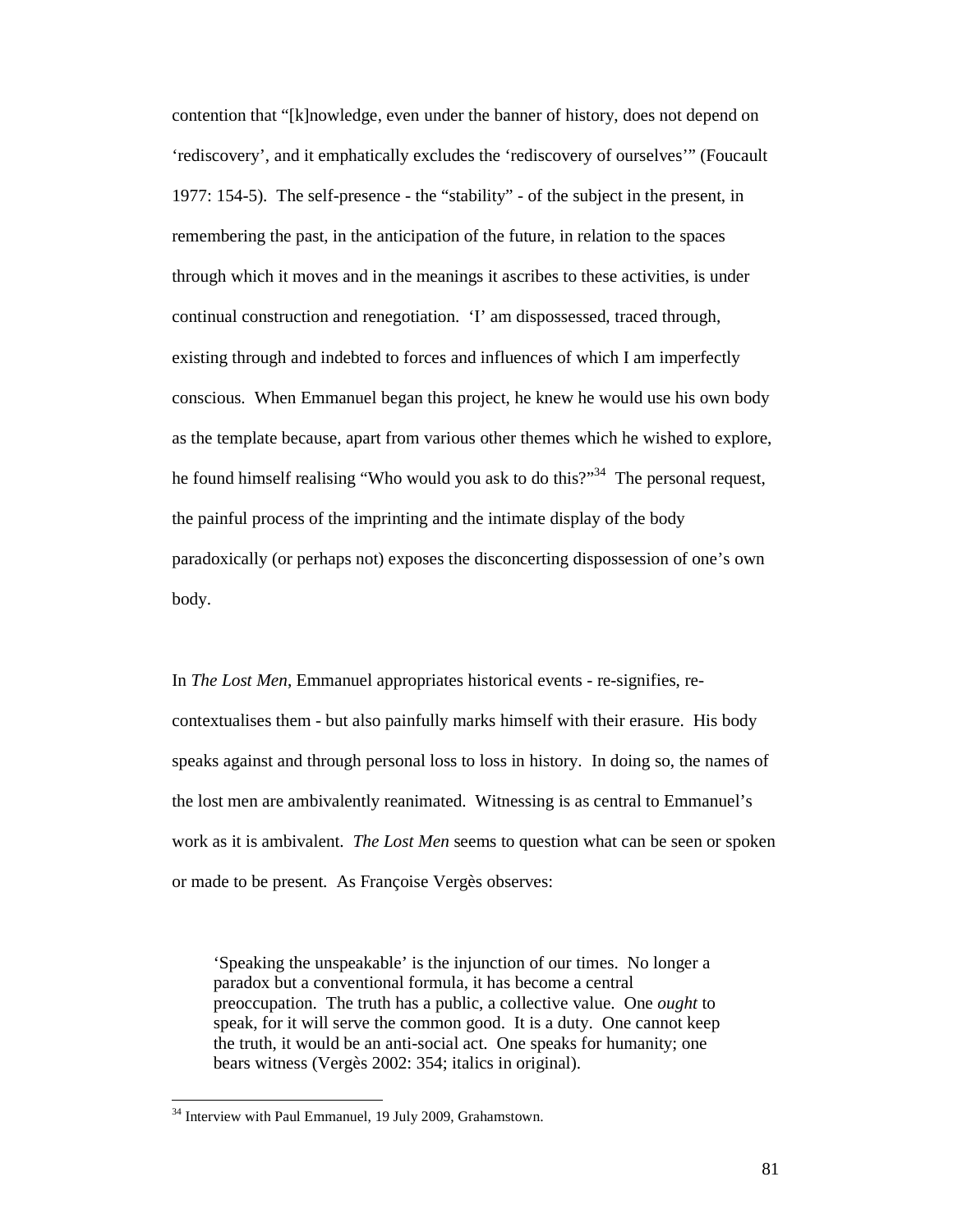contention that "[k]nowledge, even under the banner of history, does not depend on 'rediscovery', and it emphatically excludes the 'rediscovery of ourselves'" (Foucault 1977: 154-5). The self-presence - the "stability" - of the subject in the present, in remembering the past, in the anticipation of the future, in relation to the spaces through which it moves and in the meanings it ascribes to these activities, is under continual construction and renegotiation. 'I' am dispossessed, traced through, existing through and indebted to forces and influences of which I am imperfectly conscious. When Emmanuel began this project, he knew he would use his own body as the template because, apart from various other themes which he wished to explore, he found himself realising "Who would you ask to do this?"<sup>34</sup> The personal request, the painful process of the imprinting and the intimate display of the body paradoxically (or perhaps not) exposes the disconcerting dispossession of one's own body.

In *The Lost Men*, Emmanuel appropriates historical events - re-signifies, recontextualises them - but also painfully marks himself with their erasure. His body speaks against and through personal loss to loss in history. In doing so, the names of the lost men are ambivalently reanimated. Witnessing is as central to Emmanuel's work as it is ambivalent. *The Lost Men* seems to question what can be seen or spoken or made to be present. As Françoise Vergès observes:

'Speaking the unspeakable' is the injunction of our times. No longer a paradox but a conventional formula, it has become a central preoccupation. The truth has a public, a collective value. One *ought* to speak, for it will serve the common good. It is a duty. One cannot keep the truth, it would be an anti-social act. One speaks for humanity; one bears witness (Vergès 2002: 354; italics in original).

<sup>&</sup>lt;sup>34</sup> Interview with Paul Emmanuel, 19 July 2009, Grahamstown.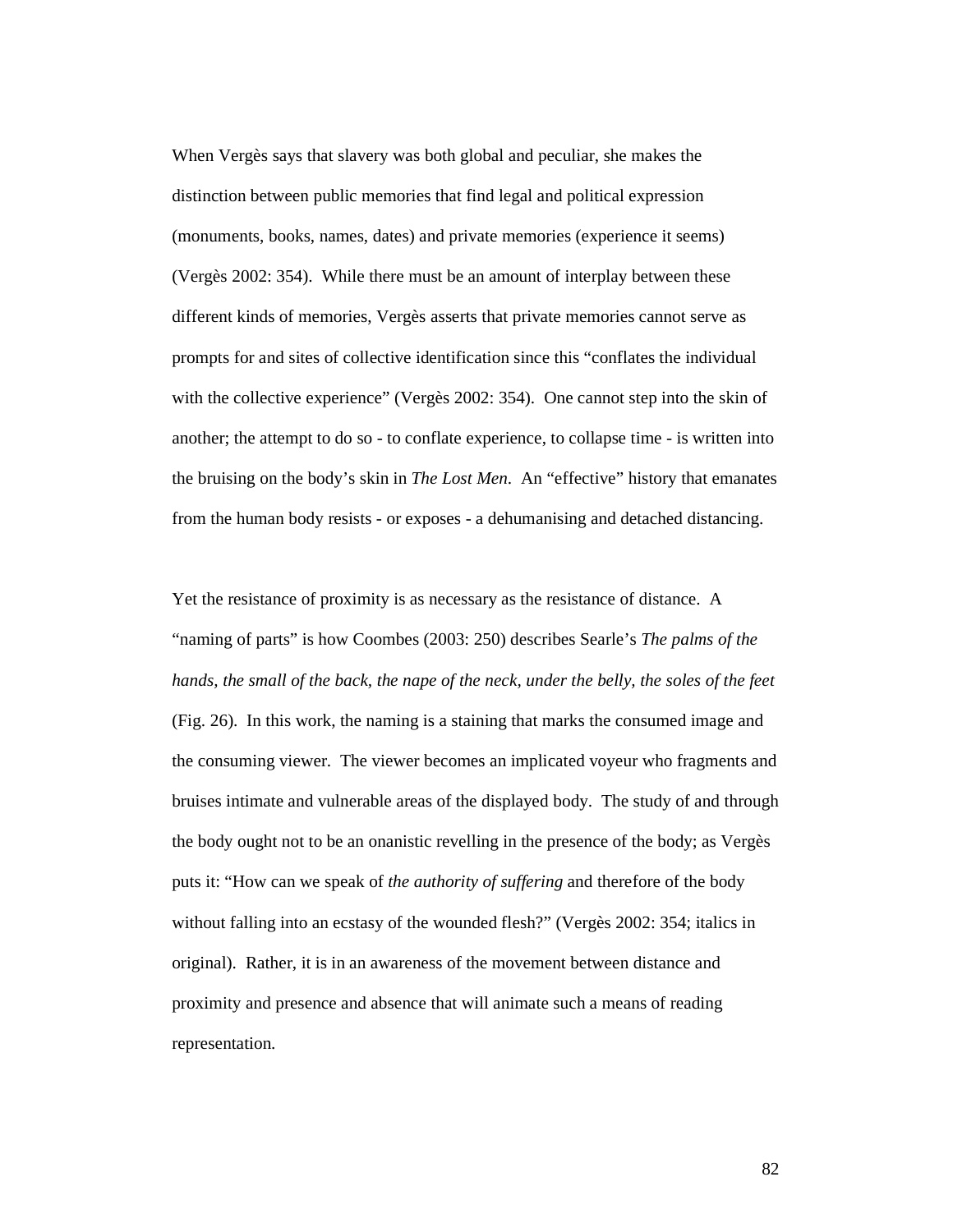When Vergès says that slavery was both global and peculiar, she makes the distinction between public memories that find legal and political expression (monuments, books, names, dates) and private memories (experience it seems) (Vergès 2002: 354). While there must be an amount of interplay between these different kinds of memories, Vergès asserts that private memories cannot serve as prompts for and sites of collective identification since this "conflates the individual with the collective experience" (Vergès 2002: 354). One cannot step into the skin of another; the attempt to do so - to conflate experience, to collapse time - is written into the bruising on the body's skin in *The Lost Men*. An "effective" history that emanates from the human body resists - or exposes - a dehumanising and detached distancing.

Yet the resistance of proximity is as necessary as the resistance of distance. A "naming of parts" is how Coombes (2003: 250) describes Searle's *The palms of the hands, the small of the back, the nape of the neck, under the belly, the soles of the feet* (Fig. 26). In this work, the naming is a staining that marks the consumed image and the consuming viewer. The viewer becomes an implicated voyeur who fragments and bruises intimate and vulnerable areas of the displayed body. The study of and through the body ought not to be an onanistic revelling in the presence of the body; as Vergès puts it: "How can we speak of *the authority of suffering* and therefore of the body without falling into an ecstasy of the wounded flesh?" (Vergès 2002: 354; italics in original). Rather, it is in an awareness of the movement between distance and proximity and presence and absence that will animate such a means of reading representation.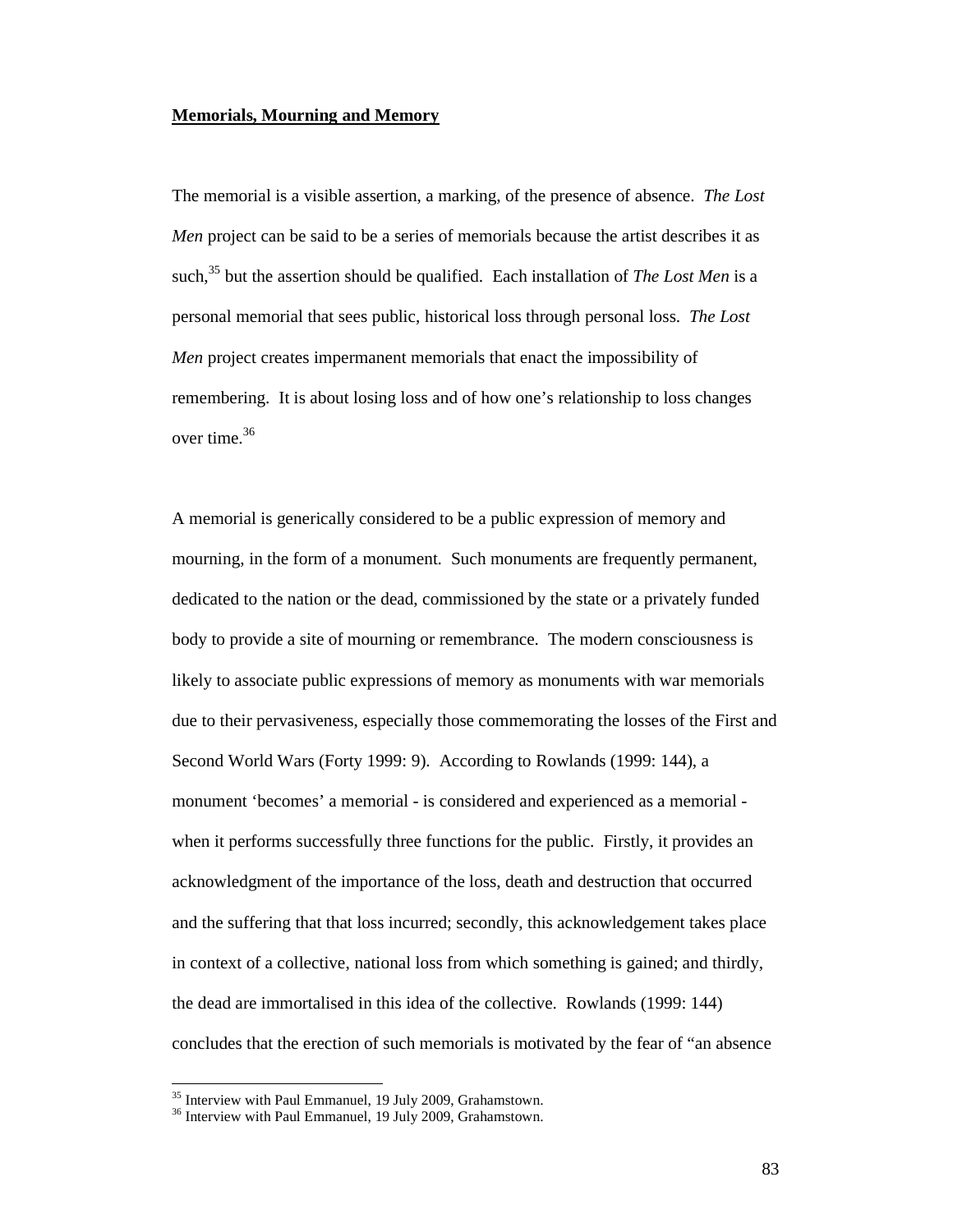#### **Memorials, Mourning and Memory**

The memorial is a visible assertion, a marking, of the presence of absence. *The Lost Men* project can be said to be a series of memorials because the artist describes it as such,<sup>35</sup> but the assertion should be qualified. Each installation of *The Lost Men* is a personal memorial that sees public, historical loss through personal loss. *The Lost Men* project creates impermanent memorials that enact the impossibility of remembering. It is about losing loss and of how one's relationship to loss changes over time.<sup>36</sup>

A memorial is generically considered to be a public expression of memory and mourning, in the form of a monument. Such monuments are frequently permanent, dedicated to the nation or the dead, commissioned by the state or a privately funded body to provide a site of mourning or remembrance. The modern consciousness is likely to associate public expressions of memory as monuments with war memorials due to their pervasiveness, especially those commemorating the losses of the First and Second World Wars (Forty 1999: 9). According to Rowlands (1999: 144), a monument 'becomes' a memorial - is considered and experienced as a memorial when it performs successfully three functions for the public. Firstly, it provides an acknowledgment of the importance of the loss, death and destruction that occurred and the suffering that that loss incurred; secondly, this acknowledgement takes place in context of a collective, national loss from which something is gained; and thirdly, the dead are immortalised in this idea of the collective. Rowlands (1999: 144) concludes that the erection of such memorials is motivated by the fear of "an absence

<sup>&</sup>lt;sup>35</sup> Interview with Paul Emmanuel, 19 July 2009, Grahamstown.

<sup>&</sup>lt;sup>36</sup> Interview with Paul Emmanuel, 19 July 2009, Grahamstown.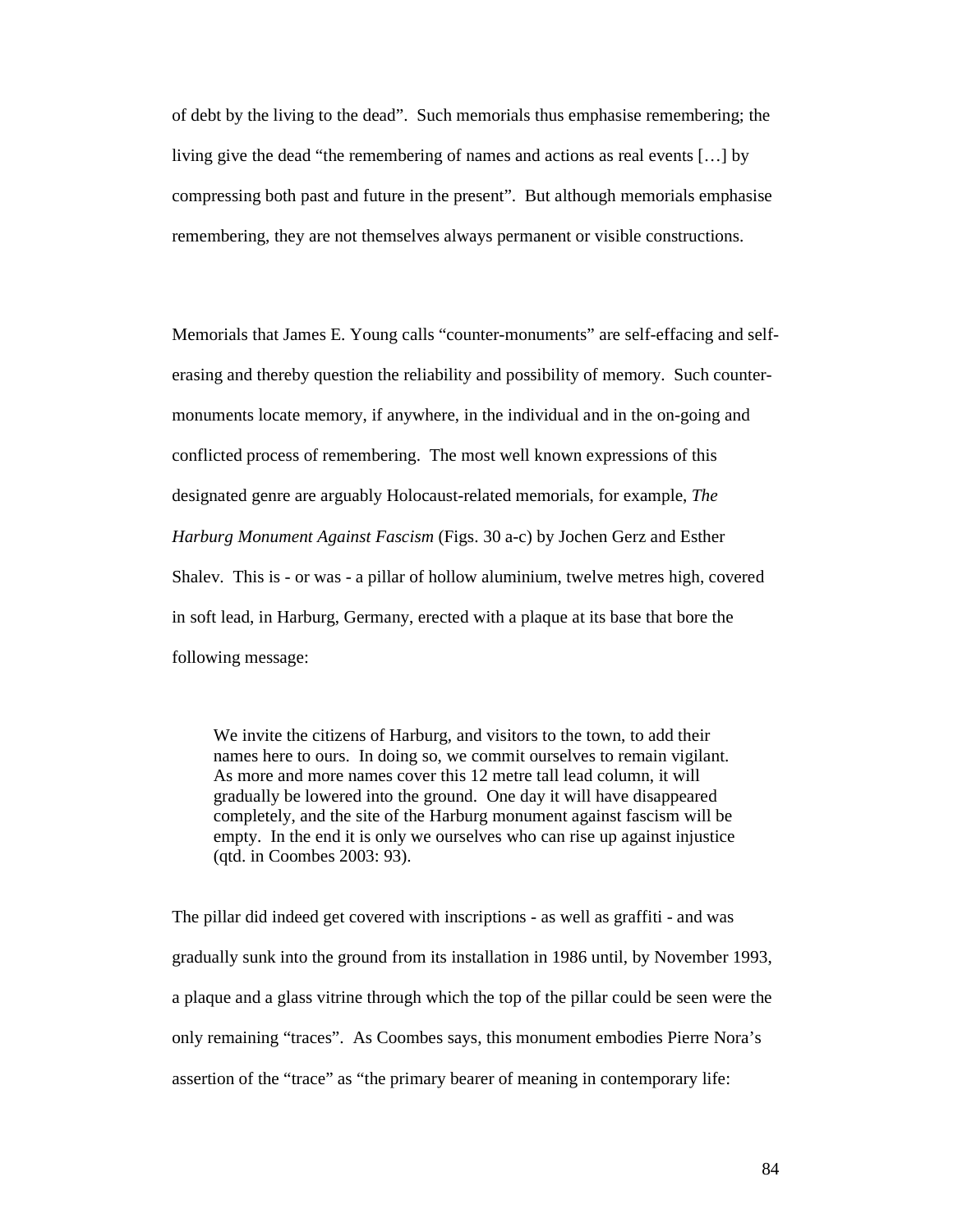of debt by the living to the dead". Such memorials thus emphasise remembering; the living give the dead "the remembering of names and actions as real events […] by compressing both past and future in the present". But although memorials emphasise remembering, they are not themselves always permanent or visible constructions.

Memorials that James E. Young calls "counter-monuments" are self-effacing and selferasing and thereby question the reliability and possibility of memory. Such countermonuments locate memory, if anywhere, in the individual and in the on-going and conflicted process of remembering. The most well known expressions of this designated genre are arguably Holocaust-related memorials, for example, *The Harburg Monument Against Fascism* (Figs. 30 a-c) by Jochen Gerz and Esther Shalev. This is - or was - a pillar of hollow aluminium, twelve metres high, covered in soft lead, in Harburg, Germany, erected with a plaque at its base that bore the following message:

We invite the citizens of Harburg, and visitors to the town, to add their names here to ours. In doing so, we commit ourselves to remain vigilant. As more and more names cover this 12 metre tall lead column, it will gradually be lowered into the ground. One day it will have disappeared completely, and the site of the Harburg monument against fascism will be empty. In the end it is only we ourselves who can rise up against injustice (qtd. in Coombes 2003: 93).

The pillar did indeed get covered with inscriptions - as well as graffiti - and was gradually sunk into the ground from its installation in 1986 until, by November 1993, a plaque and a glass vitrine through which the top of the pillar could be seen were the only remaining "traces". As Coombes says, this monument embodies Pierre Nora's assertion of the "trace" as "the primary bearer of meaning in contemporary life: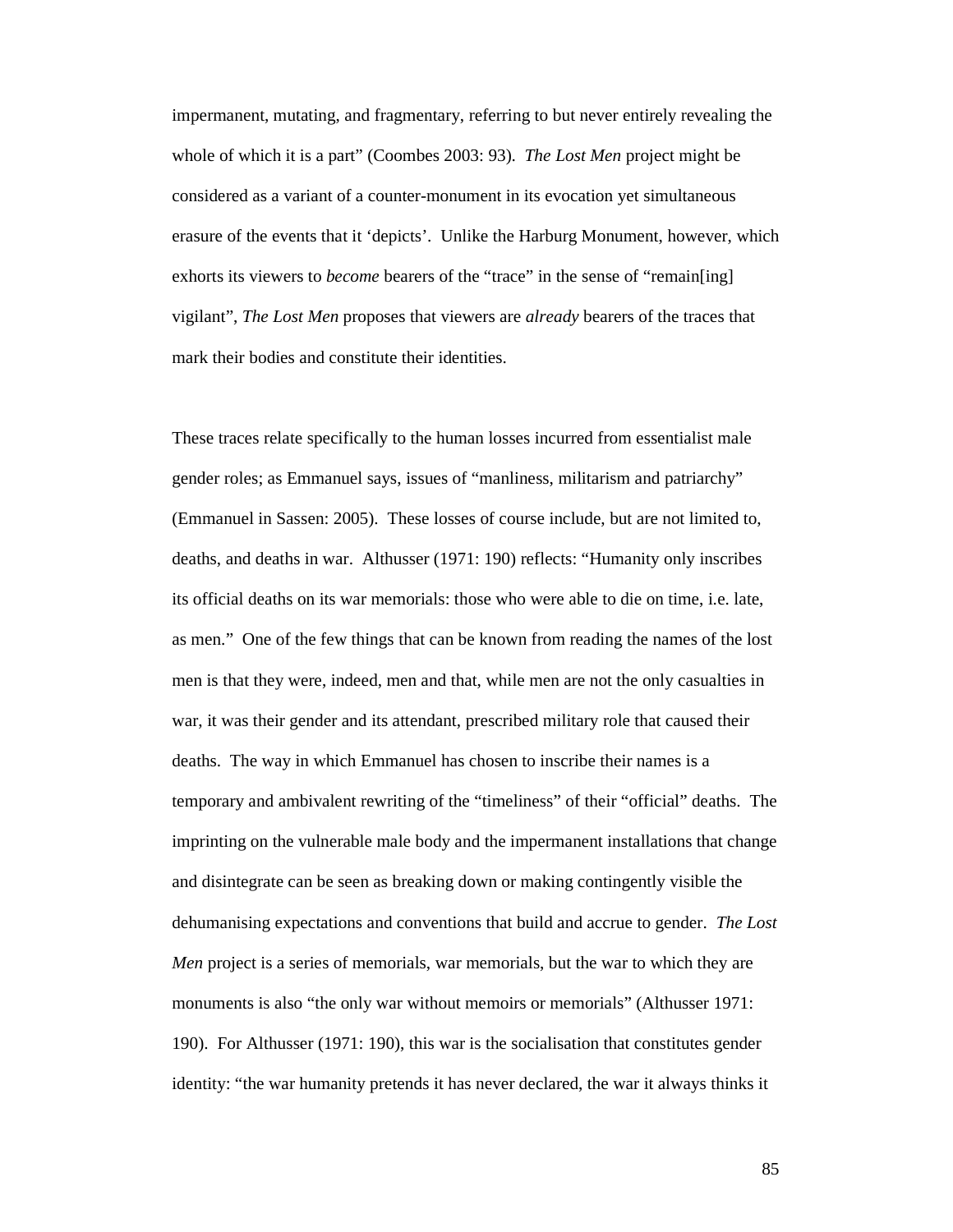impermanent, mutating, and fragmentary, referring to but never entirely revealing the whole of which it is a part" (Coombes 2003: 93). *The Lost Men* project might be considered as a variant of a counter-monument in its evocation yet simultaneous erasure of the events that it 'depicts'. Unlike the Harburg Monument, however, which exhorts its viewers to *become* bearers of the "trace" in the sense of "remain[ing] vigilant", *The Lost Men* proposes that viewers are *already* bearers of the traces that mark their bodies and constitute their identities.

These traces relate specifically to the human losses incurred from essentialist male gender roles; as Emmanuel says, issues of "manliness, militarism and patriarchy" (Emmanuel in Sassen: 2005). These losses of course include, but are not limited to, deaths, and deaths in war. Althusser (1971: 190) reflects: "Humanity only inscribes its official deaths on its war memorials: those who were able to die on time, i.e. late, as men." One of the few things that can be known from reading the names of the lost men is that they were, indeed, men and that, while men are not the only casualties in war, it was their gender and its attendant, prescribed military role that caused their deaths. The way in which Emmanuel has chosen to inscribe their names is a temporary and ambivalent rewriting of the "timeliness" of their "official" deaths. The imprinting on the vulnerable male body and the impermanent installations that change and disintegrate can be seen as breaking down or making contingently visible the dehumanising expectations and conventions that build and accrue to gender. *The Lost Men* project is a series of memorials, war memorials, but the war to which they are monuments is also "the only war without memoirs or memorials" (Althusser 1971: 190). For Althusser (1971: 190), this war is the socialisation that constitutes gender identity: "the war humanity pretends it has never declared, the war it always thinks it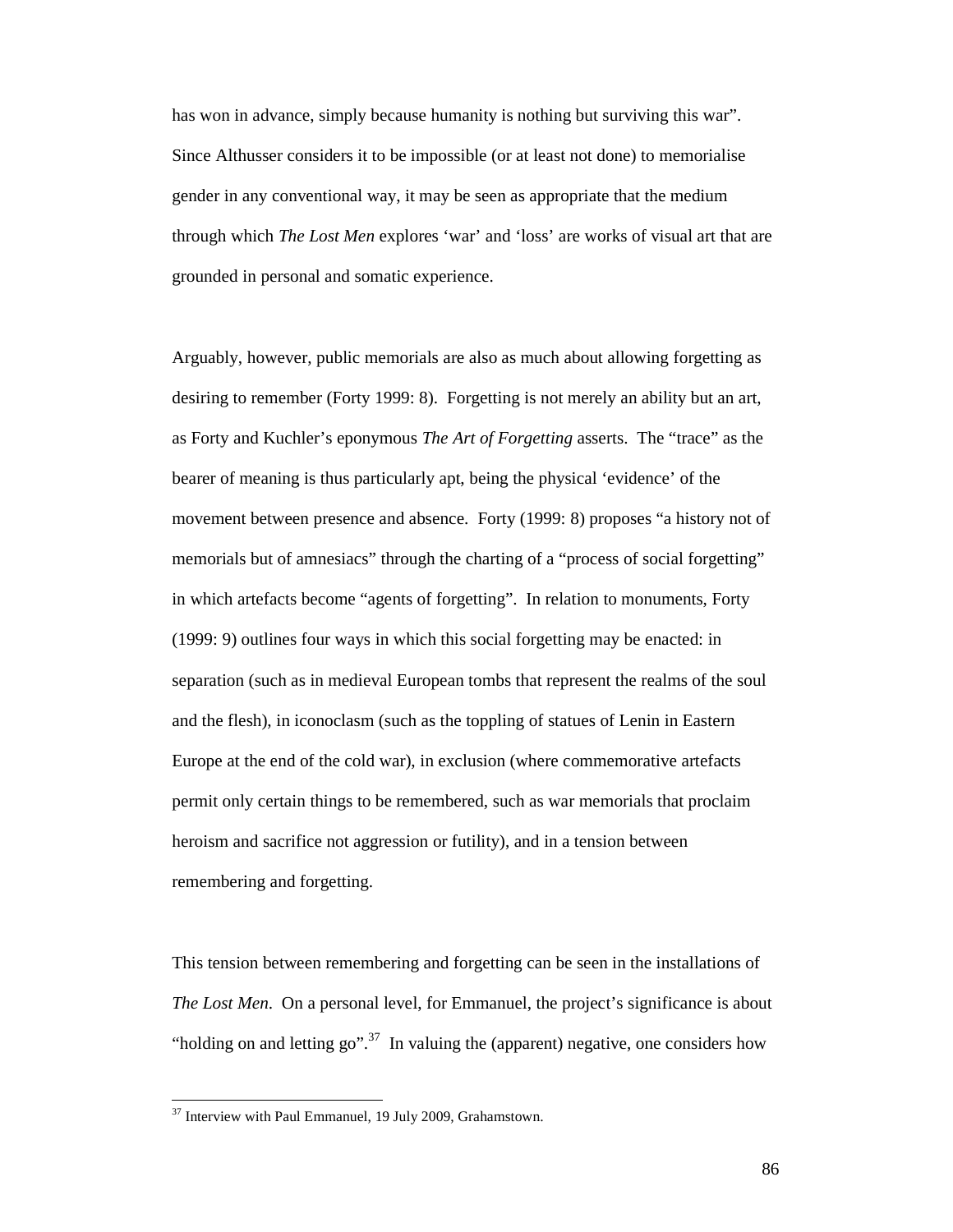has won in advance, simply because humanity is nothing but surviving this war". Since Althusser considers it to be impossible (or at least not done) to memorialise gender in any conventional way, it may be seen as appropriate that the medium through which *The Lost Men* explores 'war' and 'loss' are works of visual art that are grounded in personal and somatic experience.

Arguably, however, public memorials are also as much about allowing forgetting as desiring to remember (Forty 1999: 8). Forgetting is not merely an ability but an art, as Forty and Kuchler's eponymous *The Art of Forgetting* asserts. The "trace" as the bearer of meaning is thus particularly apt, being the physical 'evidence' of the movement between presence and absence. Forty (1999: 8) proposes "a history not of memorials but of amnesiacs" through the charting of a "process of social forgetting" in which artefacts become "agents of forgetting". In relation to monuments, Forty (1999: 9) outlines four ways in which this social forgetting may be enacted: in separation (such as in medieval European tombs that represent the realms of the soul and the flesh), in iconoclasm (such as the toppling of statues of Lenin in Eastern Europe at the end of the cold war), in exclusion (where commemorative artefacts permit only certain things to be remembered, such as war memorials that proclaim heroism and sacrifice not aggression or futility), and in a tension between remembering and forgetting.

This tension between remembering and forgetting can be seen in the installations of *The Lost Men.* On a personal level, for Emmanuel, the project's significance is about "holding on and letting go".<sup>37</sup> In valuing the (apparent) negative, one considers how

 $37$  Interview with Paul Emmanuel, 19 July 2009, Grahamstown.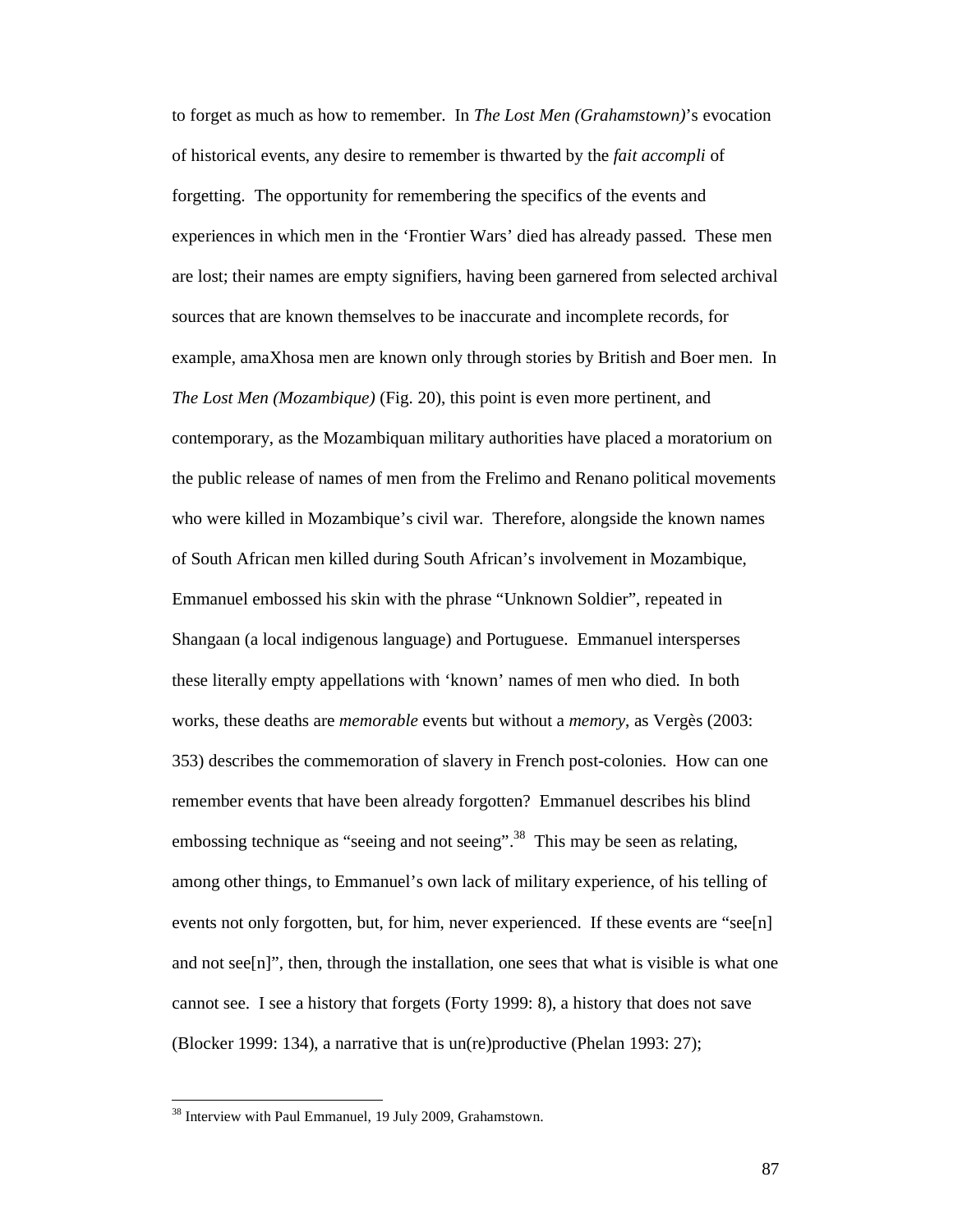to forget as much as how to remember. In *The Lost Men (Grahamstown)*'s evocation of historical events, any desire to remember is thwarted by the *fait accompli* of forgetting. The opportunity for remembering the specifics of the events and experiences in which men in the 'Frontier Wars' died has already passed. These men are lost; their names are empty signifiers, having been garnered from selected archival sources that are known themselves to be inaccurate and incomplete records, for example, amaXhosa men are known only through stories by British and Boer men. In *The Lost Men (Mozambique)* (Fig. 20), this point is even more pertinent, and contemporary, as the Mozambiquan military authorities have placed a moratorium on the public release of names of men from the Frelimo and Renano political movements who were killed in Mozambique's civil war. Therefore, alongside the known names of South African men killed during South African's involvement in Mozambique, Emmanuel embossed his skin with the phrase "Unknown Soldier", repeated in Shangaan (a local indigenous language) and Portuguese. Emmanuel intersperses these literally empty appellations with 'known' names of men who died. In both works, these deaths are *memorable* events but without a *memory*, as Vergès (2003: 353) describes the commemoration of slavery in French post-colonies. How can one remember events that have been already forgotten? Emmanuel describes his blind embossing technique as "seeing and not seeing".<sup>38</sup> This may be seen as relating, among other things, to Emmanuel's own lack of military experience, of his telling of events not only forgotten, but, for him, never experienced. If these events are "see[n] and not see[n]", then, through the installation, one sees that what is visible is what one cannot see. I see a history that forgets (Forty 1999: 8), a history that does not save (Blocker 1999: 134), a narrative that is un(re)productive (Phelan 1993: 27);

<sup>&</sup>lt;sup>38</sup> Interview with Paul Emmanuel, 19 July 2009, Grahamstown.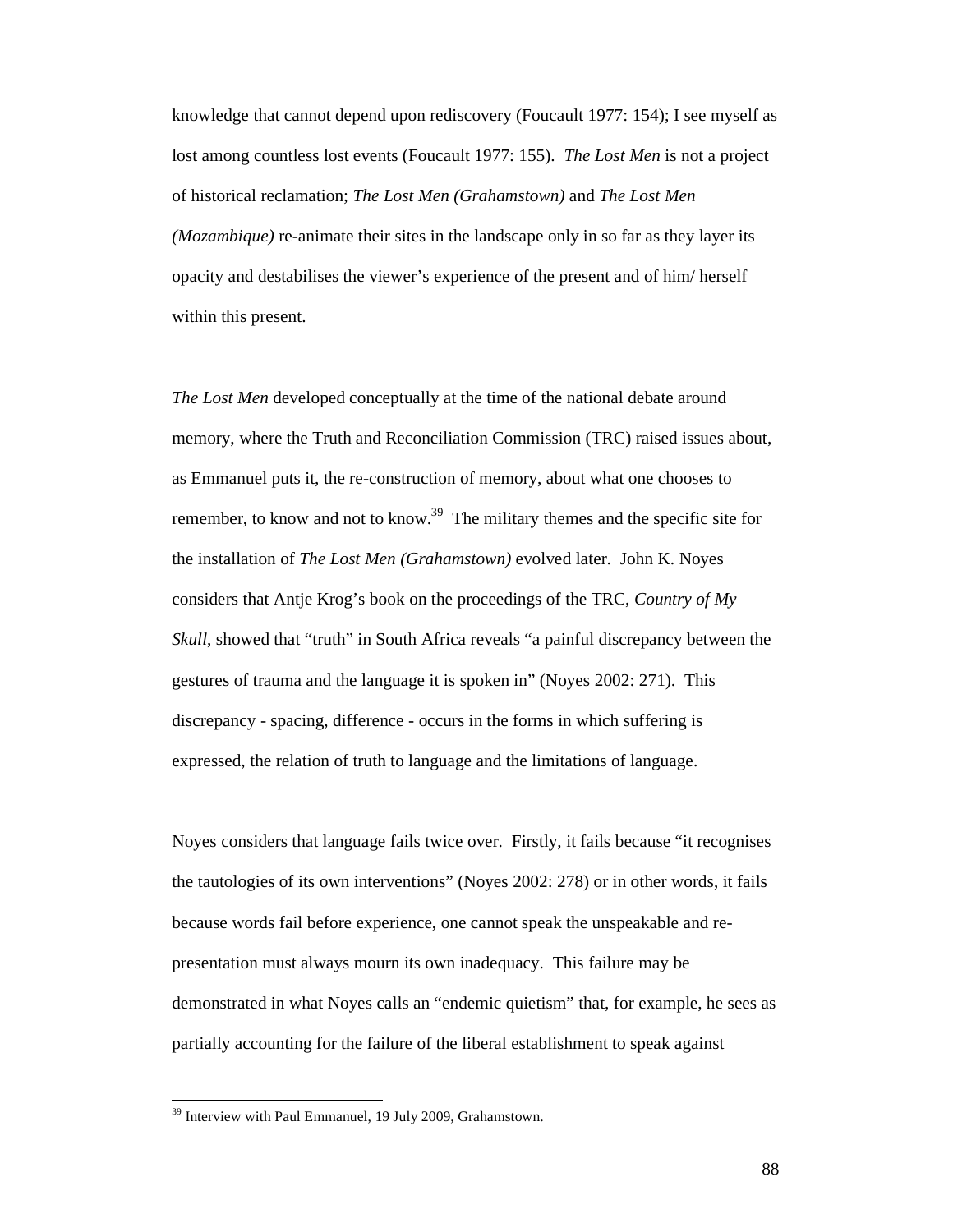knowledge that cannot depend upon rediscovery (Foucault 1977: 154); I see myself as lost among countless lost events (Foucault 1977: 155). *The Lost Men* is not a project of historical reclamation; *The Lost Men (Grahamstown)* and *The Lost Men (Mozambique)* re-animate their sites in the landscape only in so far as they layer its opacity and destabilises the viewer's experience of the present and of him/ herself within this present.

*The Lost Men* developed conceptually at the time of the national debate around memory, where the Truth and Reconciliation Commission (TRC) raised issues about, as Emmanuel puts it, the re-construction of memory, about what one chooses to remember, to know and not to know.<sup>39</sup> The military themes and the specific site for the installation of *The Lost Men (Grahamstown)* evolved later. John K. Noyes considers that Antje Krog's book on the proceedings of the TRC, *Country of My Skull*, showed that "truth" in South Africa reveals "a painful discrepancy between the gestures of trauma and the language it is spoken in" (Noyes 2002: 271). This discrepancy - spacing, difference - occurs in the forms in which suffering is expressed, the relation of truth to language and the limitations of language.

Noyes considers that language fails twice over. Firstly, it fails because "it recognises the tautologies of its own interventions" (Noyes 2002: 278) or in other words, it fails because words fail before experience, one cannot speak the unspeakable and representation must always mourn its own inadequacy. This failure may be demonstrated in what Noyes calls an "endemic quietism" that, for example, he sees as partially accounting for the failure of the liberal establishment to speak against

<sup>&</sup>lt;sup>39</sup> Interview with Paul Emmanuel, 19 July 2009, Grahamstown.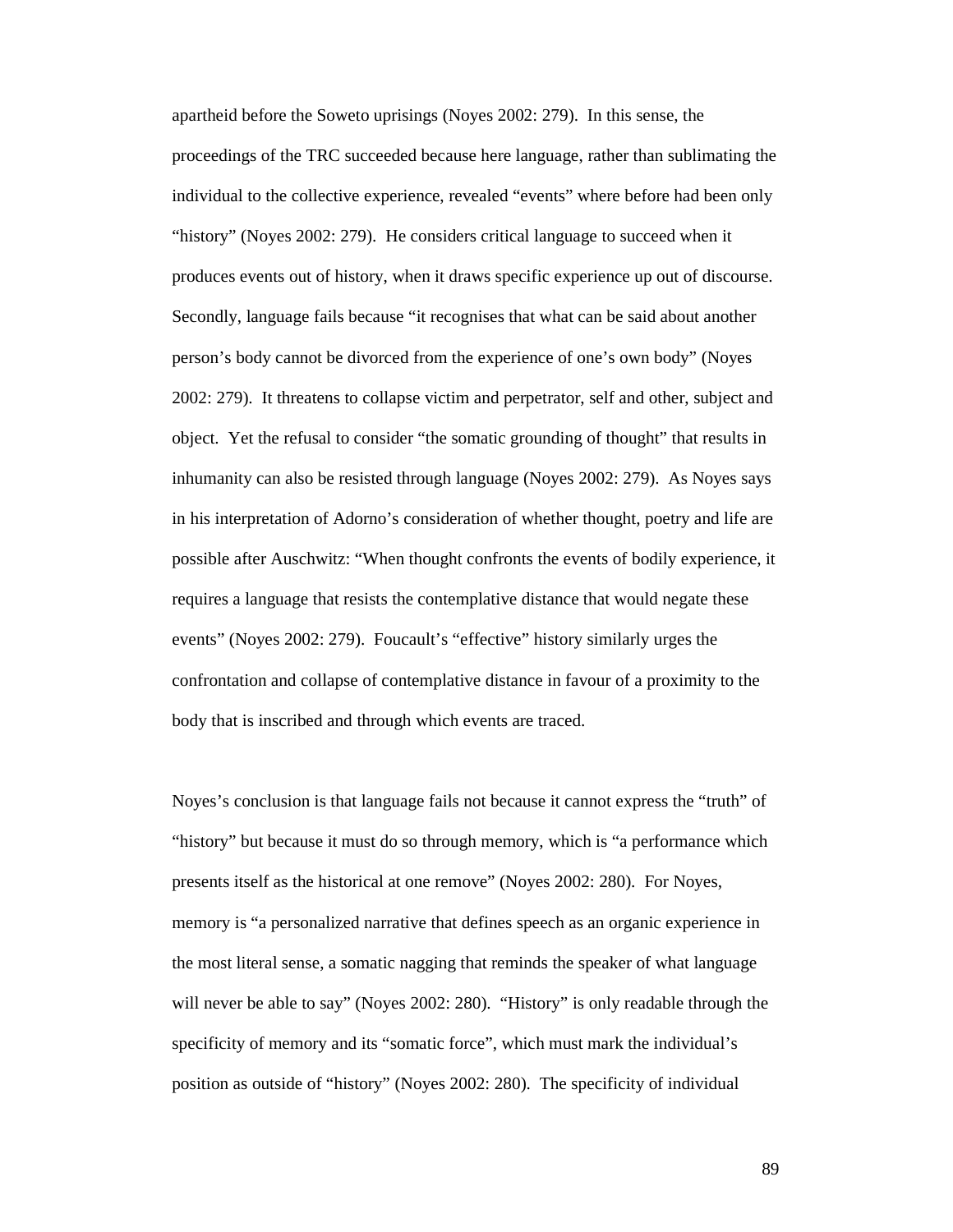apartheid before the Soweto uprisings (Noyes 2002: 279). In this sense, the proceedings of the TRC succeeded because here language, rather than sublimating the individual to the collective experience, revealed "events" where before had been only "history" (Noyes 2002: 279). He considers critical language to succeed when it produces events out of history, when it draws specific experience up out of discourse. Secondly, language fails because "it recognises that what can be said about another person's body cannot be divorced from the experience of one's own body" (Noyes 2002: 279). It threatens to collapse victim and perpetrator, self and other, subject and object. Yet the refusal to consider "the somatic grounding of thought" that results in inhumanity can also be resisted through language (Noyes 2002: 279). As Noyes says in his interpretation of Adorno's consideration of whether thought, poetry and life are possible after Auschwitz: "When thought confronts the events of bodily experience, it requires a language that resists the contemplative distance that would negate these events" (Noyes 2002: 279). Foucault's "effective" history similarly urges the confrontation and collapse of contemplative distance in favour of a proximity to the body that is inscribed and through which events are traced.

Noyes's conclusion is that language fails not because it cannot express the "truth" of "history" but because it must do so through memory, which is "a performance which presents itself as the historical at one remove" (Noyes 2002: 280). For Noyes, memory is "a personalized narrative that defines speech as an organic experience in the most literal sense, a somatic nagging that reminds the speaker of what language will never be able to say" (Noyes 2002: 280). "History" is only readable through the specificity of memory and its "somatic force", which must mark the individual's position as outside of "history" (Noyes 2002: 280). The specificity of individual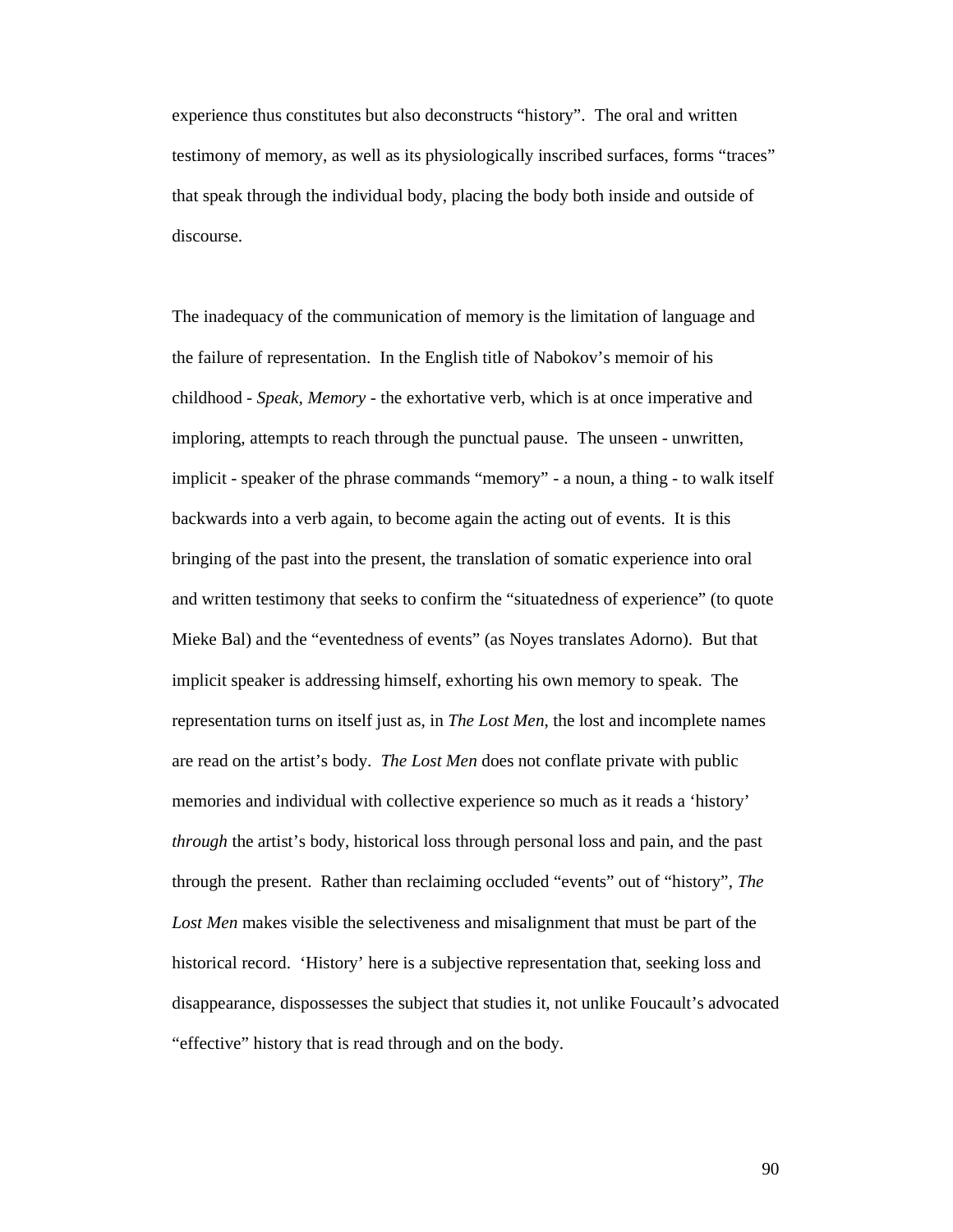experience thus constitutes but also deconstructs "history". The oral and written testimony of memory, as well as its physiologically inscribed surfaces, forms "traces" that speak through the individual body, placing the body both inside and outside of discourse.

The inadequacy of the communication of memory is the limitation of language and the failure of representation. In the English title of Nabokov's memoir of his childhood - *Speak, Memory* - the exhortative verb, which is at once imperative and imploring, attempts to reach through the punctual pause. The unseen - unwritten, implicit - speaker of the phrase commands "memory" - a noun, a thing - to walk itself backwards into a verb again, to become again the acting out of events. It is this bringing of the past into the present, the translation of somatic experience into oral and written testimony that seeks to confirm the "situatedness of experience" (to quote Mieke Bal) and the "eventedness of events" (as Noyes translates Adorno). But that implicit speaker is addressing himself, exhorting his own memory to speak. The representation turns on itself just as, in *The Lost Men*, the lost and incomplete names are read on the artist's body. *The Lost Men* does not conflate private with public memories and individual with collective experience so much as it reads a 'history' *through* the artist's body, historical loss through personal loss and pain, and the past through the present. Rather than reclaiming occluded "events" out of "history", *The Lost Men* makes visible the selectiveness and misalignment that must be part of the historical record. 'History' here is a subjective representation that, seeking loss and disappearance, dispossesses the subject that studies it, not unlike Foucault's advocated "effective" history that is read through and on the body.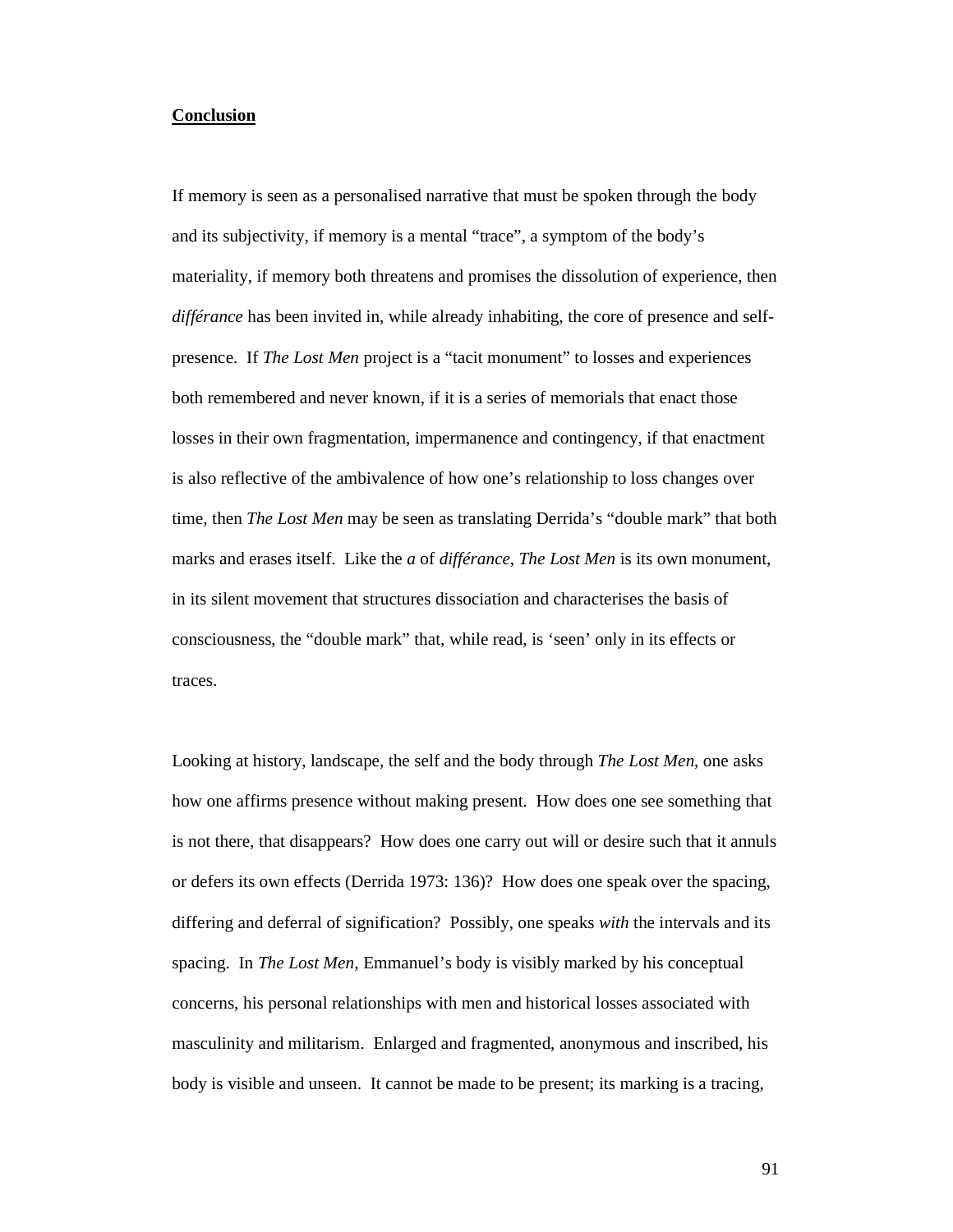## **Conclusion**

If memory is seen as a personalised narrative that must be spoken through the body and its subjectivity, if memory is a mental "trace", a symptom of the body's materiality, if memory both threatens and promises the dissolution of experience, then *différance* has been invited in, while already inhabiting, the core of presence and selfpresence. If *The Lost Men* project is a "tacit monument" to losses and experiences both remembered and never known, if it is a series of memorials that enact those losses in their own fragmentation, impermanence and contingency, if that enactment is also reflective of the ambivalence of how one's relationship to loss changes over time, then *The Lost Men* may be seen as translating Derrida's "double mark" that both marks and erases itself. Like the *a* of *différance*, *The Lost Men* is its own monument, in its silent movement that structures dissociation and characterises the basis of consciousness, the "double mark" that, while read, is 'seen' only in its effects or traces.

Looking at history, landscape, the self and the body through *The Lost Men*, one asks how one affirms presence without making present. How does one see something that is not there, that disappears? How does one carry out will or desire such that it annuls or defers its own effects (Derrida 1973: 136)? How does one speak over the spacing, differing and deferral of signification? Possibly, one speaks *with* the intervals and its spacing. In *The Lost Men*, Emmanuel's body is visibly marked by his conceptual concerns, his personal relationships with men and historical losses associated with masculinity and militarism. Enlarged and fragmented, anonymous and inscribed, his body is visible and unseen. It cannot be made to be present; its marking is a tracing,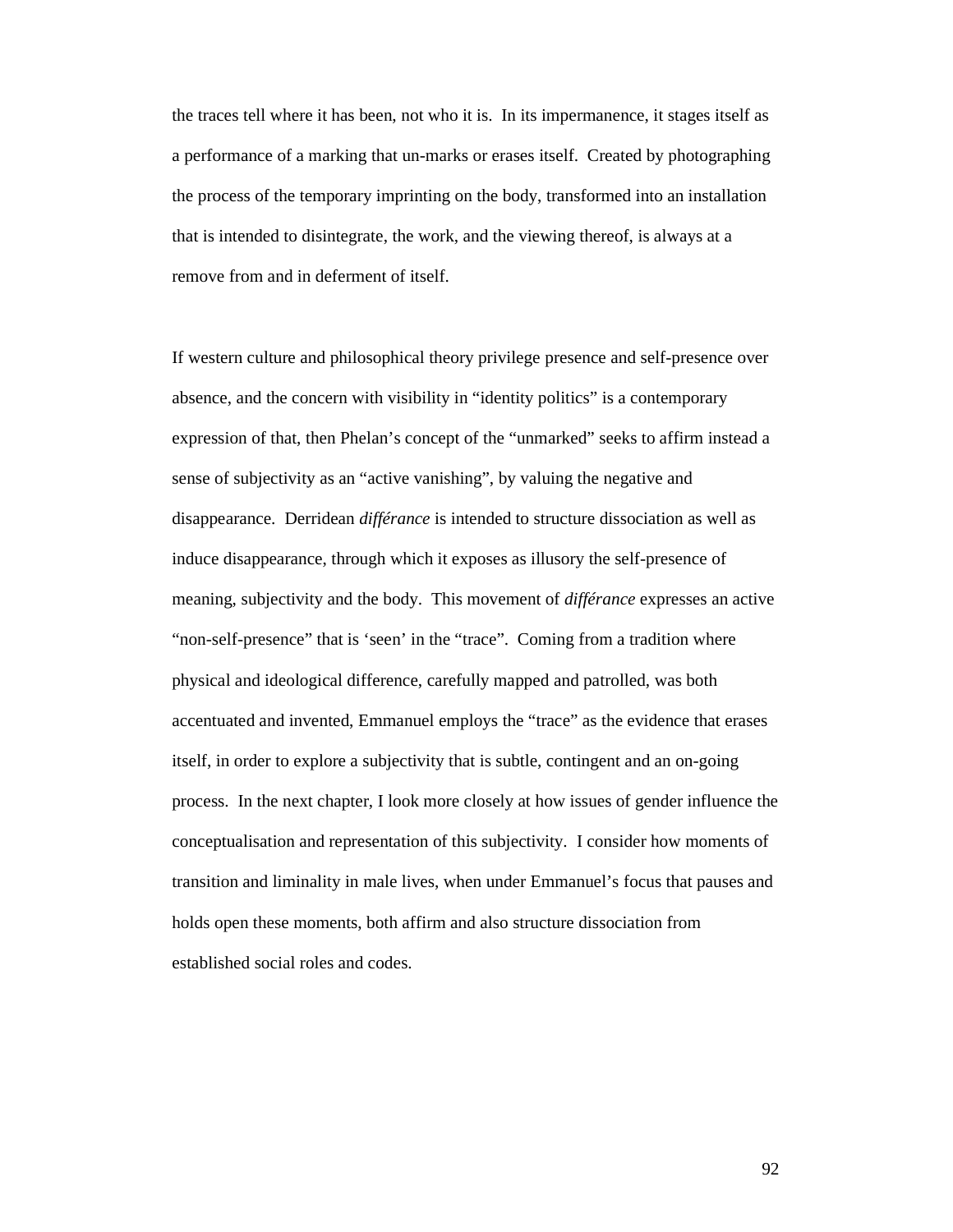the traces tell where it has been, not who it is. In its impermanence, it stages itself as a performance of a marking that un-marks or erases itself. Created by photographing the process of the temporary imprinting on the body, transformed into an installation that is intended to disintegrate, the work, and the viewing thereof, is always at a remove from and in deferment of itself.

If western culture and philosophical theory privilege presence and self-presence over absence, and the concern with visibility in "identity politics" is a contemporary expression of that, then Phelan's concept of the "unmarked" seeks to affirm instead a sense of subjectivity as an "active vanishing", by valuing the negative and disappearance. Derridean *différance* is intended to structure dissociation as well as induce disappearance, through which it exposes as illusory the self-presence of meaning, subjectivity and the body. This movement of *différance* expresses an active "non-self-presence" that is 'seen' in the "trace". Coming from a tradition where physical and ideological difference, carefully mapped and patrolled, was both accentuated and invented, Emmanuel employs the "trace" as the evidence that erases itself, in order to explore a subjectivity that is subtle, contingent and an on-going process. In the next chapter, I look more closely at how issues of gender influence the conceptualisation and representation of this subjectivity. I consider how moments of transition and liminality in male lives, when under Emmanuel's focus that pauses and holds open these moments, both affirm and also structure dissociation from established social roles and codes.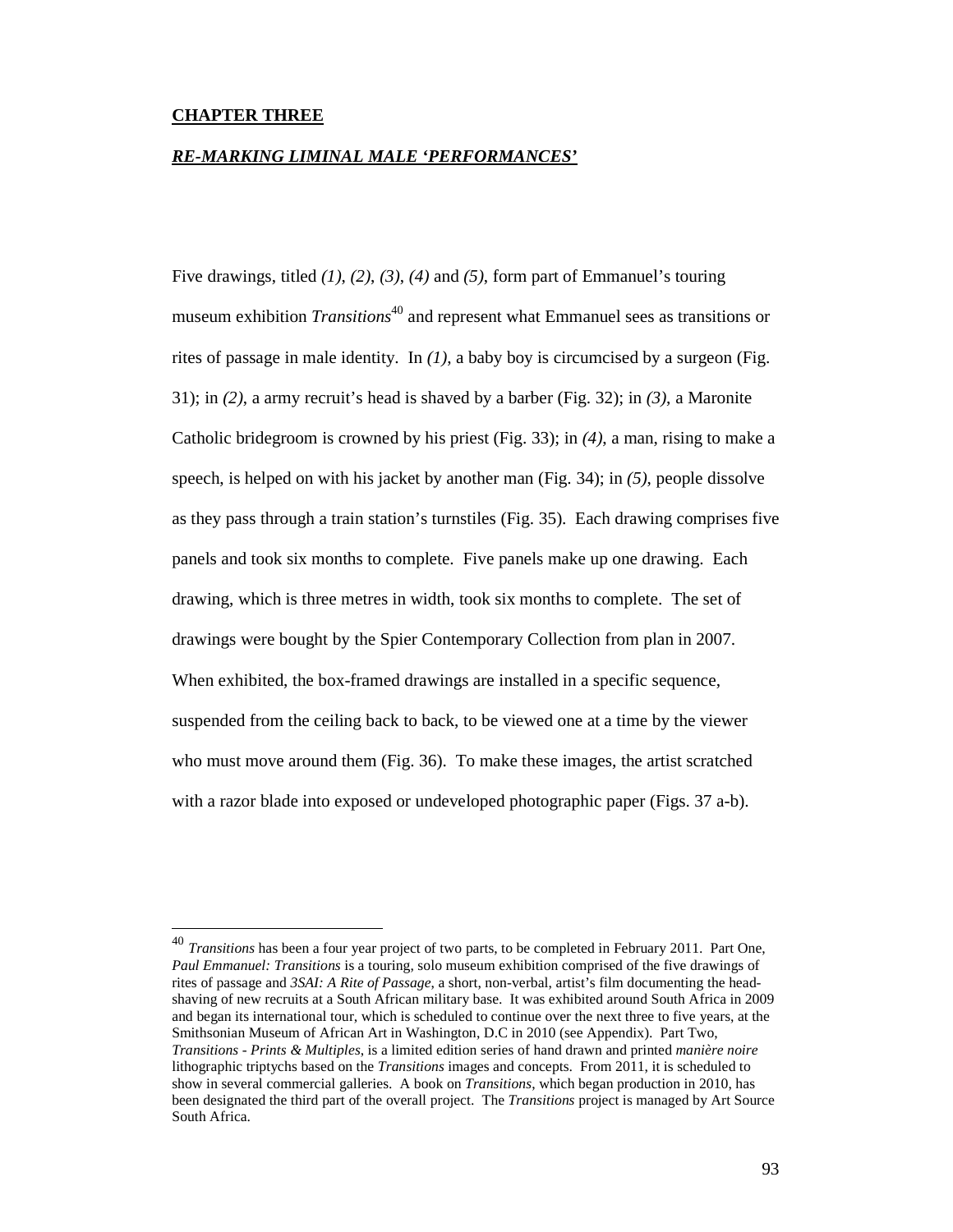## **CHAPTER THREE**

-

#### *RE-MARKING LIMINAL MALE 'PERFORMANCES'*

Five drawings, titled *(1)*, *(2)*, *(3)*, *(4)* and *(5)*, form part of Emmanuel's touring museum exhibition *Transitions*<sup>40</sup> and represent what Emmanuel sees as transitions or rites of passage in male identity. In  $(1)$ , a baby boy is circumcised by a surgeon (Fig. 31); in *(2)*, a army recruit's head is shaved by a barber (Fig. 32); in *(3)*, a Maronite Catholic bridegroom is crowned by his priest (Fig. 33); in *(4)*, a man, rising to make a speech, is helped on with his jacket by another man (Fig. 34); in *(5)*, people dissolve as they pass through a train station's turnstiles (Fig. 35). Each drawing comprises five panels and took six months to complete. Five panels make up one drawing. Each drawing, which is three metres in width, took six months to complete. The set of drawings were bought by the Spier Contemporary Collection from plan in 2007. When exhibited, the box-framed drawings are installed in a specific sequence, suspended from the ceiling back to back, to be viewed one at a time by the viewer who must move around them (Fig. 36). To make these images, the artist scratched with a razor blade into exposed or undeveloped photographic paper (Figs. 37 a-b).

<sup>40</sup> *Transitions* has been a four year project of two parts, to be completed in February 2011. Part One, *Paul Emmanuel: Transitions* is a touring, solo museum exhibition comprised of the five drawings of rites of passage and *3SAI: A Rite of Passage*, a short, non-verbal, artist's film documenting the headshaving of new recruits at a South African military base. It was exhibited around South Africa in 2009 and began its international tour, which is scheduled to continue over the next three to five years, at the Smithsonian Museum of African Art in Washington, D.C in 2010 (see Appendix). Part Two, *Transitions - Prints & Multiples*, is a limited edition series of hand drawn and printed *manière noire* lithographic triptychs based on the *Transitions* images and concepts. From 2011, it is scheduled to show in several commercial galleries. A book on *Transitions*, which began production in 2010, has been designated the third part of the overall project. The *Transitions* project is managed by Art Source South Africa.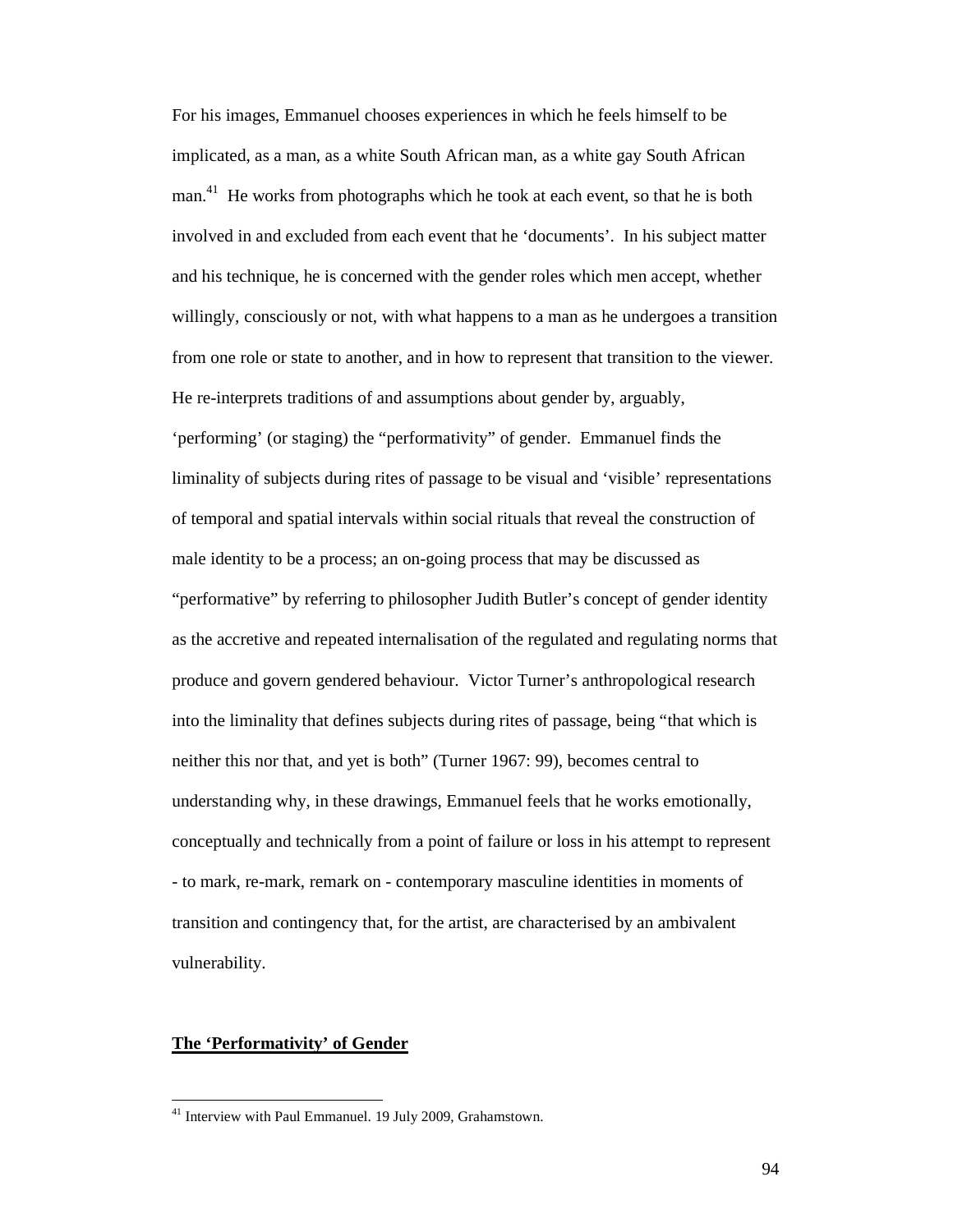For his images, Emmanuel chooses experiences in which he feels himself to be implicated, as a man, as a white South African man, as a white gay South African man.<sup>41</sup> He works from photographs which he took at each event, so that he is both involved in and excluded from each event that he 'documents'. In his subject matter and his technique, he is concerned with the gender roles which men accept, whether willingly, consciously or not, with what happens to a man as he undergoes a transition from one role or state to another, and in how to represent that transition to the viewer. He re-interprets traditions of and assumptions about gender by, arguably, 'performing' (or staging) the "performativity" of gender. Emmanuel finds the liminality of subjects during rites of passage to be visual and 'visible' representations of temporal and spatial intervals within social rituals that reveal the construction of male identity to be a process; an on-going process that may be discussed as "performative" by referring to philosopher Judith Butler's concept of gender identity as the accretive and repeated internalisation of the regulated and regulating norms that produce and govern gendered behaviour. Victor Turner's anthropological research into the liminality that defines subjects during rites of passage, being "that which is neither this nor that, and yet is both" (Turner 1967: 99), becomes central to understanding why, in these drawings, Emmanuel feels that he works emotionally, conceptually and technically from a point of failure or loss in his attempt to represent - to mark, re-mark, remark on - contemporary masculine identities in moments of transition and contingency that, for the artist, are characterised by an ambivalent vulnerability.

# **The 'Performativity' of Gender**

 $41$  Interview with Paul Emmanuel. 19 July 2009, Grahamstown.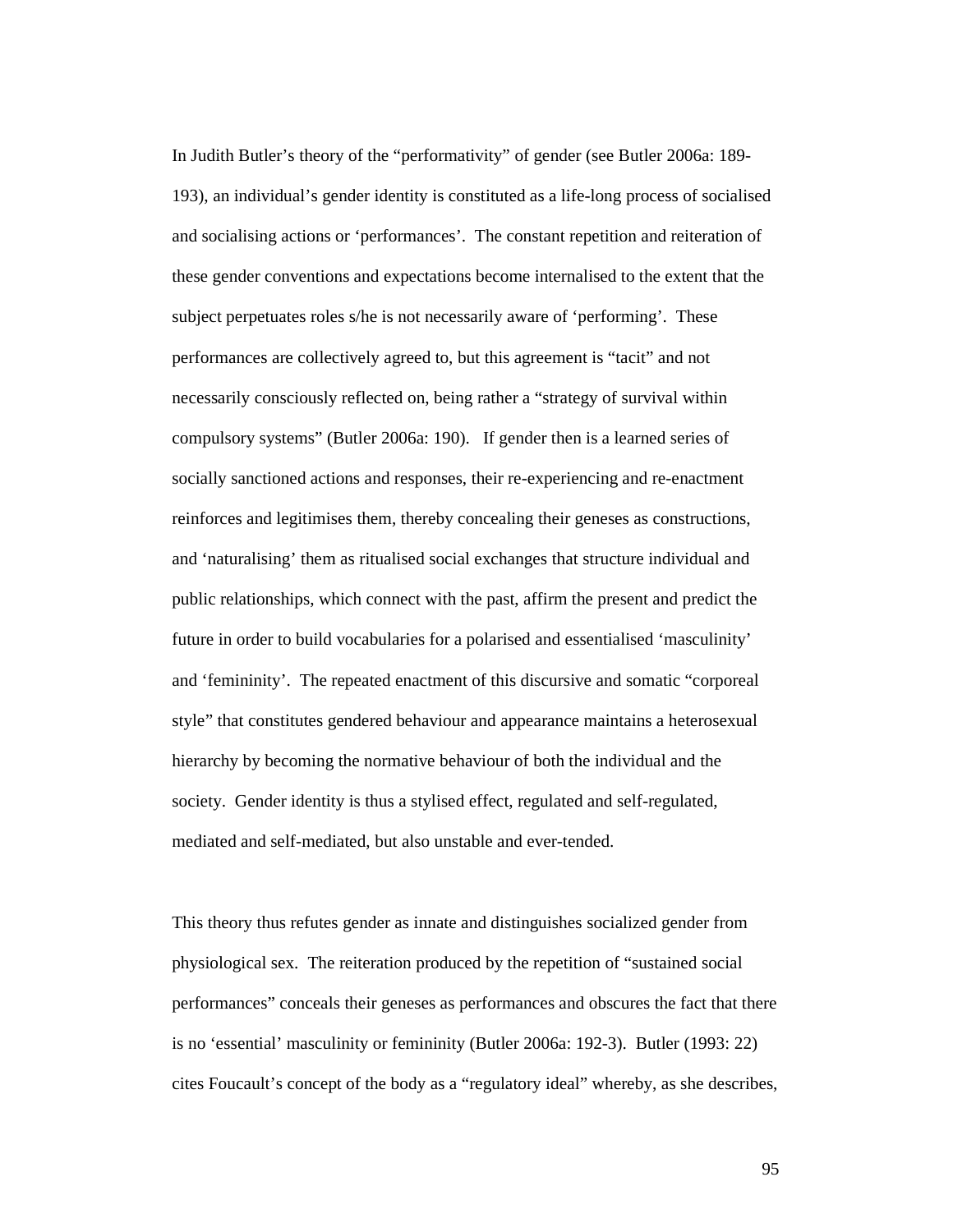In Judith Butler's theory of the "performativity" of gender (see Butler 2006a: 189- 193), an individual's gender identity is constituted as a life-long process of socialised and socialising actions or 'performances'. The constant repetition and reiteration of these gender conventions and expectations become internalised to the extent that the subject perpetuates roles s/he is not necessarily aware of 'performing'. These performances are collectively agreed to, but this agreement is "tacit" and not necessarily consciously reflected on, being rather a "strategy of survival within compulsory systems" (Butler 2006a: 190). If gender then is a learned series of socially sanctioned actions and responses, their re-experiencing and re-enactment reinforces and legitimises them, thereby concealing their geneses as constructions, and 'naturalising' them as ritualised social exchanges that structure individual and public relationships, which connect with the past, affirm the present and predict the future in order to build vocabularies for a polarised and essentialised 'masculinity' and 'femininity'. The repeated enactment of this discursive and somatic "corporeal style" that constitutes gendered behaviour and appearance maintains a heterosexual hierarchy by becoming the normative behaviour of both the individual and the society. Gender identity is thus a stylised effect, regulated and self-regulated, mediated and self-mediated, but also unstable and ever-tended.

This theory thus refutes gender as innate and distinguishes socialized gender from physiological sex. The reiteration produced by the repetition of "sustained social performances" conceals their geneses as performances and obscures the fact that there is no 'essential' masculinity or femininity (Butler 2006a: 192-3). Butler (1993: 22) cites Foucault's concept of the body as a "regulatory ideal" whereby, as she describes,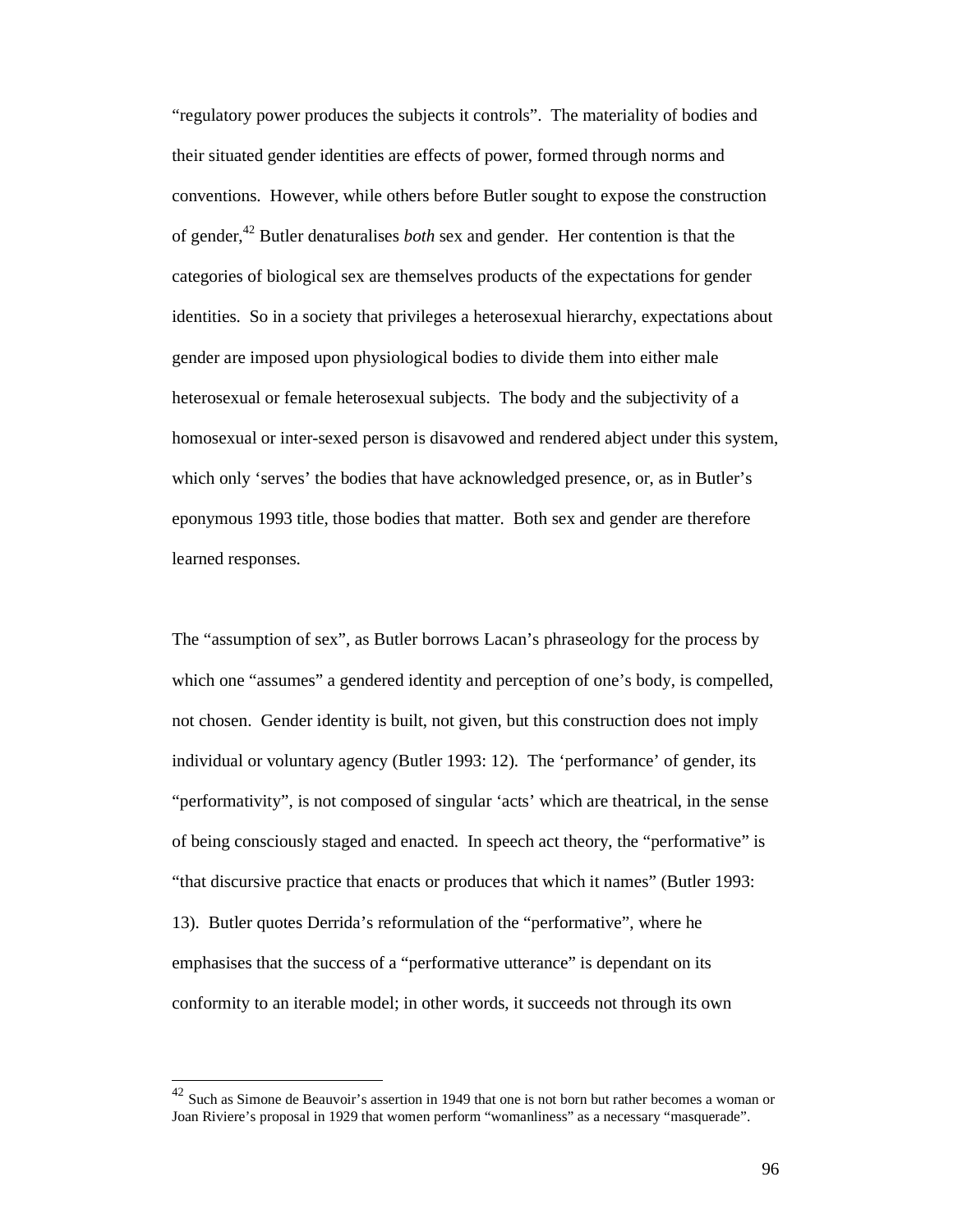"regulatory power produces the subjects it controls". The materiality of bodies and their situated gender identities are effects of power, formed through norms and conventions. However, while others before Butler sought to expose the construction of gender,<sup>42</sup> Butler denaturalises *both* sex and gender. Her contention is that the categories of biological sex are themselves products of the expectations for gender identities. So in a society that privileges a heterosexual hierarchy, expectations about gender are imposed upon physiological bodies to divide them into either male heterosexual or female heterosexual subjects. The body and the subjectivity of a homosexual or inter-sexed person is disavowed and rendered abject under this system, which only 'serves' the bodies that have acknowledged presence, or, as in Butler's eponymous 1993 title, those bodies that matter. Both sex and gender are therefore learned responses.

The "assumption of sex", as Butler borrows Lacan's phraseology for the process by which one "assumes" a gendered identity and perception of one's body, is compelled, not chosen. Gender identity is built, not given, but this construction does not imply individual or voluntary agency (Butler 1993: 12). The 'performance' of gender, its "performativity", is not composed of singular 'acts' which are theatrical, in the sense of being consciously staged and enacted. In speech act theory, the "performative" is "that discursive practice that enacts or produces that which it names" (Butler 1993: 13). Butler quotes Derrida's reformulation of the "performative", where he emphasises that the success of a "performative utterance" is dependant on its conformity to an iterable model; in other words, it succeeds not through its own

 $42$  Such as Simone de Beauvoir's assertion in 1949 that one is not born but rather becomes a woman or Joan Riviere's proposal in 1929 that women perform "womanliness" as a necessary "masquerade".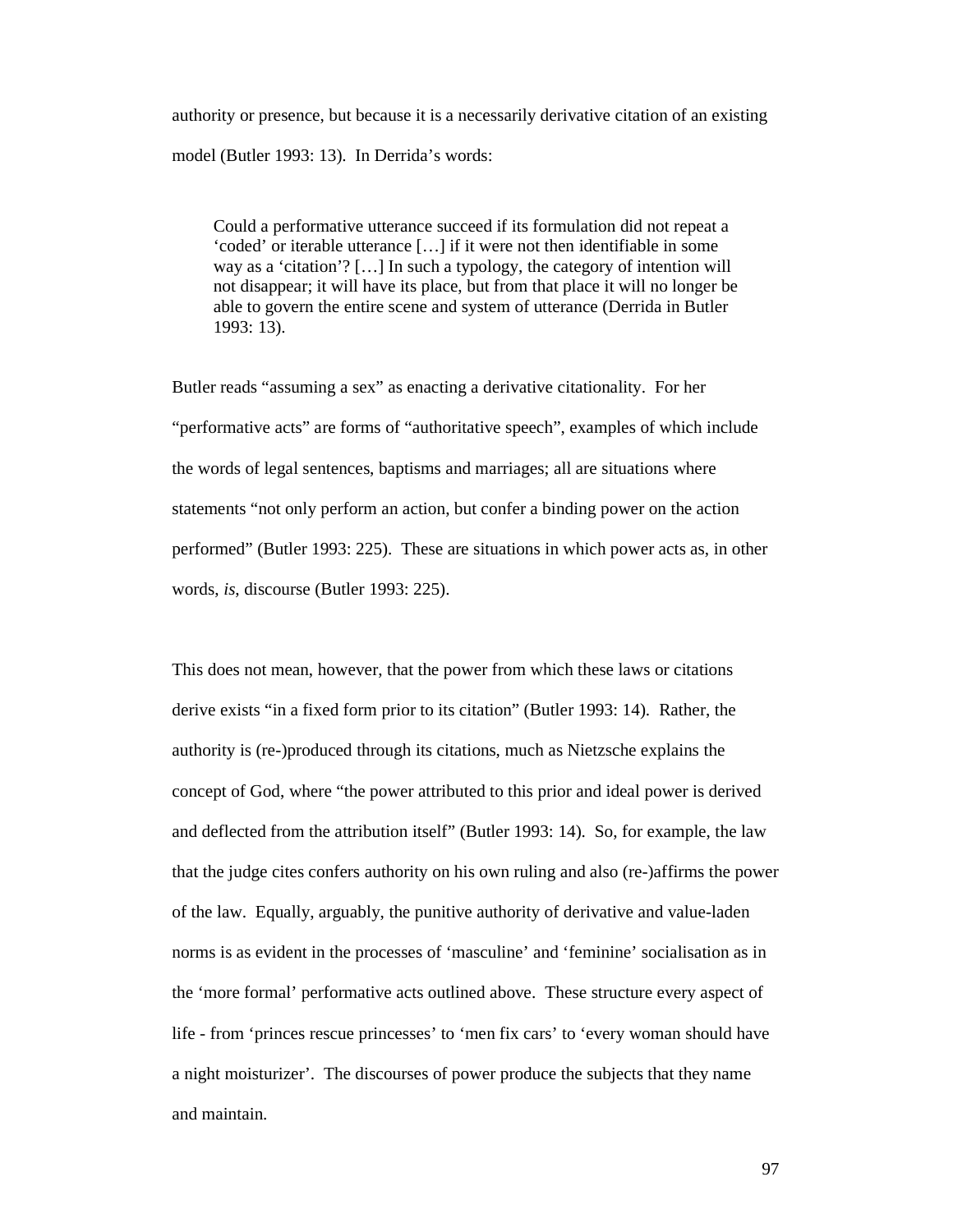authority or presence, but because it is a necessarily derivative citation of an existing model (Butler 1993: 13). In Derrida's words:

Could a performative utterance succeed if its formulation did not repeat a 'coded' or iterable utterance […] if it were not then identifiable in some way as a 'citation'? […] In such a typology, the category of intention will not disappear; it will have its place, but from that place it will no longer be able to govern the entire scene and system of utterance (Derrida in Butler 1993: 13).

Butler reads "assuming a sex" as enacting a derivative citationality. For her "performative acts" are forms of "authoritative speech", examples of which include the words of legal sentences, baptisms and marriages; all are situations where statements "not only perform an action, but confer a binding power on the action performed" (Butler 1993: 225). These are situations in which power acts as, in other words, *is*, discourse (Butler 1993: 225).

This does not mean, however, that the power from which these laws or citations derive exists "in a fixed form prior to its citation" (Butler 1993: 14). Rather, the authority is (re-)produced through its citations, much as Nietzsche explains the concept of God, where "the power attributed to this prior and ideal power is derived and deflected from the attribution itself" (Butler 1993: 14). So, for example, the law that the judge cites confers authority on his own ruling and also (re-)affirms the power of the law. Equally, arguably, the punitive authority of derivative and value-laden norms is as evident in the processes of 'masculine' and 'feminine' socialisation as in the 'more formal' performative acts outlined above. These structure every aspect of life - from 'princes rescue princesses' to 'men fix cars' to 'every woman should have a night moisturizer'. The discourses of power produce the subjects that they name and maintain.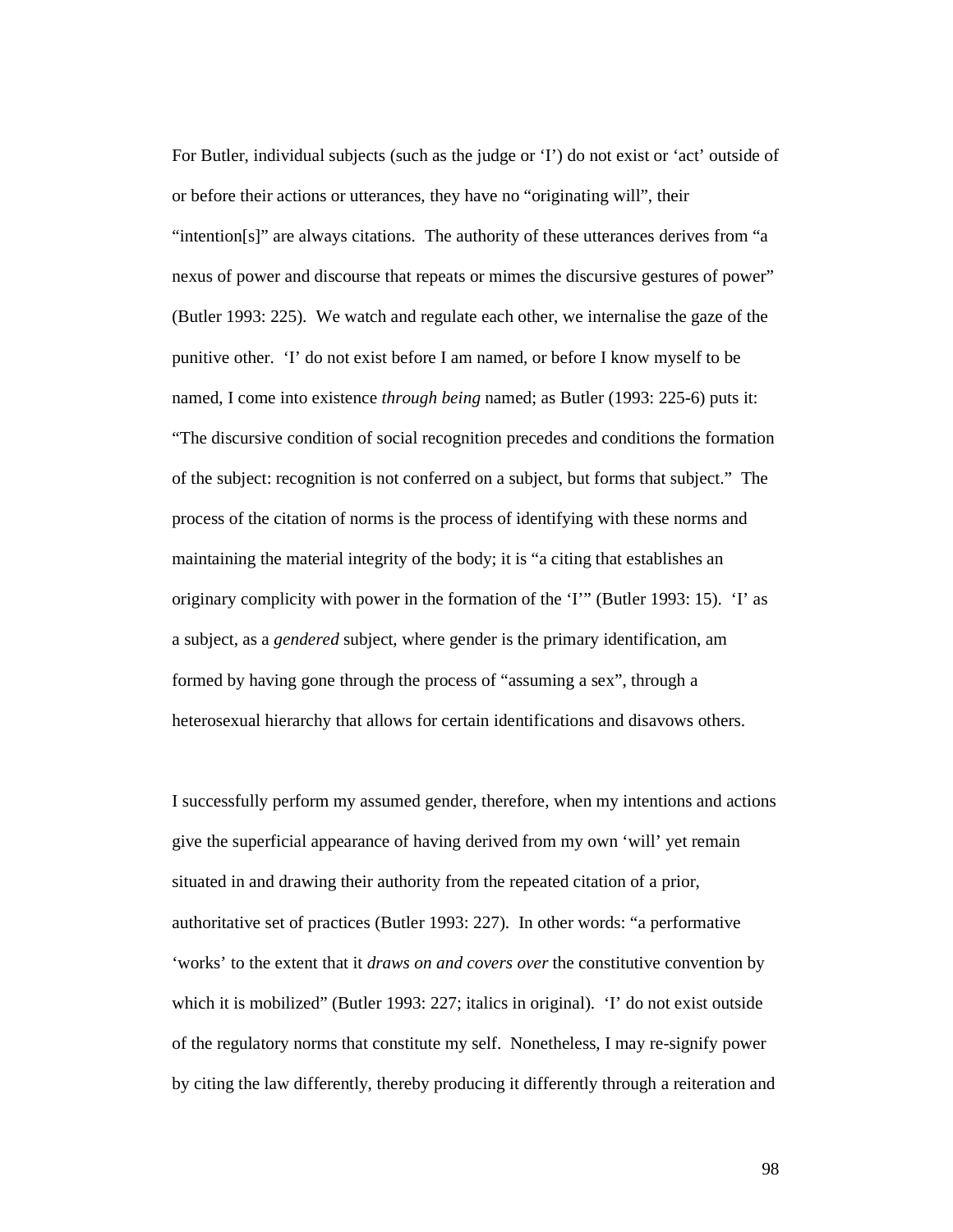For Butler, individual subjects (such as the judge or 'I') do not exist or 'act' outside of or before their actions or utterances, they have no "originating will", their "intention[s]" are always citations. The authority of these utterances derives from "a nexus of power and discourse that repeats or mimes the discursive gestures of power" (Butler 1993: 225). We watch and regulate each other, we internalise the gaze of the punitive other. 'I' do not exist before I am named, or before I know myself to be named, I come into existence *through being* named; as Butler (1993: 225-6) puts it: "The discursive condition of social recognition precedes and conditions the formation of the subject: recognition is not conferred on a subject, but forms that subject." The process of the citation of norms is the process of identifying with these norms and maintaining the material integrity of the body; it is "a citing that establishes an originary complicity with power in the formation of the 'I'" (Butler 1993: 15). 'I' as a subject, as a *gendered* subject, where gender is the primary identification, am formed by having gone through the process of "assuming a sex", through a heterosexual hierarchy that allows for certain identifications and disavows others.

I successfully perform my assumed gender, therefore, when my intentions and actions give the superficial appearance of having derived from my own 'will' yet remain situated in and drawing their authority from the repeated citation of a prior, authoritative set of practices (Butler 1993: 227). In other words: "a performative 'works' to the extent that it *draws on and covers over* the constitutive convention by which it is mobilized" (Butler 1993: 227; italics in original). 'I' do not exist outside of the regulatory norms that constitute my self. Nonetheless, I may re-signify power by citing the law differently, thereby producing it differently through a reiteration and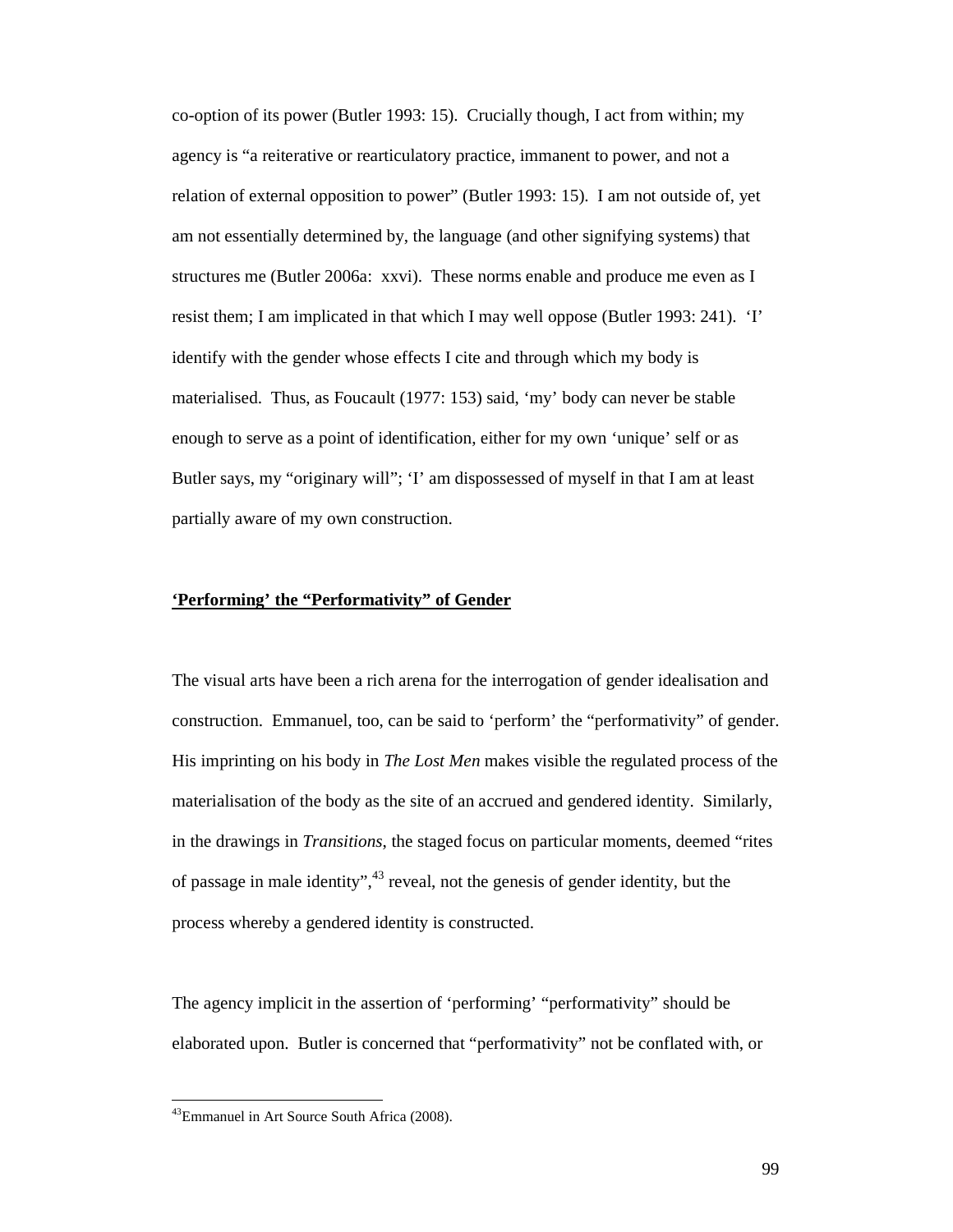co-option of its power (Butler 1993: 15). Crucially though, I act from within; my agency is "a reiterative or rearticulatory practice, immanent to power, and not a relation of external opposition to power" (Butler 1993: 15). I am not outside of, yet am not essentially determined by, the language (and other signifying systems) that structures me (Butler 2006a: xxvi). These norms enable and produce me even as I resist them; I am implicated in that which I may well oppose (Butler 1993: 241). 'I' identify with the gender whose effects I cite and through which my body is materialised. Thus, as Foucault (1977: 153) said, 'my' body can never be stable enough to serve as a point of identification, either for my own 'unique' self or as Butler says, my "originary will"; 'I' am dispossessed of myself in that I am at least partially aware of my own construction.

#### **'Performing' the "Performativity" of Gender**

The visual arts have been a rich arena for the interrogation of gender idealisation and construction. Emmanuel, too, can be said to 'perform' the "performativity" of gender. His imprinting on his body in *The Lost Men* makes visible the regulated process of the materialisation of the body as the site of an accrued and gendered identity. Similarly, in the drawings in *Transitions*, the staged focus on particular moments, deemed "rites of passage in male identity",  $43$  reveal, not the genesis of gender identity, but the process whereby a gendered identity is constructed.

The agency implicit in the assertion of 'performing' "performativity" should be elaborated upon. Butler is concerned that "performativity" not be conflated with, or

<sup>43</sup>Emmanuel in Art Source South Africa (2008).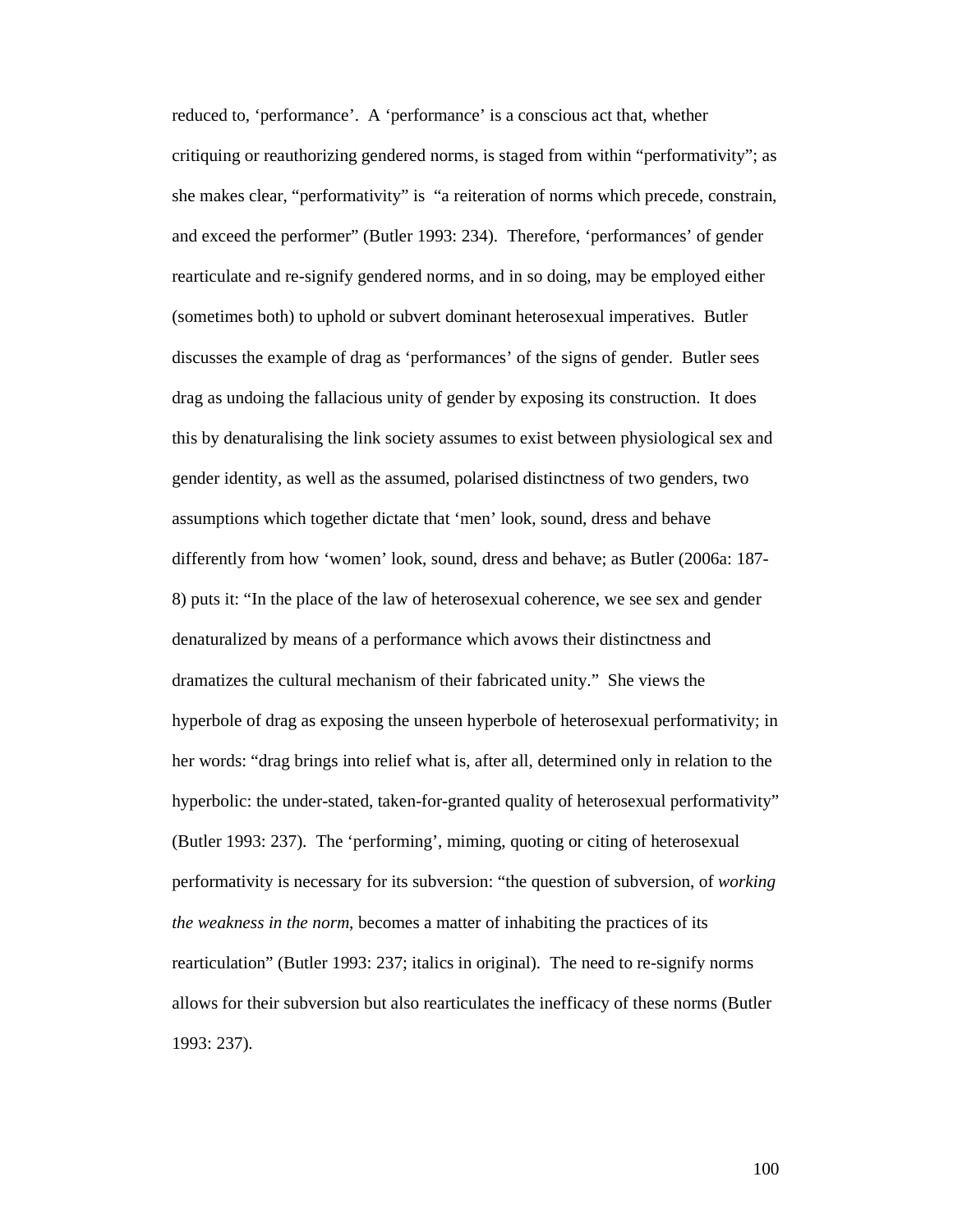reduced to, 'performance'. A 'performance' is a conscious act that, whether critiquing or reauthorizing gendered norms, is staged from within "performativity"; as she makes clear, "performativity" is "a reiteration of norms which precede, constrain, and exceed the performer" (Butler 1993: 234). Therefore, 'performances' of gender rearticulate and re-signify gendered norms, and in so doing, may be employed either (sometimes both) to uphold or subvert dominant heterosexual imperatives. Butler discusses the example of drag as 'performances' of the signs of gender. Butler sees drag as undoing the fallacious unity of gender by exposing its construction. It does this by denaturalising the link society assumes to exist between physiological sex and gender identity, as well as the assumed, polarised distinctness of two genders, two assumptions which together dictate that 'men' look, sound, dress and behave differently from how 'women' look, sound, dress and behave; as Butler (2006a: 187- 8) puts it: "In the place of the law of heterosexual coherence, we see sex and gender denaturalized by means of a performance which avows their distinctness and dramatizes the cultural mechanism of their fabricated unity." She views the hyperbole of drag as exposing the unseen hyperbole of heterosexual performativity; in her words: "drag brings into relief what is, after all, determined only in relation to the hyperbolic: the under-stated, taken-for-granted quality of heterosexual performativity" (Butler 1993: 237). The 'performing', miming, quoting or citing of heterosexual performativity is necessary for its subversion: "the question of subversion, of *working the weakness in the norm*, becomes a matter of inhabiting the practices of its rearticulation" (Butler 1993: 237; italics in original). The need to re-signify norms allows for their subversion but also rearticulates the inefficacy of these norms (Butler 1993: 237).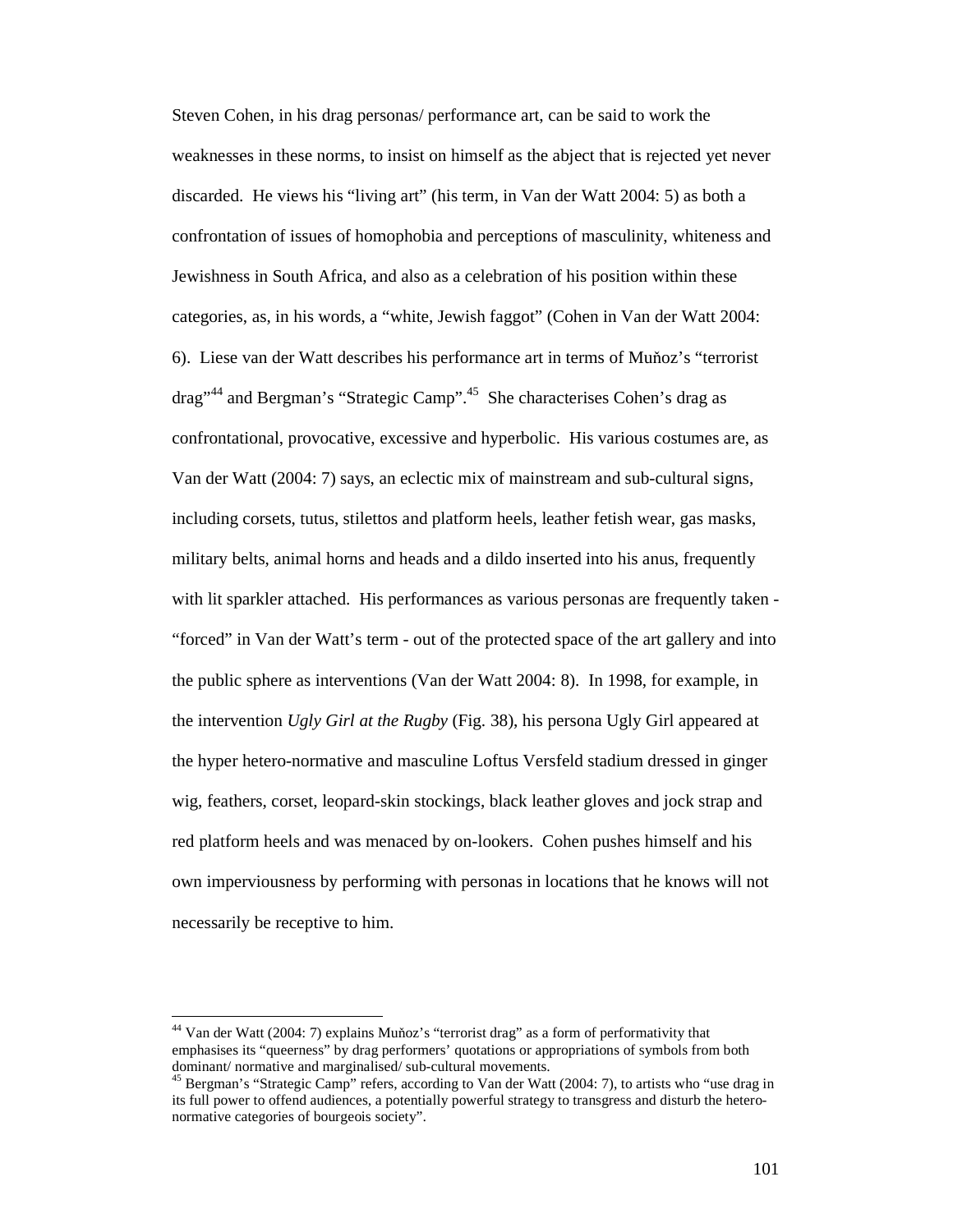Steven Cohen, in his drag personas/ performance art, can be said to work the weaknesses in these norms, to insist on himself as the abject that is rejected yet never discarded. He views his "living art" (his term, in Van der Watt 2004: 5) as both a confrontation of issues of homophobia and perceptions of masculinity, whiteness and Jewishness in South Africa, and also as a celebration of his position within these categories, as, in his words, a "white, Jewish faggot" (Cohen in Van der Watt 2004: 6). Liese van der Watt describes his performance art in terms of Muňoz's "terrorist drag"<sup>44</sup> and Bergman's "Strategic Camp".<sup>45</sup> She characterises Cohen's drag as confrontational, provocative, excessive and hyperbolic. His various costumes are, as Van der Watt (2004: 7) says, an eclectic mix of mainstream and sub-cultural signs, including corsets, tutus, stilettos and platform heels, leather fetish wear, gas masks, military belts, animal horns and heads and a dildo inserted into his anus, frequently with lit sparkler attached. His performances as various personas are frequently taken - "forced" in Van der Watt's term - out of the protected space of the art gallery and into the public sphere as interventions (Van der Watt 2004: 8). In 1998, for example, in the intervention *Ugly Girl at the Rugby* (Fig. 38), his persona Ugly Girl appeared at the hyper hetero-normative and masculine Loftus Versfeld stadium dressed in ginger wig, feathers, corset, leopard-skin stockings, black leather gloves and jock strap and red platform heels and was menaced by on-lookers. Cohen pushes himself and his own imperviousness by performing with personas in locations that he knows will not necessarily be receptive to him.

<sup>&</sup>lt;sup>44</sup> Van der Watt (2004: 7) explains Muňoz's "terrorist drag" as a form of performativity that emphasises its "queerness" by drag performers' quotations or appropriations of symbols from both dominant/ normative and marginalised/ sub-cultural movements.

<sup>&</sup>lt;sup>45</sup> Bergman's "Strategic Camp" refers, according to Van der Watt (2004: 7), to artists who "use drag in its full power to offend audiences, a potentially powerful strategy to transgress and disturb the heteronormative categories of bourgeois society".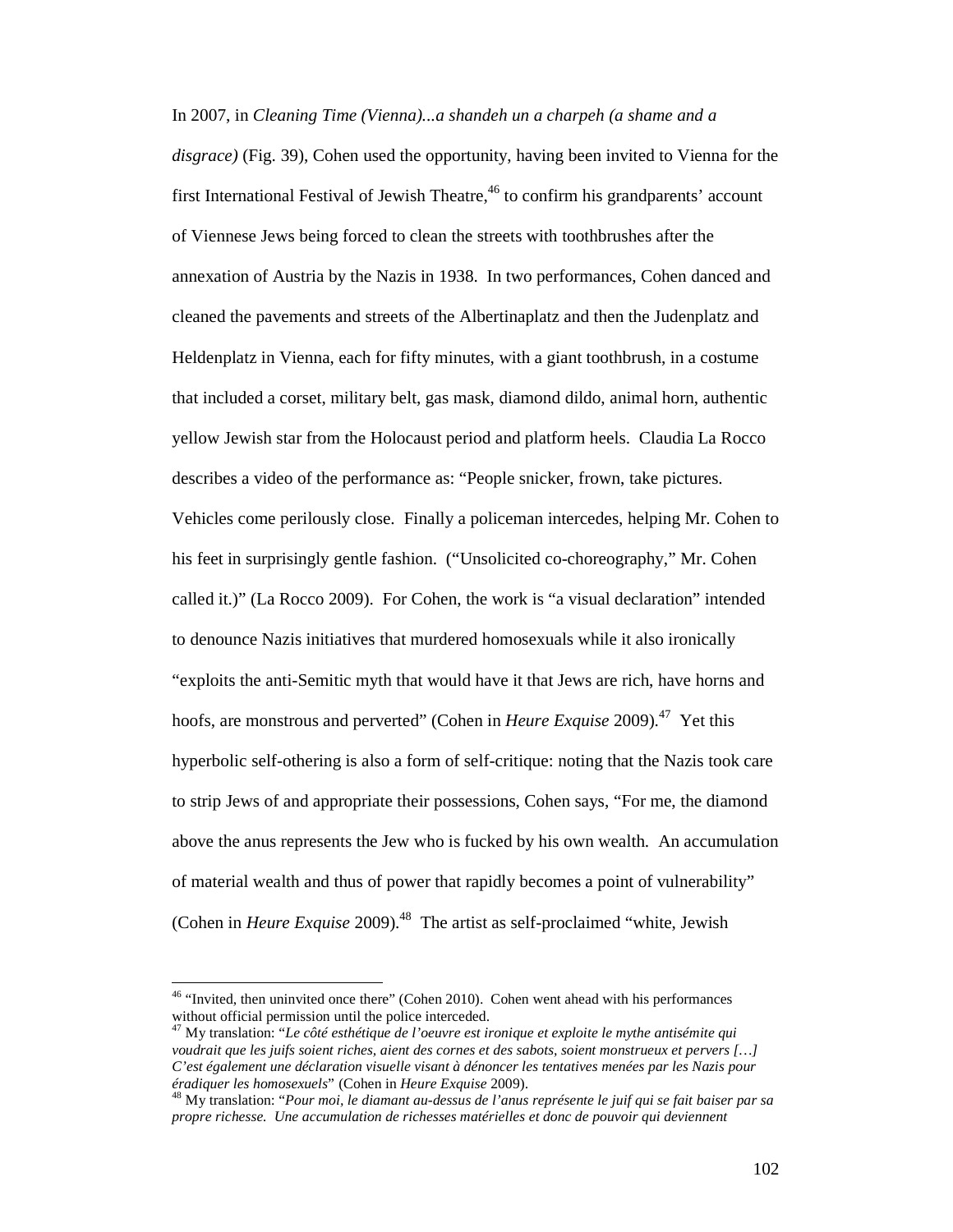In 2007, in *Cleaning Time (Vienna)...a shandeh un a charpeh (a shame and a disgrace)* (Fig. 39), Cohen used the opportunity, having been invited to Vienna for the first International Festival of Jewish Theatre,  $46$  to confirm his grandparents' account of Viennese Jews being forced to clean the streets with toothbrushes after the annexation of Austria by the Nazis in 1938. In two performances, Cohen danced and cleaned the pavements and streets of the Albertinaplatz and then the Judenplatz and Heldenplatz in Vienna, each for fifty minutes, with a giant toothbrush, in a costume that included a corset, military belt, gas mask, diamond dildo, animal horn, authentic yellow Jewish star from the Holocaust period and platform heels. Claudia La Rocco describes a video of the performance as: "People snicker, frown, take pictures. Vehicles come perilously close. Finally a policeman intercedes, helping Mr. Cohen to his feet in surprisingly gentle fashion. ("Unsolicited co-choreography," Mr. Cohen called it.)" (La Rocco 2009). For Cohen, the work is "a visual declaration" intended to denounce Nazis initiatives that murdered homosexuals while it also ironically "exploits the anti-Semitic myth that would have it that Jews are rich, have horns and hoofs, are monstrous and perverted" (Cohen in *Heure Exquise* 2009).<sup>47</sup> Yet this hyperbolic self-othering is also a form of self-critique: noting that the Nazis took care to strip Jews of and appropriate their possessions, Cohen says, "For me, the diamond above the anus represents the Jew who is fucked by his own wealth. An accumulation of material wealth and thus of power that rapidly becomes a point of vulnerability" (Cohen in *Heure Exquise* 2009).<sup>48</sup> The artist as self-proclaimed "white, Jewish"

<sup>&</sup>lt;sup>46</sup> "Invited, then uninvited once there" (Cohen 2010). Cohen went ahead with his performances without official permission until the police interceded.

<sup>47</sup> My translation: "*Le côté esthétique de l'oeuvre est ironique et exploite le mythe antisémite qui voudrait que les juifs soient riches, aient des cornes et des sabots, soient monstrueux et pervers […] C'est également une déclaration visuelle visant à dénoncer les tentatives menées par les Nazis pour éradiquer les homosexuels*" (Cohen in *Heure Exquise* 2009).

<sup>48</sup> My translation: "*Pour moi, le diamant au-dessus de l'anus représente le juif qui se fait baiser par sa propre richesse. Une accumulation de richesses matérielles et donc de pouvoir qui deviennent*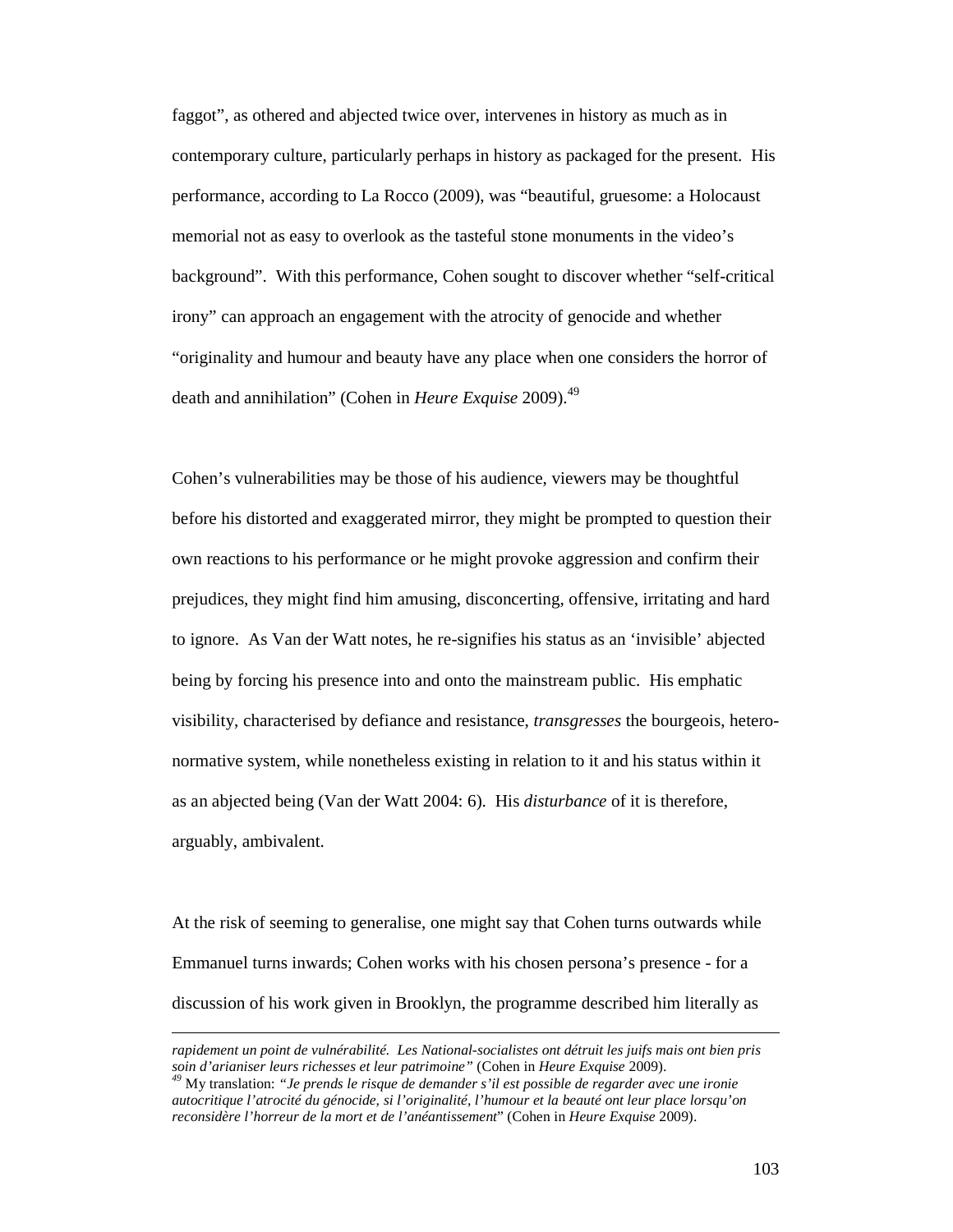faggot", as othered and abjected twice over, intervenes in history as much as in contemporary culture, particularly perhaps in history as packaged for the present. His performance, according to La Rocco (2009), was "beautiful, gruesome: a Holocaust memorial not as easy to overlook as the tasteful stone monuments in the video's background". With this performance, Cohen sought to discover whether "self-critical irony" can approach an engagement with the atrocity of genocide and whether "originality and humour and beauty have any place when one considers the horror of death and annihilation" (Cohen in *Heure Exquise* 2009).<sup>49</sup>

Cohen's vulnerabilities may be those of his audience, viewers may be thoughtful before his distorted and exaggerated mirror, they might be prompted to question their own reactions to his performance or he might provoke aggression and confirm their prejudices, they might find him amusing, disconcerting, offensive, irritating and hard to ignore. As Van der Watt notes, he re-signifies his status as an 'invisible' abjected being by forcing his presence into and onto the mainstream public. His emphatic visibility, characterised by defiance and resistance, *transgresses* the bourgeois, heteronormative system, while nonetheless existing in relation to it and his status within it as an abjected being (Van der Watt 2004: 6). His *disturbance* of it is therefore, arguably, ambivalent.

At the risk of seeming to generalise, one might say that Cohen turns outwards while Emmanuel turns inwards; Cohen works with his chosen persona's presence - for a discussion of his work given in Brooklyn, the programme described him literally as

*rapidement un point de vulnérabilité. Les National-socialistes ont détruit les juifs mais ont bien pris soin d'arianiser leurs richesses et leur patrimoine"* (Cohen in *Heure Exquise* 2009).

*<sup>49</sup>* My translation: *"Je prends le risque de demander s'il est possible de regarder avec une ironie autocritique l'atrocité du génocide, si l'originalité, l'humour et la beauté ont leur place lorsqu'on reconsidère l'horreur de la mort et de l'anéantissement*" (Cohen in *Heure Exquise* 2009).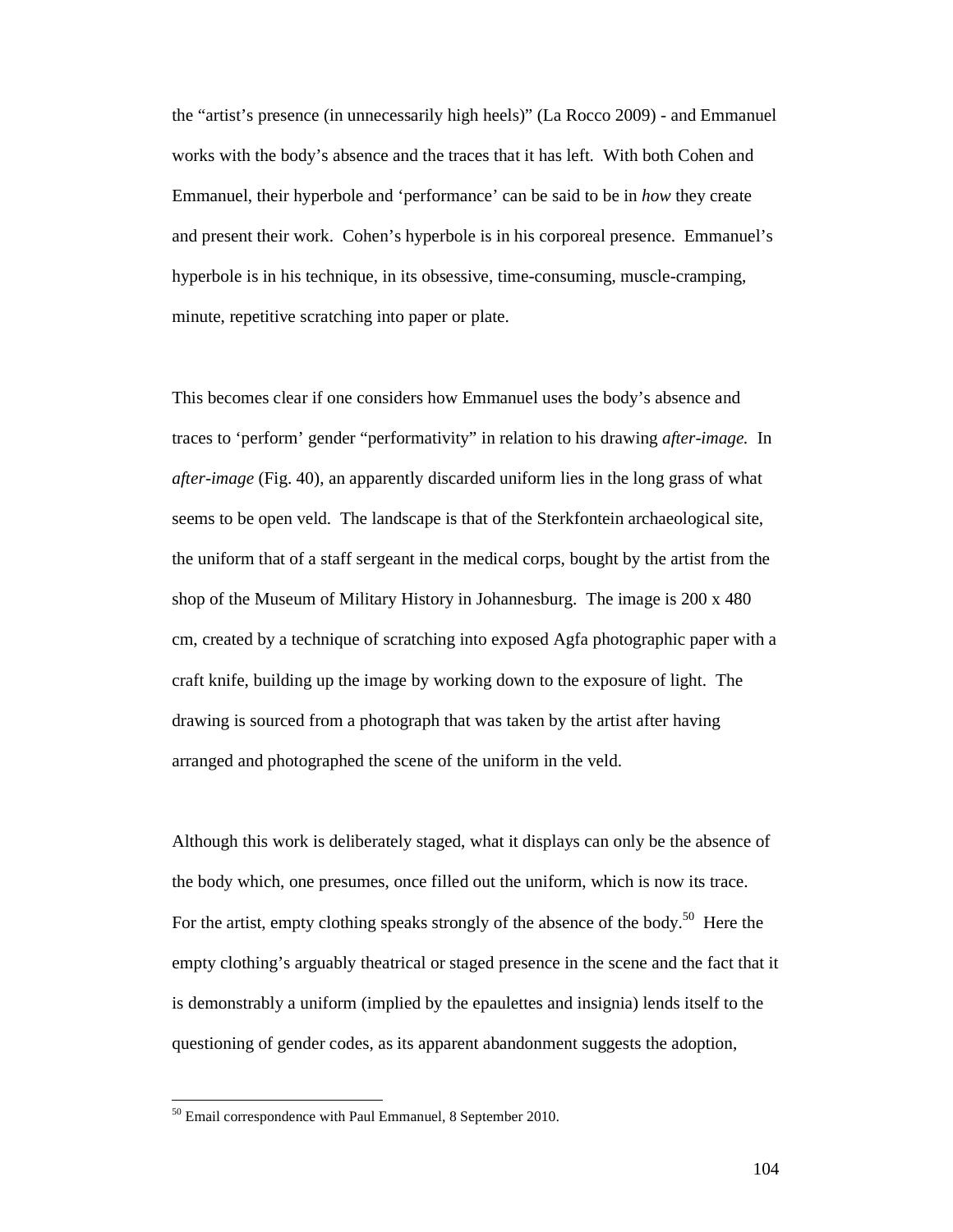the "artist's presence (in unnecessarily high heels)" (La Rocco 2009) - and Emmanuel works with the body's absence and the traces that it has left. With both Cohen and Emmanuel, their hyperbole and 'performance' can be said to be in *how* they create and present their work. Cohen's hyperbole is in his corporeal presence. Emmanuel's hyperbole is in his technique, in its obsessive, time-consuming, muscle-cramping, minute, repetitive scratching into paper or plate.

This becomes clear if one considers how Emmanuel uses the body's absence and traces to 'perform' gender "performativity" in relation to his drawing *after-image.* In *after-image* (Fig. 40), an apparently discarded uniform lies in the long grass of what seems to be open veld. The landscape is that of the Sterkfontein archaeological site, the uniform that of a staff sergeant in the medical corps, bought by the artist from the shop of the Museum of Military History in Johannesburg. The image is 200 x 480 cm, created by a technique of scratching into exposed Agfa photographic paper with a craft knife, building up the image by working down to the exposure of light. The drawing is sourced from a photograph that was taken by the artist after having arranged and photographed the scene of the uniform in the veld.

Although this work is deliberately staged, what it displays can only be the absence of the body which, one presumes, once filled out the uniform, which is now its trace. For the artist, empty clothing speaks strongly of the absence of the body.<sup>50</sup> Here the empty clothing's arguably theatrical or staged presence in the scene and the fact that it is demonstrably a uniform (implied by the epaulettes and insignia) lends itself to the questioning of gender codes, as its apparent abandonment suggests the adoption,

 $50$  Email correspondence with Paul Emmanuel, 8 September 2010.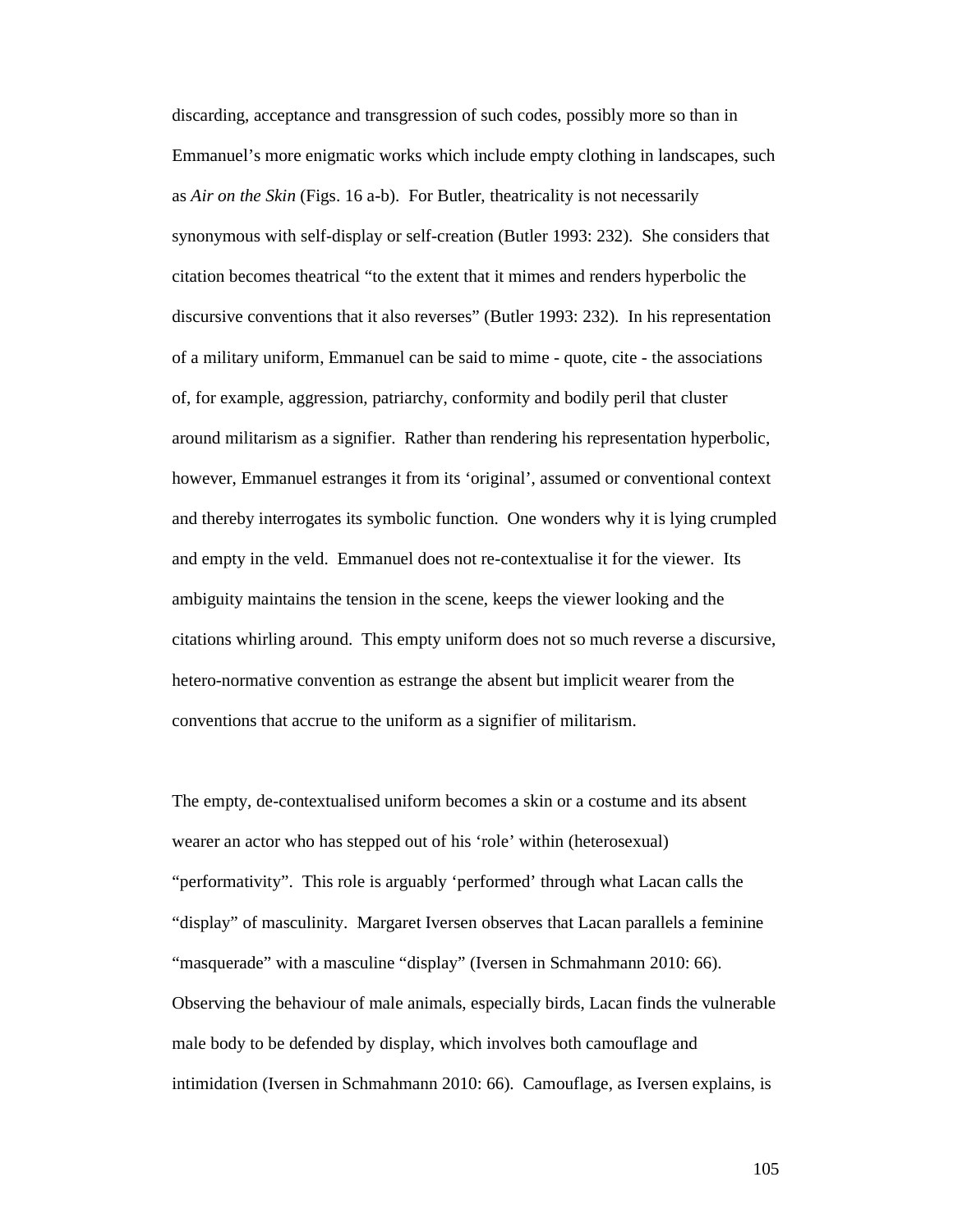discarding, acceptance and transgression of such codes, possibly more so than in Emmanuel's more enigmatic works which include empty clothing in landscapes, such as *Air on the Skin* (Figs. 16 a-b). For Butler, theatricality is not necessarily synonymous with self-display or self-creation (Butler 1993: 232). She considers that citation becomes theatrical "to the extent that it mimes and renders hyperbolic the discursive conventions that it also reverses" (Butler 1993: 232). In his representation of a military uniform, Emmanuel can be said to mime - quote, cite - the associations of, for example, aggression, patriarchy, conformity and bodily peril that cluster around militarism as a signifier. Rather than rendering his representation hyperbolic, however, Emmanuel estranges it from its 'original', assumed or conventional context and thereby interrogates its symbolic function. One wonders why it is lying crumpled and empty in the veld. Emmanuel does not re-contextualise it for the viewer. Its ambiguity maintains the tension in the scene, keeps the viewer looking and the citations whirling around. This empty uniform does not so much reverse a discursive, hetero-normative convention as estrange the absent but implicit wearer from the conventions that accrue to the uniform as a signifier of militarism.

The empty, de-contextualised uniform becomes a skin or a costume and its absent wearer an actor who has stepped out of his 'role' within (heterosexual) "performativity". This role is arguably 'performed' through what Lacan calls the "display" of masculinity. Margaret Iversen observes that Lacan parallels a feminine "masquerade" with a masculine "display" (Iversen in Schmahmann 2010: 66). Observing the behaviour of male animals, especially birds, Lacan finds the vulnerable male body to be defended by display, which involves both camouflage and intimidation (Iversen in Schmahmann 2010: 66). Camouflage, as Iversen explains, is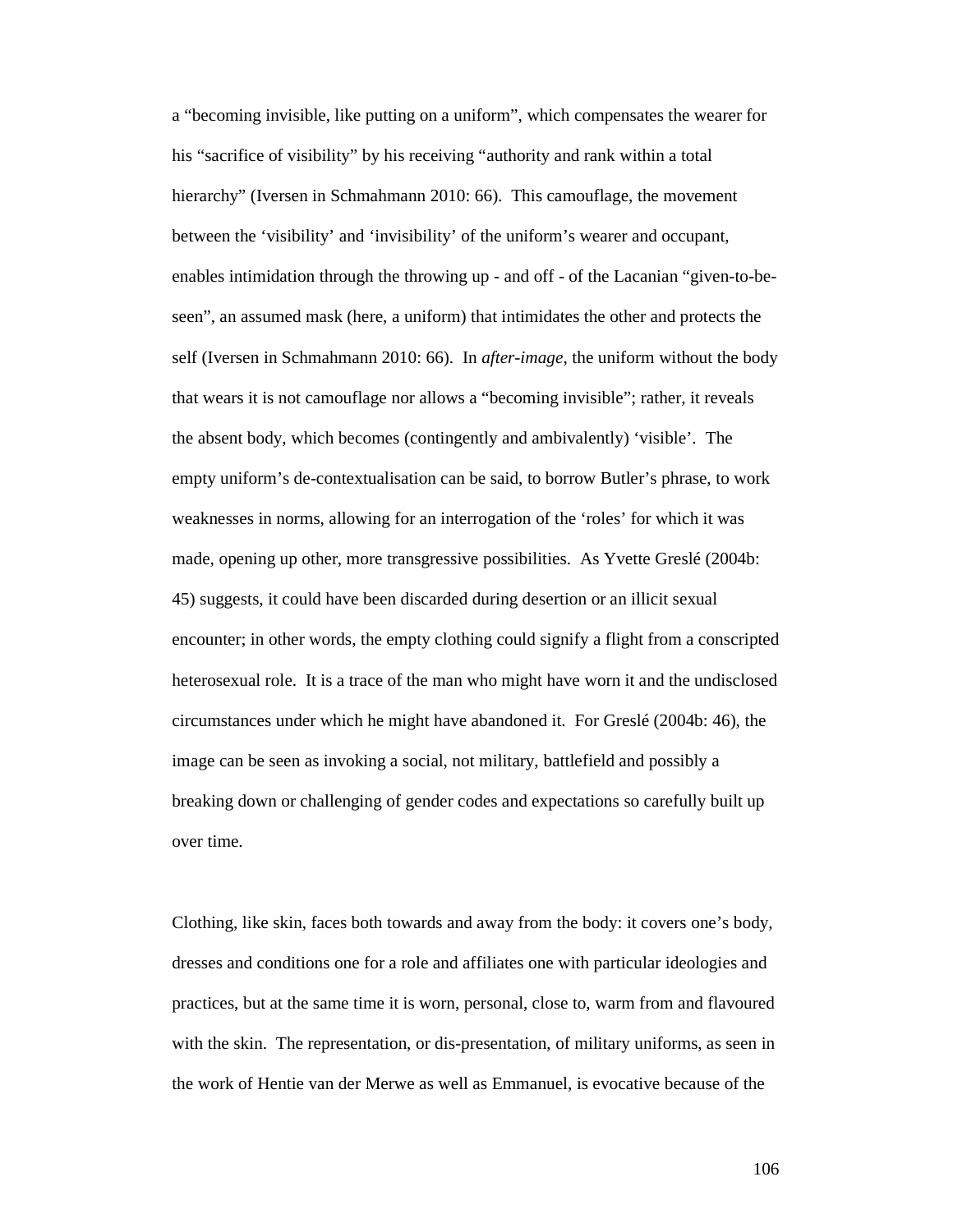a "becoming invisible, like putting on a uniform", which compensates the wearer for his "sacrifice of visibility" by his receiving "authority and rank within a total hierarchy" (Iversen in Schmahmann 2010: 66). This camouflage, the movement between the 'visibility' and 'invisibility' of the uniform's wearer and occupant, enables intimidation through the throwing up - and off - of the Lacanian "given-to-beseen", an assumed mask (here, a uniform) that intimidates the other and protects the self (Iversen in Schmahmann 2010: 66). In *after-image*, the uniform without the body that wears it is not camouflage nor allows a "becoming invisible"; rather, it reveals the absent body, which becomes (contingently and ambivalently) 'visible'. The empty uniform's de-contextualisation can be said, to borrow Butler's phrase, to work weaknesses in norms, allowing for an interrogation of the 'roles' for which it was made, opening up other, more transgressive possibilities. As Yvette Greslé (2004b: 45) suggests, it could have been discarded during desertion or an illicit sexual encounter; in other words, the empty clothing could signify a flight from a conscripted heterosexual role. It is a trace of the man who might have worn it and the undisclosed circumstances under which he might have abandoned it. For Greslé (2004b: 46), the image can be seen as invoking a social, not military, battlefield and possibly a breaking down or challenging of gender codes and expectations so carefully built up over time.

Clothing, like skin, faces both towards and away from the body: it covers one's body, dresses and conditions one for a role and affiliates one with particular ideologies and practices, but at the same time it is worn, personal, close to, warm from and flavoured with the skin. The representation, or dis-presentation, of military uniforms, as seen in the work of Hentie van der Merwe as well as Emmanuel, is evocative because of the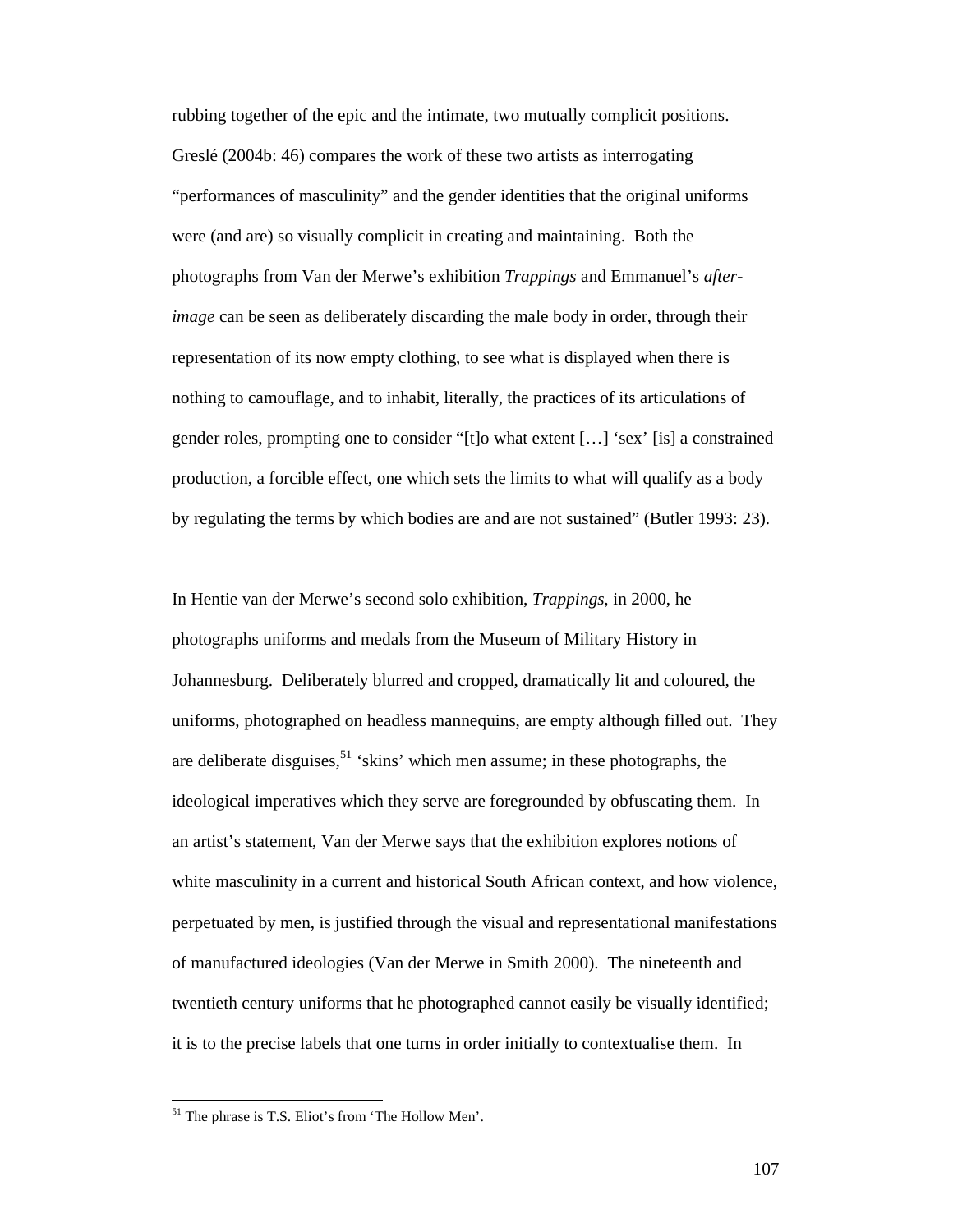rubbing together of the epic and the intimate, two mutually complicit positions. Greslé (2004b: 46) compares the work of these two artists as interrogating "performances of masculinity" and the gender identities that the original uniforms were (and are) so visually complicit in creating and maintaining. Both the photographs from Van der Merwe's exhibition *Trappings* and Emmanuel's *afterimage* can be seen as deliberately discarding the male body in order, through their representation of its now empty clothing, to see what is displayed when there is nothing to camouflage, and to inhabit, literally, the practices of its articulations of gender roles, prompting one to consider "[t]o what extent […] 'sex' [is] a constrained production, a forcible effect, one which sets the limits to what will qualify as a body by regulating the terms by which bodies are and are not sustained" (Butler 1993: 23).

In Hentie van der Merwe's second solo exhibition, *Trappings*, in 2000, he photographs uniforms and medals from the Museum of Military History in Johannesburg. Deliberately blurred and cropped, dramatically lit and coloured, the uniforms, photographed on headless mannequins, are empty although filled out. They are deliberate disguises,  $51$  'skins' which men assume; in these photographs, the ideological imperatives which they serve are foregrounded by obfuscating them. In an artist's statement, Van der Merwe says that the exhibition explores notions of white masculinity in a current and historical South African context, and how violence, perpetuated by men, is justified through the visual and representational manifestations of manufactured ideologies (Van der Merwe in Smith 2000). The nineteenth and twentieth century uniforms that he photographed cannot easily be visually identified; it is to the precise labels that one turns in order initially to contextualise them. In

<sup>&</sup>lt;sup>51</sup> The phrase is T.S. Eliot's from 'The Hollow Men'.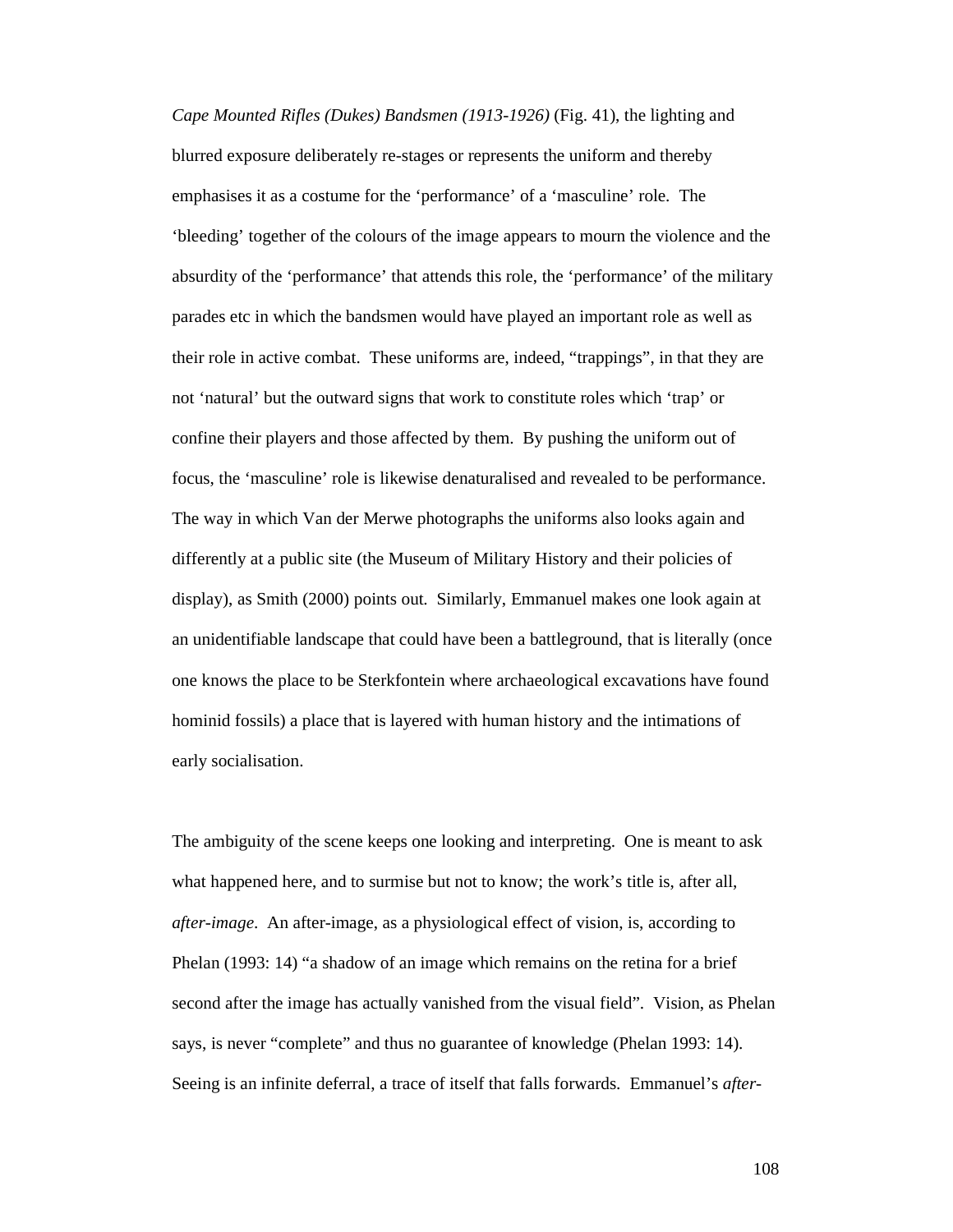*Cape Mounted Rifles (Dukes) Bandsmen (1913-1926)* (Fig. 41), the lighting and blurred exposure deliberately re-stages or represents the uniform and thereby emphasises it as a costume for the 'performance' of a 'masculine' role. The 'bleeding' together of the colours of the image appears to mourn the violence and the absurdity of the 'performance' that attends this role, the 'performance' of the military parades etc in which the bandsmen would have played an important role as well as their role in active combat. These uniforms are, indeed, "trappings", in that they are not 'natural' but the outward signs that work to constitute roles which 'trap' or confine their players and those affected by them. By pushing the uniform out of focus, the 'masculine' role is likewise denaturalised and revealed to be performance. The way in which Van der Merwe photographs the uniforms also looks again and differently at a public site (the Museum of Military History and their policies of display), as Smith (2000) points out. Similarly, Emmanuel makes one look again at an unidentifiable landscape that could have been a battleground, that is literally (once one knows the place to be Sterkfontein where archaeological excavations have found hominid fossils) a place that is layered with human history and the intimations of early socialisation.

The ambiguity of the scene keeps one looking and interpreting. One is meant to ask what happened here, and to surmise but not to know; the work's title is, after all, *after-image*. An after-image, as a physiological effect of vision, is, according to Phelan (1993: 14) "a shadow of an image which remains on the retina for a brief second after the image has actually vanished from the visual field". Vision, as Phelan says, is never "complete" and thus no guarantee of knowledge (Phelan 1993: 14). Seeing is an infinite deferral, a trace of itself that falls forwards. Emmanuel's *after-*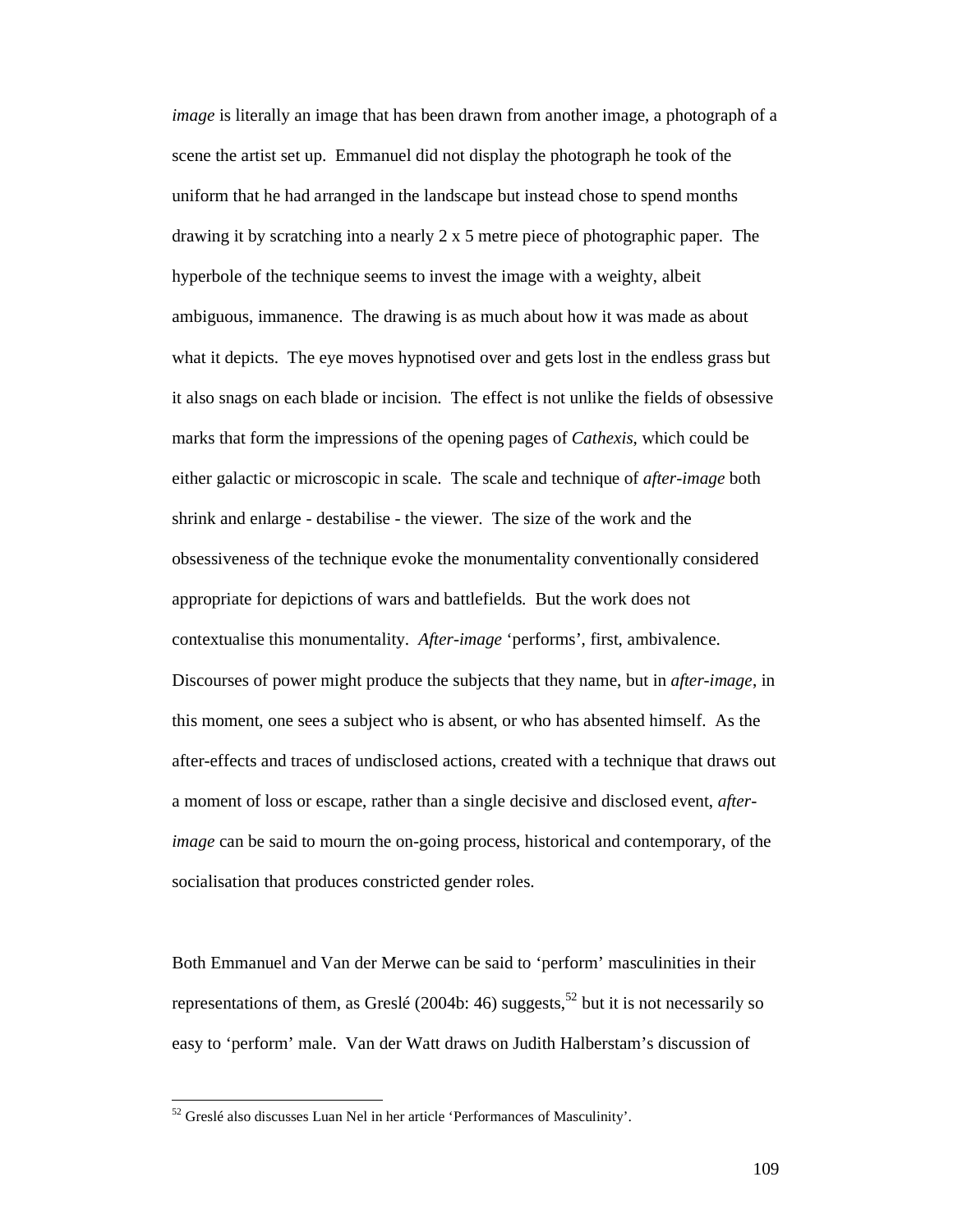*image* is literally an image that has been drawn from another image, a photograph of a scene the artist set up. Emmanuel did not display the photograph he took of the uniform that he had arranged in the landscape but instead chose to spend months drawing it by scratching into a nearly  $2 \times 5$  metre piece of photographic paper. The hyperbole of the technique seems to invest the image with a weighty, albeit ambiguous, immanence. The drawing is as much about how it was made as about what it depicts. The eye moves hypnotised over and gets lost in the endless grass but it also snags on each blade or incision. The effect is not unlike the fields of obsessive marks that form the impressions of the opening pages of *Cathexis*, which could be either galactic or microscopic in scale. The scale and technique of *after-image* both shrink and enlarge - destabilise - the viewer. The size of the work and the obsessiveness of the technique evoke the monumentality conventionally considered appropriate for depictions of wars and battlefields. But the work does not contextualise this monumentality. *After-image* 'performs', first, ambivalence. Discourses of power might produce the subjects that they name, but in *after-image*, in this moment, one sees a subject who is absent, or who has absented himself. As the after-effects and traces of undisclosed actions, created with a technique that draws out a moment of loss or escape, rather than a single decisive and disclosed event, *afterimage* can be said to mourn the on-going process, historical and contemporary, of the socialisation that produces constricted gender roles.

Both Emmanuel and Van der Merwe can be said to 'perform' masculinities in their representations of them, as Greslé (2004b: 46) suggests,<sup>52</sup> but it is not necessarily so easy to 'perform' male. Van der Watt draws on Judith Halberstam's discussion of

 $52$  Greslé also discusses Luan Nel in her article 'Performances of Masculinity'.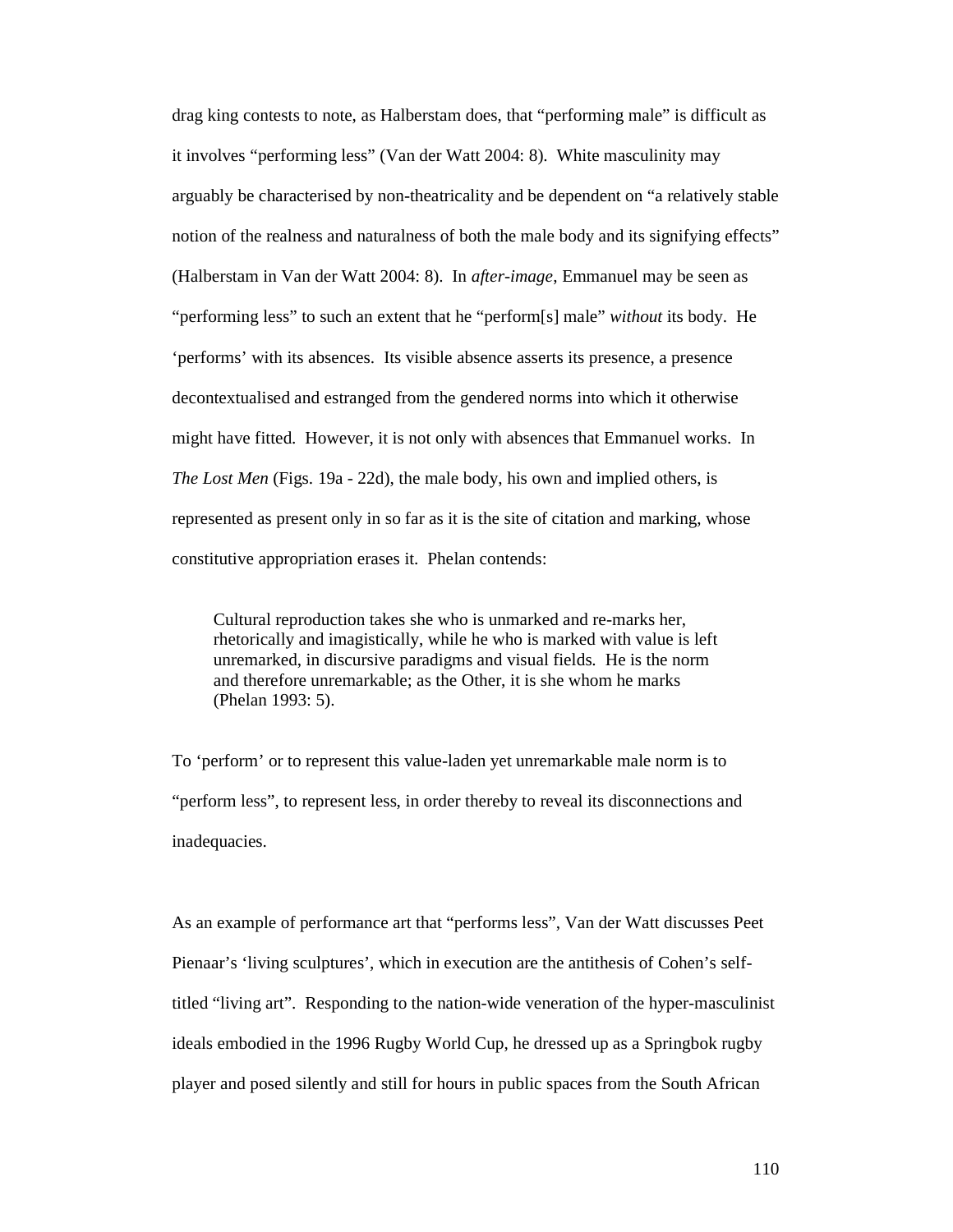drag king contests to note, as Halberstam does, that "performing male" is difficult as it involves "performing less" (Van der Watt 2004: 8). White masculinity may arguably be characterised by non-theatricality and be dependent on "a relatively stable notion of the realness and naturalness of both the male body and its signifying effects" (Halberstam in Van der Watt 2004: 8). In *after-image*, Emmanuel may be seen as "performing less" to such an extent that he "perform[s] male" *without* its body. He 'performs' with its absences. Its visible absence asserts its presence, a presence decontextualised and estranged from the gendered norms into which it otherwise might have fitted. However, it is not only with absences that Emmanuel works. In *The Lost Men* (Figs. 19a - 22d), the male body, his own and implied others, is represented as present only in so far as it is the site of citation and marking, whose constitutive appropriation erases it. Phelan contends:

Cultural reproduction takes she who is unmarked and re-marks her, rhetorically and imagistically, while he who is marked with value is left unremarked, in discursive paradigms and visual fields. He is the norm and therefore unremarkable; as the Other, it is she whom he marks (Phelan 1993: 5).

To 'perform' or to represent this value-laden yet unremarkable male norm is to "perform less", to represent less, in order thereby to reveal its disconnections and inadequacies.

As an example of performance art that "performs less", Van der Watt discusses Peet Pienaar's 'living sculptures', which in execution are the antithesis of Cohen's selftitled "living art". Responding to the nation-wide veneration of the hyper-masculinist ideals embodied in the 1996 Rugby World Cup, he dressed up as a Springbok rugby player and posed silently and still for hours in public spaces from the South African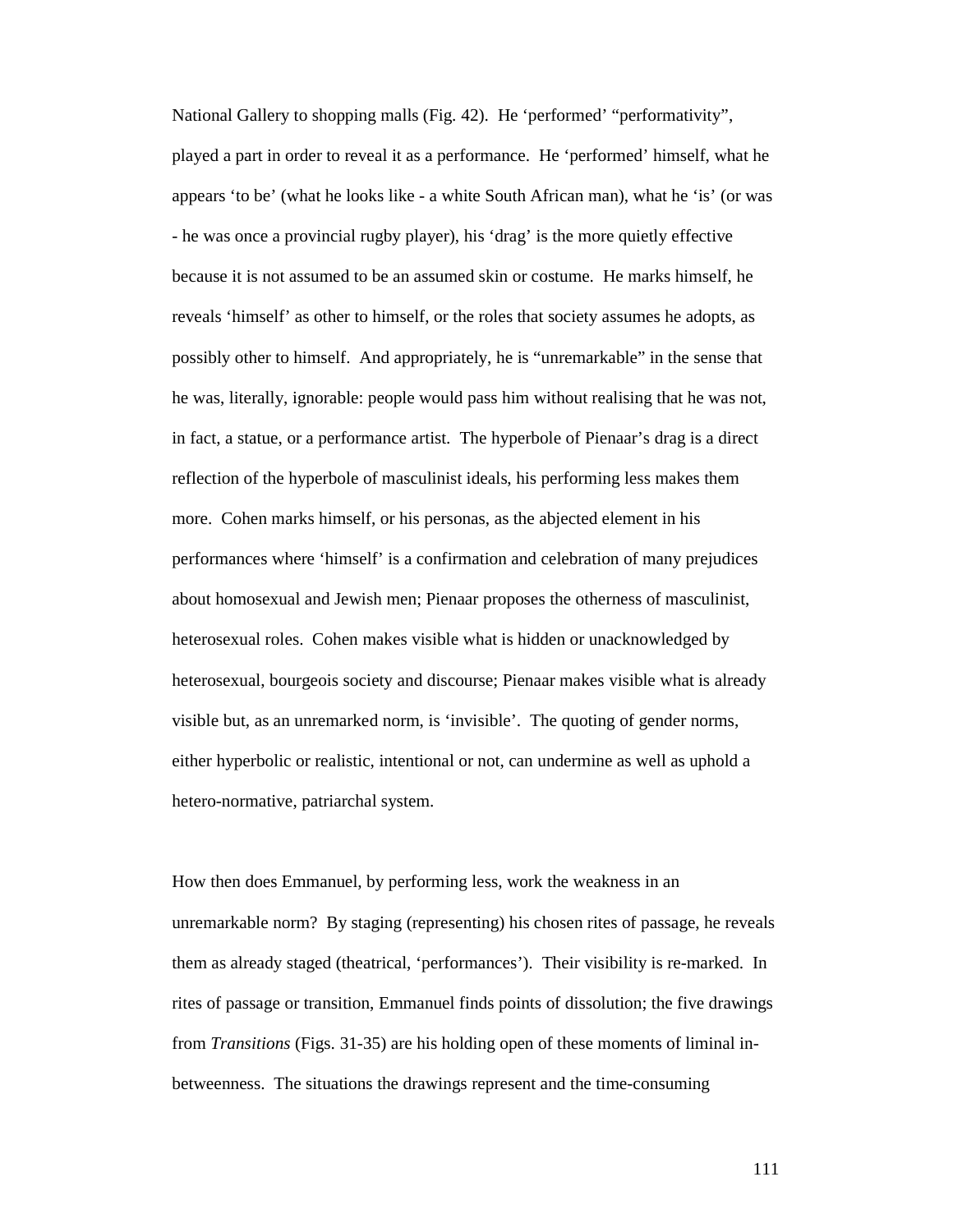National Gallery to shopping malls (Fig. 42). He 'performed' "performativity", played a part in order to reveal it as a performance. He 'performed' himself, what he appears 'to be' (what he looks like - a white South African man), what he 'is' (or was - he was once a provincial rugby player), his 'drag' is the more quietly effective because it is not assumed to be an assumed skin or costume. He marks himself, he reveals 'himself' as other to himself, or the roles that society assumes he adopts, as possibly other to himself. And appropriately, he is "unremarkable" in the sense that he was, literally, ignorable: people would pass him without realising that he was not, in fact, a statue, or a performance artist. The hyperbole of Pienaar's drag is a direct reflection of the hyperbole of masculinist ideals, his performing less makes them more. Cohen marks himself, or his personas, as the abjected element in his performances where 'himself' is a confirmation and celebration of many prejudices about homosexual and Jewish men; Pienaar proposes the otherness of masculinist, heterosexual roles. Cohen makes visible what is hidden or unacknowledged by heterosexual, bourgeois society and discourse; Pienaar makes visible what is already visible but, as an unremarked norm, is 'invisible'. The quoting of gender norms, either hyperbolic or realistic, intentional or not, can undermine as well as uphold a hetero-normative, patriarchal system.

How then does Emmanuel, by performing less, work the weakness in an unremarkable norm? By staging (representing) his chosen rites of passage, he reveals them as already staged (theatrical, 'performances'). Their visibility is re-marked. In rites of passage or transition, Emmanuel finds points of dissolution; the five drawings from *Transitions* (Figs. 31-35) are his holding open of these moments of liminal inbetweenness. The situations the drawings represent and the time-consuming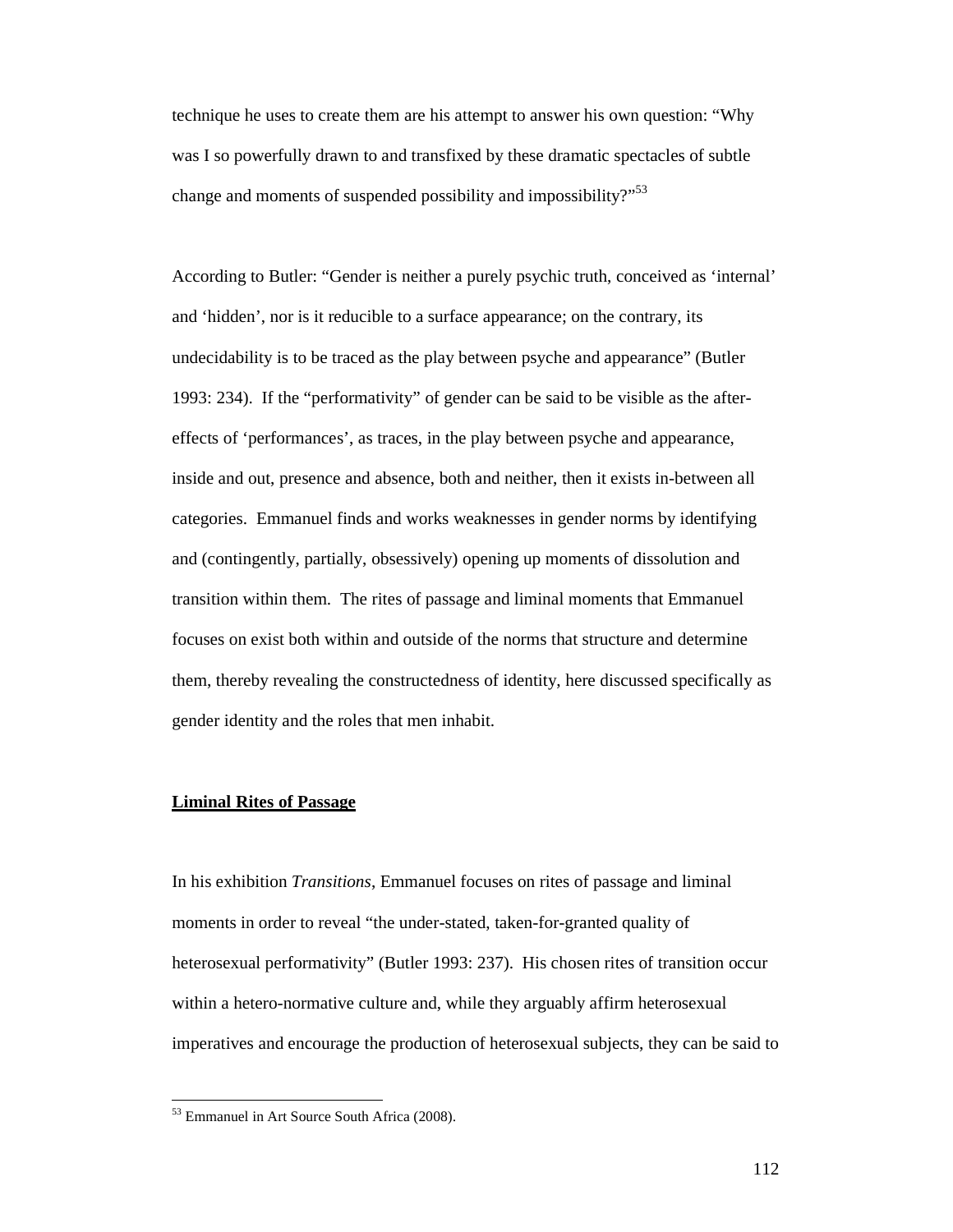technique he uses to create them are his attempt to answer his own question: "Why was I so powerfully drawn to and transfixed by these dramatic spectacles of subtle change and moments of suspended possibility and impossibility?"<sup>53</sup>

According to Butler: "Gender is neither a purely psychic truth, conceived as 'internal' and 'hidden', nor is it reducible to a surface appearance; on the contrary, its undecidability is to be traced as the play between psyche and appearance" (Butler 1993: 234). If the "performativity" of gender can be said to be visible as the aftereffects of 'performances', as traces, in the play between psyche and appearance, inside and out, presence and absence, both and neither, then it exists in-between all categories. Emmanuel finds and works weaknesses in gender norms by identifying and (contingently, partially, obsessively) opening up moments of dissolution and transition within them. The rites of passage and liminal moments that Emmanuel focuses on exist both within and outside of the norms that structure and determine them, thereby revealing the constructedness of identity, here discussed specifically as gender identity and the roles that men inhabit.

# **Liminal Rites of Passage**

In his exhibition *Transitions*, Emmanuel focuses on rites of passage and liminal moments in order to reveal "the under-stated, taken-for-granted quality of heterosexual performativity" (Butler 1993: 237). His chosen rites of transition occur within a hetero-normative culture and, while they arguably affirm heterosexual imperatives and encourage the production of heterosexual subjects, they can be said to

<sup>&</sup>lt;sup>53</sup> Emmanuel in Art Source South Africa (2008).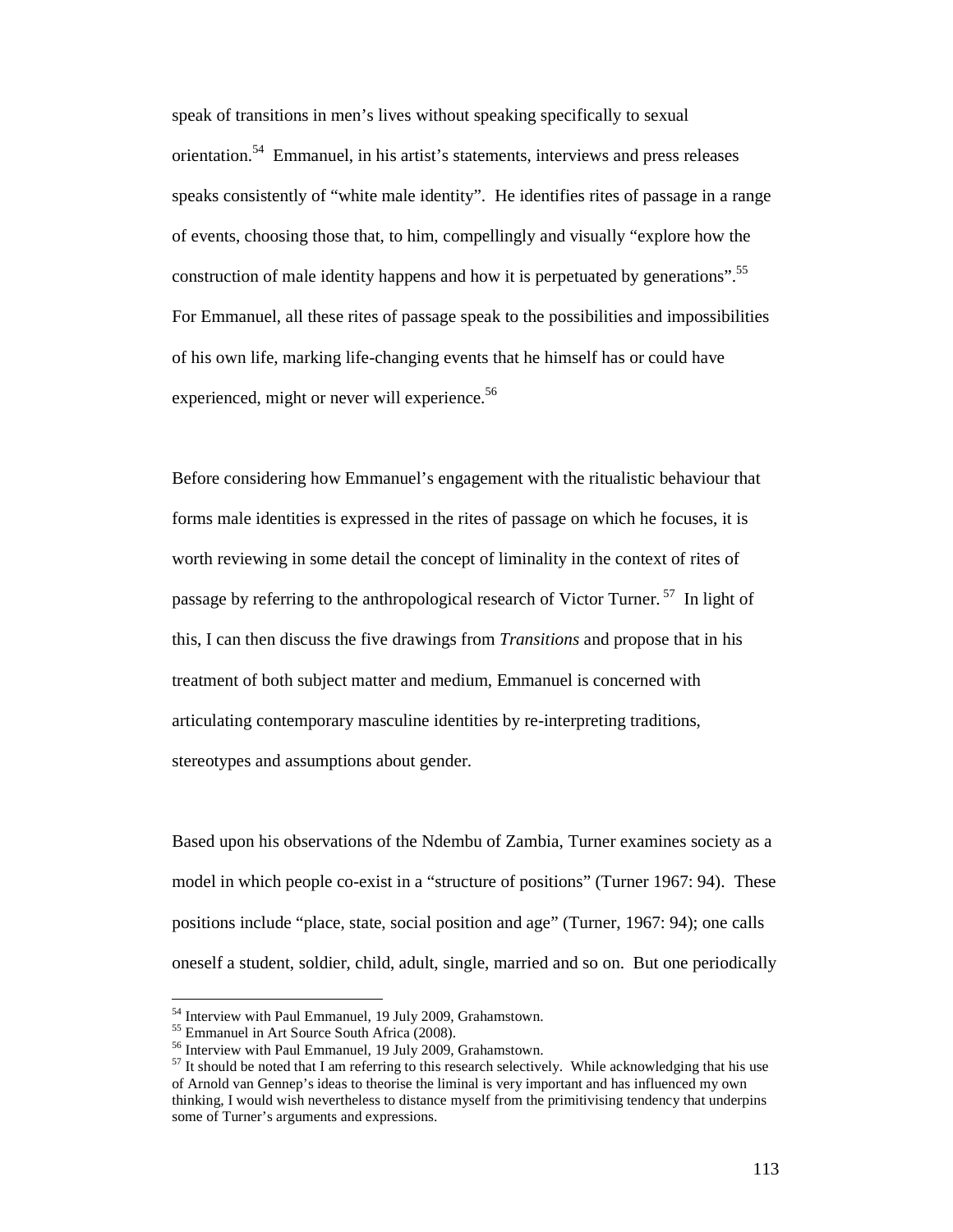speak of transitions in men's lives without speaking specifically to sexual orientation.<sup>54</sup> Emmanuel, in his artist's statements, interviews and press releases speaks consistently of "white male identity". He identifies rites of passage in a range of events, choosing those that, to him, compellingly and visually "explore how the construction of male identity happens and how it is perpetuated by generations".<sup>55</sup> For Emmanuel, all these rites of passage speak to the possibilities and impossibilities of his own life, marking life-changing events that he himself has or could have experienced, might or never will experience.<sup>56</sup>

Before considering how Emmanuel's engagement with the ritualistic behaviour that forms male identities is expressed in the rites of passage on which he focuses, it is worth reviewing in some detail the concept of liminality in the context of rites of passage by referring to the anthropological research of Victor Turner.<sup>57</sup> In light of this, I can then discuss the five drawings from *Transitions* and propose that in his treatment of both subject matter and medium, Emmanuel is concerned with articulating contemporary masculine identities by re-interpreting traditions, stereotypes and assumptions about gender.

Based upon his observations of the Ndembu of Zambia, Turner examines society as a model in which people co-exist in a "structure of positions" (Turner 1967: 94). These positions include "place, state, social position and age" (Turner, 1967: 94); one calls oneself a student, soldier, child, adult, single, married and so on. But one periodically

<sup>54</sup> Interview with Paul Emmanuel, 19 July 2009, Grahamstown.

<sup>55</sup> Emmanuel in Art Source South Africa (2008).

<sup>&</sup>lt;sup>56</sup> Interview with Paul Emmanuel, 19 July 2009, Grahamstown.

<sup>&</sup>lt;sup>57</sup> It should be noted that I am referring to this research selectively. While acknowledging that his use of Arnold van Gennep's ideas to theorise the liminal is very important and has influenced my own thinking, I would wish nevertheless to distance myself from the primitivising tendency that underpins some of Turner's arguments and expressions.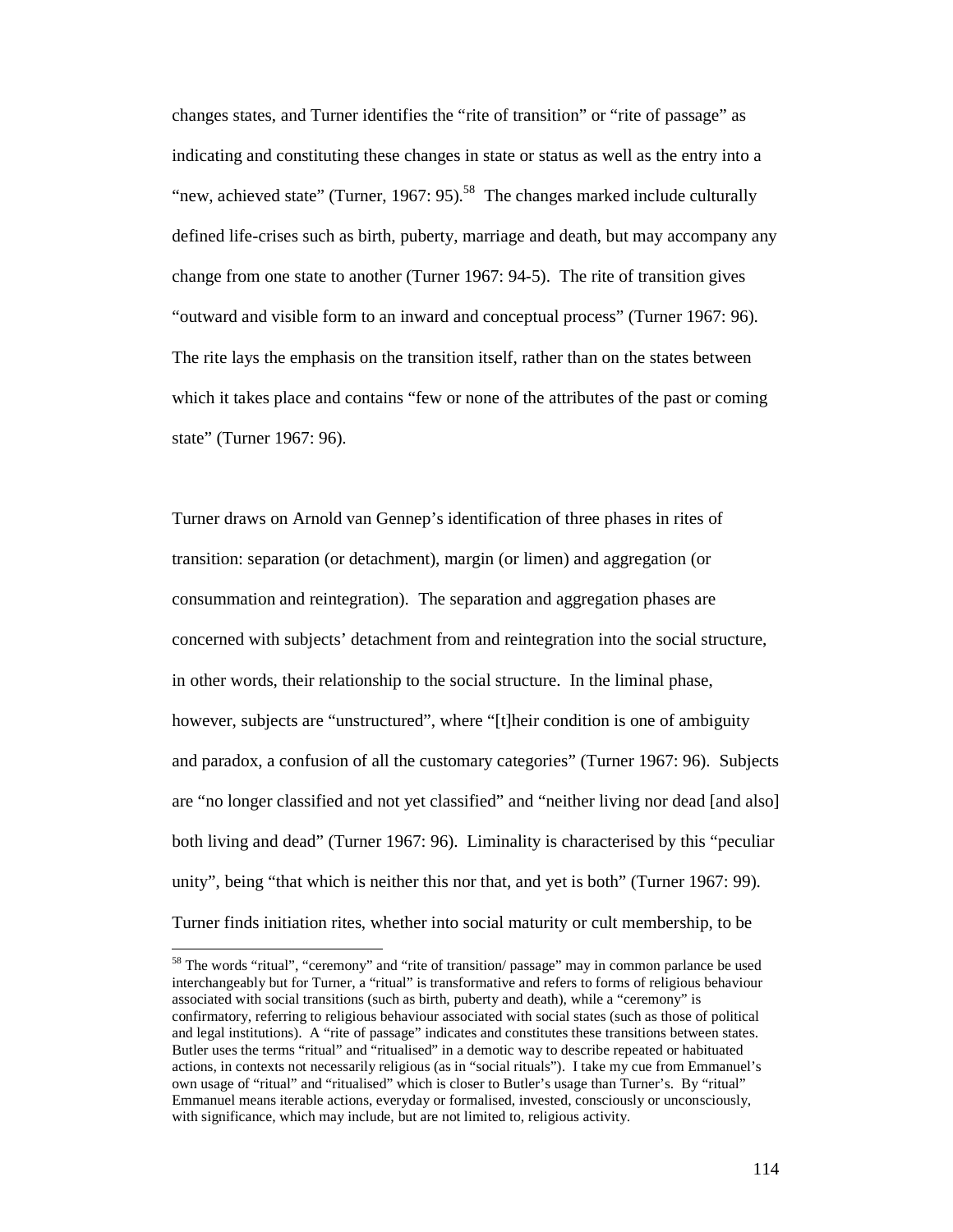changes states, and Turner identifies the "rite of transition" or "rite of passage" as indicating and constituting these changes in state or status as well as the entry into a "new, achieved state" (Turner, 1967: 95).<sup>58</sup> The changes marked include culturally defined life-crises such as birth, puberty, marriage and death, but may accompany any change from one state to another (Turner 1967: 94-5). The rite of transition gives "outward and visible form to an inward and conceptual process" (Turner 1967: 96). The rite lays the emphasis on the transition itself, rather than on the states between which it takes place and contains "few or none of the attributes of the past or coming state" (Turner 1967: 96).

Turner draws on Arnold van Gennep's identification of three phases in rites of transition: separation (or detachment), margin (or limen) and aggregation (or consummation and reintegration). The separation and aggregation phases are concerned with subjects' detachment from and reintegration into the social structure, in other words, their relationship to the social structure. In the liminal phase, however, subjects are "unstructured", where "[t]heir condition is one of ambiguity and paradox, a confusion of all the customary categories" (Turner 1967: 96). Subjects are "no longer classified and not yet classified" and "neither living nor dead [and also] both living and dead" (Turner 1967: 96). Liminality is characterised by this "peculiar unity", being "that which is neither this nor that, and yet is both" (Turner 1967: 99). Turner finds initiation rites, whether into social maturity or cult membership, to be

<sup>&</sup>lt;sup>58</sup> The words "ritual", "ceremony" and "rite of transition/ passage" may in common parlance be used interchangeably but for Turner, a "ritual" is transformative and refers to forms of religious behaviour associated with social transitions (such as birth, puberty and death), while a "ceremony" is confirmatory, referring to religious behaviour associated with social states (such as those of political and legal institutions). A "rite of passage" indicates and constitutes these transitions between states. Butler uses the terms "ritual" and "ritualised" in a demotic way to describe repeated or habituated actions, in contexts not necessarily religious (as in "social rituals"). I take my cue from Emmanuel's own usage of "ritual" and "ritualised" which is closer to Butler's usage than Turner's. By "ritual" Emmanuel means iterable actions, everyday or formalised, invested, consciously or unconsciously, with significance, which may include, but are not limited to, religious activity.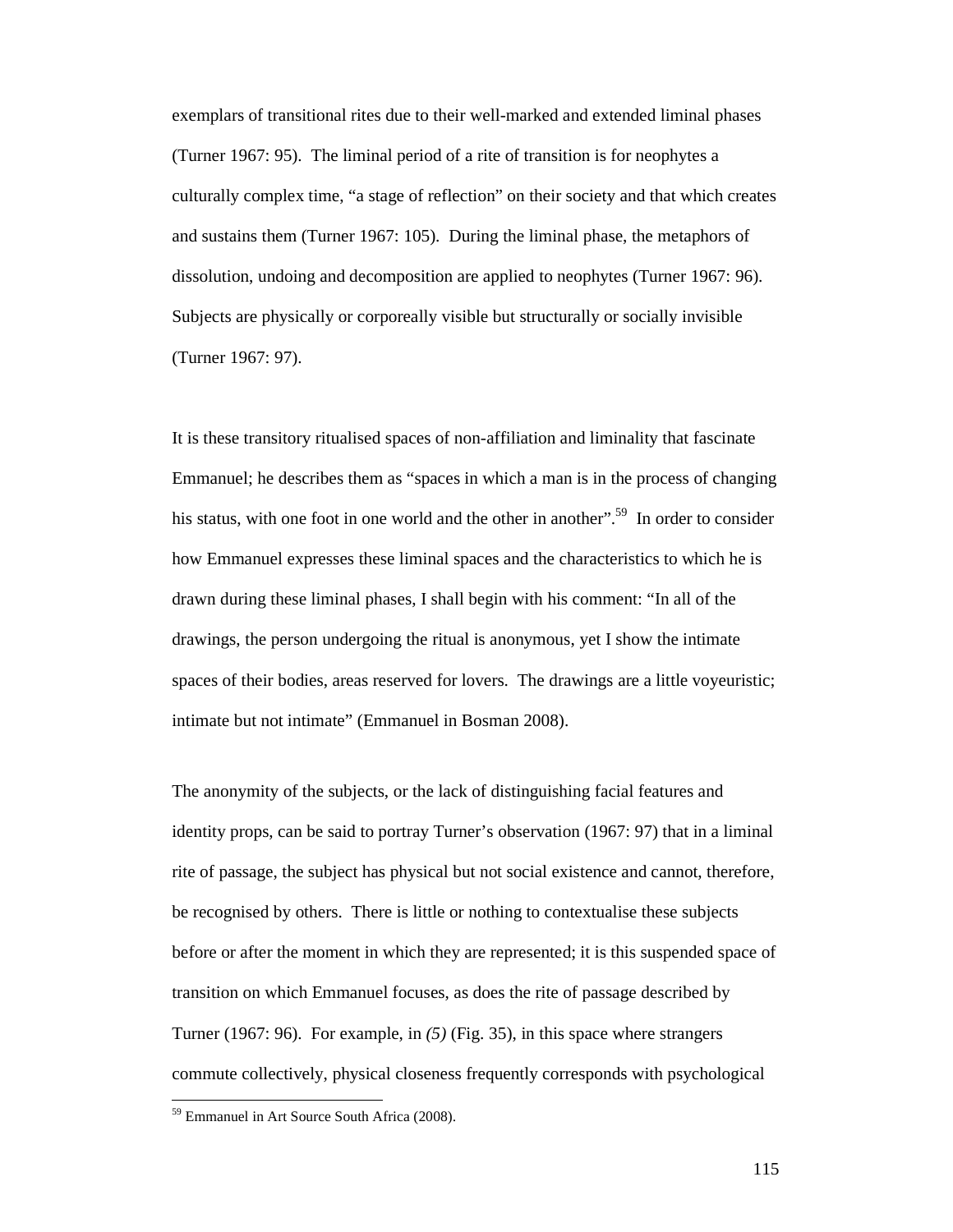exemplars of transitional rites due to their well-marked and extended liminal phases (Turner 1967: 95). The liminal period of a rite of transition is for neophytes a culturally complex time, "a stage of reflection" on their society and that which creates and sustains them (Turner 1967: 105). During the liminal phase, the metaphors of dissolution, undoing and decomposition are applied to neophytes (Turner 1967: 96). Subjects are physically or corporeally visible but structurally or socially invisible (Turner 1967: 97).

It is these transitory ritualised spaces of non-affiliation and liminality that fascinate Emmanuel; he describes them as "spaces in which a man is in the process of changing his status, with one foot in one world and the other in another".<sup>59</sup> In order to consider how Emmanuel expresses these liminal spaces and the characteristics to which he is drawn during these liminal phases, I shall begin with his comment: "In all of the drawings, the person undergoing the ritual is anonymous, yet I show the intimate spaces of their bodies, areas reserved for lovers. The drawings are a little voyeuristic; intimate but not intimate" (Emmanuel in Bosman 2008).

The anonymity of the subjects, or the lack of distinguishing facial features and identity props, can be said to portray Turner's observation (1967: 97) that in a liminal rite of passage, the subject has physical but not social existence and cannot, therefore, be recognised by others. There is little or nothing to contextualise these subjects before or after the moment in which they are represented; it is this suspended space of transition on which Emmanuel focuses, as does the rite of passage described by Turner (1967: 96). For example, in *(5)* (Fig. 35), in this space where strangers commute collectively, physical closeness frequently corresponds with psychological

<sup>59</sup> Emmanuel in Art Source South Africa (2008).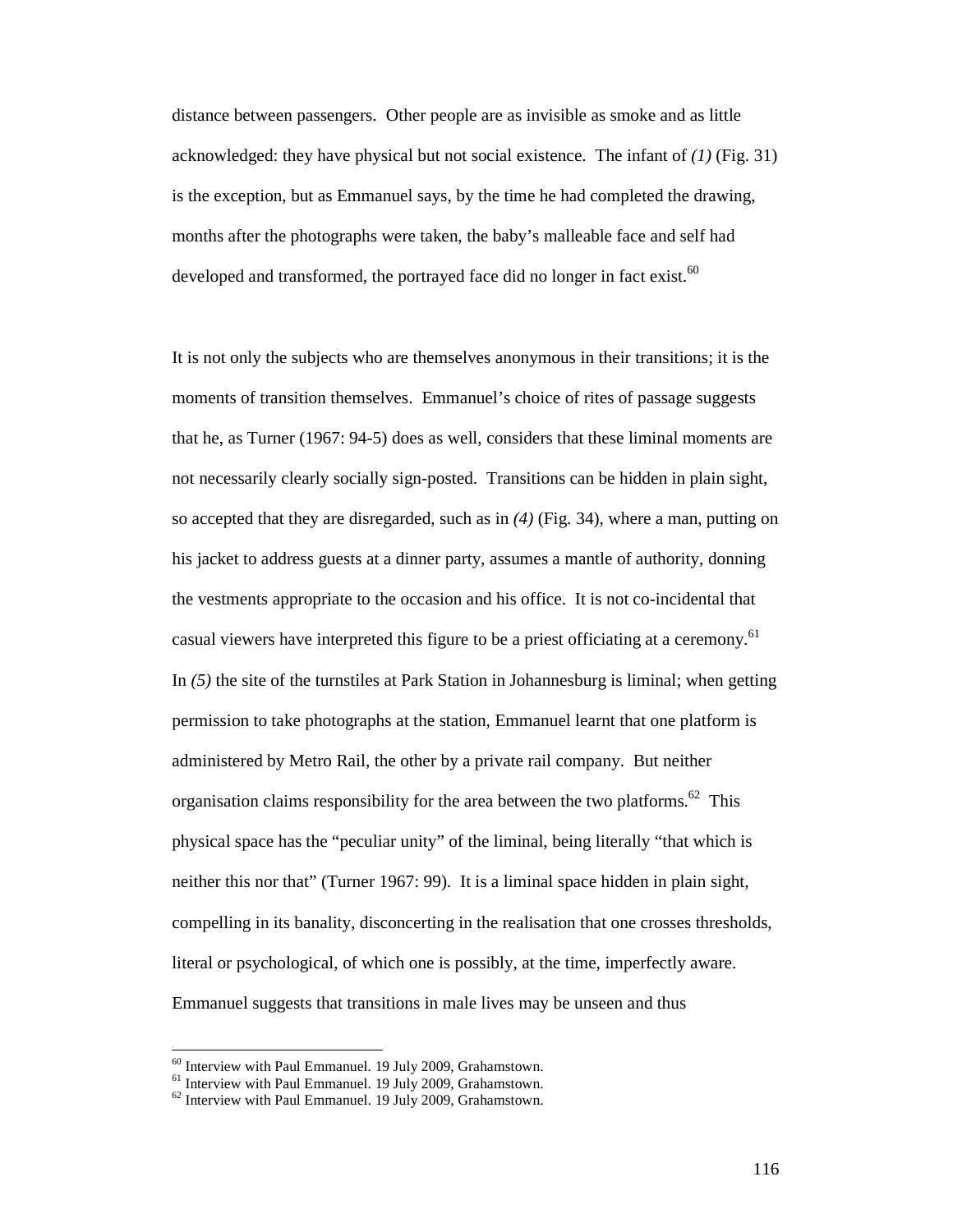distance between passengers. Other people are as invisible as smoke and as little acknowledged: they have physical but not social existence. The infant of *(1)* (Fig. 31) is the exception, but as Emmanuel says, by the time he had completed the drawing, months after the photographs were taken, the baby's malleable face and self had developed and transformed, the portrayed face did no longer in fact exist. $^{60}$ 

It is not only the subjects who are themselves anonymous in their transitions; it is the moments of transition themselves. Emmanuel's choice of rites of passage suggests that he, as Turner (1967: 94-5) does as well, considers that these liminal moments are not necessarily clearly socially sign-posted. Transitions can be hidden in plain sight, so accepted that they are disregarded, such as in *(4)* (Fig. 34), where a man, putting on his jacket to address guests at a dinner party, assumes a mantle of authority, donning the vestments appropriate to the occasion and his office. It is not co-incidental that casual viewers have interpreted this figure to be a priest officiating at a ceremony.<sup>61</sup> In *(5)* the site of the turnstiles at Park Station in Johannesburg is liminal; when getting permission to take photographs at the station, Emmanuel learnt that one platform is administered by Metro Rail, the other by a private rail company. But neither organisation claims responsibility for the area between the two platforms.<sup>62</sup> This physical space has the "peculiar unity" of the liminal, being literally "that which is neither this nor that" (Turner 1967: 99). It is a liminal space hidden in plain sight, compelling in its banality, disconcerting in the realisation that one crosses thresholds, literal or psychological, of which one is possibly, at the time, imperfectly aware. Emmanuel suggests that transitions in male lives may be unseen and thus

<sup>60</sup> Interview with Paul Emmanuel. 19 July 2009, Grahamstown.

 $61$  Interview with Paul Emmanuel. 19 July 2009, Grahamstown.

<sup>&</sup>lt;sup>62</sup> Interview with Paul Emmanuel. 19 July 2009, Grahamstown.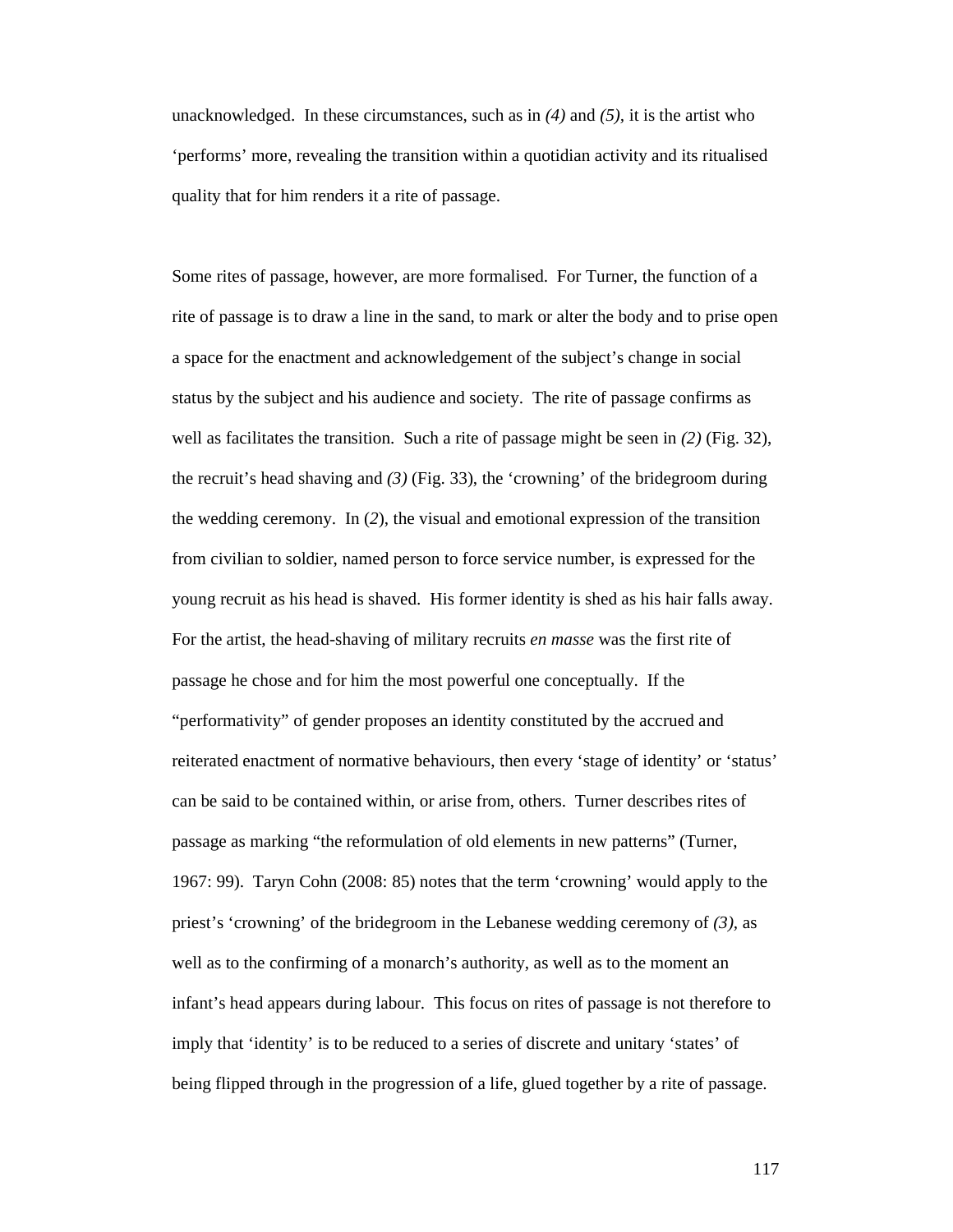unacknowledged. In these circumstances, such as in *(4)* and *(5),* it is the artist who 'performs' more, revealing the transition within a quotidian activity and its ritualised quality that for him renders it a rite of passage.

Some rites of passage, however, are more formalised. For Turner, the function of a rite of passage is to draw a line in the sand, to mark or alter the body and to prise open a space for the enactment and acknowledgement of the subject's change in social status by the subject and his audience and society. The rite of passage confirms as well as facilitates the transition. Such a rite of passage might be seen in *(2)* (Fig. 32), the recruit's head shaving and *(3)* (Fig. 33), the 'crowning' of the bridegroom during the wedding ceremony. In (*2*), the visual and emotional expression of the transition from civilian to soldier, named person to force service number, is expressed for the young recruit as his head is shaved. His former identity is shed as his hair falls away. For the artist, the head-shaving of military recruits *en masse* was the first rite of passage he chose and for him the most powerful one conceptually. If the "performativity" of gender proposes an identity constituted by the accrued and reiterated enactment of normative behaviours, then every 'stage of identity' or 'status' can be said to be contained within, or arise from, others. Turner describes rites of passage as marking "the reformulation of old elements in new patterns" (Turner, 1967: 99). Taryn Cohn (2008: 85) notes that the term 'crowning' would apply to the priest's 'crowning' of the bridegroom in the Lebanese wedding ceremony of *(3),* as well as to the confirming of a monarch's authority, as well as to the moment an infant's head appears during labour. This focus on rites of passage is not therefore to imply that 'identity' is to be reduced to a series of discrete and unitary 'states' of being flipped through in the progression of a life, glued together by a rite of passage.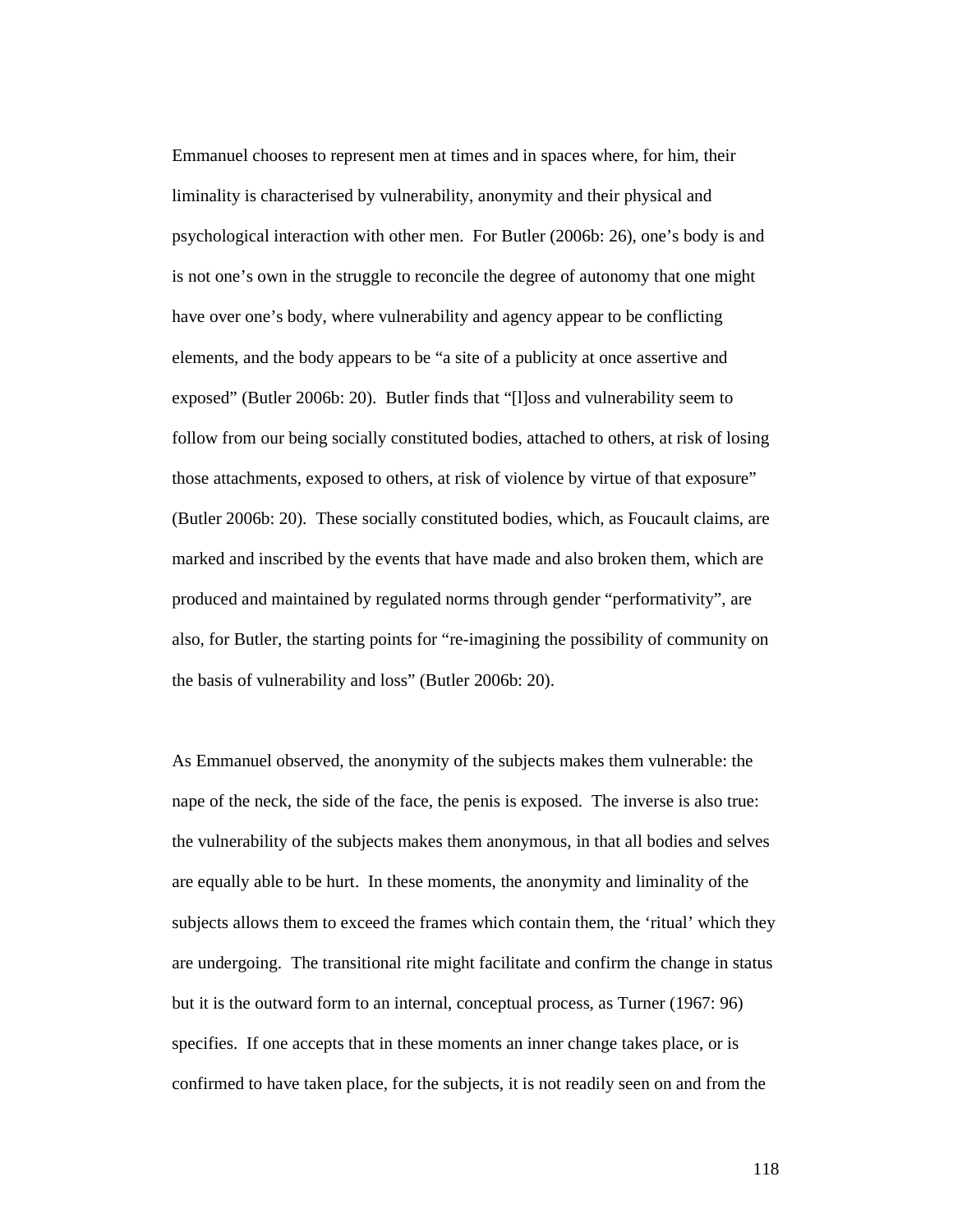Emmanuel chooses to represent men at times and in spaces where, for him, their liminality is characterised by vulnerability, anonymity and their physical and psychological interaction with other men. For Butler (2006b: 26), one's body is and is not one's own in the struggle to reconcile the degree of autonomy that one might have over one's body, where vulnerability and agency appear to be conflicting elements, and the body appears to be "a site of a publicity at once assertive and exposed" (Butler 2006b: 20). Butler finds that "[l]oss and vulnerability seem to follow from our being socially constituted bodies, attached to others, at risk of losing those attachments, exposed to others, at risk of violence by virtue of that exposure" (Butler 2006b: 20). These socially constituted bodies, which, as Foucault claims, are marked and inscribed by the events that have made and also broken them, which are produced and maintained by regulated norms through gender "performativity", are also, for Butler, the starting points for "re-imagining the possibility of community on the basis of vulnerability and loss" (Butler 2006b: 20).

As Emmanuel observed, the anonymity of the subjects makes them vulnerable: the nape of the neck, the side of the face, the penis is exposed. The inverse is also true: the vulnerability of the subjects makes them anonymous, in that all bodies and selves are equally able to be hurt. In these moments, the anonymity and liminality of the subjects allows them to exceed the frames which contain them, the 'ritual' which they are undergoing. The transitional rite might facilitate and confirm the change in status but it is the outward form to an internal, conceptual process, as Turner (1967: 96) specifies. If one accepts that in these moments an inner change takes place, or is confirmed to have taken place, for the subjects, it is not readily seen on and from the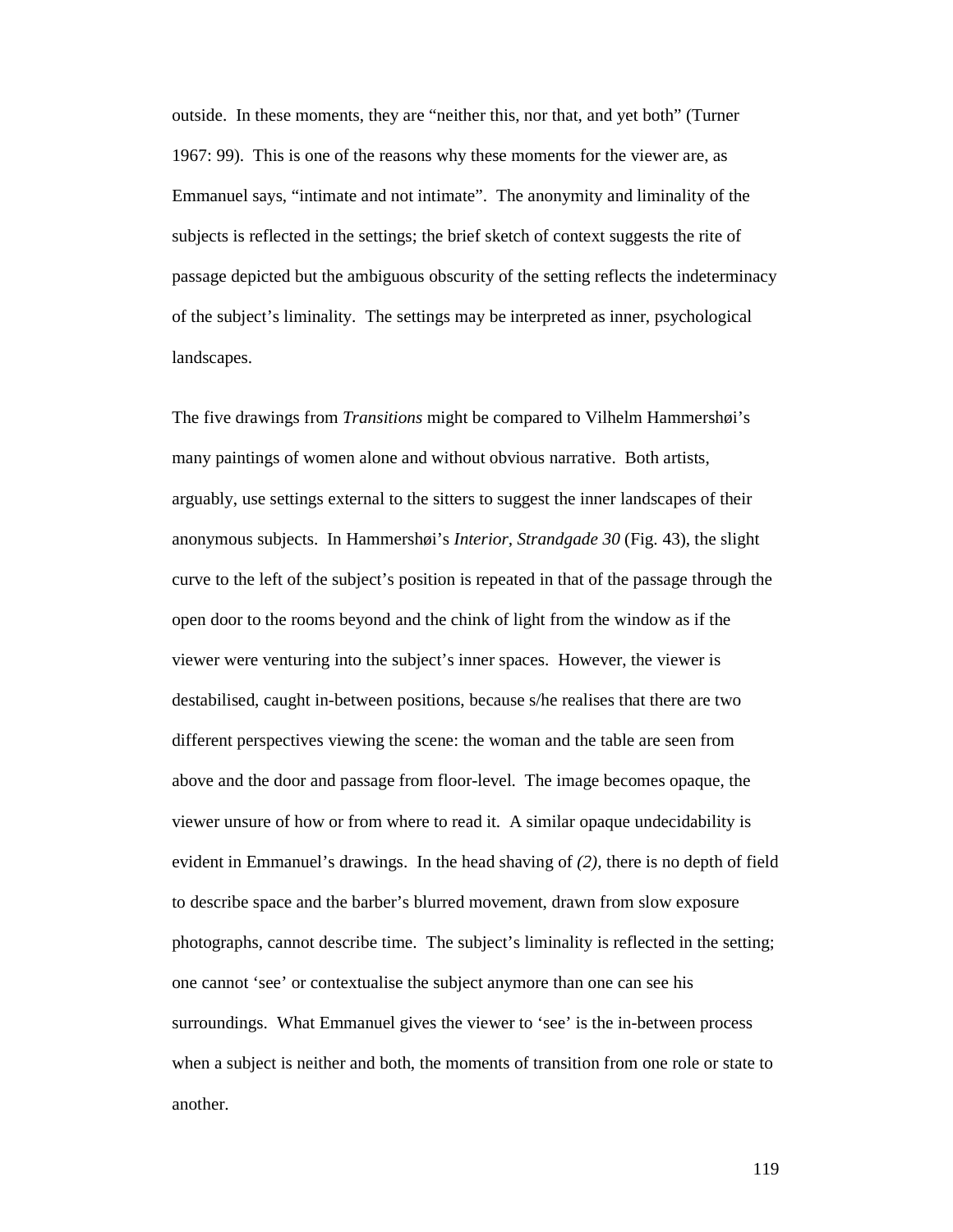outside. In these moments, they are "neither this, nor that, and yet both" (Turner 1967: 99). This is one of the reasons why these moments for the viewer are, as Emmanuel says, "intimate and not intimate". The anonymity and liminality of the subjects is reflected in the settings; the brief sketch of context suggests the rite of passage depicted but the ambiguous obscurity of the setting reflects the indeterminacy of the subject's liminality. The settings may be interpreted as inner, psychological landscapes.

The five drawings from *Transitions* might be compared to Vilhelm Hammershøi's many paintings of women alone and without obvious narrative. Both artists, arguably, use settings external to the sitters to suggest the inner landscapes of their anonymous subjects. In Hammershøi's *Interior, Strandgade 30* (Fig. 43), the slight curve to the left of the subject's position is repeated in that of the passage through the open door to the rooms beyond and the chink of light from the window as if the viewer were venturing into the subject's inner spaces. However, the viewer is destabilised, caught in-between positions, because s/he realises that there are two different perspectives viewing the scene: the woman and the table are seen from above and the door and passage from floor-level. The image becomes opaque, the viewer unsure of how or from where to read it. A similar opaque undecidability is evident in Emmanuel's drawings. In the head shaving of *(2),* there is no depth of field to describe space and the barber's blurred movement, drawn from slow exposure photographs, cannot describe time. The subject's liminality is reflected in the setting; one cannot 'see' or contextualise the subject anymore than one can see his surroundings. What Emmanuel gives the viewer to 'see' is the in-between process when a subject is neither and both, the moments of transition from one role or state to another.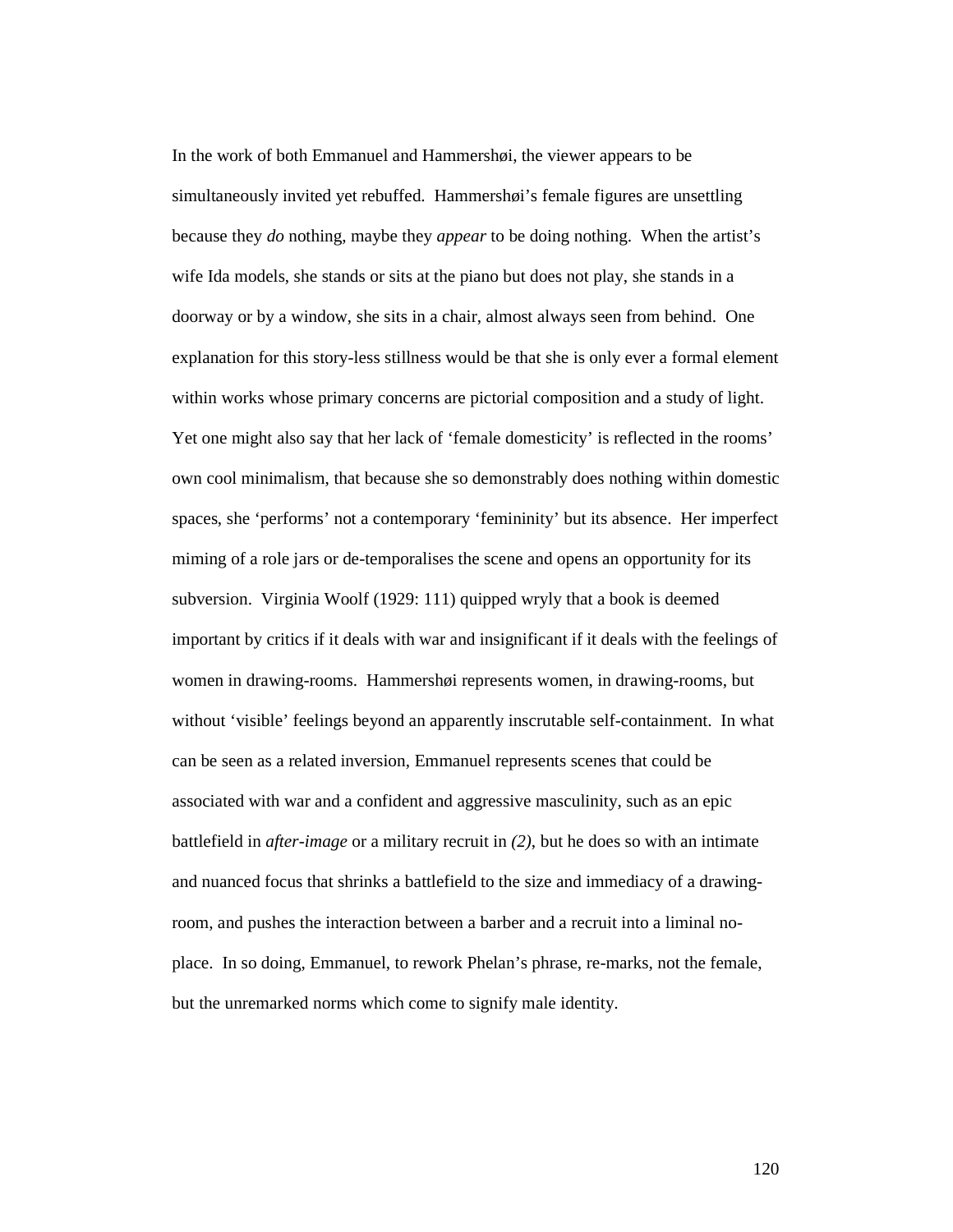In the work of both Emmanuel and Hammershøi, the viewer appears to be simultaneously invited yet rebuffed. Hammershøi's female figures are unsettling because they *do* nothing, maybe they *appear* to be doing nothing. When the artist's wife Ida models, she stands or sits at the piano but does not play, she stands in a doorway or by a window, she sits in a chair, almost always seen from behind. One explanation for this story-less stillness would be that she is only ever a formal element within works whose primary concerns are pictorial composition and a study of light. Yet one might also say that her lack of 'female domesticity' is reflected in the rooms' own cool minimalism, that because she so demonstrably does nothing within domestic spaces, she 'performs' not a contemporary 'femininity' but its absence. Her imperfect miming of a role jars or de-temporalises the scene and opens an opportunity for its subversion. Virginia Woolf (1929: 111) quipped wryly that a book is deemed important by critics if it deals with war and insignificant if it deals with the feelings of women in drawing-rooms. Hammershøi represents women, in drawing-rooms, but without 'visible' feelings beyond an apparently inscrutable self-containment. In what can be seen as a related inversion, Emmanuel represents scenes that could be associated with war and a confident and aggressive masculinity, such as an epic battlefield in *after-image* or a military recruit in *(2)*, but he does so with an intimate and nuanced focus that shrinks a battlefield to the size and immediacy of a drawingroom, and pushes the interaction between a barber and a recruit into a liminal noplace. In so doing, Emmanuel, to rework Phelan's phrase, re-marks, not the female, but the unremarked norms which come to signify male identity.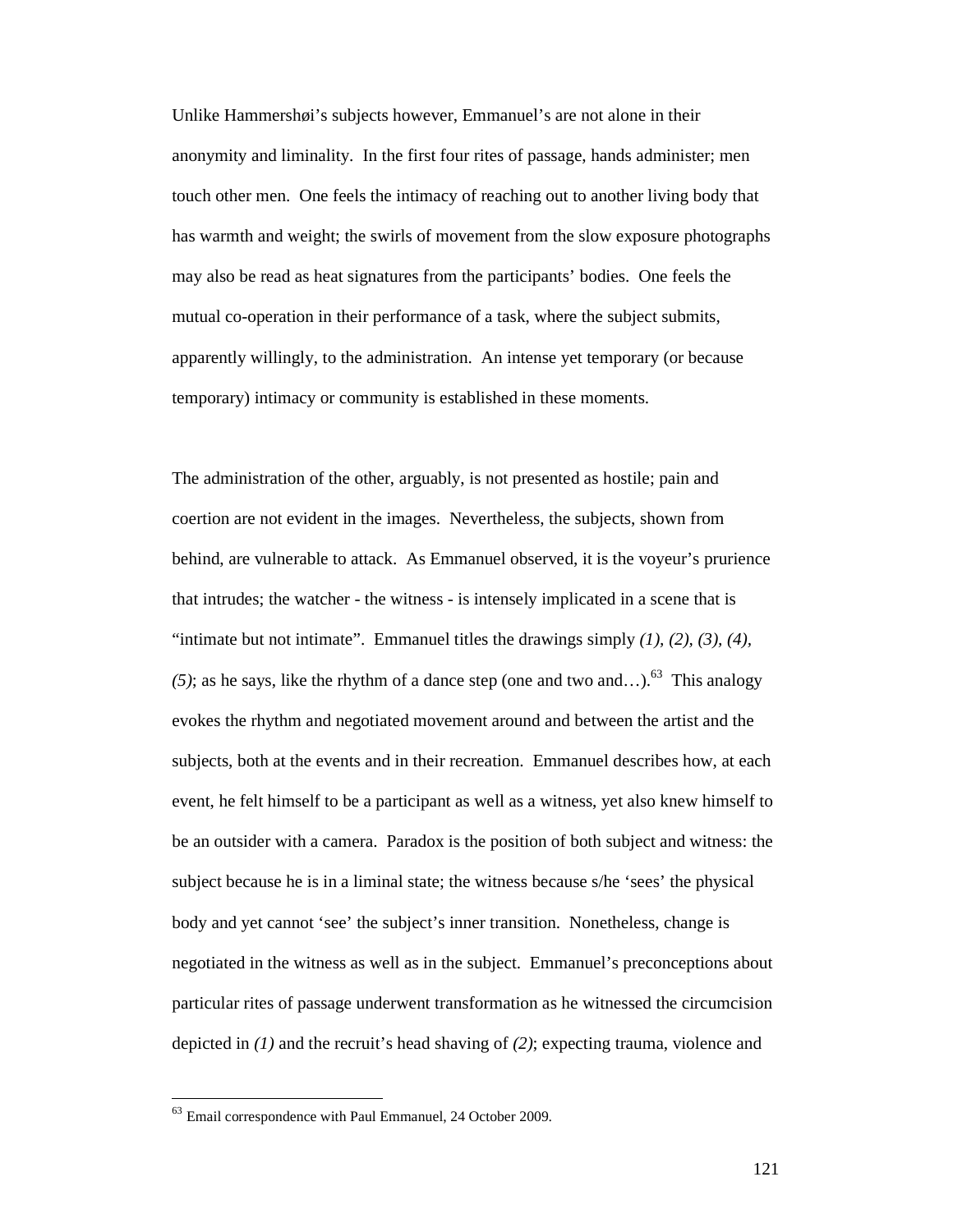Unlike Hammershøi's subjects however, Emmanuel's are not alone in their anonymity and liminality. In the first four rites of passage, hands administer; men touch other men. One feels the intimacy of reaching out to another living body that has warmth and weight; the swirls of movement from the slow exposure photographs may also be read as heat signatures from the participants' bodies. One feels the mutual co-operation in their performance of a task, where the subject submits, apparently willingly, to the administration. An intense yet temporary (or because temporary) intimacy or community is established in these moments.

The administration of the other, arguably, is not presented as hostile; pain and coertion are not evident in the images. Nevertheless, the subjects, shown from behind, are vulnerable to attack. As Emmanuel observed, it is the voyeur's prurience that intrudes; the watcher - the witness - is intensely implicated in a scene that is "intimate but not intimate". Emmanuel titles the drawings simply  $(1)$ ,  $(2)$ ,  $(3)$ ,  $(4)$ ,  $(5)$ ; as he says, like the rhythm of a dance step (one and two and...).<sup>63</sup> This analogy evokes the rhythm and negotiated movement around and between the artist and the subjects, both at the events and in their recreation. Emmanuel describes how, at each event, he felt himself to be a participant as well as a witness, yet also knew himself to be an outsider with a camera. Paradox is the position of both subject and witness: the subject because he is in a liminal state; the witness because s/he 'sees' the physical body and yet cannot 'see' the subject's inner transition. Nonetheless, change is negotiated in the witness as well as in the subject. Emmanuel's preconceptions about particular rites of passage underwent transformation as he witnessed the circumcision depicted in *(1)* and the recruit's head shaving of *(2)*; expecting trauma, violence and

<sup>63</sup> Email correspondence with Paul Emmanuel, 24 October 2009.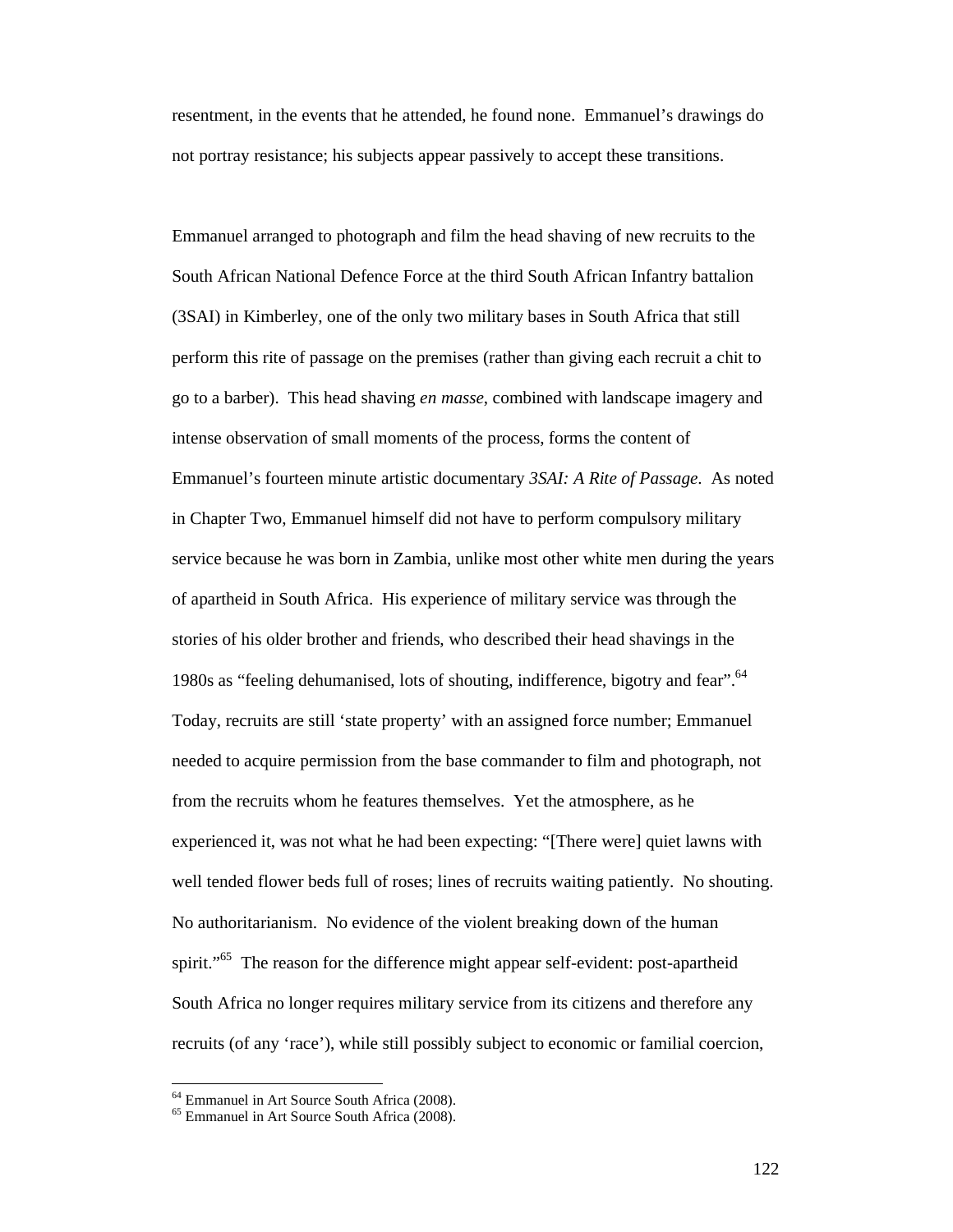resentment, in the events that he attended, he found none. Emmanuel's drawings do not portray resistance; his subjects appear passively to accept these transitions.

Emmanuel arranged to photograph and film the head shaving of new recruits to the South African National Defence Force at the third South African Infantry battalion (3SAI) in Kimberley, one of the only two military bases in South Africa that still perform this rite of passage on the premises (rather than giving each recruit a chit to go to a barber). This head shaving *en masse*, combined with landscape imagery and intense observation of small moments of the process, forms the content of Emmanuel's fourteen minute artistic documentary *3SAI: A Rite of Passage*. As noted in Chapter Two, Emmanuel himself did not have to perform compulsory military service because he was born in Zambia, unlike most other white men during the years of apartheid in South Africa. His experience of military service was through the stories of his older brother and friends, who described their head shavings in the 1980s as "feeling dehumanised, lots of shouting, indifference, bigotry and fear".<sup>64</sup> Today, recruits are still 'state property' with an assigned force number; Emmanuel needed to acquire permission from the base commander to film and photograph, not from the recruits whom he features themselves. Yet the atmosphere, as he experienced it, was not what he had been expecting: "[There were] quiet lawns with well tended flower beds full of roses; lines of recruits waiting patiently. No shouting. No authoritarianism. No evidence of the violent breaking down of the human spirit."<sup>65</sup> The reason for the difference might appear self-evident: post-apartheid South Africa no longer requires military service from its citizens and therefore any recruits (of any 'race'), while still possibly subject to economic or familial coercion,

<sup>64</sup> Emmanuel in Art Source South Africa (2008).

<sup>65</sup> Emmanuel in Art Source South Africa (2008).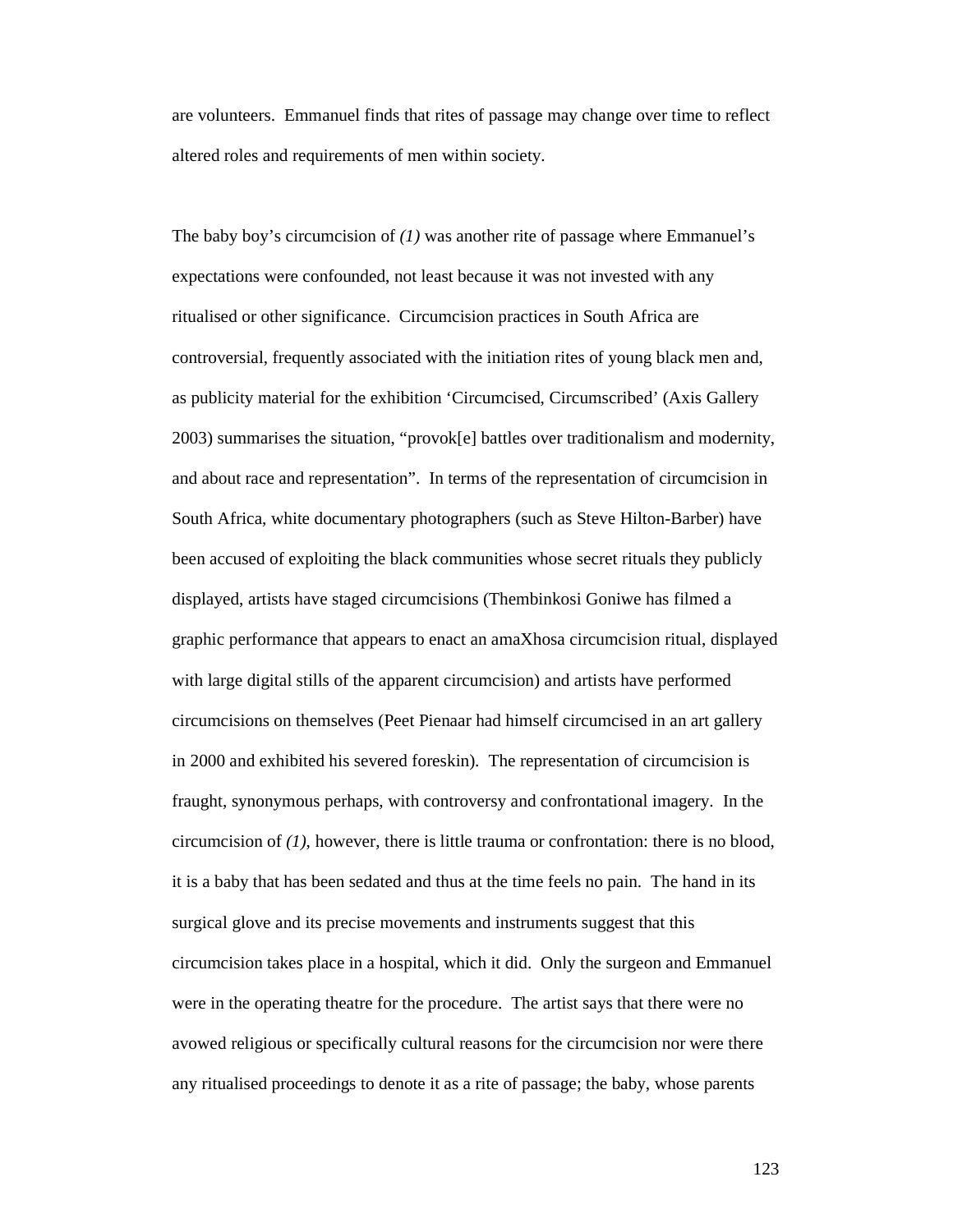are volunteers. Emmanuel finds that rites of passage may change over time to reflect altered roles and requirements of men within society.

The baby boy's circumcision of *(1)* was another rite of passage where Emmanuel's expectations were confounded, not least because it was not invested with any ritualised or other significance. Circumcision practices in South Africa are controversial, frequently associated with the initiation rites of young black men and, as publicity material for the exhibition 'Circumcised, Circumscribed' (Axis Gallery 2003) summarises the situation, "provok[e] battles over traditionalism and modernity, and about race and representation". In terms of the representation of circumcision in South Africa, white documentary photographers (such as Steve Hilton-Barber) have been accused of exploiting the black communities whose secret rituals they publicly displayed, artists have staged circumcisions (Thembinkosi Goniwe has filmed a graphic performance that appears to enact an amaXhosa circumcision ritual, displayed with large digital stills of the apparent circumcision) and artists have performed circumcisions on themselves (Peet Pienaar had himself circumcised in an art gallery in 2000 and exhibited his severed foreskin). The representation of circumcision is fraught, synonymous perhaps, with controversy and confrontational imagery. In the circumcision of *(1)*, however, there is little trauma or confrontation: there is no blood, it is a baby that has been sedated and thus at the time feels no pain. The hand in its surgical glove and its precise movements and instruments suggest that this circumcision takes place in a hospital, which it did. Only the surgeon and Emmanuel were in the operating theatre for the procedure. The artist says that there were no avowed religious or specifically cultural reasons for the circumcision nor were there any ritualised proceedings to denote it as a rite of passage; the baby, whose parents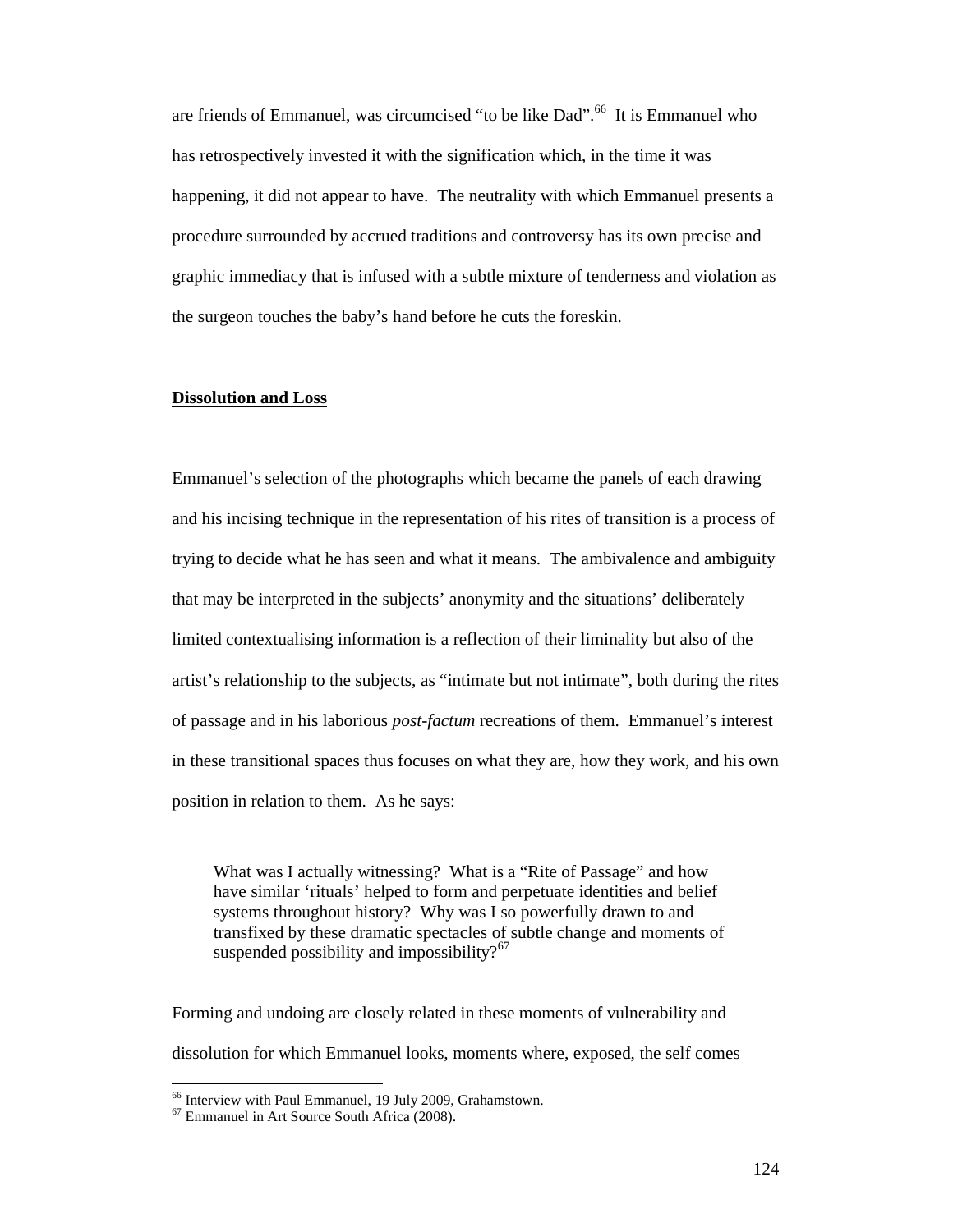are friends of Emmanuel, was circumcised "to be like Dad".<sup>66</sup> It is Emmanuel who has retrospectively invested it with the signification which, in the time it was happening, it did not appear to have. The neutrality with which Emmanuel presents a procedure surrounded by accrued traditions and controversy has its own precise and graphic immediacy that is infused with a subtle mixture of tenderness and violation as the surgeon touches the baby's hand before he cuts the foreskin.

# **Dissolution and Loss**

Emmanuel's selection of the photographs which became the panels of each drawing and his incising technique in the representation of his rites of transition is a process of trying to decide what he has seen and what it means. The ambivalence and ambiguity that may be interpreted in the subjects' anonymity and the situations' deliberately limited contextualising information is a reflection of their liminality but also of the artist's relationship to the subjects, as "intimate but not intimate", both during the rites of passage and in his laborious *post-factum* recreations of them. Emmanuel's interest in these transitional spaces thus focuses on what they are, how they work, and his own position in relation to them. As he says:

What was I actually witnessing? What is a "Rite of Passage" and how have similar 'rituals' helped to form and perpetuate identities and belief systems throughout history? Why was I so powerfully drawn to and transfixed by these dramatic spectacles of subtle change and moments of suspended possibility and impossibility? $67$ 

Forming and undoing are closely related in these moments of vulnerability and dissolution for which Emmanuel looks, moments where, exposed, the self comes

<sup>&</sup>lt;sup>66</sup> Interview with Paul Emmanuel, 19 July 2009, Grahamstown.

<sup>67</sup> Emmanuel in Art Source South Africa (2008).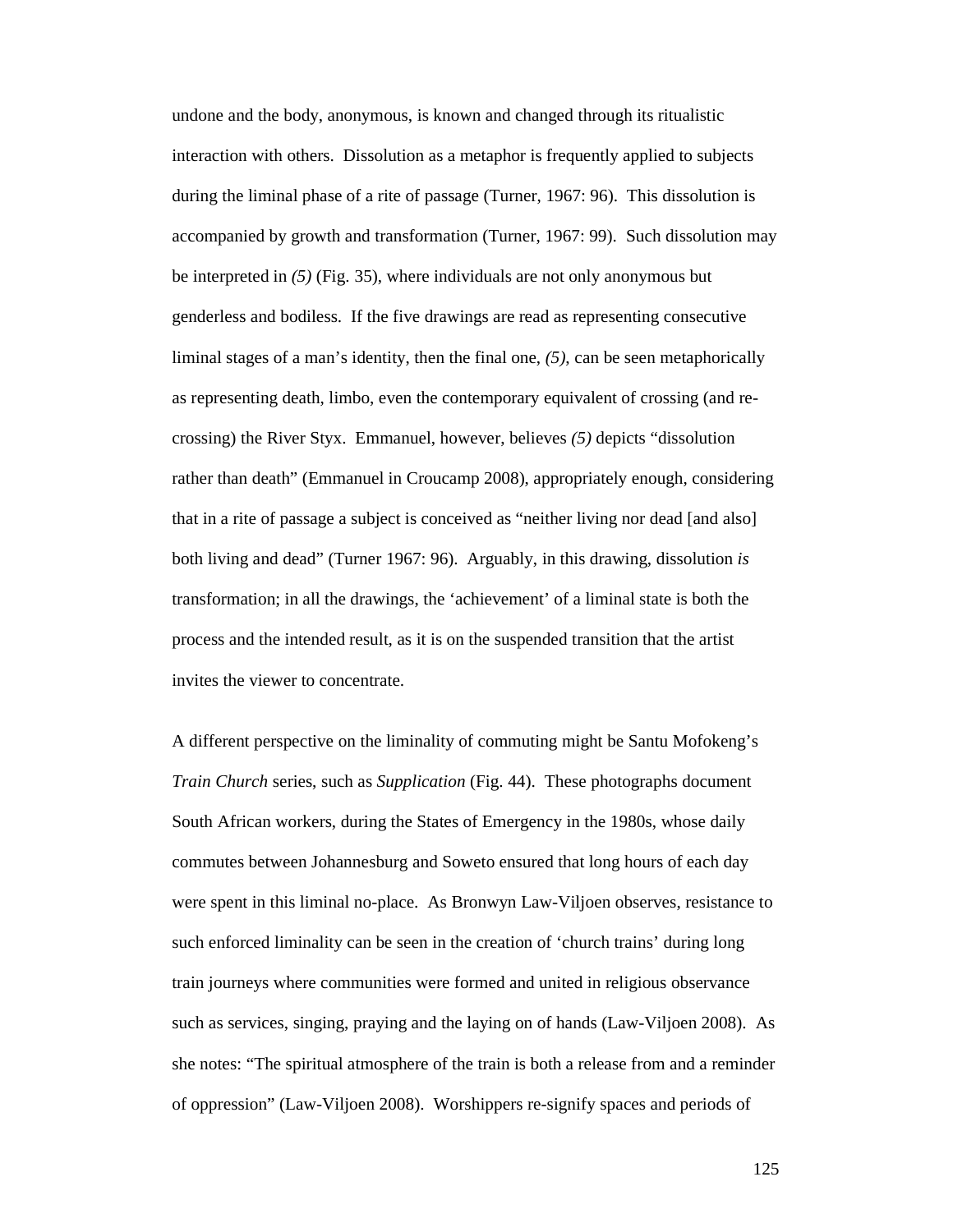undone and the body, anonymous, is known and changed through its ritualistic interaction with others. Dissolution as a metaphor is frequently applied to subjects during the liminal phase of a rite of passage (Turner, 1967: 96). This dissolution is accompanied by growth and transformation (Turner, 1967: 99). Such dissolution may be interpreted in *(5)* (Fig. 35), where individuals are not only anonymous but genderless and bodiless. If the five drawings are read as representing consecutive liminal stages of a man's identity, then the final one, *(5)*, can be seen metaphorically as representing death, limbo, even the contemporary equivalent of crossing (and recrossing) the River Styx. Emmanuel, however, believes *(5)* depicts "dissolution rather than death" (Emmanuel in Croucamp 2008), appropriately enough, considering that in a rite of passage a subject is conceived as "neither living nor dead [and also] both living and dead" (Turner 1967: 96). Arguably, in this drawing, dissolution *is* transformation; in all the drawings, the 'achievement' of a liminal state is both the process and the intended result, as it is on the suspended transition that the artist invites the viewer to concentrate.

A different perspective on the liminality of commuting might be Santu Mofokeng's *Train Church* series, such as *Supplication* (Fig. 44). These photographs document South African workers, during the States of Emergency in the 1980s, whose daily commutes between Johannesburg and Soweto ensured that long hours of each day were spent in this liminal no-place. As Bronwyn Law-Viljoen observes, resistance to such enforced liminality can be seen in the creation of 'church trains' during long train journeys where communities were formed and united in religious observance such as services, singing, praying and the laying on of hands (Law-Viljoen 2008). As she notes: "The spiritual atmosphere of the train is both a release from and a reminder of oppression" (Law-Viljoen 2008). Worshippers re-signify spaces and periods of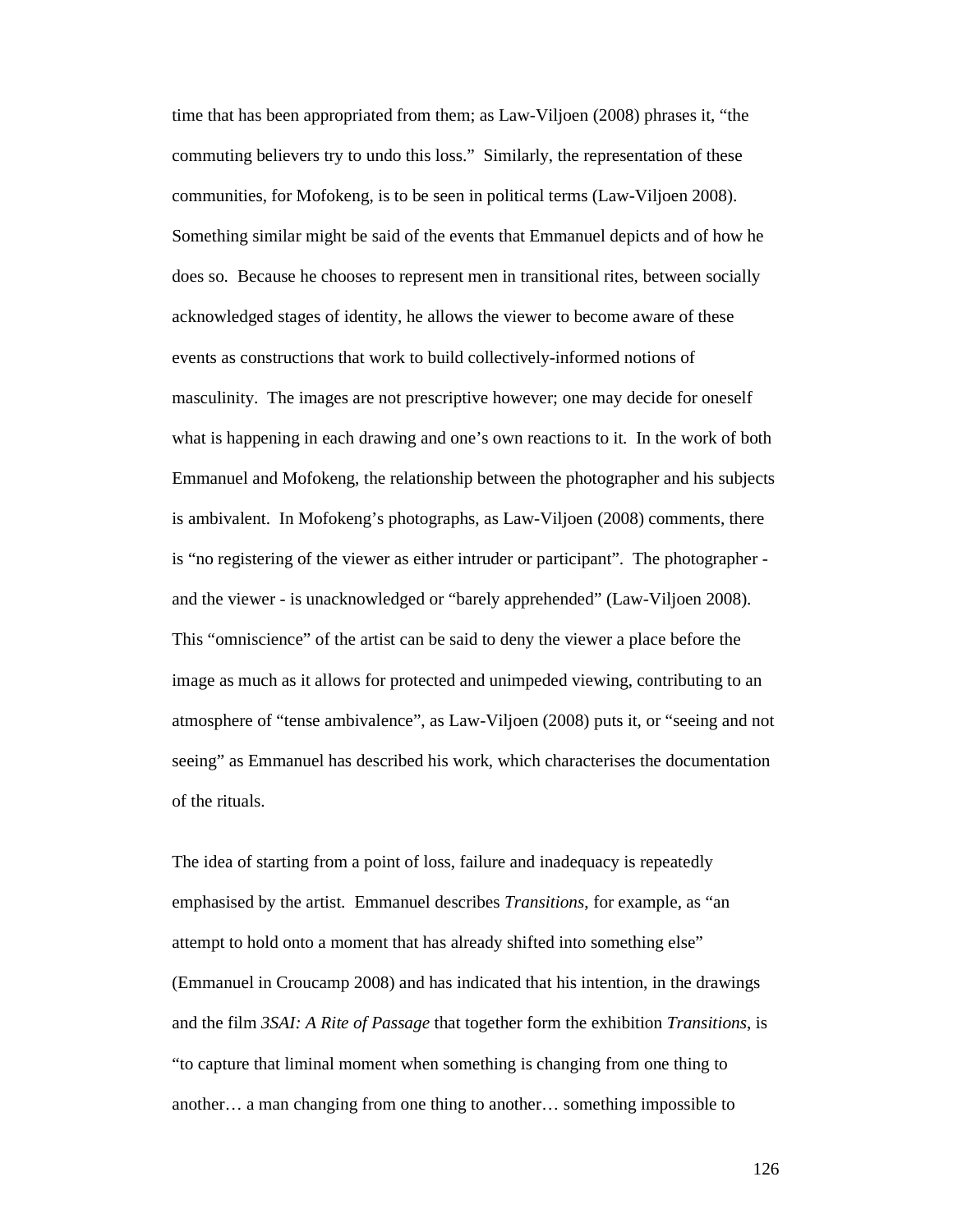time that has been appropriated from them; as Law-Viljoen (2008) phrases it, "the commuting believers try to undo this loss." Similarly, the representation of these communities, for Mofokeng, is to be seen in political terms (Law-Viljoen 2008). Something similar might be said of the events that Emmanuel depicts and of how he does so. Because he chooses to represent men in transitional rites, between socially acknowledged stages of identity, he allows the viewer to become aware of these events as constructions that work to build collectively-informed notions of masculinity. The images are not prescriptive however; one may decide for oneself what is happening in each drawing and one's own reactions to it. In the work of both Emmanuel and Mofokeng, the relationship between the photographer and his subjects is ambivalent. In Mofokeng's photographs, as Law-Viljoen (2008) comments, there is "no registering of the viewer as either intruder or participant". The photographer and the viewer - is unacknowledged or "barely apprehended" (Law-Viljoen 2008). This "omniscience" of the artist can be said to deny the viewer a place before the image as much as it allows for protected and unimpeded viewing, contributing to an atmosphere of "tense ambivalence", as Law-Viljoen (2008) puts it, or "seeing and not seeing" as Emmanuel has described his work, which characterises the documentation of the rituals.

The idea of starting from a point of loss, failure and inadequacy is repeatedly emphasised by the artist. Emmanuel describes *Transitions*, for example, as "an attempt to hold onto a moment that has already shifted into something else" (Emmanuel in Croucamp 2008) and has indicated that his intention, in the drawings and the film *3SAI: A Rite of Passage* that together form the exhibition *Transitions*, is "to capture that liminal moment when something is changing from one thing to another… a man changing from one thing to another… something impossible to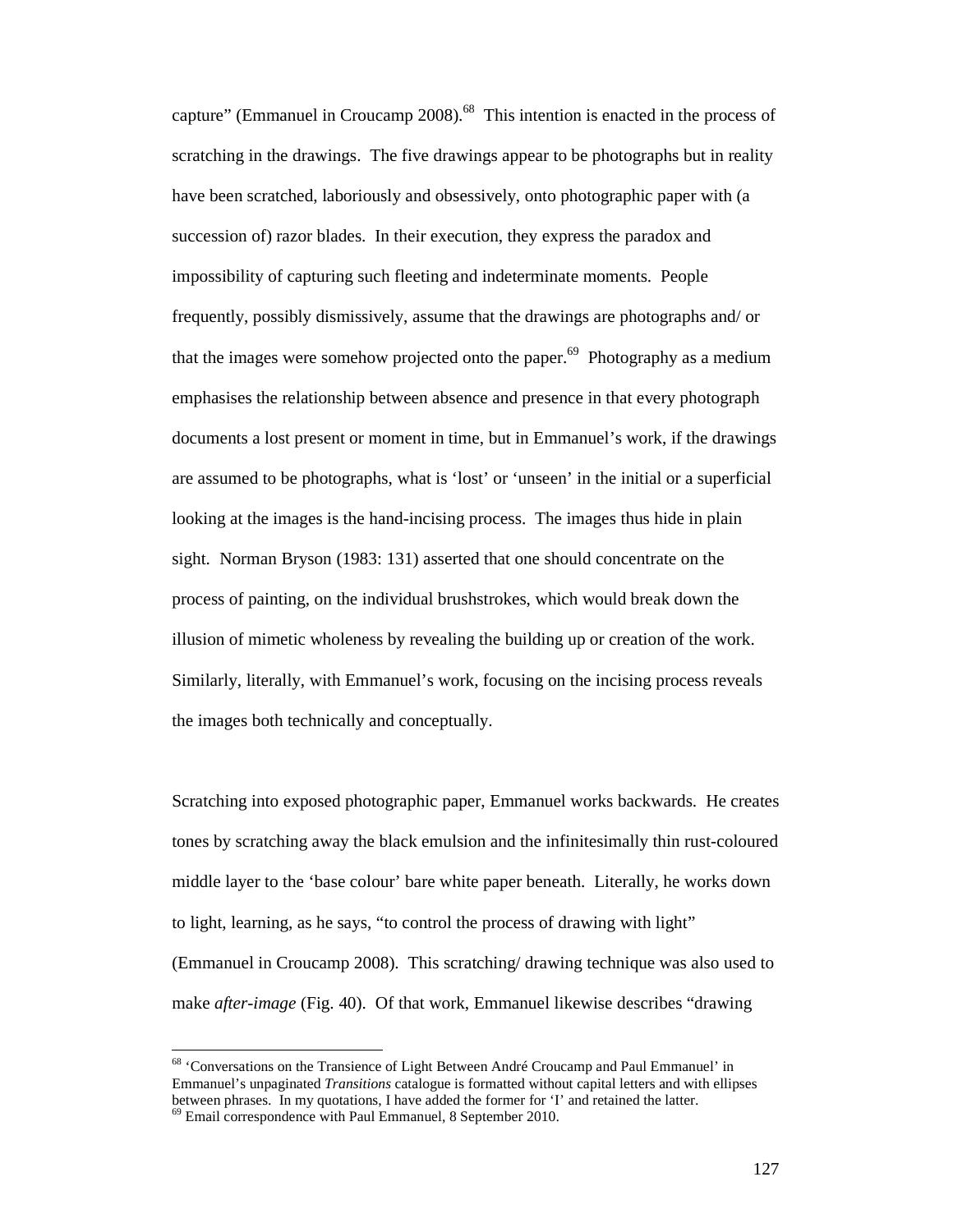capture" (Emmanuel in Croucamp 2008).<sup>68</sup> This intention is enacted in the process of scratching in the drawings. The five drawings appear to be photographs but in reality have been scratched, laboriously and obsessively, onto photographic paper with (a succession of) razor blades. In their execution, they express the paradox and impossibility of capturing such fleeting and indeterminate moments. People frequently, possibly dismissively, assume that the drawings are photographs and/ or that the images were somehow projected onto the paper.<sup>69</sup> Photography as a medium emphasises the relationship between absence and presence in that every photograph documents a lost present or moment in time, but in Emmanuel's work, if the drawings are assumed to be photographs, what is 'lost' or 'unseen' in the initial or a superficial looking at the images is the hand-incising process. The images thus hide in plain sight. Norman Bryson (1983: 131) asserted that one should concentrate on the process of painting, on the individual brushstrokes, which would break down the illusion of mimetic wholeness by revealing the building up or creation of the work. Similarly, literally, with Emmanuel's work, focusing on the incising process reveals the images both technically and conceptually.

Scratching into exposed photographic paper, Emmanuel works backwards. He creates tones by scratching away the black emulsion and the infinitesimally thin rust-coloured middle layer to the 'base colour' bare white paper beneath. Literally, he works down to light, learning, as he says, "to control the process of drawing with light" (Emmanuel in Croucamp 2008). This scratching/ drawing technique was also used to make *after-image* (Fig. 40). Of that work, Emmanuel likewise describes "drawing

<sup>&</sup>lt;sup>68</sup> 'Conversations on the Transience of Light Between André Croucamp and Paul Emmanuel' in Emmanuel's unpaginated *Transitions* catalogue is formatted without capital letters and with ellipses between phrases. In my quotations, I have added the former for 'I' and retained the latter.

<sup>&</sup>lt;sup>69</sup> Email correspondence with Paul Emmanuel, 8 September 2010.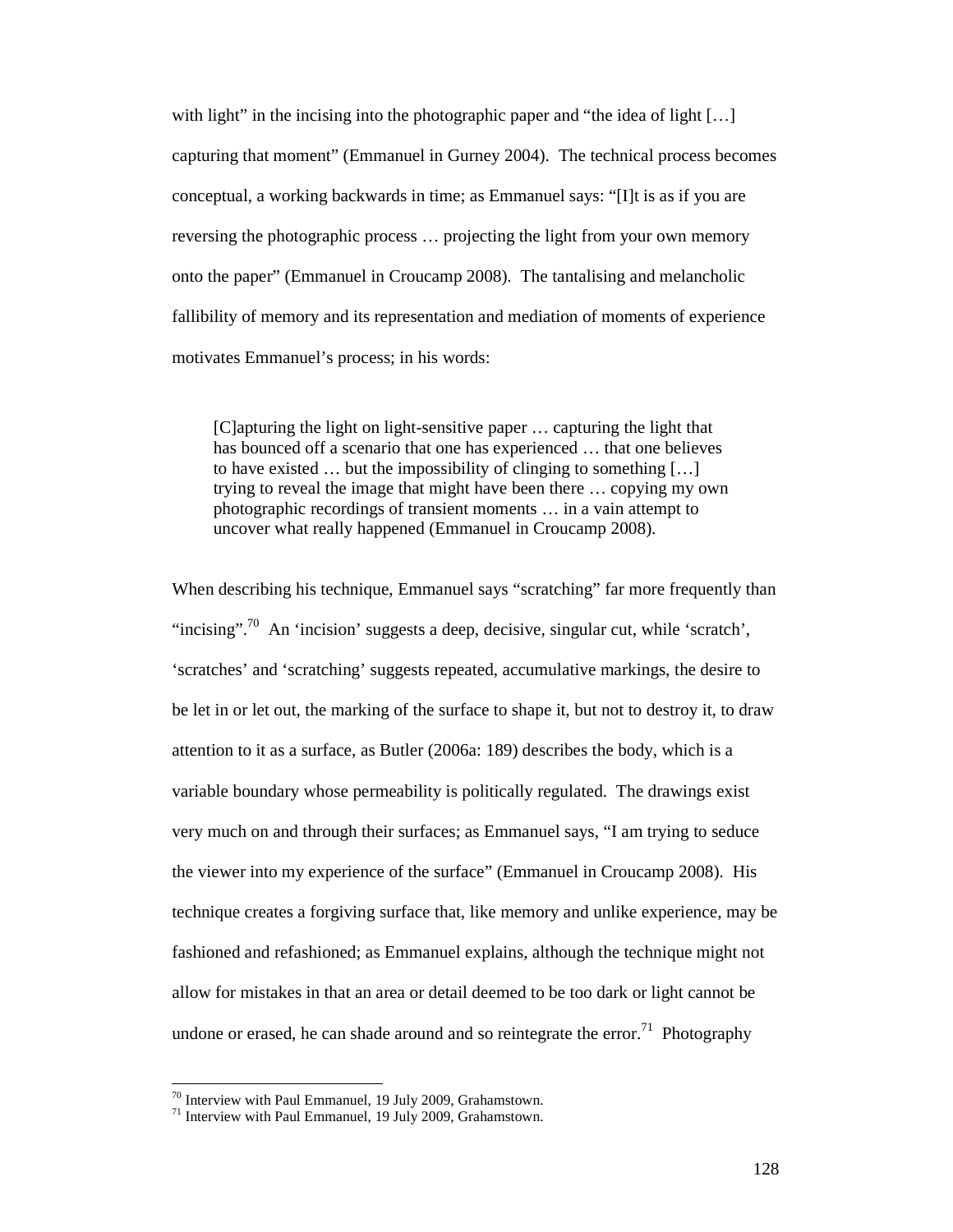with light" in the incising into the photographic paper and "the idea of light  $[\ldots]$ " capturing that moment" (Emmanuel in Gurney 2004). The technical process becomes conceptual, a working backwards in time; as Emmanuel says: "[I]t is as if you are reversing the photographic process … projecting the light from your own memory onto the paper" (Emmanuel in Croucamp 2008). The tantalising and melancholic fallibility of memory and its representation and mediation of moments of experience motivates Emmanuel's process; in his words:

[C]apturing the light on light-sensitive paper … capturing the light that has bounced off a scenario that one has experienced … that one believes to have existed … but the impossibility of clinging to something […] trying to reveal the image that might have been there … copying my own photographic recordings of transient moments … in a vain attempt to uncover what really happened (Emmanuel in Croucamp 2008).

When describing his technique, Emmanuel says "scratching" far more frequently than "incising".<sup>70</sup> An 'incision' suggests a deep, decisive, singular cut, while 'scratch', 'scratches' and 'scratching' suggests repeated, accumulative markings, the desire to be let in or let out, the marking of the surface to shape it, but not to destroy it, to draw attention to it as a surface, as Butler (2006a: 189) describes the body, which is a variable boundary whose permeability is politically regulated. The drawings exist very much on and through their surfaces; as Emmanuel says, "I am trying to seduce the viewer into my experience of the surface" (Emmanuel in Croucamp 2008). His technique creates a forgiving surface that, like memory and unlike experience, may be fashioned and refashioned; as Emmanuel explains, although the technique might not allow for mistakes in that an area or detail deemed to be too dark or light cannot be undone or erased, he can shade around and so reintegrate the error.<sup>71</sup> Photography

 $70$  Interview with Paul Emmanuel, 19 July 2009, Grahamstown.

 $71$  Interview with Paul Emmanuel, 19 July 2009, Grahamstown.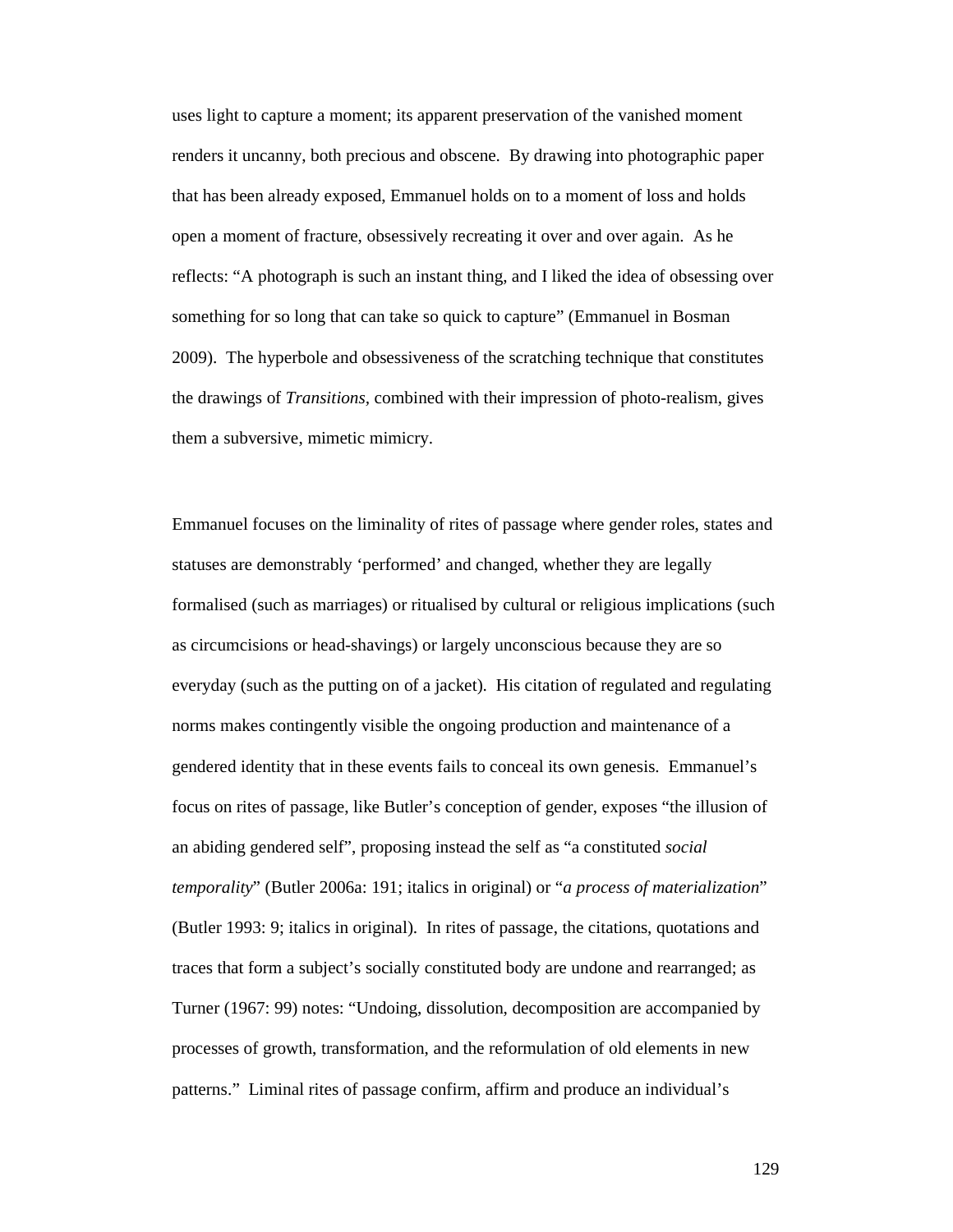uses light to capture a moment; its apparent preservation of the vanished moment renders it uncanny, both precious and obscene. By drawing into photographic paper that has been already exposed, Emmanuel holds on to a moment of loss and holds open a moment of fracture, obsessively recreating it over and over again. As he reflects: "A photograph is such an instant thing, and I liked the idea of obsessing over something for so long that can take so quick to capture" (Emmanuel in Bosman 2009). The hyperbole and obsessiveness of the scratching technique that constitutes the drawings of *Transitions,* combined with their impression of photo-realism, gives them a subversive, mimetic mimicry.

Emmanuel focuses on the liminality of rites of passage where gender roles, states and statuses are demonstrably 'performed' and changed, whether they are legally formalised (such as marriages) or ritualised by cultural or religious implications (such as circumcisions or head-shavings) or largely unconscious because they are so everyday (such as the putting on of a jacket). His citation of regulated and regulating norms makes contingently visible the ongoing production and maintenance of a gendered identity that in these events fails to conceal its own genesis. Emmanuel's focus on rites of passage, like Butler's conception of gender, exposes "the illusion of an abiding gendered self", proposing instead the self as "a constituted *social temporality*" (Butler 2006a: 191; italics in original) or "*a process of materialization*" (Butler 1993: 9; italics in original). In rites of passage, the citations, quotations and traces that form a subject's socially constituted body are undone and rearranged; as Turner (1967: 99) notes: "Undoing, dissolution, decomposition are accompanied by processes of growth, transformation, and the reformulation of old elements in new patterns." Liminal rites of passage confirm, affirm and produce an individual's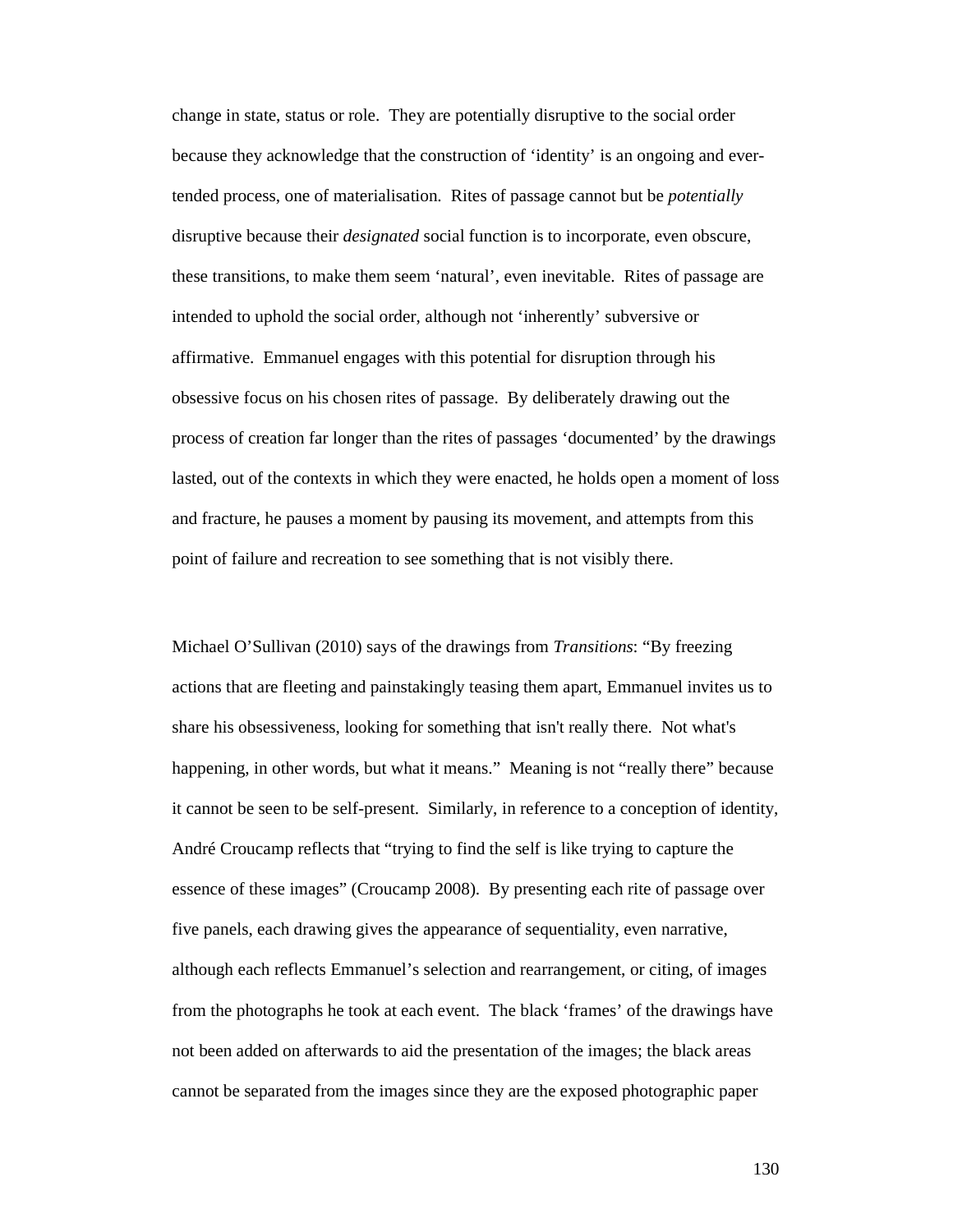change in state, status or role. They are potentially disruptive to the social order because they acknowledge that the construction of 'identity' is an ongoing and evertended process, one of materialisation. Rites of passage cannot but be *potentially* disruptive because their *designated* social function is to incorporate, even obscure, these transitions, to make them seem 'natural', even inevitable. Rites of passage are intended to uphold the social order, although not 'inherently' subversive or affirmative. Emmanuel engages with this potential for disruption through his obsessive focus on his chosen rites of passage. By deliberately drawing out the process of creation far longer than the rites of passages 'documented' by the drawings lasted, out of the contexts in which they were enacted, he holds open a moment of loss and fracture, he pauses a moment by pausing its movement, and attempts from this point of failure and recreation to see something that is not visibly there.

Michael O'Sullivan (2010) says of the drawings from *Transitions*: "By freezing actions that are fleeting and painstakingly teasing them apart, Emmanuel invites us to share his obsessiveness, looking for something that isn't really there. Not what's happening, in other words, but what it means." Meaning is not "really there" because it cannot be seen to be self-present. Similarly, in reference to a conception of identity, André Croucamp reflects that "trying to find the self is like trying to capture the essence of these images" (Croucamp 2008). By presenting each rite of passage over five panels, each drawing gives the appearance of sequentiality, even narrative, although each reflects Emmanuel's selection and rearrangement, or citing, of images from the photographs he took at each event. The black 'frames' of the drawings have not been added on afterwards to aid the presentation of the images; the black areas cannot be separated from the images since they are the exposed photographic paper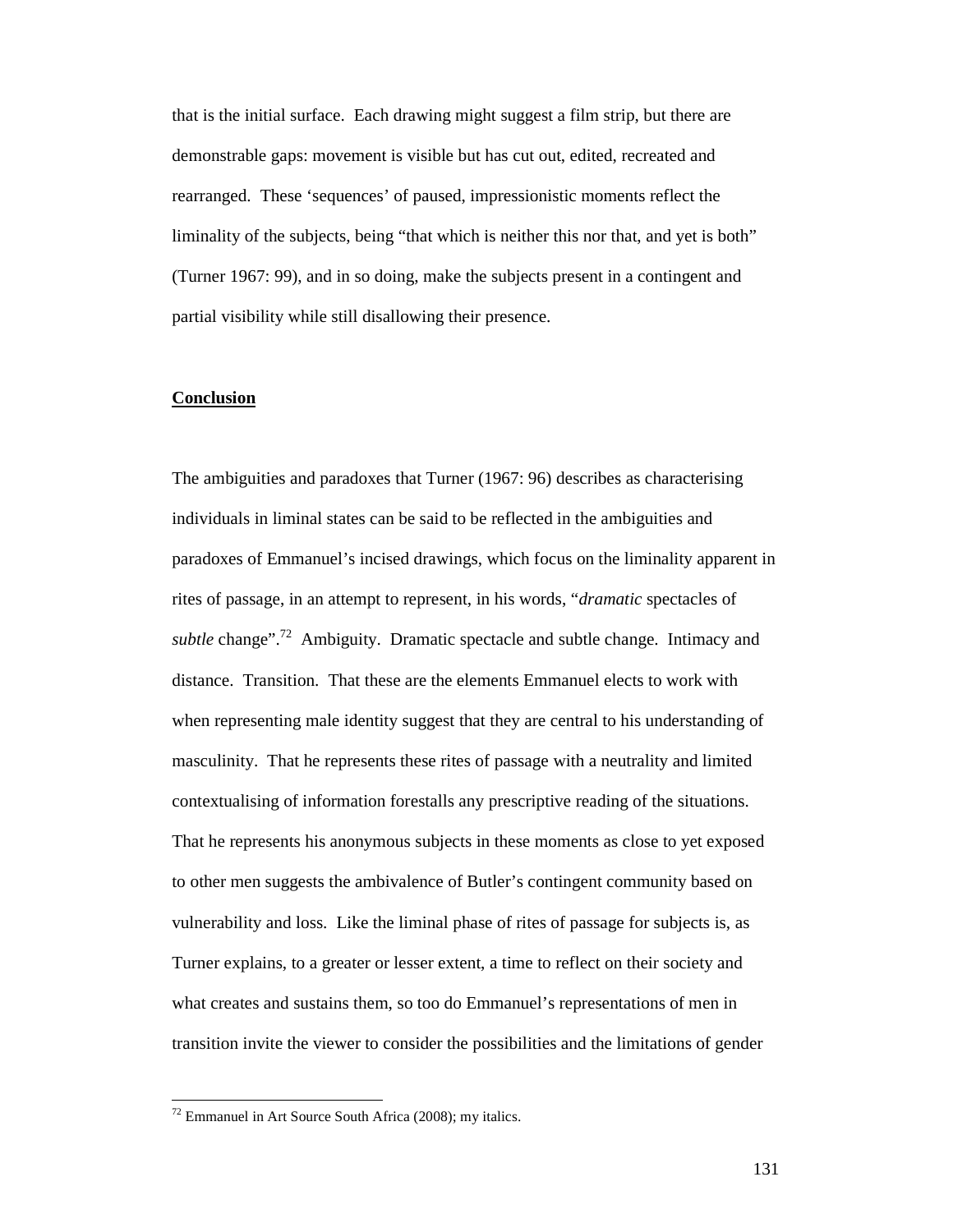that is the initial surface. Each drawing might suggest a film strip, but there are demonstrable gaps: movement is visible but has cut out, edited, recreated and rearranged. These 'sequences' of paused, impressionistic moments reflect the liminality of the subjects, being "that which is neither this nor that, and yet is both" (Turner 1967: 99), and in so doing, make the subjects present in a contingent and partial visibility while still disallowing their presence.

#### **Conclusion**

The ambiguities and paradoxes that Turner (1967: 96) describes as characterising individuals in liminal states can be said to be reflected in the ambiguities and paradoxes of Emmanuel's incised drawings, which focus on the liminality apparent in rites of passage, in an attempt to represent, in his words, "*dramatic* spectacles of *subtle* change".<sup>72</sup> Ambiguity. Dramatic spectacle and subtle change. Intimacy and distance. Transition. That these are the elements Emmanuel elects to work with when representing male identity suggest that they are central to his understanding of masculinity. That he represents these rites of passage with a neutrality and limited contextualising of information forestalls any prescriptive reading of the situations. That he represents his anonymous subjects in these moments as close to yet exposed to other men suggests the ambivalence of Butler's contingent community based on vulnerability and loss. Like the liminal phase of rites of passage for subjects is, as Turner explains, to a greater or lesser extent, a time to reflect on their society and what creates and sustains them, so too do Emmanuel's representations of men in transition invite the viewer to consider the possibilities and the limitations of gender

 $72$  Emmanuel in Art Source South Africa (2008); my italics.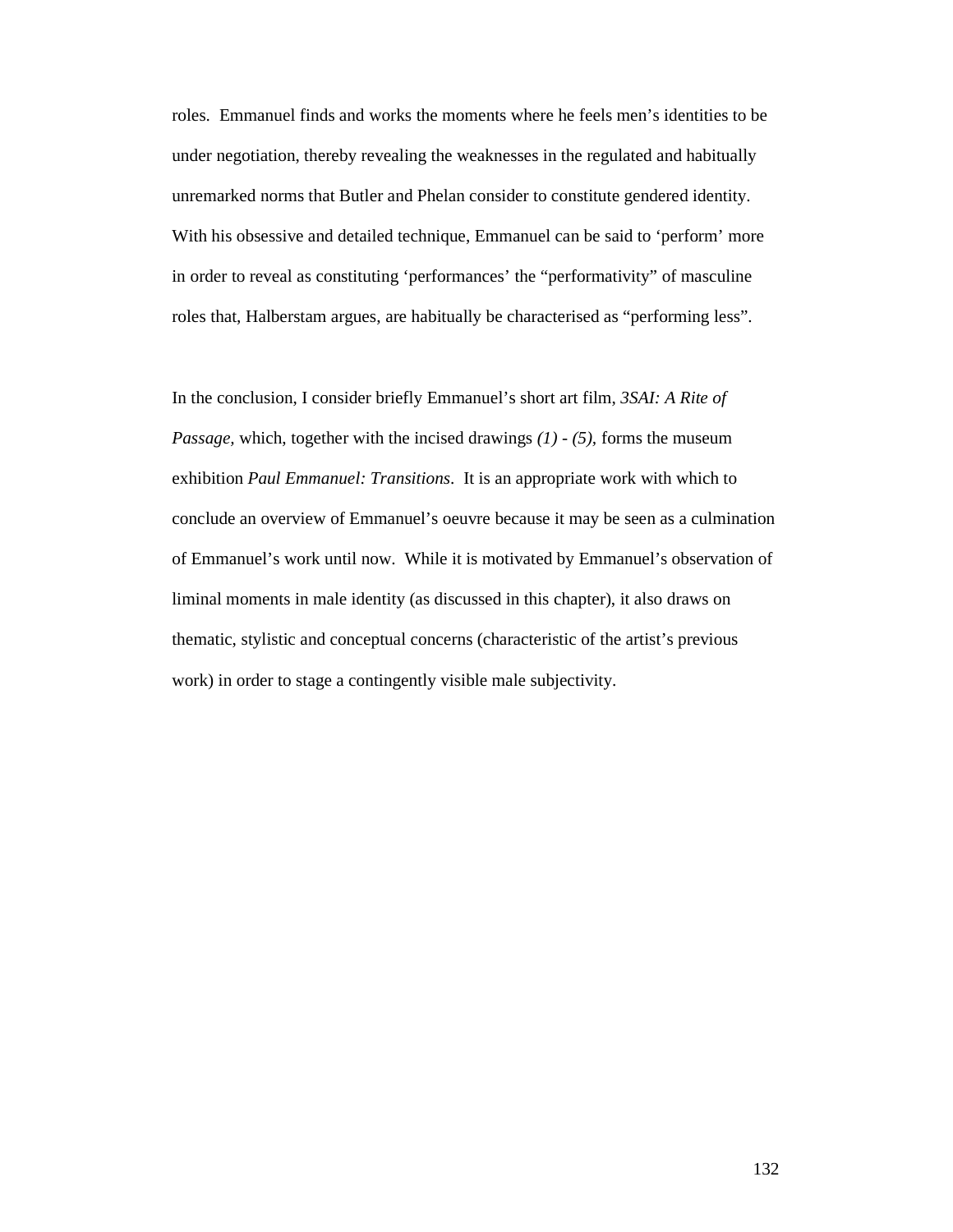roles. Emmanuel finds and works the moments where he feels men's identities to be under negotiation, thereby revealing the weaknesses in the regulated and habitually unremarked norms that Butler and Phelan consider to constitute gendered identity. With his obsessive and detailed technique, Emmanuel can be said to 'perform' more in order to reveal as constituting 'performances' the "performativity" of masculine roles that, Halberstam argues, are habitually be characterised as "performing less".

In the conclusion, I consider briefly Emmanuel's short art film, *3SAI: A Rite of Passage,* which, together with the incised drawings *(1) - (5),* forms the museum exhibition *Paul Emmanuel: Transitions*. It is an appropriate work with which to conclude an overview of Emmanuel's oeuvre because it may be seen as a culmination of Emmanuel's work until now. While it is motivated by Emmanuel's observation of liminal moments in male identity (as discussed in this chapter), it also draws on thematic, stylistic and conceptual concerns (characteristic of the artist's previous work) in order to stage a contingently visible male subjectivity.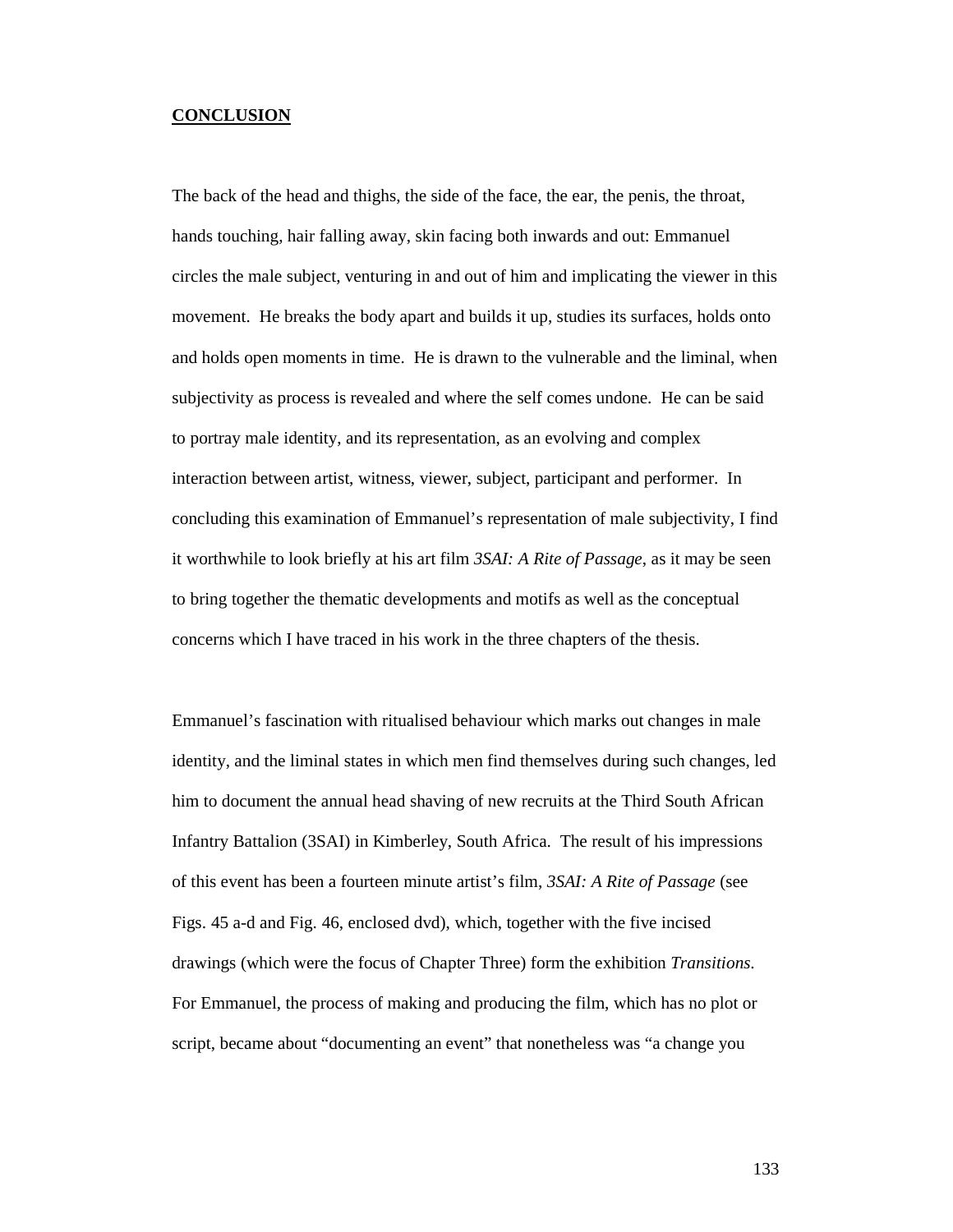### **CONCLUSION**

The back of the head and thighs, the side of the face, the ear, the penis, the throat, hands touching, hair falling away, skin facing both inwards and out: Emmanuel circles the male subject, venturing in and out of him and implicating the viewer in this movement. He breaks the body apart and builds it up, studies its surfaces, holds onto and holds open moments in time. He is drawn to the vulnerable and the liminal, when subjectivity as process is revealed and where the self comes undone. He can be said to portray male identity, and its representation, as an evolving and complex interaction between artist, witness, viewer, subject, participant and performer. In concluding this examination of Emmanuel's representation of male subjectivity, I find it worthwhile to look briefly at his art film *3SAI: A Rite of Passage*, as it may be seen to bring together the thematic developments and motifs as well as the conceptual concerns which I have traced in his work in the three chapters of the thesis.

Emmanuel's fascination with ritualised behaviour which marks out changes in male identity, and the liminal states in which men find themselves during such changes, led him to document the annual head shaving of new recruits at the Third South African Infantry Battalion (3SAI) in Kimberley, South Africa. The result of his impressions of this event has been a fourteen minute artist's film, *3SAI: A Rite of Passage* (see Figs. 45 a-d and Fig. 46, enclosed dvd), which, together with the five incised drawings (which were the focus of Chapter Three) form the exhibition *Transitions*. For Emmanuel, the process of making and producing the film, which has no plot or script, became about "documenting an event" that nonetheless was "a change you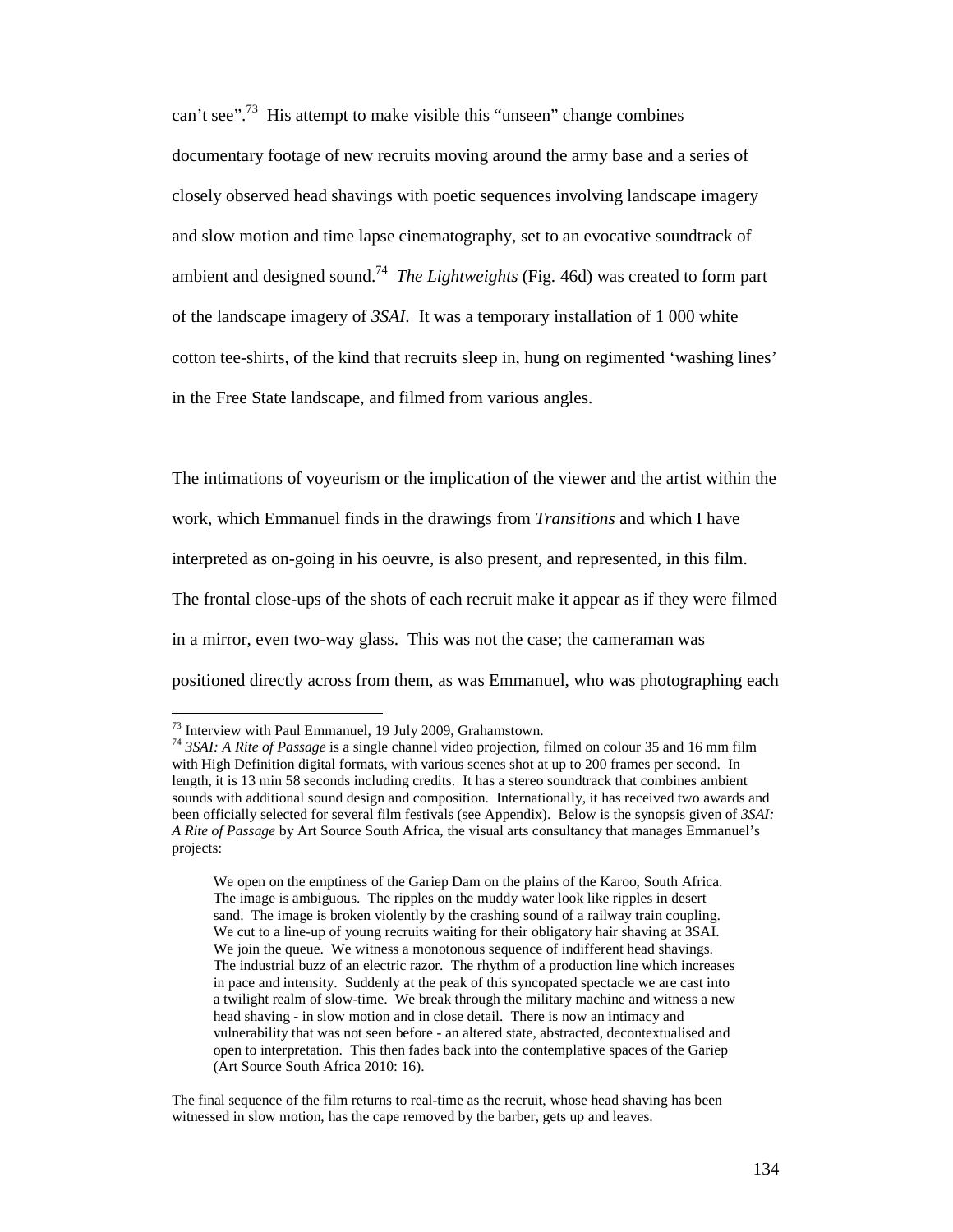can't see".<sup>73</sup> His attempt to make visible this "unseen" change combines documentary footage of new recruits moving around the army base and a series of closely observed head shavings with poetic sequences involving landscape imagery and slow motion and time lapse cinematography, set to an evocative soundtrack of ambient and designed sound.<sup>74</sup> *The Lightweights* (Fig. 46d) was created to form part of the landscape imagery of *3SAI*. It was a temporary installation of 1 000 white cotton tee-shirts, of the kind that recruits sleep in, hung on regimented 'washing lines' in the Free State landscape, and filmed from various angles.

The intimations of voyeurism or the implication of the viewer and the artist within the work, which Emmanuel finds in the drawings from *Transitions* and which I have interpreted as on-going in his oeuvre, is also present, and represented, in this film. The frontal close-ups of the shots of each recruit make it appear as if they were filmed in a mirror, even two-way glass. This was not the case; the cameraman was positioned directly across from them, as was Emmanuel, who was photographing each

-

 $73$  Interview with Paul Emmanuel, 19 July 2009, Grahamstown.

<sup>74</sup> *3SAI: A Rite of Passage* is a single channel video projection, filmed on colour 35 and 16 mm film with High Definition digital formats, with various scenes shot at up to 200 frames per second. In length, it is 13 min 58 seconds including credits. It has a stereo soundtrack that combines ambient sounds with additional sound design and composition. Internationally, it has received two awards and been officially selected for several film festivals (see Appendix). Below is the synopsis given of *3SAI: A Rite of Passage* by Art Source South Africa, the visual arts consultancy that manages Emmanuel's projects:

We open on the emptiness of the Gariep Dam on the plains of the Karoo, South Africa. The image is ambiguous. The ripples on the muddy water look like ripples in desert sand. The image is broken violently by the crashing sound of a railway train coupling. We cut to a line-up of young recruits waiting for their obligatory hair shaving at 3SAI. We join the queue. We witness a monotonous sequence of indifferent head shavings. The industrial buzz of an electric razor. The rhythm of a production line which increases in pace and intensity. Suddenly at the peak of this syncopated spectacle we are cast into a twilight realm of slow-time. We break through the military machine and witness a new head shaving - in slow motion and in close detail. There is now an intimacy and vulnerability that was not seen before - an altered state, abstracted, decontextualised and open to interpretation. This then fades back into the contemplative spaces of the Gariep (Art Source South Africa 2010: 16).

The final sequence of the film returns to real-time as the recruit, whose head shaving has been witnessed in slow motion, has the cape removed by the barber, gets up and leaves.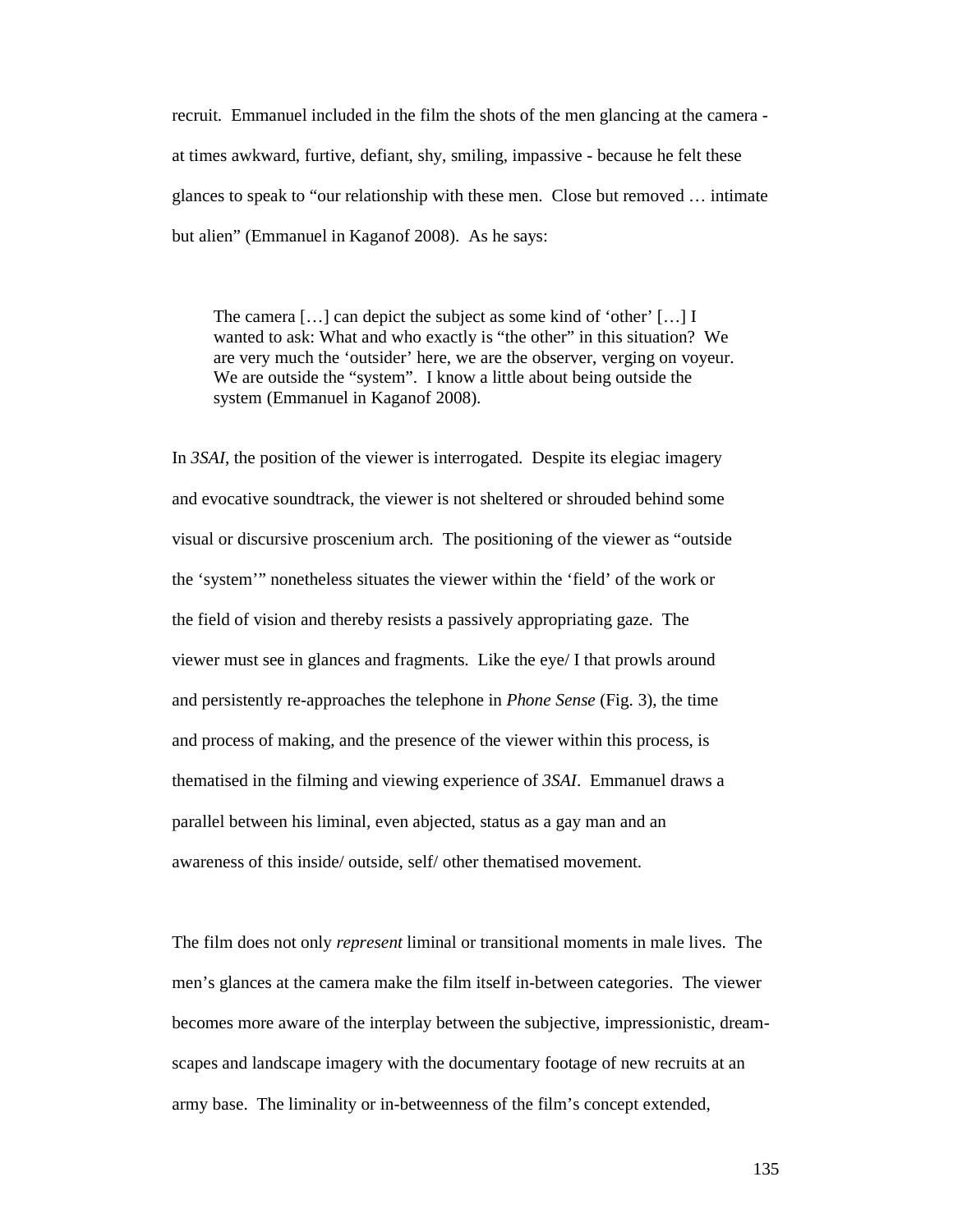recruit. Emmanuel included in the film the shots of the men glancing at the camera at times awkward, furtive, defiant, shy, smiling, impassive - because he felt these glances to speak to "our relationship with these men. Close but removed … intimate but alien" (Emmanuel in Kaganof 2008). As he says:

The camera […] can depict the subject as some kind of 'other' […] I wanted to ask: What and who exactly is "the other" in this situation? We are very much the 'outsider' here, we are the observer, verging on voyeur. We are outside the "system". I know a little about being outside the system (Emmanuel in Kaganof 2008).

In *3SAI*, the position of the viewer is interrogated. Despite its elegiac imagery and evocative soundtrack, the viewer is not sheltered or shrouded behind some visual or discursive proscenium arch. The positioning of the viewer as "outside the 'system'" nonetheless situates the viewer within the 'field' of the work or the field of vision and thereby resists a passively appropriating gaze. The viewer must see in glances and fragments. Like the eye/ I that prowls around and persistently re-approaches the telephone in *Phone Sense* (Fig. 3), the time and process of making, and the presence of the viewer within this process, is thematised in the filming and viewing experience of *3SAI*. Emmanuel draws a parallel between his liminal, even abjected, status as a gay man and an awareness of this inside/ outside, self/ other thematised movement.

The film does not only *represent* liminal or transitional moments in male lives. The men's glances at the camera make the film itself in-between categories. The viewer becomes more aware of the interplay between the subjective, impressionistic, dreamscapes and landscape imagery with the documentary footage of new recruits at an army base. The liminality or in-betweenness of the film's concept extended,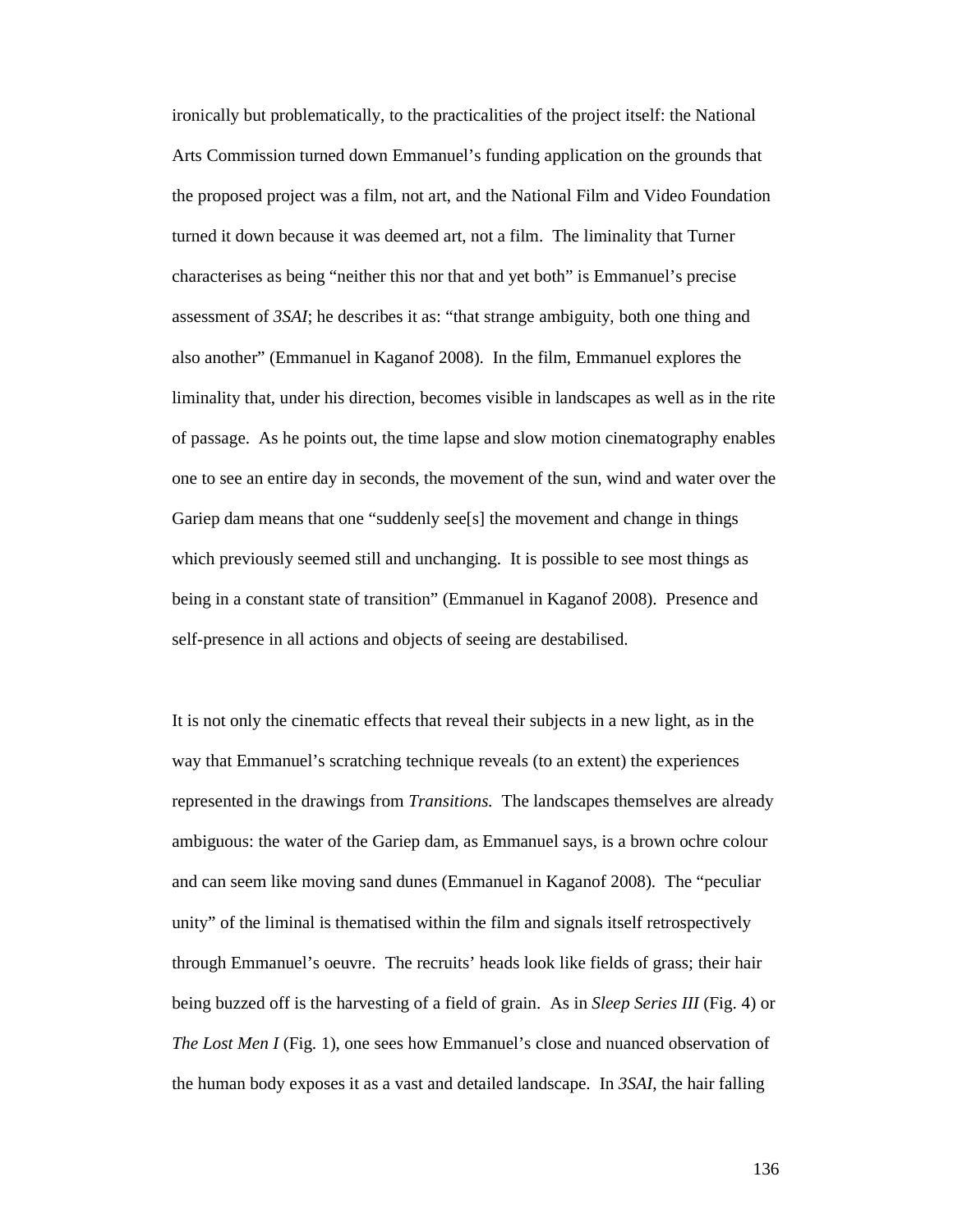ironically but problematically, to the practicalities of the project itself: the National Arts Commission turned down Emmanuel's funding application on the grounds that the proposed project was a film, not art, and the National Film and Video Foundation turned it down because it was deemed art, not a film. The liminality that Turner characterises as being "neither this nor that and yet both" is Emmanuel's precise assessment of *3SAI*; he describes it as: "that strange ambiguity, both one thing and also another" (Emmanuel in Kaganof 2008). In the film, Emmanuel explores the liminality that, under his direction, becomes visible in landscapes as well as in the rite of passage. As he points out, the time lapse and slow motion cinematography enables one to see an entire day in seconds, the movement of the sun, wind and water over the Gariep dam means that one "suddenly see[s] the movement and change in things which previously seemed still and unchanging. It is possible to see most things as being in a constant state of transition" (Emmanuel in Kaganof 2008). Presence and self-presence in all actions and objects of seeing are destabilised.

It is not only the cinematic effects that reveal their subjects in a new light, as in the way that Emmanuel's scratching technique reveals (to an extent) the experiences represented in the drawings from *Transitions.* The landscapes themselves are already ambiguous: the water of the Gariep dam, as Emmanuel says, is a brown ochre colour and can seem like moving sand dunes (Emmanuel in Kaganof 2008). The "peculiar unity" of the liminal is thematised within the film and signals itself retrospectively through Emmanuel's oeuvre. The recruits' heads look like fields of grass; their hair being buzzed off is the harvesting of a field of grain. As in *Sleep Series III* (Fig. 4) or *The Lost Men I* (Fig. 1), one sees how Emmanuel's close and nuanced observation of the human body exposes it as a vast and detailed landscape. In *3SAI*, the hair falling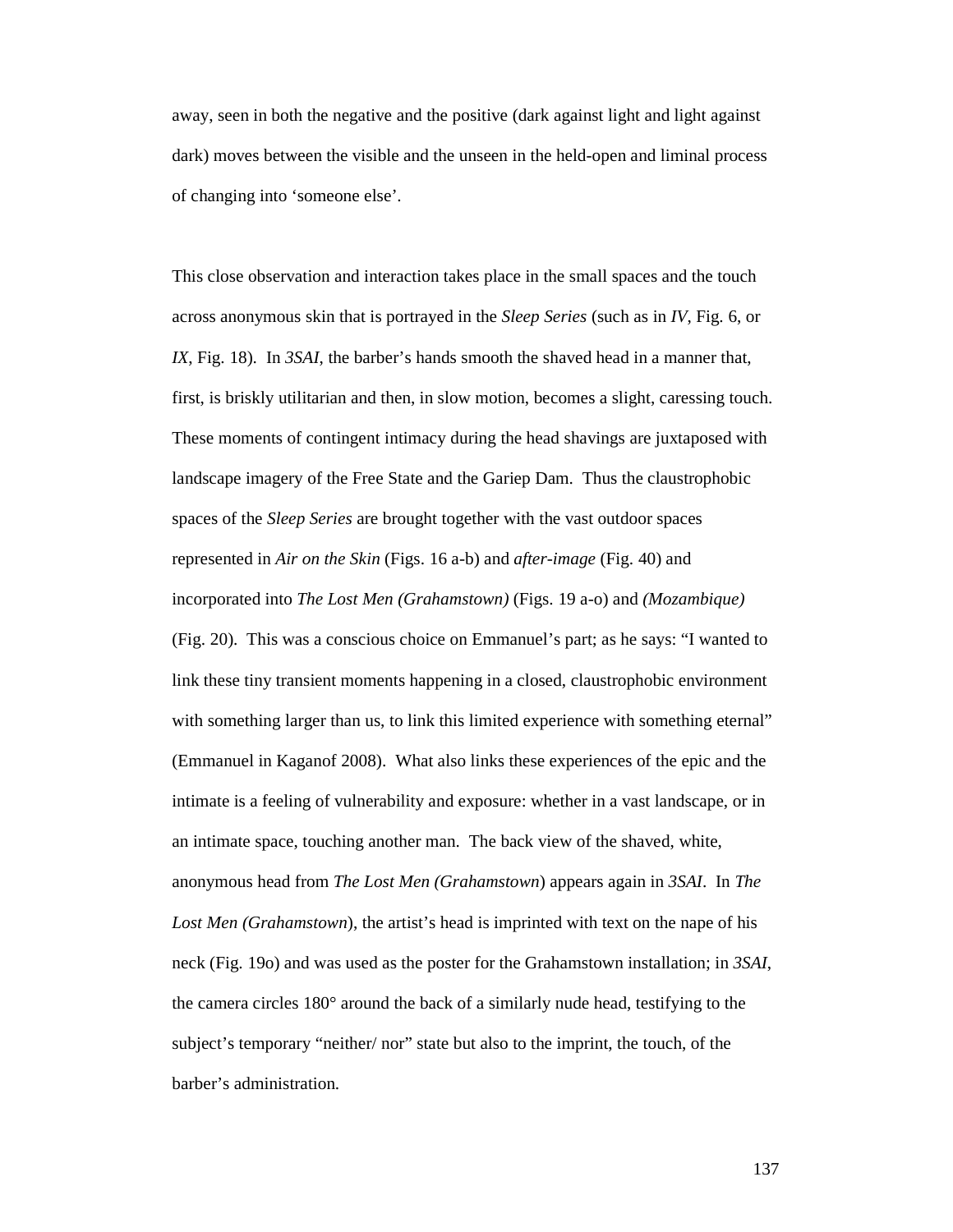away, seen in both the negative and the positive (dark against light and light against dark) moves between the visible and the unseen in the held-open and liminal process of changing into 'someone else'.

This close observation and interaction takes place in the small spaces and the touch across anonymous skin that is portrayed in the *Sleep Series* (such as in *IV*, Fig. 6, or *IX*, Fig. 18). In *3SAI*, the barber's hands smooth the shaved head in a manner that, first, is briskly utilitarian and then, in slow motion, becomes a slight, caressing touch. These moments of contingent intimacy during the head shavings are juxtaposed with landscape imagery of the Free State and the Gariep Dam. Thus the claustrophobic spaces of the *Sleep Series* are brought together with the vast outdoor spaces represented in *Air on the Skin* (Figs. 16 a-b) and *after-image* (Fig. 40) and incorporated into *The Lost Men (Grahamstown)* (Figs. 19 a-o) and *(Mozambique)*  (Fig. 20). This was a conscious choice on Emmanuel's part; as he says: "I wanted to link these tiny transient moments happening in a closed, claustrophobic environment with something larger than us, to link this limited experience with something eternal" (Emmanuel in Kaganof 2008). What also links these experiences of the epic and the intimate is a feeling of vulnerability and exposure: whether in a vast landscape, or in an intimate space, touching another man. The back view of the shaved, white, anonymous head from *The Lost Men (Grahamstown*) appears again in *3SAI*. In *The Lost Men (Grahamstown*), the artist's head is imprinted with text on the nape of his neck (Fig. 19o) and was used as the poster for the Grahamstown installation; in *3SAI*, the camera circles 180° around the back of a similarly nude head, testifying to the subject's temporary "neither/ nor" state but also to the imprint, the touch, of the barber's administration.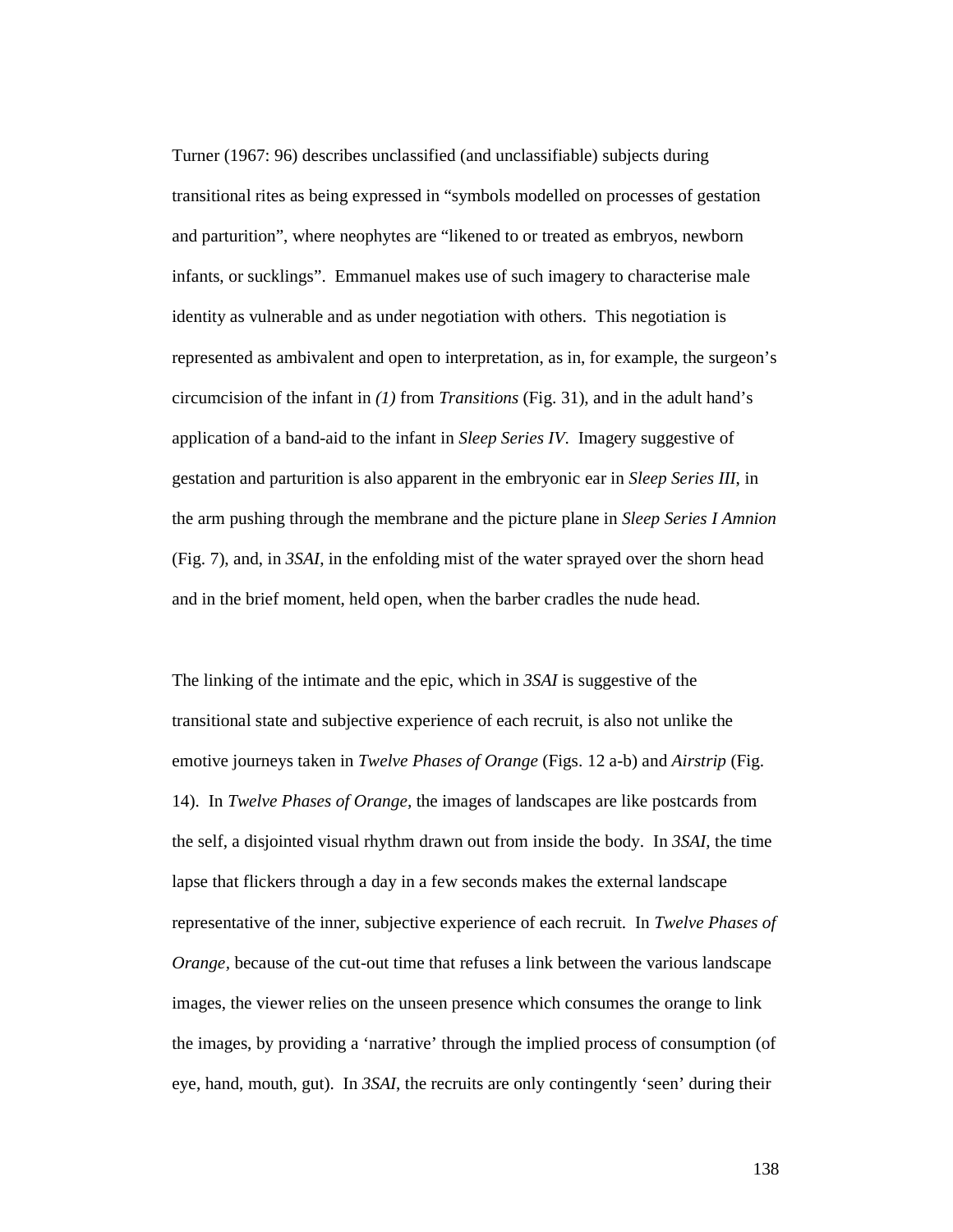Turner (1967: 96) describes unclassified (and unclassifiable) subjects during transitional rites as being expressed in "symbols modelled on processes of gestation and parturition", where neophytes are "likened to or treated as embryos, newborn infants, or sucklings". Emmanuel makes use of such imagery to characterise male identity as vulnerable and as under negotiation with others. This negotiation is represented as ambivalent and open to interpretation, as in, for example, the surgeon's circumcision of the infant in *(1)* from *Transitions* (Fig. 31), and in the adult hand's application of a band-aid to the infant in *Sleep Series IV*. Imagery suggestive of gestation and parturition is also apparent in the embryonic ear in *Sleep Series III*, in the arm pushing through the membrane and the picture plane in *Sleep Series I Amnion*  (Fig. 7), and, in *3SAI*, in the enfolding mist of the water sprayed over the shorn head and in the brief moment, held open, when the barber cradles the nude head.

The linking of the intimate and the epic, which in *3SAI* is suggestive of the transitional state and subjective experience of each recruit, is also not unlike the emotive journeys taken in *Twelve Phases of Orange* (Figs. 12 a-b) and *Airstrip* (Fig. 14). In *Twelve Phases of Orange,* the images of landscapes are like postcards from the self, a disjointed visual rhythm drawn out from inside the body. In *3SAI,* the time lapse that flickers through a day in a few seconds makes the external landscape representative of the inner, subjective experience of each recruit. In *Twelve Phases of Orange*, because of the cut-out time that refuses a link between the various landscape images, the viewer relies on the unseen presence which consumes the orange to link the images, by providing a 'narrative' through the implied process of consumption (of eye, hand, mouth, gut). In *3SAI*, the recruits are only contingently 'seen' during their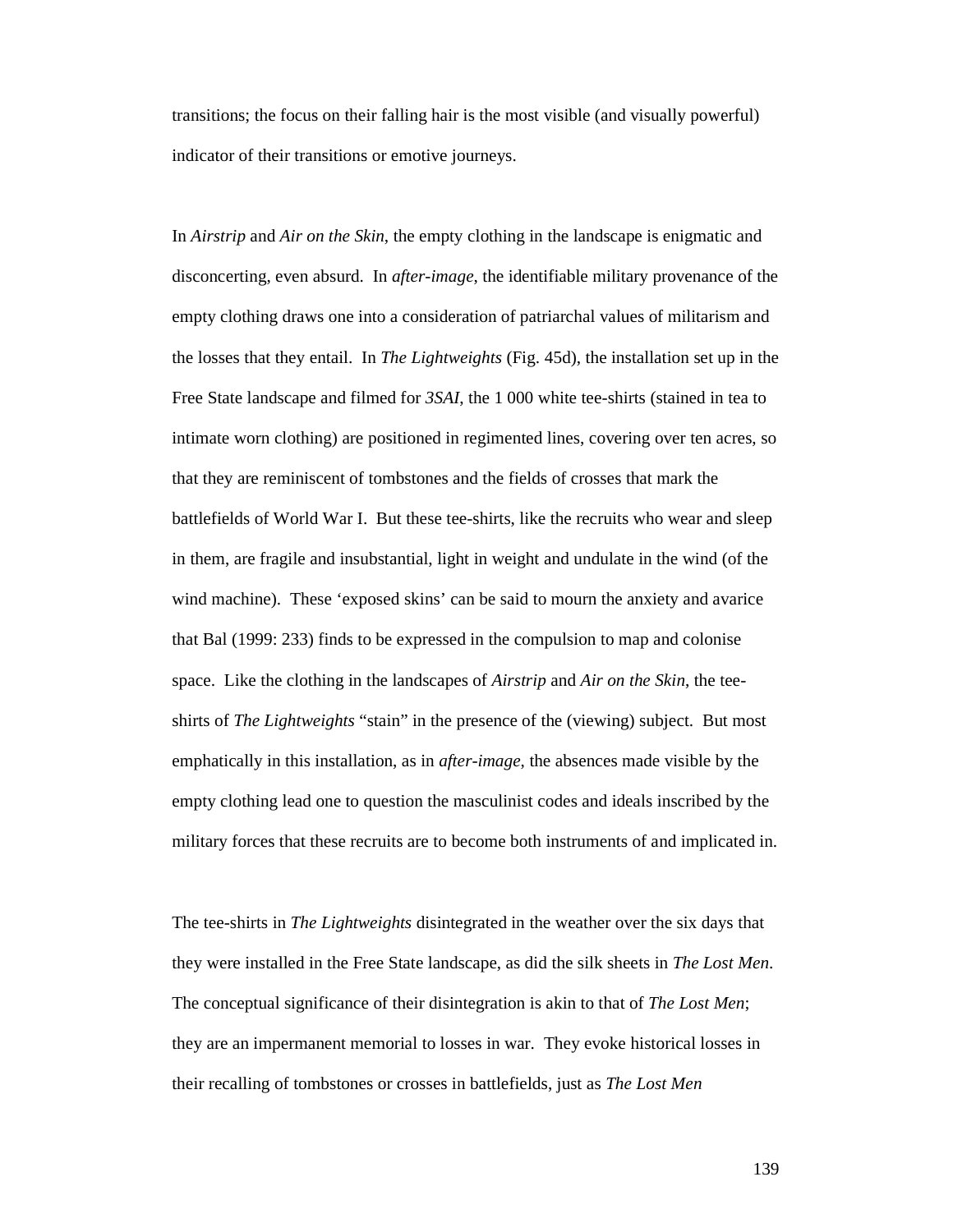transitions; the focus on their falling hair is the most visible (and visually powerful) indicator of their transitions or emotive journeys.

In *Airstrip* and *Air on the Skin*, the empty clothing in the landscape is enigmatic and disconcerting, even absurd. In *after-image*, the identifiable military provenance of the empty clothing draws one into a consideration of patriarchal values of militarism and the losses that they entail. In *The Lightweights* (Fig. 45d), the installation set up in the Free State landscape and filmed for *3SAI*, the 1 000 white tee-shirts (stained in tea to intimate worn clothing) are positioned in regimented lines, covering over ten acres, so that they are reminiscent of tombstones and the fields of crosses that mark the battlefields of World War I. But these tee-shirts, like the recruits who wear and sleep in them, are fragile and insubstantial, light in weight and undulate in the wind (of the wind machine). These 'exposed skins' can be said to mourn the anxiety and avarice that Bal (1999: 233) finds to be expressed in the compulsion to map and colonise space. Like the clothing in the landscapes of *Airstrip* and *Air on the Skin*, the teeshirts of *The Lightweights* "stain" in the presence of the (viewing) subject. But most emphatically in this installation, as in *after-image*, the absences made visible by the empty clothing lead one to question the masculinist codes and ideals inscribed by the military forces that these recruits are to become both instruments of and implicated in.

The tee-shirts in *The Lightweights* disintegrated in the weather over the six days that they were installed in the Free State landscape, as did the silk sheets in *The Lost Men*. The conceptual significance of their disintegration is akin to that of *The Lost Men*; they are an impermanent memorial to losses in war. They evoke historical losses in their recalling of tombstones or crosses in battlefields, just as *The Lost Men*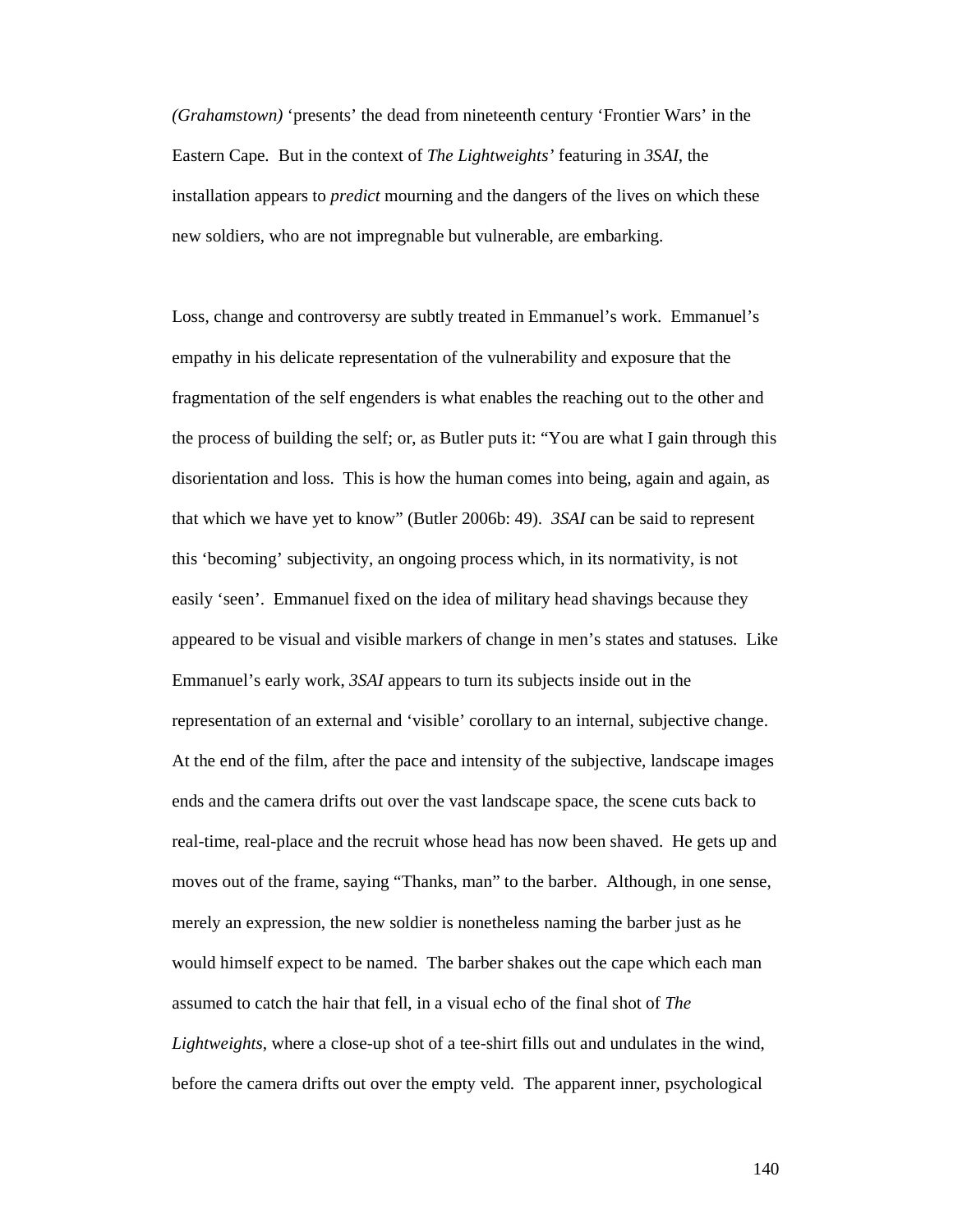*(Grahamstown)* 'presents' the dead from nineteenth century 'Frontier Wars' in the Eastern Cape. But in the context of *The Lightweights'* featuring in *3SAI*, the installation appears to *predict* mourning and the dangers of the lives on which these new soldiers, who are not impregnable but vulnerable, are embarking.

Loss, change and controversy are subtly treated in Emmanuel's work. Emmanuel's empathy in his delicate representation of the vulnerability and exposure that the fragmentation of the self engenders is what enables the reaching out to the other and the process of building the self; or, as Butler puts it: "You are what I gain through this disorientation and loss. This is how the human comes into being, again and again, as that which we have yet to know" (Butler 2006b: 49). *3SAI* can be said to represent this 'becoming' subjectivity, an ongoing process which, in its normativity, is not easily 'seen'. Emmanuel fixed on the idea of military head shavings because they appeared to be visual and visible markers of change in men's states and statuses. Like Emmanuel's early work, *3SAI* appears to turn its subjects inside out in the representation of an external and 'visible' corollary to an internal, subjective change. At the end of the film, after the pace and intensity of the subjective, landscape images ends and the camera drifts out over the vast landscape space, the scene cuts back to real-time, real-place and the recruit whose head has now been shaved. He gets up and moves out of the frame, saying "Thanks, man" to the barber. Although, in one sense, merely an expression, the new soldier is nonetheless naming the barber just as he would himself expect to be named. The barber shakes out the cape which each man assumed to catch the hair that fell, in a visual echo of the final shot of *The Lightweights*, where a close-up shot of a tee-shirt fills out and undulates in the wind, before the camera drifts out over the empty veld. The apparent inner, psychological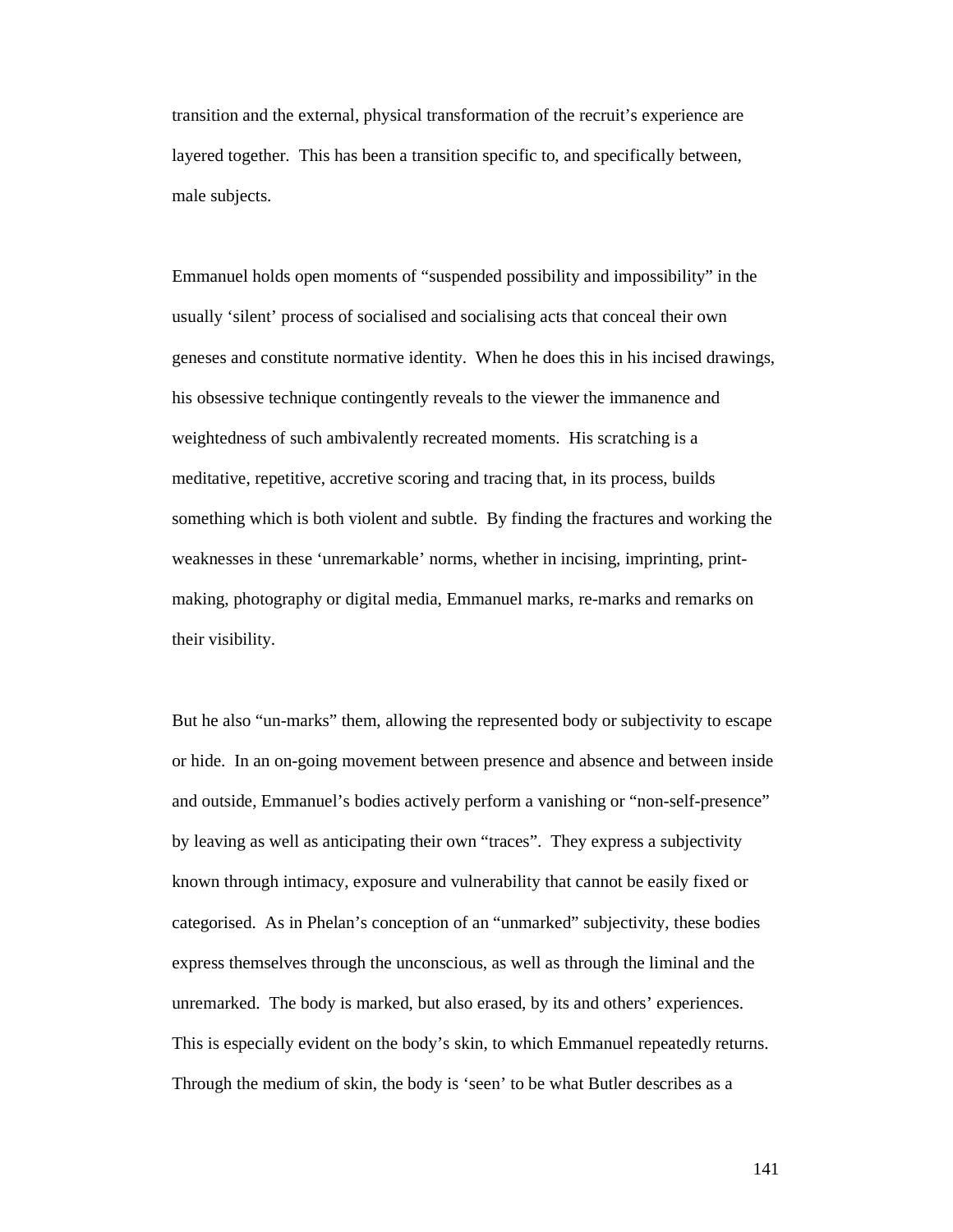transition and the external, physical transformation of the recruit's experience are layered together. This has been a transition specific to, and specifically between, male subjects.

Emmanuel holds open moments of "suspended possibility and impossibility" in the usually 'silent' process of socialised and socialising acts that conceal their own geneses and constitute normative identity. When he does this in his incised drawings, his obsessive technique contingently reveals to the viewer the immanence and weightedness of such ambivalently recreated moments. His scratching is a meditative, repetitive, accretive scoring and tracing that, in its process, builds something which is both violent and subtle. By finding the fractures and working the weaknesses in these 'unremarkable' norms, whether in incising, imprinting, printmaking, photography or digital media, Emmanuel marks, re-marks and remarks on their visibility.

But he also "un-marks" them, allowing the represented body or subjectivity to escape or hide. In an on-going movement between presence and absence and between inside and outside, Emmanuel's bodies actively perform a vanishing or "non-self-presence" by leaving as well as anticipating their own "traces". They express a subjectivity known through intimacy, exposure and vulnerability that cannot be easily fixed or categorised. As in Phelan's conception of an "unmarked" subjectivity, these bodies express themselves through the unconscious, as well as through the liminal and the unremarked. The body is marked, but also erased, by its and others' experiences. This is especially evident on the body's skin, to which Emmanuel repeatedly returns. Through the medium of skin, the body is 'seen' to be what Butler describes as a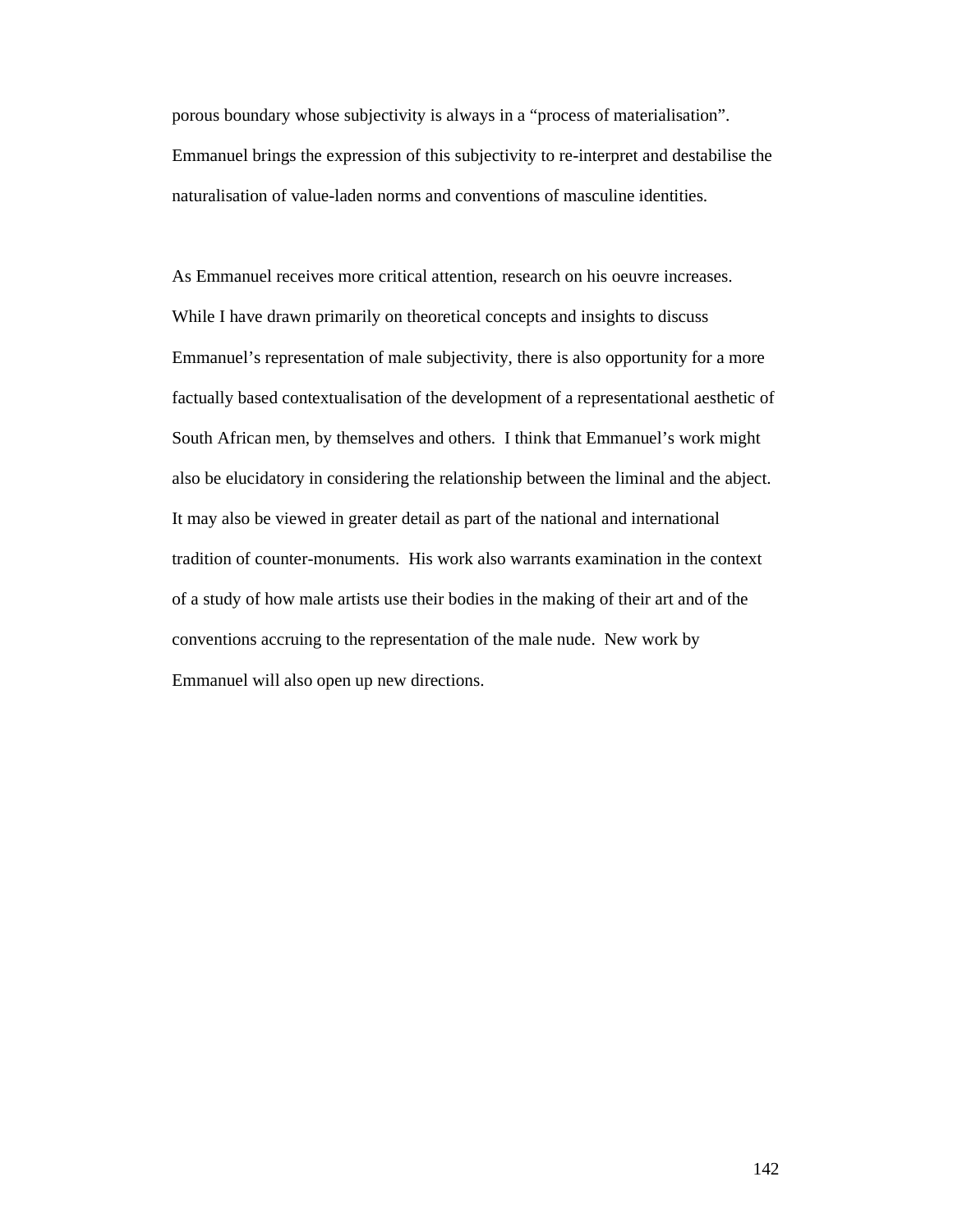porous boundary whose subjectivity is always in a "process of materialisation". Emmanuel brings the expression of this subjectivity to re-interpret and destabilise the naturalisation of value-laden norms and conventions of masculine identities.

As Emmanuel receives more critical attention, research on his oeuvre increases. While I have drawn primarily on theoretical concepts and insights to discuss Emmanuel's representation of male subjectivity, there is also opportunity for a more factually based contextualisation of the development of a representational aesthetic of South African men, by themselves and others. I think that Emmanuel's work might also be elucidatory in considering the relationship between the liminal and the abject. It may also be viewed in greater detail as part of the national and international tradition of counter-monuments. His work also warrants examination in the context of a study of how male artists use their bodies in the making of their art and of the conventions accruing to the representation of the male nude. New work by Emmanuel will also open up new directions.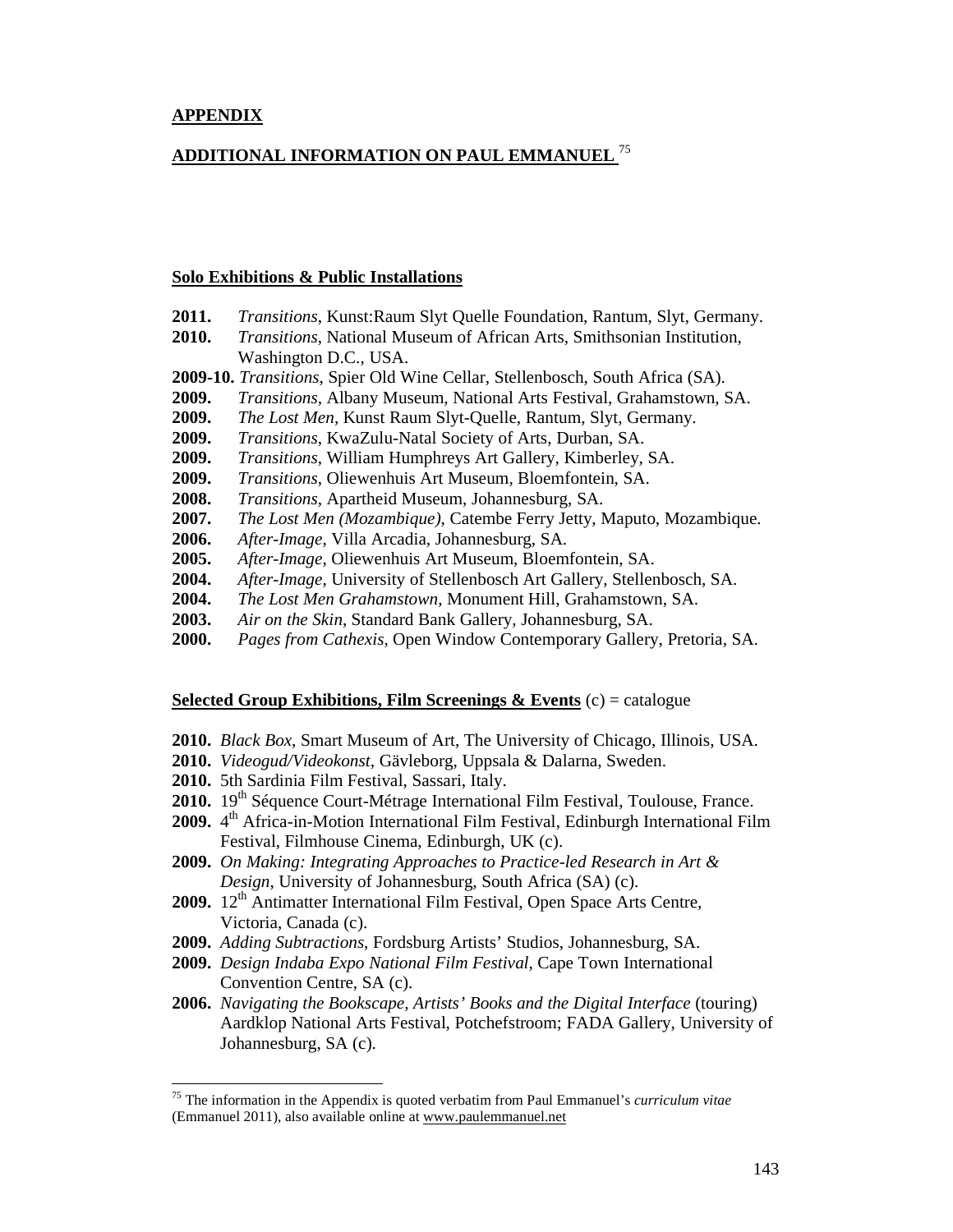# **ADDITIONAL INFORMATION ON PAUL EMMANUEL** <sup>75</sup>

#### **Solo Exhibitions & Public Installations**

| 2011. |  | <i>Transitions</i> , Kunst: Raum Slyt Quelle Foundation, Rantum, Slyt, Germany. |  |  |  |  |  |  |  |
|-------|--|---------------------------------------------------------------------------------|--|--|--|--|--|--|--|
|-------|--|---------------------------------------------------------------------------------|--|--|--|--|--|--|--|

- **2010.** *Transitions*, National Museum of African Arts, Smithsonian Institution, Washington D.C., USA.
- **2009-10.** *Transitions*, Spier Old Wine Cellar, Stellenbosch, South Africa (SA).
- **2009.** *Transitions,* Albany Museum, National Arts Festival, Grahamstown, SA.
- **2009.** *The Lost Men*, Kunst Raum Slyt-Quelle, Rantum, Slyt, Germany.
- **2009.** *Transitions*, KwaZulu-Natal Society of Arts, Durban, SA.
- **2009.** *Transitions*, William Humphreys Art Gallery, Kimberley, SA.
- **2009.** *Transitions*, Oliewenhuis Art Museum, Bloemfontein, SA.
- **2008.** *Transitions*, Apartheid Museum, Johannesburg, SA.
- **2007.** *The Lost Men (Mozambique)*, Catembe Ferry Jetty, Maputo, Mozambique.
- **2006.** *After-Image*, Villa Arcadia, Johannesburg, SA.
- **2005.** *After-Image*, Oliewenhuis Art Museum, Bloemfontein, SA.
- **2004.** *After-Image*, University of Stellenbosch Art Gallery, Stellenbosch, SA.
- **2004.** *The Lost Men Grahamstown*, Monument Hill, Grahamstown, SA.
- **2003.** *Air on the Skin*, Standard Bank Gallery, Johannesburg, SA.
- **2000.** *Pages from Cathexis*, Open Window Contemporary Gallery, Pretoria, SA.

## **Selected Group Exhibitions, Film Screenings & Events** (c) = catalogue

- **2010.** *Black Box*, Smart Museum of Art, The University of Chicago, Illinois, USA.
- **2010.** *Videogud/Videokonst*, Gävleborg, Uppsala & Dalarna, Sweden.
- **2010.** 5th Sardinia Film Festival, Sassari, Italy.

-

- 2010. 19<sup>th</sup> Séquence Court-Métrage International Film Festival, Toulouse, France.
- 2009. 4<sup>th</sup> Africa-in-Motion International Film Festival, Edinburgh International Film Festival, Filmhouse Cinema, Edinburgh, UK (c).
- **2009.** *On Making: Integrating Approaches to Practice-led Research in Art & Design*, University of Johannesburg, South Africa (SA) (c).
- 2009. 12<sup>th</sup> Antimatter International Film Festival, Open Space Arts Centre, Victoria, Canada (c).
- **2009.** *Adding Subtractions*, Fordsburg Artists' Studios, Johannesburg, SA.
- **2009.** *Design Indaba Expo National Film Festival*, Cape Town International Convention Centre, SA (c).
- **2006.** *Navigating the Bookscape, Artists' Books and the Digital Interface* (touring) Aardklop National Arts Festival, Potchefstroom; FADA Gallery, University of Johannesburg, SA (c).

<sup>75</sup> The information in the Appendix is quoted verbatim from Paul Emmanuel's *curriculum vitae* (Emmanuel 2011), also available online at www.paulemmanuel.net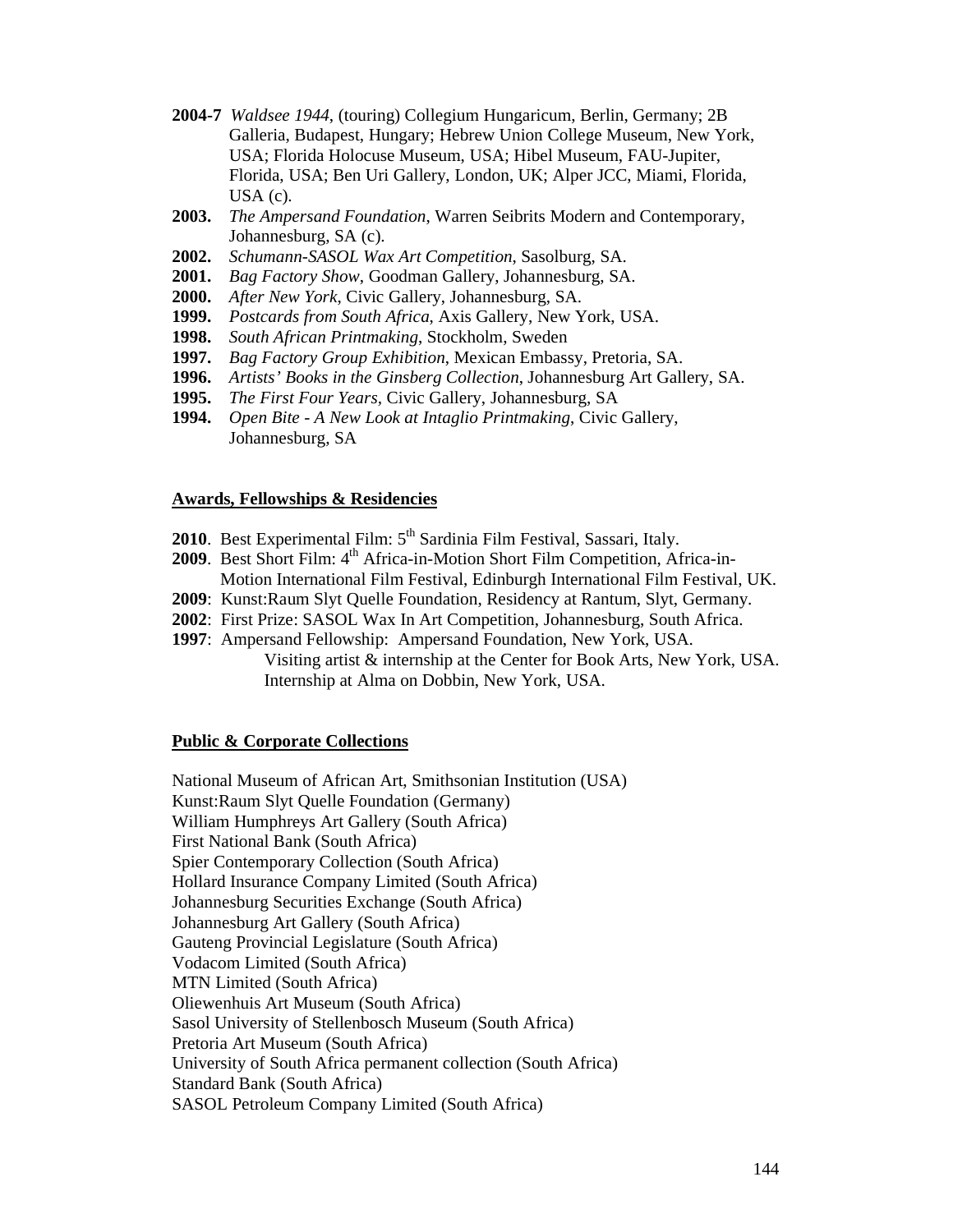- **2004-7** *Waldsee 1944*, (touring) Collegium Hungaricum, Berlin, Germany; 2B Galleria, Budapest, Hungary; Hebrew Union College Museum, New York, USA; Florida Holocuse Museum, USA; Hibel Museum, FAU-Jupiter, Florida, USA; Ben Uri Gallery, London, UK; Alper JCC, Miami, Florida, USA (c).
- **2003.** *The Ampersand Foundation*, Warren Seibrits Modern and Contemporary, Johannesburg, SA (c).
- **2002.** *Schumann-SASOL Wax Art Competition*, Sasolburg, SA.
- **2001.** *Bag Factory Show*, Goodman Gallery, Johannesburg, SA.
- **2000.** *After New York*, Civic Gallery, Johannesburg, SA.
- **1999.** *Postcards from South Africa*, Axis Gallery, New York, USA.
- **1998.** *South African Printmaking*, Stockholm, Sweden
- **1997.** *Bag Factory Group Exhibition*, Mexican Embassy, Pretoria, SA.
- **1996.** *Artists' Books in the Ginsberg Collection*, Johannesburg Art Gallery, SA.
- **1995.** *The First Four Years,* Civic Gallery, Johannesburg, SA
- **1994.** *Open Bite A New Look at Intaglio Printmaking*, Civic Gallery, Johannesburg, SA

### **Awards, Fellowships & Residencies**

- 2010. Best Experimental Film: 5<sup>th</sup> Sardinia Film Festival, Sassari, Italy.
- **2009**. Best Short Film: 4<sup>th</sup> Africa-in-Motion Short Film Competition, Africa-in-Motion International Film Festival, Edinburgh International Film Festival, UK.
- **2009**: Kunst:Raum Slyt Quelle Foundation, Residency at Rantum, Slyt, Germany.
- **2002**: First Prize: SASOL Wax In Art Competition, Johannesburg, South Africa.
- **1997**: Ampersand Fellowship: Ampersand Foundation, New York, USA.
	- Visiting artist & internship at the Center for Book Arts, New York, USA. Internship at Alma on Dobbin, New York, USA.

## **Public & Corporate Collections**

National Museum of African Art, Smithsonian Institution (USA) Kunst:Raum Slyt Quelle Foundation (Germany) William Humphreys Art Gallery (South Africa) First National Bank (South Africa) Spier Contemporary Collection (South Africa) Hollard Insurance Company Limited (South Africa) Johannesburg Securities Exchange (South Africa) Johannesburg Art Gallery (South Africa) Gauteng Provincial Legislature (South Africa) Vodacom Limited (South Africa) MTN Limited (South Africa) Oliewenhuis Art Museum (South Africa) Sasol University of Stellenbosch Museum (South Africa) Pretoria Art Museum (South Africa) University of South Africa permanent collection (South Africa) Standard Bank (South Africa) SASOL Petroleum Company Limited (South Africa)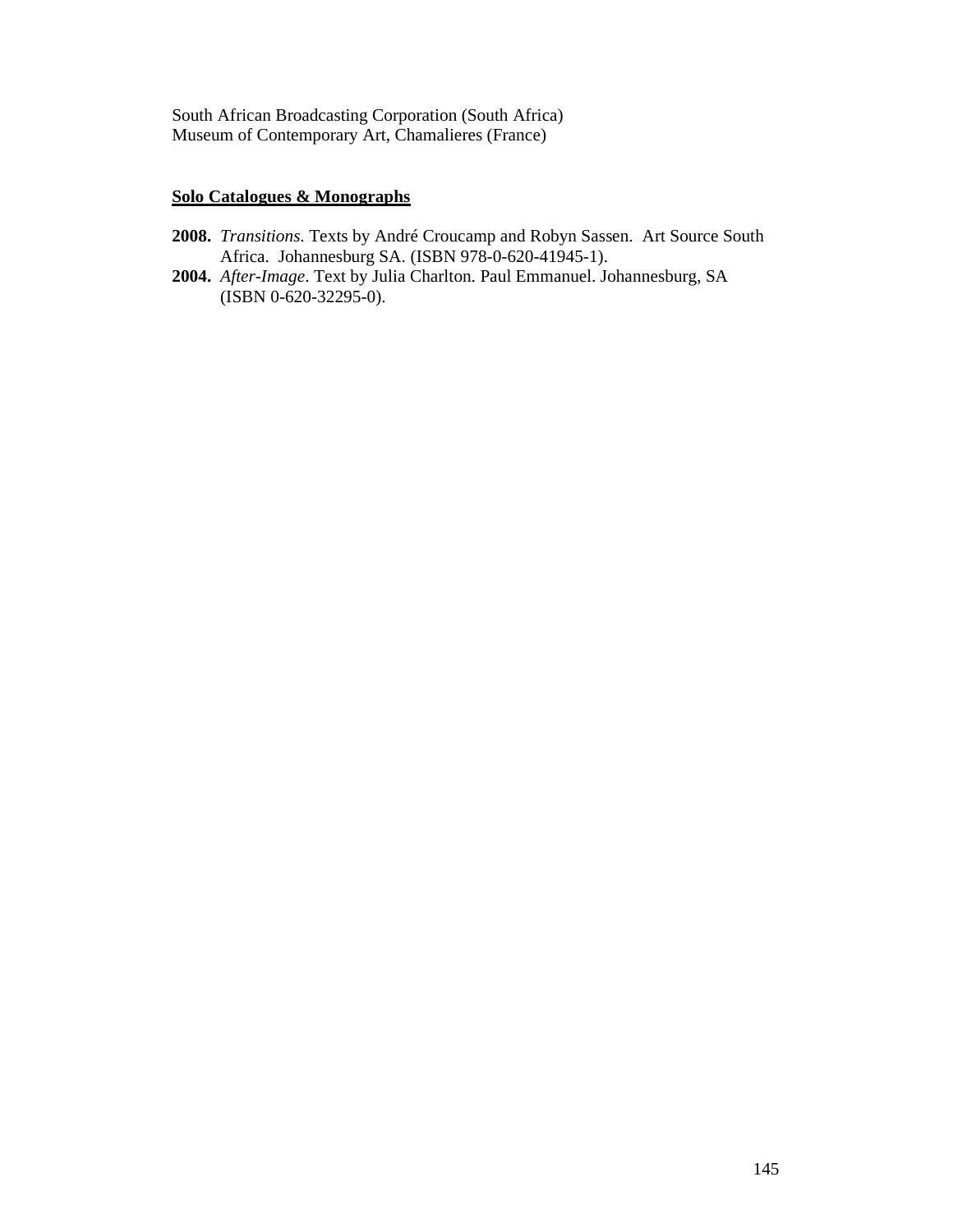South African Broadcasting Corporation (South Africa) Museum of Contemporary Art, Chamalieres (France)

# **Solo Catalogues & Monographs**

- **2008.** *Transitions*. Texts by André Croucamp and Robyn Sassen. Art Source South Africa. Johannesburg SA. (ISBN 978-0-620-41945-1).
- **2004.** *After-Image*. Text by Julia Charlton. Paul Emmanuel. Johannesburg, SA (ISBN 0-620-32295-0).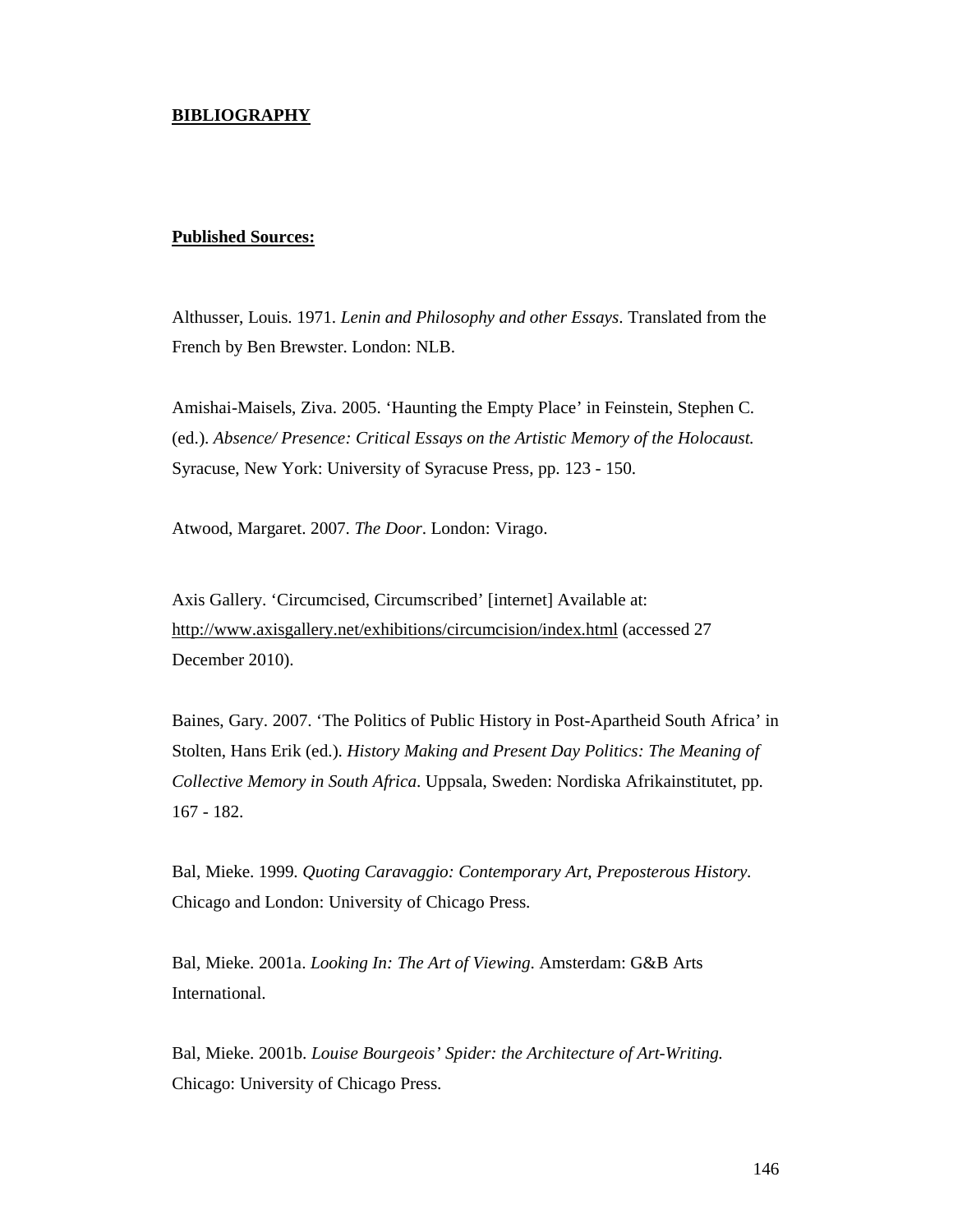## **BIBLIOGRAPHY**

#### **Published Sources:**

Althusser, Louis. 1971. *Lenin and Philosophy and other Essays*. Translated from the French by Ben Brewster. London: NLB.

Amishai-Maisels, Ziva. 2005. 'Haunting the Empty Place' in Feinstein, Stephen C. (ed.). *Absence/ Presence: Critical Essays on the Artistic Memory of the Holocaust.* Syracuse, New York: University of Syracuse Press, pp. 123 - 150.

Atwood, Margaret. 2007. *The Door*. London: Virago.

Axis Gallery. 'Circumcised, Circumscribed' [internet] Available at: http://www.axisgallery.net/exhibitions/circumcision/index.html (accessed 27 December 2010).

Baines, Gary. 2007. 'The Politics of Public History in Post-Apartheid South Africa' in Stolten, Hans Erik (ed.). *History Making and Present Day Politics: The Meaning of Collective Memory in South Africa*. Uppsala, Sweden: Nordiska Afrikainstitutet, pp. 167 - 182.

Bal, Mieke. 1999. *Quoting Caravaggio: Contemporary Art, Preposterous History.*  Chicago and London: University of Chicago Press.

Bal, Mieke. 2001a. *Looking In: The Art of Viewing*. Amsterdam: G&B Arts International.

Bal, Mieke. 2001b. *Louise Bourgeois' Spider: the Architecture of Art-Writing.* Chicago: University of Chicago Press.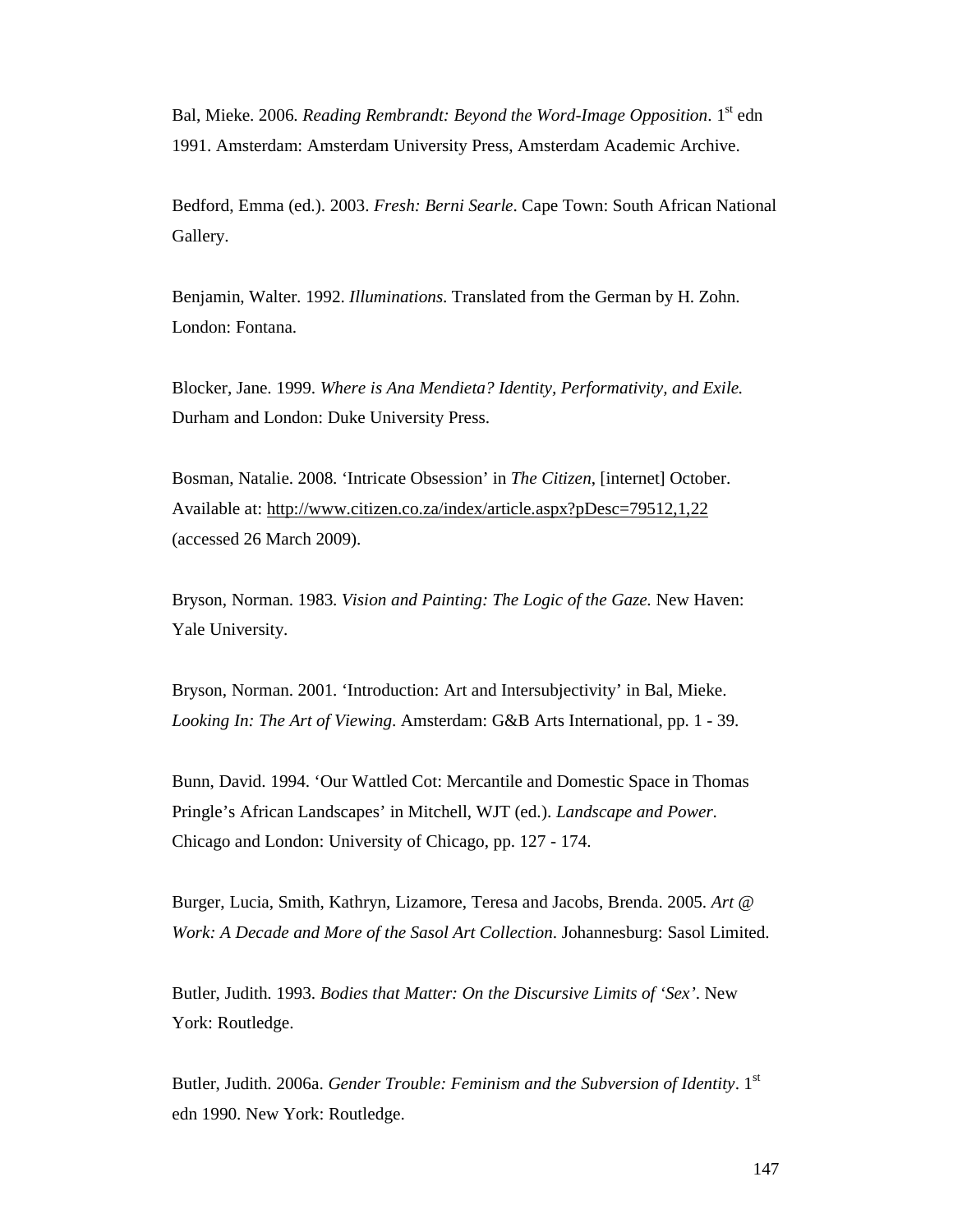Bal, Mieke. 2006. *Reading Rembrandt: Beyond the Word-Image Opposition*. 1<sup>st</sup> edn 1991. Amsterdam: Amsterdam University Press, Amsterdam Academic Archive.

Bedford, Emma (ed.). 2003. *Fresh: Berni Searle*. Cape Town: South African National Gallery.

Benjamin, Walter. 1992. *Illuminations*. Translated from the German by H. Zohn. London: Fontana.

Blocker, Jane. 1999. *Where is Ana Mendieta? Identity, Performativity, and Exile.*  Durham and London: Duke University Press.

Bosman, Natalie. 2008. 'Intricate Obsession' in *The Citizen*, [internet] October. Available at: http://www.citizen.co.za/index/article.aspx?pDesc=79512,1,22 (accessed 26 March 2009).

Bryson, Norman. 1983. *Vision and Painting: The Logic of the Gaze.* New Haven: Yale University.

Bryson, Norman. 2001. 'Introduction: Art and Intersubjectivity' in Bal, Mieke. *Looking In: The Art of Viewing*. Amsterdam: G&B Arts International, pp. 1 - 39.

Bunn, David. 1994. 'Our Wattled Cot: Mercantile and Domestic Space in Thomas Pringle's African Landscapes' in Mitchell, WJT (ed.). *Landscape and Power*. Chicago and London: University of Chicago, pp. 127 - 174.

Burger, Lucia, Smith, Kathryn, Lizamore, Teresa and Jacobs, Brenda. 2005. *Art @ Work: A Decade and More of the Sasol Art Collection*. Johannesburg: Sasol Limited.

Butler, Judith. 1993. *Bodies that Matter: On the Discursive Limits of 'Sex'*. New York: Routledge.

Butler, Judith. 2006a. *Gender Trouble: Feminism and the Subversion of Identity*. 1st edn 1990. New York: Routledge.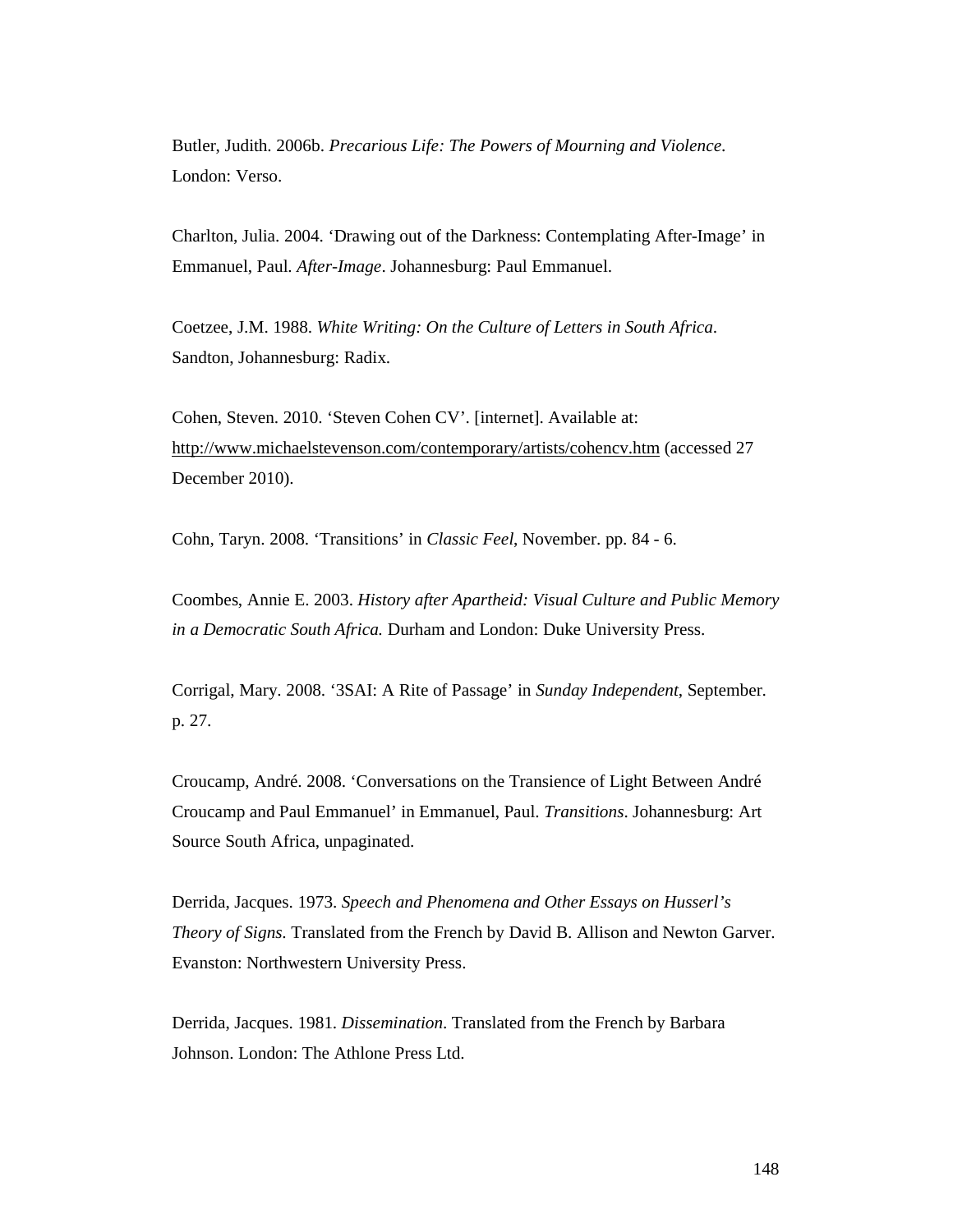Butler, Judith. 2006b. *Precarious Life: The Powers of Mourning and Violence*. London: Verso.

Charlton, Julia. 2004. 'Drawing out of the Darkness: Contemplating After-Image' in Emmanuel, Paul. *After-Image*. Johannesburg: Paul Emmanuel.

Coetzee, J.M. 1988. *White Writing: On the Culture of Letters in South Africa*. Sandton, Johannesburg: Radix.

Cohen, Steven. 2010. 'Steven Cohen CV'. [internet]. Available at: http://www.michaelstevenson.com/contemporary/artists/cohencv.htm (accessed 27 December 2010).

Cohn, Taryn. 2008. 'Transitions' in *Classic Feel*, November. pp. 84 - 6.

Coombes, Annie E. 2003. *History after Apartheid: Visual Culture and Public Memory in a Democratic South Africa.* Durham and London: Duke University Press.

Corrigal, Mary. 2008. '3SAI: A Rite of Passage' in *Sunday Independent*, September. p. 27.

Croucamp, André. 2008. 'Conversations on the Transience of Light Between André Croucamp and Paul Emmanuel' in Emmanuel, Paul. *Transitions*. Johannesburg: Art Source South Africa, unpaginated.

Derrida, Jacques. 1973. *Speech and Phenomena and Other Essays on Husserl's Theory of Signs*. Translated from the French by David B. Allison and Newton Garver. Evanston: Northwestern University Press.

Derrida, Jacques. 1981. *Dissemination*. Translated from the French by Barbara Johnson. London: The Athlone Press Ltd.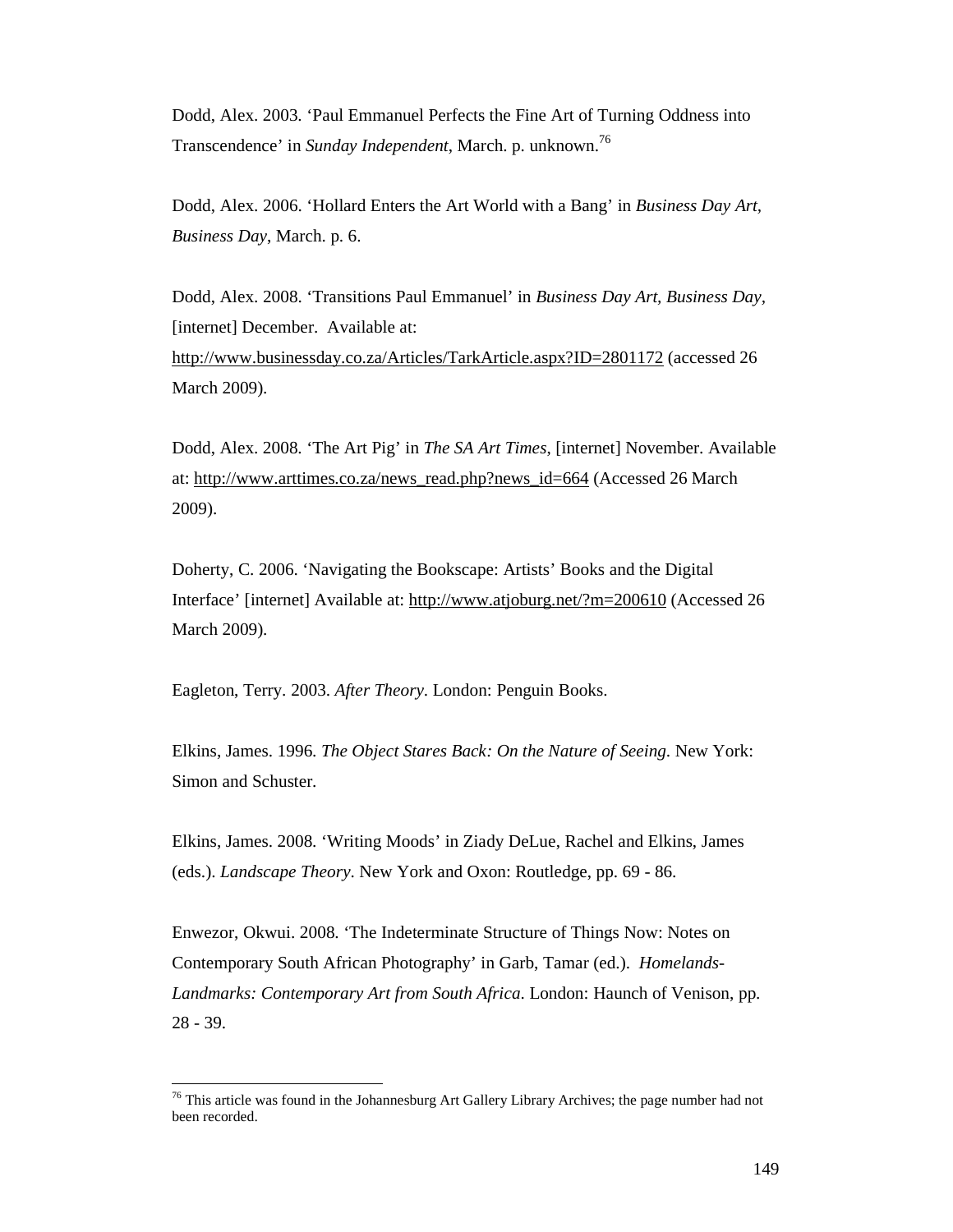Dodd, Alex. 2003. 'Paul Emmanuel Perfects the Fine Art of Turning Oddness into Transcendence' in *Sunday Independent*, March. p. unknown.<sup>76</sup>

Dodd, Alex. 2006. 'Hollard Enters the Art World with a Bang' in *Business Day Art, Business Day*, March. p. 6.

Dodd, Alex. 2008. 'Transitions Paul Emmanuel' in *Business Day Art, Business Day,* [internet] December. Available at: http://www.businessday.co.za/Articles/TarkArticle.aspx?ID=2801172 (accessed 26 March 2009).

Dodd, Alex. 2008. 'The Art Pig' in *The SA Art Times*, [internet] November. Available at: http://www.arttimes.co.za/news\_read.php?news\_id=664 (Accessed 26 March 2009).

Doherty, C. 2006. 'Navigating the Bookscape: Artists' Books and the Digital Interface' [internet] Available at: http://www.atjoburg.net/?m=200610 (Accessed 26 March 2009).

Eagleton, Terry. 2003. *After Theory*. London: Penguin Books.

-

Elkins, James. 1996. *The Object Stares Back: On the Nature of Seeing*. New York: Simon and Schuster.

Elkins, James. 2008. 'Writing Moods' in Ziady DeLue, Rachel and Elkins, James (eds.). *Landscape Theory*. New York and Oxon: Routledge, pp. 69 - 86.

Enwezor, Okwui. 2008. 'The Indeterminate Structure of Things Now: Notes on Contemporary South African Photography' in Garb, Tamar (ed.). *Homelands-Landmarks: Contemporary Art from South Africa*. London: Haunch of Venison, pp. 28 - 39.

 $76$  This article was found in the Johannesburg Art Gallery Library Archives; the page number had not been recorded.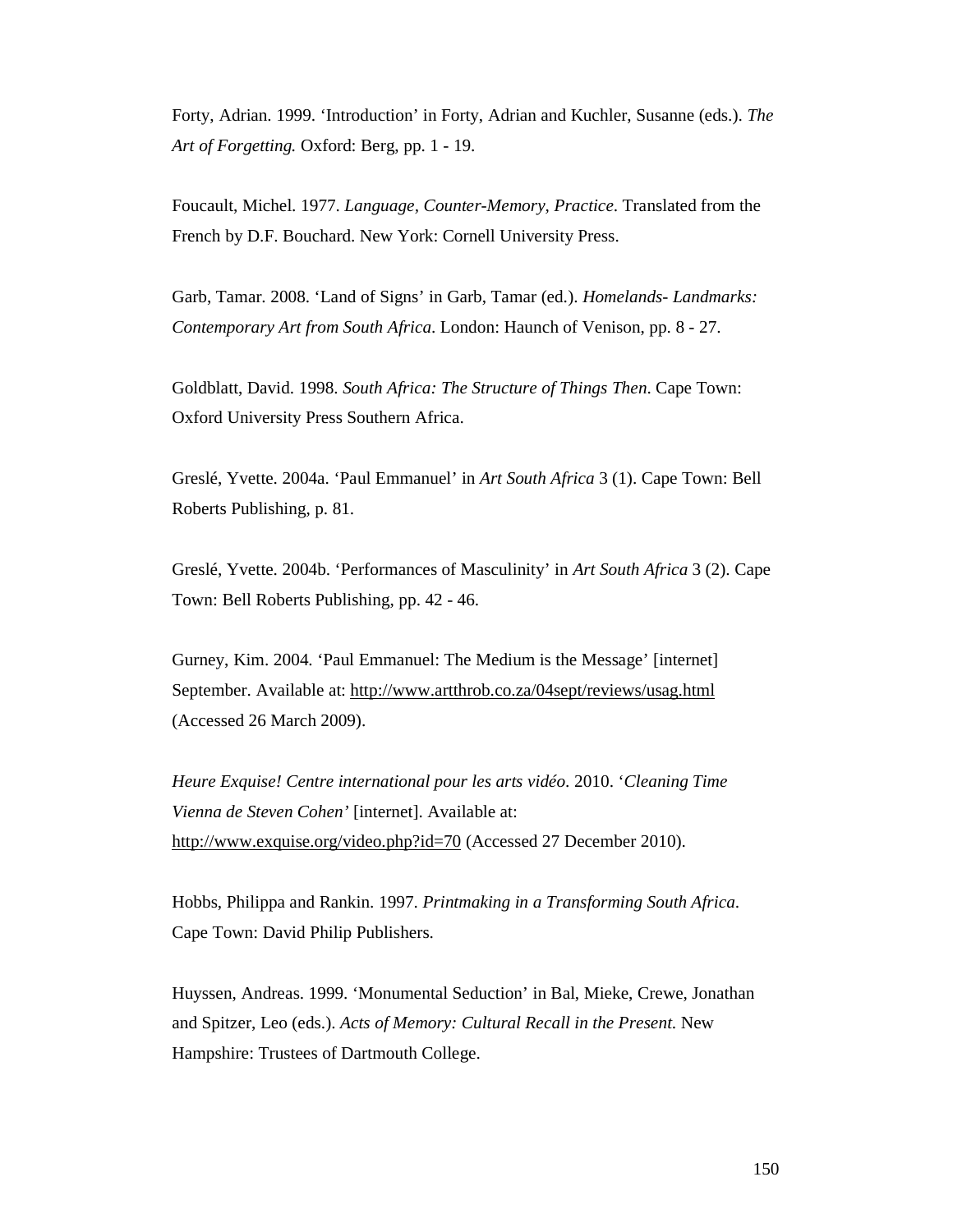Forty, Adrian. 1999. 'Introduction' in Forty, Adrian and Kuchler, Susanne (eds.). *The Art of Forgetting.* Oxford: Berg, pp. 1 - 19.

Foucault, Michel. 1977. *Language, Counter-Memory, Practice*. Translated from the French by D.F. Bouchard. New York: Cornell University Press.

Garb, Tamar. 2008. 'Land of Signs' in Garb, Tamar (ed.). *Homelands- Landmarks: Contemporary Art from South Africa*. London: Haunch of Venison, pp. 8 - 27.

Goldblatt, David. 1998. *South Africa: The Structure of Things Then*. Cape Town: Oxford University Press Southern Africa.

Greslé, Yvette. 2004a. 'Paul Emmanuel' in *Art South Africa* 3 (1). Cape Town: Bell Roberts Publishing, p. 81.

Greslé, Yvette. 2004b. 'Performances of Masculinity' in *Art South Africa* 3 (2). Cape Town: Bell Roberts Publishing, pp. 42 - 46.

Gurney, Kim. 2004. 'Paul Emmanuel: The Medium is the Message' [internet] September. Available at: http://www.artthrob.co.za/04sept/reviews/usag.html (Accessed 26 March 2009).

*Heure Exquise! Centre international pour les arts vidéo*. 2010. '*Cleaning Time Vienna de Steven Cohen'* [internet]. Available at: http://www.exquise.org/video.php?id=70 (Accessed 27 December 2010).

Hobbs, Philippa and Rankin. 1997. *Printmaking in a Transforming South Africa*. Cape Town: David Philip Publishers.

Huyssen, Andreas. 1999. 'Monumental Seduction' in Bal, Mieke, Crewe, Jonathan and Spitzer, Leo (eds.). *Acts of Memory: Cultural Recall in the Present*. New Hampshire: Trustees of Dartmouth College.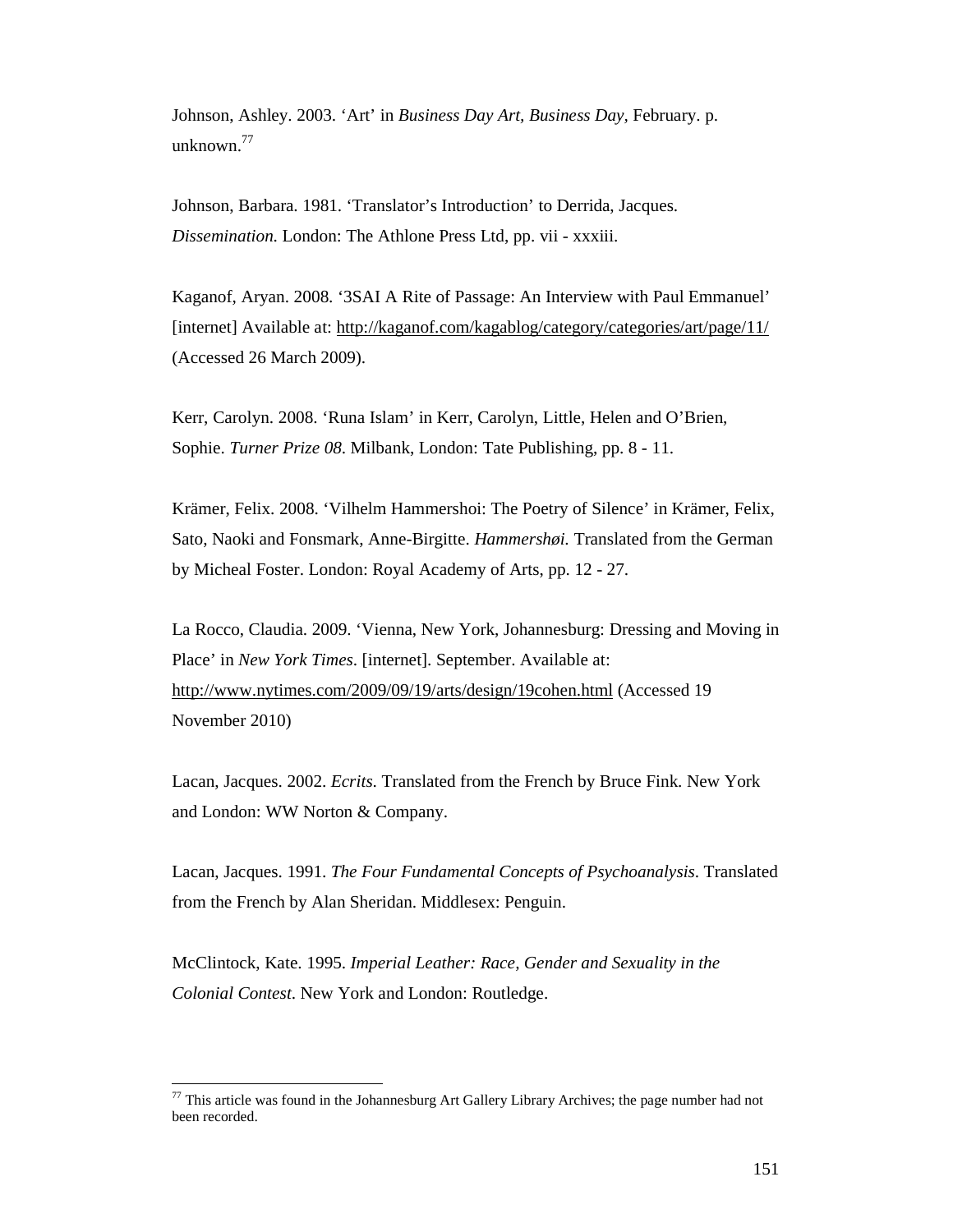Johnson, Ashley. 2003. 'Art' in *Business Day Art, Business Day,* February. p. unknown. $^{77}$ 

Johnson, Barbara. 1981. 'Translator's Introduction' to Derrida, Jacques. *Dissemination*. London: The Athlone Press Ltd, pp. vii - xxxiii.

Kaganof, Aryan. 2008. '3SAI A Rite of Passage: An Interview with Paul Emmanuel' [internet] Available at: http://kaganof.com/kagablog/category/categories/art/page/11/ (Accessed 26 March 2009).

Kerr, Carolyn. 2008. 'Runa Islam' in Kerr, Carolyn, Little, Helen and O'Brien, Sophie. *Turner Prize 08*. Milbank, London: Tate Publishing, pp. 8 - 11.

Krämer, Felix. 2008. 'Vilhelm Hammershoi: The Poetry of Silence' in Krämer, Felix, Sato, Naoki and Fonsmark, Anne-Birgitte. *Hammershøi.* Translated from the German by Micheal Foster. London: Royal Academy of Arts, pp. 12 - 27.

La Rocco, Claudia. 2009. 'Vienna, New York, Johannesburg: Dressing and Moving in Place' in *New York Times*. [internet]. September. Available at: http://www.nytimes.com/2009/09/19/arts/design/19cohen.html (Accessed 19 November 2010)

Lacan, Jacques. 2002. *Ecrits*. Translated from the French by Bruce Fink. New York and London: WW Norton & Company.

Lacan, Jacques. 1991. *The Four Fundamental Concepts of Psychoanalysis*. Translated from the French by Alan Sheridan. Middlesex: Penguin.

McClintock, Kate. 1995. *Imperial Leather: Race, Gender and Sexuality in the Colonial Contest*. New York and London: Routledge.

-

 $77$  This article was found in the Johannesburg Art Gallery Library Archives; the page number had not been recorded.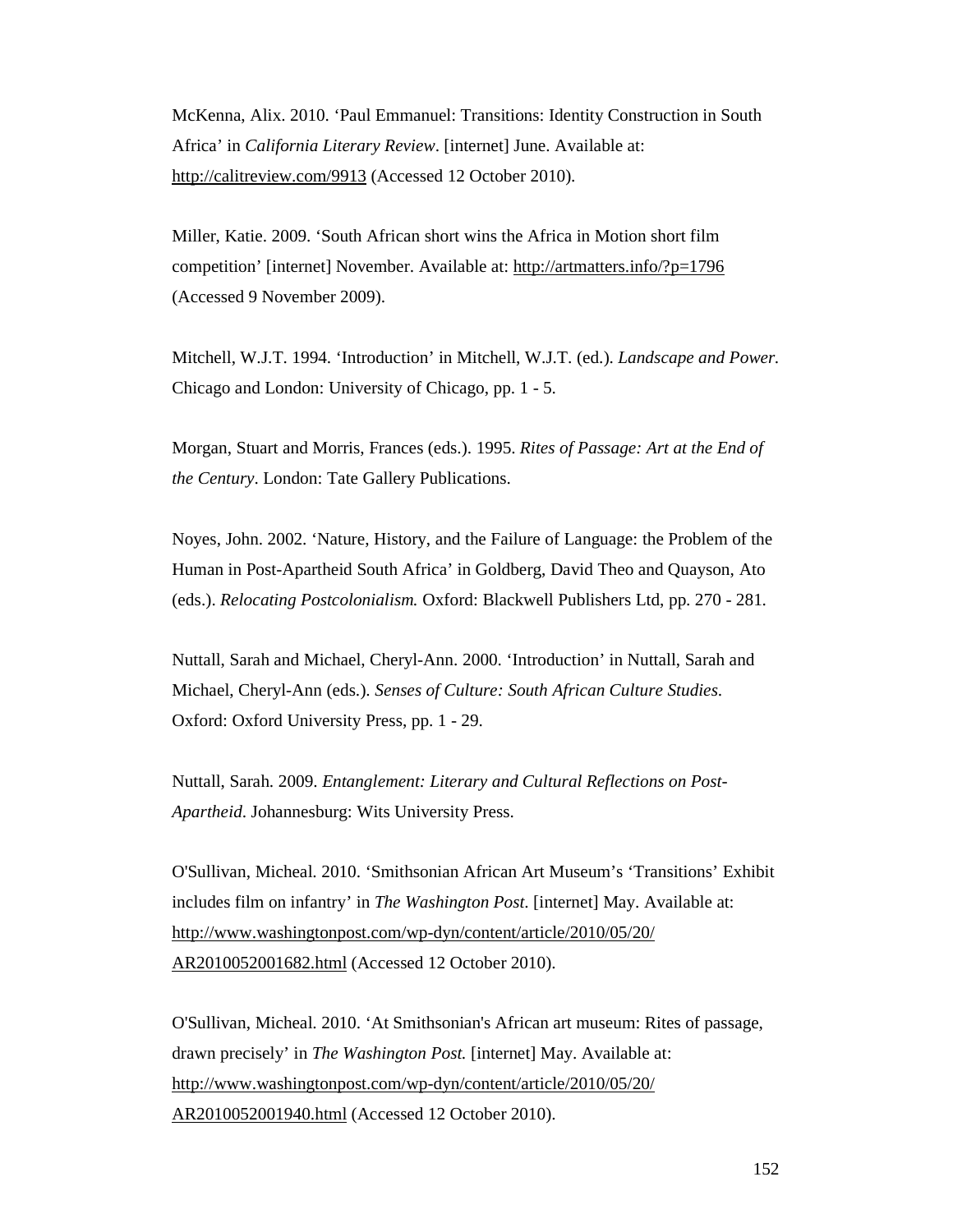McKenna, Alix. 2010. 'Paul Emmanuel: Transitions: Identity Construction in South Africa' in *California Literary Review*. [internet] June. Available at: http://calitreview.com/9913 (Accessed 12 October 2010).

Miller, Katie. 2009. 'South African short wins the Africa in Motion short film competition' [internet] November. Available at: http://artmatters.info/?p=1796 (Accessed 9 November 2009).

Mitchell, W.J.T. 1994. 'Introduction' in Mitchell, W.J.T. (ed.). *Landscape and Power.* Chicago and London: University of Chicago, pp. 1 - 5.

Morgan, Stuart and Morris, Frances (eds.). 1995. *Rites of Passage: Art at the End of the Century*. London: Tate Gallery Publications.

Noyes, John. 2002. 'Nature, History, and the Failure of Language: the Problem of the Human in Post-Apartheid South Africa' in Goldberg, David Theo and Quayson, Ato (eds.). *Relocating Postcolonialism.* Oxford: Blackwell Publishers Ltd, pp. 270 - 281.

Nuttall, Sarah and Michael, Cheryl-Ann. 2000. 'Introduction' in Nuttall, Sarah and Michael, Cheryl-Ann (eds.). *Senses of Culture: South African Culture Studies*. Oxford: Oxford University Press, pp. 1 - 29.

Nuttall, Sarah. 2009. *Entanglement: Literary and Cultural Reflections on Post-Apartheid*. Johannesburg: Wits University Press.

O'Sullivan, Micheal. 2010. 'Smithsonian African Art Museum's 'Transitions' Exhibit includes film on infantry' in *The Washington Post*. [internet] May. Available at: http://www.washingtonpost.com/wp-dyn/content/article/2010/05/20/ AR2010052001682.html (Accessed 12 October 2010).

O'Sullivan, Micheal. 2010. 'At Smithsonian's African art museum: Rites of passage, drawn precisely' in *The Washington Post.* [internet] May. Available at: http://www.washingtonpost.com/wp-dyn/content/article/2010/05/20/ AR2010052001940.html (Accessed 12 October 2010).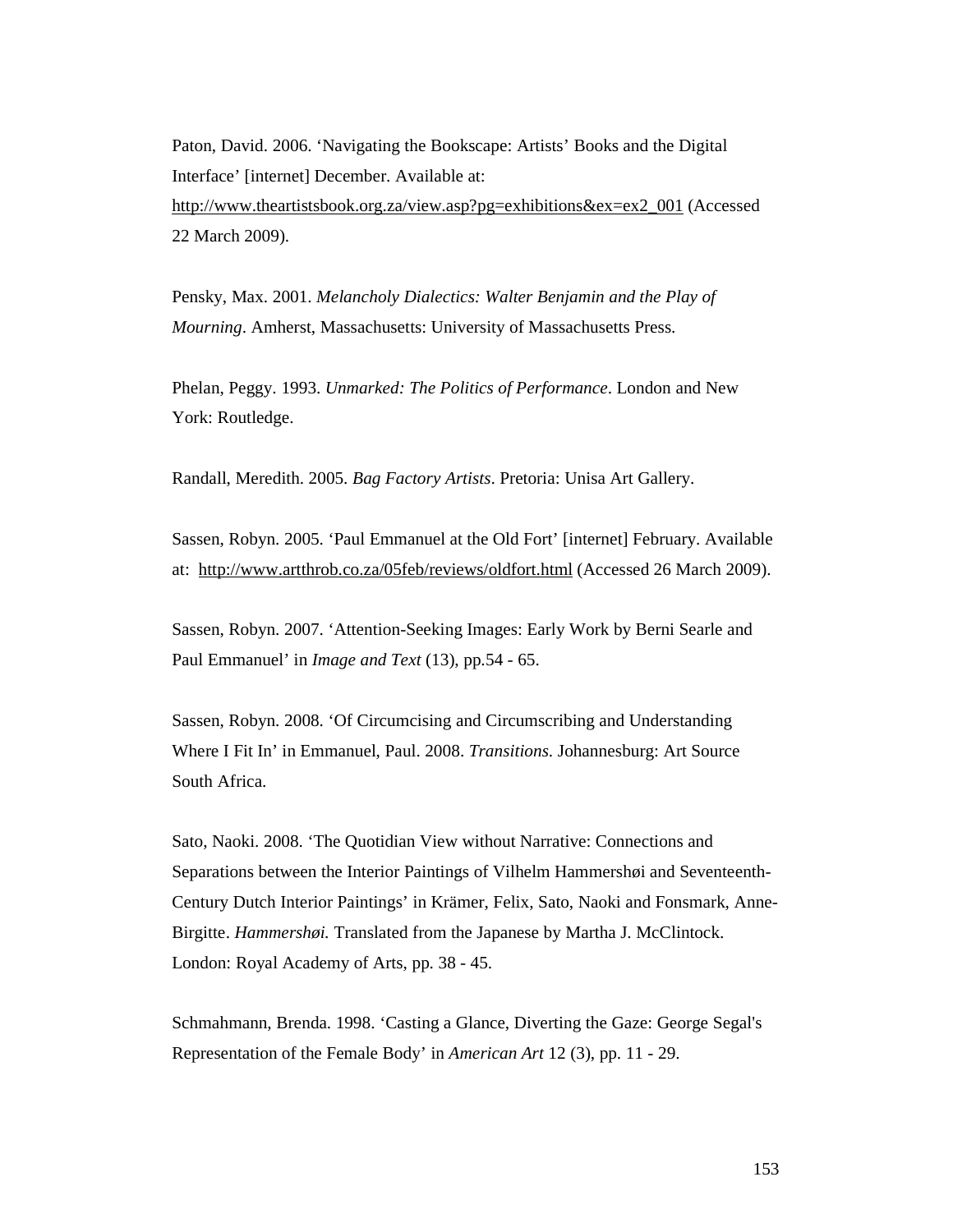Paton, David. 2006. 'Navigating the Bookscape: Artists' Books and the Digital Interface' [internet] December. Available at: http://www.theartistsbook.org.za/view.asp?pg=exhibitions&ex=ex2\_001 (Accessed 22 March 2009).

Pensky, Max. 2001. *Melancholy Dialectics: Walter Benjamin and the Play of Mourning*. Amherst, Massachusetts: University of Massachusetts Press.

Phelan, Peggy. 1993. *Unmarked: The Politics of Performance*. London and New York: Routledge.

Randall, Meredith. 2005. *Bag Factory Artists*. Pretoria: Unisa Art Gallery.

Sassen, Robyn. 2005. 'Paul Emmanuel at the Old Fort' [internet] February. Available at: http://www.artthrob.co.za/05feb/reviews/oldfort.html (Accessed 26 March 2009).

Sassen, Robyn. 2007. 'Attention-Seeking Images: Early Work by Berni Searle and Paul Emmanuel' in *Image and Text* (13), pp.54 - 65.

Sassen, Robyn. 2008. 'Of Circumcising and Circumscribing and Understanding Where I Fit In' in Emmanuel, Paul. 2008. *Transitions*. Johannesburg: Art Source South Africa.

Sato, Naoki. 2008. 'The Quotidian View without Narrative: Connections and Separations between the Interior Paintings of Vilhelm Hammershøi and Seventeenth-Century Dutch Interior Paintings' in Krämer, Felix, Sato, Naoki and Fonsmark, Anne-Birgitte. *Hammershøi.* Translated from the Japanese by Martha J. McClintock. London: Royal Academy of Arts, pp. 38 - 45.

Schmahmann, Brenda. 1998. 'Casting a Glance, Diverting the Gaze: George Segal's Representation of the Female Body' in *American Art* 12 (3), pp. 11 - 29.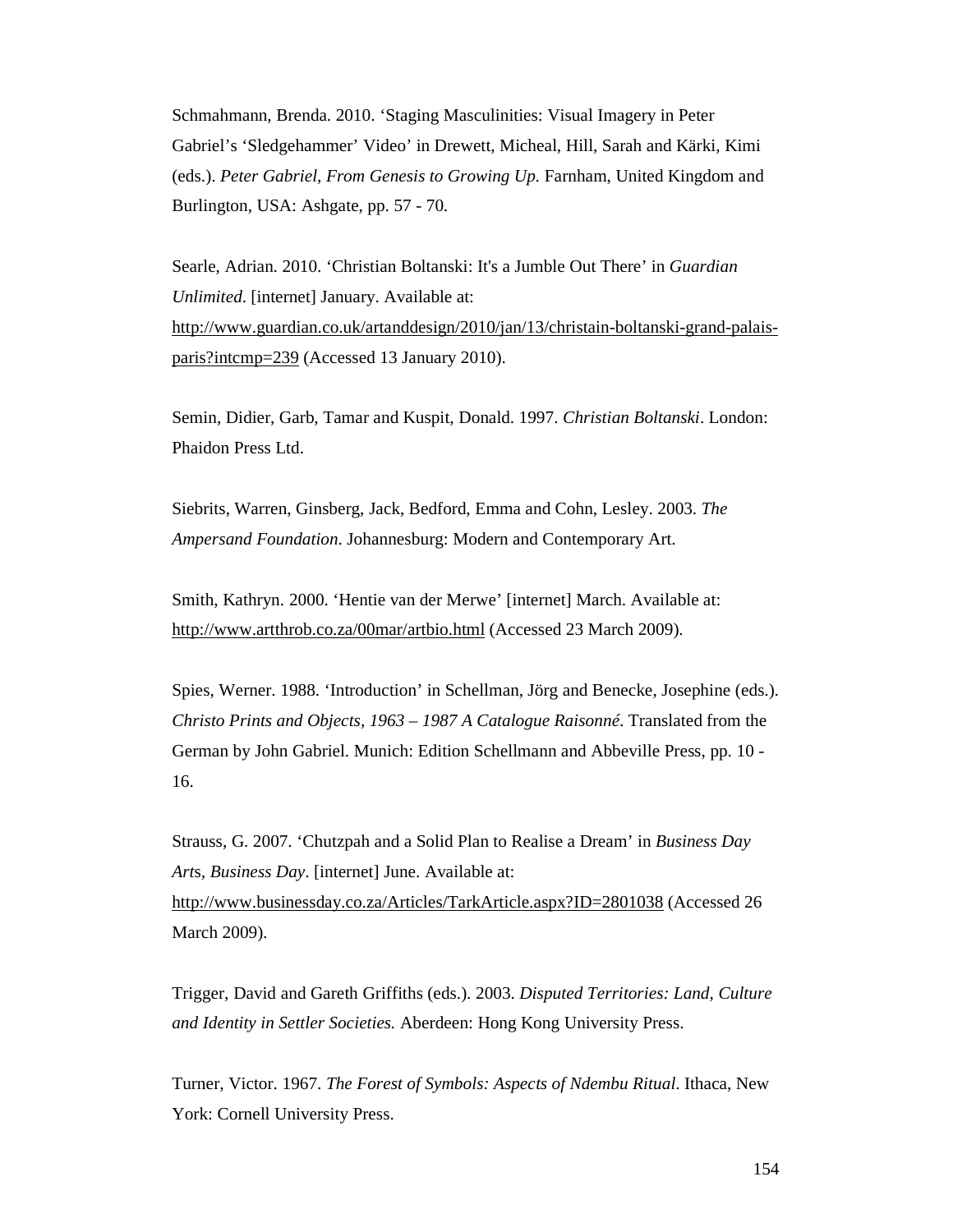Schmahmann, Brenda. 2010. 'Staging Masculinities: Visual Imagery in Peter Gabriel's 'Sledgehammer' Video' in Drewett, Micheal, Hill, Sarah and Kärki, Kimi (eds.). *Peter Gabriel, From Genesis to Growing Up.* Farnham, United Kingdom and Burlington, USA: Ashgate, pp. 57 - 70.

Searle, Adrian. 2010. 'Christian Boltanski: It's a Jumble Out There' in *Guardian Unlimited*. [internet] January. Available at: http://www.guardian.co.uk/artanddesign/2010/jan/13/christain-boltanski-grand-palaisparis?intcmp=239 (Accessed 13 January 2010).

Semin, Didier, Garb, Tamar and Kuspit, Donald. 1997. *Christian Boltanski*. London: Phaidon Press Ltd.

Siebrits, Warren, Ginsberg, Jack, Bedford, Emma and Cohn, Lesley. 2003. *The Ampersand Foundation*. Johannesburg: Modern and Contemporary Art.

Smith, Kathryn. 2000. 'Hentie van der Merwe' [internet] March. Available at: http://www.artthrob.co.za/00mar/artbio.html (Accessed 23 March 2009).

Spies, Werner. 1988. 'Introduction' in Schellman, Jörg and Benecke, Josephine (eds.). *Christo Prints and Objects, 1963 – 1987 A Catalogue Raisonné*. Translated from the German by John Gabriel. Munich: Edition Schellmann and Abbeville Press, pp. 10 - 16.

Strauss, G. 2007. 'Chutzpah and a Solid Plan to Realise a Dream' in *Business Day Art*s*, Business Day*. [internet] June. Available at: http://www.businessday.co.za/Articles/TarkArticle.aspx?ID=2801038 (Accessed 26 March 2009).

Trigger, David and Gareth Griffiths (eds.). 2003. *Disputed Territories: Land, Culture and Identity in Settler Societies.* Aberdeen: Hong Kong University Press.

Turner, Victor. 1967. *The Forest of Symbols: Aspects of Ndembu Ritual*. Ithaca, New York: Cornell University Press.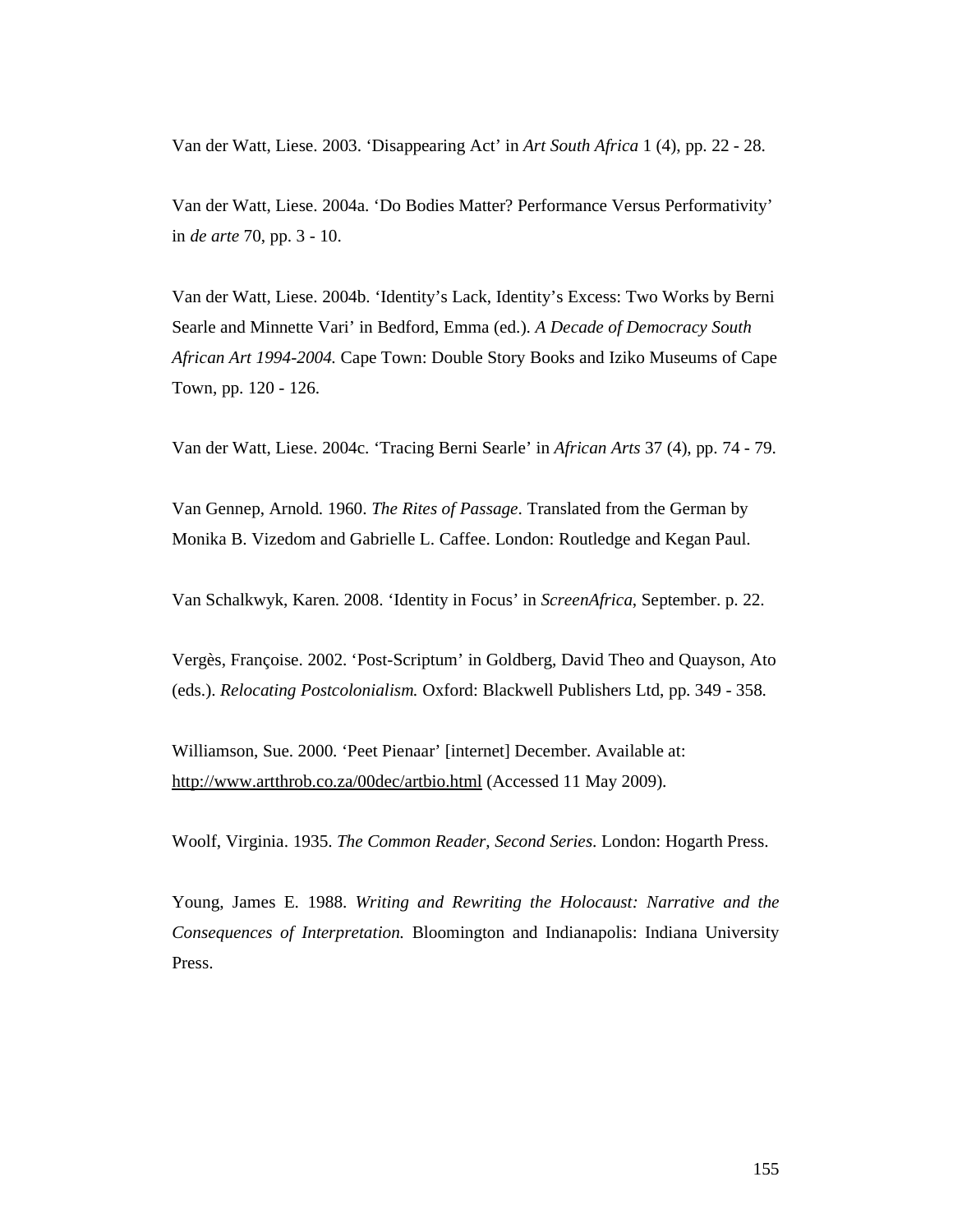Van der Watt, Liese. 2003. 'Disappearing Act' in *Art South Africa* 1 (4), pp. 22 - 28.

Van der Watt, Liese. 2004a. 'Do Bodies Matter? Performance Versus Performativity' in *de arte* 70, pp. 3 - 10.

Van der Watt, Liese. 2004b. 'Identity's Lack, Identity's Excess: Two Works by Berni Searle and Minnette Vari' in Bedford, Emma (ed.). *A Decade of Democracy South African Art 1994-2004.* Cape Town: Double Story Books and Iziko Museums of Cape Town, pp. 120 - 126.

Van der Watt, Liese. 2004c. 'Tracing Berni Searle' in *African Arts* 37 (4), pp. 74 - 79.

Van Gennep, Arnold. 1960. *The Rites of Passage*. Translated from the German by Monika B. Vizedom and Gabrielle L. Caffee. London: Routledge and Kegan Paul.

Van Schalkwyk, Karen. 2008. 'Identity in Focus' in *ScreenAfrica*, September. p. 22.

Vergès, Françoise. 2002. 'Post-Scriptum' in Goldberg, David Theo and Quayson, Ato (eds.). *Relocating Postcolonialism.* Oxford: Blackwell Publishers Ltd, pp. 349 - 358.

Williamson, Sue. 2000. 'Peet Pienaar' [internet] December. Available at: http://www.artthrob.co.za/00dec/artbio.html (Accessed 11 May 2009).

Woolf, Virginia. 1935. *The Common Reader, Second Series*. London: Hogarth Press.

Young, James E. 1988. *Writing and Rewriting the Holocaust: Narrative and the Consequences of Interpretation.* Bloomington and Indianapolis: Indiana University Press.